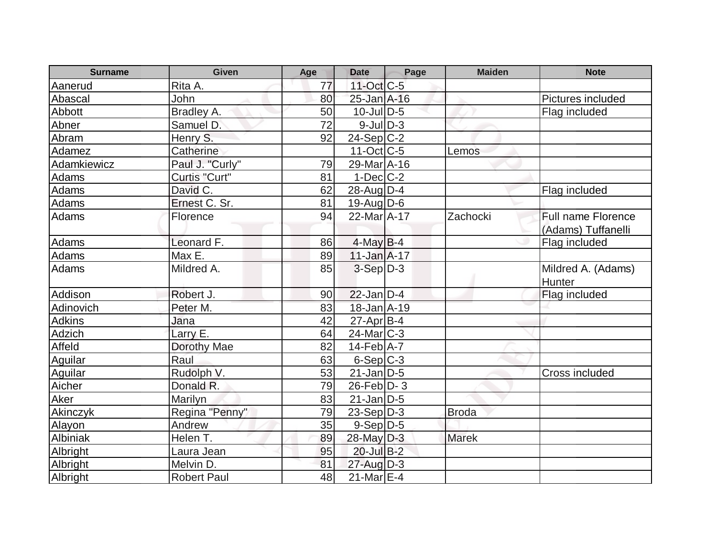| <b>Surname</b> | <b>Given</b>       | Age | <b>Date</b>              | Page | <b>Maiden</b> | <b>Note</b>                  |
|----------------|--------------------|-----|--------------------------|------|---------------|------------------------------|
| Aanerud        | Rita A.            | 77  | $11$ -Oct $C$ -5         |      |               |                              |
| Abascal        | <b>John</b>        | 80  | 25-Jan A-16              |      |               | Pictures included            |
| Abbott         | Bradley A.         | 50  | $10$ -Jul $D-5$          |      |               | Flag included                |
| Abner          | Samuel D.          | 72  | $9$ -JulD-3              |      |               |                              |
| Abram          | Henry S.           | 92  | $24-Sep C-2$             |      |               |                              |
| Adamez         | Catherine          |     | $11-Oct$ <sub>C</sub> -5 |      | Lemos         |                              |
| Adamkiewicz    | Paul J. "Curly"    | 79  | 29-Mar A-16              |      |               |                              |
| Adams          | Curtis "Curt"      | 81  | $1-Dec$ $C-2$            |      |               |                              |
| Adams          | David C.           | 62  | $28$ -Aug $D-4$          |      |               | Flag included                |
| Adams          | Ernest C. Sr.      | 81  | $19$ -Aug $D$ -6         |      |               |                              |
| Adams          | Florence           | 94  | 22-Mar A-17              |      | Zachocki      | <b>Full name Florence</b>    |
|                |                    |     |                          |      |               | (Adams) Tuffanelli           |
| Adams          | Leonard F.         | 86  | $4$ -May B-4             |      |               | Flag included                |
| Adams          | Max E.             | 89  | $11$ -Jan $A$ -17        |      |               |                              |
| Adams          | Mildred A.         | 85  | $3-Sep D-3$              |      |               | Mildred A. (Adams)<br>Hunter |
| Addison        | Robert J.          | 90  | $22$ -Jan D-4            |      |               | Flag included                |
| Adinovich      | Peter M.           | 83  | 18-Jan A-19              |      |               |                              |
| <b>Adkins</b>  | Jana               | 42  | $27$ -Apr $ B-4 $        |      |               |                              |
| Adzich         | Larry E.           | 64  | $24$ -Mar $C-3$          |      |               |                              |
| Affeld         | Dorothy Mae        | 82  | $14$ -Feb $ A-7$         |      |               |                              |
| Aguilar        | Raul               | 63  | $6-Sep C-3$              |      |               |                              |
| Aguilar        | Rudolph V.         | 53  | $21$ -Jan D-5            |      |               | Cross included               |
| Aicher         | Donald R.          | 79  | $26$ -Feb $ D-3 $        |      |               |                              |
| Aker           | Marilyn            | 83  | $21$ -Jan D-5            |      |               |                              |
| Akinczyk       | Regina "Penny"     | 79  | $23-Sep D-3$             |      | <b>Broda</b>  |                              |
| Alayon         | Andrew             | 35  | $9-Sep D-5$              |      |               |                              |
| Albiniak       | Helen T.           | 89  | 28-May D-3               |      | <b>Marek</b>  |                              |
| Albright       | Laura Jean         | 95  | 20-Jul B-2               |      |               |                              |
| Albright       | Melvin D.          | 81  | $27$ -Aug $D-3$          |      |               |                              |
| Albright       | <b>Robert Paul</b> | 48  | $21$ -Mar $E-4$          |      |               |                              |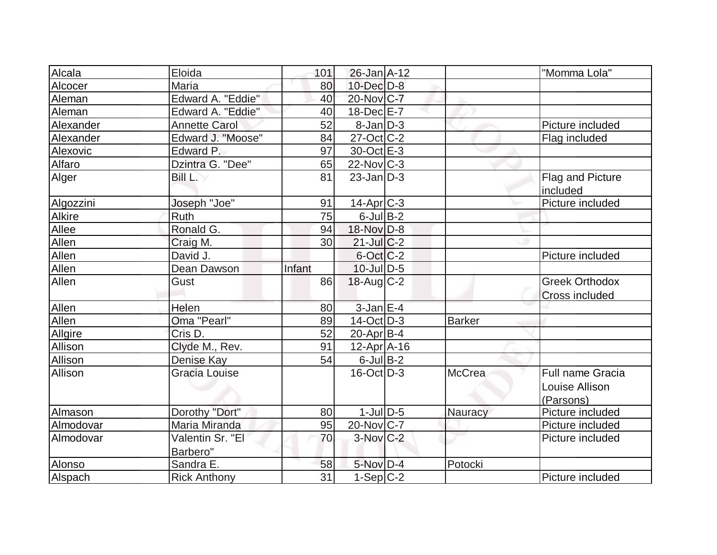| Alcala         | Eloida               | 101    | $26$ -Jan $A-12$  |               | "Momma Lola"          |
|----------------|----------------------|--------|-------------------|---------------|-----------------------|
| Alcocer        | Maria                | 80     | $10$ -Dec $D$ -8  |               |                       |
| Aleman         | Edward A. "Eddie"    | 40     | 20-Nov C-7        |               |                       |
| Aleman         | Edward A. "Eddie"    | 40     | 18-Dec E-7        |               |                       |
| Alexander      | <b>Annette Carol</b> | 52     | $8$ -Jan $D-3$    |               | Picture included      |
| Alexander      | Edward J. "Moose"    | 84     | $27$ -Oct $ C-2 $ |               | Flag included         |
| Alexovic       | Edward P.            | 97     | 30-Oct E-3        |               |                       |
| Alfaro         | Dzintra G. "Dee"     | 65     | $22$ -Nov $ C-3 $ |               |                       |
| Alger          | Bill L.              | 81     | $23$ -Jan D-3     |               | Flag and Picture      |
|                |                      |        |                   |               | included              |
| Algozzini      | Joseph "Joe"         | 91     | $14$ -Apr $ C-3 $ |               | Picture included      |
| Alkire         | Ruth                 | 75     | $6$ -Jul $B$ -2   |               |                       |
| Allee          | Ronald G.            | 94     | 18-Nov D-8        |               |                       |
| <b>Allen</b>   | Craig M.             | 30     | $21$ -JulC-2      |               |                       |
| Allen          | David J.             |        | $6$ -Oct $ C$ -2  |               | Picture included      |
| Allen          | Dean Dawson          | Infant | $10$ -Jul $D-5$   |               |                       |
| Allen          | Gust                 | 86     | $18$ -Aug C-2     |               | <b>Greek Orthodox</b> |
|                |                      |        |                   |               | Cross included        |
| Allen          | Helen                | 80     | $3$ -Jan $E-4$    |               |                       |
| Allen          | Oma "Pearl"          | 89     | $14$ -Oct $ D-3 $ | Barker        |                       |
| <b>Allgire</b> | Cris D.              | 52     | $20$ -Apr $ B-4 $ |               |                       |
| Allison        | Clyde M., Rev.       | 91     | $12-Apr$ A-16     |               |                       |
| Allison        | Denise Kay           | 54     | $6$ -Jul B-2      |               |                       |
| Allison        | Gracia Louise        |        | $16$ -Oct $ D-3 $ | <b>McCrea</b> | Full name Gracia      |
|                |                      |        |                   |               | Louise Allison        |
|                |                      |        |                   |               | (Parsons)             |
| Almason        | Dorothy "Dort"       | 80     | $1$ -JulD-5       | Nauracy       | Picture included      |
| Almodovar      | Maria Miranda        | 95     | $20$ -Nov $ C-7 $ |               | Picture included      |
| Almodovar      | Valentin Sr. "El     | 70     | $3-Nov$ $C-2$     |               | Picture included      |
|                | Barbero"             |        |                   |               |                       |
| Alonso         | Sandra E.            | 58     | $5-Nov$ D-4       | Potocki       |                       |
| Alspach        | <b>Rick Anthony</b>  | 31     | $1-Sep C-2$       |               | Picture included      |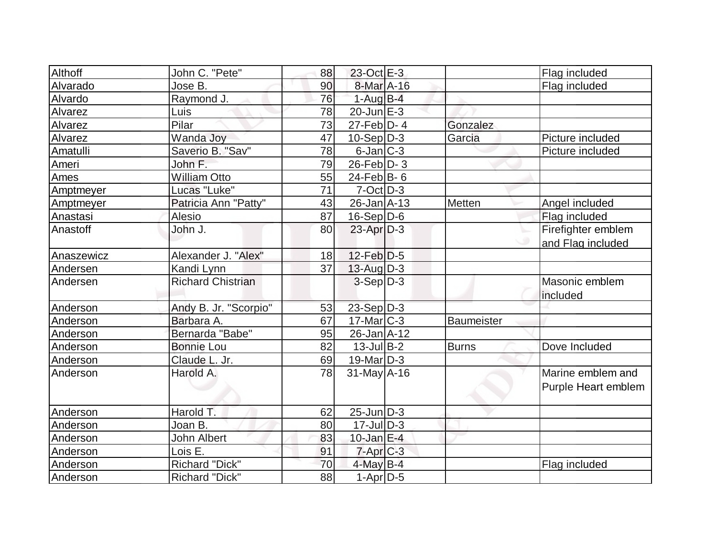| Althoff    | John C. "Pete"           | 88              | 23-Oct E-3                  |                   | Flag included       |
|------------|--------------------------|-----------------|-----------------------------|-------------------|---------------------|
| Alvarado   | Jose B.                  | 90              | 8-Mar A-16                  |                   | Flag included       |
| Alvardo    | Raymond J.               | 76              | $1-Aug$ B-4                 |                   |                     |
| Alvarez    | Luis                     | 78              | $20$ -Jun $E-3$             |                   |                     |
| Alvarez    | Pilar                    | 73              | $27$ -Feb $\overline{D}$ -4 | Gonzalez          |                     |
| Alvarez    | Wanda Joy                | 47              | $10-Sep D-3$                | Garcia            | Picture included    |
| Amatulli   | Saverio B. "Sav"         | 78              | $6$ -Jan $ C-3 $            |                   | Picture included    |
| Ameri      | John F.                  | 79              | $26$ -Feb $D-3$             |                   |                     |
| Ames       | <b>William Otto</b>      | 55              | $24$ -Feb $ B-6$            |                   |                     |
| Amptmeyer  | Lucas "Luke"             | 71              | $7-Cct$ D-3                 |                   |                     |
| Amptmeyer  | Patricia Ann "Patty"     | 43              | $26$ -Jan $A$ -13           | Metten            | Angel included      |
| Anastasi   | Alesio                   | 87              | $16-Sep D-6$                |                   | Flag included       |
| Anastoff   | John J.                  | 80              | $23$ -Apr $D-3$             |                   | Firefighter emblem  |
|            |                          |                 |                             |                   | and Flag included   |
| Anaszewicz | Alexander J. "Alex"      | 18              | $12$ -Feb $D-5$             |                   |                     |
| Andersen   | Kandi Lynn               | 37              | 13-Aug D-3                  |                   |                     |
| Andersen   | <b>Richard Chistrian</b> |                 | $3-Sep D-3$                 |                   | Masonic emblem      |
|            |                          |                 |                             |                   | included            |
| Anderson   | Andy B. Jr. "Scorpio"    | 53              | $23-Sep$ D-3                |                   |                     |
| Anderson   | Barbara A.               | 67              | $17$ -Mar $C-3$             | <b>Baumeister</b> |                     |
| Anderson   | Bernarda "Babe"          | 95              | $26$ -Jan $A$ -12           |                   |                     |
| Anderson   | <b>Bonnie Lou</b>        | 82              | $13$ -Jul B-2               | <b>Burns</b>      | Dove Included       |
| Anderson   | Claude L. Jr.            | 69              | $19$ -Mar $ D-3$            |                   |                     |
| Anderson   | Harold A.                | 78              | $31$ -May A-16              |                   | Marine emblem and   |
|            |                          |                 |                             |                   | Purple Heart emblem |
|            |                          |                 |                             |                   |                     |
| Anderson   | Harold T.                | 62              | $25$ -Jun $ D-3 $           |                   |                     |
| Anderson   | Joan B.                  | 80              | $17$ -Jul $\overline{D}$ -3 |                   |                     |
| Anderson   | John Albert              | 83              | $10$ -Jan $E-4$             |                   |                     |
| Anderson   | Lois E.                  | 91              | $7$ -Apr $ C-3 $            |                   |                     |
| Anderson   | Richard "Dick"           | 70              | $4$ -May B-4                |                   | Flag included       |
| Anderson   | <b>Richard "Dick"</b>    | $\overline{88}$ | $1-Apr$ D-5                 |                   |                     |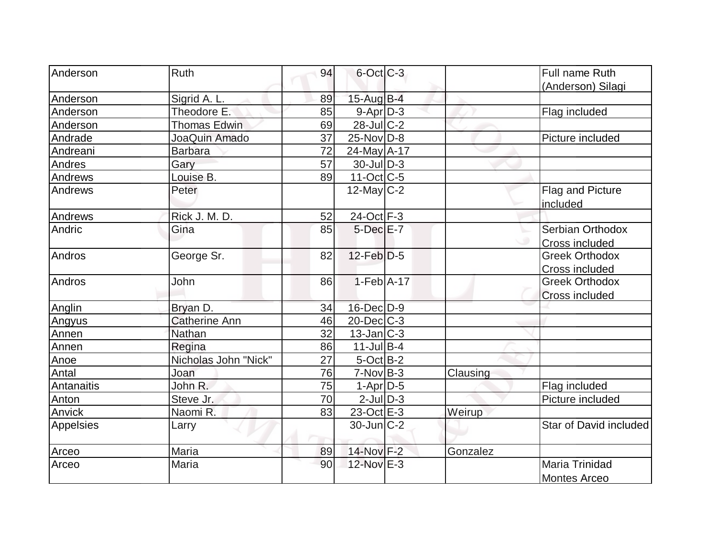| <b>Anderson</b> | <b>Ruth</b>          | 94 | $6$ -Oct $C$ -3   |          | Full name Ruth               |
|-----------------|----------------------|----|-------------------|----------|------------------------------|
|                 |                      |    |                   |          | (Anderson) Silagi            |
| Anderson        | Sigrid A. L.         | 89 | $15$ -Aug $B-4$   |          |                              |
| Anderson        | Theodore E.          | 85 | $9-Apr$ D-3       |          | Flag included                |
| Anderson        | <b>Thomas Edwin</b>  | 69 | $28$ -JulC-2      |          |                              |
| Andrade         | JoaQuin Amado        | 37 | $25$ -Nov $ D-8 $ |          | Picture included             |
| Andreani        | <b>Barbara</b>       | 72 | 24-May A-17       |          |                              |
| Andres          | Gary                 | 57 | $30$ -JulD-3      |          |                              |
| Andrews         | Louise B.            | 89 | $11-Oct$ $C-5$    |          |                              |
| Andrews         | Peter                |    | $12$ -May C-2     |          | Flag and Picture<br>included |
| Andrews         | Rick J. M. D.        | 52 | 24-Oct F-3        |          |                              |
| Andric          | Gina                 | 85 | $5$ -Dec $E-7$    |          | Serbian Orthodox             |
|                 |                      |    |                   |          | <b>Cross included</b>        |
| Andros          | George Sr.           | 82 | $12$ -Feb $D-5$   |          | <b>Greek Orthodox</b>        |
|                 |                      |    |                   |          | Cross included               |
| Andros          | John                 | 86 | $1-Feb$ A-17      |          | <b>Greek Orthodox</b>        |
|                 |                      |    |                   |          | Cross included               |
| Anglin          | Bryan D.             | 34 | $16$ -Dec $D-9$   |          |                              |
| Angyus          | <b>Catherine Ann</b> | 46 | $20$ -Dec $C$ -3  |          |                              |
| Annen           | Nathan               | 32 | $13$ -Jan $ C-3 $ |          |                              |
| Annen           | Regina               | 86 | $11$ -Jul B-4     |          |                              |
| Anoe            | Nicholas John "Nick" | 27 | $5$ -Oct B-2      |          |                              |
| Antal           | Joan                 | 76 | $7-Nov$ B-3       | Clausing |                              |
| Antanaitis      | John R.              | 75 | $1-Apr$ D-5       |          | Flag included                |
| <b>Anton</b>    | Steve Jr.            | 70 | $2$ -Jul $D-3$    |          | Picture included             |
| Anvick          | Naomi R.             | 83 | $23-Oct$ $E-3$    | Weirup   |                              |
| Appelsies       | Larry                |    | $30$ -Jun $ C-2 $ |          | Star of David included       |
| Arceo           | Maria                | 89 | 14-Nov F-2        | Gonzalez |                              |
| Arceo           | Maria                | 90 | 12-Nov E-3        |          | <b>Maria Trinidad</b>        |
|                 |                      |    |                   |          | <b>Montes Arceo</b>          |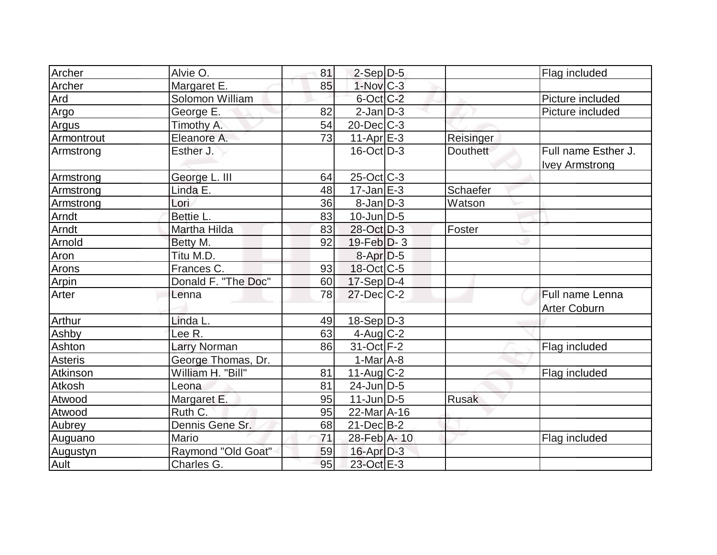| Archer     | Alvie O.            | 81 | $2-Sep D-5$              |                 | Flag included                                |
|------------|---------------------|----|--------------------------|-----------------|----------------------------------------------|
| Archer     | Margaret E.         | 85 | $1-Nov$ $C-3$            |                 |                                              |
| Ard        | Solomon William     |    | $6$ -Oct $ C$ -2         |                 | Picture included                             |
| Argo       | George E.           | 82 | $2-Jan$ D-3              |                 | Picture included                             |
| Argus      | Timothy A.          | 54 | $20$ -Dec $C-3$          |                 |                                              |
| Armontrout | Eleanore A.         | 73 | $11-Apr$ $E-3$           | Reisinger       |                                              |
| Armstrong  | Esther J.           |    | $16$ -Oct $ D-3 $        | <b>Douthett</b> | Full name Esther J.<br><b>Ivey Armstrong</b> |
| Armstrong  | George L. III       | 64 | $25$ -Oct $ C-3 $        |                 |                                              |
| Armstrong  | Linda E.            | 48 | $17 - Jan \, E - 3$      | Schaefer        |                                              |
| Armstrong  | Lori                | 36 | $8$ -Jan $D-3$           | Watson          |                                              |
| Arndt      | Bettie L.           | 83 | $10$ -Jun $ D-5$         |                 |                                              |
| Arndt      | Martha Hilda        | 83 | 28-Oct D-3               | Foster          |                                              |
| Arnold     | Betty M.            | 92 | $19$ -Feb $ D-3 $        |                 |                                              |
| Aron       | Titu M.D.           |    | $8 - Apr$ $D-5$          |                 |                                              |
| Arons      | Frances C.          | 93 | $18-Oct$ <sub>C</sub> -5 |                 |                                              |
| Arpin      | Donald F. "The Doc" | 60 | $17-Sep D-4$             |                 |                                              |
| Arter      | Lenna               | 78 | $27 - Dec$ $C-2$         |                 | Full name Lenna<br><b>Arter Coburn</b>       |
| Arthur     | Linda L.            | 49 | $18-Sep D-3$             |                 |                                              |
| Ashby      | Lee R.              | 63 | $4$ -Aug C-2             |                 |                                              |
| Ashton     | <b>Larry Norman</b> | 86 | 31-Oct F-2               |                 | Flag included                                |
| Asteris    | George Thomas, Dr.  |    | $1-Mar1A-8$              |                 |                                              |
| Atkinson   | William H. "Bill"   | 81 | $11$ -Aug C-2            |                 | Flag included                                |
| Atkosh     | Leona               | 81 | $24$ -Jun $D-5$          |                 |                                              |
| Atwood     | Margaret E.         | 95 | $11$ -Jun $D-5$          | <b>Rusak</b>    |                                              |
| Atwood     | Ruth C.             | 95 | 22-Mar A-16              |                 |                                              |
| Aubrey     | Dennis Gene Sr.     | 68 | $21$ -Dec $B-2$          |                 |                                              |
| Auguano    | Mario               | 71 | 28-Feb A-10              |                 | Flag included                                |
| Augustyn   | Raymond "Old Goat"  | 59 | $16$ -Apr $D-3$          |                 |                                              |
| Ault       | Charles G.          | 95 | 23-Oct E-3               |                 |                                              |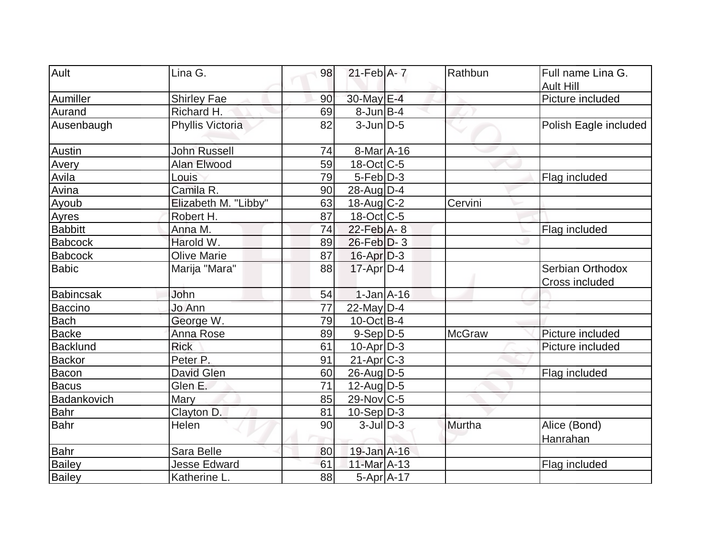| Ault           | Lina G.              | 98 | $21$ -Feb $A - 7$ | Rathbun       | Full name Lina G.                  |
|----------------|----------------------|----|-------------------|---------------|------------------------------------|
|                |                      |    |                   |               | <b>Ault Hill</b>                   |
| Aumiller       | <b>Shirley Fae</b>   | 90 | 30-May E-4        |               | Picture included                   |
| Aurand         | Richard H.           | 69 | $8$ -Jun $B$ -4   |               |                                    |
| Ausenbaugh     | Phyllis Victoria     | 82 | $3$ -Jun $D-5$    |               | Polish Eagle included              |
| Austin         | <b>John Russell</b>  | 74 | 8-Mar A-16        |               |                                    |
| Avery          | <b>Alan Elwood</b>   | 59 | $18$ -Oct $ C-5 $ |               |                                    |
| Avila          | Louis                | 79 | $5-Feb D-3$       |               | Flag included                      |
| Avina          | Camila R.            | 90 | $28$ -Aug $D-4$   |               |                                    |
| Ayoub          | Elizabeth M. "Libby" | 63 | $18$ -Aug C-2     | Cervini       |                                    |
| Ayres          | Robert H.            | 87 | $18$ -Oct $ C-5 $ |               |                                    |
| <b>Babbitt</b> | Anna M.              | 74 | $22$ -Feb $A - 8$ |               | Flag included                      |
| <b>Babcock</b> | Harold W.            | 89 | $26$ -Feb $ D-3 $ |               |                                    |
| <b>Babcock</b> | <b>Olive Marie</b>   | 87 | $16$ -Apr $D-3$   |               |                                    |
| <b>Babic</b>   | Marija "Mara"        | 88 | $17$ -Apr $D-4$   |               | Serbian Orthodox<br>Cross included |
| Babincsak      | John                 | 54 | $1-Jan1A-16$      |               |                                    |
| Baccino        | Jo Ann               | 77 | 22-May $D-4$      |               |                                    |
| <b>Bach</b>    | George W.            | 79 | $10$ -Oct B-4     |               |                                    |
| <b>Backe</b>   | Anna Rose            | 89 | $9-Sep D-5$       | <b>McGraw</b> | Picture included                   |
| Backlund       | <b>Rick</b>          | 61 | $10$ -Apr $D-3$   |               | Picture included                   |
| <b>Backor</b>  | Peter P.             | 91 | $21-Apr$ $C-3$    |               |                                    |
| Bacon          | <b>David Glen</b>    | 60 | $26$ -Aug $D-5$   |               | Flag included                      |
| <b>Bacus</b>   | Glen E.              | 71 | $12$ -AugD-5      |               |                                    |
| Badankovich    | Mary                 | 85 | 29-Nov C-5        |               |                                    |
| Bahr           | Clayton D.           | 81 | $10-Sep D-3$      |               |                                    |
| Bahr           | Helen                | 90 | $3$ -Jul $ D-3 $  | Murtha        | Alice (Bond)<br>Hanrahan           |
| <b>Bahr</b>    | Sara Belle           | 80 | 19-Jan A-16       |               |                                    |
| Bailey         | <b>Jesse Edward</b>  | 61 | 11-Mar A-13       |               | Flag included                      |
| <b>Bailey</b>  | Katherine L.         | 88 | $5-Apr$ A-17      |               |                                    |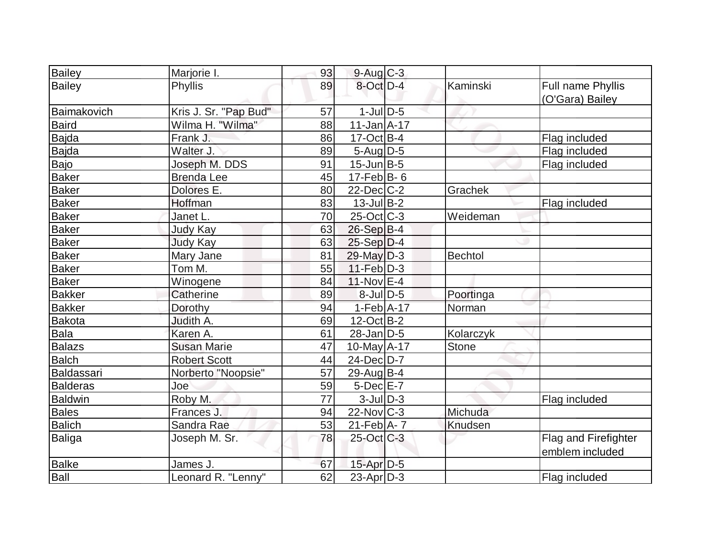| Bailey          | Marjorie I.           | 93 | $9-Aug$ $C-3$               |                |                                         |
|-----------------|-----------------------|----|-----------------------------|----------------|-----------------------------------------|
| Bailey          | Phyllis               | 89 | 8-Oct D-4                   | Kaminski       | Full name Phyllis<br>(O'Gara) Bailey    |
| Baimakovich     | Kris J. Sr. "Pap Bud" | 57 | $1$ -Jul $D-5$              |                |                                         |
| Baird           | Wilma H. "Wilma"      | 88 | $11$ -Jan $\overline{A-17}$ |                |                                         |
| Bajda           | Frank J.              | 86 | $17-Oct$ B-4                |                | Flag included                           |
| Bajda           | Walter J.             | 89 | $5$ -Aug D-5                |                | Flag included                           |
| Bajo            | Joseph M. DDS         | 91 | $15$ -Jun $B-5$             |                | Flag included                           |
| <b>Baker</b>    | <b>Brenda</b> Lee     | 45 | 17-Feb $B-6$                |                |                                         |
| <b>Baker</b>    | Dolores E.            | 80 | $22$ -Dec $C$ -2            | Grachek        |                                         |
| <b>Baker</b>    | Hoffman               | 83 | $13$ -Jul B-2               |                | Flag included                           |
| <b>Baker</b>    | Janet L.              | 70 | $25$ -Oct $C$ -3            | Weideman       |                                         |
| <b>Baker</b>    | Judy Kay              | 63 | $26-Sep B-4$                |                |                                         |
| <b>Baker</b>    | <b>Judy Kay</b>       | 63 | $25-Sep D-4$                |                |                                         |
| <b>Baker</b>    | Mary Jane             | 81 | $29$ -May $D-3$             | <b>Bechtol</b> |                                         |
| <b>Baker</b>    | Tom M.                | 55 | $11-Feb$ D-3                |                |                                         |
| Baker           | Winogene              | 84 | 11-Nov E-4                  |                |                                         |
| <b>Bakker</b>   | Catherine             | 89 | $8$ -JulD-5                 | Poortinga      |                                         |
| <b>Bakker</b>   | Dorothy               | 94 | $1-Feb$ A-17                | Norman         |                                         |
| Bakota          | Judith A.             | 69 | $12$ -Oct B-2               |                |                                         |
| <b>Bala</b>     | Karen A.              | 61 | $28$ -Jan $D-5$             | Kolarczyk      |                                         |
| Balazs          | <b>Susan Marie</b>    | 47 | 10-May A-17                 | Stone          |                                         |
| Balch           | <b>Robert Scott</b>   | 44 | $24$ -Dec $D-7$             |                |                                         |
| Baldassari      | Norberto "Noopsie"    | 57 | 29-Aug $ B-4 $              |                |                                         |
| <b>Balderas</b> | Joe                   | 59 | $5$ -Dec $E$ -7             |                |                                         |
| <b>Baldwin</b>  | Roby M.               | 77 | $3$ -JulD-3                 |                | Flag included                           |
| <b>Bales</b>    | Frances J.            | 94 | $22$ -Nov $C-3$             | Michuda        |                                         |
| <b>Balich</b>   | Sandra Rae            | 53 | 21-Feb A- 7                 | Knudsen        |                                         |
| <b>Baliga</b>   | Joseph M. Sr.         | 78 | 25-Oct C-3                  |                | Flag and Firefighter<br>emblem included |
| <b>Balke</b>    | James J.              | 67 | $15$ -Apr $D-5$             |                |                                         |
| Ball            | Leonard R. "Lenny"    | 62 | 23-Apr D-3                  |                | Flag included                           |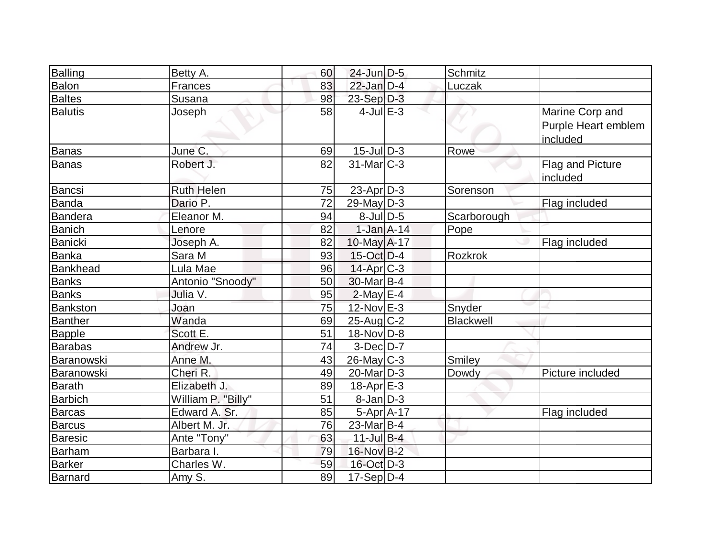| Balling         | Betty A.           | 60 | $24$ -Jun $D-5$   | Schmitz     |                                                    |
|-----------------|--------------------|----|-------------------|-------------|----------------------------------------------------|
| Balon           | Frances            | 83 | $22$ -Jan $D-4$   | Luczak      |                                                    |
| Baltes          | Susana             | 98 | 23-Sep D-3        |             |                                                    |
| <b>Balutis</b>  | Joseph             | 58 | $4$ -Jul $E-3$    |             | Marine Corp and<br>Purple Heart emblem<br>included |
| Banas           | June C.            | 69 | $15$ -Jul $ D-3 $ | Rowe        |                                                    |
| Banas           | Robert J.          | 82 | $31$ -Mar $ C-3 $ |             | <b>Flag and Picture</b><br>included                |
| Bancsi          | <b>Ruth Helen</b>  | 75 | $23$ -Apr $ D-3 $ | Sorenson    |                                                    |
| Banda           | Dario P.           | 72 | $29$ -May $D-3$   |             | Flag included                                      |
| <b>Bandera</b>  | Eleanor M.         | 94 | $8$ -JulD-5       | Scarborough |                                                    |
| <b>Banich</b>   | Lenore             | 82 | $1-Jan1A-14$      | Pope        |                                                    |
| <b>Banicki</b>  | Joseph A.          | 82 | $10$ -May $A$ -17 |             | Flag included                                      |
| Banka           | Sara M             | 93 | $15$ -Oct $ D-4 $ | Rozkrok     |                                                    |
| <b>Bankhead</b> | Lula Mae           | 96 | $14$ -Apr $ C-3 $ |             |                                                    |
| <b>Banks</b>    | Antonio "Snoody"   | 50 | 30-Mar B-4        |             |                                                    |
| <b>Banks</b>    | Julia V.           | 95 | $2$ -May $E-4$    |             |                                                    |
| Bankston        | Joan               | 75 | 12-Nov E-3        | Snyder      |                                                    |
| <b>Banther</b>  | Wanda              | 69 | $25$ -Aug C-2     | Blackwell   |                                                    |
| <b>Bapple</b>   | Scott E.           | 51 | 18-Nov D-8        |             |                                                    |
| <b>Barabas</b>  | Andrew Jr.         | 74 | $3-Dec$ D-7       |             |                                                    |
| Baranowski      | Anne M.            | 43 | $26$ -May C-3     | Smiley      |                                                    |
| Baranowski      | Cheri R.           | 49 | $20$ -Mar $D-3$   | Dowdy       | Picture included                                   |
| <b>Barath</b>   | Elizabeth J.       | 89 | $18$ -Apr $E-3$   |             |                                                    |
| <b>Barbich</b>  | William P. "Billy" | 51 | 8-Jan D-3         |             |                                                    |
| Barcas          | Edward A. Sr.      | 85 | $5-Apr$ A-17      |             | Flag included                                      |
| <b>Barcus</b>   | Albert M. Jr.      | 76 | $23$ -Mar $ B-4 $ |             |                                                    |
| <b>Baresic</b>  | Ante "Tony"        | 63 | $11$ -Jul B-4     |             |                                                    |
| Barham          | Barbara I.         | 79 | 16-Nov B-2        |             |                                                    |
| <b>Barker</b>   | Charles W.         | 59 | 16-Oct D-3        |             |                                                    |
| Barnard         | Amy S.             | 89 | $17-Sep D-4$      |             |                                                    |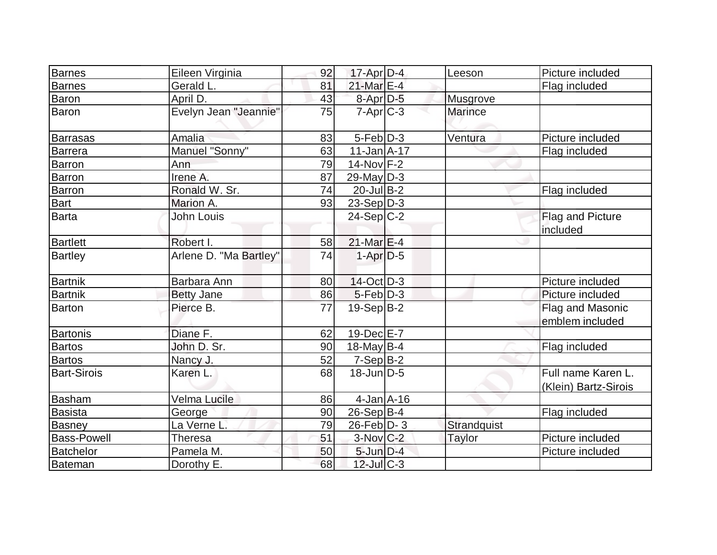| <b>Barnes</b>      | Eileen Virginia        | 92 | $17$ -Apr $D-4$   | Leeson          | Picture included     |
|--------------------|------------------------|----|-------------------|-----------------|----------------------|
| Barnes             | Gerald L.              | 81 | 21-Mar E-4        |                 | Flag included        |
| Baron              | April D.               | 43 | 8-Apr D-5         | <b>Musgrove</b> |                      |
| Baron              | Evelyn Jean "Jeannie"  | 75 | $7 - Apr$ $C-3$   | <b>Marince</b>  |                      |
| <b>Barrasas</b>    | Amalia                 | 83 | $5-Feb D-3$       | Ventura         | Picture included     |
| Barrera            | Manuel "Sonny"         | 63 | $11$ -Jan $A$ -17 |                 | Flag included        |
| Barron             | Ann                    | 79 | 14-Nov F-2        |                 |                      |
| <b>Barron</b>      | Irene A.               | 87 | $29$ -May $D-3$   |                 |                      |
| Barron             | Ronald W. Sr.          | 74 | $20$ -Jul B-2     |                 | Flag included        |
| <b>Bart</b>        | Marion A.              | 93 | $23-SepD-3$       |                 |                      |
| Barta              | John Louis             |    | $24-Sep C-2$      |                 | Flag and Picture     |
|                    |                        |    |                   |                 | included             |
| <b>Bartlett</b>    | Robert I.              | 58 | $21$ -Mar $E-4$   |                 |                      |
| <b>Bartley</b>     | Arlene D. "Ma Bartley" | 74 | $1-Apr$ D-5       |                 |                      |
| <b>Bartnik</b>     | Barbara Ann            | 80 | $14-Oct$ D-3      |                 | Picture included     |
| <b>Bartnik</b>     | <b>Betty Jane</b>      | 86 | $5-Feb$ $D-3$     |                 | Picture included     |
| <b>Barton</b>      | Pierce B.              | 77 | $19-Sep B-2$      |                 | Flag and Masonic     |
|                    |                        |    |                   |                 | emblem included      |
| <b>Bartonis</b>    | Diane F.               | 62 | 19-Dec E-7        |                 |                      |
| <b>Bartos</b>      | John D. Sr.            | 90 | $18$ -May B-4     |                 | Flag included        |
| <b>Bartos</b>      | Nancy J.               | 52 | $7-Sep B-2$       |                 |                      |
| <b>Bart-Sirois</b> | Karen L.               | 68 | $18$ -Jun $D-5$   |                 | Full name Karen L.   |
|                    |                        |    |                   |                 | (Klein) Bartz-Sirois |
| Basham             | Velma Lucile           | 86 | $4$ -Jan $A$ -16  |                 |                      |
| <b>Basista</b>     | George                 | 90 | $26-Sep B-4$      |                 | Flag included        |
| Basney             | La Verne L.            | 79 | $26$ -Feb $ D-3 $ | Strandquist     |                      |
| <b>Bass-Powell</b> | Theresa                | 51 | 3-Nov C-2         | Taylor          | Picture included     |
| <b>Batchelor</b>   | Pamela M.              | 50 | $5$ -Jun $D-4$    |                 | Picture included     |
| Bateman            | Dorothy E.             | 68 | $12$ -Jul $C-3$   |                 |                      |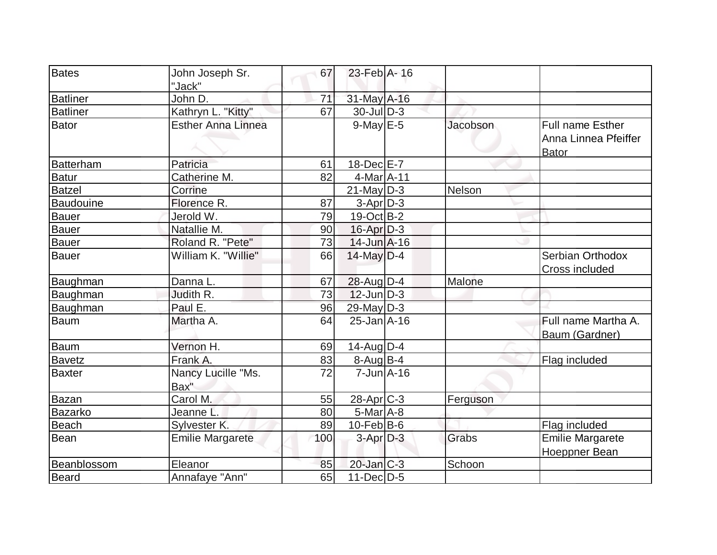| Bates           | John Joseph Sr.           | 67  | 23-Feb A-16       |          |                         |
|-----------------|---------------------------|-----|-------------------|----------|-------------------------|
|                 | "Jack"                    |     |                   |          |                         |
| <b>Batliner</b> | John D.                   | 71  | $31$ -May $A-16$  |          |                         |
| <b>Batliner</b> | Kathryn L. "Kitty"        | 67  | $30$ -Jul $D-3$   |          |                         |
| Bator           | <b>Esther Anna Linnea</b> |     | $9$ -May $E$ -5   | Jacobson | <b>Full name Esther</b> |
|                 |                           |     |                   |          | Anna Linnea Pfeiffer    |
|                 |                           |     |                   |          | <b>Bator</b>            |
| Batterham       | Patricia                  | 61  | $18$ -Dec $E$ -7  |          |                         |
| Batur           | Catherine M.              | 82  | 4-Mar A-11        |          |                         |
| <b>Batzel</b>   | Corrine                   |     | $21$ -May D-3     | Nelson   |                         |
| Baudouine       | Florence R.               | 87  | $3-Apr$ $D-3$     |          |                         |
| Bauer           | Jerold W.                 | 79  | $19-Oct$ B-2      |          |                         |
| Bauer           | Natallie M.               | 90  | $16$ -Apr $D-3$   |          |                         |
| Bauer           | Roland R. "Pete"          | 73  | $14$ -Jun $A$ -16 |          |                         |
| Bauer           | William K. "Willie"       | 66  | $14$ -May D-4     |          | Serbian Orthodox        |
|                 |                           |     |                   |          | Cross included          |
| Baughman        | Danna L.                  | 67  | $28$ -Aug $D-4$   | Malone   |                         |
| Baughman        | Judith R.                 | 73  | $12$ -Jun $D-3$   |          |                         |
| Baughman        | Paul E.                   | 96  | $29$ -May $D-3$   |          |                         |
| Baum            | Martha A.                 | 64  | $25$ -Jan $A$ -16 |          | Full name Martha A.     |
|                 |                           |     |                   |          | Baum (Gardner)          |
| <b>Baum</b>     | Vernon H.                 | 69  | $14$ -Aug $D-4$   |          |                         |
| Bavetz          | Frank A.                  | 83  | $8-Aug B-4$       |          | Flag included           |
| Baxter          | Nancy Lucille "Ms.        | 72  | $7$ -Jun $A$ -16  |          |                         |
|                 | Bax"                      |     |                   |          |                         |
| Bazan           | Carol M.                  | 55  | 28-Apr C-3        | Ferguson |                         |
| Bazarko         | Jeanne L.                 | 80  | $5-Mar$ A-8       |          |                         |
| <b>Beach</b>    | Sylvester K.              | 89  | $10$ -Feb $ B$ -6 |          | Flag included           |
| Bean            | <b>Emilie Margarete</b>   | 100 | $3$ -Apr $D-3$    | Grabs    | <b>Emilie Margarete</b> |
|                 |                           |     |                   |          | Hoeppner Bean           |
| Beanblossom     | Eleanor                   | 85  | $20$ -Jan $C-3$   | Schoon   |                         |
| Beard           | Annafaye "Ann"            | 65  | $11$ -Dec $D-5$   |          |                         |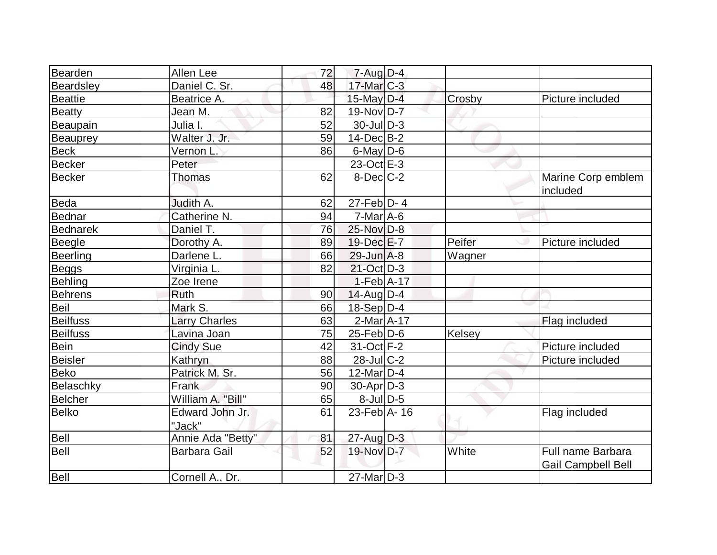| Bearden         | Allen Lee                 | 72 | $7 - Aug$ $D-4$               |        |                                                |
|-----------------|---------------------------|----|-------------------------------|--------|------------------------------------------------|
| Beardsley       | Daniel C. Sr.             | 48 | $17$ -Mar $ C-3 $             |        |                                                |
| <b>Beattie</b>  | Beatrice A.               |    | $15$ -May $D-4$               | Crosby | Picture included                               |
| <b>Beatty</b>   | Jean M.                   | 82 | $19-Nov D-7$                  |        |                                                |
| Beaupain        | Julia I.                  | 52 | $30$ -JulD-3                  |        |                                                |
| <b>Beauprey</b> | Walter J. Jr.             | 59 | $14$ -Dec $B-2$               |        |                                                |
| <b>Beck</b>     | Vernon L.                 | 86 | $6$ -May $D$ -6               |        |                                                |
| <b>Becker</b>   | Peter                     |    | $23-Oct$ $E-3$                |        |                                                |
| <b>Becker</b>   | Thomas                    | 62 | $8$ -Dec $C-2$                |        | Marine Corp emblem<br>included                 |
| <b>Beda</b>     | Judith A.                 | 62 | $27-Feb\overline{D-4}$        |        |                                                |
| <b>Bednar</b>   | Catherine N.              | 94 | $7$ -Mar $A$ -6               |        |                                                |
| <b>Bednarek</b> | Daniel T.                 | 76 | 25-Nov D-8                    |        |                                                |
| <b>Beegle</b>   | Dorothy A.                | 89 | 19-Dec E-7                    | Peifer | Picture included                               |
| <b>Beerling</b> | Darlene L.                | 66 | $29$ -Jun $A-8$               | Wagner |                                                |
| <b>Beggs</b>    | Virginia L.               | 82 | 21-Oct D-3                    |        |                                                |
| <b>Behling</b>  | Zoe Irene                 |    | $1-Feb$ A-17                  |        |                                                |
| <b>Behrens</b>  | <b>Ruth</b>               | 90 | $14$ -Aug $D-4$               |        |                                                |
| <b>Beil</b>     | Mark S.                   | 66 | $18-Sep D-4$                  |        |                                                |
| <b>Beilfuss</b> | <b>Larry Charles</b>      | 63 | $2-Mar$ A-17                  |        | Flag included                                  |
| <b>Beilfuss</b> | Lavina Joan               | 75 | $25$ -Feb $ D$ -6             | Kelsey |                                                |
| <b>Bein</b>     | <b>Cindy Sue</b>          | 42 | $31-Oct$ F-2                  |        | Picture included                               |
| <b>Beisler</b>  | Kathryn                   | 88 | $28$ -Jul $C-2$               |        | Picture included                               |
| <b>Beko</b>     | Patrick M. Sr.            | 56 | $12$ -Mar $D-4$               |        |                                                |
| Belaschky       | Frank                     | 90 | $30$ -Apr $D-3$               |        |                                                |
| <b>Belcher</b>  | William A. "Bill"         | 65 | $8$ -Jul $D$ -5               |        |                                                |
| <b>Belko</b>    | Edward John Jr.<br>"Jack" | 61 | $23$ -Feb $\overline{A}$ - 16 |        | Flag included                                  |
| <b>Bell</b>     | Annie Ada "Betty"         | 81 | $27$ -Aug D-3                 |        |                                                |
| <b>Bell</b>     | <b>Barbara Gail</b>       | 52 | 19-Nov D-7                    | White  | Full name Barbara<br><b>Gail Campbell Bell</b> |
| Bell            | Cornell A., Dr.           |    | $27$ -Mar $D-3$               |        |                                                |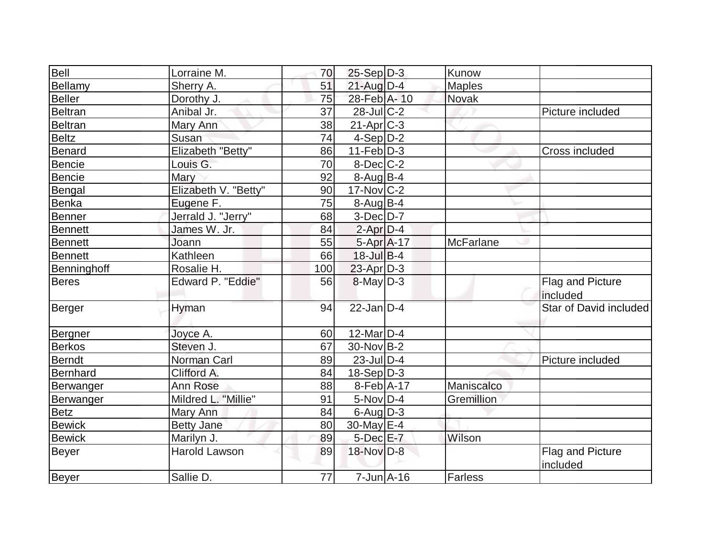| Bell            | Lorraine M.          | 70  | $25-Sep D-3$            | Kunow            |                              |
|-----------------|----------------------|-----|-------------------------|------------------|------------------------------|
| Bellamy         | Sherry A.            | 51  | $21$ -Aug $D-4$         | <b>Maples</b>    |                              |
| <b>Beller</b>   | Dorothy J.           | 75  | 28-Feb A-10             | Novak            |                              |
| <b>Beltran</b>  | Anibal Jr.           | 37  | $28$ -JulC-2            |                  | Picture included             |
| <b>Beltran</b>  | Mary Ann             | 38  | $21-Apr$ <sub>C-3</sub> |                  |                              |
| <b>Beltz</b>    | Susan                | 74  | $4-Sep$ D-2             |                  |                              |
| Benard          | Elizabeth "Betty"    | 86  | $11-Feb D-3$            |                  | Cross included               |
| Bencie          | Louis G.             | 70  | $8$ -Dec $C$ -2         |                  |                              |
| <b>Bencie</b>   | Mary                 | 92  | $8-Aug$ B-4             |                  |                              |
| Bengal          | Elizabeth V. "Betty" | 90  | $17$ -Nov $ C-2 $       |                  |                              |
| <b>Benka</b>    | Eugene F.            | 75  | $8-Auq$ B-4             |                  |                              |
| Benner          | Jerrald J. "Jerry"   | 68  | $3-Dec$ D-7             |                  |                              |
| Bennett         | James W. Jr.         | 84  | $2$ -Apr $D-4$          |                  |                              |
| <b>Bennett</b>  | Joann                | 55  | $5-Apr$ $A-17$          | <b>McFarlane</b> |                              |
| Bennett         | Kathleen             | 66  | 18-Jul B-4              |                  |                              |
| Benninghoff     | Rosalie H.           | 100 | $23$ -Apr $D-3$         |                  |                              |
| <b>Beres</b>    | Edward P. "Eddie"    | 56  | $8$ -May $D-3$          |                  | Flag and Picture<br>included |
| Berger          | Hyman                | 94  | $22$ -Jan $D-4$         |                  | Star of David included       |
| Bergner         | Joyce A.             | 60  | $12$ -Mar $ D-4$        |                  |                              |
| <b>Berkos</b>   | Steven J.            | 67  | 30-Nov B-2              |                  |                              |
| <b>Berndt</b>   | Norman Carl          | 89  | 23-Jul D-4              |                  | Picture included             |
| <b>Bernhard</b> | Clifford A.          | 84  | $18-Sep D-3$            |                  |                              |
| Berwanger       | Ann Rose             | 88  | $8-Feb$ A-17            | Maniscalco       |                              |
| Berwanger       | Mildred L. "Millie"  | 91  | $5-Nov D-4$             | Gremillion       |                              |
| <b>Betz</b>     | Mary Ann             | 84  | $6$ -Aug $D-3$          |                  |                              |
| <b>Bewick</b>   | <b>Betty Jane</b>    | 80  | 30-May E-4              |                  |                              |
| Bewick          | Marilyn J.           | 89  | $5$ -Dec $E$ -7         | Wilson           |                              |
| Beyer           | <b>Harold Lawson</b> | 89  | 18-Nov D-8              |                  | Flag and Picture<br>included |
| Beyer           | Sallie D.            | 77  | $7$ -Jun $A$ -16        | Farless          |                              |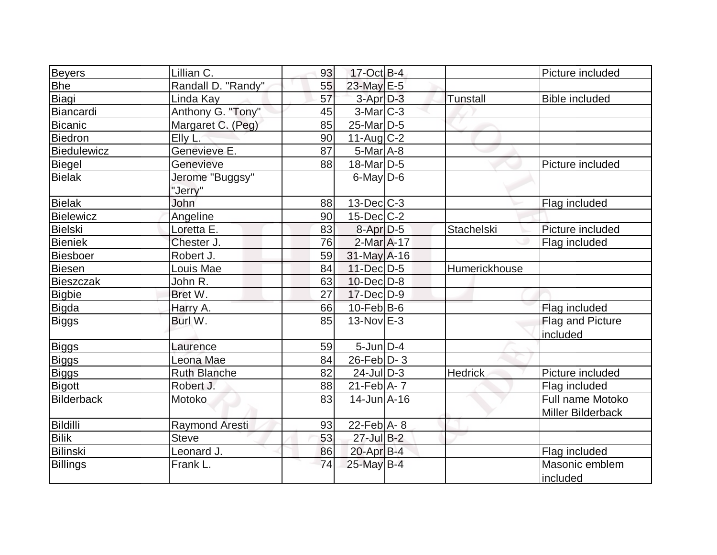|                      | Lillian C.          | 93 | 17-Oct B-4              |                   | Picture included      |
|----------------------|---------------------|----|-------------------------|-------------------|-----------------------|
| Beyers<br><b>Bhe</b> | Randall D. "Randy"  | 55 | 23-May E-5              |                   |                       |
| Biagi                | Linda Kay           | 57 | $3-Apr$ $D-3$           | Tunstall          | <b>Bible included</b> |
| Biancardi            |                     | 45 |                         |                   |                       |
|                      | Anthony G. "Tony"   |    | 3-Mar C-3<br>25-Mar D-5 |                   |                       |
| Bicanic              | Margaret C. (Peg)   | 85 |                         |                   |                       |
| Biedron              | Elly L.             | 90 | $11-Auq$ $C-2$          |                   |                       |
| Biedulewicz          | Genevieve E.        | 87 | $5$ -Mar $A$ -8         |                   |                       |
| Biegel               | Genevieve           | 88 | $18$ -Mar $ D-5 $       |                   | Picture included      |
| <b>Bielak</b>        | Jerome "Buggsy"     |    | $6$ -May $D$ -6         |                   |                       |
|                      | "Jerry"             |    |                         |                   |                       |
| Bielak               | John                | 88 | $13$ -Dec $ C-3 $       |                   | Flag included         |
| Bielewicz            | Angeline            | 90 | $15$ -Dec $ C-2 $       |                   |                       |
| Bielski              | Loretta E.          | 83 | 8-Apr D-5               | <b>Stachelski</b> | Picture included      |
| <b>Bieniek</b>       | Chester J.          | 76 | 2-Mar A-17              |                   | Flag included         |
| Biesboer             | Robert J.           | 59 | $31$ -May $A-16$        |                   |                       |
| Biesen               | Louis Mae           | 84 | 11-Dec D-5              | Humerickhouse     |                       |
| <b>Bieszczak</b>     | John R.             | 63 | $10$ -Dec $D$ -8        |                   |                       |
| Bigbie               | Bret W.             | 27 | $17 - Dec$ $D-9$        |                   |                       |
| Bigda                | Harry A.            | 66 | $10$ -Feb $ B$ -6       |                   | Flag included         |
| Biggs                | Burl W.             | 85 | $13-Nov$ E-3            |                   | Flag and Picture      |
|                      |                     |    |                         |                   | included              |
| Biggs                | Laurence            | 59 | $5$ -Jun $D-4$          |                   |                       |
| Biggs                | Leona Mae           | 84 | $26$ -Feb $D-3$         |                   |                       |
| <b>Biggs</b>         | <b>Ruth Blanche</b> | 82 | $24$ -JulD-3            | <b>Hedrick</b>    | Picture included      |
| Bigott               | Robert J.           | 88 | $21$ -Feb $A$ - 7       |                   | Flag included         |
| <b>Bilderback</b>    | Motoko              | 83 | $14$ -Jun $A$ -16       |                   | Full name Motoko      |
|                      |                     |    |                         |                   | Miller Bilderback     |
| Bildilli             | Raymond Aresti      | 93 | 22-Feb A-8              |                   |                       |
| <b>Bilik</b>         | Steve               | 53 | $27$ -Jul B-2           |                   |                       |
| Bilinski             | Leonard J.          | 86 | $20$ -Apr $B-4$         |                   | Flag included         |
| <b>Billings</b>      | Frank L.            | 74 | 25-May B-4              |                   | Masonic emblem        |
|                      |                     |    |                         |                   | included              |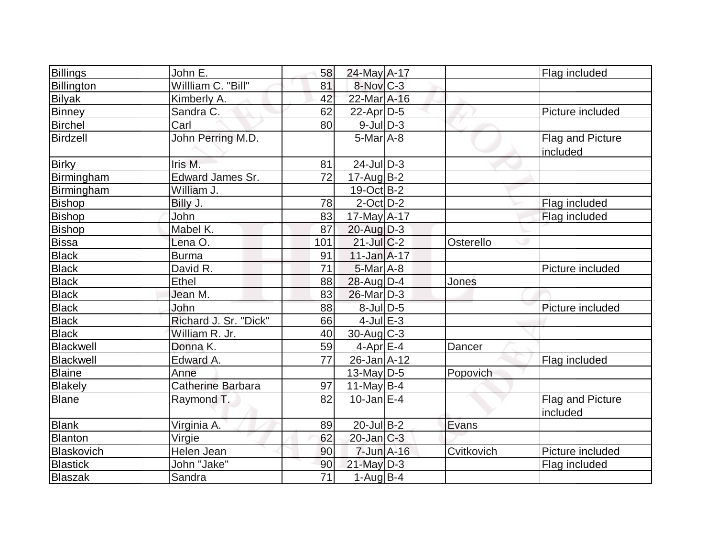| Billings        | John E.               | 58  | 24-May A-17       |            | Flag included                |
|-----------------|-----------------------|-----|-------------------|------------|------------------------------|
| Billington      | Willliam C. "Bill"    | 81  | 8-Nov C-3         |            |                              |
| <b>Bilyak</b>   | Kimberly A.           | 42  | 22-Mar A-16       |            |                              |
| <b>Binney</b>   | Sandra C.             | 62  | $22$ -Apr $D-5$   |            | Picture included             |
| Birchel         | Carl                  | 80  | $9$ -Jul $D-3$    |            |                              |
| Birdzell        | John Perring M.D.     |     | $5$ -Mar $A$ -8   |            | Flag and Picture<br>included |
| <b>Birky</b>    | Iris M.               | 81  | $24$ -JulD-3      |            |                              |
| Birmingham      | Edward James Sr.      | 72  | $17$ -AugB-2      |            |                              |
| Birmingham      | William J.            |     | $19-Oct$ B-2      |            |                              |
| <b>Bishop</b>   | Billy J.              | 78  | $2$ -Oct $D-2$    |            | Flag included                |
| <b>Bishop</b>   | John                  | 83  | 17-May A-17       |            | Flag included                |
| <b>Bishop</b>   | Mabel K.              | 87  | $20$ -Aug $D-3$   |            |                              |
| <b>Bissa</b>    | Lena O.               | 101 | $21$ -Jul C-2     | Osterello  |                              |
| <b>Black</b>    | Burma                 | 91  | $11$ -Jan $A$ -17 |            |                              |
| <b>Black</b>    | David R.              | 71  | $5$ -Mar $A$ -8   |            | Picture included             |
| <b>Black</b>    | Ethel                 | 88  | 28-Aug D-4        | Jones      |                              |
| <b>Black</b>    | Jean M.               | 83  | $26$ -Mar $D-3$   |            |                              |
| <b>Black</b>    | John                  | 88  | $8$ -Jul $D$ -5   |            | Picture included             |
| <b>Black</b>    | Richard J. Sr. "Dick" | 66  | $4$ -Jul $E-3$    |            |                              |
| <b>Black</b>    | William R. Jr.        | 40  | $30$ -Aug C-3     |            |                              |
| Blackwell       | Donna K.              | 59  | $4$ -Apr $E-4$    | Dancer     |                              |
| Blackwell       | Edward A.             | 77  | $26$ -Jan $A$ -12 |            | Flag included                |
| <b>Blaine</b>   | Anne                  |     | $13$ -May D-5     | Popovich   |                              |
| Blakely         | Catherine Barbara     | 97  | 11-May $B-4$      |            |                              |
| <b>Blane</b>    | Raymond T.            | 82  | $10$ -Jan $ E-4 $ |            | Flag and Picture<br>included |
| <b>Blank</b>    | Virginia A.           | 89  | 20-Jul B-2        | Evans      |                              |
| Blanton         | Virgie                | 62  | $20$ -Jan $C-3$   |            |                              |
| Blaskovich      | Helen Jean            | 90  | $7$ -Jun $A-16$   | Cvitkovich | Picture included             |
| <b>Blastick</b> | John "Jake"           | 90  | $21$ -May $D-3$   |            | Flag included                |
| Blaszak         | Sandra                | 71  | $1-Aug B-4$       |            |                              |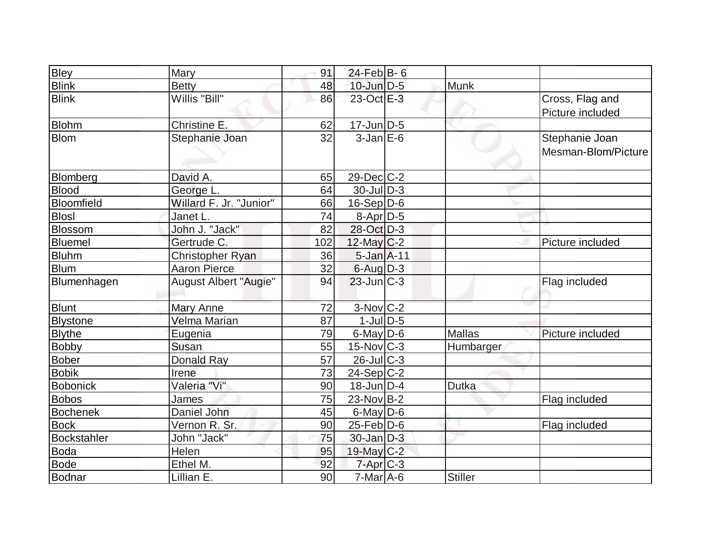| <b>Bley</b>     | Mary                         | 91  | $24$ -Feb B-6     |                |                     |
|-----------------|------------------------------|-----|-------------------|----------------|---------------------|
| <b>Blink</b>    | <b>Betty</b>                 | 48  | $10$ -Jun $D-5$   | <b>Munk</b>    |                     |
| <b>Blink</b>    | Willis "Bill"                | 86  | 23-Oct E-3        |                | Cross, Flag and     |
|                 |                              |     |                   |                | Picture included    |
| <b>Blohm</b>    | Christine E.                 | 62  | $17$ -Jun $D-5$   |                |                     |
| <b>Blom</b>     | Stephanie Joan               | 32  | $3$ -Jan $E$ -6   |                | Stephanie Joan      |
|                 |                              |     |                   |                | Mesman-Blom/Picture |
|                 |                              |     |                   |                |                     |
| Blomberg        | David A.                     | 65  | $29$ -Dec $ C-2 $ |                |                     |
| <b>Blood</b>    | George L.                    | 64  | $30$ -Jul $D-3$   |                |                     |
| Bloomfield      | Willard F. Jr. "Junior"      | 66  | $16-Sep D-6$      |                |                     |
| <b>Blosl</b>    | Janet L.                     | 74  | $8-Apr D-5$       |                |                     |
| Blossom         | John J. "Jack"               | 82  | 28-Oct D-3        |                |                     |
| Bluemel         | Gertrude C.                  | 102 | $12$ -May C-2     |                | Picture included    |
| <b>Bluhm</b>    | Christopher Ryan             | 36  | 5-Jan A-11        |                |                     |
| <b>Blum</b>     | <b>Aaron Pierce</b>          | 32  | $6$ -Aug $D-3$    |                |                     |
| Blumenhagen     | <b>August Albert "Augie"</b> | 94  | $23$ -Jun $ C-3 $ |                | Flag included       |
| <b>Blunt</b>    | Mary Anne                    | 72  | $3-Nov$ C-2       |                |                     |
| <b>Blystone</b> | Velma Marian                 | 87  | $1$ -JulD-5       |                |                     |
|                 |                              | 79  | $6$ -May D-6      | <b>Mallas</b>  | Picture included    |
| <b>Blythe</b>   | Eugenia<br>Susan             | 55  |                   |                |                     |
| <b>Bobby</b>    |                              | 57  | $15$ -Nov $ C-3 $ | Humbarger      |                     |
| Bober           | <b>Donald Ray</b>            |     | $26$ -JulC-3      |                |                     |
| <b>Bobik</b>    | Irene                        | 73  | $24-Sep C-2$      |                |                     |
| <b>Bobonick</b> | Valeria "Vi"                 | 90  | $18$ -Jun $D-4$   | Dutka          |                     |
| <b>Bobos</b>    | James                        | 75  | $23$ -Nov B-2     |                | Flag included       |
| <b>Bochenek</b> | Daniel John                  | 45  | $6$ -May $D$ -6   |                |                     |
| <b>Bock</b>     | Vernon R. Sr.                | 90  | $25$ -Feb $D$ -6  |                | Flag included       |
| Bockstahler     | John "Jack"                  | 75  | $30 - Jan$ $D-3$  |                |                     |
| <b>Boda</b>     | Helen                        | 95  | $19$ -May C-2     |                |                     |
| <b>Bode</b>     | Ethel M.                     | 92  | $7 - Apr$ $C - 3$ |                |                     |
| Bodnar          | Lillian E.                   | 90  | $7-Mar$ A-6       | <b>Stiller</b> |                     |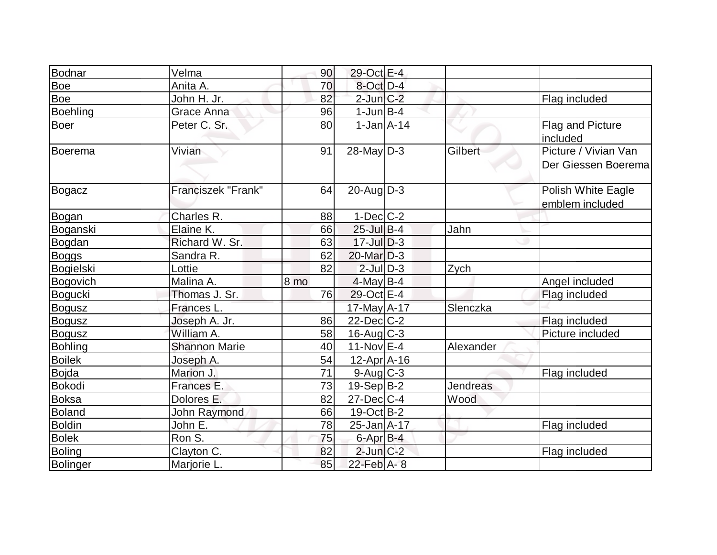| Bodnar          | Velma                 | 90              | 29-Oct E-4        |           |                                              |
|-----------------|-----------------------|-----------------|-------------------|-----------|----------------------------------------------|
| Boe             | Anita A.              | 70              | $8$ -Oct $D-4$    |           |                                              |
| Boe             | John H. Jr.           | 82              | $2$ -Jun $C-2$    |           | Flag included                                |
| <b>Boehling</b> | Grace Anna            | 96              | $1$ -Jun $B$ -4   |           |                                              |
| <b>Boer</b>     | Peter C. Sr.          | 80              | $1-Jan2A-14$      |           | <b>Flag and Picture</b><br>included          |
| Boerema         | Vivian                | 91              | $28$ -May D-3     | Gilbert   | Picture / Vivian Van<br>Der Giessen Boeremal |
| Bogacz          | Franciszek "Frank"    | 64              | $20$ -Aug $D-3$   |           | Polish White Eagle<br>emblem included        |
| Bogan           | Charles R.            | 88              | $1-Dec$ $C-2$     |           |                                              |
| Boganski        | Elaine K.             | 66              | $25$ -Jul B-4     | Jahn      |                                              |
| Bogdan          | Richard W. Sr.        | 63              | $17$ -Jul $D-3$   |           |                                              |
| <b>Boggs</b>    | Sandra R.             | 62              | $20$ -Mar $D-3$   |           |                                              |
| Bogielski       | Lottie                | 82              | $2$ -Jul $D-3$    | Zych      |                                              |
| Bogovich        | Malina A.             | 8 <sub>mo</sub> | $4$ -May B-4      |           | Angel included                               |
| Bogucki         | Thomas J. Sr.         | 76              | 29-Oct E-4        |           | Flag included                                |
| <b>Bogusz</b>   | Frances L.            |                 | 17-May A-17       | Slenczka  |                                              |
| <b>Bogusz</b>   | Joseph A. Jr.         | 86              | $22$ -Dec $C-2$   |           | Flag included                                |
| <b>Bogusz</b>   | William A.            | 58              | $16$ -Aug C-3     |           | Picture included                             |
| <b>Bohling</b>  | <b>Shannon Marie</b>  | 40              | $11-Nov$ E-4      | Alexander |                                              |
| <b>Boilek</b>   | Joseph A.             | 54              | $12$ -Apr $ A-16$ |           |                                              |
| <b>Bojda</b>    | Marion J.             | 71              | $9$ -Aug $C$ -3   |           | Flag included                                |
| Bokodi          | Frances E.            | 73              | $19-Sep B-2$      | Jendreas  |                                              |
| <b>Boksa</b>    | Dolores E.            | 82              | $27 - Dec$ C-4    | Wood      |                                              |
| <b>Boland</b>   | John Raymond          | 66              | $19-Oct$ B-2      |           |                                              |
| <b>Boldin</b>   | John E.               | 78              | 25-Jan A-17       |           | Flag included                                |
| <b>Bolek</b>    | Ron S.                | 75              | 6-Apr B-4         |           |                                              |
| <b>Boling</b>   | Clayton <sub>C.</sub> | 82              | $2$ -Jun $C-2$    |           | Flag included                                |
| Bolinger        | Marjorie L.           | 85              | 22-Feb A-8        |           |                                              |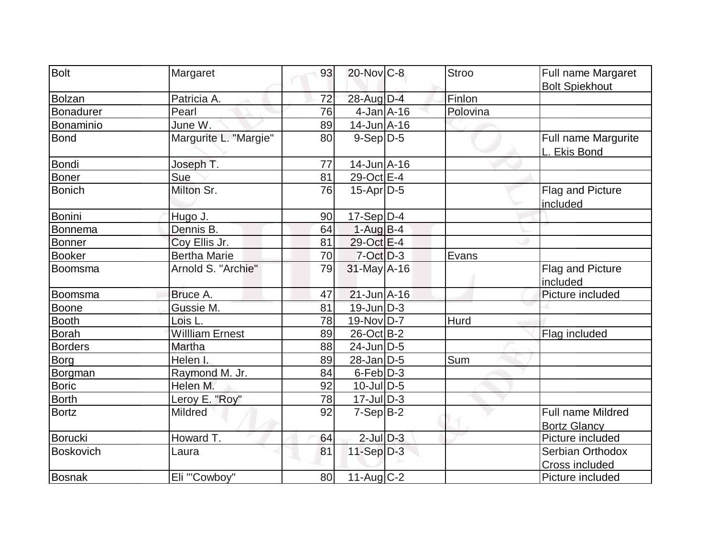| Bolt             | Margaret               | 93 | 20-Nov C-8        | <b>Stroo</b> | Full name Margaret                  |
|------------------|------------------------|----|-------------------|--------------|-------------------------------------|
|                  |                        |    |                   | Finlon       | <b>Bolt Spiekhout</b>               |
| Bolzan           | Patricia A.            | 72 | 28-Aug D-4        |              |                                     |
| Bonadurer        | Pearl                  | 76 | $4$ -Jan $A$ -16  | Polovina     |                                     |
| Bonaminio        | June W.                | 89 | 14-Jun A-16       |              |                                     |
| <b>Bond</b>      | Margurite L. "Margie"  | 80 | $9-Sep D-5$       |              | Full name Margurite<br>L. Ekis Bond |
| Bondi            | Joseph T.              | 77 | $14$ -Jun $A$ -16 |              |                                     |
| <b>Boner</b>     | Sue                    | 81 | 29-Oct E-4        |              |                                     |
| <b>Bonich</b>    | Milton Sr.             | 76 | $15$ -Apr $D-5$   |              | Flag and Picture<br>included        |
| Bonini           | Hugo J.                | 90 | $17-Sep D-4$      |              |                                     |
| Bonnema          | Dennis B.              | 64 | $1-Aug$ B-4       |              |                                     |
| <b>Bonner</b>    | Coy Ellis Jr.          | 81 | 29-Oct E-4        |              |                                     |
| <b>Booker</b>    | <b>Bertha Marie</b>    | 70 | $7-Oct$ D-3       | Evans        |                                     |
| Boomsma          | Arnold S. "Archie"     | 79 | $31$ -May A-16    |              | Flag and Picture<br>included        |
| Boomsma          | Bruce A.               | 47 | $21$ -Jun $A-16$  |              | Picture included                    |
| <b>Boone</b>     | Gussie M.              | 81 | $19$ -Jun $D-3$   |              |                                     |
| <b>Booth</b>     | Lois L.                | 78 | 19-Nov D-7        | Hurd         |                                     |
| <b>Borah</b>     | <b>Willliam Ernest</b> | 89 | $26$ -Oct B-2     |              | Flag included                       |
| <b>Borders</b>   | Martha                 | 88 | $24$ -Jun $ D-5 $ |              |                                     |
| Borg             | Helen I.               | 89 | $28$ -Jan $D-5$   | Sum          |                                     |
| Borgman          | Raymond M. Jr.         | 84 | $6$ -Feb $D-3$    |              |                                     |
| <b>Boric</b>     | Helen M.               | 92 | $10$ -Jul $D-5$   |              |                                     |
| <b>Borth</b>     | Leroy E. "Roy"         | 78 | $17 -$ Jul $D-3$  |              |                                     |
| <b>Bortz</b>     | <b>Mildred</b>         | 92 | $7-Sep B-2$       |              | <b>Full name Mildred</b>            |
|                  |                        |    |                   |              | <b>Bortz Glancy</b>                 |
| Borucki          | Howard T.              | 64 | $2$ -Jul $D-3$    |              | Picture included                    |
| <b>Boskovich</b> | Laura                  | 81 | $11-Sep$ D-3      |              | Serbian Orthodox                    |
|                  |                        |    |                   |              | <b>Cross included</b>               |
| Bosnak           | Eli "'Cowboy"          | 80 | 11-Aug C-2        |              | Picture included                    |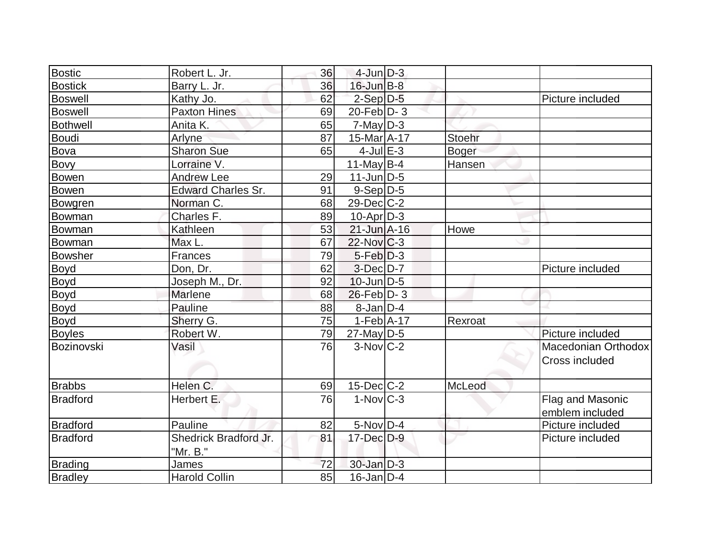| <b>Bostic</b>   | Robert L. Jr.                     | 36 | $4$ -Jun $D-3$          |               |                                       |
|-----------------|-----------------------------------|----|-------------------------|---------------|---------------------------------------|
| <b>Bostick</b>  | Barry L. Jr.                      | 36 | $16$ -Jun $B-8$         |               |                                       |
| <b>Boswell</b>  | Kathy Jo.                         | 62 | $2-Sep D-5$             |               | Picture included                      |
| <b>Boswell</b>  | <b>Paxton Hines</b>               | 69 | $20$ -Feb $ D-3 $       |               |                                       |
| <b>Bothwell</b> | Anita K.                          | 65 | $7$ -May $D-3$          |               |                                       |
| <b>Boudi</b>    | Arlyne                            | 87 | 15-Mar A-17             | <b>Stoehr</b> |                                       |
| Bova            | <b>Sharon Sue</b>                 | 65 | $4$ -Jul $E-3$          | <b>Boger</b>  |                                       |
| Bovy            | Lorraine V.                       |    | 11-May $B-4$            | Hansen        |                                       |
| <b>Bowen</b>    | <b>Andrew Lee</b>                 | 29 | $11$ -Jun $D-5$         |               |                                       |
| Bowen           | <b>Edward Charles Sr.</b>         | 91 | $9-Sep D-5$             |               |                                       |
| Bowgren         | Norman C.                         | 68 | $29$ -Dec $C$ -2        |               |                                       |
| Bowman          | Charles F.                        | 89 | $10$ -Apr $D-3$         |               |                                       |
| Bowman          | Kathleen                          | 53 | 21-Jun A-16             | Howe          |                                       |
| Bowman          | Max L.                            | 67 | $22$ -Nov $ C-3 $       |               |                                       |
| <b>Bowsher</b>  | Frances                           | 79 | $5-Feb D-3$             |               |                                       |
| Boyd            | Don, Dr.                          | 62 | $3$ -Dec $D-7$          |               | Picture included                      |
| Boyd            | Joseph M., Dr.                    | 92 | $10$ -Jun $D-5$         |               |                                       |
| Boyd            | Marlene                           | 68 | $26$ -Feb $ D-3 $       |               |                                       |
| Boyd            | Pauline                           | 88 | $8$ -Jan $D-4$          |               |                                       |
| <b>Boyd</b>     | Sherry G.                         | 75 | $1-Feb$ A-17            | Rexroat       |                                       |
| <b>Boyles</b>   | Robert W.                         | 79 | $27$ -May D-5           |               | Picture included                      |
| Bozinovski      | Vasil                             | 76 | $3-Nov$ <sub>C</sub> -2 |               | Macedonian Orthodox<br>Cross included |
| <b>Brabbs</b>   | Helen C.                          | 69 | $15$ -Dec $C$ -2        | McLeod        |                                       |
| <b>Bradford</b> | Herbert E.                        | 76 | $1-Nov$ <sub>C-3</sub>  |               | Flag and Masonic<br>emblem included   |
| <b>Bradford</b> | Pauline                           | 82 | $5-Nov$ D-4             |               | Picture included                      |
| <b>Bradford</b> | Shedrick Bradford Jr.<br>"Mr. B." | 81 | $17 - Dec$ $D-9$        |               | Picture included                      |
| Brading         | James                             | 72 | $30 - Jan$ $D-3$        |               |                                       |
| <b>Bradley</b>  | <b>Harold Collin</b>              | 85 | $16$ -Jan $D-4$         |               |                                       |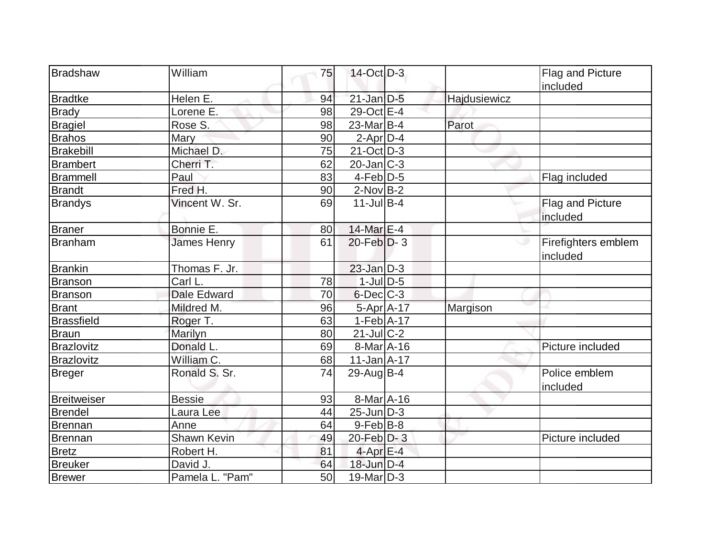| Bradshaw           | William            | 75 | $14$ -Oct $\overline{D}$ -3 |              | Flag and Picture                |
|--------------------|--------------------|----|-----------------------------|--------------|---------------------------------|
|                    |                    |    |                             |              | included                        |
| <b>Bradtke</b>     | Helen E.           | 94 | $21$ -Jan $D-5$             | Hajdusiewicz |                                 |
| <b>Brady</b>       | Lorene E.          | 98 | 29-Oct E-4                  |              |                                 |
| <b>Bragiel</b>     | Rose S.            | 98 | $23$ -Mar $ B-4 $           | Parot        |                                 |
| <b>Brahos</b>      | Mary               | 90 | $2$ -Apr $D-4$              |              |                                 |
| Brakebill          | Michael D.         | 75 | $21$ -Oct $D-3$             |              |                                 |
| <b>Brambert</b>    | Cherri T.          | 62 | $20$ -Jan $ C-3 $           |              |                                 |
| <b>Brammell</b>    | Paul               | 83 | $4-Feb D-5$                 |              | Flag included                   |
| <b>Brandt</b>      | Fred H.            | 90 | $2$ -Nov $ B-2 $            |              |                                 |
| <b>Brandys</b>     | Vincent W. Sr.     | 69 | $11$ -Jul B-4               |              | Flag and Picture                |
|                    |                    |    |                             |              | included                        |
| <b>Braner</b>      | Bonnie E.          | 80 | 14-Mar $E-4$                |              |                                 |
| Branham            | James Henry        | 61 | $20$ -Feb $D-3$             |              | Firefighters emblem<br>included |
| <b>Brankin</b>     | Thomas F. Jr.      |    | $23$ -Jan $D-3$             |              |                                 |
| Branson            | Carl L.            | 78 | $1$ -JulD-5                 |              |                                 |
| Branson            | <b>Dale Edward</b> | 70 | $6$ -Dec $C$ -3             |              |                                 |
| <b>Brant</b>       | Mildred M.         | 96 | 5-Apr A-17                  | Margison     |                                 |
| <b>Brassfield</b>  | Roger T.           | 63 | $1-Feb$ A-17                |              |                                 |
| <b>Braun</b>       | Marilyn            | 80 | $21$ -Jul $ C-2 $           |              |                                 |
| Brazlovitz         | Donald L.          | 69 | 8-Mar A-16                  |              | Picture included                |
| Brazlovitz         | William C.         | 68 | $11$ -Jan $A$ -17           |              |                                 |
| Breger             | Ronald S. Sr.      | 74 | 29-Aug $ B-4 $              |              | Police emblem<br>included       |
| <b>Breitweiser</b> | <b>Bessie</b>      | 93 | 8-Mar A-16                  |              |                                 |
| Brendel            | Laura Lee          | 44 | $25$ -Jun $D-3$             |              |                                 |
| Brennan            | Anne               | 64 | $9$ -Feb $ B-8 $            |              |                                 |
| Brennan            | Shawn Kevin        | 49 | $20$ -Feb $D-3$             |              | Picture included                |
| <b>Bretz</b>       | Robert H.          | 81 | $4$ -Apr $E-4$              |              |                                 |
| <b>Breuker</b>     | David J.           | 64 | $18$ -Jun $D-4$             |              |                                 |
| <b>Brewer</b>      | Pamela L. "Pam"    | 50 | $19$ -Mar $D-3$             |              |                                 |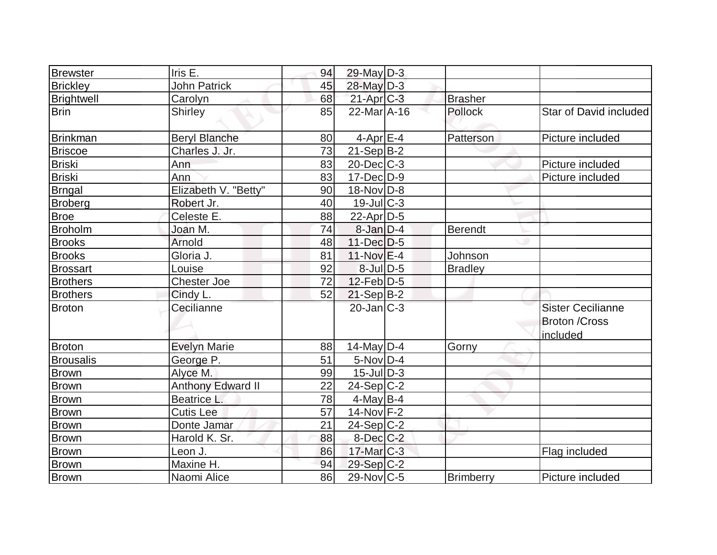| <b>Brewster</b>  | Iris E.                  | 94 | 29-May D-3        |                |                                                              |
|------------------|--------------------------|----|-------------------|----------------|--------------------------------------------------------------|
| <b>Brickley</b>  | <b>John Patrick</b>      | 45 | 28-May D-3        |                |                                                              |
| Brightwell       | Carolyn                  | 68 | $21-Apr$ $C-3$    | <b>Brasher</b> |                                                              |
| <b>Brin</b>      | Shirley                  | 85 | $22$ -Mar $A$ -16 | <b>Pollock</b> | Star of David included                                       |
| <b>Brinkman</b>  | <b>Beryl Blanche</b>     | 80 | $4$ -Apr $E-4$    | Patterson      | Picture included                                             |
| <b>Briscoe</b>   | Charles J. Jr.           | 73 | $21-Sep B-2$      |                |                                                              |
| <b>Briski</b>    | Ann                      | 83 | $20$ -Dec $C-3$   |                | Picture included                                             |
| <b>Briski</b>    | Ann                      | 83 | $17 - Dec$ $D-9$  |                | Picture included                                             |
| <b>Brngal</b>    | Elizabeth V. "Betty"     | 90 | $18-Nov D-8$      |                |                                                              |
| <b>Broberg</b>   | Robert Jr.               | 40 | $19$ -Jul $C-3$   |                |                                                              |
| <b>Broe</b>      | Celeste E.               | 88 | $22$ -Apr $D-5$   |                |                                                              |
| <b>Broholm</b>   | Joan M.                  | 74 | $8$ -Jan $D-4$    | <b>Berendt</b> |                                                              |
| <b>Brooks</b>    | Arnold                   | 48 | $11-Dec$ D-5      |                |                                                              |
| <b>Brooks</b>    | Gloria J.                | 81 | $11-Nov$ E-4      | Johnson        |                                                              |
| <b>Brossart</b>  | Louise                   | 92 | $8$ -Jul $D$ -5   | <b>Bradley</b> |                                                              |
| <b>Brothers</b>  | <b>Chester Joe</b>       | 72 | $12$ -Feb $ D-5 $ |                |                                                              |
| <b>Brothers</b>  | Cindy L.                 | 52 | $21-Sep B-2$      |                |                                                              |
| <b>Broton</b>    | Cecilianne               |    | $20$ -Jan $ C-3 $ |                | <b>Sister Cecilianne</b><br><b>Broton /Cross</b><br>included |
| <b>Broton</b>    | <b>Evelyn Marie</b>      | 88 | $14$ -May D-4     | Gorny          |                                                              |
| <b>Brousalis</b> | George P.                | 51 | $5-Nov D-4$       |                |                                                              |
| <b>Brown</b>     | Alyce M.                 | 99 | $15$ -JulD-3      |                |                                                              |
| Brown            | <b>Anthony Edward II</b> | 22 | $24-Sep C-2$      |                |                                                              |
| <b>Brown</b>     | Beatrice L.              | 78 | $4$ -May B-4      |                |                                                              |
| <b>Brown</b>     | <b>Cutis Lee</b>         | 57 | 14-Nov F-2        |                |                                                              |
| <b>Brown</b>     | Donte Jamar              | 21 | $24-Sep C-2$      |                |                                                              |
| <b>Brown</b>     | Harold K. Sr.            | 88 | $8$ -Dec $C-2$    |                |                                                              |
| <b>Brown</b>     | Leon J.                  | 86 | $17$ -Mar $ C-3 $ |                | Flag included                                                |
| Brown            | Maxine H.                | 94 | $29-Sep C-2$      |                |                                                              |
| <b>Brown</b>     | Naomi Alice              | 86 | $29$ -Nov $ C-5$  | Brimberry      | Picture included                                             |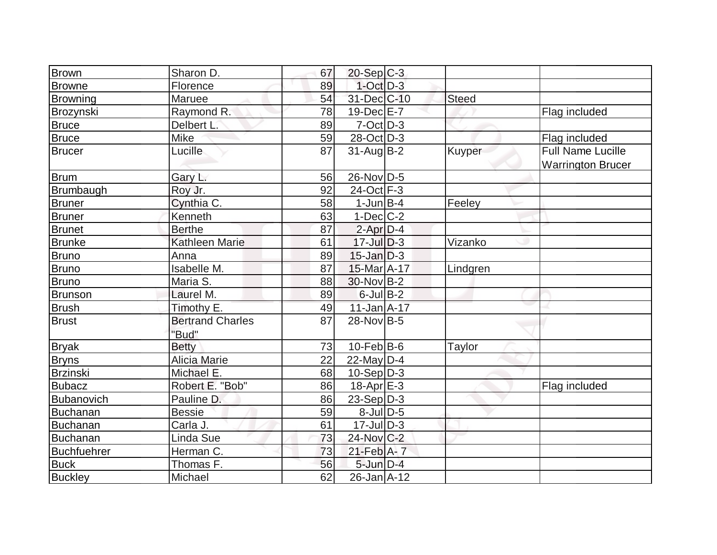| <b>Brown</b>       | Sharon D.               | 67 | $20-Sep C-3$      |          |                          |
|--------------------|-------------------------|----|-------------------|----------|--------------------------|
| <b>Browne</b>      | Florence                | 89 | $1$ -Oct $D-3$    |          |                          |
| Browning           | Maruee                  | 54 | 31-Dec C-10       | Steed    |                          |
| Brozynski          | Raymond R.              | 78 | $19$ -Dec $E - 7$ |          | Flag included            |
| <b>Bruce</b>       | Delbert L.              | 89 | $7-Cct$ D-3       |          |                          |
| Bruce              | Mike                    | 59 | 28-Oct D-3        |          | Flag included            |
| <b>Brucer</b>      | Lucille                 | 87 | $31$ -Aug $B-2$   | Kuyper   | <b>Full Name Lucille</b> |
|                    |                         |    |                   |          | <b>Warrington Brucer</b> |
| <b>Brum</b>        | Gary L.                 | 56 | 26-Nov D-5        |          |                          |
| Brumbaugh          | Roy Jr.                 | 92 | 24-Oct F-3        |          |                          |
| <b>Bruner</b>      | Cynthia C.              | 58 | $1$ -Jun $B-4$    | Feeley   |                          |
| <b>Bruner</b>      | Kenneth                 | 63 | $1-Dec$ $C-2$     |          |                          |
| <b>Brunet</b>      | <b>Berthe</b>           | 87 | $2$ -Apr $D-4$    |          |                          |
| <b>Brunke</b>      | Kathleen Marie          | 61 | $17$ -Jul $D-3$   | Vizanko  |                          |
| <b>Bruno</b>       | Anna                    | 89 | $15$ -Jan $ D-3 $ |          |                          |
| <b>Bruno</b>       | Isabelle M.             | 87 | 15-Mar A-17       | Lindgren |                          |
| <b>Bruno</b>       | Maria S.                | 88 | 30-Nov B-2        |          |                          |
| <b>Brunson</b>     | Laurel M.               | 89 | $6$ -Jul B-2      |          |                          |
| <b>Brush</b>       | Timothy E.              | 49 | $11$ -Jan $A$ -17 |          |                          |
| <b>Brust</b>       | <b>Bertrand Charles</b> | 87 | 28-Nov B-5        |          |                          |
|                    | "Bud"                   |    |                   |          |                          |
| <b>Bryak</b>       | <b>Betty</b>            | 73 | $10$ -Feb $ B-6$  | Taylor   |                          |
| <b>Bryns</b>       | <b>Alicia Marie</b>     | 22 | 22-May $D-4$      |          |                          |
| <b>Brzinski</b>    | Michael E.              | 68 | $10-Sep D-3$      |          |                          |
| <b>Bubacz</b>      | Robert E. "Bob"         | 86 | $18-Apr$ $E-3$    |          | Flag included            |
| Bubanovich         | Pauline D               | 86 | 23-Sep D-3        |          |                          |
| <b>Buchanan</b>    | <b>Bessie</b>           | 59 | $8$ -Jul $D-5$    |          |                          |
| Buchanan           | Carla J.                | 61 | $17$ -Jul $ D-3 $ |          |                          |
| <b>Buchanan</b>    | Linda Sue               | 73 | 24-Nov C-2        |          |                          |
| <b>Buchfuehrer</b> | Herman C.               | 73 | $21$ -Feb $A$ - 7 |          |                          |
| <b>Buck</b>        | Thomas F.               | 56 | $5$ -Jun $D-4$    |          |                          |
| <b>Buckley</b>     | Michael                 | 62 | $26$ -Jan $A$ -12 |          |                          |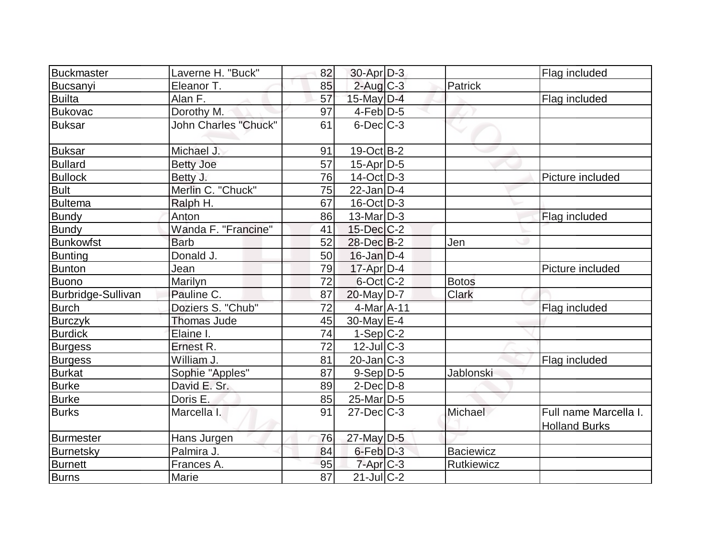| Buckmaster         | Laverne H. "Buck"           | 82              | $30$ -Apr $D-3$       |                  | Flag included                                 |
|--------------------|-----------------------------|-----------------|-----------------------|------------------|-----------------------------------------------|
| Bucsanyi           | Eleanor T.                  | 85              | $2$ -Aug $C-3$        | Patrick          |                                               |
| <b>Builta</b>      | Alan F.                     | 57              | $15$ -May $D-4$       |                  | Flag included                                 |
| <b>Bukovac</b>     | Dorothy M.                  | 97              | $4$ -Feb $D-5$        |                  |                                               |
| <b>Buksar</b>      | <b>John Charles "Chuck"</b> | 61              | $6$ -Dec $C-3$        |                  |                                               |
| <b>Buksar</b>      | Michael J.                  | 91              | 19-Oct B-2            |                  |                                               |
| <b>Bullard</b>     | <b>Betty Joe</b>            | $\overline{57}$ | $15$ -Apr $ D-5$      |                  |                                               |
| <b>Bullock</b>     | Betty J.                    | 76              | $14-Oct$ D-3          |                  | Picture included                              |
| <b>Bult</b>        | Merlin C. "Chuck"           | 75              | $22$ -Jan $D-4$       |                  |                                               |
| <b>Bultema</b>     | Ralph H.                    | 67              | $16$ -Oct $ D-3 $     |                  |                                               |
| <b>Bundy</b>       | Anton                       | 86              | $13$ -Mar $ D-3 $     |                  | Flag included                                 |
| <b>Bundy</b>       | Wanda F. "Francine"         | 41              | $15$ -Dec $C$ -2      |                  |                                               |
| <b>Bunkowfst</b>   | <b>Barb</b>                 | 52              | 28-Dec B-2            | Jen              |                                               |
| <b>Bunting</b>     | Donald J.                   | 50              | $16$ -Jan $D-4$       |                  |                                               |
| Bunton             | Jean                        | 79              | $17$ -Apr $ D-4$      |                  | Picture included                              |
| <b>Buono</b>       | Marilyn                     | 72              | $6$ -Oct $ C$ -2      | <b>Botos</b>     |                                               |
| Burbridge-Sullivan | Pauline C.                  | 87              | $20$ -May D-7         | <b>Clark</b>     |                                               |
| <b>Burch</b>       | Doziers S. "Chub"           | 72              | 4-Mar A-11            |                  | Flag included                                 |
| <b>Burczyk</b>     | <b>Thomas Jude</b>          | 45              | $30$ -May $E-4$       |                  |                                               |
| <b>Burdick</b>     | Elaine I.                   | 74              | $1-Sep C-2$           |                  |                                               |
| <b>Burgess</b>     | Ernest R.                   | 72              | $12$ -Jul $C-3$       |                  |                                               |
| <b>Burgess</b>     | William J.                  | 81              | $20$ -Jan $ C-3 $     |                  | Flag included                                 |
| <b>Burkat</b>      | Sophie "Apples"             | 87              | $9-Sep D-5$           | Jablonski        |                                               |
| <b>Burke</b>       | David E. Sr.                | 89              | $2$ -Dec $D-8$        |                  |                                               |
| <b>Burke</b>       | Doris E.                    | 85              | 25-Mar <sub>D-5</sub> |                  |                                               |
| <b>Burks</b>       | Marcella I.                 | 91              | $27$ -Dec $C-3$       | Michael          | Full name Marcella I.<br><b>Holland Burks</b> |
| <b>Burmester</b>   | Hans Jurgen                 | 76              | $27$ -May D-5         |                  |                                               |
| Burnetsky          | Palmira J.                  | 84              | 6-Feb D-3             | <b>Baciewicz</b> |                                               |
| <b>Burnett</b>     | Frances A.                  | 95              | $7 - Apr$ $C - 3$     | Rutkiewicz       |                                               |
| <b>Burns</b>       | Marie                       | $\overline{87}$ | $21$ -Jul C-2         |                  |                                               |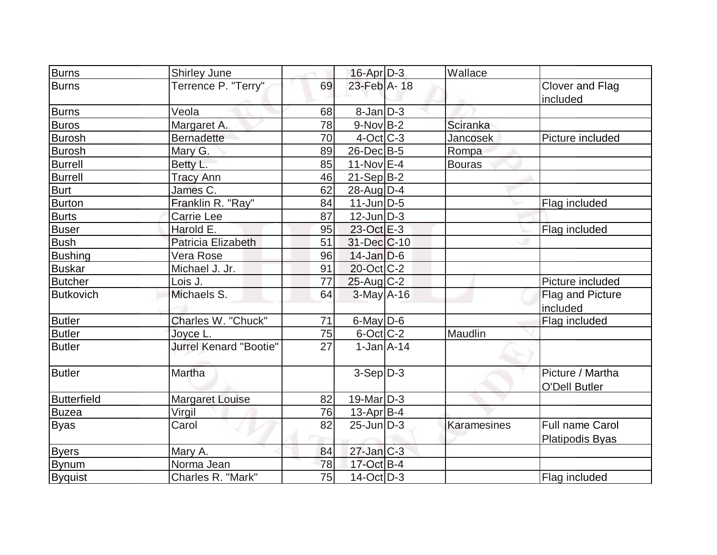| <b>Burns</b>       | <b>Shirley June</b>           |    | 16-Apr D-3        | Wallace            |                                                  |
|--------------------|-------------------------------|----|-------------------|--------------------|--------------------------------------------------|
| <b>Burns</b>       | Terrence P. "Terry"           | 69 | 23-Feb A-18       |                    | Clover and Flag<br>included                      |
| <b>Burns</b>       | Veola                         | 68 | $8$ -Jan $D-3$    |                    |                                                  |
| <b>Buros</b>       | Margaret A.                   | 78 | $9-NovB-2$        | Sciranka           |                                                  |
| <b>Burosh</b>      | <b>Bernadette</b>             | 70 | $4$ -Oct C-3      | <b>Jancosek</b>    | Picture included                                 |
| <b>Burosh</b>      | Mary G.                       | 89 | 26-Dec B-5        | Rompa              |                                                  |
| <b>Burrell</b>     | Betty L.                      | 85 | 11-Nov $E-4$      | Bouras             |                                                  |
| <b>Burrell</b>     | <b>Tracy Ann</b>              | 46 | $21-Sep B-2$      |                    |                                                  |
| <b>Burt</b>        | James C.                      | 62 | $28$ -AugD-4      |                    |                                                  |
| <b>Burton</b>      | Franklin R. "Ray"             | 84 | $11$ -Jun $ D-5 $ |                    | Flag included                                    |
| <b>Burts</b>       | Carrie Lee                    | 87 | $12$ -Jun $D-3$   |                    |                                                  |
| <b>Buser</b>       | Harold E.                     | 95 | 23-Oct E-3        |                    | Flag included                                    |
| <b>Bush</b>        | Patricia Elizabeth            | 51 | 31-Dec C-10       |                    |                                                  |
| <b>Bushing</b>     | Vera Rose                     | 96 | $14$ -Jan $ D-6$  |                    |                                                  |
| <b>Buskar</b>      | Michael J. Jr.                | 91 | 20-Oct C-2        |                    |                                                  |
| <b>Butcher</b>     | Lois J.                       | 77 | $25$ -Aug C-2     |                    | Picture included                                 |
| <b>Butkovich</b>   | Michaels S.                   | 64 | $3$ -May $A$ -16  |                    | Flag and Picture<br>included                     |
| <b>Butler</b>      | Charles W. "Chuck"            | 71 | 6-May D-6         |                    | Flag included                                    |
| <b>Butler</b>      | Joyce L.                      | 75 | $6$ -Oct C-2      | Maudlin            |                                                  |
| <b>Butler</b>      | <b>Jurrel Kenard "Bootie"</b> | 27 | $1-Jan2A-14$      |                    |                                                  |
| <b>Butler</b>      | Martha                        |    | $3-Sep D-3$       |                    | Picture / Martha<br><b>O'Dell Butler</b>         |
| <b>Butterfield</b> | <b>Margaret Louise</b>        | 82 | $19$ -Mar $ D-3 $ |                    |                                                  |
| Buzea              | Virgil                        | 76 | $13$ -Apr $ B-4 $ |                    |                                                  |
| <b>Byas</b>        | Carol                         | 82 | $25$ -Jun $ D-3 $ | <b>Karamesines</b> | <b>Full name Carol</b><br><b>Platipodis Byas</b> |
| <b>Byers</b>       | Mary A.                       | 84 | $27$ -Jan $C-3$   |                    |                                                  |
| <b>Bynum</b>       | Norma Jean                    | 78 | 17-Oct B-4        |                    |                                                  |
| <b>Byquist</b>     | Charles R. "Mark"             | 75 | $14$ -Oct $ D-3 $ |                    | Flag included                                    |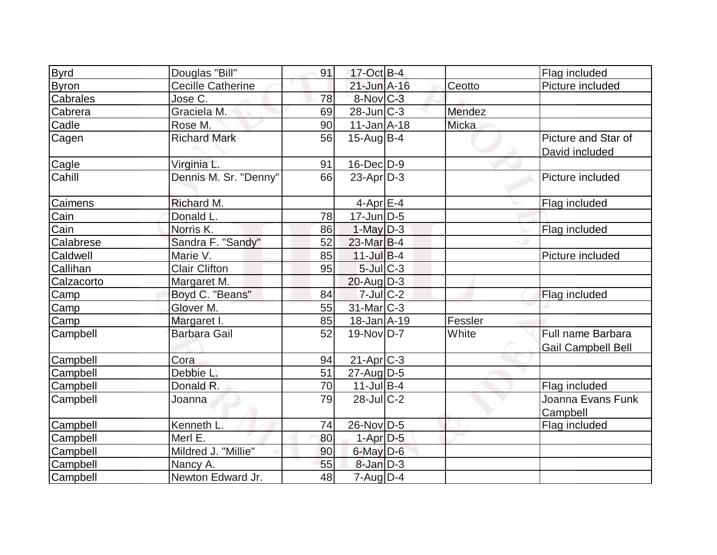| <b>Byrd</b>  | Douglas "Bill"           | 91 | $17-Oct$ B-4            |         | Flag included                                  |
|--------------|--------------------------|----|-------------------------|---------|------------------------------------------------|
| <b>Byron</b> | <b>Cecille Catherine</b> |    | $21$ -Jun $A-16$        | Ceotto  | Picture included                               |
| Cabrales     | Jose C.                  | 78 | $8-Nov$ <sub>C-3</sub>  |         |                                                |
| Cabrera      | Graciela M.              | 69 | $28$ -Jun $ C-3 $       | Mendez  |                                                |
| Cadle        | Rose M.                  | 90 | $11$ -Jan $A$ -18       | Micka   |                                                |
| Cagen        | <b>Richard Mark</b>      | 56 | $15$ -Aug $B-4$         |         | Picture and Star of<br>David included          |
| Cagle        | Virginia L.              | 91 | $16$ -Dec $D-9$         |         |                                                |
| Cahill       | Dennis M. Sr. "Denny"    | 66 | $23$ -Apr $D-3$         |         | Picture included                               |
| Caimens      | Richard M.               |    | $4$ -Apr $E$ -4         |         | Flag included                                  |
| Cain         | Donald L.                | 78 | $17$ -Jun $ D-5$        |         |                                                |
| Cain         | Norris K.                | 86 | $1$ -May $D-3$          |         | Flag included                                  |
| Calabrese    | Sandra F. "Sandy"        | 52 | $23$ -Mar $B-4$         |         |                                                |
| Caldwell     | Marie V.                 | 85 | $11$ -Jul B-4           |         | Picture included                               |
| Callihan     | <b>Clair Clifton</b>     | 95 | $5$ -Jul $ C-3 $        |         |                                                |
| Calzacorto   | Margaret M.              |    | $20$ -Aug $D-3$         |         |                                                |
| Camp         | Boyd C. "Beans"          | 84 | $7$ -Jul $C-2$          |         | Flag included                                  |
| Camp         | Glover M.                | 55 | 31-Mar C-3              |         |                                                |
| Camp         | Margaret I.              | 85 | $18 - Jan$ $A - 19$     | Fessler |                                                |
| Campbell     | <b>Barbara Gail</b>      | 52 | $19-Nov D-7$            | White   | Full name Barbara<br><b>Gail Campbell Bell</b> |
| Campbell     | Cora                     | 94 | $21-Apr$ <sub>C-3</sub> |         |                                                |
| Campbell     | Debbie L.                | 51 | $27$ -AugD-5            |         |                                                |
| Campbell     | Donald R.                | 70 | $11$ -Jul B-4           |         | Flag included                                  |
| Campbell     | Joanna                   | 79 | $28$ -JulC-2            |         | Joanna Evans Funk<br>Campbell                  |
| Campbell     | Kenneth L.               | 74 | 26-Nov D-5              |         | Flag included                                  |
| Campbell     | Merl E.                  | 80 | $1-Apr$ $D-5$           |         |                                                |
| Campbell     | Mildred J. "Millie"      | 90 | $6$ -May $D$ -6         |         |                                                |
| Campbell     | Nancy A.                 | 55 | $8$ -Jan $D-3$          |         |                                                |
| Campbell     | Newton Edward Jr.        | 48 | $7 - Aug   D-4$         |         |                                                |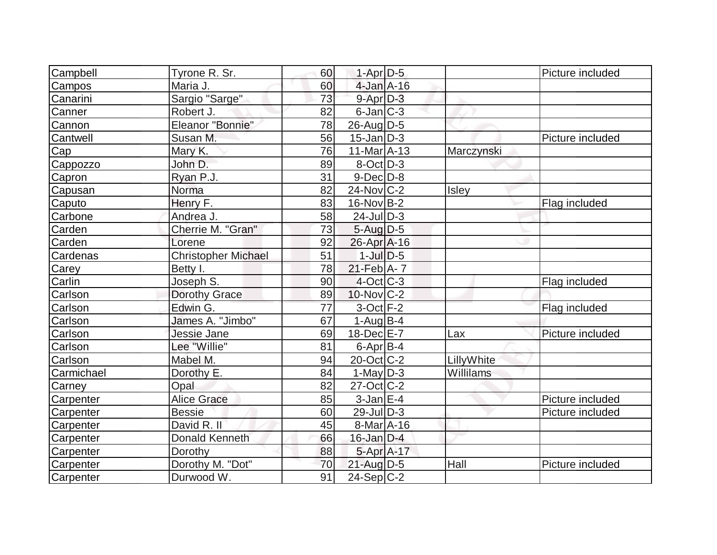| Campbell   | Tyrone R. Sr.              | 60 | $1-Apr$ D-5           |            | Picture included |
|------------|----------------------------|----|-----------------------|------------|------------------|
| Campos     | Maria J.                   | 60 | $4$ -Jan $A$ -16      |            |                  |
| Canarini   | Sargio "Sarge"             | 73 | $9 - Apr$ $D-3$       |            |                  |
| Canner     | Robert J.                  | 82 | $6$ -Jan $ C-3 $      |            |                  |
| Cannon     | Eleanor "Bonnie"           | 78 | $26$ -AugD-5          |            |                  |
| Cantwell   | Susan M.                   | 56 | $15$ -Jan $D-3$       |            | Picture included |
| Cap        | Mary K.                    | 76 | $11-Mar \text{A-13} $ | Marczynski |                  |
| Cappozzo   | John D.                    | 89 | $8$ -Oct $ D-3 $      |            |                  |
| Capron     | Ryan P.J.                  | 31 | $9$ -Dec $D$ -8       |            |                  |
| Capusan    | Norma                      | 82 | $24$ -Nov $ C-2 $     | Isley      |                  |
| Caputo     | Henry F.                   | 83 | $16$ -Nov $ B-2 $     |            | Flag included    |
| Carbone    | Andrea J.                  | 58 | $24$ -JulD-3          |            |                  |
| Carden     | Cherrie M. "Gran"          | 73 | $5$ -Aug $D-5$        |            |                  |
| Carden     | Lorene                     | 92 | $26$ -Apr $A$ -16     |            |                  |
| Cardenas   | <b>Christopher Michael</b> | 51 | $1$ -JulD-5           |            |                  |
| Carey      | Betty I.                   | 78 | $21$ -Feb $A$ - 7     |            |                  |
| Carlin     | Joseph S.                  | 90 | $4$ -Oct $ C-3 $      |            | Flag included    |
| Carlson    | <b>Dorothy Grace</b>       | 89 | $10$ -Nov $C-2$       |            |                  |
| Carlson    | Edwin G.                   | 77 | $3$ -Oct $F-2$        |            | Flag included    |
| Carlson    | James A. "Jimbo"           | 67 | $1-Auq$ B-4           |            |                  |
| Carlson    | Jessie Jane                | 69 | $18$ -Dec $E$ -7      | Lax        | Picture included |
| Carlson    | Lee "Willie"               | 81 | $6$ -Apr $B$ -4       |            |                  |
| Carlson    | Mabel M.                   | 94 | $20$ -Oct $ C-2 $     | LillyWhite |                  |
| Carmichael | Dorothy E.                 | 84 | 1-May $D-3$           | Willilams  |                  |
| Carney     | Opal                       | 82 | $27$ -Oct $ C-2 $     |            |                  |
| Carpenter  | <b>Alice Grace</b>         | 85 | $3$ -Jan $E-4$        |            | Picture included |
| Carpenter  | <b>Bessie</b>              | 60 | $29$ -JulD-3          |            | Picture included |
| Carpenter  | David R. II                | 45 | $8-Mar4 - 16$         |            |                  |
| Carpenter  | <b>Donald Kenneth</b>      | 66 | $16$ -Jan $D-4$       |            |                  |
| Carpenter  | Dorothy                    | 88 | 5-Apr A-17            |            |                  |
| Carpenter  | Dorothy M. "Dot"           | 70 | $21$ -Aug $D-5$       | Hall       | Picture included |
| Carpenter  | Durwood W.                 | 91 | $24-Sep C-2$          |            |                  |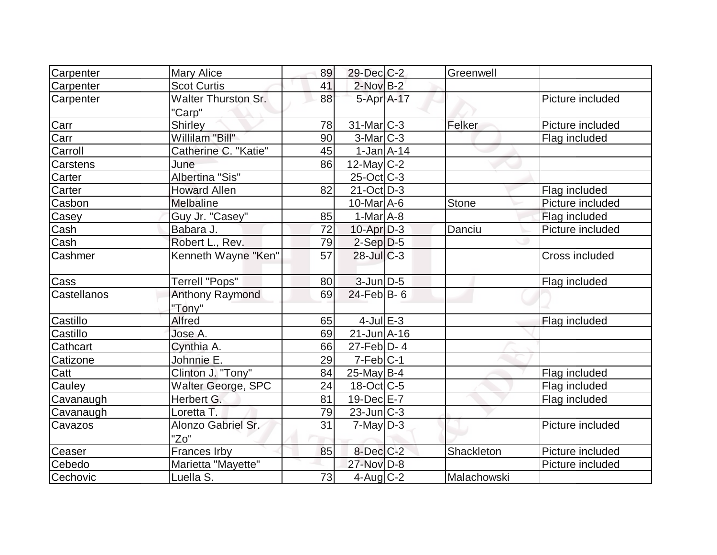| Carpenter       | <b>Mary Alice</b>          | 89 | $29$ -Dec $C$ -2            | Greenwell   |                  |
|-----------------|----------------------------|----|-----------------------------|-------------|------------------|
| Carpenter       | <b>Scot Curtis</b>         | 41 | $2$ -Nov $B-2$              |             |                  |
| Carpenter       | <b>Walter Thurston Sr.</b> | 88 | 5-Apr A-17                  |             | Picture included |
|                 | "Carp"                     |    |                             |             |                  |
| Carr            | Shirley                    | 78 | $31$ -Mar $ C-3 $           | Felker      | Picture included |
| Carr            | Willilam "Bill"            | 90 | $3-Mar$ $C-3$               |             | Flag included    |
| Carroll         | Catherine C. "Katie"       | 45 | $1-Jan1A-14$                |             |                  |
| <b>Carstens</b> | June                       | 86 | $12$ -May C-2               |             |                  |
| Carter          | Albertina "Sis"            |    | $25$ -Oct $ C-3 $           |             |                  |
| Carter          | <b>Howard Allen</b>        | 82 | $21-Oct D-3$                |             | Flag included    |
| Casbon          | Melbaline                  |    | $10$ -Mar $\overline{A}$ -6 | Stone       | Picture included |
| Casey           | Guy Jr. "Casey"            | 85 | $1-Mar$ A-8                 |             | Flag included    |
| Cash            | Babara J.                  | 72 | $10$ -Apr $D-3$             | Danciu      | Picture included |
| Cash            | Robert L., Rev.            | 79 | $2-Sep D-5$                 |             |                  |
| Cashmer         | Kenneth Wayne "Ken"        | 57 | $28$ -Jul C-3               |             | Cross included   |
|                 |                            |    |                             |             |                  |
| Cass            | Terrell "Pops"             | 80 | $3$ -Jun $D-5$              |             | Flag included    |
| Castellanos     | <b>Anthony Raymond</b>     | 69 | $24$ -Feb $ B-6 $           |             |                  |
|                 | "Tony"                     |    |                             |             |                  |
| Castillo        | <b>Alfred</b>              | 65 | $4$ -Jul $E-3$              |             | Flag included    |
| Castillo        | Jose A.                    | 69 | $21 - Jun A - 16$           |             |                  |
| Cathcart        | Cynthia A.                 | 66 | $27$ -Feb $D-4$             |             |                  |
| Catizone        | Johnnie E.                 | 29 | $7-Feb C-1$                 |             |                  |
| Catt            | Clinton J. "Tony"          | 84 | $25$ -May B-4               |             | Flag included    |
| Cauley          | Walter George, SPC         | 24 | $18-Oct$ <sub>C</sub> -5    |             | Flag included    |
| Cavanaugh       | Herbert G.                 | 81 | 19-Dec E-7                  |             | Flag included    |
| Cavanaugh       | Loretta T.                 | 79 | $23$ -Jun $ C-3 $           |             |                  |
| Cavazos         | Alonzo Gabriel Sr.         | 31 | $7$ -May $D-3$              |             | Picture included |
|                 | "Zo"                       |    |                             |             |                  |
| Ceaser          | Frances Irby               | 85 | $8$ -Dec $C$ -2             | Shackleton  | Picture included |
| Cebedo          | Marietta "Mayette"         |    | 27-Nov D-8                  |             | Picture included |
| Cechovic        | Luella S.                  | 73 | 4-Aug C-2                   | Malachowski |                  |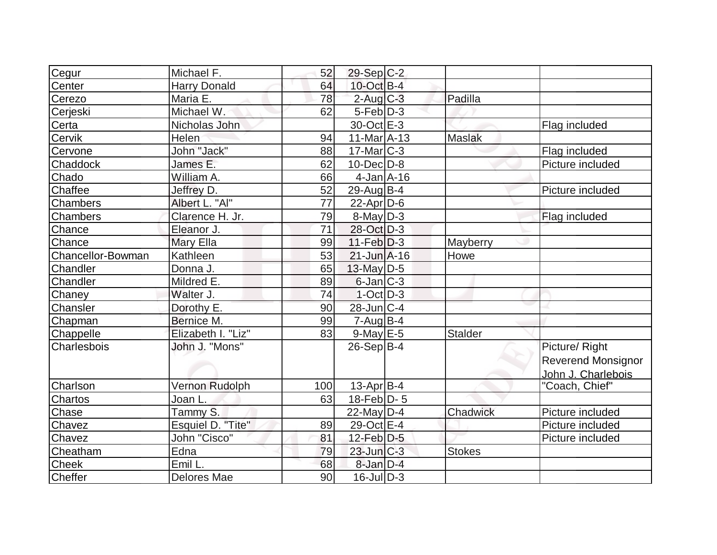| Cegur             | Michael F.          | 52  | 29-Sep C-2        |                |                    |
|-------------------|---------------------|-----|-------------------|----------------|--------------------|
| Center            | <b>Harry Donald</b> | 64  | $10$ -Oct B-4     |                |                    |
| Cerezo            | Maria E.            | 78  | $2$ -Aug $C-3$    | Padilla        |                    |
| Cerjeski          | Michael W.          | 62  | $5-Feb D-3$       |                |                    |
| Certa             | Nicholas John       |     | 30-Oct E-3        |                | Flag included      |
| Cervik            | Helen               | 94  | $11-Mar4 - 13$    | <b>Maslak</b>  |                    |
| Cervone           | John "Jack"         | 88  | $17$ -Mar $ C-3 $ |                | Flag included      |
| Chaddock          | James E.            | 62  | $10$ -Dec $D$ -8  |                | Picture included   |
| Chado             | William A.          | 66  | $4$ -Jan $A$ -16  |                |                    |
| Chaffee           | Jeffrey D.          | 52  | $29$ -Aug $ B-4$  |                | Picture included   |
| Chambers          | Albert L. "Al"      | 77  | $22$ -Apr $ D-6$  |                |                    |
| Chambers          | Clarence H. Jr.     | 79  | $8$ -May $D-3$    |                | Flag included      |
| Chance            | Eleanor J.          | 71  | 28-Oct D-3        |                |                    |
| Chance            | Mary Ella           | 99  | $11-Feb$ D-3      | Mayberry       |                    |
| Chancellor-Bowman | Kathleen            | 53  | $21$ -Jun $A-16$  | Howe           |                    |
| Chandler          | Donna J.            | 65  | 13-May D-5        |                |                    |
| Chandler          | Mildred E.          | 89  | $6$ -Jan $ C-3 $  |                |                    |
| Chaney            | Walter J.           | 74  | $1-Oct$ D-3       |                |                    |
| Chansler          | Dorothy E.          | 90  | 28-Jun C-4        |                |                    |
| Chapman           | Bernice M.          | 99  | $7 - Aug$ B-4     |                |                    |
| Chappelle         | Elizabeth I. "Liz"  | 83  | $9$ -May $E$ -5   | <b>Stalder</b> |                    |
| Charlesbois       | John J. "Mons"      |     | $26-Sep B-4$      |                | Picture/ Right     |
|                   |                     |     |                   |                | Reverend Monsignor |
|                   |                     |     |                   |                | John J. Charlebois |
| Charlson          | Vernon Rudolph      | 100 | $13$ -Apr $B$ -4  |                | "Coach, Chief"     |
| Chartos           | Joan L.             | 63  | 18-Feb $D-5$      |                |                    |
| Chase             | Tammy S.            |     | $22$ -May D-4     | Chadwick       | Picture included   |
| Chavez            | Esquiel D. "Tite"   | 89  | 29-Oct E-4        |                | Picture included   |
| Chavez            | John "Cisco"        | 81  | $12$ -Feb $D-5$   |                | Picture included   |
| Cheatham          | Edna                | 79  | $23$ -Jun $C-3$   | <b>Stokes</b>  |                    |
| <b>Cheek</b>      | Emil L.             | 68  | $8$ -Jan $D-4$    |                |                    |
| Cheffer           | <b>Delores Mae</b>  | 90  | $16$ -JulD-3      |                |                    |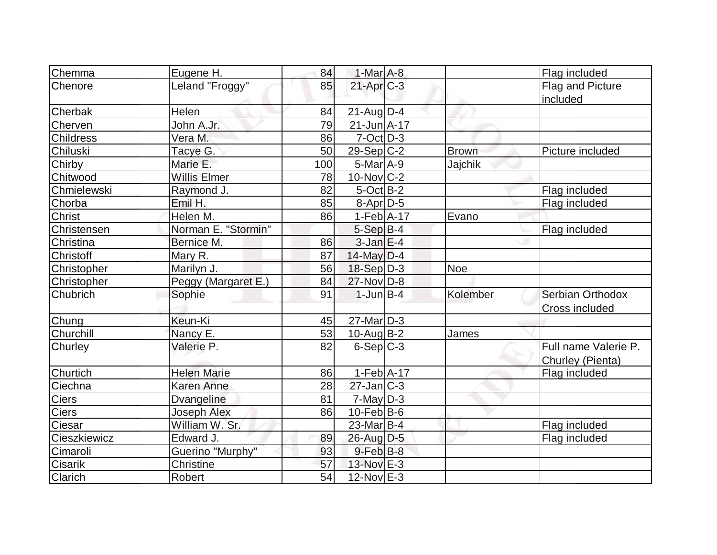| Chemma<br>Eugene H.                |                     | 84  | $1-Mar$ A-8       |              | Flag included        |
|------------------------------------|---------------------|-----|-------------------|--------------|----------------------|
| Chenore                            | Leland "Froggy"     | 85  | $21-Apr$ $C-3$    |              | Flag and Picture     |
|                                    |                     |     |                   |              | included             |
| Helen<br>Cherbak                   |                     | 84  | $21$ -Aug $D-4$   |              |                      |
| John A.Jr.<br>Cherven              |                     | 79  | $21 - Jun A - 17$ |              |                      |
| <b>Childress</b><br>Vera M.        |                     | 86  | $7-Oct$ $D-3$     |              |                      |
| Chiluski<br>Tacye G.               |                     | 50  | $29-Sep C-2$      | <b>Brown</b> | Picture included     |
| Marie E.<br>Chirby                 |                     | 100 | $5-Mar$ A-9       | Jajchik      |                      |
| Chitwood<br><b>Willis Elmer</b>    |                     | 78  | $10$ -Nov $ C-2 $ |              |                      |
| Chmielewski<br>Raymond J.          |                     | 82  | $5$ -Oct $B-2$    |              | Flag included        |
| Emil H.<br>Chorba                  |                     | 85  | $8-Apr$ D-5       |              | Flag included        |
| Helen M.<br>Christ                 |                     | 86  | $1-Feb$ A-17      | Evano        |                      |
| Christensen                        | Norman E. "Stormin" |     | $5-SepB-4$        |              | Flag included        |
| Christina<br>Bernice M.            |                     | 86  | $3$ -Jan $E-4$    |              |                      |
| Christoff<br>Mary R.               |                     | 87  | $14$ -May D-4     |              |                      |
| Marilyn J.<br>Christopher          |                     | 56  | $18-Sep D-3$      | <b>Noe</b>   |                      |
| Christopher                        | Peggy (Margaret E.) | 84  | $27$ -Nov $ D-8$  |              |                      |
| Chubrich<br>Sophie                 |                     | 91  | $1$ -Jun $B-4$    | Kolember     | Serbian Orthodox     |
|                                    |                     |     |                   |              | Cross included       |
| Chung<br>Keun-Ki                   |                     | 45  | $27$ -Mar $D-3$   |              |                      |
| Churchill<br>Nancy E.              |                     | 53  | $10$ -Aug $B-2$   | James        |                      |
| Valerie P.<br>Churley              |                     | 82  | $6-Sep C-3$       |              | Full name Valerie P. |
|                                    |                     |     |                   |              | Churley (Pienta)     |
| Churtich<br><b>Helen Marie</b>     |                     | 86  | $1-Feb$ A-17      |              | Flag included        |
| Ciechna<br><b>Karen Anne</b>       |                     | 28  | $27$ -Jan $ C-3 $ |              |                      |
| Ciers<br>Dvangeline                |                     | 81  | $7$ -May $D-3$    |              |                      |
| <b>Ciers</b><br><b>Joseph Alex</b> |                     | 86  | $10$ -Feb $ B-6 $ |              |                      |
| William W. Sr.<br>Ciesar           |                     |     | $23$ -Mar $ B-4 $ |              | Flag included        |
| Edward J.<br>Cieszkiewicz          |                     | 89  | 26-Aug D-5        |              | Flag included        |
| Cimaroli                           | Guerino "Murphy"    | 93  | $9$ -Feb $B$ -8   |              |                      |
| Christine<br>Cisarik               |                     | 57  | 13-Nov E-3        |              |                      |
| Clarich<br>Robert                  |                     | 54  | $12$ -Nov $E-3$   |              |                      |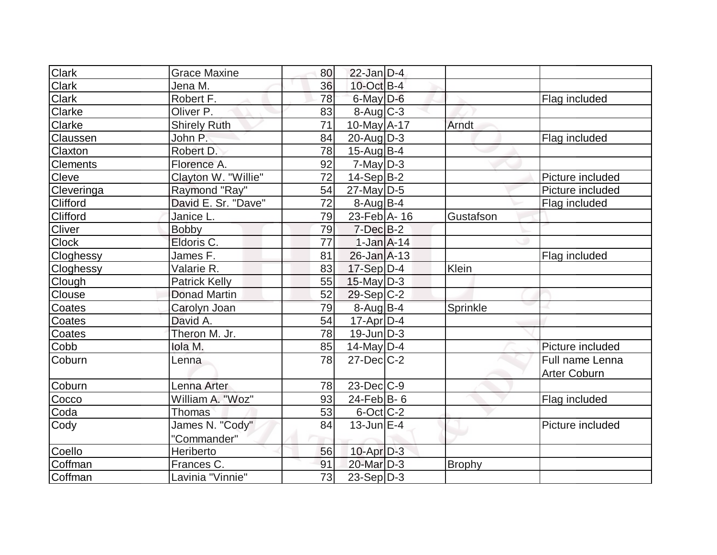| <b>Clark</b>    | <b>Grace Maxine</b>  | 80 | $22$ -Jan $D-4$                  |               |                        |
|-----------------|----------------------|----|----------------------------------|---------------|------------------------|
| <b>Clark</b>    | Jena M.              | 36 | $10$ -Oct B-4                    |               |                        |
| Clark           | Robert F.            | 78 | $6$ -May $D$ -6                  |               | Flag included          |
| Clarke          | Oliver P.            | 83 | $8 - \text{Aug}$ <sub>C</sub> -3 |               |                        |
| Clarke          | <b>Shirely Ruth</b>  | 71 | 10-May A-17                      | Arndt         |                        |
| Claussen        | John P.              | 84 | $20$ -Aug $D-3$                  |               | Flag included          |
| Claxton         | Robert D.            | 78 | $15$ -Aug $ B-4$                 |               |                        |
| <b>Clements</b> | Florence A.          | 92 | $7$ -May $D-3$                   |               |                        |
| Cleve           | Clayton W. "Willie"  | 72 | $14-Sep B-2$                     |               | Picture included       |
| Cleveringa      | Raymond "Ray"        | 54 | $27$ -May D-5                    |               | Picture included       |
| Clifford        | David E. Sr. "Dave"  | 72 | $8-Auq$ B-4                      |               | Flag included          |
| Clifford        | Janice L.            | 79 | 23-Feb $ A-16$                   | Gustafson     |                        |
| <b>Cliver</b>   | <b>Bobby</b>         | 79 | $7$ -Dec $B-2$                   |               |                        |
| <b>Clock</b>    | Eldoris C.           | 77 | $1-Jan  A-14 $                   |               |                        |
| Cloghessy       | James F.             | 81 | $26$ -Jan $A-13$                 |               | Flag included          |
| Cloghessy       | Valarie R.           | 83 | $17-Sep$ D-4                     | Klein         |                        |
| Clough          | <b>Patrick Kelly</b> | 55 | $15$ -May D-3                    |               |                        |
| Clouse          | <b>Donad Martin</b>  | 52 | $29-Sep C-2$                     |               |                        |
| Coates          | Carolyn Joan         | 79 | 8-Aug B-4                        | Sprinkle      |                        |
| Coates          | David A.             | 54 | $17$ -Apr $ D-4 $                |               |                        |
| Coates          | Theron M. Jr.        | 78 | $19$ -Jun $D-3$                  |               |                        |
| Cobb            | Iola M.              | 85 | $14$ -May D-4                    |               | Picture included       |
| Coburn          | Lenna                | 78 | $27$ -Dec $C-2$                  |               | <b>Full name Lenna</b> |
|                 |                      |    |                                  |               | <b>Arter Coburn</b>    |
| Coburn          | Lenna Arter          | 78 | $23$ -Dec $ C-9 $                |               |                        |
| Cocco           | William A. "Woz"     | 93 | $24$ -Feb $B$ - 6                |               | Flag included          |
| Coda            | Thomas               | 53 | $6$ -Oct $C$ -2                  |               |                        |
| Cody            | James N. "Cody"      | 84 | $13$ -Jun $E-4$                  |               | Picture included       |
|                 | "Commander"          |    |                                  |               |                        |
| Coello          | Heriberto            | 56 | $10$ -Apr $D-3$                  |               |                        |
| Coffman         | Frances C.           | 91 | 20-Mar D-3                       | <b>Brophy</b> |                        |
| Coffman         | Lavinia "Vinnie"     | 73 | $23-Sep D-3$                     |               |                        |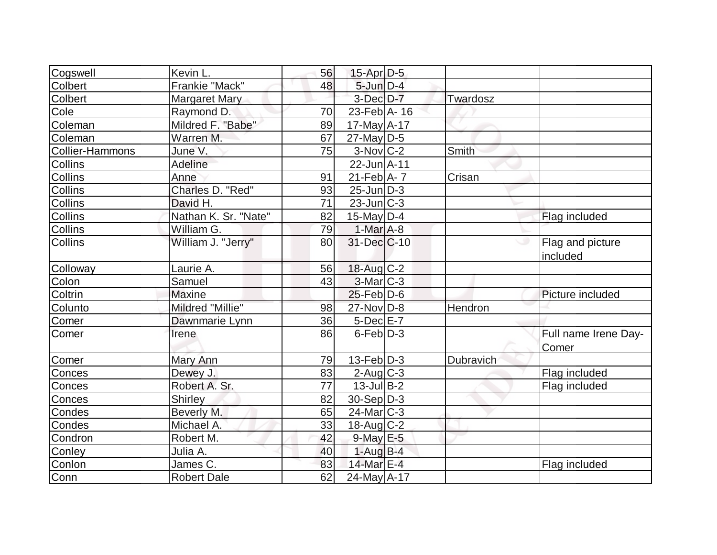| Cogswell        | Kevin L.             | 56 | $15$ -Apr $D-5$               |           |                               |
|-----------------|----------------------|----|-------------------------------|-----------|-------------------------------|
| Colbert         | Frankie "Mack"       | 48 | $5$ -Jun $D-4$                |           |                               |
| Colbert         | <b>Margaret Mary</b> |    | $3-Dec$ $D-7$                 | Twardosz  |                               |
| Cole            | Raymond D.           | 70 | $23$ -Feb $\overline{A}$ - 16 |           |                               |
| Coleman         | Mildred F. "Babe"    | 89 | $17$ -May $A$ -17             |           |                               |
| Coleman         | Warren M.            | 67 | $27$ -May D-5                 |           |                               |
| Collier-Hammons | June V.              | 75 | $3-Nov$ <sub>C-2</sub>        | Smith     |                               |
| <b>Collins</b>  | Adeline              |    | 22-Jun A-11                   |           |                               |
| <b>Collins</b>  | Anne                 | 91 | $21$ -Feb $A$ - 7             | Crisan    |                               |
| Collins         | Charles D. "Red"     | 93 | $25$ -Jun $D-3$               |           |                               |
| Collins         | David H.             | 71 | $23$ -Jun $ C-3 $             |           |                               |
| Collins         | Nathan K. Sr. "Nate" | 82 | $15$ -May D-4                 |           | Flag included                 |
| Collins         | William G.           | 79 | $1-Mar$ A-8                   |           |                               |
| <b>Collins</b>  | William J. "Jerry"   | 80 | 31-Dec C-10                   |           | Flag and picture<br>included  |
| Colloway        | Laurie A.            | 56 | $18$ -Aug C-2                 |           |                               |
| Colon           | Samuel               | 43 | $3-Mar$ $C-3$                 |           |                               |
| Coltrin         | <b>Maxine</b>        |    | $25$ -Feb $ D$ -6             |           | Picture included              |
| Colunto         | Mildred "Millie"     | 98 | 27-Nov D-8                    | Hendron   |                               |
| Comer           | Dawnmarie Lynn       | 36 | $5$ -Dec $E$ -7               |           |                               |
| Comer           | Irene                | 86 | $6$ -Feb $D-3$                |           | Full name Irene Day-<br>Comer |
| Comer           | Mary Ann             | 79 | $13-Feb D-3$                  | Dubravich |                               |
| Conces          | Dewey J.             | 83 | $2$ -Aug $C-3$                |           | Flag included                 |
| Conces          | Robert A. Sr.        | 77 | $13$ -Jul B-2                 |           | Flag included                 |
| Conces          | Shirley              | 82 | $30-Sep D-3$                  |           |                               |
| Condes          | Beverly M.           | 65 | $24$ -Mar $ C-3 $             |           |                               |
| Condes          | Michael A.           | 33 | $18$ -Aug $C-2$               |           |                               |
| Condron         | Robert M.            | 42 | $9$ -May $E$ -5               |           |                               |
| Conley          | Julia A.             | 40 | $1-Auq$ B-4                   |           |                               |
| Conlon          | James C.             | 83 | 14-Mar E-4                    |           | Flag included                 |
| Conn            | <b>Robert Dale</b>   | 62 | $24$ -May A-17                |           |                               |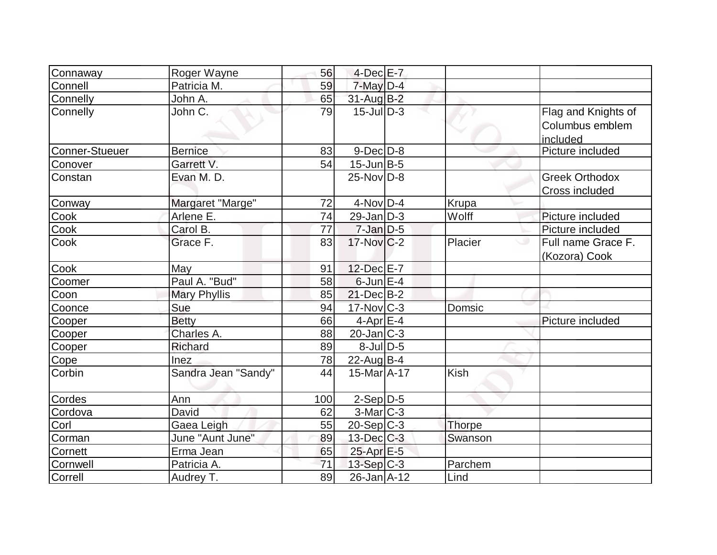| Connaway              | Roger Wayne         | 56  | $4$ -Dec $E - 7$  |               |                                                    |
|-----------------------|---------------------|-----|-------------------|---------------|----------------------------------------------------|
| Connell               | Patricia M.         | 59  | $7$ -May $D-4$    |               |                                                    |
| Connelly              | John A.             | 65  | $31$ -Aug $B-2$   |               |                                                    |
| Connelly              | John C.             | 79  | $15$ -JulD-3      |               | Flag and Knights of<br>Columbus emblem<br>included |
| <b>Conner-Stueuer</b> | <b>Bernice</b>      | 83  | $9$ -Dec $D$ -8   |               | Picture included                                   |
| Conover               | Garrett V.          | 54  | $15$ -Jun $B$ -5  |               |                                                    |
| Constan               | Evan M. D.          |     | $25$ -Nov $ D-8 $ |               | <b>Greek Orthodox</b><br>Cross included            |
| Conway                | Margaret "Marge"    | 72  | $4$ -Nov $D-4$    | Krupa         |                                                    |
| Cook                  | Arlene E.           | 74  | $29$ -Jan $D-3$   | Wolff         | Picture included                                   |
| Cook                  | Carol B.            | 77  | $7$ -Jan $D-5$    |               | Picture included                                   |
| Cook                  | Grace F.            | 83  | $17$ -Nov $ C-2 $ | Placier       | Full name Grace F.<br>(Kozora) Cook                |
| Cook                  | May                 | 91  | 12-Dec E-7        |               |                                                    |
| Coomer                | Paul A. "Bud"       | 58  | $6$ -Jun $E-4$    |               |                                                    |
| Coon                  | <b>Mary Phyllis</b> | 85  | $21$ -Dec $B-2$   |               |                                                    |
| Coonce                | Sue                 | 94  | $17$ -Nov $ C-3 $ | Domsic        |                                                    |
| Cooper                | <b>Betty</b>        | 66  | $4$ -Apr $E$ -4   |               | Picture included                                   |
| Cooper                | Charles A.          | 88  | $20$ -Jan $ C-3 $ |               |                                                    |
| Cooper                | Richard             | 89  | $8$ -Jul $D-5$    |               |                                                    |
| Cope                  | Inez                | 78  | $22$ -Aug $B-4$   |               |                                                    |
| Corbin                | Sandra Jean "Sandy" | 44  | $15$ -Mar $ A-17$ | <b>Kish</b>   |                                                    |
| Cordes                | Ann                 | 100 | $2-Sep$ D-5       |               |                                                    |
| Cordova               | David               | 62  | $3-Mar$ $C-3$     |               |                                                    |
| Corl                  | Gaea Leigh          | 55  | $20-Sep C-3$      | <b>Thorpe</b> |                                                    |
| Corman                | June "Aunt June"    | 89  | $13$ -Dec $C$ -3  | Swanson       |                                                    |
| Cornett               | Erma Jean           | 65  | 25-Apr E-5        |               |                                                    |
| Cornwell              | Patricia A.         | 71  | $13-Sep C-3$      | Parchem       |                                                    |
| Correll               | Audrey T.           | 89  | 26-Jan A-12       | Lind          |                                                    |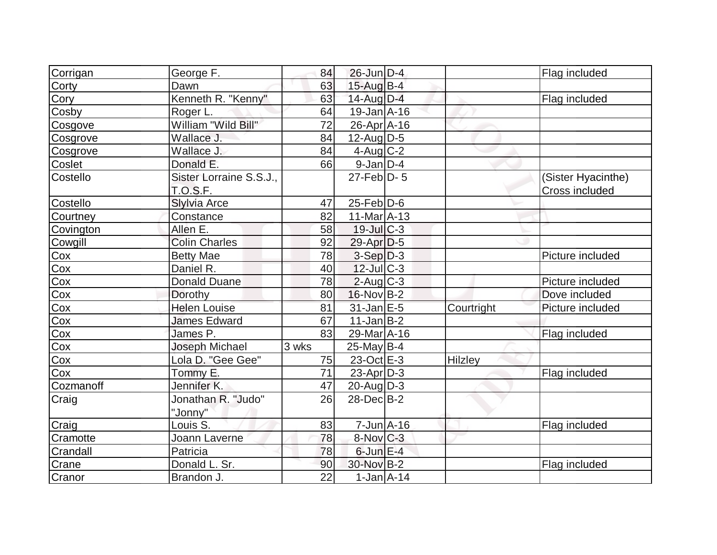| Corrigan  | George F.               | 84              | 26-Jun D-4                   |            | Flag included      |
|-----------|-------------------------|-----------------|------------------------------|------------|--------------------|
| Corty     | Dawn                    | 63              | 15-Aug B-4                   |            |                    |
| Cory      | Kenneth R. "Kenny"      | 63              | 14-Aug D-4                   |            | Flag included      |
| Cosby     | Roger L.                | 64              | $19$ -Jan $\overline{A}$ -16 |            |                    |
| Cosgove   | William "Wild Bill"     | 72              | $26$ -Apr $ A-16$            |            |                    |
| Cosgrove  | Wallace J.              | 84              | $12$ -Aug $ D-5$             |            |                    |
| Cosgrove  | Wallace J.              | 84              | $4$ -Aug C-2                 |            |                    |
| Coslet    | Donald E.               | 66              | $9$ -Jan $D-4$               |            |                    |
| Costello  | Sister Lorraine S.S.J., |                 | $27$ -Feb $ D-5$             |            | (Sister Hyacinthe) |
|           | <b>T.O.S.F.</b>         |                 |                              |            | Cross included     |
| Costello  | Slylvia Arce            | 47              | $25$ -Feb $ D$ -6            |            |                    |
| Courtney  | Constance               | 82              | $11-MarA-13$                 |            |                    |
| Covington | Allen E.                | 58              | $19$ -Jul $C-3$              |            |                    |
| Cowgill   | <b>Colin Charles</b>    | 92              | $29$ -Apr $D-5$              |            |                    |
| Cox       | <b>Betty Mae</b>        | 78              | $3-Sep$ $D-3$                |            | Picture included   |
| Cox       | Daniel R.               | 40              | $12$ -Jul $ C-3 $            |            |                    |
| Cox       | <b>Donald Duane</b>     | 78              | $2$ -Aug $C-3$               |            | Picture included   |
| Cox       | Dorothy                 | 80              | $16$ -Nov B-2                |            | Dove included      |
| Cox       | <b>Helen Louise</b>     | 81              | $31$ -Jan E-5                | Courtright | Picture included   |
| Cox       | <b>James Edward</b>     | 67              | $11$ -Jan $ B-2 $            |            |                    |
| Cox       | James P.                | 83              | 29-Mar A-16                  |            | Flag included      |
| Cox       | Joseph Michael          | 3 wks           | $25$ -May B-4                |            |                    |
| Cox       | Lola D. "Gee Gee"       | 75              | $23-Oct$ $E-3$               | Hilzley    |                    |
| Cox       | Tommy E.                | 71              | $23$ -Apr $D-3$              |            | Flag included      |
| Cozmanoff | Jennifer K.             | 47              | $20$ -Aug $D-3$              |            |                    |
| Craig     | Jonathan R. "Judo"      | 26              | $28$ -Dec $B-2$              |            |                    |
|           | "Jonny"                 |                 |                              |            |                    |
| Craig     | Louis S.                | 83              | $7 - Jun$ A-16               |            | Flag included      |
| Cramotte  | Joann Laverne           | 78              | $8-Nov$ $C-3$                |            |                    |
| Crandall  | Patricia                | 78              | $6$ -Jun $E-4$               |            |                    |
| Crane     | Donald L. Sr.           | 90              | 30-Nov B-2                   |            | Flag included      |
| Cranor    | Brandon J.              | $\overline{22}$ | $1-Jan1A-14$                 |            |                    |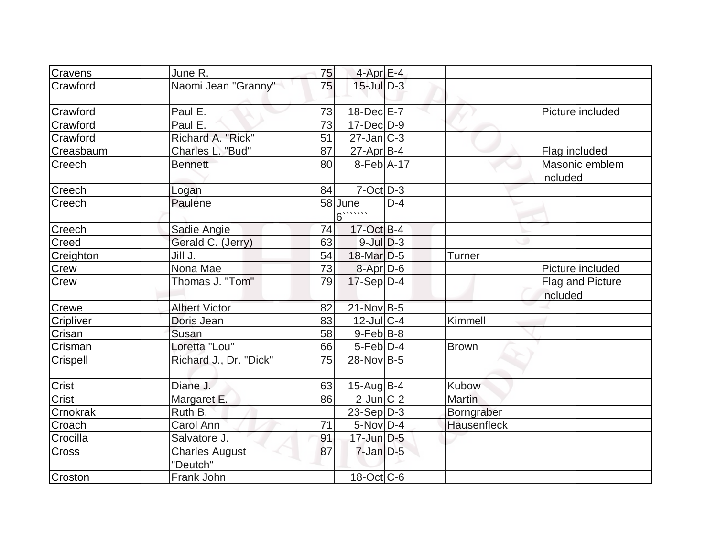| Cravens   | June R.                           | 75 | $4$ -Apr $E-4$          |       |                    |                              |
|-----------|-----------------------------------|----|-------------------------|-------|--------------------|------------------------------|
| Crawford  | Naomi Jean "Granny"               | 75 | $15$ -Jul $D-3$         |       |                    |                              |
| Crawford  | Paul E.                           | 73 | 18-Dec E-7              |       |                    | Picture included             |
| Crawford  | Paul E.                           | 73 | $17 - Dec$ $D-9$        |       |                    |                              |
| Crawford  | Richard A. "Rick"                 | 51 | $27$ -Jan $C-3$         |       |                    |                              |
| Creasbaum | Charles L. "Bud"                  | 87 | $27$ -Apr $B-4$         |       |                    | Flag included                |
| Creech    | Bennett                           | 80 | $8-Feb$ A-17            |       |                    | Masonic emblem<br>included   |
| Creech    | Logan                             | 84 | $7$ -Oct $D-3$          |       |                    |                              |
| Creech    | Paulene                           |    | 58 June<br>$6$ $\ldots$ | $D-4$ |                    |                              |
| Creech    | Sadie Angie                       | 74 | 17-Oct B-4              |       |                    |                              |
| Creed     | Gerald C. (Jerry)                 | 63 | $9$ -Jul $D-3$          |       |                    |                              |
| Creighton | Jill J.                           | 54 | 18-Mar D-5              |       | <b>Turner</b>      |                              |
| Crew      | Nona Mae                          | 73 | $8-Apr D-6$             |       |                    | Picture included             |
| Crew      | Thomas J. "Tom"                   | 79 | $17-Sep D-4$            |       |                    | Flag and Picture<br>included |
| Crewe     | <b>Albert Victor</b>              | 82 | $21$ -Nov B-5           |       |                    |                              |
| Cripliver | Doris Jean                        | 83 | $12$ -Jul C-4           |       | Kimmell            |                              |
| Crisan    | Susan                             | 58 | $9$ -Feb $B$ -8         |       |                    |                              |
| Crisman   | Loretta "Lou"                     | 66 | $5-Feb D-4$             |       | <b>Brown</b>       |                              |
| Crispell  | Richard J., Dr. "Dick"            | 75 | $28-Nov B-5$            |       |                    |                              |
| Crist     | Diane J.                          | 63 | $15$ -Aug $B$ -4        |       | Kubow              |                              |
| Crist     | Margaret E.                       | 86 | $2$ -Jun $ C-2 $        |       | <b>Martin</b>      |                              |
| Crnokrak  | Ruth B.                           |    | $23-Sep D-3$            |       | Borngraber         |                              |
| Croach    | Carol Ann                         | 71 | $5$ -Nov D-4            |       | <b>Hausenfleck</b> |                              |
| Crocilla  | Salvatore J.                      | 91 | $17$ -Jun $D-5$         |       |                    |                              |
| Cross     | <b>Charles August</b><br>"Deutch" | 87 | $7$ -Jan $D-5$          |       |                    |                              |
| Croston   | Frank John                        |    | $18$ -Oct $ C$ -6       |       |                    |                              |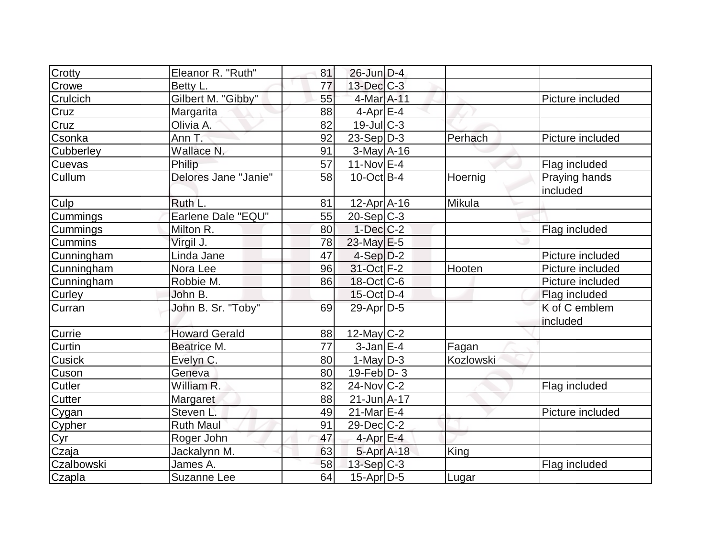| Crotty              | Eleanor R. "Ruth"    | 81              | 26-Jun D-4              |           |                           |
|---------------------|----------------------|-----------------|-------------------------|-----------|---------------------------|
| Crowe               | Betty L.             | 77              | $13$ -Dec $C-3$         |           |                           |
| Crulcich            | Gilbert M. "Gibby"   | 55              | 4-Mar A-11              |           | Picture included          |
| Cruz                | Margarita            | 88              | $4$ -Apr $E-4$          |           |                           |
| Cruz                | Olivia A.            | 82              | $19$ -Jul $C$ -3        |           |                           |
| Csonka              | Ann T:               | 92              | $23-Sep D-3$            | Perhach   | Picture included          |
| Cubberley           | Wallace N.           | 91              | $3-May$ A-16            |           |                           |
| Cuevas              | Philip               | $\overline{57}$ | $11-Nov \overline{E-4}$ |           | Flag included             |
| Cullum              | Delores Jane "Janie" | 58              | $10$ -Oct B-4           | Hoernig   | Praying hands<br>included |
| Culp                | Ruth L.              | 81              | $12$ -Apr $A$ -16       | Mikula    |                           |
| Cummings            | Earlene Dale "EQU"   | 55              | $20-Sep C-3$            |           |                           |
| Cummings            | Milton R.            | 80              | $1-Dec$ $C-2$           |           | Flag included             |
| <b>Cummins</b>      | Virgil J.            | 78              | $23$ -May E-5           |           |                           |
| Cunningham          | Linda Jane           | 47              | $4-Sep D-2$             |           | Picture included          |
| Cunningham          | Nora Lee             | 96              | 31-Oct F-2              | Hooten    | Picture included          |
| Cunningham          | Robbie M.            | 86              | $18$ -Oct $ C$ -6       |           | Picture included          |
| Curley              | John B.              |                 | $15$ -Oct $D-4$         |           | Flag included             |
| Curran              | John B. Sr. "Toby"   | 69              | 29-Apr D-5              |           | K of C emblem<br>included |
| Currie              | <b>Howard Gerald</b> | 88              | $12$ -May C-2           |           |                           |
| Curtin              | Beatrice M.          | 77              | $3$ -Jan $E-4$          | Fagan     |                           |
| Cusick              | Evelyn C.            | 80              | 1-May $D-3$             | Kozlowski |                           |
| Cuson               | Geneva               | 80              | $19$ -Feb $ D-3 $       |           |                           |
| <b>Cutler</b>       | William R.           | 82              | $24$ -Nov $ C-2 $       |           | Flag included             |
| Cutter              | Margaret             | 88              | $21$ -Jun A-17          |           |                           |
| Cygan               | Steven L.            | 49              | 21-Mar $E$ -4           |           | Picture included          |
| Cypher              | <b>Ruth Maul</b>     | 91              | $29$ -Dec $C-2$         |           |                           |
|                     | Roger John           | 47              | 4-Apr $E-4$             |           |                           |
| Cyr<br>Cyr<br>Czaja | Jackalynn M.         | 63              | $5-Apr$ A-18            | King      |                           |
| Czalbowski          | James A.             | 58              | 13-Sep C-3              |           | Flag included             |
| Czapla              | Suzanne Lee          | 64              | 15-Apr D-5              | Lugar     |                           |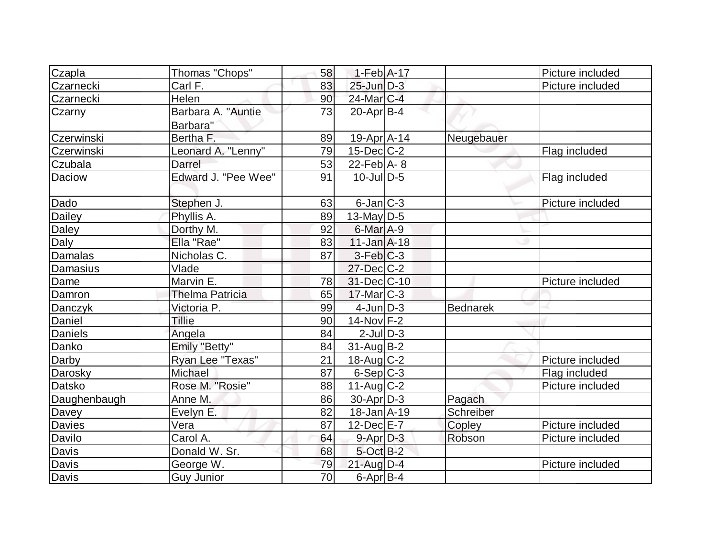| Czapla         | Thomas "Chops"                 | 58 | $1-Feb$ A-17                |                 | Picture included |
|----------------|--------------------------------|----|-----------------------------|-----------------|------------------|
| Czarnecki      | Carl F.                        | 83 | $25$ -Jun $\overline{D}$ -3 |                 | Picture included |
| Czarnecki      | Helen                          | 90 | 24-Mar C-4                  |                 |                  |
| Czarny         | Barbara A. "Auntie<br>Barbara" | 73 | $20$ -Apr $ B-4 $           |                 |                  |
| Czerwinski     | Bertha F.                      | 89 | 19-Apr A-14                 | Neugebauer      |                  |
| Czerwinski     | Leonard A. "Lenny"             | 79 | $15$ -Dec $C$ -2            |                 | Flag included    |
| Czubala        | Darrel                         | 53 | $22$ -Feb $ A-8 $           |                 |                  |
| Daciow         | Edward J. "Pee Wee"            | 91 | $10$ -Jul $D-5$             |                 | Flag included    |
| Dado           | Stephen J.                     | 63 | $6$ -Jan $ C-3 $            |                 | Picture included |
| Dailey         | Phyllis A.                     | 89 | 13-May $D-5$                |                 |                  |
| Daley          | Dorthy M.                      | 92 | 6-Mar A-9                   |                 |                  |
| Daly           | Ella "Rae"                     | 83 | $11$ -Jan $A$ -18           |                 |                  |
| <b>Damalas</b> | Nicholas C.                    | 87 | $3-Feb C-3$                 |                 |                  |
| Damasius       | Vlade                          |    | 27-Dec C-2                  |                 |                  |
| Dame           | Marvin E.                      | 78 | 31-Dec C-10                 |                 | Picture included |
| Damron         | <b>Thelma Patricia</b>         | 65 | $17$ -Mar $ C-3 $           |                 |                  |
| <b>Danczyk</b> | Victoria P.                    | 99 | $4$ -Jun $D-3$              | <b>Bednarek</b> |                  |
| Daniel         | Tillie                         | 90 | $14$ -Nov $F-2$             |                 |                  |
| <b>Daniels</b> | Angela                         | 84 | $2$ -Jul $D-3$              |                 |                  |
| Danko          | Emily "Betty"                  | 84 | $31$ -Aug $B-2$             |                 |                  |
| Darby          | Ryan Lee "Texas"               | 21 | $18$ -Aug C-2               |                 | Picture included |
| Darosky        | Michael                        | 87 | $6-Sep C-3$                 |                 | Flag included    |
| Datsko         | Rose M. "Rosie"                | 88 | $11-Aug$ $C-2$              |                 | Picture included |
| Daughenbaugh   | Anne M.                        | 86 | $30$ -Apr $D-3$             | Pagach          |                  |
| Davey          | Evelyn E.                      | 82 | $18 - Jan$ $A - 19$         | Schreiber       |                  |
| <b>Davies</b>  | Vera                           | 87 | $12$ -Dec $E - 7$           | Copley          | Picture included |
| Davilo         | Carol A.                       | 64 | $9 - Apr$ $D-3$             | Robson          | Picture included |
| Davis          | Donald W. Sr.                  | 68 | $5$ -Oct $B-2$              |                 |                  |
| Davis          | George W.                      | 79 | $21$ -Aug $D-4$             |                 | Picture included |
| Davis          | <b>Guy Junior</b>              | 70 | $6$ -Apr $B$ -4             |                 |                  |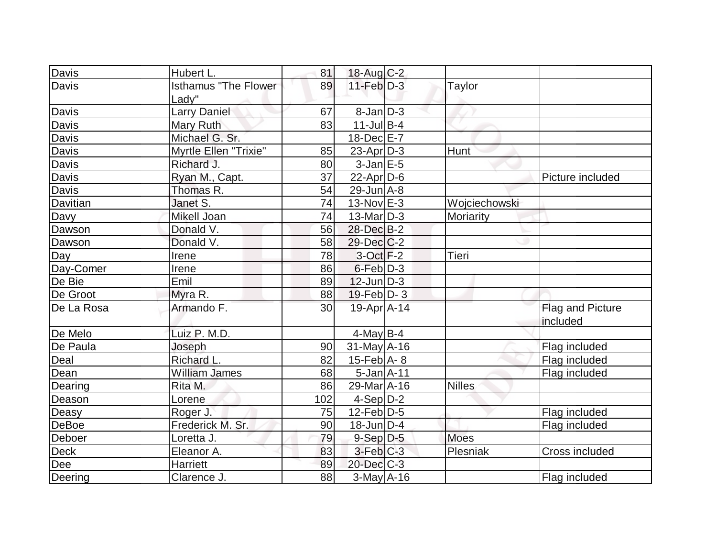| Davis            | Hubert L.                              | 81  | 18-Aug C-2                   |               |                              |
|------------------|----------------------------------------|-----|------------------------------|---------------|------------------------------|
| Davis            | <b>Isthamus "The Flower</b> "<br>Ladv" | 89  | $11$ -Feb $D-3$              | Taylor        |                              |
| Davis            | <b>Larry Daniel</b>                    | 67  | $8$ -Jan $D-3$               |               |                              |
| Davis            | Mary Ruth                              | 83  | $11$ -Jul B-4                |               |                              |
| <b>Davis</b>     | Michael G. Sr.                         |     | $18$ -Dec $E$ -7             |               |                              |
| Davis            | Myrtle Ellen "Trixie"                  | 85  | $23$ -Apr $ D-3 $            | Hunt          |                              |
| Davis            | Richard J.                             | 80  | $3$ -Jan $E$ -5              |               |                              |
| Davis            | Ryan M., Capt.                         | 37  | $22$ -Apr $D-6$              |               | Picture included             |
| Davis            | Thomas R.                              | 54  | $29$ -Jun $A - 8$            |               |                              |
| Davitian         | Janet S.                               | 74  | $13-Nov$ E-3                 | Wojciechowski |                              |
| Davy             | Mikell Joan                            | 74  | 13-Mar D-3                   | Moriarity     |                              |
| Dawson           | Donald V.                              | 56  | 28-Dec B-2                   |               |                              |
| Dawson           | Donald V.                              | 58  | $29$ -Dec $C$ -2             |               |                              |
| $\overline{Day}$ | Irene                                  | 78  | $3-Oct$ F-2                  | Tieri         |                              |
| Day-Comer        | Irene                                  | 86  | $6$ -Feb $D-3$               |               |                              |
| De Bie           | Emil                                   | 89  | $12$ -Jun $D-3$              |               |                              |
| De Groot         | Myra R.                                | 88  | 19-Feb $D-3$                 |               |                              |
| De La Rosa       | Armando F.                             | 30  | 19-Apr A-14                  |               | Flag and Picture<br>included |
| De Melo          | Luiz P. M.D.                           |     | $4$ -May B-4                 |               |                              |
| De Paula         | Joseph                                 | 90  | $31$ -May A-16               |               | Flag included                |
| Deal             | Richard L.                             | 82  | $15$ -Feb $\overline{A}$ - 8 |               | Flag included                |
| Dean             | <b>William James</b>                   | 68  | $5$ -Jan $A$ -11             |               | Flag included                |
| Dearing          | Rita M.                                | 86  | 29-Mar A-16                  | <b>Nilles</b> |                              |
| Deason           | Lorene                                 | 102 | $4-Sep$ D-2                  |               |                              |
| Deasy            | Roger J.                               | 75  | $12$ -Feb $ D-5$             |               | Flag included                |
| <b>DeBoe</b>     | Frederick M. Sr.                       | 90  | $18$ -Jun $ D-4$             |               | Flag included                |
| Deboer           | Loretta J.                             | 79  | $9-Sep$ D-5                  | <b>Moes</b>   |                              |
| Deck             | Eleanor A.                             | 83  | $3-Feb$ $C-3$                | Plesniak      | Cross included               |
| Dee              | Harriett                               | 89  | $20$ -Dec $C-3$              |               |                              |
| Deering          | Clarence J.                            | 88  | 3-May A-16                   |               | Flag included                |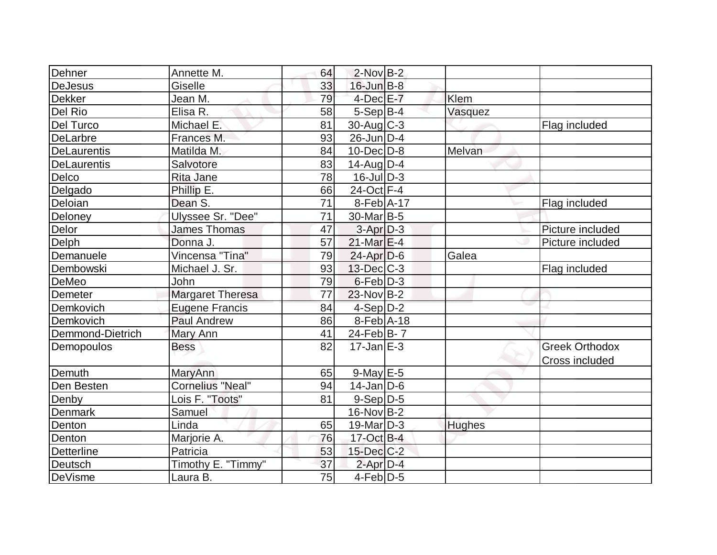| Dehner             | Annette M.              | 64 | $2$ -Nov B-2             |               |                       |
|--------------------|-------------------------|----|--------------------------|---------------|-----------------------|
| <b>DeJesus</b>     | Giselle                 | 33 | $16$ -Jun $B-8$          |               |                       |
| <b>Dekker</b>      | Jean M.                 | 79 | $4$ -Dec $E - 7$         | Klem          |                       |
| Del Rio            | Elisa R.                | 58 | $5-Sep B-4$              | Vasquez       |                       |
| Del Turco          | Michael E.              | 81 | $30$ -Aug C-3            |               | Flag included         |
| <b>DeLarbre</b>    | Frances M.              | 93 | $26$ -Jun $D-4$          |               |                       |
| <b>DeLaurentis</b> | Matilda M.              | 84 | $10$ -Dec $D$ -8         | Melvan        |                       |
| <b>DeLaurentis</b> | Salvotore               | 83 | $14$ -Aug $D-4$          |               |                       |
| Delco              | Rita Jane               | 78 | $16$ -JulD-3             |               |                       |
| Delgado            | Phillip E.              | 66 | 24-Oct F-4               |               |                       |
| Deloian            | Dean S.                 | 71 | $8-Feb$ A-17             |               | Flag included         |
| Deloney            | Ulyssee Sr. "Dee"       | 71 | 30-Mar B-5               |               |                       |
| Delor              | <b>James Thomas</b>     | 47 | $3-Apr$ $D-3$            |               | Picture included      |
| Delph              | Donna J.                | 57 | $21$ -Mar $E-4$          |               | Picture included      |
| Demanuele          | Vincensa "Tina"         | 79 | $24$ -Apr $D-6$          | Galea         |                       |
| Dembowski          | Michael J. Sr.          | 93 | $13$ -Dec $ C-3 $        |               | Flag included         |
| DeMeo              | John                    | 79 | $6$ -Feb $D-3$           |               |                       |
| Demeter            | <b>Margaret Theresa</b> | 77 | $23$ -Nov B-2            |               |                       |
| Demkovich          | <b>Eugene Francis</b>   | 84 | $4-Sep D-2$              |               |                       |
| Demkovich          | <b>Paul Andrew</b>      | 86 | $8-Feb$ A-18             |               |                       |
| Demmond-Dietrich   | Mary Ann                | 41 | $24$ -Feb $ B-7 $        |               |                       |
| Demopoulos         | <b>Bess</b>             | 82 | $17 - Jan \, \text{E-3}$ |               | <b>Greek Orthodox</b> |
|                    |                         |    |                          |               | <b>Cross included</b> |
| Demuth             | MaryAnn                 | 65 | $9$ -May $E$ -5          |               |                       |
| Den Besten         | <b>Cornelius "Neal"</b> | 94 | $14$ -Jan D-6            |               |                       |
| Denby              | Lois F. "Toots"         | 81 | $9-Sep$ D-5              |               |                       |
| Denmark            | Samuel                  |    | $16$ -Nov $B-2$          |               |                       |
| Denton             | Linda                   | 65 | $19$ -Mar $ D-3$         | <b>Hughes</b> |                       |
| Denton             | Marjorie A.             | 76 | 17-Oct B-4               |               |                       |
| <b>Detterline</b>  | Patricia                | 53 | $15$ -Dec $C$ -2         |               |                       |
| Deutsch            | Timothy E. "Timmy"      | 37 | $2$ -Apr $D-4$           |               |                       |
| DeVisme            | Laura B.                | 75 | $4$ -Feb $D-5$           |               |                       |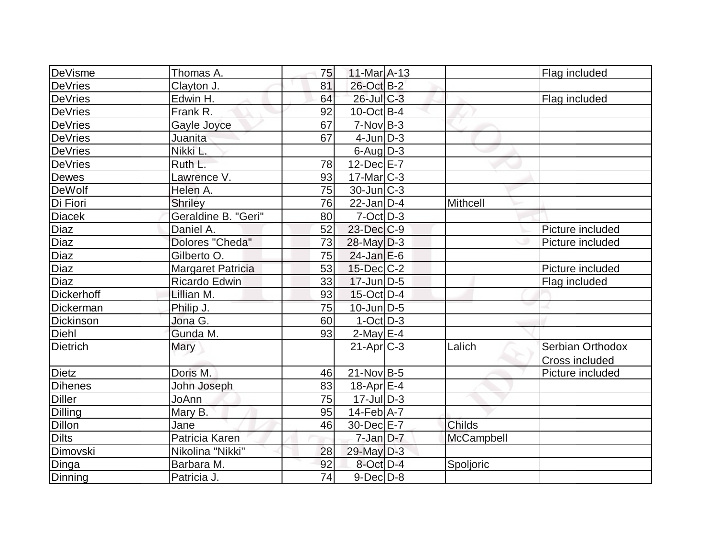| DeVisme           | Thomas A.                | 75 | $11$ -Mar $A$ -13 |               | Flag included    |
|-------------------|--------------------------|----|-------------------|---------------|------------------|
| <b>DeVries</b>    | Clayton J.               | 81 | 26-Oct B-2        |               |                  |
| <b>DeVries</b>    | Edwin H.                 | 64 | 26-Jul C-3        |               | Flag included    |
| <b>DeVries</b>    | Frank R.                 | 92 | $10$ -Oct B-4     |               |                  |
| <b>DeVries</b>    | Gayle Joyce              | 67 | $7-Nov B-3$       |               |                  |
| <b>DeVries</b>    | Juanita                  | 67 | $4$ -Jun $ D-3 $  |               |                  |
| <b>DeVries</b>    | Nikki L.                 |    | $6$ -Aug $D-3$    |               |                  |
| <b>DeVries</b>    | Ruth L.                  | 78 | $12$ -Dec $E$ -7  |               |                  |
| Dewes             | Lawrence V.              | 93 | $17$ -Mar $ C-3 $ |               |                  |
| <b>DeWolf</b>     | Helen A.                 | 75 | $30$ -Jun $ C-3 $ |               |                  |
| Di Fiori          | <b>Shriley</b>           | 76 | $22$ -Jan D-4     | Mithcell      |                  |
| <b>Diacek</b>     | Geraldine B. "Geri"      | 80 | $7$ -Oct $D-3$    |               |                  |
| Diaz              | Daniel A.                | 52 | 23-Dec C-9        |               | Picture included |
| Diaz              | Dolores "Cheda"          | 73 | $28$ -May $ D-3$  |               | Picture included |
| Diaz              | Gilberto O.              | 75 | $24$ -Jan $E$ -6  |               |                  |
| Diaz              | <b>Margaret Patricia</b> | 53 | $15$ -Dec $C$ -2  |               | Picture included |
| <b>Diaz</b>       | Ricardo Edwin            | 33 | $17$ -Jun $D-5$   |               | Flag included    |
| <b>Dickerhoff</b> | Lillian M.               | 93 | $15$ -Oct $D-4$   |               |                  |
| Dickerman         | Philip J.                | 75 | $10$ -Jun $D-5$   |               |                  |
| Dickinson         | Jona G.                  | 60 | $1-Oct$ D-3       |               |                  |
| <b>Diehl</b>      | Gunda M.                 | 93 | $2$ -May $E-4$    |               |                  |
| <b>Dietrich</b>   | Mary                     |    | $21-Apr$ $C-3$    | Lalich        | Serbian Orthodox |
|                   |                          |    |                   |               | Cross included   |
| <b>Dietz</b>      | Doris M.                 | 46 | $21$ -Nov $ B-5$  |               | Picture included |
| <b>Dihenes</b>    | John Joseph              | 83 | 18-Apr $E-4$      |               |                  |
| <b>Diller</b>     | JoAnn                    | 75 | $17 -$ Jul $D-3$  |               |                  |
| Dilling           | Mary B.                  | 95 | $14$ -Feb $ A-7$  |               |                  |
| Dillon            | Jane                     | 46 | 30-Dec E-7        | <b>Childs</b> |                  |
| <b>Dilts</b>      | Patricia Karen           |    | $7$ -Jan $ D-7 $  | McCampbell    |                  |
| Dimovski          | Nikolina "Nikki"         | 28 | 29-May D-3        |               |                  |
| Dinga             | Barbara M.               | 92 | 8-Oct D-4         | Spoljoric     |                  |
| Dinning           | Patricia J.              | 74 | $9$ -Dec $D$ -8   |               |                  |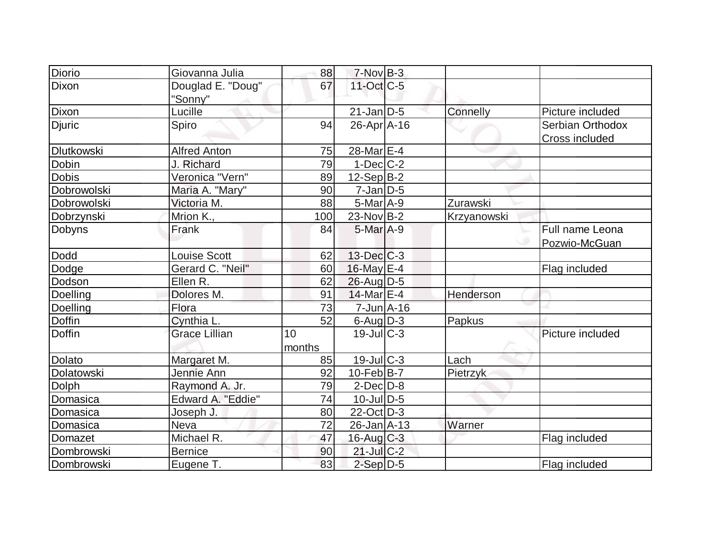| <b>Diorio</b>     | Giovanna Julia               | 88           | $7-NovB-3$        |             |                                    |
|-------------------|------------------------------|--------------|-------------------|-------------|------------------------------------|
| Dixon             | Douglad E. "Doug"<br>"Sonny" | 67           | $11$ -Oct $C-5$   |             |                                    |
| Dixon             | Lucille                      |              | $21$ -Jan D-5     | Connelly    | Picture included                   |
| <b>Djuric</b>     | Spiro                        | 94           | $26$ -Apr $A$ -16 |             | Serbian Orthodox<br>Cross included |
| <b>Dlutkowski</b> | <b>Alfred Anton</b>          | 75           | 28-Mar E-4        |             |                                    |
| Dobin             | J. Richard                   | 79           | $1-Dec$ $C-2$     |             |                                    |
| <b>Dobis</b>      | Veronica "Vern"              | 89           | $12-Sep B-2$      |             |                                    |
| Dobrowolski       | Maria A. "Mary"              | 90           | $7 - Jan$ $D-5$   |             |                                    |
| Dobrowolski       | Victoria M.                  | 88           | $5$ -Mar $A-9$    | Zurawski    |                                    |
| Dobrzynski        | Mrion K.,                    | 100          | 23-Nov B-2        | Krzyanowski |                                    |
| Dobyns            | Frank                        | 84           | $5$ -Mar $A-9$    |             | Full name Leona<br>Pozwio-McGuan   |
| Dodd              | Louise Scott                 | 62           | $13$ -Dec $ C-3 $ |             |                                    |
| Dodge             | Gerard C. "Neil"             | 60           | 16-May E-4        |             | Flag included                      |
| Dodson            | Ellen R.                     | 62           | $26$ -Aug $D-5$   |             |                                    |
| Doelling          | Dolores M.                   | 91           | $14$ -Mar $E-4$   | Henderson   |                                    |
| Doelling          | Flora                        | 73           | $7 - Jun$ A-16    |             |                                    |
| Doffin            | Cynthia L.                   | 52           | $6$ -Aug $D-3$    | Papkus      |                                    |
| <b>Doffin</b>     | <b>Grace Lillian</b>         | 10<br>months | $19$ -JullC-3     |             | Picture included                   |
| <b>Dolato</b>     | Margaret M.                  | 85           | $19$ -Jul $C-3$   | Lach        |                                    |
| Dolatowski        | Jennie Ann                   | 92           | $10$ -Feb $ B-7 $ | Pietrzyk    |                                    |
| Dolph             | Raymond A. Jr.               | 79           | $2$ -Dec $D-8$    |             |                                    |
| Domasica          | Edward A. "Eddie"            | 74           | $10$ -JulD-5      |             |                                    |
| Domasica          | Joseph J.                    | 80           | $22$ -Oct $D-3$   |             |                                    |
| Domasica          | <b>Neva</b>                  | 72           | 26-Jan A-13       | Warner      |                                    |
| Domazet           | Michael R.                   | 47           | 16-Aug C-3        |             | Flag included                      |
| Dombrowski        | <b>Bernice</b>               | 90           | $21$ -Jul $C-2$   |             |                                    |
| Dombrowski        | Eugene T.                    | 83           | $2-Sep D-5$       |             | Flag included                      |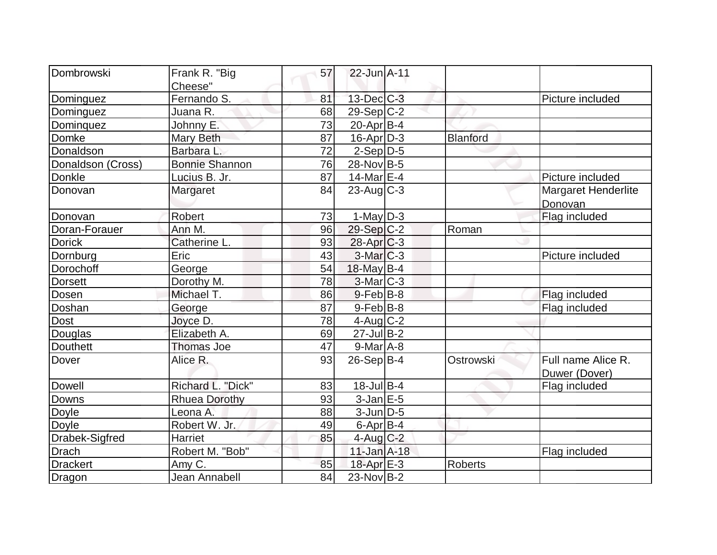| Dombrowski        |                        |    |                   |                 |                            |
|-------------------|------------------------|----|-------------------|-----------------|----------------------------|
|                   | Frank R. "Big          | 57 | 22-Jun A-11       |                 |                            |
|                   | Cheese"<br>Fernando S. | 81 | $13$ -Dec $C$ -3  |                 | Picture included           |
| Dominguez         |                        |    |                   |                 |                            |
| Dominguez         | Juana R.               | 68 | 29-Sep C-2        |                 |                            |
| Dominquez         | Johnny E.              | 73 | $20$ -Apr $ B-4 $ |                 |                            |
| Domke             | Mary Beth              | 87 | $16$ -Apr $D-3$   | <b>Blanford</b> |                            |
| Donaldson         | Barbara L.             | 72 | $2-Sep D-5$       |                 |                            |
| Donaldson (Cross) | <b>Bonnie Shannon</b>  | 76 | 28-Nov B-5        |                 |                            |
| Donkle            | Lucius B. Jr.          | 87 | 14-Mar $E-4$      |                 | Picture included           |
| Donovan           | Margaret               | 84 | $23$ -Aug C-3     |                 | <b>Margaret Henderlite</b> |
|                   |                        |    |                   |                 | Donovan                    |
| Donovan           | Robert                 | 73 | $1$ -May $D-3$    |                 | Flag included              |
| Doran-Forauer     | Ann M.                 | 96 | $29-Sep C-2$      | Roman           |                            |
| <b>Dorick</b>     | Catherine L.           | 93 | $28$ -Apr $C-3$   |                 |                            |
| Dornburg          | Eric                   | 43 | $3-Mar$ $C-3$     |                 | Picture included           |
| Dorochoff         | George                 | 54 | 18-May B-4        |                 |                            |
| <b>Dorsett</b>    | Dorothy M.             | 78 | $3$ -Mar $ C-3 $  |                 |                            |
| Dosen             | Michael T.             | 86 | $9$ -Feb $ B-8$   |                 | Flag included              |
| Doshan            | George                 | 87 | $9$ -Feb $B$ -8   |                 | Flag included              |
| Dost              | Joyce D.               | 78 | $4$ -Aug $C-2$    |                 |                            |
| Douglas           | Elizabeth A.           | 69 | $27$ -Jul B-2     |                 |                            |
| <b>Douthett</b>   | <b>Thomas Joe</b>      | 47 | $9$ -Mar $A$ -8   |                 |                            |
| Dover             | Alice R.               | 93 | $26-Sep B-4$      | Ostrowski       | Full name Alice R.         |
|                   |                        |    |                   |                 | Duwer (Dover)              |
| Dowell            | Richard L. "Dick"      | 83 | $18$ -Jul B-4     |                 | Flag included              |
| Downs             | <b>Rhuea Dorothy</b>   | 93 | $3$ -Jan $E$ -5   |                 |                            |
| Doyle             | Leona A.               | 88 | $3$ -Jun $D-5$    |                 |                            |
| Doyle             | Robert W. Jr.          | 49 | $6$ -Apr $B$ -4   |                 |                            |
| Drabek-Sigfred    | <b>Harriet</b>         | 85 | 4-Aug C-2         |                 |                            |
| <b>Drach</b>      | Robert M. "Bob"        |    | $11$ -Jan $A-18$  |                 | Flag included              |
| <b>Drackert</b>   | Amy C.                 | 85 | 18-Apr $E-3$      | <b>Roberts</b>  |                            |
| Dragon            | Jean Annabell          | 84 | $23$ -Nov B-2     |                 |                            |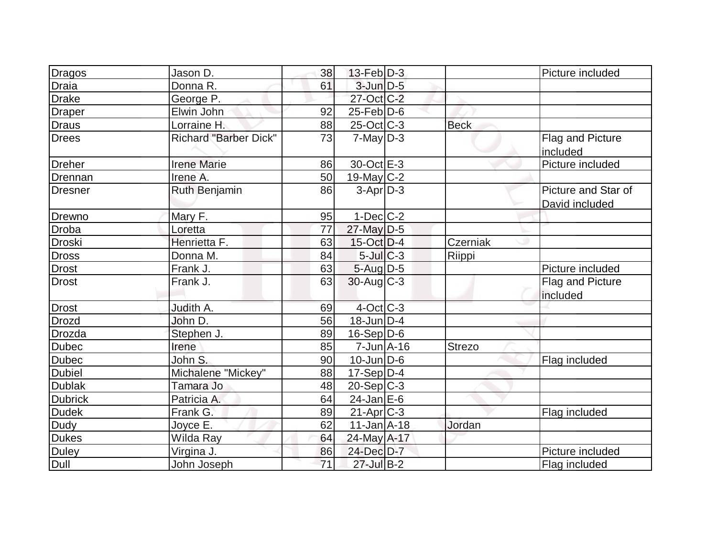| Dragos         | Jason D.                     | 38 | $13$ -Feb $ D-3 $ |               | Picture included                      |
|----------------|------------------------------|----|-------------------|---------------|---------------------------------------|
| <b>Draia</b>   | Donna R.                     | 61 | $3$ -Jun $D-5$    |               |                                       |
| <b>Drake</b>   | George P.                    |    | 27-Oct C-2        |               |                                       |
| Draper         | Elwin John                   | 92 | $25$ -Feb $ D$ -6 |               |                                       |
| <b>Draus</b>   | Lorraine H.                  | 88 | $25$ -Oct C-3     | <b>Beck</b>   |                                       |
| <b>Drees</b>   | <b>Richard "Barber Dick"</b> | 73 | $7$ -May $D-3$    |               | Flag and Picture<br>included          |
| Dreher         | <b>Irene Marie</b>           | 86 | 30-Oct E-3        |               | Picture included                      |
| Drennan        | Irene A.                     | 50 | $19$ -May C-2     |               |                                       |
| Dresner        | Ruth Benjamin                | 86 | $3-Apr$ D-3       |               | Picture and Star of<br>David included |
| Drewno         | Mary F.                      | 95 | $1-Dec$ $C-2$     |               |                                       |
| <b>Droba</b>   | Loretta                      | 77 | 27-May D-5        |               |                                       |
| Droski         | Henrietta F.                 | 63 | $15$ -Oct D-4     | Czerniak      |                                       |
| <b>Dross</b>   | Donna M.                     | 84 | $5$ -Jul $C-3$    | Riippi        |                                       |
| <b>Drost</b>   | Frank J.                     | 63 | $5 - Aug   D-5$   |               | Picture included                      |
| <b>Drost</b>   | Frank J.                     | 63 | $30$ -Aug C-3     |               | Flag and Picture<br>included          |
| <b>Drost</b>   | Judith A.                    | 69 | $4$ -Oct C-3      |               |                                       |
| <b>Drozd</b>   | John D.                      | 56 | $18$ -Jun $ D-4 $ |               |                                       |
| Drozda         | Stephen J.                   | 89 | $16-Sep D-6$      |               |                                       |
| <b>Dubec</b>   | Irene                        | 85 | $7$ -Jun $A$ -16  | <b>Strezo</b> |                                       |
| <b>Dubec</b>   | John S.                      | 90 | $10$ -Jun $D-6$   |               | Flag included                         |
| <b>Dubiel</b>  | Michalene "Mickey"           | 88 | $17-Sep D-4$      |               |                                       |
| <b>Dublak</b>  | Tamara Jo                    | 48 | $20-Sep C-3$      |               |                                       |
| <b>Dubrick</b> | Patricia A.                  | 64 | $24$ -Jan E-6     |               |                                       |
| <b>Dudek</b>   | Frank G.                     | 89 | $21-Apr$ $C-3$    |               | Flag included                         |
| Dudy           | Joyce E.                     | 62 | $11$ -Jan $A$ -18 | Jordan        |                                       |
| <b>Dukes</b>   | Wilda Ray                    | 64 | 24-May A-17       |               |                                       |
| <b>Duley</b>   | Virgina J.                   | 86 | 24-Dec D-7        |               | Picture included                      |
| Dull           | John Joseph                  | 71 | $27$ -Jul B-2     |               | Flag included                         |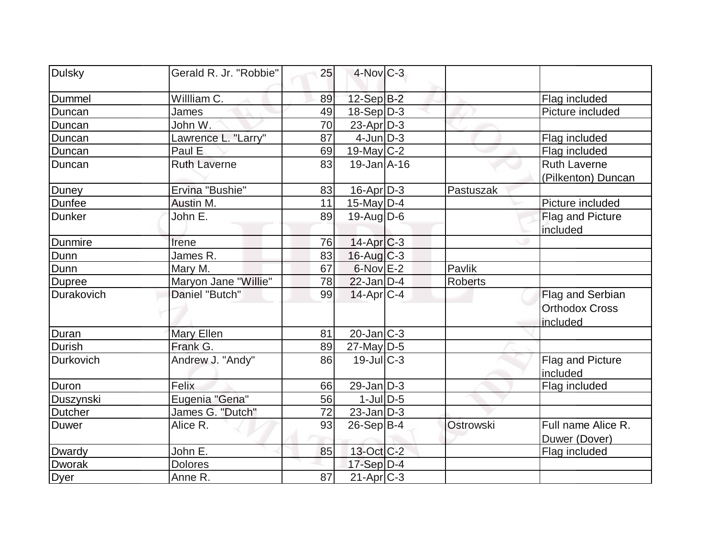| <b>Dulsky</b>  | Gerald R. Jr. "Robbie" | 25 | $4$ -Nov $C-3$    |                |                                                       |
|----------------|------------------------|----|-------------------|----------------|-------------------------------------------------------|
| Dummel         | Willliam C.            | 89 | 12-Sep B-2        |                | Flag included                                         |
| Duncan         | James                  | 49 | $18-Sep D-3$      |                | Picture included                                      |
| Duncan         | John W.                | 70 | $23$ -Apr $D-3$   |                |                                                       |
| <b>Duncan</b>  | Lawrence L. "Larry"    | 87 | $4$ -Jun $D-3$    |                | Flag included                                         |
| Duncan         | Paul E                 | 69 | $19$ -May C-2     |                | Flag included                                         |
| Duncan         | <b>Ruth Laverne</b>    | 83 | $19$ -Jan $A$ -16 |                | <b>Ruth Laverne</b><br>(Pilkenton) Duncan             |
| Duney          | Ervina "Bushie"        | 83 | $16$ -Apr $D-3$   | Pastuszak      |                                                       |
| Dunfee         | Austin M.              | 11 | $15$ -May D-4     |                | Picture included                                      |
| <b>Dunker</b>  | John E.                | 89 | $19$ -Aug $D$ -6  |                | Flag and Picture<br>included                          |
| Dunmire        | Irene                  | 76 | 14-Apr C-3        |                |                                                       |
| Dunn           | James R.               | 83 | $16$ -Aug $C-3$   |                |                                                       |
| Dunn           | Mary M.                | 67 | $6$ -Nov $E-2$    | Pavlik         |                                                       |
| <b>Dupree</b>  | Maryon Jane "Willie"   | 78 | $22$ -Jan D-4     | <b>Roberts</b> |                                                       |
| Durakovich     | Daniel "Butch"         | 99 | $14$ -Apr $ C-4 $ |                | Flag and Serbian<br><b>Orthodox Cross</b><br>included |
| Duran          | <b>Mary Ellen</b>      | 81 | $20$ -Jan $ C-3 $ |                |                                                       |
| Durish         | Frank G.               | 89 | $27$ -May D-5     |                |                                                       |
| Durkovich      | Andrew J. "Andy"       | 86 | $19$ -Jul $C-3$   |                | <b>Flag and Picture</b><br>included                   |
| Duron          | Felix                  | 66 | $29$ -Jan D-3     |                | Flag included                                         |
| Duszynski      | Eugenia "Gena"         | 56 | $1$ -JulD-5       |                |                                                       |
| <b>Dutcher</b> | James G. "Dutch"       | 72 | $23$ -Jan $D-3$   |                |                                                       |
| <b>Duwer</b>   | Alice R.               | 93 | $26-Sep B-4$      | Ostrowski      | Full name Alice R.<br>Duwer (Dover)                   |
| Dwardy         | John E.                | 85 | 13-Oct C-2        |                | Flag included                                         |
| Dworak         | <b>Dolores</b>         |    | $17-Sep D-4$      |                |                                                       |
| <b>Dyer</b>    | Anne R.                | 87 | $21-Apr$ $C-3$    |                |                                                       |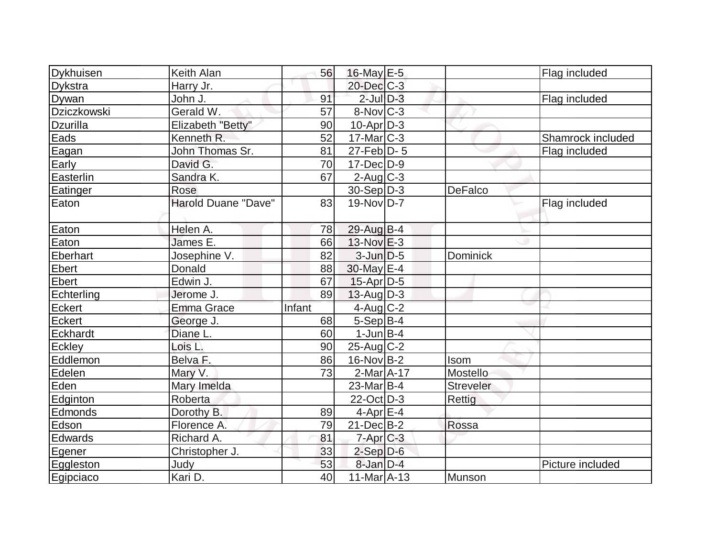| <b>Dykhuisen</b> | Keith Alan          | 56     | $16$ -May $E$ -5       |                 | Flag included     |
|------------------|---------------------|--------|------------------------|-----------------|-------------------|
| Dykstra          | Harry Jr.           |        | 20-Dec C-3             |                 |                   |
| Dywan            | John J.             | 91     | $2$ -Jul $D-3$         |                 | Flag included     |
| Dziczkowski      | Gerald W.           | 57     | $8-Nov$ <sub>C-3</sub> |                 |                   |
| <b>Dzurilla</b>  | Elizabeth "Betty"   | 90     | $10$ -Apr $D-3$        |                 |                   |
| Eads             | Kenneth R.          | 52     | $17$ -Mar $ C-3 $      |                 | Shamrock included |
| Eagan            | John Thomas Sr.     | 81     | $27$ -Feb $ D-5$       |                 | Flag included     |
| Early            | David G.            | 70     | $17 - Dec$ $D-9$       |                 |                   |
| Easterlin        | Sandra K.           | 67     | $2$ -Aug C-3           |                 |                   |
| Eatinger         | Rose                |        | $30-Sep D-3$           | DeFalco         |                   |
| Eaton            | Harold Duane "Dave" | 83     | $19-Nov D-7$           |                 | Flag included     |
| Eaton            | Helen A.            | 78     | 29-Aug B-4             |                 |                   |
| Eaton            | James E.            | 66     | $13-Nov$ $E-3$         |                 |                   |
| Eberhart         | Josephine V.        | 82     | $3$ -Jun $D-5$         | <b>Dominick</b> |                   |
| <b>Ebert</b>     | Donald              | 88     | 30-May E-4             |                 |                   |
| <b>Ebert</b>     | Edwin J.            | 67     | $15$ -Apr $ D-5$       |                 |                   |
| Echterling       | Jerome J.           | 89     | $13$ -Aug $D-3$        |                 |                   |
| Eckert           | <b>Emma Grace</b>   | Infant | $4$ -Aug C-2           |                 |                   |
| Eckert           | George J.           | 68     | $5-Sep B-4$            |                 |                   |
| Eckhardt         | Diane L.            | 60     | $1$ -Jun $B-4$         |                 |                   |
| Eckley           | Lois L.             | 90     | $25$ -Aug C-2          |                 |                   |
| Eddlemon         | Belva F.            | 86     | $16$ -Nov B-2          | Isom            |                   |
| Edelen           | Mary V.             | 73     | $2-Mar1A-17$           | Mostello        |                   |
| Eden             | Mary Imelda         |        | $23$ -Mar $ B-4 $      | Streveler       |                   |
| Edginton         | Roberta             |        | $22$ -Oct $D-3$        | Rettig          |                   |
| Edmonds          | Dorothy B.          | 89     | $4$ -Apr $E$ -4        |                 |                   |
| Edson            | Florence A.         | 79     | $21$ -Dec $ B-2 $      | Rossa           |                   |
| Edwards          | Richard A.          | 81     | $7$ -Apr $C$ -3        |                 |                   |
| Egener           | Christopher J.      | 33     | $2-Sep D-6$            |                 |                   |
| Eggleston        | Judy                | 53     | $8$ -Jan $D-4$         |                 | Picture included  |
| Egipciaco        | Kari D.             | 40     | 11-Mar A-13            | Munson          |                   |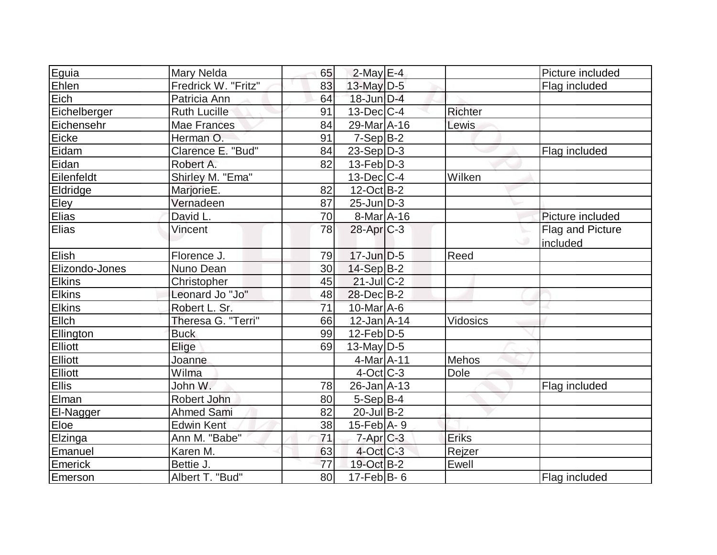| Eguia          | Mary Nelda          | 65 | $2$ -May $E-4$    |                | Picture included |
|----------------|---------------------|----|-------------------|----------------|------------------|
| Ehlen          | Fredrick W. "Fritz" | 83 | 13-May $D-5$      |                | Flag included    |
| Eich           | Patricia Ann        | 64 | $18$ -Jun $D-4$   |                |                  |
| Eichelberger   | <b>Ruth Lucille</b> | 91 | $13$ -Dec $C-4$   | <b>Richter</b> |                  |
| Eichensehr     | <b>Mae Frances</b>  | 84 | 29-Mar A-16       | Lewis          |                  |
| Eicke          | Herman O.           | 91 | $7-Sep B-2$       |                |                  |
| Eidam          | Clarence E. "Bud"   | 84 | $23-Sep D-3$      |                | Flag included    |
| Eidan          | Robert A.           | 82 | $13$ -Feb $ D-3 $ |                |                  |
| Eilenfeldt     | Shirley M. "Ema"    |    | $13$ -Dec $ C-4 $ | Wilken         |                  |
| Eldridge       | MarjorieE.          | 82 | $12$ -Oct B-2     |                |                  |
| Eley           | Vernadeen           | 87 | $25$ -Jun $D-3$   |                |                  |
| Elias          | David L.            | 70 | 8-Mar A-16        |                | Picture included |
| Elias          | Vincent             | 78 | $28$ -Apr $C-3$   |                | Flag and Picture |
|                |                     |    |                   |                | included         |
| Elish          | Florence J.         | 79 | $17$ -Jun $D-5$   | Reed           |                  |
| Elizondo-Jones | Nuno Dean           | 30 | $14-Sep$ B-2      |                |                  |
| <b>Elkins</b>  | Christopher         | 45 | $21$ -JulC-2      |                |                  |
| <b>Elkins</b>  | Leonard Jo "Jo"     | 48 | $28$ -Dec $B-2$   |                |                  |
| <b>Elkins</b>  | Robert L. Sr.       | 71 | 10-Mar A-6        |                |                  |
| Ellch          | Theresa G. "Terri"  | 66 | $12$ -Jan $A$ -14 | Vidosics       |                  |
| Ellington      | <b>Buck</b>         | 99 | $12$ -Feb $ D-5$  |                |                  |
| Elliott        | Elige               | 69 | $13$ -May D-5     |                |                  |
| <b>Elliott</b> | Joanne              |    | $4$ -Mar $A$ -11  | Mehos          |                  |
| Elliott        | Wilma               |    | $4$ -Oct $ C-3 $  | Dole           |                  |
| <b>Ellis</b>   | John W.             | 78 | $26$ -Jan $ A-13$ |                | Flag included    |
| Elman          | Robert John         | 80 | $5-Sep B-4$       |                |                  |
| El-Nagger      | <b>Ahmed Sami</b>   | 82 | $20$ -Jul B-2     |                |                  |
| Eloe           | <b>Edwin Kent</b>   | 38 | 15-Feb A- 9       |                |                  |
| Elzinga        | Ann M. "Babe"       | 71 | $7$ -Apr $C$ -3   | Eriks          |                  |
| Emanuel        | Karen M.            | 63 | $4$ -Oct C-3      | Rejzer         |                  |
| Emerick        | Bettie J.           | 77 | 19-Oct B-2        | Ewell          |                  |
| Emerson        | Albert T. "Bud"     | 80 | $17$ -Feb $ B-6$  |                | Flag included    |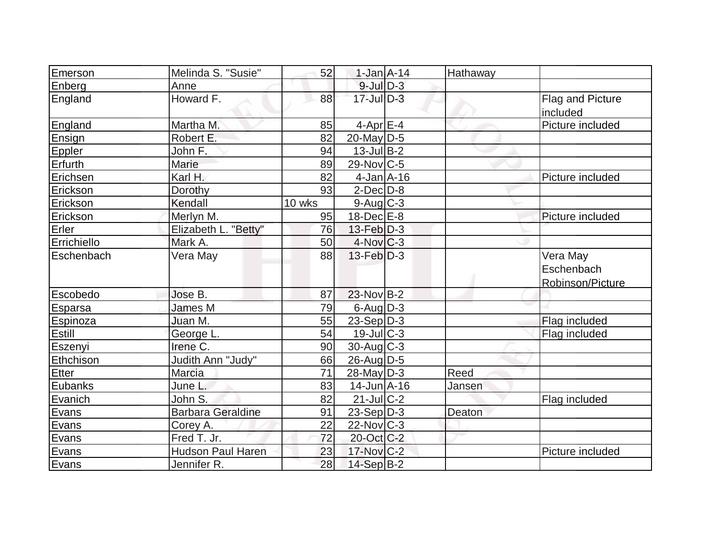| Emerson         | Melinda S. "Susie"       | 52     | $1-Jan A-14$       | Hathaway |                         |
|-----------------|--------------------------|--------|--------------------|----------|-------------------------|
| Enberg          | Anne                     |        | $9$ -Jul $D-3$     |          |                         |
| <b>England</b>  | Howard F.                | 88     | $17$ -Jul $D-3$    |          | <b>Flag and Picture</b> |
|                 |                          |        |                    |          | included                |
| England         | Martha M.                | 85     | 4-Apr $E-4$        |          | Picture included        |
| Ensign          | Robert E.                | 82     | $20$ -May D-5      |          |                         |
| Eppler          | John F.                  | 94     | $13$ -Jul B-2      |          |                         |
| Erfurth         | Marie                    | 89     | 29-Nov C-5         |          |                         |
| Erichsen        | Karl H.                  | 82     | $4$ -Jan $A$ -16   |          | Picture included        |
| Erickson        | Dorothy                  | 93     | $2$ -Dec $D-8$     |          |                         |
| Erickson        | Kendall                  | 10 wks | $9$ -Aug $C$ -3    |          |                         |
| Erickson        | Merlyn M.                | 95     | $18$ -Dec $E$ -8   |          | Picture included        |
| Erler           | Elizabeth L. "Betty"     | 76     | $13$ -Feb $ D-3 $  |          |                         |
| Errichiello     | Mark A.                  | 50     | $4$ -Nov $ C-3 $   |          |                         |
| Eschenbach      | Vera May                 | 88     | $13$ -Feb $D-3$    |          | Vera May                |
|                 |                          |        |                    |          | Eschenbach              |
|                 |                          |        |                    |          | Robinson/Picture        |
| Escobedo        | Jose B.                  | 87     | 23-Nov B-2         |          |                         |
| Esparsa         | James M                  | 79     | $6$ -Aug $D-3$     |          |                         |
| <b>Espinoza</b> | Juan M.                  | 55     | $23-Sep D-3$       |          | Flag included           |
| Estill          | George L.                | 54     | $19$ -Jul $ C-3 $  |          | Flag included           |
| Eszenyi         | Irene C.                 | 90     | 30-Aug C-3         |          |                         |
| Ethchison       | Judith Ann "Judy"        | 66     | $26$ -AugD-5       |          |                         |
| Etter           | <b>Marcia</b>            | 71     | $28$ -May $D-3$    | Reed     |                         |
| Eubanks         | June L.                  | 83     | $14$ -Jun $A - 16$ | Jansen   |                         |
| Evanich         | John S.                  | 82     | $21$ -Jul C-2      |          | Flag included           |
| Evans           | <b>Barbara Geraldine</b> | 91     | $23-Sep D-3$       | Deaton   |                         |
| Evans           | Corey A.                 | 22     | $22$ -Nov $ C-3 $  |          |                         |
| Evans           | Fred T. Jr.              | 72     | 20-Oct C-2         |          |                         |
| Evans           | <b>Hudson Paul Haren</b> | 23     | $17$ -Nov $ C-2 $  |          | Picture included        |
| Evans           | Jennifer <sub>R.</sub>   | 28     | 14-Sep B-2         |          |                         |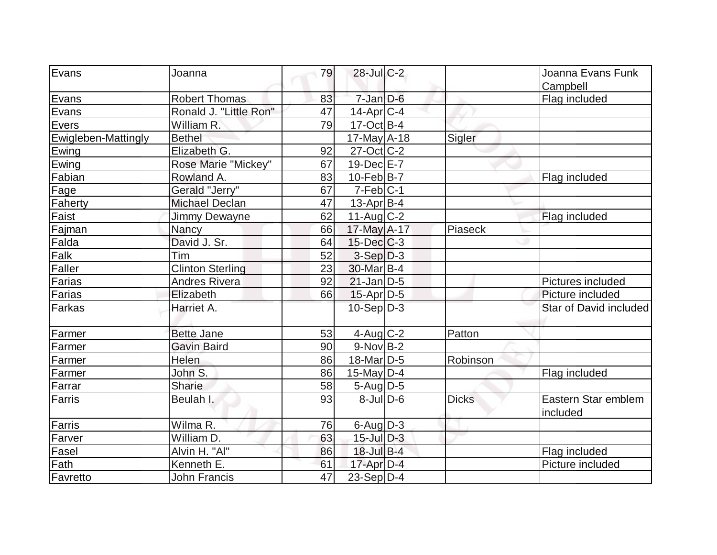| Evans               | Joanna                  | 79 | 28-Jul C-2        |              | Joanna Evans Funk               |
|---------------------|-------------------------|----|-------------------|--------------|---------------------------------|
|                     |                         |    |                   |              | Campbell                        |
| Evans               | <b>Robert Thomas</b>    | 83 | $7$ -Jan $D-6$    |              | Flag included                   |
| Evans               | Ronald J. "Little Ron"  | 47 | $14$ -Apr $ C-4$  |              |                                 |
| Evers               | William R.              | 79 | $17-Oct$ B-4      |              |                                 |
| Ewigleben-Mattingly | <b>Bethel</b>           |    | $17$ -May $A$ -18 | Sigler       |                                 |
| Ewing               | Elizabeth G.            | 92 | $27$ -Oct $ C-2 $ |              |                                 |
| Ewing               | Rose Marie "Mickey"     | 67 | $19$ -Dec $E$ -7  |              |                                 |
| Fabian              | Rowland A.              | 83 | $10$ -Feb $ B-7$  |              | Flag included                   |
| Fage                | Gerald "Jerry"          | 67 | $7-Feb C-1$       |              |                                 |
| Faherty             | <b>Michael Declan</b>   | 47 | $13$ -Apr $ B-4 $ |              |                                 |
| Faist               | Jimmy Dewayne           | 62 | $11-Auq$ $C-2$    |              | Flag included                   |
| Fajman              | Nancy                   | 66 | 17-May A-17       | Piaseck      |                                 |
| Falda               | David J. Sr.            | 64 | $15$ -Dec $C$ -3  |              |                                 |
| Falk                | Tim                     | 52 | $3-Sep D-3$       |              |                                 |
| Faller              | <b>Clinton Sterling</b> | 23 | 30-Mar B-4        |              |                                 |
| Farias              | <b>Andres Rivera</b>    | 92 | $21$ -Jan D-5     |              | Pictures included               |
| Farias              | Elizabeth               | 66 | $15$ -Apr $D-5$   |              | Picture included                |
| <b>Farkas</b>       | Harriet A.              |    | $10-Sep D-3$      |              | Star of David included          |
| Farmer              | <b>Bette Jane</b>       | 53 | $4$ -Aug C-2      | Patton       |                                 |
| Farmer              | <b>Gavin Baird</b>      | 90 | $9-Nov$ B-2       |              |                                 |
| Farmer              | Helen                   | 86 | $18$ -Mar $ D-5 $ | Robinson     |                                 |
| Farmer              | John S.                 | 86 | $15$ -May $ D-4$  |              | Flag included                   |
| Farrar              | <b>Sharie</b>           | 58 | $5 - Aug   D-5$   |              |                                 |
| Farris              | Beulah I.               | 93 | $8$ -JulD-6       | <b>Dicks</b> | Eastern Star emblem<br>included |
| <b>Farris</b>       | Wilma R.                | 76 | $6$ -Aug $D-3$    |              |                                 |
| Farver              | William D.              | 63 | $15$ -Jul $D-3$   |              |                                 |
| Fasel               | Alvin H. "Al"           | 86 | 18-Jul B-4        |              | Flag included                   |
| Fath                | Kenneth E.              | 61 | $17$ -Apr $D-4$   |              | Picture included                |
| Favretto            | <b>John Francis</b>     | 47 | $23-Sep D-4$      |              |                                 |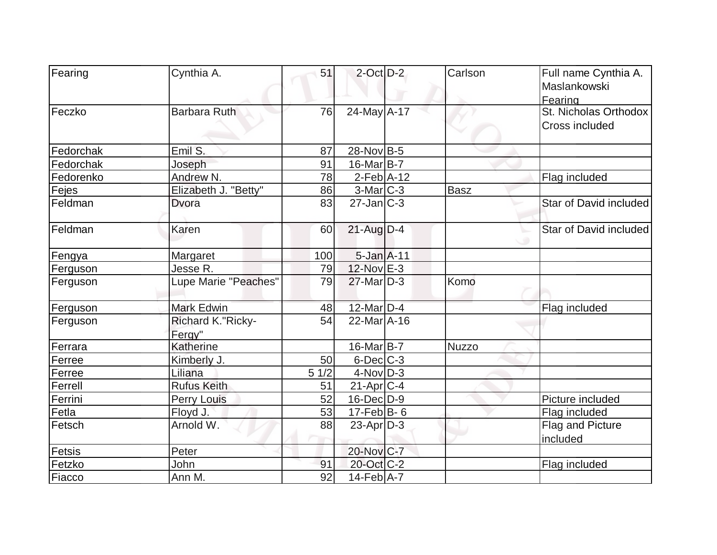| Fearing   | Cynthia A.                  | 51   | $2$ -Oct $D-2$     | Carlson     | Full name Cynthia A.   |
|-----------|-----------------------------|------|--------------------|-------------|------------------------|
|           |                             |      |                    |             | Maslankowski           |
|           |                             |      |                    |             | Fearing                |
| Feczko    | <b>Barbara Ruth</b>         | 76   | 24-May A-17        |             | St. Nicholas Orthodox  |
|           |                             |      |                    |             | Cross included         |
|           |                             |      |                    |             |                        |
| Fedorchak | Emil S.                     | 87   | 28-Nov B-5         |             |                        |
| Fedorchak | Joseph                      | 91   | $16$ -Mar $ B-7 $  |             |                        |
| Fedorenko | Andrew N.                   | 78   | $2$ -Feb $A-12$    |             | Flag included          |
| Fejes     | Elizabeth J. "Betty"        | 86   | $3-Mar$ $C-3$      | <b>Basz</b> |                        |
| Feldman   | Dvora                       | 83   | $27$ -Jan $ C-3 $  |             | Star of David included |
| Feldman   | Karen                       | 60   | $21$ -Aug $D-4$    |             | Star of David included |
| Fengya    | Margaret                    | 100  | $5 - Jan$ $A - 11$ |             |                        |
| Ferguson  | Jesse R.                    | 79   | 12-Nov E-3         |             |                        |
| Ferguson  | Lupe Marie "Peaches"        | 79   | $27$ -Mar $D-3$    | Komo        |                        |
| Ferguson  | <b>Mark Edwin</b>           | 48   | $12$ -Mar $D-4$    |             | Flag included          |
| Ferguson  | Richard K."Ricky-<br>Fergy" | 54   | $22$ -Mar $A$ -16  |             |                        |
| Ferrara   | Katherine                   |      | 16-Mar B-7         | Nuzzo       |                        |
| Ferree    | Kimberly J.                 | 50   | $6$ -Dec $C$ -3    |             |                        |
| Ferree    | Liliana                     | 51/2 | $4$ -Nov $D-3$     |             |                        |
| Ferrell   | <b>Rufus Keith</b>          | 51   | $21-Apr$ $C-4$     |             |                        |
| Ferrini   | <b>Perry Louis</b>          | 52   | $16$ -Dec $D-9$    |             | Picture included       |
| Fetla     | Floyd J.                    | 53   | $17$ -Feb $ B-6 $  |             | Flag included          |
| Fetsch    | Arnold W.                   | 88   | $23$ -Apr $D-3$    |             | Flag and Picture       |
| Fetsis    | Peter                       |      | 20-Nov C-7         |             | included               |
| Fetzko    | John                        | 91   | 20-Oct C-2         |             | Flag included          |
| Fiacco    | Ann M.                      | 92   | $14-Feb$ A-7       |             |                        |
|           |                             |      |                    |             |                        |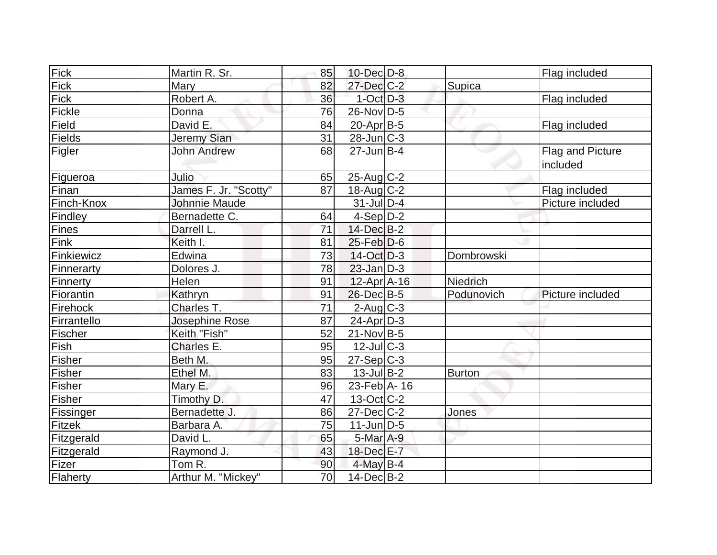| Fick        | Martin R. Sr.         | 85 | $10$ -Dec $D$ -8  |                 | Flag included                |
|-------------|-----------------------|----|-------------------|-----------------|------------------------------|
| Fick        | Mary                  | 82 | $27 - Dec$ $C-2$  | Supica          |                              |
| Fick        | Robert A.             | 36 | $1-Oct$ D-3       |                 | Flag included                |
| Fickle      | Donna                 | 76 | $26$ -Nov $ D-5 $ |                 |                              |
| Field       | David E.              | 84 | $20$ -Apr $B$ -5  |                 | Flag included                |
| Fields      | Jeremy Sian           | 31 | $28$ -Jun $C-3$   |                 |                              |
| Figler      | <b>John Andrew</b>    | 68 | $27$ -Jun $B-4$   |                 | Flag and Picture<br>included |
| Figueroa    | Julio                 | 65 | $25$ -Aug C-2     |                 |                              |
| Finan       | James F. Jr. "Scotty" | 87 | $18$ -Aug C-2     |                 | Flag included                |
| Finch-Knox  | Johnnie Maude         |    | $31$ -JulD-4      |                 | Picture included             |
| Findley     | Bernadette C.         | 64 | $4-Sep D-2$       |                 |                              |
| Fines       | Darrell L.            | 71 | 14-Dec B-2        |                 |                              |
| Fink        | Keith I.              | 81 | $25$ -Feb $D$ -6  |                 |                              |
| Finkiewicz  | Edwina                | 73 | $14-Oct$ D-3      | Dombrowski      |                              |
| Finnerarty  | Dolores J.            | 78 | $23$ -Jan $D-3$   |                 |                              |
| Finnerty    | Helen                 | 91 | $12$ -Apr $ A-16$ | <b>Niedrich</b> |                              |
| Fiorantin   | Kathryn               | 91 | 26-Dec B-5        | Podunovich      | Picture included             |
| Firehock    | Charles T.            | 71 | $2$ -Aug $C-3$    |                 |                              |
| Firrantello | Josephine Rose        | 87 | $24$ -Apr $D-3$   |                 |                              |
| Fischer     | Keith "Fish"          | 52 | $21-Nov B-5$      |                 |                              |
| Fish        | Charles E.            | 95 | $12$ -Jul $C-3$   |                 |                              |
| Fisher      | Beth M.               | 95 | $27-Sep C-3$      |                 |                              |
| Fisher      | Ethel M.              | 83 | $13$ -Jul B-2     | Burton          |                              |
| Fisher      | Mary E.               | 96 | 23-Feb A- 16      |                 |                              |
| Fisher      | Timothy D.            | 47 | 13-Oct C-2        |                 |                              |
| Fissinger   | Bernadette J.         | 86 | $27 - Dec$ $C-2$  | Jones           |                              |
| Fitzek      | Barbara A.            | 75 | $11$ -Jun $ D-5 $ |                 |                              |
| Fitzgerald  | David L.              | 65 | 5-Mar A-9         |                 |                              |
| Fitzgerald  | Raymond J.            | 43 | 18-Dec E-7        |                 |                              |
| Fizer       | Tom R.                | 90 | $4$ -May B-4      |                 |                              |
| Flaherty    | Arthur M. "Mickey"    | 70 | $14$ -Dec $ B-2 $ |                 |                              |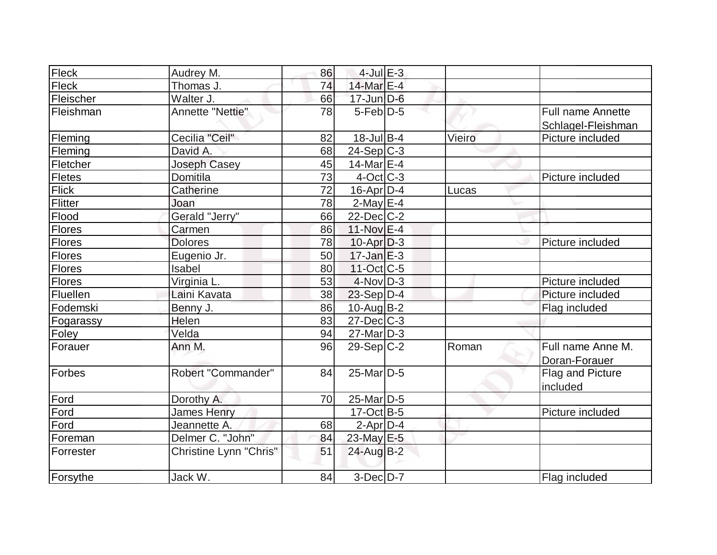| Fleck         | Audrey M.              | 86 | $4$ -Jul $E-3$     |        |                          |
|---------------|------------------------|----|--------------------|--------|--------------------------|
| Fleck         | Thomas J.              | 74 | 14-Mar $E-4$       |        |                          |
| Fleischer     | Walter J.              | 66 | $17$ -Jun $D-6$    |        |                          |
| Fleishman     | Annette "Nettie"       | 78 | $5$ -Feb $D-5$     |        | <b>Full name Annette</b> |
|               |                        |    |                    |        | Schlagel-Fleishman       |
| Fleming       | Cecilia "Ceil"         | 82 | $18$ -Jul B-4      | Vieiro | Picture included         |
| Fleming       | David A.               | 68 | $24-Sep C-3$       |        |                          |
| Fletcher      | Joseph Casey           | 45 | 14-Mar $E-4$       |        |                          |
| Fletes        | Domitila               | 73 | $4-Oct$ $C-3$      |        | Picture included         |
| <b>Flick</b>  | Catherine              | 72 | $16$ -Apr $D-4$    | Lucas  |                          |
| Flitter       | Joan                   | 78 | $2$ -May $E-4$     |        |                          |
| Flood         | Gerald "Jerry"         | 66 | $22$ -Dec $C-2$    |        |                          |
| Flores        | Carmen                 | 86 | 11-Nov E-4         |        |                          |
| <b>Flores</b> | <b>Dolores</b>         | 78 | $10$ -Apr $D-3$    |        | Picture included         |
| Flores        | Eugenio Jr.            | 50 | $17 - Jan \nE - 3$ |        |                          |
| <b>Flores</b> | Isabel                 | 80 | $11-Oct$ $C-5$     |        |                          |
| Flores        | Virginia L.            | 53 | $4$ -Nov $D-3$     |        | Picture included         |
| Fluellen      | Laini Kavata           | 38 | $23-Sep D-4$       |        | Picture included         |
| Fodemski      | Benny J.               | 86 | $10$ -Aug $B - 2$  |        | Flag included            |
| Fogarassy     | Helen                  | 83 | $27 - Dec$ $C-3$   |        |                          |
| Foley         | Velda                  | 94 | $27$ -Mar $ D-3 $  |        |                          |
| Forauer       | Ann M.                 | 96 | $29-Sep C-2$       | Roman  | Full name Anne M.        |
|               |                        |    |                    |        | Doran-Forauer            |
| Forbes        | Robert "Commander"     | 84 | $25$ -Mar $ D-5 $  |        | Flag and Picture         |
|               |                        |    |                    |        | included                 |
| Ford          | Dorothy A.             | 70 | $25$ -Mar $ D-5 $  |        |                          |
| Ford          | <b>James Henry</b>     |    | $17-Oct$ B-5       |        | Picture included         |
| Ford          | Jeannette A.           | 68 | $2$ -Apr $D-4$     |        |                          |
| Foreman       | Delmer C. "John"       | 84 | 23-May E-5         |        |                          |
| Forrester     | Christine Lynn "Chris" | 51 | $24$ -Aug $B-2$    |        |                          |
|               |                        |    |                    |        |                          |
| Forsythe      | Jack W.                | 84 | $3-Dec$ D-7        |        | Flag included            |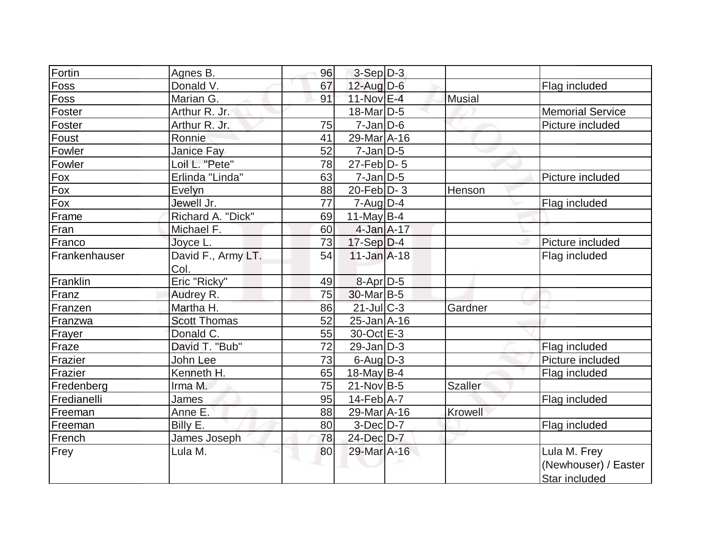| Fortin        | Agnes B.            | 96 | $3-Sep D-3$       |                |                         |
|---------------|---------------------|----|-------------------|----------------|-------------------------|
| Foss          | Donald V.           | 67 | $12$ -Aug D-6     |                | Flag included           |
| Foss          | Marian G.           | 91 | 11-Nov E-4        | <b>Musial</b>  |                         |
| Foster        | Arthur R. Jr.       |    | $18$ -Mar $ D-5 $ |                | <b>Memorial Service</b> |
| Foster        | Arthur R. Jr.       | 75 | $7 - Jan$ $D-6$   |                | Picture included        |
| Foust         | Ronnie              | 41 | 29-Mar A-16       |                |                         |
| Fowler        | Janice Fay          | 52 | $7$ -Jan $ D-5 $  |                |                         |
| Fowler        | Loil L. "Pete"      | 78 | $27$ -Feb $ D-5 $ |                |                         |
| <b>Fox</b>    | Erlinda "Linda"     | 63 | $7$ -Jan $ D-5 $  |                | Picture included        |
| Fox           | Evelyn              | 88 | $20$ -Feb $ D-3 $ | Henson         |                         |
| $F_{0X}$      | Jewell Jr.          | 77 | $7 - Aug   D-4$   |                | Flag included           |
| Frame         | Richard A. "Dick"   | 69 | 11-May $B-4$      |                |                         |
| Fran          | Michael F.          | 60 | $4$ -Jan $A-17$   |                |                         |
| Franco        | Joyce L.            | 73 | $17-Sep D-4$      |                | Picture included        |
| Frankenhauser | David F., Army LT.  | 54 | $11$ -Jan $A$ -18 |                | Flag included           |
|               | Col.                |    |                   |                |                         |
| Franklin      | Eric "Ricky"        | 49 | $8-Apr$ D-5       |                |                         |
| Franz         | Audrey R.           | 75 | $30$ -Mar $ B-5 $ |                |                         |
| Franzen       | Martha H.           | 86 | $21$ -Jul $C-3$   | Gardner        |                         |
| Franzwa       | <b>Scott Thomas</b> | 52 | $25 - Jan$ A-16   |                |                         |
| Frayer        | Donald C.           | 55 | 30-Oct E-3        |                |                         |
| Fraze         | David T. "Bub"      | 72 | $29$ -Jan $ D-3 $ |                | Flag included           |
| Frazier       | John Lee            | 73 | $6$ -Aug $D-3$    |                | Picture included        |
| Frazier       | Kenneth H.          | 65 | 18-May $B-4$      |                | Flag included           |
| Fredenberg    | Irma M.             | 75 | $21-Nov$ B-5      | <b>Szaller</b> |                         |
| Fredianelli   | <b>James</b>        | 95 | $14$ -Feb $ A-7 $ |                | Flag included           |
| Freeman       | Anne E.             | 88 | 29-Mar A-16       | <b>Krowell</b> |                         |
| Freeman       | Billy E.            | 80 | $3-Dec$ D $-7$    |                | Flag included           |
| French        | James Joseph        | 78 | 24-Dec D-7        |                |                         |
| Frey          | Lula M.             | 80 | 29-Mar A-16       |                | Lula M. Frey            |
|               |                     |    |                   |                | (Newhouser) / Easter    |
|               |                     |    |                   |                | Star included           |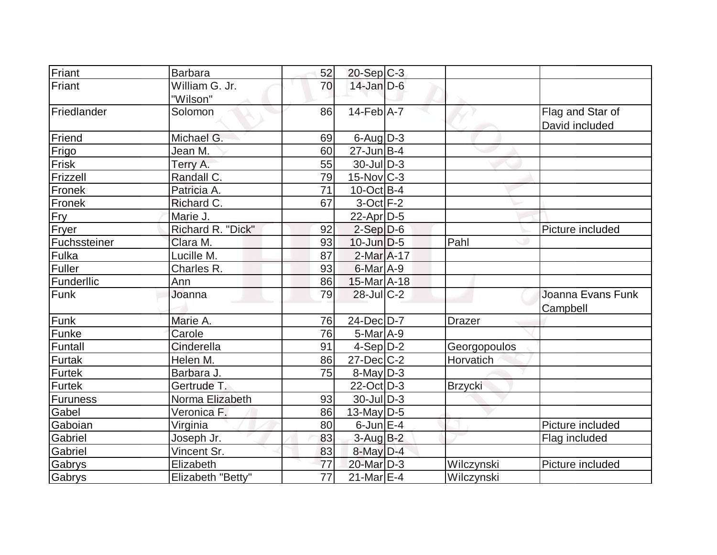| Friant       | Barbara           | 52              | $20-Sep C-3$                |                |                   |
|--------------|-------------------|-----------------|-----------------------------|----------------|-------------------|
| Friant       | William G. Jr.    | 70              | $14$ -Jan D-6               |                |                   |
|              | "Wilson"          |                 |                             |                |                   |
| Friedlander  | Solomon           | 86              | $14$ -Feb $\overline{A}$ -7 |                | Flag and Star of  |
|              |                   |                 |                             |                | David included    |
| Friend       | Michael G.        | 69              | $6$ -Aug $D-3$              |                |                   |
| Frigo        | Jean M.           | 60              | $27$ -Jun $B-4$             |                |                   |
| <b>Frisk</b> | Terry A.          | 55              | $30$ -JulD-3                |                |                   |
| Frizzell     | Randall C.        | 79              | $15$ -Nov $ C-3 $           |                |                   |
| Fronek       | Patricia A.       | 71              | $10$ -Oct B-4               |                |                   |
| Fronek       | Richard C.        | 67              | $3$ -Oct $F-2$              |                |                   |
| Fry          | Marie J.          |                 | $22$ -Apr $D-5$             |                |                   |
| Fryer        | Richard R. "Dick" | 92              | $2-Sep D-6$                 |                | Picture included  |
| Fuchssteiner | Clara M.          | 93              | $10$ -Jun $D-5$             | Pahl           |                   |
| Fulka        | Lucille M.        | 87              | $2$ -Mar $A-17$             |                |                   |
| Fuller       | Charles R.        | 93              | $6$ -Mar $A$ -9             |                |                   |
| Funderllic   | Ann               | 86              | 15-Mar A-18                 |                |                   |
| Funk         | Joanna            | 79              | $28$ -JulC-2                |                | Joanna Evans Funk |
|              |                   |                 |                             |                | Campbell          |
| Funk         | Marie A.          | 76              | 24-Dec D-7                  | Drazer         |                   |
| Funke        | Carole            | 76              | $5-Mar$ A-9                 |                |                   |
| Funtall      | Cinderella        | 91              | $4-Sep D-2$                 | Georgopoulos   |                   |
| Furtak       | Helen M.          | 86              | $27 - Dec$ $C-2$            | Horvatich      |                   |
| Furtek       | Barbara J.        | 75              | $8$ -May $D-3$              |                |                   |
| Furtek       | Gertrude T.       |                 | $22$ -Oct D-3               | <b>Brzycki</b> |                   |
| Furuness     | Norma Elizabeth   | 93              | $30$ -JulD-3                |                |                   |
| Gabel        | Veronica F.       | 86              | 13-May $D-5$                |                |                   |
| Gaboian      | Virginia          | 80              | $6$ -Jun $E-4$              |                | Picture included  |
| Gabriel      | Joseph Jr.        | 83              | $3$ -Aug $B-2$              |                | Flag included     |
| Gabriel      | Vincent Sr.       | 83              | $8$ -May $D-4$              |                |                   |
| Gabrys       | Elizabeth         | 77              | 20-Mar D-3                  | Wilczynski     | Picture included  |
| Gabrys       | Elizabeth "Betty" | $\overline{77}$ | $21$ -Mar $E-4$             | Wilczynski     |                   |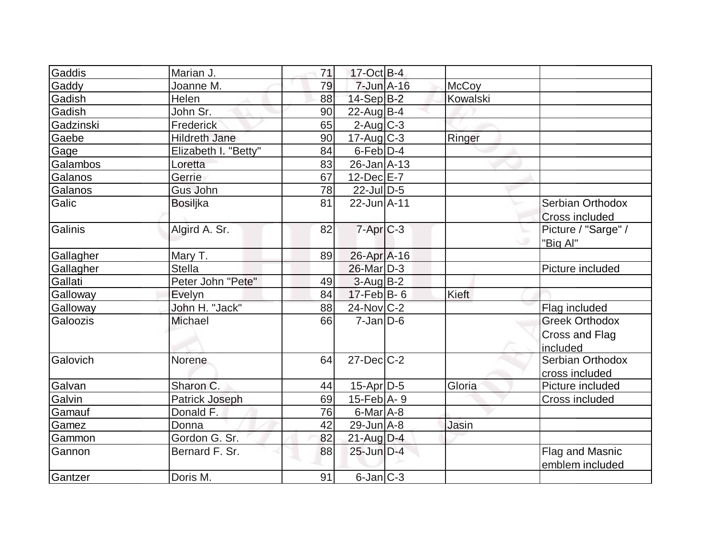| Gaddis    | Marian J.            | 71 | $17-Oct$ B-4      |              |                                                     |
|-----------|----------------------|----|-------------------|--------------|-----------------------------------------------------|
| Gaddy     | Joanne M.            | 79 | $7$ -Jun $A-16$   | <b>McCoy</b> |                                                     |
| Gadish    | Helen                | 88 | $14-Sep$ B-2      | Kowalski     |                                                     |
| Gadish    | John Sr.             | 90 | $22$ -Aug $B-4$   |              |                                                     |
| Gadzinski | Frederick            | 65 | $2$ -Aug $C-3$    |              |                                                     |
| Gaebe     | <b>Hildreth Jane</b> | 90 | $17$ -Aug C-3     | Ringer       |                                                     |
| Gage      | Elizabeth I. "Betty" | 84 | $6$ -Feb $D-4$    |              |                                                     |
| Galambos  | Loretta              | 83 | $26$ -Jan $ A-13$ |              |                                                     |
| Galanos   | Gerrie               | 67 | $12$ -Dec $E - 7$ |              |                                                     |
| Galanos   | <b>Gus John</b>      | 78 | $22$ -JulD-5      |              |                                                     |
| Galic     | <b>Bosiljka</b>      | 81 | $22$ -Jun $A-11$  |              | Serbian Orthodox<br><b>Cross included</b>           |
| Galinis   | Algird A. Sr.        | 82 | $7 - Apr$ $C - 3$ |              | Picture / "Sarge" /<br>ت<br>"Big Al"                |
| Gallagher | Mary T.              | 89 | 26-Apr A-16       |              |                                                     |
| Gallagher | <b>Stella</b>        |    | 26-Mar D-3        |              | Picture included                                    |
| Gallati   | Peter John "Pete"    | 49 | $3$ -Aug B-2      |              |                                                     |
| Galloway  | Evelyn               | 84 | $17$ -Feb $ B-6 $ | Kieft        |                                                     |
| Galloway  | John H. "Jack"       | 88 | 24-Nov C-2        |              | Flag included                                       |
| Galoozis  | <b>Michael</b>       | 66 | $7 - Jan$ $D-6$   |              | <b>Greek Orthodox</b><br>Cross and Flag<br>included |
| Galovich  | Norene               | 64 | $27 - Dec$ $C-2$  |              | Serbian Orthodox<br>cross included                  |
| Galvan    | Sharon C.            | 44 | $15$ -Apr $D-5$   | Gloria       | Picture included                                    |
| Galvin    | Patrick Joseph       | 69 | 15-Feb $A - 9$    |              | Cross included                                      |
| Gamauf    | Donald F.            | 76 | $6$ -Mar $A$ -8   |              |                                                     |
| Gamez     | Donna                | 42 | $29$ -Jun $A-8$   | Jasin        |                                                     |
| Gammon    | Gordon G. Sr.        | 82 | 21-Aug D-4        |              |                                                     |
| Gannon    | Bernard F. Sr.       | 88 | $25$ -Jun $D-4$   |              | Flag and Masnic<br>emblem included                  |
| Gantzer   | Doris M.             | 91 | $6$ -Jan $ C-3 $  |              |                                                     |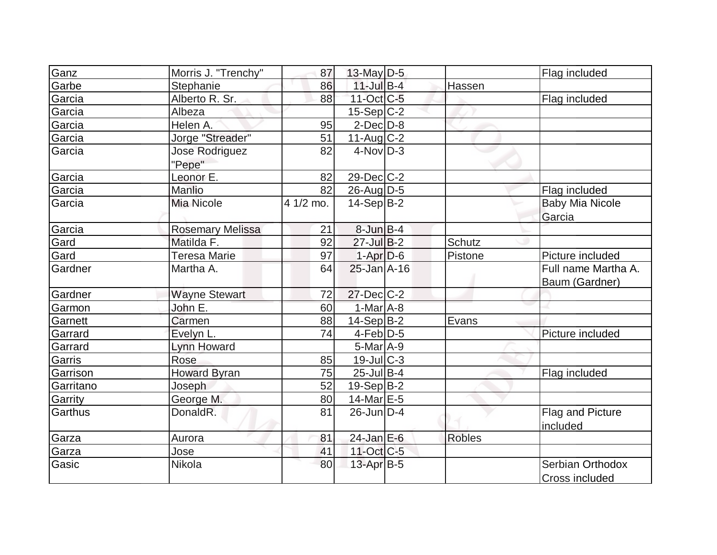| Ganz      | Morris J. "Trenchy"     | 87        | 13-May $D-5$      |               | Flag included          |
|-----------|-------------------------|-----------|-------------------|---------------|------------------------|
| Garbe     | Stephanie               | 86        | $11$ -Jul B-4     | Hassen        |                        |
| Garcia    | Alberto R. Sr.          | 88        | $11-Oct$ $C-5$    |               | Flag included          |
| Garcia    | Albeza                  |           | $15-Sep$ C-2      |               |                        |
| Garcia    | Helen A.                | 95        | $2$ -Dec $D-8$    |               |                        |
| Garcia    | Jorge "Streader"        | 51        | $11-Aug$ $C-2$    |               |                        |
| Garcia    | Jose Rodriguez          | 82        | $4$ -Nov $D-3$    |               |                        |
|           | "Pepe"                  |           |                   |               |                        |
| Garcia    | Leonor E.               | 82        | $29$ -Dec $ C-2 $ |               |                        |
| Garcia    | Manlio                  | 82        | $26$ -Aug $ D-5 $ |               | Flag included          |
| Garcia    | <b>Mia Nicole</b>       | 4 1/2 mo. | $14-Sep B-2$      |               | <b>Baby Mia Nicole</b> |
|           |                         |           |                   |               | Garcia                 |
| Garcia    | <b>Rosemary Melissa</b> | 21        | $8$ -Jun $B-4$    |               |                        |
| Gard      | Matilda F.              | 92        | $27$ -Jul B-2     | Schutz        |                        |
| Gard      | <b>Teresa Marie</b>     | 97        | $1-Apr$ $D-6$     | Pistone       | Picture included       |
| Gardner   | Martha A.               | 64        | $25$ -Jan $A-16$  |               | Full name Martha A.    |
|           |                         |           |                   |               | Baum (Gardner)         |
| Gardner   | <b>Wayne Stewart</b>    | 72        | $27$ -Dec $C-2$   |               |                        |
| Garmon    | John E.                 | 60        | 1-Mar A-8         |               |                        |
| Garnett   | Carmen                  | 88        | $14-Sep B-2$      | Evans         |                        |
| Garrard   | Evelyn L.               | 74        | $4-Feb D-5$       |               | Picture included       |
| Garrard   | <b>Lynn Howard</b>      |           | $5-Mar$ A-9       |               |                        |
| Garris    | Rose                    | 85        | $19$ -Jul $ C-3 $ |               |                        |
| Garrison  | <b>Howard Byran</b>     | 75        | $25$ -Jul B-4     |               | Flag included          |
| Garritano | Joseph                  | 52        | $19-Sep B-2$      |               |                        |
| Garrity   | George M.               | 80        | 14-Mar $E-5$      |               |                        |
| Garthus   | DonaldR.                | 81        | $26$ -Jun $ D-4$  |               | Flag and Picture       |
|           |                         |           |                   |               | included               |
| Garza     | Aurora                  | 81        | $24$ -Jan E-6     | <b>Robles</b> |                        |
| Garza     | Jose                    | 41        | $11$ -Oct $C$ -5  |               |                        |
| Gasic     | Nikola                  | 80        | 13-Apr B-5        |               | Serbian Orthodox       |
|           |                         |           |                   |               | Cross included         |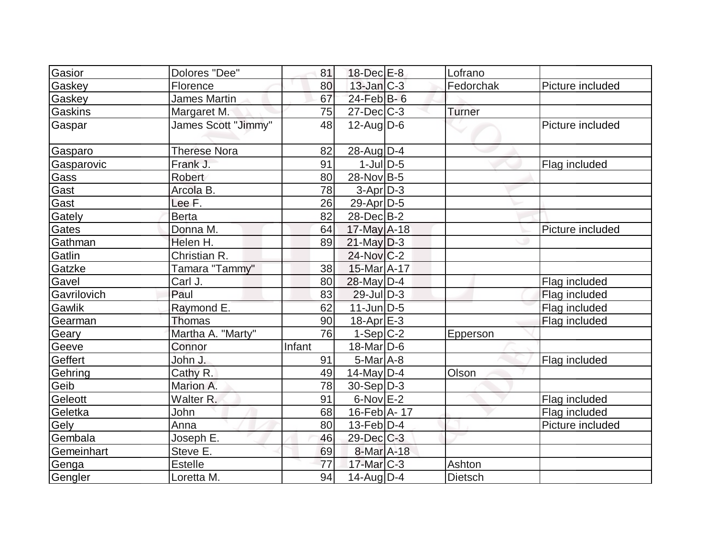| Gasior      | Dolores "Dee"       | 81     | $18$ -Dec $E-8$   | Lofrano        |                  |
|-------------|---------------------|--------|-------------------|----------------|------------------|
| Gaskey      | Florence            | 80     | $13$ -Jan $C-3$   | Fedorchak      | Picture included |
| Gaskey      | <b>James Martin</b> | 67     | $24$ -Feb $B$ -6  |                |                  |
| Gaskins     | Margaret M.         | 75     | $27 - Dec$ $C-3$  | Turner         |                  |
| Gaspar      | James Scott "Jimmy" | 48     | $12$ -Aug $ D-6$  |                | Picture included |
| Gasparo     | <b>Therese Nora</b> | 82     | $28$ -Aug $D-4$   |                |                  |
| Gasparovic  | Frank J.            | 91     | $1$ -JulD-5       |                | Flag included    |
| Gass        | Robert              | 80     | 28-Nov B-5        |                |                  |
| Gast        | Arcola B.           | 78     | $3-Apr D-3$       |                |                  |
| Gast        | Lee F.              | 26     | $29$ -Apr $D-5$   |                |                  |
| Gately      | <b>Berta</b>        | 82     | 28-DecB-2         |                |                  |
| Gates       | Donna M.            | 64     | $17$ -May A-18    |                | Picture included |
| Gathman     | Helen H.            | 89     | $21$ -May $D-3$   |                |                  |
| Gatlin      | Christian R.        |        | $24$ -Nov $ C-2 $ |                |                  |
| Gatzke      | Tamara "Tammy"      | 38     | 15-Mar A-17       |                |                  |
| Gavel       | Carl J.             | 80     | $28$ -May D-4     |                | Flag included    |
| Gavrilovich | Paul                | 83     | $29$ -Jul $D-3$   |                | Flag included    |
| Gawlik      | Raymond E.          | 62     | $11$ -Jun $D-5$   |                | Flag included    |
| Gearman     | Thomas              | 90     | $18$ -Apr $E-3$   |                | Flag included    |
| Geary       | Martha A. "Marty"   | 76     | $1-Sep C-2$       | Epperson       |                  |
| Geeve       | Connor              | Infant | $18$ -Mar $ D-6$  |                |                  |
| Geffert     | John J.             | 91     | $5$ -Mar $A$ -8   |                | Flag included    |
| Gehring     | Cathy R.            | 49     | $14$ -May D-4     | Olson          |                  |
| Geib        | Marion A.           | 78     | $30-Sep D-3$      |                |                  |
| Geleott     | Walter R.           | 91     | $6$ -Nov $E-2$    |                | Flag included    |
| Geletka     | John                | 68     | 16-Feb A-17       |                | Flag included    |
| Gely        | Anna                | 80     | $13$ -Feb $ D-4$  |                | Picture included |
| Gembala     | Joseph E.           | 46     | $29$ -Dec $C-3$   |                |                  |
| Gemeinhart  | Steve E.            | 69     | 8-Mar A-18        |                |                  |
| Genga       | <b>Estelle</b>      | 77     | $17$ -Mar $C-3$   | Ashton         |                  |
| Gengler     | Loretta M.          | 94     | $14$ -Aug $ D-4$  | <b>Dietsch</b> |                  |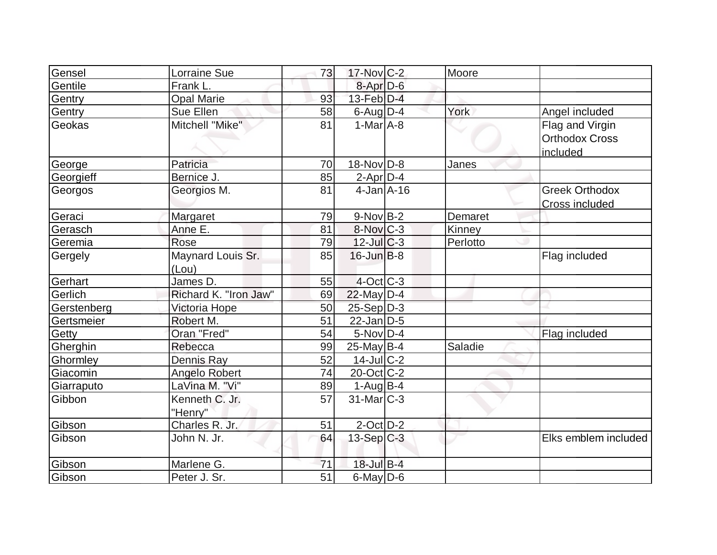| Gensel      | <b>Lorraine Sue</b>   | 73              | $17$ -Nov $C-2$        | Moore    |                                   |
|-------------|-----------------------|-----------------|------------------------|----------|-----------------------------------|
| Gentile     | Frank L.              |                 | 8-Apr D-6              |          |                                   |
| Gentry      | <b>Opal Marie</b>     | 93              | 13-Feb D-4             |          |                                   |
| Gentry      | Sue Ellen             | 58              | $6$ -Aug $D-4$         | York     | Angel included                    |
| Geokas      | Mitchell "Mike"       | 81              | $1-MarA-8$             |          | Flag and Virgin                   |
|             |                       |                 |                        |          | <b>Orthodox Cross</b><br>included |
| George      | Patricia              | 70              | $18-Nov D-8$           | Janes    |                                   |
| Georgieff   | Bernice J.            | 85              | $2$ -Apr $D-4$         |          |                                   |
| Georgos     | Georgios M.           | 81              | $4$ -Jan $A$ -16       |          | <b>Greek Orthodox</b>             |
|             |                       |                 |                        |          | Cross included                    |
| Geraci      | Margaret              | 79              | $9-Nov$ B-2            | Demaret  |                                   |
| Gerasch     | Anne E.               | 81              | $8-Nov$ <sub>C-3</sub> | Kinney   |                                   |
| Geremia     | Rose                  | 79              | $12$ -JulC-3           | Perlotto |                                   |
| Gergely     | Maynard Louis Sr.     | 85              | $16$ -Jun $B$ -8       |          | Flag included                     |
|             | (Lou)                 |                 |                        |          |                                   |
| Gerhart     | James D.              | 55              | $4$ -Oct $ C-3 $       |          |                                   |
| Gerlich     | Richard K. "Iron Jaw" | 69              | $22$ -May D-4          |          |                                   |
| Gerstenberg | Victoria Hope         | 50              | $25 - Sep/D-3$         |          |                                   |
| Gertsmeier  | Robert M.             | 51              | $22$ -Jan $D-5$        |          |                                   |
| Getty       | Oran "Fred"           | 54              | $5-Nov D-4$            |          | Flag included                     |
| Gherghin    | Rebecca               | 99              | $25$ -May B-4          | Saladie  |                                   |
| Ghormley    | <b>Dennis Ray</b>     | 52              | $14$ -Jul $ C-2 $      |          |                                   |
| Giacomin    | <b>Angelo Robert</b>  | 74              | 20-Oct C-2             |          |                                   |
| Giarraputo  | LaVina M. "Vi"        | 89              | $1-Aug$ B-4            |          |                                   |
| Gibbon      | Kenneth C. Jr.        | 57              | $31$ -Mar $ C-3 $      |          |                                   |
|             | "Henry"               |                 |                        |          |                                   |
| Gibson      | Charles R. Jr.        | 51              | $2$ -Oct D-2           |          |                                   |
| Gibson      | John N. Jr.           | 64              | $13-Sep C-3$           |          | Elks emblem included              |
| Gibson      | Marlene G.            | 71              | $18$ -Jul B-4          |          |                                   |
| Gibson      | Peter J. Sr.          | $\overline{51}$ | $6$ -May $D$ -6        |          |                                   |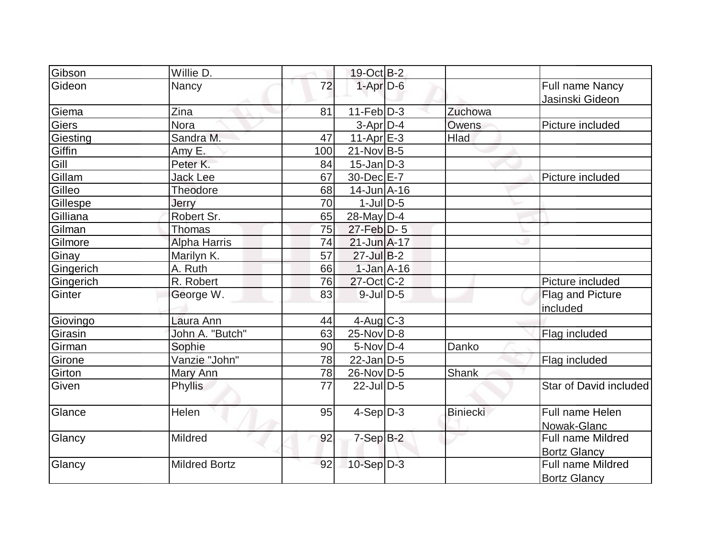| Gibson    | Willie D.            |     | $19-Oct$ B-2      |                 |                                          |
|-----------|----------------------|-----|-------------------|-----------------|------------------------------------------|
| Gideon    | Nancy                | 72  | $1-Apr$ $D-6$     |                 | Full name Nancy<br>Jasinski Gideon       |
| Giema     | Zina                 | 81  | $11-Feb D-3$      | Zuchowa         |                                          |
| Giers     | Nora                 |     | $3-Apr$ D-4       | Owens           | Picture included                         |
| Giesting  | Sandra M.            | 47  | $11-Apr$ $E-3$    | <b>Hlad</b>     |                                          |
| Giffin    | Amy E.               | 100 | $21-Nov B-5$      |                 |                                          |
| Gill      | Peter K.             | 84  | $15$ -Jan $D-3$   |                 |                                          |
| Gillam    | <b>Jack Lee</b>      | 67  | 30-Dec E-7        |                 | Picture included                         |
| Gilleo    | Theodore             | 68  | $14$ -Jun $A$ -16 |                 |                                          |
| Gillespe  | Jerry                | 70  | $1$ -JulD-5       |                 |                                          |
| Gilliana  | Robert Sr.           | 65  | 28-May D-4        |                 |                                          |
| Gilman    | <b>Thomas</b>        | 75  | 27-Feb D-5        |                 |                                          |
| Gilmore   | <b>Alpha Harris</b>  | 74  | $21$ -Jun $A-17$  |                 |                                          |
| Ginay     | Marilyn K.           | 57  | $27$ -Jul B-2     |                 |                                          |
| Gingerich | A. Ruth              | 66  | $1-Jan$ A-16      |                 |                                          |
| Gingerich | R. Robert            | 76  | $27$ -Oct C-2     |                 | Picture included                         |
| Ginter    | George W.            | 83  | $9$ -JulD-5       |                 | Flag and Picture                         |
|           |                      |     |                   |                 | included                                 |
| Giovingo  | Laura Ann            | 44  | $4$ -Aug C-3      |                 |                                          |
| Girasin   | John A. "Butch"      | 63  | $25$ -Nov $ D-8 $ |                 | Flag included                            |
| Girman    | Sophie               | 90  | $5-Nov D-4$       | Danko           |                                          |
| Girone    | Vanzie "John"        | 78  | $22$ -Jan D-5     |                 | Flag included                            |
| Girton    | Mary Ann             | 78  | 26-Nov D-5        | Shank           |                                          |
| Given     | <b>Phyllis</b>       | 77  | $22$ -JulD-5      |                 | Star of David included                   |
| Glance    | Helen                | 95  | $4-Sep D-3$       | <b>Biniecki</b> | Full name Helen<br>Nowak-Glanc           |
| Glancy    | Mildred              | 92  | $7-Sep$ B-2       |                 | Full name Mildred<br><b>Bortz Glancy</b> |
| Glancy    | <b>Mildred Bortz</b> | 92  | $10-Sep D-3$      |                 | Full name Mildred<br><b>Bortz Glancy</b> |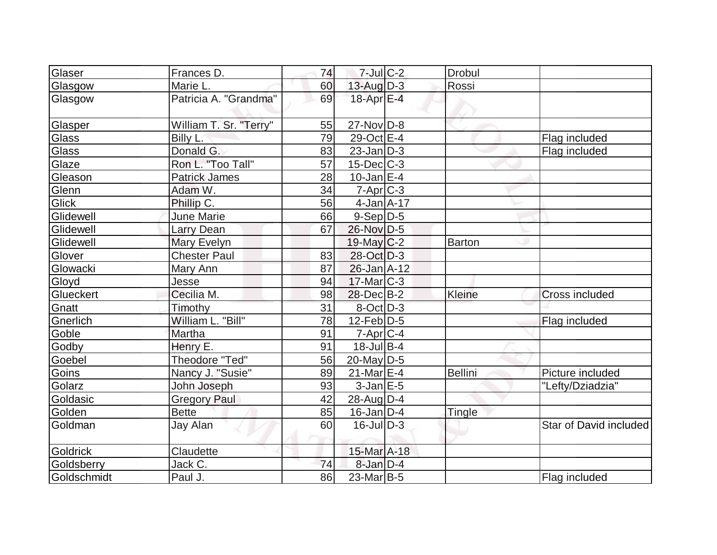| Glaser       | Frances D.             | 74 | $7$ -Jul $C-2$    | <b>Drobul</b>  |                        |
|--------------|------------------------|----|-------------------|----------------|------------------------|
| Glasgow      | Marie L.               | 60 | 13-Aug D-3        | Rossi          |                        |
| Glasgow      | Patricia A. "Grandma"  | 69 | 18-Apr E-4        |                |                        |
| Glasper      | William T. Sr. "Terry" | 55 | $27$ -Nov $D-8$   |                |                        |
| Glass        | Billy L.               | 79 | 29-Oct E-4        |                | Flag included          |
| Glass        | Donald G.              | 83 | $23$ -Jan D-3     |                | Flag included          |
| Glaze        | Ron L. "Too Tall"      | 57 | $15$ -Dec $ C-3 $ |                |                        |
| Gleason      | <b>Patrick James</b>   | 28 | $10$ -Jan $E-4$   |                |                        |
| Glenn        | Adam W.                | 34 | $7 - Apr$ $C - 3$ |                |                        |
| <b>Glick</b> | Phillip C.             | 56 | $4$ -Jan $A$ -17  |                |                        |
| Glidewell    | <b>June Marie</b>      | 66 | $9-Sep D-5$       |                |                        |
| Glidewell    | Larry Dean             | 67 | 26-Nov D-5        |                |                        |
| Glidewell    | Mary Evelyn            |    | $19$ -May C-2     | <b>Barton</b>  |                        |
| Glover       | <b>Chester Paul</b>    | 83 | 28-Oct D-3        |                |                        |
| Glowacki     | Mary Ann               | 87 | 26-Jan A-12       |                |                        |
| Gloyd        | Jesse                  | 94 | $17$ -Mar $ C-3 $ |                |                        |
| Glueckert    | Cecilia M.             | 98 | $28$ -Dec $B-2$   | <b>Kleine</b>  | <b>Cross included</b>  |
| Gnatt        | Timothy                | 31 | $8-Oct$ D-3       |                |                        |
| Gnerlich     | William L. "Bill"      | 78 | $12$ -Feb $ D-5$  |                | Flag included          |
| Goble        | Martha                 | 91 | $7$ -Apr $ C$ -4  |                |                        |
| Godby        | Henry E.               | 91 | $18$ -Jul B-4     |                |                        |
| Goebel       | Theodore "Ted"         | 56 | $20$ -May D-5     |                |                        |
| Goins        | Nancy J. "Susie"       | 89 | $21$ -Mar $E-4$   | <b>Bellini</b> | Picture included       |
| Golarz       | John Joseph            | 93 | $3$ -Jan $E - 5$  |                | "Lefty/Dziadzia"       |
| Goldasic     | <b>Gregory Paul</b>    | 42 | 28-Aug D-4        |                |                        |
| Golden       | <b>Bette</b>           | 85 | $16$ -Jan D-4     | Tingle         |                        |
| Goldman      | Jay Alan               | 60 | $16$ -Jul $D-3$   |                | Star of David included |
| Goldrick     | Claudette              |    | 15-Mar A-18       |                |                        |
| Goldsberry   | Jack C.                | 74 | $8$ -Jan $D-4$    |                |                        |
| Goldschmidt  | Paul J.                | 86 | $23$ -Mar $ B-5$  |                | Flag included          |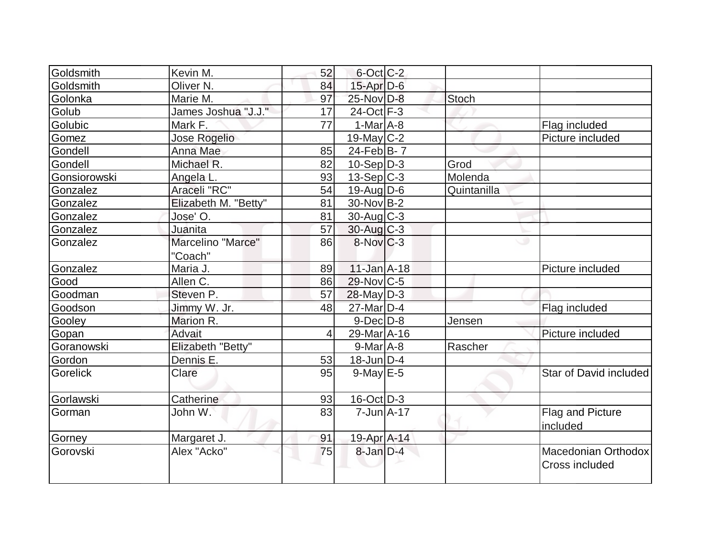| Goldsmith    | Kevin M.             | 52             | $6$ -Oct $ C$ -2       |             |                                       |
|--------------|----------------------|----------------|------------------------|-------------|---------------------------------------|
| Goldsmith    | Oliver <sub>N.</sub> | 84             | $15$ -Apr $D-6$        |             |                                       |
| Golonka      | Marie M.             | 97             | 25-Nov D-8             | Stoch       |                                       |
| Golub        | James Joshua "J.J."  | 17             | 24-Oct F-3             |             |                                       |
|              |                      | 77             | $1-MarA-8$             |             |                                       |
| Golubic      | Mark F.              |                |                        |             | Flag included                         |
| Gomez        | Jose Rogelio         |                | 19-May $C-2$           |             | Picture included                      |
| Gondell      | Anna Mae             | 85             | 24-Feb $B-7$           |             |                                       |
| Gondell      | Michael R.           | 82             | $10-Sep D-3$           | Grod        |                                       |
| Gonsiorowski | Angela L.            | 93             | $13-Sep C-3$           | Molenda     |                                       |
| Gonzalez     | Araceli "RC"         | 54             | $19$ -Aug $D$ -6       | Quintanilla |                                       |
| Gonzalez     | Elizabeth M. "Betty" | 81             | $30$ -Nov $ B-2 $      |             |                                       |
| Gonzalez     | Jose' O.             | 81             | $30$ -Aug C-3          |             |                                       |
| Gonzalez     | Juanita              | 57             | $30$ -Aug C-3          |             |                                       |
| Gonzalez     | Marcelino "Marce"    | 86             | $8-Nov$ <sub>C-3</sub> |             |                                       |
|              | "Coach"              |                |                        |             |                                       |
| Gonzalez     | Maria J.             | 89             | $11$ -Jan $A$ -18      |             | Picture included                      |
| Good         | Allen C.             | 86             | $29-Nov$ C-5           |             |                                       |
| Goodman      | Steven P.            | 57             | $28$ -May $ D-3 $      |             |                                       |
| Goodson      | Jimmy W. Jr.         | 48             | 27-Mar D-4             |             | Flag included                         |
| Gooley       | Marion R.            |                | $9$ -Dec $D$ -8        | Jensen      |                                       |
| Gopan        | Advait               | $\overline{4}$ | 29-Mar A-16            |             | Picture included                      |
| Goranowski   | Elizabeth "Betty"    |                | $9$ -Mar $A$ -8        | Rascher     |                                       |
| Gordon       | Dennis E.            | 53             | $18$ -Jun $ D-4 $      |             |                                       |
| Gorelick     | Clare                | 95             | $9$ -May $E$ -5        |             | Star of David included                |
| Gorlawski    | Catherine            | 93             | $16$ -Oct $D-3$        |             |                                       |
| Gorman       | John W.              | 83             | $7 - Jun A - 17$       |             | Flag and Picture                      |
|              |                      |                |                        |             | included                              |
| Gorney       | Margaret J.          | 91             | 19-Apr A-14            |             |                                       |
| Gorovski     | Alex "Acko"          | 75             | $8$ -Jan $D-4$         |             | Macedonian Orthodox<br>Cross included |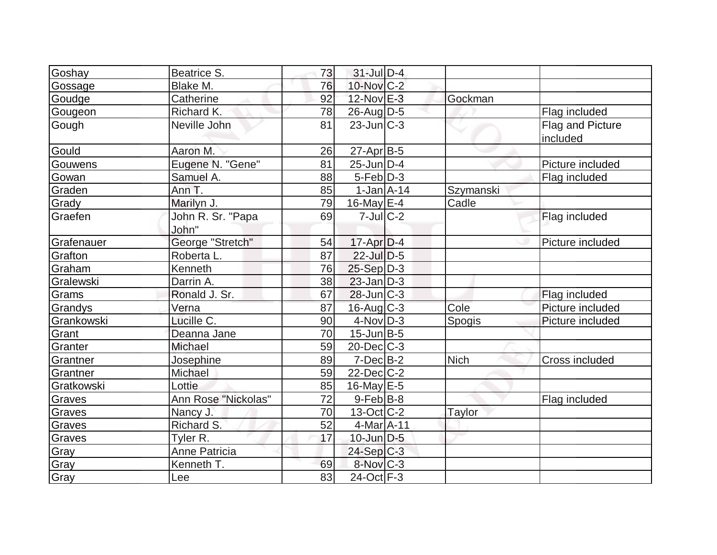| Goshay     | Beatrice S.                | 73 | $31$ -Jul $D-4$   |           |                              |
|------------|----------------------------|----|-------------------|-----------|------------------------------|
| Gossage    | Blake M.                   | 76 | $10$ -Nov $ C-2 $ |           |                              |
| Goudge     | Catherine                  | 92 | 12-Nov E-3        | Gockman   |                              |
| Gougeon    | Richard K.                 | 78 | $26$ -Aug $D-5$   |           | Flag included                |
| Gough      | Neville John               | 81 | $23$ -Jun $ C-3 $ |           | Flag and Picture<br>included |
| Gould      | Aaron M.                   | 26 | 27-Apr B-5        |           |                              |
| Gouwens    | Eugene N. "Gene"           | 81 | $25$ -Jun $ D-4 $ |           | Picture included             |
| Gowan      | Samuel A.                  | 88 | $5-Feb$ $D-3$     |           | Flag included                |
| Graden     | Ann T.                     | 85 | $1-Jan1A-14$      | Szymanski |                              |
| Grady      | Marilyn J.                 | 79 | 16-May $E-4$      | Cadle     |                              |
| Graefen    | John R. Sr. "Papa<br>John" | 69 | $7$ -Jul $C-2$    |           | Flag included                |
| Grafenauer | George "Stretch"           | 54 | $17$ -Apr $ D-4$  |           | Picture included             |
| Grafton    | Roberta L.                 | 87 | $22$ -Jul $D-5$   |           |                              |
| Graham     | Kenneth                    | 76 | $25-Sep$ D-3      |           |                              |
| Gralewski  | Darrin A.                  | 38 | $23$ -Jan D-3     |           |                              |
| Grams      | Ronald J. Sr.              | 67 | $28$ -Jun $ C-3 $ |           | Flag included                |
| Grandys    | Verna                      | 87 | $16$ -Aug C-3     | Cole      | Picture included             |
| Grankowski | Lucille C.                 | 90 | $4$ -Nov $D-3$    | Spogis    | Picture included             |
| Grant      | Deanna Jane                | 70 | $15$ -Jun $B$ -5  |           |                              |
| Granter    | Michael                    | 59 | $20$ -Dec $C-3$   |           |                              |
| Grantner   | Josephine                  | 89 | $7-Dec$ B-2       | Nich      | Cross included               |
| Grantner   | Michael                    | 59 | $22$ -Dec $C$ -2  |           |                              |
| Gratkowski | Lottie                     | 85 | $16$ -May $E-5$   |           |                              |
| Graves     | Ann Rose "Nickolas"        | 72 | $9$ -Feb $ B-8$   |           | Flag included                |
| Graves     | Nancy J.                   | 70 | $13-Oct$ $C-2$    | Taylor    |                              |
| Graves     | Richard S.                 | 52 | $4$ -Mar $A$ -11  |           |                              |
| Graves     | Tyler R.                   | 17 | $10$ -Jun $D-5$   |           |                              |
| Gray       | <b>Anne Patricia</b>       |    | $24-Sep C-3$      |           |                              |
| Gray       | Kenneth T.                 | 69 | 8-Nov C-3         |           |                              |
| Gray       | Lee                        | 83 | 24-Oct F-3        |           |                              |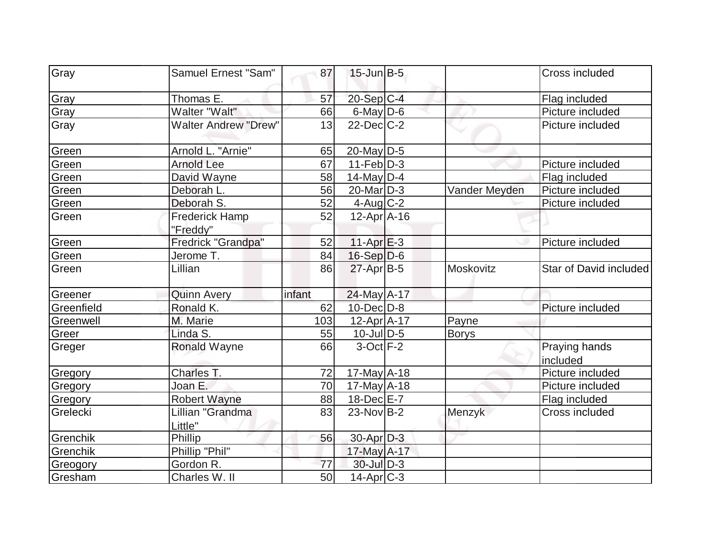| Gray       | Samuel Ernest "Sam"               | 87     | $15$ -Jun $B-5$   |               | Cross included            |
|------------|-----------------------------------|--------|-------------------|---------------|---------------------------|
| Gray       | Thomas E.                         | 57     | $20-Sep C-4$      |               | Flag included             |
| Gray       | Walter "Walt"                     | 66     | $6$ -May $D$ -6   |               | Picture included          |
| Gray       | <b>Walter Andrew "Drew"</b>       | 13     | $22$ -Dec $C-2$   |               | Picture included          |
| Green      | Arnold L. "Arnie"                 | 65     | 20-May D-5        |               |                           |
| Green      | <b>Arnold Lee</b>                 | 67     | $11-Feb D-3$      |               | Picture included          |
| Green      | David Wayne                       | 58     | $14$ -May D-4     |               | Flag included             |
| Green      | Deborah L.                        | 56     | $20$ -Mar $D-3$   | Vander Meyden | Picture included          |
| Green      | Deborah S.                        | 52     | $4$ -Aug C-2      |               | Picture included          |
| Green      | <b>Frederick Hamp</b><br>"Freddy" | 52     | 12-Apr A-16       |               |                           |
| Green      | Fredrick "Grandpa"                | 52     | $11-Apr$ $E-3$    |               | Picture included          |
| Green      | Jerome T.                         | 84     | $16-Sep D-6$      |               |                           |
| Green      | Lillian                           | 86     | $27$ -Apr $B$ -5  | Moskovitz     | Star of David included    |
| Greener    | <b>Quinn Avery</b>                | infant | 24-May A-17       |               |                           |
| Greenfield | Ronald K.                         | 62     | $10$ -Dec $ D-8 $ |               | Picture included          |
| Greenwell  | M. Marie                          | 103    | $12$ -Apr $A$ -17 | Payne         |                           |
| Greer      | Linda S.                          | 55     | $10$ -Jul $D-5$   | <b>Borys</b>  |                           |
| Greger     | <b>Ronald Wayne</b>               | 66     | $3-Oct$ F-2       |               | Praying hands<br>included |
| Gregory    | Charles T.                        | 72     | $17$ -May A-18    |               | Picture included          |
| Gregory    | Joan E.                           | 70     | $17$ -May $A$ -18 |               | Picture included          |
| Gregory    | <b>Robert Wayne</b>               | 88     | 18-Dec E-7        |               | Flag included             |
| Grelecki   | Lillian "Grandma<br>Little"       | 83     | $23-Nov B-2$      | Menzyk        | Cross included            |
| Grenchik   | Phillip                           | 56     | 30-Apr D-3        |               |                           |
| Grenchik   | Phillip "Phil"                    |        | 17-May A-17       |               |                           |
| Greogory   | Gordon R.                         | 77     | $30$ -Jul $D-3$   |               |                           |
| Gresham    | Charles W. II                     | 50     | $14$ -Apr $ C-3 $ |               |                           |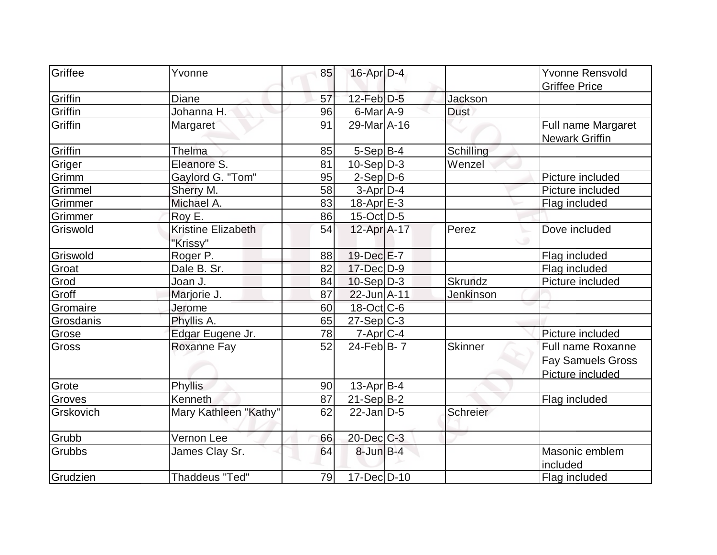| Griffee   | Yvonne                                | 85 |                   |                  | <b>Yvonne Rensvold</b>                                            |
|-----------|---------------------------------------|----|-------------------|------------------|-------------------------------------------------------------------|
|           |                                       |    | $16$ -Apr $D-4$   |                  | <b>Griffee Price</b>                                              |
| Griffin   | <b>Diane</b>                          | 57 | $12$ -Feb $D-5$   | Jackson          |                                                                   |
| Griffin   | Johanna H.                            | 96 | $6$ -Mar $A$ -9   | <b>Dust</b>      |                                                                   |
| Griffin   | Margaret                              | 91 | 29-Mar A-16       |                  | Full name Margaret<br><b>Newark Griffin</b>                       |
| Griffin   | Thelma                                | 85 | $5-Sep B-4$       | Schilling        |                                                                   |
| Griger    | Eleanore S.                           | 81 | $10-Sep D-3$      | Wenzel           |                                                                   |
| Grimm     | Gaylord G. "Tom"                      | 95 | $2-Sep$ D-6       |                  | Picture included                                                  |
| Grimmel   | Sherry M.                             | 58 | $3-Apr$ D-4       |                  | Picture included                                                  |
| Grimmer   | Michael A.                            | 83 | 18-Apr E-3        |                  | Flag included                                                     |
| Grimmer   | Roy E.                                | 86 | $15$ -Oct D-5     |                  |                                                                   |
| Griswold  | <b>Kristine Elizabeth</b><br>"Krissy" | 54 | 12-Apr A-17       | Perez            | Dove included                                                     |
| Griswold  | Roger <sub>P.</sub>                   | 88 | 19-Dec E-7        |                  | Flag included                                                     |
| Groat     | Dale B. Sr.                           | 82 | 17-Dec D-9        |                  | Flag included                                                     |
| Grod      | Joan J.                               | 84 | $10-Sep D-3$      | <b>Skrundz</b>   | Picture included                                                  |
| Groff     | Marjorie J.                           | 87 | $22 - Jun   A-11$ | <b>Jenkinson</b> |                                                                   |
| Gromaire  | Jerome                                | 60 | 18-Oct C-6        |                  |                                                                   |
| Grosdanis | Phyllis A.                            | 65 | $27-Sep C-3$      |                  |                                                                   |
| Grose     | Edgar Eugene Jr.                      | 78 | $7$ -Apr $C$ -4   |                  | Picture included                                                  |
| Gross     | Roxanne Fay                           | 52 | $24$ -Feb $B$ - 7 | <b>Skinner</b>   | Full name Roxanne<br><b>Fay Samuels Gross</b><br>Picture included |
| Grote     | <b>Phyllis</b>                        | 90 | 13-Apr B-4        |                  |                                                                   |
| Groves    | Kenneth                               | 87 | $21-Sep$ B-2      |                  | Flag included                                                     |
| Grskovich | Mary Kathleen "Kathy"                 | 62 | $22$ -Jan $ D-5 $ | Schreier         |                                                                   |
| Grubb     | Vernon Lee                            | 66 | 20-Dec C-3        |                  |                                                                   |
| Grubbs    | James Clay Sr.                        | 64 | $8$ -Jun $B-4$    |                  | Masonic emblem<br>included                                        |
| Grudzien  | <b>Thaddeus "Ted"</b>                 | 79 | 17-Dec D-10       |                  | Flag included                                                     |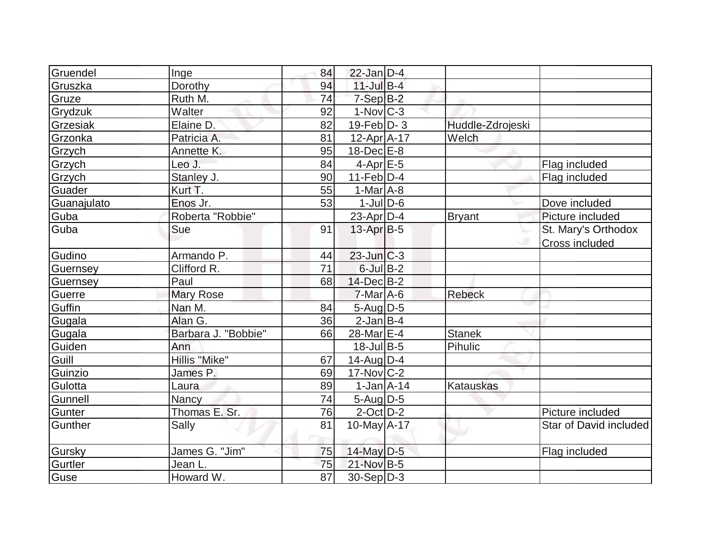| Gruendel    | Inge                | 84              | $22$ -Jan $D-4$    |                  |                        |
|-------------|---------------------|-----------------|--------------------|------------------|------------------------|
| Gruszka     | Dorothy             | 94              | $11$ -Jul B-4      |                  |                        |
| Gruze       | Ruth M.             | 74              | $7-Sep$ $B-2$      |                  |                        |
| Grydzuk     | Walter              | 92              | $1-Nov$ $C-3$      |                  |                        |
| Grzesiak    | Elaine D.           | 82              | $19$ -Feb $ D-3 $  | Huddle-Zdrojeski |                        |
| Grzonka     | Patricia A.         | 81              | $12$ -Apr $A$ -17  | Welch            |                        |
| Grzych      | Annette K.          | 95              | $18$ -Dec $E$ -8   |                  |                        |
| Grzych      | Leo J.              | 84              | $4$ -Apr $E$ -5    |                  | Flag included          |
| Grzych      | Stanley J.          | 90              | $11-Feb D-4$       |                  | Flag included          |
| Guader      | Kurt T.             | 55              | $1-Mar$ A-8        |                  |                        |
| Guanajulato | Enos Jr.            | 53              | $1$ -Jul $D$ -6    |                  | Dove included          |
| Guba        | Roberta "Robbie"    |                 | 23-Apr $D-4$       | <b>Bryant</b>    | Picture included       |
| Guba        | Sue                 | 91              | $13$ -Apr $B$ -5   |                  | St. Mary's Orthodox    |
|             |                     |                 |                    |                  | Cross included         |
| Gudino      | Armando P.          | 44              | $23$ -Jun $ C-3 $  |                  |                        |
| Guernsey    | Clifford R.         | 71              | $6$ -Jul $B-2$     |                  |                        |
| Guernsey    | Paul                | 68              | $14$ -Dec $B-2$    |                  |                        |
| Guerre      | <b>Mary Rose</b>    |                 | $7$ -Mar $A$ -6    | <b>Rebeck</b>    |                        |
| Guffin      | Nan M.              | 84              | $5$ -Aug $D-5$     |                  |                        |
| Gugala      | Alan G.             | 36              | $2$ -Jan B-4       |                  |                        |
| Gugala      | Barbara J. "Bobbie" | 66              | 28-Mar E-4         | <b>Stanek</b>    |                        |
| Guiden      | Ann                 |                 | $18 -$ Jul $B - 5$ | Pihulic          |                        |
| Guill       | Hillis "Mike"       | 67              | $14$ -Aug $D-4$    |                  |                        |
| Guinzio     | James P.            | 69              | $17$ -Nov $ C-2 $  |                  |                        |
| Gulotta     | Laura               | 89              | $1-Jan1A-14$       | <b>Katauskas</b> |                        |
| Gunnell     | Nancy               | 74              | 5-Aug D-5          |                  |                        |
| Gunter      | Thomas E. Sr.       | 76              | $2$ -Oct $D-2$     |                  | Picture included       |
| Gunther     | Sally               | 81              | 10-May $A-17$      |                  | Star of David included |
| Gursky      | James G. "Jim"      | 75              | 14-May D-5         |                  | Flag included          |
| Gurtler     | Jean L.             | 75              | 21-Nov B-5         |                  |                        |
| Guse        | Howard W.           | $\overline{87}$ | 30-Sep D-3         |                  |                        |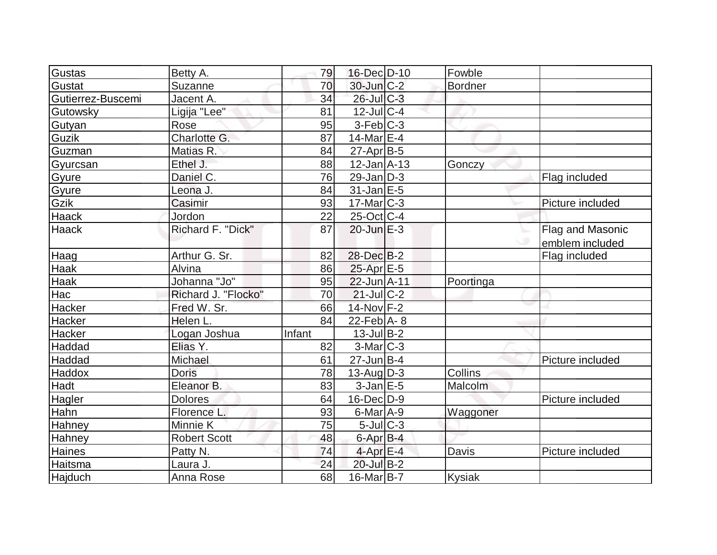| Gustas            | Betty A.            | 79     | 16-Dec D-10       | Fowble         |                  |
|-------------------|---------------------|--------|-------------------|----------------|------------------|
| Gustat            | Suzanne             | 70     | $30$ -Jun $C-2$   | <b>Bordner</b> |                  |
| Gutierrez-Buscemi | Jacent A.           | 34     | 26-Jul C-3        |                |                  |
| Gutowsky          | Ligija "Lee"        | 81     | $12$ -Jul $C-4$   |                |                  |
| Gutyan            | Rose                | 95     | $3-Feb C-3$       |                |                  |
| Guzik             | Charlotte G.        | 87     | 14-Mar $E-4$      |                |                  |
| Guzman            | Matias R.           | 84     | $27$ -Apr $ B-5$  |                |                  |
| Gyurcsan          | Ethel J.            | 88     | $12$ -Jan $A$ -13 | Gonczy         |                  |
| Gyure             | Daniel C.           | 76     | $29$ -Jan D-3     |                | Flag included    |
| Gyure             | Leona J.            | 84     | $31$ -Jan $E-5$   |                |                  |
| Gzik              | Casimir             | 93     | $17$ -Mar $ C-3 $ |                | Picture included |
| <b>Haack</b>      | Jordon              | 22     | $25$ -Oct $ C-4 $ |                |                  |
| <b>Haack</b>      | Richard F. "Dick"   | 87     | $20$ -Jun $E-3$   |                | Flag and Masonic |
|                   |                     |        |                   |                | emblem included  |
| Haag              | Arthur G. Sr.       | 82     | 28-Dec B-2        |                | Flag included    |
| Haak              | Alvina              | 86     | $25$ -Apr $E$ -5  |                |                  |
| Haak              | Johanna "Jo"        | 95     | 22-Jun A-11       | Poortinga      |                  |
| Hac               | Richard J. "Flocko" | 70     | $21$ -Jul $C-2$   |                |                  |
| Hacker            | Fred W. Sr.         | 66     | $14$ -Nov $F-2$   |                |                  |
| Hacker            | Helen L.            | 84     | 22-Feb $A - 8$    |                |                  |
| Hacker            | Logan Joshua        | Infant | $13$ -Jul B-2     |                |                  |
| Haddad            | Elias Y.            | 82     | $3-Mar$ $C-3$     |                |                  |
| Haddad            | Michael             | 61     | $27$ -Jun $B-4$   |                | Picture included |
| Haddox            | <b>Doris</b>        | 78     | $13$ -Aug $D-3$   | Collins        |                  |
| Hadt              | Eleanor B.          | 83     | $3$ -Jan $E$ -5   | Malcolm        |                  |
| Hagler            | <b>Dolores</b>      | 64     | $16$ -Dec $D-9$   |                | Picture included |
| Hahn              | Florence L.         | 93     | $6$ -Mar $A$ -9   | Waggoner       |                  |
| Hahney            | Minnie K            | 75     | $5$ -Jul $C-3$    |                |                  |
| Hahney            | <b>Robert Scott</b> | 48     | 6-Apr B-4         |                |                  |
| Haines            | Patty N.            | 74     | $4$ -Apr $E-4$    | Davis          | Picture included |
| Haitsma           | Laura J.            | 24     | 20-Jul B-2        |                |                  |
| Hajduch           | Anna Rose           | 68     | $16$ -Mar $ B-7 $ | <b>Kysiak</b>  |                  |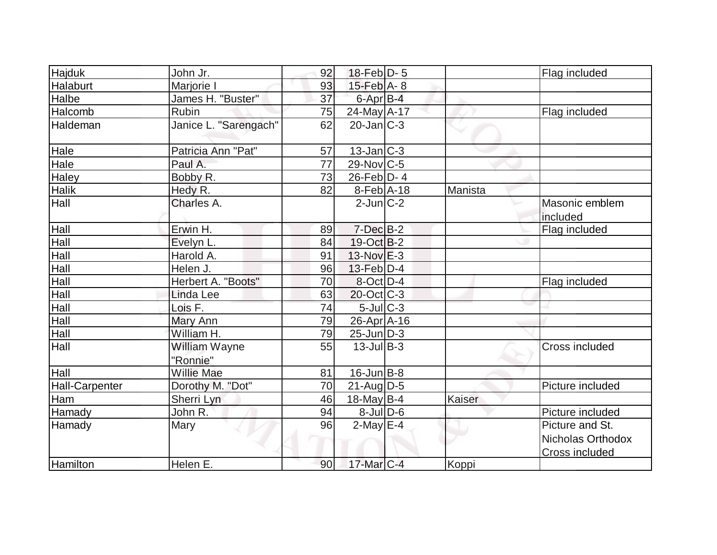| Hajduk                | John Jr.                  | 92 | $18$ -Feb $D-5$   |         | Flag included                                                 |
|-----------------------|---------------------------|----|-------------------|---------|---------------------------------------------------------------|
| Halaburt              | Marjorie I                | 93 | $15$ -Feb $A$ - 8 |         |                                                               |
| Halbe                 | James H. "Buster"         | 37 | 6-Apr B-4         |         |                                                               |
| Halcomb               | Rubin                     | 75 | 24-May A-17       |         | Flag included                                                 |
| Haldeman              | Janice L. "Sarengach"     | 62 | $20$ -Jan $ C-3 $ |         |                                                               |
| Hale                  | Patricia Ann "Pat"        | 57 | $13$ -Jan $ C-3 $ |         |                                                               |
| Hale                  | Paul A.                   | 77 | $29$ -Nov $ C-5 $ |         |                                                               |
| Haley                 | Bobby R.                  | 73 | $26$ -Feb $ D-4 $ |         |                                                               |
| <b>Halik</b>          | Hedy R.                   | 82 | $8-Feb$ A-18      | Manista |                                                               |
| Hall                  | Charles A.                |    | $2$ -Jun $C-2$    |         | Masonic emblem<br>included                                    |
| Hall                  | Erwin H.                  | 89 | $7$ -Dec $B-2$    |         | Flag included                                                 |
| Hall                  | Evelyn L.                 | 84 | $19-Oct$ B-2      |         |                                                               |
| Hall                  | Harold A.                 | 91 | $13-Nov$ E-3      |         |                                                               |
| Hall                  | Helen J.                  | 96 | 13-Feb D-4        |         |                                                               |
| Hall                  | Herbert A. "Boots"        | 70 | 8-Oct D-4         |         | Flag included                                                 |
| Hall                  | Linda Lee                 | 63 | $20$ -Oct C-3     |         |                                                               |
| Hall                  | Lois F.                   | 74 | $5$ -Jul $C-3$    |         |                                                               |
| Hall                  | Mary Ann                  | 79 | $26$ -Apr $A$ -16 |         |                                                               |
| Hall                  | William H.                | 79 | $25$ -Jun $D-3$   |         |                                                               |
| Hall                  | William Wayne<br>"Ronnie" | 55 | $13$ -Jul B-3     |         | Cross included                                                |
| Hall                  | <b>Willie Mae</b>         | 81 | $16$ -Jun $B - 8$ |         |                                                               |
| <b>Hall-Carpenter</b> | Dorothy M. "Dot"          | 70 | $21$ -Aug $D-5$   |         | Picture included                                              |
| Ham                   | Sherri Lyn                | 46 | 18-May $B-4$      | Kaiser  |                                                               |
| Hamady                | John R.                   | 94 | $8$ -Jul $D$ -6   |         | Picture included                                              |
| Hamady                | Mary                      | 96 | $2$ -May $E-4$    |         | Picture and St.<br>Nicholas Orthodox<br><b>Cross included</b> |
| Hamilton              | Helen E.                  | 90 | $17$ -Mar $ C-4 $ | Koppi   |                                                               |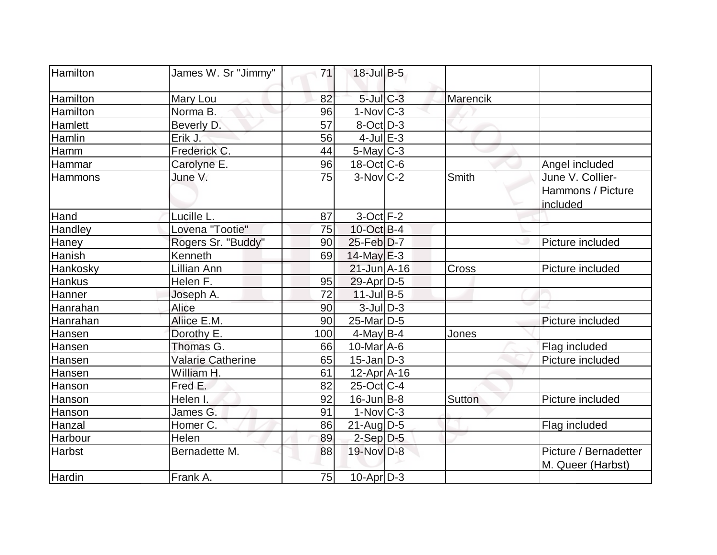| Hamilton       | James W. Sr "Jimmy"      | 71  | $18$ -Jul B-5           |          |                                                   |
|----------------|--------------------------|-----|-------------------------|----------|---------------------------------------------------|
| Hamilton       | Mary Lou                 | 82  | $5$ -Jul $C$ -3         | Marencik |                                                   |
| Hamilton       | Norma B.                 | 96  | $1-Nov$ <sub>C</sub> -3 |          |                                                   |
| Hamlett        | Beverly D.               | 57  | $8$ -Oct $D-3$          |          |                                                   |
| Hamlin         | Erik J.                  | 56  | $4$ -Jul $E-3$          |          |                                                   |
| Hamm           | Frederick C.             | 44  | $5$ -May $C-3$          |          |                                                   |
| Hammar         | Carolyne E.              | 96  | $18$ -Oct C-6           |          | Angel included                                    |
| <b>Hammons</b> | June V.                  | 75  | $3-Novc-2$              | Smith    | June V. Collier-<br>Hammons / Picture<br>included |
| Hand           | Lucille L.               | 87  | $3$ -Oct $F-2$          |          |                                                   |
| Handley        | Lovena "Tootie"          | 75  | $10$ -Oct B-4           |          |                                                   |
| Haney          | Rogers Sr. "Buddy"       | 90  | $25$ -Feb $D-7$         |          | Picture included                                  |
| Hanish         | Kenneth                  | 69  | $14$ -May $E-3$         |          |                                                   |
| Hankosky       | Lillian Ann              |     | $21$ -Jun $A-16$        | Cross    | Picture included                                  |
| Hankus         | Helen F.                 | 95  | $29$ -Apr $ D-5$        |          |                                                   |
| Hanner         | Joseph A.                | 72  | $11$ -Jul B-5           |          |                                                   |
| Hanrahan       | Alice                    | 90  | $3$ -Jul $D-3$          |          |                                                   |
| Hanrahan       | Aliice E.M.              | 90  | 25-Mar <sub>D-5</sub>   |          | Picture included                                  |
| Hansen         | Dorothy E.               | 100 | $4$ -May B-4            | Jones    |                                                   |
| Hansen         | Thomas G.                | 66  | $10$ -Mar $A$ -6        |          | Flag included                                     |
| Hansen         | <b>Valarie Catherine</b> | 65  | $15$ -Jan $ D-3 $       |          | Picture included                                  |
| Hansen         | William H.               | 61  | $12$ -Apr $ A-16$       |          |                                                   |
| Hanson         | Fred E.                  | 82  | $25$ -Oct C-4           |          |                                                   |
| Hanson         | Helen I.                 | 92  | $16$ -Jun $ B-8 $       | Sutton   | Picture included                                  |
| Hanson         | James G.                 | 91  | $1-Nov$ $C-3$           |          |                                                   |
| Hanzal         | Homer C.                 | 86  | $21$ -Aug $D-5$         |          | Flag included                                     |
| Harbour        | Helen                    | 89  | $2-Sep$ D-5             |          |                                                   |
| <b>Harbst</b>  | Bernadette M.            | 88  | 19-Nov D-8              |          | Picture / Bernadetter<br>M. Queer (Harbst)        |
| Hardin         | Frank A.                 | 75  | $10$ -Apr $ D-3 $       |          |                                                   |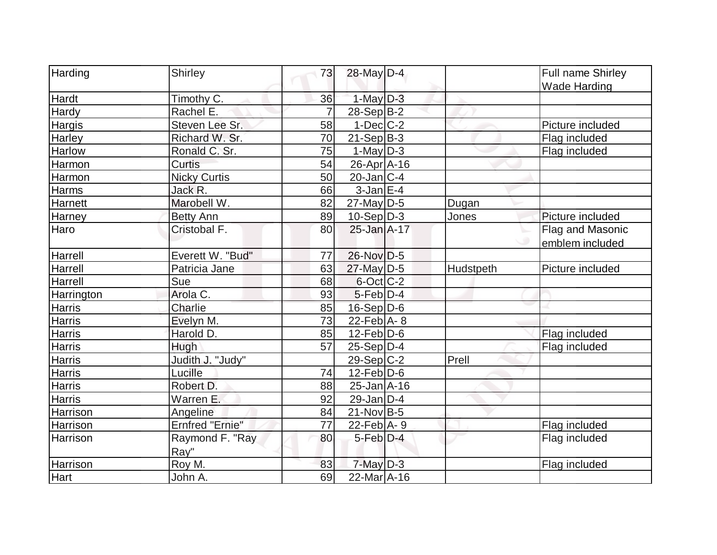| Harding       | <b>Shirley</b>         | 73             | 28-May D-4        |           | <b>Full name Shirley</b> |
|---------------|------------------------|----------------|-------------------|-----------|--------------------------|
|               |                        |                |                   |           | <b>Wade Harding</b>      |
| Hardt         | Timothy C.             | 36             | $1$ -May $D-3$    |           |                          |
| Hardy         | Rachel E.              | $\overline{7}$ | 28-Sep B-2        |           |                          |
| Hargis        | Steven Lee Sr.         | 58             | $1-Dec$ $C-2$     |           | Picture included         |
| Harley        | Richard W. Sr.         | 70             | $21-Sep B-3$      |           | Flag included            |
| Harlow        | Ronald C. Sr.          | 75             | $1-May D-3$       |           | Flag included            |
| Harmon        | Curtis                 | 54             | 26-Apr A-16       |           |                          |
| Harmon        | <b>Nicky Curtis</b>    | 50             | $20$ -Jan $ C-4 $ |           |                          |
| Harms         | Jack R.                | 66             | $3$ -Jan $E-4$    |           |                          |
| Harnett       | Marobell W.            | 82             | $27$ -May D-5     | Dugan     |                          |
| Harney        | <b>Betty Ann</b>       | 89             | $10-Sep D-3$      | Jones     | Picture included         |
| Haro          | Cristobal F.           | 80             | 25-Jan A-17       |           | Flag and Masonic         |
|               |                        |                |                   |           | emblem included          |
| Harrell       | Everett W. "Bud"       | 77             | 26-Nov D-5        |           |                          |
| Harrell       | Patricia Jane          | 63             | 27-May D-5        | Hudstpeth | Picture included         |
| Harrell       | Sue                    | 68             | $6$ -Oct C-2      |           |                          |
| Harrington    | Arola C.               | 93             | $5$ -Feb $D-4$    |           |                          |
| <b>Harris</b> | Charlie                | 85             | $16-Sep D-6$      |           |                          |
| Harris        | Evelyn M.              | 73             | 22-Feb $A - 8$    |           |                          |
| Harris        | Harold D.              | 85             | $12$ -Feb $ D-6$  |           | Flag included            |
| Harris        | Hugh                   | 57             | $25-Sep D-4$      |           | Flag included            |
| <b>Harris</b> | Judith J. "Judy"       |                | $29-Sep C-2$      | Prell     |                          |
| Harris        | Lucille                | 74             | $12$ -Feb $D-6$   |           |                          |
| Harris        | Robert D.              | 88             | $25 - Jan$ A-16   |           |                          |
| <b>Harris</b> | Warren E.              | 92             | $29$ -Jan $D-4$   |           |                          |
| Harrison      | Angeline               | 84             | $21-Nov B-5$      |           |                          |
| Harrison      | <b>Ernfred "Ernie"</b> | 77             | $22$ -Feb A-9     |           | Flag included            |
| Harrison      | Raymond F. "Ray        | 80             | $5$ -Feb $D-4$    |           | Flag included            |
|               | Ray"                   |                |                   |           |                          |
| Harrison      | Roy M.                 | 83             | $7$ -May $D-3$    |           | Flag included            |
| Hart          | John A.                | 69             | $22$ -Mar $A-16$  |           |                          |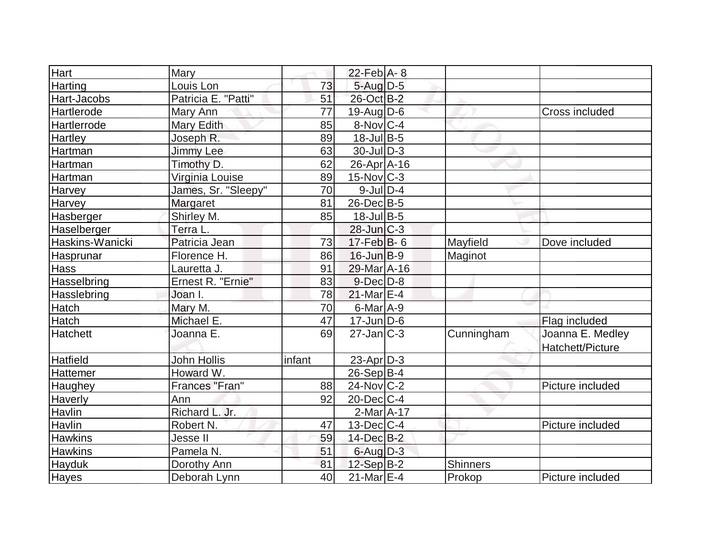| Hart               | Mary                |        | $22$ -Feb $A-8$                    |                 |                  |
|--------------------|---------------------|--------|------------------------------------|-----------------|------------------|
| Harting            | Louis Lon           | 73     | $5$ -Aug $D-5$                     |                 |                  |
| Hart-Jacobs        | Patricia E. "Patti" | 51     | 26-Oct B-2                         |                 |                  |
| Hartlerode         | Mary Ann            | 77     | $19$ -AugD-6                       |                 | Cross included   |
| <b>Hartlerrode</b> | Mary Edith          | 85     | $8-Nov C-4$                        |                 |                  |
| Hartley            | Joseph R.           | 89     | 18-Jul B-5                         |                 |                  |
| Hartman            | Jimmy Lee           | 63     | $30$ -JulD-3                       |                 |                  |
| Hartman            | Timothy D.          | 62     | $26$ -Apr $A$ -16                  |                 |                  |
| Hartman            | Virginia Louise     | 89     | $15$ -Nov $ C-3 $                  |                 |                  |
| Harvey             | James, Sr. "Sleepy" | 70     | $9$ -Jul $D-4$                     |                 |                  |
| Harvey             | Margaret            | 81     | $26$ -Dec $B$ -5                   |                 |                  |
| Hasberger          | Shirley M.          | 85     | $18$ -Jul B-5                      |                 |                  |
| Haselberger        | Terra L.            |        | $28$ -Jun $C-3$                    |                 |                  |
| Haskins-Wanicki    | Patricia Jean       | 73     | $17$ -Feb $ B-6 $                  | Mayfield        | Dove included    |
| Hasprunar          | Florence H.         | 86     | $16$ -Jun $B-9$                    | Maginot         |                  |
| Hass               | Lauretta J.         | 91     | 29-Mar A-16                        |                 |                  |
| Hasselbring        | Ernest R. "Ernie"   | 83     | $9$ -Dec $D$ -8                    |                 |                  |
| Hasslebring        | Joan I.             | 78     | $21$ -Mar $E-4$                    |                 |                  |
| Hatch              | Mary M.             | 70     | 6-Mar A-9                          |                 |                  |
| <b>Hatch</b>       | Michael E.          | 47     | $17$ -Jun $ D-6$                   |                 | Flag included    |
| <b>Hatchett</b>    | Joanna E.           | 69     | $27$ -Jan $\overline{\text{C}}$ -3 | Cunningham      | Joanna E. Medley |
|                    |                     |        |                                    |                 | Hatchett/Picture |
| <b>Hatfield</b>    | <b>John Hollis</b>  | infant | $23$ -Apr $D-3$                    |                 |                  |
| Hattemer           | Howard W.           |        | $26-Sep B-4$                       |                 |                  |
| <b>Haughey</b>     | Frances "Fran"      | 88     | $24$ -Nov $ C-2 $                  |                 | Picture included |
| Haverly            | Ann                 | 92     | $20$ -Dec $C-4$                    |                 |                  |
| Havlin             | Richard L. Jr.      |        | $2-Mar1A-17$                       |                 |                  |
| Havlin             | Robert N.           | 47     | $13$ -Dec $C-4$                    |                 | Picture included |
| <b>Hawkins</b>     | Jesse II            | 59     | $14$ -Dec $B-2$                    |                 |                  |
| <b>Hawkins</b>     | Pamela N.           | 51     | $6$ -Aug $D-3$                     |                 |                  |
| Hayduk             | Dorothy Ann         | 81     | $12-Sep$ B-2                       | <b>Shinners</b> |                  |
| <b>Hayes</b>       | Deborah Lynn        | 40     | $21$ -Mar $E-4$                    | Prokop          | Picture included |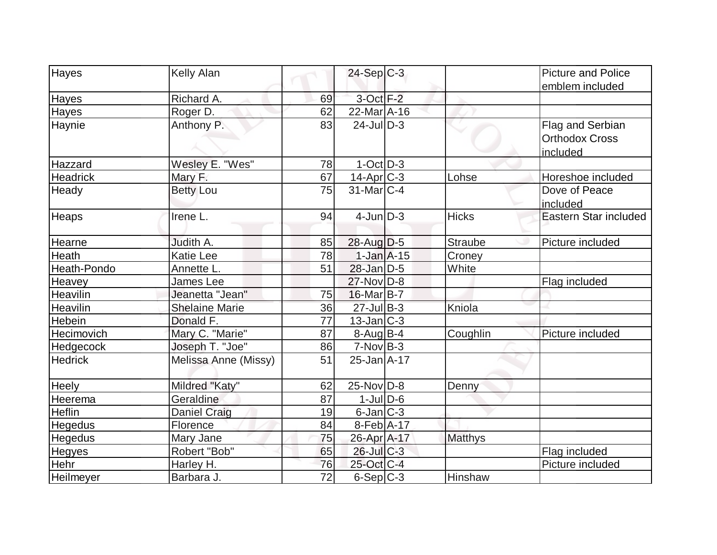|                  | Kelly Alan            |                 | $24-Sep C-3$      |                | <b>Picture and Police</b> |
|------------------|-----------------------|-----------------|-------------------|----------------|---------------------------|
| Hayes            |                       |                 |                   |                |                           |
|                  | Richard A.            |                 | $3$ -Oct $F-2$    |                | emblem included           |
| Hayes            |                       | 69              |                   |                |                           |
| <b>Hayes</b>     | Roger D.              | 62              | 22-Mar A-16       |                |                           |
| Haynie           | Anthony P.            | 83              | $24$ -JulD-3      |                | Flag and Serbian          |
|                  |                       |                 |                   |                | <b>Orthodox Cross</b>     |
|                  |                       |                 |                   |                | included                  |
| Hazzard          | Wesley E. "Wes"       | 78              | $1-Oct$ $D-3$     |                |                           |
| <b>Headrick</b>  | Mary F.               | 67              | 14-Apr C-3        | Lohse          | Horeshoe included         |
| Heady            | <b>Betty Lou</b>      | 75              | $31$ -Mar $C-4$   |                | Dove of Peace             |
|                  |                       |                 |                   |                | included                  |
| Heaps            | Irene L.              | 94              | $4$ -JunD-3       | <b>Hicks</b>   | Eastern Star included     |
| Hearne           | Judith A.             | 85              | $28$ -Aug $D-5$   | <b>Straube</b> | Picture included          |
| Heath            | <b>Katie Lee</b>      | 78              | $1-Jan$ $A-15$    | Croney         |                           |
| Heath-Pondo      | Annette L.            | 51              | $28$ -Jan $D-5$   | White          |                           |
| Heavey           | <b>James Lee</b>      |                 | $27$ -Nov $ D-8 $ |                | Flag included             |
| Heavilin         | Jeanetta "Jean"       | 75              | $16$ -Mar $ B-7 $ |                |                           |
| Heavilin         | <b>Shelaine Marie</b> | 36              | $27 -$ Jul B-3    | Kniola         |                           |
| Hebein           | Donald F.             | $\overline{77}$ | $13$ -Jan $ C-3 $ |                |                           |
| Hecimovich       | Mary C. "Marie"       | 87              | $8-Aug B-4$       | Coughlin       | Picture included          |
| <b>Hedgecock</b> | Joseph T. "Joe"       | 86              | $7-NovB-3$        |                |                           |
| <b>Hedrick</b>   | Melissa Anne (Missy)  | 51              | 25-Jan A-17       |                |                           |
| Heely            | Mildred "Katy"        | 62              | $25$ -Nov $ D-8$  | Denny          |                           |
| Heerema          | Geraldine             | 87              | $1$ -JulD-6       |                |                           |
| <b>Heflin</b>    | <b>Daniel Craig</b>   | 19              | $6$ -Jan $ C-3 $  |                |                           |
| Hegedus          | Florence              | 84              | $8$ -Feb $ A-17$  |                |                           |
| <b>Hegedus</b>   | Mary Jane             | 75              | 26-Apr A-17       | <b>Matthys</b> |                           |
| <b>Hegyes</b>    | Robert "Bob"          | 65              | $26$ -Jul $C-3$   |                | Flag included             |
| Hehr             | Harley H.             | 76              | 25-Oct C-4        |                | Picture included          |
| Heilmeyer        | Barbara J.            | 72              | 6-Sep C-3         | Hinshaw        |                           |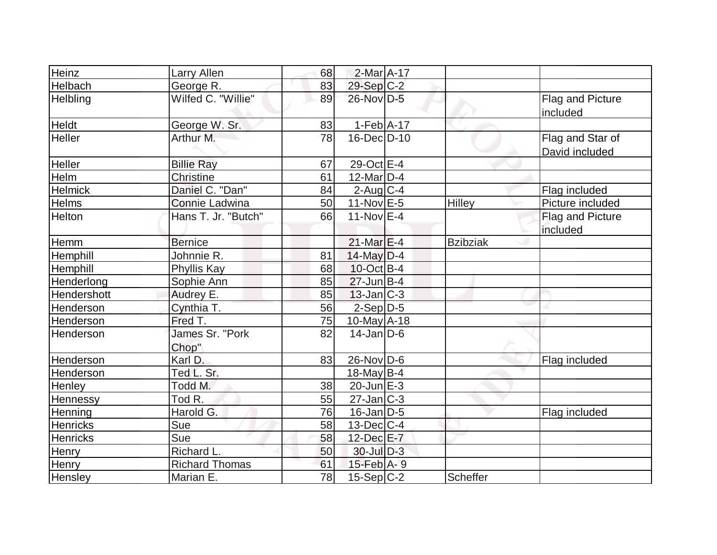| Heinz           | <b>Larry Allen</b>       | 68 | 2-Mar A-17        |                 |                                    |
|-----------------|--------------------------|----|-------------------|-----------------|------------------------------------|
| Helbach         | George R.                | 83 | 29-Sep C-2        |                 |                                    |
| Helbling        | Wilfed C. "Willie"       | 89 | 26-Nov D-5        |                 | Flag and Picture<br>included       |
| Heldt           | George W. Sr.            | 83 | $1-Feb$ A-17      |                 |                                    |
| Heller          | Arthur M.                | 78 | 16-Dec D-10       |                 | Flag and Star of<br>David included |
| Heller          | <b>Billie Ray</b>        | 67 | 29-Oct E-4        |                 |                                    |
| Helm            | Christine                | 61 | $12$ -Mar $D-4$   |                 |                                    |
| <b>Helmick</b>  | Daniel C. "Dan"          | 84 | $2$ -Aug C-4      |                 | Flag included                      |
| Helms           | Connie Ladwina           | 50 | 11-Nov $E-5$      | Hilley          | Picture included                   |
| Helton          | Hans T. Jr. "Butch"      | 66 | 11-Nov $E-4$      |                 | Flag and Picture<br>included       |
| Hemm            | <b>Bernice</b>           |    | $21$ -Mar $E-4$   | <b>Bzibziak</b> |                                    |
| Hemphill        | Johnnie R.               | 81 | $14$ -May D-4     |                 |                                    |
| Hemphill        | Phyllis Kay              | 68 | $10$ -Oct B-4     |                 |                                    |
| Henderlong      | Sophie Ann               | 85 | $27$ -Jun $B-4$   |                 |                                    |
| Hendershott     | Audrey E.                | 85 | $13$ -Jan $ C-3 $ |                 |                                    |
| Henderson       | Cynthia T.               | 56 | $2-Sep$ $D-5$     |                 |                                    |
| Henderson       | Fred T.                  | 75 | $10$ -May $A$ -18 |                 |                                    |
| Henderson       | James Sr. "Pork<br>Chop" | 82 | $14$ -Jan $D-6$   |                 |                                    |
| Henderson       | Karl D.                  | 83 | $26$ -Nov D-6     |                 | Flag included                      |
| Henderson       | Ted L. Sr.               |    | 18-May $B-4$      |                 |                                    |
| Henley          | Todd M.                  | 38 | $20$ -Jun $E-3$   |                 |                                    |
| Hennessy        | Tod R.                   | 55 | $27$ -Jan $C-3$   |                 |                                    |
| Henning         | Harold G.                | 76 | $16$ -Jan $D-5$   |                 | Flag included                      |
| <b>Henricks</b> | Sue                      | 58 | $13$ -Dec $C-4$   |                 |                                    |
| Henricks        | Sue                      | 58 | 12-Dec E-7        |                 |                                    |
| Henry           | Richard L.               | 50 | 30-Jul D-3        |                 |                                    |
| <b>Henry</b>    | <b>Richard Thomas</b>    | 61 | 15-Feb A-9        |                 |                                    |
| Hensley         | Marian E.                | 78 | $15$ -Sep C-2     | Scheffer        |                                    |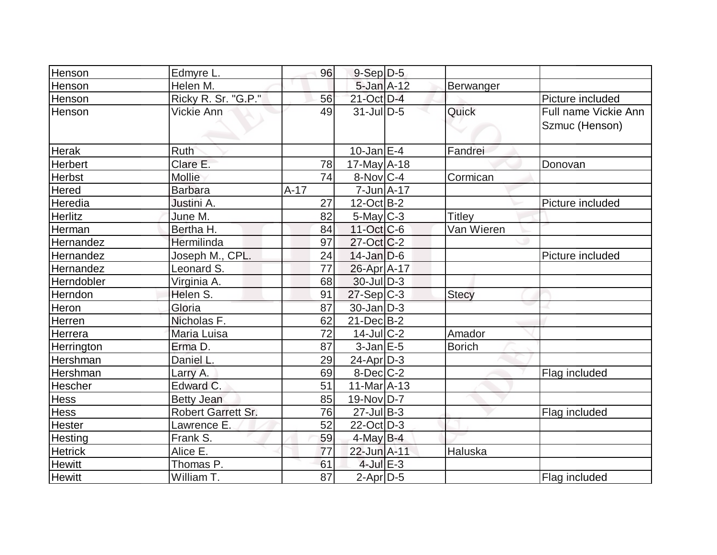| Henson         | Edmyre L.                 | 96     | $9-Sep D-5$                      |               |                      |
|----------------|---------------------------|--------|----------------------------------|---------------|----------------------|
| Henson         | Helen M.                  |        | $5$ -Jan $A$ -12                 | Berwanger     |                      |
| Henson         | Ricky R. Sr. "G.P."       | 56     | 21-Oct D-4                       |               | Picture included     |
| Henson         | Vickie Ann                | 49     | $31$ -JulD-5                     | Quick         | Full name Vickie Ann |
|                |                           |        |                                  |               | Szmuc (Henson)       |
|                |                           |        |                                  |               |                      |
| <b>Herak</b>   | <b>Ruth</b>               |        | $10$ -Jan $E-4$                  | Fandrei       |                      |
| <b>Herbert</b> | Clare E.                  | 78     | $17$ -May $A$ -18                |               | Donovan              |
| <b>Herbst</b>  | <b>Mollie</b>             | 74     | $8-Nov C-4$                      | Cormican      |                      |
| <b>Hered</b>   | <b>Barbara</b>            | $A-17$ | $7 - Jun \nightharpoonup A - 17$ |               |                      |
| Heredia        | Justini A.                | 27     | $12$ -Oct B-2                    |               | Picture included     |
| <b>Herlitz</b> | June M.                   | 82     | $5$ -May $C-3$                   | <b>Titley</b> |                      |
| Herman         | Bertha H.                 | 84     | 11-Oct C-6                       | Van Wieren    |                      |
| Hernandez      | Hermilinda                | 97     | $27$ -Oct $C-2$                  |               |                      |
| Hernandez      | Joseph M., CPL.           | 24     | $14$ -Jan $ D-6$                 |               | Picture included     |
| Hernandez      | Leonard S.                | 77     | 26-Apr A-17                      |               |                      |
| Herndobler     | Virginia A.               | 68     | $30$ -JulD-3                     |               |                      |
| Herndon        | Helen S.                  | 91     | $27-Sep C-3$                     | <b>Stecy</b>  |                      |
| Heron          | Gloria                    | 87     | $30 - Jan$ $D-3$                 |               |                      |
| Herren         | Nicholas F.               | 62     | $21$ -Dec $B-2$                  |               |                      |
| Herrera        | Maria Luisa               | 72     | $14$ -Jul $ C-2$                 | Amador        |                      |
| Herrington     | Erma D.                   | 87     | $3$ -Jan $E-5$                   | <b>Borich</b> |                      |
| Hershman       | Daniel L.                 | 29     | $24$ -Apr $D-3$                  |               |                      |
| Hershman       | Larry A.                  | 69     | $8$ -Dec $C-2$                   |               | Flag included        |
| Hescher        | Edward C.                 | 51     | $11-Mar2 - 13$                   |               |                      |
| Hess           | <b>Betty Jean</b>         | 85     | $19-Nov D-7$                     |               |                      |
| Hess           | <b>Robert Garrett Sr.</b> | 76     | $27$ -Jul B-3                    |               | Flag included        |
| Hester         | Lawrence E.               | 52     | $22$ -Oct D-3                    |               |                      |
| Hesting        | Frank S.                  | 59     | $4$ -May B-4                     |               |                      |
| <b>Hetrick</b> | Alice E.                  | 77     | 22-Jun A-11                      | Haluska       |                      |
| <b>Hewitt</b>  | Thomas P.                 | 61     | $4$ -Jul $E-3$                   |               |                      |
| <b>Hewitt</b>  | William T.                | 87     | $2$ -Apr $D-5$                   |               | Flag included        |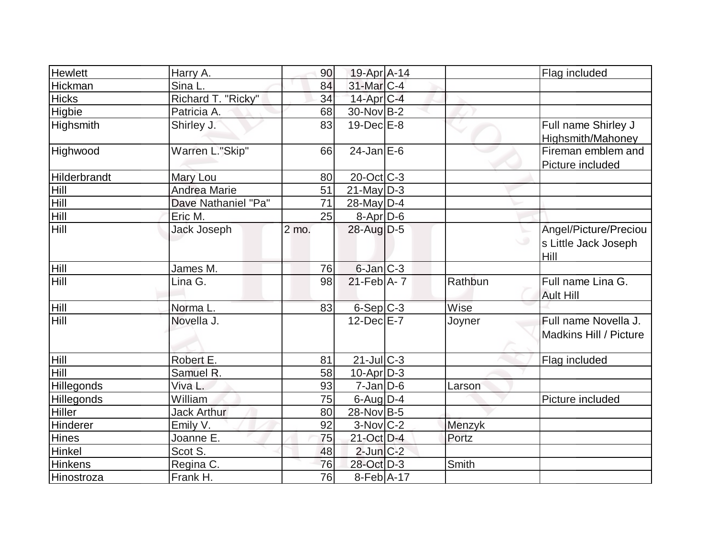| Hewlett           | Harry A.            | 90    | 19-Apr A-14            |         | Flag included                                         |
|-------------------|---------------------|-------|------------------------|---------|-------------------------------------------------------|
| <b>Hickman</b>    | Sina L.             | 84    | 31-Mar <sub>C-4</sub>  |         |                                                       |
| <b>Hicks</b>      | Richard T. "Ricky"  | 34    | $14$ -Apr $C-4$        |         |                                                       |
| <b>Higbie</b>     | Patricia A.         | 68    | 30-Nov B-2             |         |                                                       |
| Highsmith         | Shirley J.          | 83    | $19$ -Dec $E$ -8       |         | Full name Shirley J<br>Highsmith/Mahoney              |
| Highwood          | Warren L."Skip"     | 66    | $24$ -Jan $E-6$        |         | Fireman emblem and<br>Picture included                |
| Hilderbrandt      | Mary Lou            | 80    | $20$ -Oct C-3          |         |                                                       |
| <b>Hill</b>       | <b>Andrea Marie</b> | 51    | $21$ -May D-3          |         |                                                       |
| Hill              | Dave Nathaniel "Pa" | 71    | $28$ -May D-4          |         |                                                       |
| Hill              | Eric M.             | 25    | 8-Apr D-6              |         |                                                       |
| Hill              | <b>Jack Joseph</b>  | 2 mo. | 28-Aug D-5             |         | Angel/Picture/Preciou<br>s Little Jack Joseph<br>Hill |
| Hill              | James M.            | 76    | 6-Jan C-3              |         |                                                       |
| Hill              | Lina G.             | 98    | $21$ -Feb $A$ - 7      | Rathbun | Full name Lina G.<br><b>Ault Hill</b>                 |
| <b>Hill</b>       | Norma L.            | 83    | $6-Sep$ $C-3$          | Wise    |                                                       |
| Hill              | Novella J.          |       | $12$ -Dec $E-7$        | Joyner  | Full name Novella J.<br>Madkins Hill / Picture        |
| <b>Hill</b>       | Robert E.           | 81    | $21$ -JulC-3           |         | Flag included                                         |
| Hill              | Samuel R.           | 58    | $10$ -Apr $D-3$        |         |                                                       |
| <b>Hillegonds</b> | Viva L.             | 93    | $7$ -Jan $ D$ -6       | Larson  |                                                       |
| Hillegonds        | William             | 75    | $6$ -Aug $D-4$         |         | Picture included                                      |
| <b>Hiller</b>     | <b>Jack Arthur</b>  | 80    | 28-Nov B-5             |         |                                                       |
| Hinderer          | Emily V.            | 92    | $3-Nov$ <sub>C-2</sub> | Menzyk  |                                                       |
| <b>Hines</b>      | Joanne E.           | 75    | 21-Oct D-4             | Portz   |                                                       |
| Hinkel            | Scot S.             | 48    | $2$ -Jun $C-2$         |         |                                                       |
| <b>Hinkens</b>    | Regina C.           | 76    | 28-Oct D-3             | Smith   |                                                       |
| Hinostroza        | Frank H.            | 76    | $8-Feb$ A-17           |         |                                                       |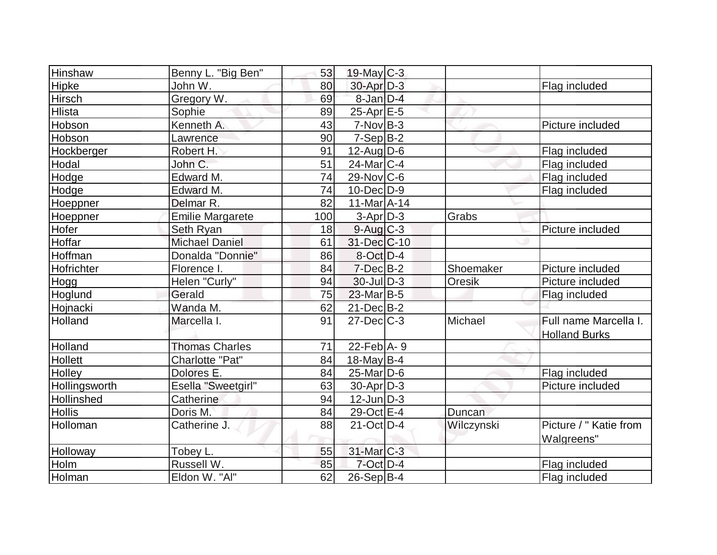| <b>Hinshaw</b> | Benny L. "Big Ben"      | 53              | $19$ -May C-3         |            |                        |
|----------------|-------------------------|-----------------|-----------------------|------------|------------------------|
| Hipke          | John W.                 | 80              | 30-Apr D-3            |            | Flag included          |
| Hirsch         | Gregory W.              | 69              | $8$ -Jan $D-4$        |            |                        |
| <b>Hlista</b>  | Sophie                  | 89              | $25$ -Apr $E$ -5      |            |                        |
| Hobson         | Kenneth A.              | 43              | $7-Nov B-3$           |            | Picture included       |
| Hobson         | Lawrence                | 90              | $7-Sep\overline{B-2}$ |            |                        |
| Hockberger     | Robert H.               | 91              | $12$ -Aug $D-6$       |            | Flag included          |
| Hodal          | John C.                 | $\overline{51}$ | $24$ -Mar $ C-4 $     |            | Flag included          |
| Hodge          | Edward M.               | 74              | $29-Nov$ C-6          |            | Flag included          |
| Hodge          | Edward M.               | 74              | $10$ -Dec $D-9$       |            | Flag included          |
| Hoeppner       | Delmar R.               | 82              | $11-Mar2 - 14$        |            |                        |
| Hoeppner       | <b>Emilie Margarete</b> | 100             | $3-Apr$ D-3           | Grabs      |                        |
| Hofer          | Seth Ryan               | 18              | $9$ -Aug $C$ -3       |            | Picture included       |
| Hoffar         | <b>Michael Daniel</b>   | 61              | 31-Dec C-10           |            |                        |
| Hoffman        | Donalda "Donnie"        | 86              | $8-Oct$ D-4           |            |                        |
| Hofrichter     | Florence I.             | 84              | $7$ -Dec $B-2$        | Shoemaker  | Picture included       |
| Hogg           | Helen "Curly"           | 94              | $30$ -Jul $D-3$       | Oresik     | Picture included       |
| Hoglund        | Gerald                  | 75              | $23$ -Mar $B-5$       |            | Flag included          |
| Hojnacki       | Wanda M.                | 62              | $21$ -Dec $B-2$       |            |                        |
| Holland        | Marcella I.             | 91              | $27 - Dec$ $C - 3$    | Michael    | Full name Marcella I.  |
|                |                         |                 |                       |            | <b>Holland Burks</b>   |
| Holland        | <b>Thomas Charles</b>   | 71              | $22$ -Feb $ A-9 $     |            |                        |
| <b>Hollett</b> | Charlotte "Pat"         | 84              | $18$ -May B-4         |            |                        |
| Holley         | Dolores E.              | 84              | $25$ -Mar $ D-6$      |            | Flag included          |
| Hollingsworth  | Esella "Sweetgirl"      | 63              | $30$ -Apr $D-3$       |            | Picture included       |
| Hollinshed     | Catherine               | 94              | $12$ -Jun $D-3$       |            |                        |
| <b>Hollis</b>  | Doris M.                | 84              | 29-Oct E-4            | Duncan     |                        |
| Holloman       | Catherine J.            | 88              | 21-Oct D-4            | Wilczynski | Picture / " Katie from |
|                |                         |                 |                       |            | Walgreens"             |
| Holloway       | Tobey L.                | 55              | 31-Mar C-3            |            |                        |
| Holm           | Russell W.              | 85              | $7$ -Oct $D-4$        |            | Flag included          |
| Holman         | Eldon W. "Al"           | 62              | $26-Sep$ B-4          |            | Flag included          |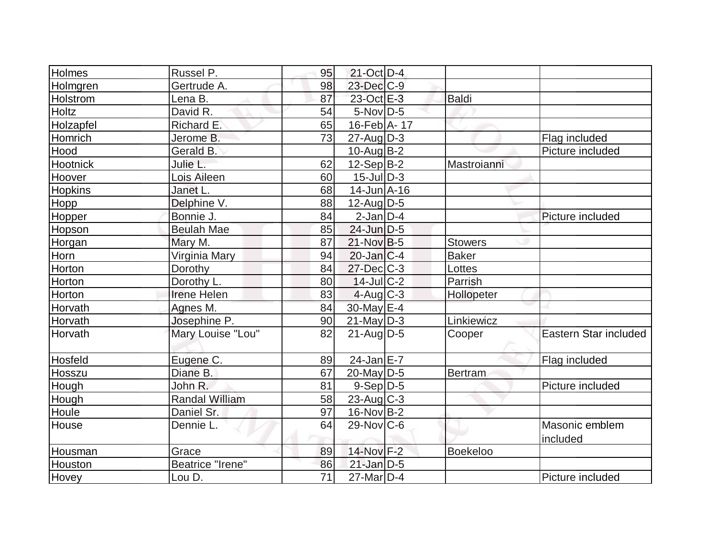| Holmes          | Russel P.               | 95 | 21-Oct D-4            |                 |                            |
|-----------------|-------------------------|----|-----------------------|-----------------|----------------------------|
| Holmgren        | Gertrude A.             | 98 | $23$ -Dec $C-9$       |                 |                            |
| <b>Holstrom</b> | Lena B.                 | 87 | 23-Oct E-3            | Baldi           |                            |
| Holtz           | David R.                | 54 | $5-Nov D-5$           |                 |                            |
| Holzapfel       | Richard E.              | 65 | 16-Feb A-17           |                 |                            |
| Homrich         | Jerome B.               | 73 | $27 - Aug   D-3$      |                 | Flag included              |
| Hood            | Gerald B.               |    | $10$ -Aug $B - 2$     |                 | Picture included           |
| Hootnick        | Julie L.                | 62 | $12-Sep B-2$          | Mastroianni     |                            |
| Hoover          | Lois Aileen             | 60 | $15$ -JulD-3          |                 |                            |
| Hopkins         | Janet L.                | 68 | $14$ -Jun $A$ -16     |                 |                            |
| Hopp            | Delphine V.             | 88 | $12$ -Aug $D-5$       |                 |                            |
| Hopper          | Bonnie J.               | 84 | $2$ -Jan $ D-4$       |                 | Picture included           |
| Hopson          | <b>Beulah Mae</b>       | 85 | 24-Jun D-5            |                 |                            |
| Horgan          | Mary M.                 | 87 | 21-Nov B-5            | <b>Stowers</b>  |                            |
| Horn            | Virginia Mary           | 94 | $20$ -Jan $ C-4 $     | Baker           |                            |
| Horton          | Dorothy                 | 84 | $27$ -Dec $C-3$       | Lottes          |                            |
| Horton          | Dorothy L.              | 80 | $14$ -Jul $C-2$       | Parrish         |                            |
| Horton          | <b>Irene Helen</b>      | 83 | $4$ -Aug C-3          | Hollopeter      |                            |
| Horvath         | Agnes M.                | 84 | 30-May E-4            |                 |                            |
| Horvath         | Josephine P.            | 90 | $21$ -May D-3         | Linkiewicz      |                            |
| Horvath         | Mary Louise "Lou"       | 82 | $21$ -Aug $D-5$       | Cooper          | Eastern Star included      |
| Hosfeld         | Eugene C.               | 89 | 24-Jan E-7            |                 | Flag included              |
| Hosszu          | Diane B.                | 67 | $20$ -May D-5         | <b>Bertram</b>  |                            |
| Hough           | John R.                 | 81 | $9-Sep D-5$           |                 | Picture included           |
| Hough           | <b>Randal William</b>   | 58 | 23-Aug C-3            |                 |                            |
| Houle           | Daniel Sr.              | 97 | $16$ -Nov $B$ -2      |                 |                            |
| House           | Dennie L.               | 64 | $29-Nov$ C-6          |                 | Masonic emblem<br>included |
| Housman         | Grace                   | 89 | 14-Nov F-2            | <b>Boekeloo</b> |                            |
| Houston         | <b>Beatrice "Irene"</b> | 86 | $21$ -Jan D-5         |                 |                            |
| Hovey           | Lou D.                  | 71 | 27-Mar <sub>D-4</sub> |                 | Picture included           |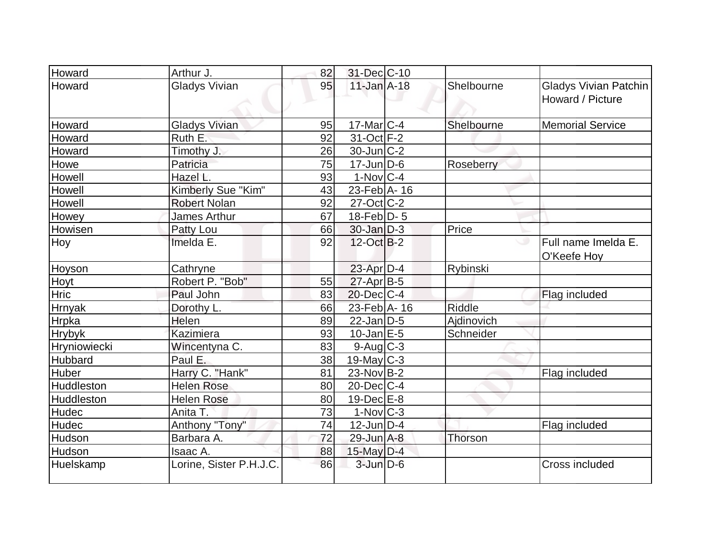| Howard        | Arthur J.               | 82 | 31-Dec C-10                   |               |                                           |
|---------------|-------------------------|----|-------------------------------|---------------|-------------------------------------------|
| Howard        | <b>Gladys Vivian</b>    | 95 | $11$ -Jan $A-18$              | Shelbourne    | Gladys Vivian Patchin<br>Howard / Picture |
| Howard        | <b>Gladys Vivian</b>    | 95 | $17$ -Mar $ C-4$              | Shelbourne    | <b>Memorial Service</b>                   |
| Howard        | Ruth E.                 | 92 | 31-Oct F-2                    |               |                                           |
| Howard        | Timothy J.              | 26 | $30$ -Jun $ C-2 $             |               |                                           |
| Howe          | Patricia                | 75 | $17$ -Jun $D-6$               | Roseberry     |                                           |
| Howell        | Hazel L.                | 93 | $1-Nov C-4$                   |               |                                           |
| Howell        | Kimberly Sue "Kim"      | 43 | 23-Feb A-16                   |               |                                           |
| Howell        | <b>Robert Nolan</b>     | 92 | $27$ -Oct $ C-2 $             |               |                                           |
| Howey         | James Arthur            | 67 | 18-Feb $D-5$                  |               |                                           |
| Howisen       | Patty Lou               | 66 | $30$ -Jan $D-3$               | Price         |                                           |
| Hoy           | Imelda E.               | 92 | $12-Oct$ B-2                  |               | Full name Imelda E.<br>ں<br>O'Keefe Hoy   |
| Hoyson        | Cathryne                |    | 23-Apr D-4                    | Rybinski      |                                           |
| Hoyt          | Robert P. "Bob"         | 55 | $27$ -Apr $B-5$               |               |                                           |
| Hric          | Paul John               | 83 | $20$ -Dec $ C-4 $             |               | Flag included                             |
| <b>Hrnyak</b> | Dorothy L.              | 66 | $23$ -Feb $\overline{A}$ - 16 | <b>Riddle</b> |                                           |
| Hrpka         | Helen                   | 89 | $22$ -Jan D-5                 | Ajdinovich    |                                           |
| <b>Hrybyk</b> | <b>Kazimiera</b>        | 93 | $10$ -Jan $E-5$               | Schneider     |                                           |
| Hryniowiecki  | Wincentyna C.           | 83 | $9$ -Aug $C$ -3               |               |                                           |
| Hubbard       | Paul E.                 | 38 | $19$ -May C-3                 |               |                                           |
| Huber         | Harry C. "Hank"         | 81 | $23-Nov B-2$                  |               | Flag included                             |
| Huddleston    | <b>Helen Rose</b>       | 80 | $20$ -Dec $C$ -4              |               |                                           |
| Huddleston    | <b>Helen Rose</b>       | 80 | $19$ -Dec $E$ -8              |               |                                           |
| Hudec         | Anita T.                | 73 | $1-Nov$ <sub>C-3</sub>        |               |                                           |
| Hudec         | Anthony "Tony"          | 74 | $12$ -Jun $D-4$               |               | Flag included                             |
| Hudson        | Barbara A.              | 72 | 29-Jun A-8                    | Thorson       |                                           |
| Hudson        | Isaac A.                | 88 | $15$ -May $D-4$               |               |                                           |
| Huelskamp     | Lorine, Sister P.H.J.C. | 86 | $3$ -Jun $D-6$                |               | Cross included                            |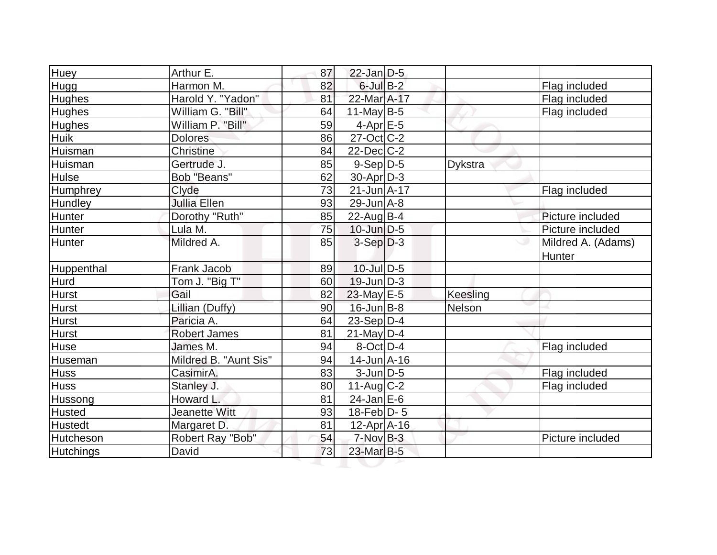| Huey             | Arthur E.             | 87 | $22$ -Jan $D-5$   |          |                              |
|------------------|-----------------------|----|-------------------|----------|------------------------------|
| Hugg             | Harmon M.             | 82 | $6$ -Jul $B-2$    |          | Flag included                |
| Hughes           | Harold Y. "Yadon"     | 81 | 22-Mar A-17       |          | Flag included                |
| <b>Hughes</b>    | William G. "Bill"     | 64 | 11-May $B-5$      |          | Flag included                |
| <b>Hughes</b>    | William P. "Bill"     | 59 | $4$ -Apr $E$ -5   |          |                              |
| <b>Huik</b>      | <b>Dolores</b>        | 86 | $27$ -Oct C-2     |          |                              |
| Huisman          | Christine             | 84 | $22$ -Dec $C-2$   |          |                              |
| Huisman          | Gertrude J.           | 85 | $9-Sep D-5$       | Dykstra  |                              |
| Hulse            | Bob "Beans"           | 62 | $30$ -Apr $D-3$   |          |                              |
| Humphrey         | Clyde                 | 73 | $21 - Jun A - 17$ |          | Flag included                |
| Hundley          | <b>Jullia Ellen</b>   | 93 | $29$ -Jun $A - 8$ |          |                              |
| Hunter           | Dorothy "Ruth"        | 85 | $22$ -Aug $ B-4 $ |          | Picture included             |
| Hunter           | Lula M.               | 75 | $10$ -Jun $D-5$   |          | Picture included             |
| Hunter           | Mildred A.            | 85 | $3-Sep D-3$       | ی        | Mildred A. (Adams)<br>Hunter |
| Huppenthal       | Frank Jacob           | 89 | $10$ -Jul $D-5$   |          |                              |
| <b>Hurd</b>      | Tom J. "Big T"        | 60 | $19$ -Jun $D-3$   |          |                              |
| <b>Hurst</b>     | Gail                  | 82 | $23$ -May E-5     | Keesling |                              |
| Hurst            | Lillian (Duffy)       | 90 | $16$ -Jun $B - 8$ | Nelson   |                              |
| <b>Hurst</b>     | Paricia A.            | 64 | $23-Sep D-4$      |          |                              |
| Hurst            | <b>Robert James</b>   | 81 | $21$ -May D-4     |          |                              |
| <b>Huse</b>      | James M.              | 94 | $8-Oct$ D-4       |          | Flag included                |
| Huseman          | Mildred B. "Aunt Sis" | 94 | $14$ -Jun $A$ -16 |          |                              |
| <b>Huss</b>      | CasimirA.             | 83 | $3$ -Jun $D-5$    |          | Flag included                |
| <b>Huss</b>      | Stanley J.            | 80 | $11-Aug C-2$      |          | Flag included                |
| Hussong          | Howard L.             | 81 | 24-Jan E-6        |          |                              |
| Husted           | <b>Jeanette Witt</b>  | 93 | 18-Feb $D-5$      |          |                              |
| <b>Hustedt</b>   | Margaret D.           | 81 | $12$ -Apr $ A-16$ |          |                              |
| Hutcheson        | Robert Ray "Bob"      | 54 | $7-NovB-3$        |          | Picture included             |
| <b>Hutchings</b> | David                 | 73 | 23-Mar B-5        |          |                              |
|                  |                       |    |                   |          |                              |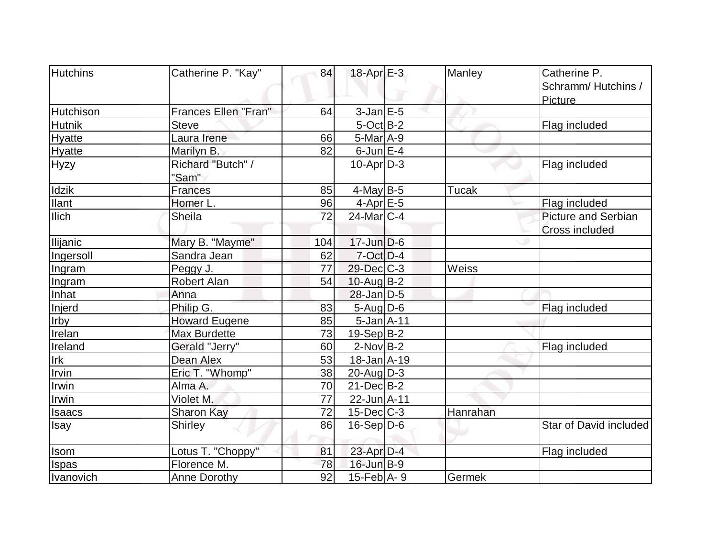| Hutchins         | Catherine P. "Kay"   | 84  | $18$ -Apr $E-3$   | Manley       | Catherine P.               |
|------------------|----------------------|-----|-------------------|--------------|----------------------------|
|                  |                      |     |                   |              | Schramm/Hutchins /         |
|                  |                      |     |                   |              | Picture                    |
| <b>Hutchison</b> | Frances Ellen "Fran" | 64  | $3$ -Jan $E-5$    |              |                            |
| <b>Hutnik</b>    | <b>Steve</b>         |     | $5$ -Oct B-2      |              | Flag included              |
| Hyatte           | Laura Irene          | 66  | $5-Mar$ A-9       |              |                            |
| <b>Hyatte</b>    | Marilyn B.           | 82  | $6$ -Jun $E-4$    |              |                            |
| <b>Hyzy</b>      | Richard "Butch" /    |     | $10$ -Apr $D-3$   |              | Flag included              |
|                  | "Sam"                |     |                   |              |                            |
| Idzik            | <b>Frances</b>       | 85  | $4$ -May B-5      | Tucak        |                            |
| <b>Ilant</b>     | Homer L.             | 96  | $4-Apr$ E-5       |              | Flag included              |
| <b>Ilich</b>     | <b>Sheila</b>        | 72  | $24$ -Mar $C-4$   |              | <b>Picture and Serbian</b> |
|                  |                      |     |                   |              | <b>Cross included</b>      |
| <b>Ilijanic</b>  | Mary B. "Mayme"      | 104 | $17$ -Jun $D-6$   |              |                            |
| Ingersoll        | Sandra Jean          | 62  | $7$ -Oct $D-4$    |              |                            |
| Ingram           | Peggy J.             | 77  | 29-Dec C-3        | <b>Weiss</b> |                            |
| Ingram           | Robert Alan          | 54  | $10$ -Aug $B - 2$ |              |                            |
| Inhat            | Anna                 |     | $28$ -Jan $D-5$   |              |                            |
| Injerd           | Philip G.            | 83  | $5 - Aug   D-6$   |              | Flag included              |
| Irby             | <b>Howard Eugene</b> | 85  | $5$ -Jan $A$ -11  |              |                            |
| Irelan           | <b>Max Burdette</b>  | 73  | $19-Sep B-2$      |              |                            |
| Ireland          | Gerald "Jerry"       | 60  | $2$ -Nov B-2      |              | Flag included              |
| Irk              | Dean Alex            | 53  | $18$ -Jan $A$ -19 |              |                            |
| Irvin            | Eric T. "Whomp"      | 38  | $20$ -Aug $D-3$   |              |                            |
| Irwin            | Alma A.              | 70  | $21$ -Dec $B$ -2  |              |                            |
| Irwin            | Violet M.            | 77  | $22$ -Jun $A-11$  |              |                            |
| <b>Isaacs</b>    | <b>Sharon Kay</b>    | 72  | $15$ -Dec $ C-3 $ | Hanrahan     |                            |
| Isay             | Shirley              | 86  | $16-Sep D-6$      |              | Star of David included     |
| <b>Isom</b>      | Lotus T. "Choppy"    | 81  | 23-Apr D-4        |              | Flag included              |
| Ispas            | Florence M.          | 78  | $16$ -Jun $B-9$   |              |                            |
| Ivanovich        | Anne Dorothy         | 92  | $15$ -Feb $ A-9 $ | Germek       |                            |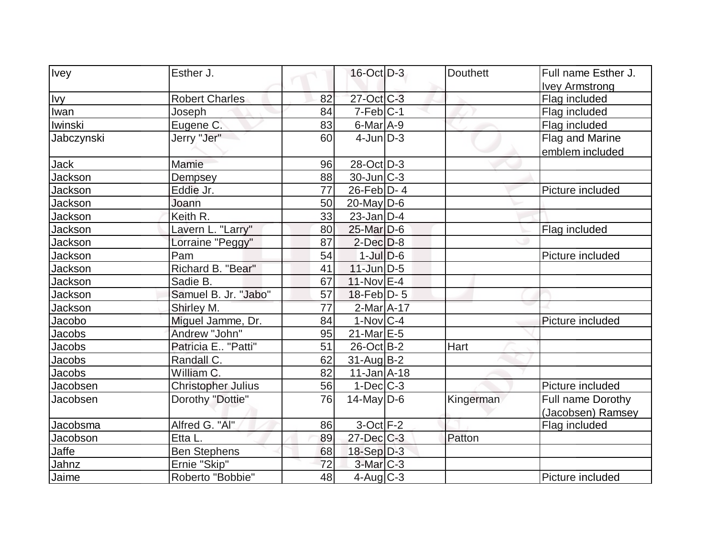| <b>Ivey</b>    | Esther J.                 |    | 16-Oct D-3        | <b>Douthett</b> | Full name Esther J. |
|----------------|---------------------------|----|-------------------|-----------------|---------------------|
|                |                           |    |                   |                 | Ivey Armstrong      |
| <b>Ivy</b>     | <b>Robert Charles</b>     | 82 | 27-Oct C-3        |                 | Flag included       |
| Iwan           | Joseph                    | 84 | $7-Feb C-1$       |                 | Flag included       |
| Iwinski        | Eugene C.                 | 83 | $6$ -Mar $A$ -9   |                 | Flag included       |
| Jabczynski     | Jerry "Jer"               | 60 | $4$ -Jun $D-3$    |                 | Flag and Marine     |
|                |                           |    |                   |                 | emblem included     |
| Jack           | Mamie                     | 96 | 28-Oct D-3        |                 |                     |
| Jackson        | Dempsey                   | 88 | $30$ -Jun $ C-3 $ |                 |                     |
| Jackson        | Eddie Jr.                 | 77 | $26$ -Feb $ D-4 $ |                 | Picture included    |
| <b>Jackson</b> | Joann                     | 50 | $20$ -May D-6     |                 |                     |
| Jackson        | Keith R.                  | 33 | $23$ -Jan D-4     |                 |                     |
| Jackson        | Lavern L. "Larry"         | 80 | 25-Mar D-6        |                 | Flag included       |
| Jackson        | Lorraine "Peggy"          | 87 | $2$ -Dec $D-8$    |                 |                     |
| Jackson        | Pam                       | 54 | $1$ -Jul $D-6$    |                 | Picture included    |
| Jackson        | Richard B. "Bear"         | 41 | $11$ -Jun $D-5$   |                 |                     |
| Jackson        | Sadie B.                  | 67 | $11-NovEE-4$      |                 |                     |
| Jackson        | Samuel B. Jr. "Jabo"      | 57 | $18$ -Feb $ D-5$  |                 |                     |
| Jackson        | Shirley M.                | 77 | $2$ -Mar $A-17$   |                 |                     |
| Jacobo         | Miguel Jamme, Dr.         | 84 | $1-Nov$ $C-4$     |                 | Picture included    |
| Jacobs         | Andrew "John"             | 95 | 21-Mar E-5        |                 |                     |
| <b>Jacobs</b>  | Patricia E "Patti"        | 51 | $26$ -Oct B-2     | Hart            |                     |
| <b>Jacobs</b>  | Randall C.                | 62 | $31$ -AugB-2      |                 |                     |
| Jacobs         | William C.                | 82 | $11$ -Jan $A$ -18 |                 |                     |
| Jacobsen       | <b>Christopher Julius</b> | 56 | $1-Dec$ $C-3$     |                 | Picture included    |
| Jacobsen       | Dorothy "Dottie"          | 76 | $14$ -May D-6     | Kingerman       | Full name Dorothy   |
|                |                           |    |                   |                 | (Jacobsen) Ramsey   |
| Jacobsma       | Alfred G. "Al"            | 86 | $3$ -Oct $F-2$    |                 | Flag included       |
| Jacobson       | Etta L.                   | 89 | $27 - Dec$ $C-3$  | Patton          |                     |
| Jaffe          | <b>Ben Stephens</b>       | 68 | $18-Sep D-3$      |                 |                     |
| Jahnz          | Ernie "Skip"              | 72 | $3-Mar$ $C-3$     |                 |                     |
| Jaime          | Roberto "Bobbie"          | 48 | 4-Aug $C-3$       |                 | Picture included    |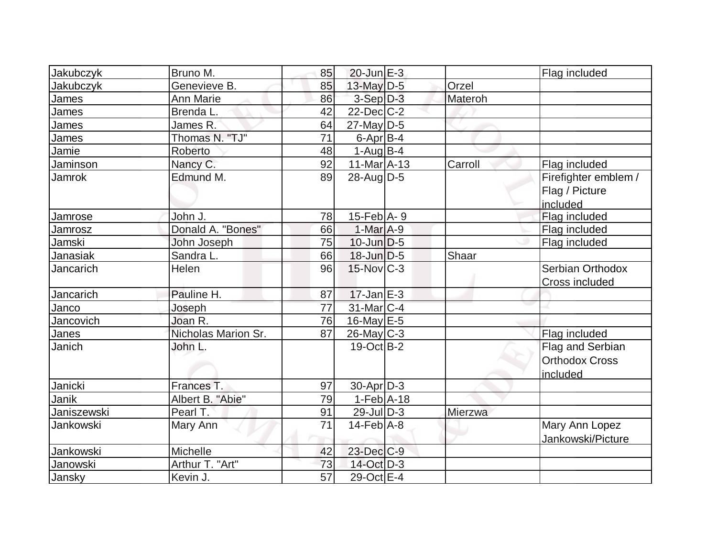| Jakubczyk   | Bruno M.            | 85              | $20$ -Jun $E-3$             |         | Flag included         |
|-------------|---------------------|-----------------|-----------------------------|---------|-----------------------|
| Jakubczyk   | Genevieve B.        | 85              | 13-May $D-5$                | Orzel   |                       |
| James       | <b>Ann Marie</b>    | 86              | $3-Sep D-3$                 | Materoh |                       |
| James       | Brenda L.           | 42              | $22$ -Dec $C-2$             |         |                       |
|             |                     |                 |                             |         |                       |
| James       | James R.            | 64              | $27$ -May $D-5$             |         |                       |
| James       | Thomas N. "TJ"      | 71              | $6$ -Apr $B$ -4             |         |                       |
| Jamie       | Roberto             | 48              | $1-Aug B-4$                 |         |                       |
| Jaminson    | Nancy C.            | 92              | $11-Mar$ A-13               | Carroll | Flag included         |
| Jamrok      | Edmund M.           | 89              | $28$ -Aug $D-5$             |         | Firefighter emblem /  |
|             |                     |                 |                             |         | Flag / Picture        |
|             |                     |                 |                             |         | included              |
| Jamrose     | John J.             | 78              | $15$ -Feb $A$ - 9           |         | Flag included         |
| Jamrosz     | Donald A. "Bones"   | 66              | $1-Mar$ A-9                 |         | Flag included         |
| Jamski      | John Joseph         | 75              | $10$ -Jun $D-5$             |         | Flag included         |
| Janasiak    | Sandra L.           | 66              | $18$ -Jun $D-5$             | Shaar   |                       |
| Jancarich   | Helen               | 96              | 15-Nov C-3                  |         | Serbian Orthodox      |
|             |                     |                 |                             |         | Cross included        |
| Jancarich   | Pauline H.          | 87              | $17$ -Jan $E-3$             |         |                       |
| Janco       | Joseph              | 77              | 31-Mar C-4                  |         |                       |
| Jancovich   | Joan R.             | 76              | 16-May $E-5$                |         |                       |
| Janes       | Nicholas Marion Sr. | 87              | $26$ -May C-3               |         | Flag included         |
| Janich      | John L.             |                 | $19-Oct$ B-2                |         | Flag and Serbian      |
|             |                     |                 |                             |         | <b>Orthodox Cross</b> |
|             |                     |                 |                             |         | included              |
| Janicki     | Frances T.          | 97              | $30$ -Apr $D-3$             |         |                       |
| Janik       | Albert B. "Abie"    | 79              | $1-Feb$ A-18                |         |                       |
| Janiszewski | Pearl T.            | 91              | $29$ -JulD-3                | Mierzwa |                       |
| Jankowski   | Mary Ann            | 71              | $14$ -Feb $\overline{A}$ -8 |         | Mary Ann Lopez        |
|             |                     |                 |                             |         | Jankowski/Picture     |
| Jankowski   | Michelle            | 42              | 23-Dec C-9                  |         |                       |
| Janowski    | Arthur T. "Art"     | 73              | 14-Oct D-3                  |         |                       |
| Jansky      | Kevin J.            | $\overline{57}$ | 29-Oct E-4                  |         |                       |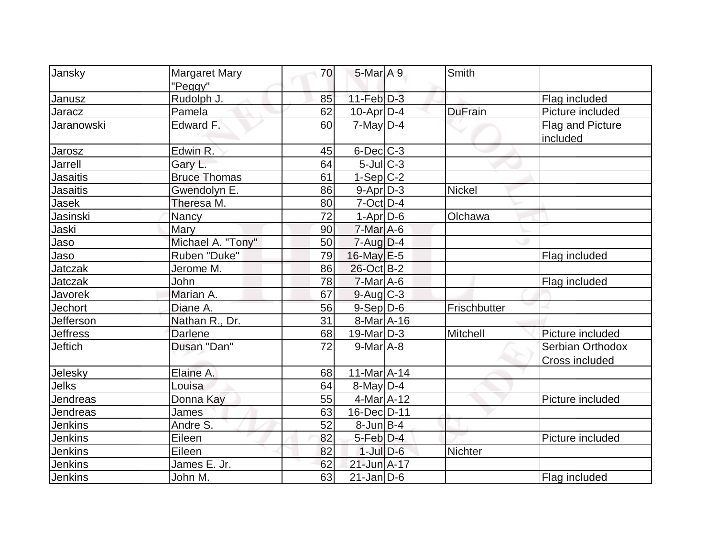| Jansky          | <b>Margaret Mary</b> | 70 | $5$ -Mar $A$ 9          | Smith          |                                    |
|-----------------|----------------------|----|-------------------------|----------------|------------------------------------|
|                 | "Peggy"              |    |                         |                |                                    |
| Janusz          | Rudolph J.           | 85 | $11-Feb D-3$            |                | Flag included                      |
| Jaracz          | Pamela               | 62 | $10$ -Apr $D-4$         | <b>DuFrain</b> | Picture included                   |
| Jaranowski      | Edward F.            | 60 | $7$ -May D-4            |                | Flag and Picture<br>included       |
| Jarosz          | Edwin R.             | 45 | $6$ -Dec $C$ -3         |                |                                    |
| <b>Jarrell</b>  | Gary L.              | 64 | $5$ -Jul $C-3$          |                |                                    |
| <b>Jasaitis</b> | <b>Bruce Thomas</b>  | 61 | $1-Sep$ C-2             |                |                                    |
| Jasaitis        | Gwendolyn E.         | 86 | $9 - Apr$ $D-3$         | <b>Nickel</b>  |                                    |
| Jasek           | Theresa M.           | 80 | $7$ -Oct $D-4$          |                |                                    |
| Jasinski        | <b>Nancy</b>         | 72 | $1-Apr$ D-6             | Olchawa        |                                    |
| Jaski           | Mary                 | 90 | $7-Mar$ A-6             |                |                                    |
| Jaso            | Michael A. "Tony"    | 50 | $7 - Aug   D-4$         |                |                                    |
| Jaso            | Ruben "Duke"         | 79 | $16$ -May $E - 5$       |                | Flag included                      |
| Jatczak         | Jerome M.            | 86 | 26-Oct B-2              |                |                                    |
| <b>Jatczak</b>  | John                 | 78 | $7-MarA-6$              |                | Flag included                      |
| Javorek         | Marian A.            | 67 | $9$ -Aug $C$ -3         |                |                                    |
| <b>Jechort</b>  | Diane A.             | 56 | $9-Sep$ $D-6$           | Frischbutter   |                                    |
| Jefferson       | Nathan R., Dr.       | 31 | 8-Mar A-16              |                |                                    |
| <b>Jeffress</b> | <b>Darlene</b>       | 68 | $19$ -Mar $ D-3 $       | Mitchell       | Picture included                   |
| <b>Jeftich</b>  | Dusan "Dan"          | 72 | $9$ -Mar $A$ -8         |                | Serbian Orthodox<br>Cross included |
| Jelesky         | Elaine A.            | 68 | $11-Mar2 - 14$          |                |                                    |
| Jelks           | Louisa               | 64 | $\overline{8}$ -May D-4 |                |                                    |
| Jendreas        | Donna Kay            | 55 | 4-Mar A-12              |                | Picture included                   |
| Jendreas        | James                | 63 | 16-Dec D-11             |                |                                    |
| Jenkins         | Andre S.             | 52 | $8$ -Jun $B$ -4         |                |                                    |
| <b>Jenkins</b>  | Eileen               | 82 | $5-Feb$ D-4             |                | Picture included                   |
| <b>Jenkins</b>  | Eileen               | 82 | $1$ -Jul $D$ -6         | Nichter        |                                    |
| Jenkins         | James E. Jr.         | 62 | 21-Jun A-17             |                |                                    |
| Jenkins         | John M.              | 63 | $21$ -Jan D-6           |                | Flag included                      |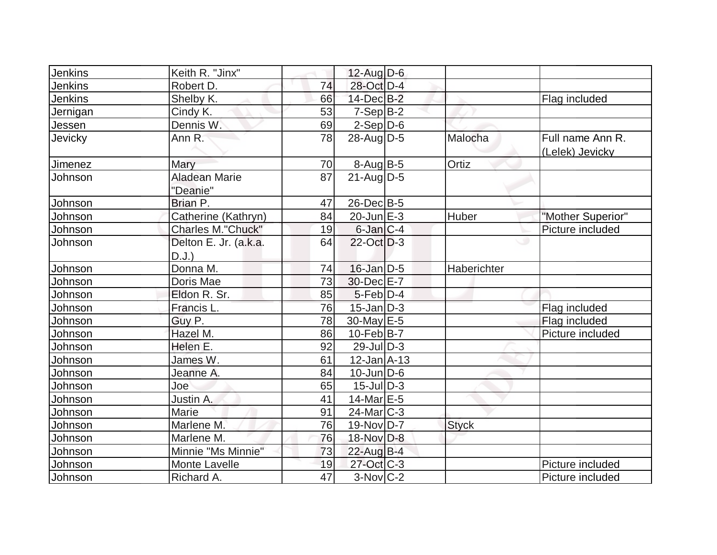| Jenkins        | Keith R. "Jinx"                   |    | 12-Aug D-6        |              |                                     |
|----------------|-----------------------------------|----|-------------------|--------------|-------------------------------------|
| Jenkins        | Robert D.                         | 74 | 28-Oct D-4        |              |                                     |
| <b>Jenkins</b> | Shelby K.                         | 66 | 14-Dec B-2        |              | Flag included                       |
| Jernigan       | Cindy K.                          | 53 | $7-Sep B-2$       |              |                                     |
| Jessen         | Dennis W.                         | 69 | $2-Sep D-6$       |              |                                     |
| Jevicky        | Ann R.                            | 78 | $28$ -AugD-5      | Malocha      | Full name Ann R.<br>(Lelek) Jevicky |
| Jimenez        | Mary                              | 70 | $8-Aug$ B-5       | Ortiz        |                                     |
| Johnson        | <b>Aladean Marie</b><br>"Deanie"  | 87 | $21$ -Aug $D-5$   |              |                                     |
| Johnson        | Brian P.                          | 47 | $26$ -Dec $B$ -5  |              |                                     |
| Johnson        | Catherine (Kathryn)               | 84 | $20$ -Jun $E-3$   | Huber        | "Mother Superior"                   |
| Johnson        | <b>Charles M."Chuck"</b>          | 19 | $6$ -Jan $ C-4 $  |              | Picture included                    |
| Johnson        | Delton E. Jr. (a.k.a.<br>$D.J.$ ) | 64 | $22$ -Oct D-3     |              |                                     |
| Johnson        | Donna M.                          | 74 | $16$ -Jan D-5     | Haberichter  |                                     |
| Johnson        | Doris Mae                         | 73 | 30-Dec E-7        |              |                                     |
| Johnson        | Eldon R. Sr.                      | 85 | $5$ -Feb $D-4$    |              |                                     |
| Johnson        | Francis L.                        | 76 | $15$ -Jan $D-3$   |              | Flag included                       |
| Johnson        | Guy P.                            | 78 | $30$ -May E-5     |              | Flag included                       |
| Johnson        | Hazel M.                          | 86 | $10$ -Feb $ B-7 $ |              | Picture included                    |
| Johnson        | Helen E.                          | 92 | $29$ -Jul $ D-3 $ |              |                                     |
| Johnson        | James W.                          | 61 | $12$ -Jan $A-13$  |              |                                     |
| Johnson        | Jeanne A.                         | 84 | $10$ -Jun $ D-6$  |              |                                     |
| Johnson        | Joe                               | 65 | $15$ -JulD-3      |              |                                     |
| Johnson        | Justin A.                         | 41 | 14-Mar E-5        |              |                                     |
| Johnson        | Marie                             | 91 | $24$ -Mar $C-3$   |              |                                     |
| Johnson        | Marlene M.                        | 76 | $19-Nov D-7$      | <b>Styck</b> |                                     |
| Johnson        | Marlene M.                        | 76 | 18-Nov D-8        |              |                                     |
| Johnson        | Minnie "Ms Minnie"                | 73 | $22$ -Aug B-4     |              |                                     |
| Johnson        | Monte Lavelle                     | 19 | 27-Oct C-3        |              | Picture included                    |
| Johnson        | Richard A.                        | 47 | $3-Nov$ $C-2$     |              | Picture included                    |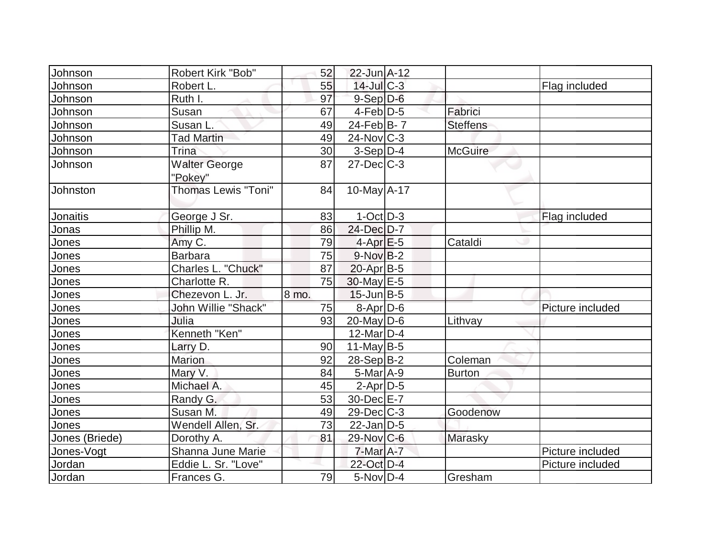| Johnson        | <b>Robert Kirk "Bob"</b>   | 52    | 22-Jun A-12       |                 |                  |
|----------------|----------------------------|-------|-------------------|-----------------|------------------|
| Johnson        | Robert L.                  | 55    | $14$ -Jul $C-3$   |                 | Flag included    |
| Johnson        | Ruth I.                    | 97    | $9-Sep D-6$       |                 |                  |
| Johnson        | Susan                      | 67    | $4-Feb D-5$       | Fabrici         |                  |
| Johnson        | Susan L.                   | 49    | 24-Feb $B-7$      | <b>Steffens</b> |                  |
| Johnson        | <b>Tad Martin</b>          | 49    | $24$ -Nov $ C-3 $ |                 |                  |
| Johnson        | Trina                      | 30    | $3-Sep D-4$       | <b>McGuire</b>  |                  |
| Johnson        | <b>Walter George</b>       | 87    | $27 - Dec$ $C-3$  |                 |                  |
|                | "Pokey"                    |       |                   |                 |                  |
| Johnston       | <b>Thomas Lewis "Toni"</b> | 84    | 10-May A-17       |                 |                  |
| Jonaitis       | George J Sr.               | 83    | $1-Oct$ D-3       |                 | Flag included    |
| Jonas          | Phillip M.                 | 86    | 24-Dec D-7        |                 |                  |
| Jones          | Amy C.                     | 79    | $4-Apr$ $E-5$     | Cataldi         |                  |
| Jones          | <b>Barbara</b>             | 75    | $9-NovB-2$        |                 |                  |
| Jones          | Charles L. "Chuck"         | 87    | $20$ -Apr $ B-5 $ |                 |                  |
| Jones          | Charlotte R.               | 75    | $30$ -May $E-5$   |                 |                  |
| Jones          | Chezevon L. Jr.            | 8 mo. | $15$ -Jun $B$ -5  |                 |                  |
| Jones          | John Willie "Shack"        | 75    | $8$ -Apr $D$ -6   |                 | Picture included |
| Jones          | Julia                      | 93    | $20$ -May D-6     | Lithvay         |                  |
| Jones          | Kenneth "Ken"              |       | $12$ -Mar $ D-4$  |                 |                  |
| Jones          | Larry D.                   | 90    | $11$ -May B-5     |                 |                  |
| Jones          | <b>Marion</b>              | 92    | $28-Sep B-2$      | Coleman         |                  |
| Jones          | Mary V.                    | 84    | $5$ -Mar $A$ -9   | <b>Burton</b>   |                  |
| Jones          | Michael A.                 | 45    | $2$ -Apr $D-5$    |                 |                  |
| Jones          | Randy G.                   | 53    | 30-Dec E-7        |                 |                  |
| Jones          | Susan M.                   | 49    | 29-Dec C-3        | Goodenow        |                  |
| Jones          | Wendell Allen, Sr.         | 73    | $22$ -Jan D-5     |                 |                  |
| Jones (Briede) | Dorothy A.                 | 81    | 29-Nov C-6        | Marasky         |                  |
| Jones-Vogt     | <b>Shanna June Marie</b>   |       | $7$ -Mar $A$ -7   |                 | Picture included |
| Jordan         | Eddie L. Sr. "Love"        |       | 22-Oct D-4        |                 | Picture included |
| Jordan         | Frances G.                 | 79    | $5-Nov D-4$       | Gresham         |                  |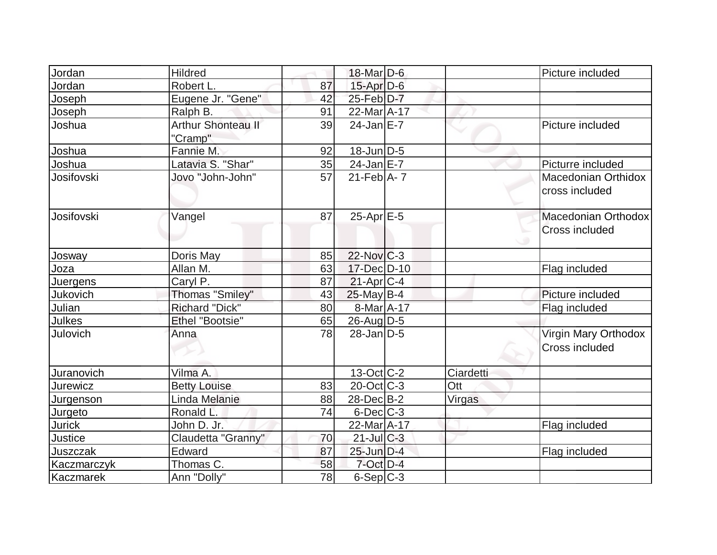| Jordan          | <b>Hildred</b>                       |    | 18-Mar D-6        |           | Picture included                              |
|-----------------|--------------------------------------|----|-------------------|-----------|-----------------------------------------------|
| Jordan          | Robert L.                            | 87 | $15$ -Apr $D-6$   |           |                                               |
| Joseph          | Eugene Jr. "Gene"                    | 42 | 25-Feb D-7        |           |                                               |
| Joseph          | Ralph B.                             | 91 | 22-Mar A-17       |           |                                               |
| Joshua          | <b>Arthur Shonteau II</b><br>"Cramp" | 39 | $24$ -Jan $E-7$   |           | Picture included                              |
| Joshua          | Fannie M.                            | 92 | 18-Jun D-5        |           |                                               |
| Joshua          | Latavia S. "Shar"                    | 35 | $24$ -Jan $E$ -7  |           | Picturre included                             |
| Josifovski      | Jovo "John-John"                     | 57 | $21$ -Feb $A$ - 7 |           | Macedonian Orthidox<br>cross included         |
| Josifovski      | Vangel                               | 87 | $25$ -Apr $E$ -5  |           | Macedonian Orthodox<br><b>Cross included</b>  |
| Josway          | Doris May                            | 85 | $22$ -Nov $ C-3 $ |           |                                               |
| Joza            | Allan M.                             | 63 | 17-Dec D-10       |           | Flag included                                 |
| Juergens        | Caryl P.                             | 87 | $21-Apr$ $C-4$    |           |                                               |
| Jukovich        | <b>Thomas "Smiley"</b>               | 43 | $25$ -May B-4     |           | Picture included                              |
| Julian          | <b>Richard "Dick"</b>                | 80 | 8-Mar A-17        |           | Flag included                                 |
| Julkes          | <b>Ethel "Bootsie"</b>               | 65 | $26$ -Aug $D-5$   |           |                                               |
| Julovich        | Anna                                 | 78 | $28$ -Jan D-5     |           | Virgin Mary Orthodox<br><b>Cross included</b> |
| Juranovich      | Vilma A.                             |    | $13-Oct$ $C-2$    | Ciardetti |                                               |
| <b>Jurewicz</b> | <b>Betty Louise</b>                  | 83 | $20$ -Oct $ C-3 $ | Ott       |                                               |
| Jurgenson       | Linda Melanie                        | 88 | 28-Dec B-2        | Virgas    |                                               |
| Jurgeto         | Ronald L.                            | 74 | $6$ -Dec $C$ -3   |           |                                               |
| <b>Jurick</b>   | John D. Jr.                          |    | 22-Mar A-17       |           | Flag included                                 |
| Justice         | Claudetta "Granny"                   | 70 | $21$ -Jul C-3     |           |                                               |
| Juszczak        | Edward                               | 87 | 25-Jun D-4        |           | Flag included                                 |
| Kaczmarczyk     | Thomas C.                            | 58 | $7$ -Oct $D-4$    |           |                                               |
| Kaczmarek       | Ann "Dolly"                          | 78 | $6-Sep$ $C-3$     |           |                                               |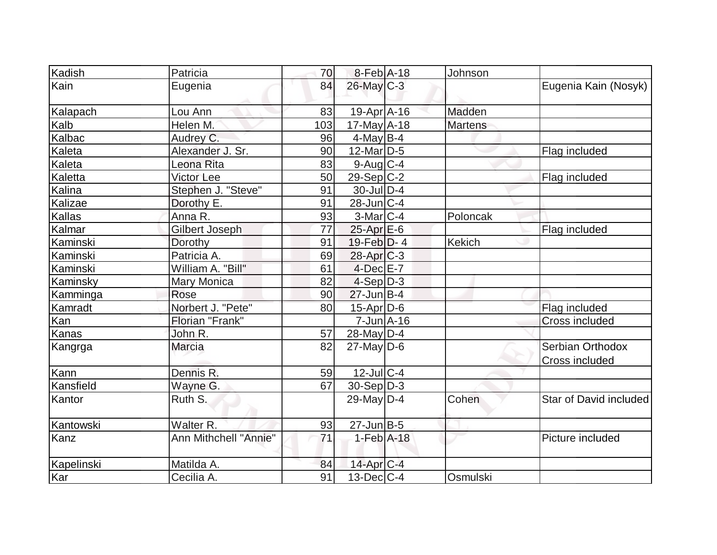| Kadish     | Patricia              | 70  | 8-Feb A-18        | Johnson        |                                    |
|------------|-----------------------|-----|-------------------|----------------|------------------------------------|
| Kain       | Eugenia               | 84  | $26$ -May C-3     |                | Eugenia Kain (Nosyk)               |
| Kalapach   | Lou Ann               | 83  | $19-Apr$ A-16     | Madden         |                                    |
| Kalb       | Helen M.              | 103 | $17$ -May $A$ -18 | <b>Martens</b> |                                    |
| Kalbac     | Audrey C.             | 96  | $4$ -May B-4      |                |                                    |
| Kaleta     | Alexander J. Sr.      | 90  | $12$ -Mar $ D-5$  |                | Flag included                      |
| Kaleta     | Leona Rita            | 83  | $9$ -Aug C-4      |                |                                    |
| Kaletta    | <b>Victor Lee</b>     | 50  | $29-Sep C-2$      |                | Flag included                      |
| Kalina     | Stephen J. "Steve"    | 91  | 30-Jul D-4        |                |                                    |
| Kalizae    | Dorothy E.            | 91  | $28$ -Jun $ C-4$  |                |                                    |
| Kallas     | Anna R.               | 93  | $3-Mar$ $C-4$     | Poloncak       |                                    |
| Kalmar     | Gilbert Joseph        | 77  | $25$ -Apr $E$ -6  |                | Flag included                      |
| Kaminski   | Dorothy               | 91  | 19-Feb $D-4$      | Kekich         |                                    |
| Kaminski   | Patricia A.           | 69  | $28$ -Apr $C-3$   |                |                                    |
| Kaminski   | William A. "Bill"     | 61  | $4$ -Dec $E - 7$  |                |                                    |
| Kaminsky   | Mary Monica           | 82  | $4-Sep D-3$       |                |                                    |
| Kamminga   | Rose                  | 90  | $27$ -Jun $B-4$   |                |                                    |
| Kamradt    | Norbert J. "Pete"     | 80  | $15$ -Apr $D$ -6  |                | Flag included                      |
| Kan        | Florian "Frank"       |     | $7$ -Jun $A$ -16  |                | <b>Cross included</b>              |
| Kanas      | John R.               | 57  | 28-May $D-4$      |                |                                    |
| Kangrga    | Marcia                | 82  | $27$ -May D-6     |                | Serbian Orthodox<br>Cross included |
| Kann       | Dennis R.             | 59  | $12$ -Jul $C-4$   |                |                                    |
| Kansfield  | Wayne G.              | 67  | $30-Sep D-3$      |                |                                    |
| Kantor     | Ruth S.               |     | 29-May $D-4$      | Cohen          | Star of David included             |
| Kantowski  | Walter <sub>R.</sub>  | 93  | $27$ -Jun $B-5$   |                |                                    |
| Kanz       | Ann Mithchell "Annie" | 71  | $1-Feb$ A-18      |                | Picture included                   |
| Kapelinski | Matilda A.            | 84  | $14$ -Apr $ C-4 $ |                |                                    |
| Kar        | Cecilia A.            | 91  | $13$ -Dec $C-4$   | Osmulski       |                                    |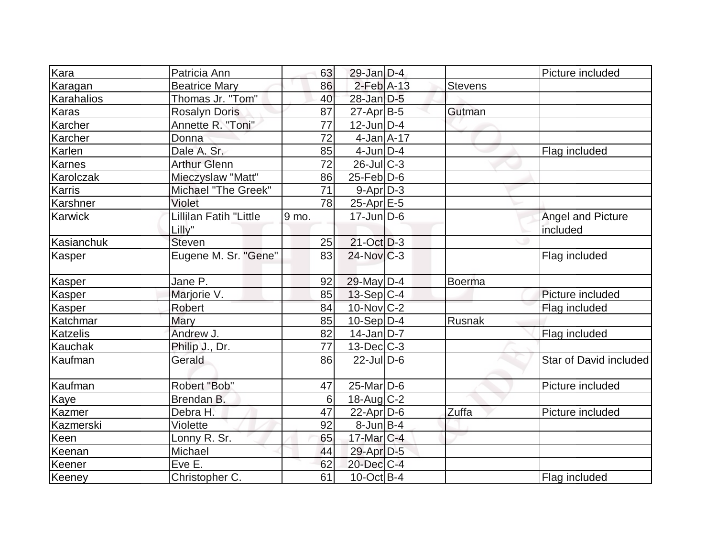| Kara            | Patricia Ann           | 63    | $29$ -Jan D-4     |         | Picture included       |
|-----------------|------------------------|-------|-------------------|---------|------------------------|
| Karagan         | <b>Beatrice Mary</b>   | 86    | $2$ -Feb $A-13$   | Stevens |                        |
| Karahalios      | Thomas Jr. "Tom"       | 40    | $28$ -Jan D-5     |         |                        |
| <b>Karas</b>    | <b>Rosalyn Doris</b>   | 87    | $27$ -Apr $ B-5 $ | Gutman  |                        |
| Karcher         | Annette R. "Toni"      | 77    | $12$ -Jun $ D-4 $ |         |                        |
| Karcher         | Donna                  | 72    | $4$ -Jan $A$ -17  |         |                        |
| Karlen          | Dale A. Sr.            | 85    | $4$ -Jun $D-4$    |         | Flag included          |
| Karnes          | <b>Arthur Glenn</b>    | 72    | $26$ -JulC-3      |         |                        |
| Karolczak       | Mieczyslaw "Matt"      | 86    | $25$ -Feb $ D$ -6 |         |                        |
| Karris          | Michael "The Greek"    | 71    | $9-Apr D-3$       |         |                        |
| Karshner        | Violet                 | 78    | 25-Apr E-5        |         |                        |
| Karwick         | Lillilan Fatih "Little | 9 mo. | $17$ -Jun $D-6$   |         | Angel and Picture      |
|                 | Lilly"                 |       |                   |         | included               |
| Kasianchuk      | <b>Steven</b>          | 25    | $21-Oct$ D-3      |         |                        |
| Kasper          | Eugene M. Sr. "Gene"   | 83    | $24$ -Nov $ C-3 $ |         | Flag included          |
| Kasper          | Jane P.                | 92    | $29$ -May D-4     | Boerma  |                        |
| <b>Kasper</b>   | Marjorie V.            | 85    | $13-Sep C-4$      |         | Picture included       |
| Kasper          | Robert                 | 84    | 10-Nov C-2        |         | Flag included          |
| Katchmar        | Mary                   | 85    | $10-Sep D-4$      | Rusnak  |                        |
| <b>Katzelis</b> | Andrew J.              | 82    | $14$ -Jan D-7     |         | Flag included          |
| Kauchak         | Philip J., Dr.         | 77    | $13$ -Dec $C-3$   |         |                        |
| Kaufman         | Gerald                 | 86    | $22$ -JulD-6      |         | Star of David included |
| Kaufman         | Robert "Bob"           | 47    | $25$ -Mar $ D-6$  |         | Picture included       |
| <b>Kaye</b>     | Brendan B.             | 6     | 18-Aug C-2        |         |                        |
| Kazmer          | Debra H.               | 47    | $22$ -Apr $ D-6$  | Zuffa   | Picture included       |
| Kazmerski       | Violette               | 92    | $8$ -Jun $B$ -4   |         |                        |
| Keen            | Lonny R. Sr.           | 65    | 17-Mar C-4        |         |                        |
| Keenan          | Michael                | 44    | 29-Apr D-5        |         |                        |
| Keener          | Eve E.                 | 62    | $20$ -Dec $C-4$   |         |                        |
| Keeney          | Christopher C.         | 61    | $10$ -Oct B-4     |         | Flag included          |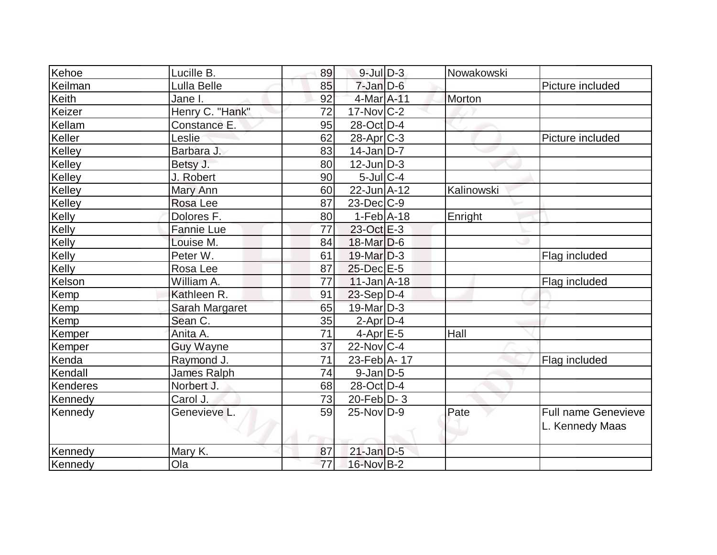| Kehoe    | Lucille B.      | 89 | $9$ -Jul $D-3$    | Nowakowski |                                               |
|----------|-----------------|----|-------------------|------------|-----------------------------------------------|
| Keilman  | Lulla Belle     | 85 | $7$ -Jan $D$ -6   |            | Picture included                              |
| Keith    | Jane I.         | 92 | 4-Mar A-11        | Morton     |                                               |
| Keizer   | Henry C. "Hank" | 72 | $17$ -Nov $ C-2 $ |            |                                               |
| Kellam   | Constance E.    | 95 | 28-Oct D-4        |            |                                               |
| Keller   | Leslie          | 62 | $28$ -Apr $C-3$   |            | Picture included                              |
| Kelley   | Barbara J.      | 83 | $14$ -Jan D-7     |            |                                               |
| Kelley   | Betsy J.        | 80 | $12$ -Jun $D-3$   |            |                                               |
| Kelley   | J. Robert       | 90 | $5$ -Jul $ C-4 $  |            |                                               |
| Kelley   | Mary Ann        | 60 | $22$ -Jun $A-12$  | Kalinowski |                                               |
| Kelley   | Rosa Lee        | 87 | $23$ -Dec $ C-9 $ |            |                                               |
| Kelly    | Dolores F.      | 80 | $1-Feb$ A-18      | Enright    |                                               |
| Kelly    | Fannie Lue      | 77 | 23-Oct E-3        |            |                                               |
| Kelly    | Louise M.       | 84 | $18$ -Mar $D-6$   |            |                                               |
| Kelly    | Peter W.        | 61 | $19$ -Mar $D-3$   |            | Flag included                                 |
| Kelly    | Rosa Lee        | 87 | 25-Dec E-5        |            |                                               |
| Kelson   | William A.      | 77 | $11$ -Jan $A$ -18 |            | Flag included                                 |
| Kemp     | Kathleen R.     | 91 | $23-Sep D-4$      |            |                                               |
| Kemp     | Sarah Margaret  | 65 | $19$ -Mar $ D-3 $ |            |                                               |
| Kemp     | Sean C.         | 35 | $2$ -Apr $D-4$    |            |                                               |
| Kemper   | Anita A.        | 71 | $4$ -Apr $E$ -5   | Hall       |                                               |
| Kemper   | Guy Wayne       | 37 | $22$ -Nov $ C-4 $ |            |                                               |
| Kenda    | Raymond J.      | 71 | 23-Feb A-17       |            | Flag included                                 |
| Kendall  | James Ralph     | 74 | $9$ -Jan $D$ -5   |            |                                               |
| Kenderes | Norbert J.      | 68 | 28-Oct D-4        |            |                                               |
| Kennedy  | Carol J.        | 73 | 20-Feb $ D-3 $    |            |                                               |
| Kennedy  | Genevieve L.    | 59 | 25-Nov D-9        | Pate       | <b>Full name Genevieve</b><br>L. Kennedy Maas |
| Kennedy  | Mary K.         | 87 | $21$ -Jan D-5     |            |                                               |
| Kennedy  | Ola             | 77 | 16-Nov B-2        |            |                                               |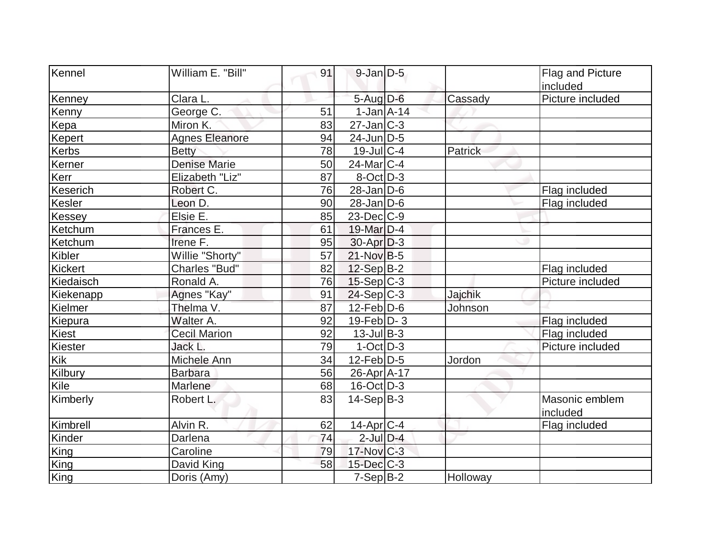| Kennel         | William E. "Bill"     | 91 | $9$ -Jan $D$ -5           |          | <b>Flag and Picture</b> |
|----------------|-----------------------|----|---------------------------|----------|-------------------------|
|                |                       |    |                           |          | included                |
| Kenney         | Clara L.              |    | $5$ -Aug $D$ -6           | Cassady  | Picture included        |
| Kenny          | George C.             | 51 | $1$ -Jan $A$ -14          |          |                         |
| Kepa           | Miron K.              | 83 | $27 - Jan$ <sub>C-3</sub> |          |                         |
| Kepert         | <b>Agnes Eleanore</b> | 94 | 24-Jun D-5                |          |                         |
| Kerbs          | <b>Betty</b>          | 78 | $19$ -Jul $ C-4$          | Patrick  |                         |
| Kerner         | Denise Marie          | 50 | $24$ -Mar $ C-4 $         |          |                         |
| Kerr           | Elizabeth "Liz"       | 87 | $8-Oct$ D-3               |          |                         |
| Keserich       | Robert C.             | 76 | $28$ -Jan D-6             |          | Flag included           |
| Kesler         | Leon D.               | 90 | $28$ -Jan $D$ -6          |          | Flag included           |
| Kessey         | Elsie E.              | 85 | $23$ -Dec $C-9$           |          |                         |
| Ketchum        | Frances E.            | 61 | 19-Mar D-4                |          |                         |
| Ketchum        | Irene F.              | 95 | $30$ -Apr $ D-3 $         |          |                         |
| Kibler         | Willie "Shorty"       | 57 | $21-Nov B-5$              |          |                         |
| <b>Kickert</b> | <b>Charles "Bud"</b>  | 82 | $12-Sep$ B-2              |          | Flag included           |
| Kiedaisch      | Ronald A.             | 76 | $15-Sep C-3$              |          | Picture included        |
| Kiekenapp      | Agnes "Kay"           | 91 | $24-Sep C-3$              | Jajchik  |                         |
| Kielmer        | Thelma V.             | 87 | $12$ -Feb $D-6$           | Johnson  |                         |
| Kiepura        | Walter A.             | 92 | $19$ -Feb $ D-3$          |          | Flag included           |
| Kiest          | <b>Cecil Marion</b>   | 92 | $13$ -Jul B-3             |          | Flag included           |
| Kiester        | Jack L.               | 79 | $1-Oct$ D-3               |          | Picture included        |
| Kik            | Michele Ann           | 34 | $12$ -Feb $ D-5 $         | Jordon   |                         |
| Kilbury        | <b>Barbara</b>        | 56 | 26-Apr A-17               |          |                         |
| Kile           | Marlene               | 68 | $16$ -Oct $ D-3 $         |          |                         |
| Kimberly       | Robert L.             | 83 | $14-Sep B-3$              |          | Masonic emblem          |
|                |                       |    |                           |          | included                |
| Kimbrell       | Alvin R.              | 62 | $14$ -Apr $ C-4$          |          | Flag included           |
| Kinder         | Darlena               | 74 | $2$ -Jul $D-4$            |          |                         |
| King           | Caroline              | 79 | $17$ -Nov $ C-3 $         |          |                         |
| King           | David King            | 58 | $15$ -Dec $C$ -3          |          |                         |
| King           | Doris (Amy)           |    | $7-Sep B-2$               | Holloway |                         |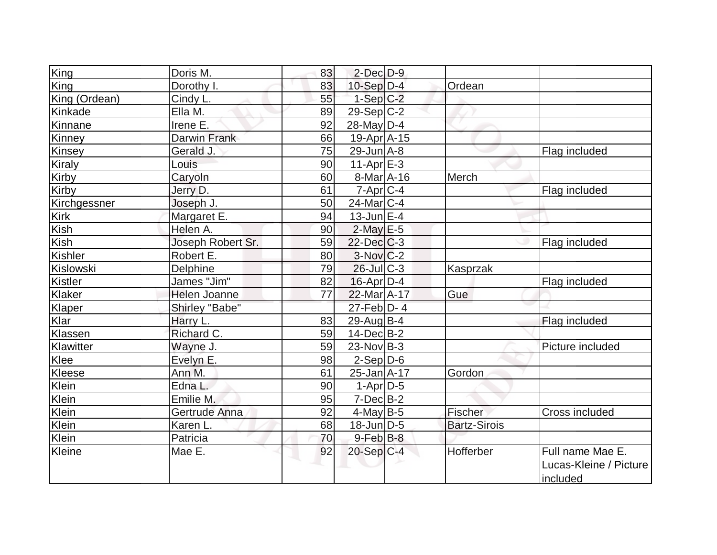| King           | Doris M.          | 83 | $2$ -Dec $D-9$         |                     |                        |
|----------------|-------------------|----|------------------------|---------------------|------------------------|
| <b>King</b>    | Dorothy I.        | 83 | $10-Sep D-4$           | Ordean              |                        |
| King (Ordean)  | Cindy L.          | 55 | $1-Sep C-2$            |                     |                        |
| Kinkade        | Ella M.           | 89 | $29-Sep C-2$           |                     |                        |
| Kinnane        | Irene E.          | 92 | $28$ -May D-4          |                     |                        |
| Kinney         | Darwin Frank      | 66 | $19-Apr$ A-15          |                     |                        |
| Kinsey         | Gerald J.         | 75 | $29$ -Jun $A$ -8       |                     | Flag included          |
| <b>Kiraly</b>  | Louis             | 90 | $11-Apr$ $E-3$         |                     |                        |
| Kirby          | Caryoln           | 60 | $8$ -Mar $A$ -16       | Merch               |                        |
| Kirby          | Jerry D.          | 61 | $7$ -Apr $ C-4 $       |                     | Flag included          |
| Kirchgessner   | Joseph J.         | 50 | $24$ -Mar $ C-4 $      |                     |                        |
| <b>Kirk</b>    | Margaret E.       | 94 | $13$ -Jun $E-4$        |                     |                        |
| <b>Kish</b>    | Helen A.          | 90 | $2$ -May $E-5$         |                     |                        |
| <b>Kish</b>    | Joseph Robert Sr. | 59 | $22$ -Dec $C$ -3       |                     | Flag included          |
| <b>Kishler</b> | Robert E.         | 80 | $3-Nov$ <sub>C-2</sub> |                     |                        |
| Kislowski      | <b>Delphine</b>   | 79 | $26$ -JulC-3           | Kasprzak            |                        |
| Kistler        | James "Jim"       | 82 | $16$ -Apr $D-4$        |                     | Flag included          |
| Klaker         | Helen Joanne      | 77 | 22-Mar A-17            | Gue                 |                        |
| Klaper         | Shirley "Babe"    |    | $27$ -Feb $D$ -4       |                     |                        |
| Klar           | Harry L.          | 83 | $29$ -Aug B-4          |                     | Flag included          |
| Klassen        | Richard C.        | 59 | $14$ -Dec $B - 2$      |                     |                        |
| Klawitter      | Wayne J.          | 59 | $23$ -Nov B-3          |                     | Picture included       |
| Klee           | Evelyn E.         | 98 | $2-Sep D-6$            |                     |                        |
| Kleese         | Ann M.            | 61 | 25-Jan A-17            | Gordon              |                        |
| Klein          | Edna L.           | 90 | $1-Apr D-5$            |                     |                        |
| Klein          | Emilie M.         | 95 | $7-Dec B-2$            |                     |                        |
| <b>Klein</b>   | Gertrude Anna     | 92 | $4$ -May B-5           | Fischer             | Cross included         |
| Klein          | Karen L.          | 68 | 18-Jun D-5             | <b>Bartz-Sirois</b> |                        |
| Klein          | Patricia          | 70 | $9$ -Feb $ B-8$        |                     |                        |
| <b>Kleine</b>  | Mae E.            | 92 | $20-Sep C-4$           | Hofferber           | Full name Mae E.       |
|                |                   |    |                        |                     | Lucas-Kleine / Picture |
|                |                   |    |                        |                     | included               |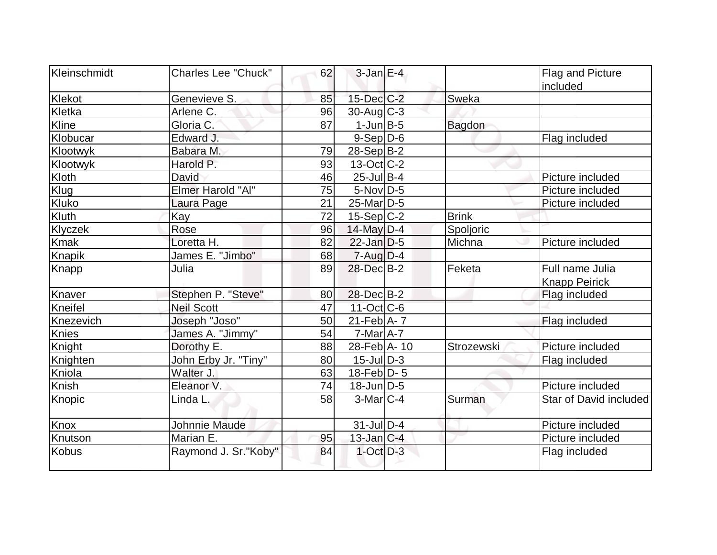| Kleinschmidt  | <b>Charles Lee "Chuck"</b> | 62 | $3$ -Jan $E-4$    |               | Flag and Picture<br>included            |
|---------------|----------------------------|----|-------------------|---------------|-----------------------------------------|
| Klekot        | Genevieve S.               | 85 | $15$ -Dec $C$ -2  | Sweka         |                                         |
| Kletka        | Arlene C.                  | 96 | $30$ -Aug C-3     |               |                                         |
| Kline         | Gloria C.                  | 87 | $1$ -Jun $B$ -5   | <b>Bagdon</b> |                                         |
| Klobucar      | Edward J.                  |    | $9-Sep D-6$       |               | Flag included                           |
| Klootwyk      | Babara M.                  | 79 | $28-Sep B-2$      |               |                                         |
| Klootwyk      | Harold P.                  | 93 | $13-Oct$ $C-2$    |               |                                         |
| Kloth         | David                      | 46 | $25$ -Jul B-4     |               | Picture included                        |
| Klug          | Elmer Harold "Al"          | 75 | $5-Nov$ D-5       |               | Picture included                        |
| Kluko         | Laura Page                 | 21 | 25-Mar D-5        |               | Picture included                        |
| Kluth         | Kay                        | 72 | $15-Sep C-2$      | <b>Brink</b>  |                                         |
| Klyczek       | Rose                       | 96 | 14-May D-4        | Spoljoric     |                                         |
| <b>Kmak</b>   | Loretta H.                 | 82 | $22$ -Jan D-5     | Michna        | Picture included                        |
| <b>Knapik</b> | James E. "Jimbo"           | 68 | $7 - Aug   D-4$   |               |                                         |
| Knapp         | Julia                      | 89 | 28-Dec B-2        | Feketa        | Full name Julia<br><b>Knapp Peirick</b> |
| Knaver        | Stephen P. "Steve"         | 80 | 28-Dec B-2        |               | Flag included                           |
| Kneifel       | <b>Neil Scott</b>          | 47 | $11-Oct$ $C-6$    |               |                                         |
| Knezevich     | Joseph "Joso"              | 50 | $21$ -Feb $ A-7 $ |               | Flag included                           |
| <b>Knies</b>  | James A. "Jimmy"           | 54 | $7$ -Mar $A$ -7   |               |                                         |
| Knight        | Dorothy E.                 | 88 | 28-Feb A-10       | Strozewski    | Picture included                        |
| Knighten      | John Erby Jr. "Tiny"       | 80 | $15$ -JulD-3      |               | Flag included                           |
| Kniola        | Walter J.                  | 63 | $18$ -Feb $ D-5$  |               |                                         |
| Knish         | Eleanor V.                 | 74 | $18$ -Jun $ D-5$  |               | Picture included                        |
| Knopic        | Linda L.                   | 58 | 3-MarlC-4         | Surman        | Star of David included                  |
| Knox          | Johnnie Maude              |    | 31-Jul D-4        |               | Picture included                        |
| Knutson       | Marian E.                  | 95 | $13$ -Jan $ C-4 $ |               | Picture included                        |
| <b>Kobus</b>  | Raymond J. Sr."Koby"       | 84 | $1$ -Oct $D-3$    |               | Flag included                           |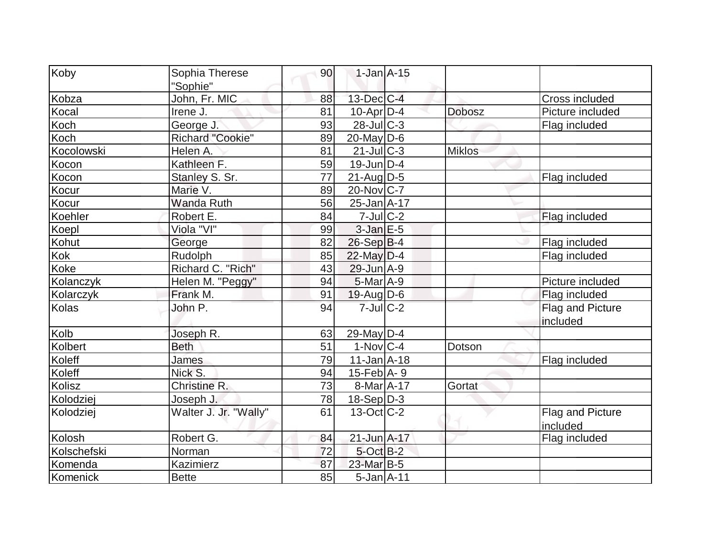| Koby         | Sophia Therese<br>'Sophie" | 90 | $1$ -Jan $A-15$              |               |                              |
|--------------|----------------------------|----|------------------------------|---------------|------------------------------|
| Kobza        | John, Fr. MIC              | 88 | 13-Dec C-4                   |               | <b>Cross included</b>        |
| Kocal        | Irene J.                   | 81 | $10$ -Apr $D-4$              | <b>Dobosz</b> | Picture included             |
| Koch         | George J.                  | 93 | $28$ -JulC-3                 |               | Flag included                |
| Koch         | Richard "Cookie"           | 89 | $20$ -May D-6                |               |                              |
| Kocolowski   | Helen A.                   | 81 | $21$ -JulC-3                 | <b>Miklos</b> |                              |
| Kocon        | Kathleen F.                | 59 | $19$ -Jun $D-4$              |               |                              |
| Kocon        | Stanley S. Sr.             | 77 | $21$ -Aug $D-5$              |               | Flag included                |
| Kocur        | Marie V.                   | 89 | $20$ -Nov $ C-7 $            |               |                              |
| Kocur        | Wanda Ruth                 | 56 | $25$ -Jan $A$ -17            |               |                              |
| Koehler      | Robert E.                  | 84 | $7$ -Jul $C$ -2              |               | Flag included                |
| Koepl        | Viola "VI"                 | 99 | $3$ -Jan $E-5$               |               |                              |
| Kohut        | George                     | 82 | $26-Sep$ B-4                 |               | Flag included                |
| Kok          | Rudolph                    | 85 | $22$ -May $D-4$              |               | Flag included                |
| Koke         | Richard C. "Rich"          | 43 | 29-Jun A-9                   |               |                              |
| Kolanczyk    | Helen M. "Peggy"           | 94 | $5-Mar$ A-9                  |               | Picture included             |
| Kolarczyk    | Frank M.                   | 91 | $19$ -Aug $ D$ -6            |               | Flag included                |
| <b>Kolas</b> | John P.                    | 94 | $7$ -Jul $C-2$               |               | Flag and Picture<br>included |
| Kolb         | Joseph R.                  | 63 | 29-May $D-4$                 |               |                              |
| Kolbert      | <b>Beth</b>                | 51 | $1-Nov C-4$                  | Dotson        |                              |
| Koleff       | James                      | 79 | $11$ -Jan $A$ -18            |               | Flag included                |
| Koleff       | Nick S.                    | 94 | $15$ -Feb $\overline{A}$ - 9 |               |                              |
| Kolisz       | Christine R.               | 73 | 8-Mar A-17                   | Gortat        |                              |
| Kolodziej    | Joseph J.                  | 78 | $18-Sep D-3$                 |               |                              |
| Kolodziej    | Walter J. Jr. "Wally"      | 61 | $13-Oct$ <sub>C</sub> -2     |               | Flag and Picture<br>included |
| Kolosh       | Robert G.                  | 84 | 21-Jun A-17                  |               | Flag included                |
| Kolschefski  | Norman                     | 72 | $5$ -Oct $B-2$               |               |                              |
| Komenda      | Kazimierz                  | 87 | 23-Mar B-5                   |               |                              |
| Komenick     | <b>Bette</b>               | 85 | $5$ -Jan $A$ -11             |               |                              |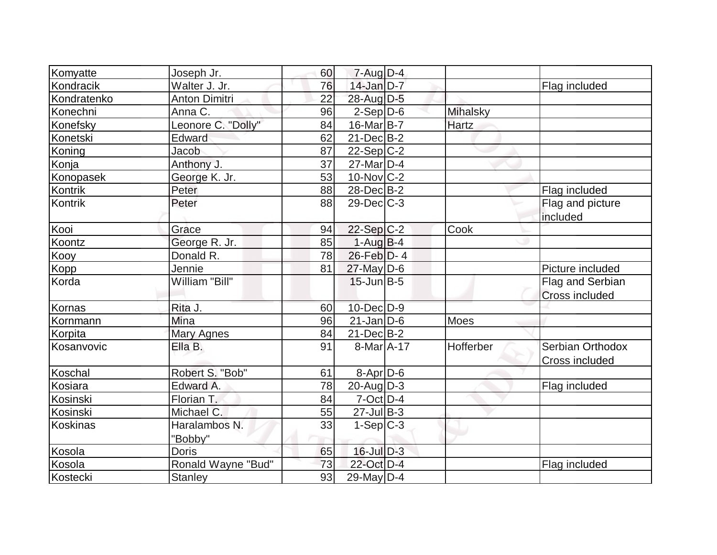| Komyatte         | Joseph Jr.                | 60 | 7-Aug D-4         |           |                                           |
|------------------|---------------------------|----|-------------------|-----------|-------------------------------------------|
| Kondracik        | Walter J. Jr.             | 76 | $14$ -Jan D-7     |           | Flag included                             |
| Kondratenko      | Anton Dimitri             | 22 | 28-Aug D-5        |           |                                           |
| Konechni         | Anna C.                   | 96 | $2-Sep D-6$       | Mihalsky  |                                           |
| Konefsky         | Leonore C. "Dolly"        | 84 | 16-Mar B-7        | Hartz     |                                           |
| Konetski         | <b>Edward</b>             | 62 | $21$ -Dec $B-2$   |           |                                           |
| Koning           | Jacob                     | 87 | $22-Sep C-2$      |           |                                           |
| Konja            | Anthony J.                | 37 | $27$ -Mar $ D-4 $ |           |                                           |
| <b>Konopasek</b> | George K. Jr.             | 53 | $10$ -Nov $C-2$   |           |                                           |
| Kontrik          | Peter                     | 88 | $28$ -Dec $B$ -2  |           | Flag included                             |
| Kontrik          | Peter                     | 88 | $29$ -Dec $C$ -3  |           | Flag and picture<br>included              |
| Kooi             | Grace                     | 94 | $22-Sep C-2$      | Cook      |                                           |
| Koontz           | George R. Jr.             | 85 | $1-Aug$ B-4       |           |                                           |
| Kooy             | Donald R.                 | 78 | $26$ -Feb $D-4$   |           |                                           |
| Kopp             | Jennie                    | 81 | 27-May D-6        |           | Picture included                          |
| Korda            | William "Bill"            |    | $15$ -Jun $B$ -5  |           | Flag and Serbian<br><b>Cross included</b> |
| Kornas           | Rita J.                   | 60 | 10-Dec D-9        |           |                                           |
| Kornmann         | Mina                      | 96 | $21$ -Jan D-6     | Moes      |                                           |
| Korpita          | <b>Mary Agnes</b>         | 84 | $21$ -Dec $B-2$   |           |                                           |
| Kosanvovic       | Ella B.                   | 91 | $8-MarA-17$       | Hofferber | Serbian Orthodox<br><b>Cross included</b> |
| Koschal          | Robert S. "Bob"           | 61 | $8 - Apr$ $D-6$   |           |                                           |
| Kosiara          | Edward A.                 | 78 | $20$ -Aug $D-3$   |           | Flag included                             |
| Kosinski         | Florian T.                | 84 | $7$ -Oct $D-4$    |           |                                           |
| Kosinski         | Michael C.                | 55 | $27$ -Jul B-3     |           |                                           |
| Koskinas         | Haralambos N.<br>"Bobby"  | 33 | $1-Sep C-3$       |           |                                           |
| Kosola           | <b>Doris</b>              | 65 | $16$ -Jul $D-3$   |           |                                           |
| Kosola           | <b>Ronald Wayne "Bud"</b> | 73 | 22-Oct D-4        |           | Flag included                             |
| Kostecki         | <b>Stanley</b>            | 93 | 29-May D-4        |           |                                           |
|                  |                           |    |                   |           |                                           |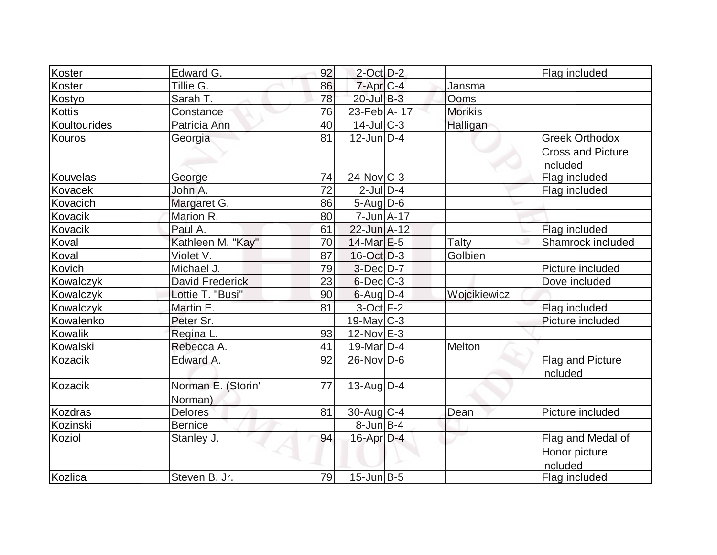| Koster           | Edward G.          | 92 | $2$ -Oct $D-2$                   |                | Flag included                        |
|------------------|--------------------|----|----------------------------------|----------------|--------------------------------------|
| Koster           | Tillie G.          | 86 | 7-Apr C-4                        | Jansma         |                                      |
| Kostyo           | Sarah T.           | 78 | 20-Jul B-3                       | Ooms           |                                      |
| <b>Kottis</b>    | Constance          | 76 | 23-Feb A- 17                     | <b>Morikis</b> |                                      |
| Koultourides     | Patricia Ann       | 40 | $14$ -Jul $ C-3 $                | Halligan       |                                      |
| Kouros           | Georgia            | 81 | $12$ -Jun $D-4$                  |                | <b>Greek Orthodox</b>                |
|                  |                    |    |                                  |                | <b>Cross and Picture</b><br>included |
| Kouvelas         | George             | 74 | $24$ -Nov $ C-3 $                |                | Flag included                        |
| Kovacek          | John A.            | 72 | $2$ -JulD-4                      |                | Flag included                        |
| Kovacich         | Margaret G.        | 86 | $5 - \text{Aug}$ D-6             |                |                                      |
| Kovacik          | Marion R.          | 80 | $7 - Jun \nightharpoonup A - 17$ |                |                                      |
| Kovacik          | Paul A.            | 61 | 22-Jun A-12                      |                | Flag included                        |
| Koval            | Kathleen M. "Kay"  | 70 | 14-Mar E-5                       | Talty          | Shamrock included                    |
| Koval            | Violet V.          | 87 | $16$ -Oct $D-3$                  | Golbien        |                                      |
| Kovich           | Michael J.         | 79 | $3-Dec$ $D-7$                    |                | Picture included                     |
| <b>Kowalczyk</b> | David Frederick    | 23 | $6$ -Dec $C$ -3                  |                | Dove included                        |
| Kowalczyk        | Lottie T. "Busi"   | 90 | $6$ -Aug $D-4$                   | Wojcikiewicz   |                                      |
| Kowalczyk        | Martin E.          | 81 | $3$ -Oct $F-2$                   |                | Flag included                        |
| Kowalenko        | Peter Sr.          |    | $19$ -May C-3                    |                | Picture included                     |
| Kowalik          | Regina L.          | 93 | $12$ -Nov $E-3$                  |                |                                      |
| Kowalski         | Rebecca A.         | 41 | $19$ -Mar $ D-4$                 | Melton         |                                      |
| Kozacik          | Edward A.          | 92 | $26$ -Nov $ D-6$                 |                | Flag and Picture                     |
|                  |                    |    |                                  |                | included                             |
| Kozacik          | Norman E. (Storin' | 77 | $13$ -Aug D-4                    |                |                                      |
|                  | Norman)            |    |                                  |                |                                      |
| <b>Kozdras</b>   | <b>Delores</b>     | 81 | $30$ -Aug C-4                    | Dean           | Picture included                     |
| Kozinski         | <b>Bernice</b>     |    | 8-Jun B-4                        |                |                                      |
| Koziol           | Stanley J.         | 94 | $16$ -Apr $D-4$                  |                | Flag and Medal of                    |
|                  |                    |    |                                  |                | Honor picture                        |
|                  |                    |    |                                  |                | included                             |
| Kozlica          | Steven B. Jr.      | 79 | $15$ -Jun $B$ -5                 |                | Flag included                        |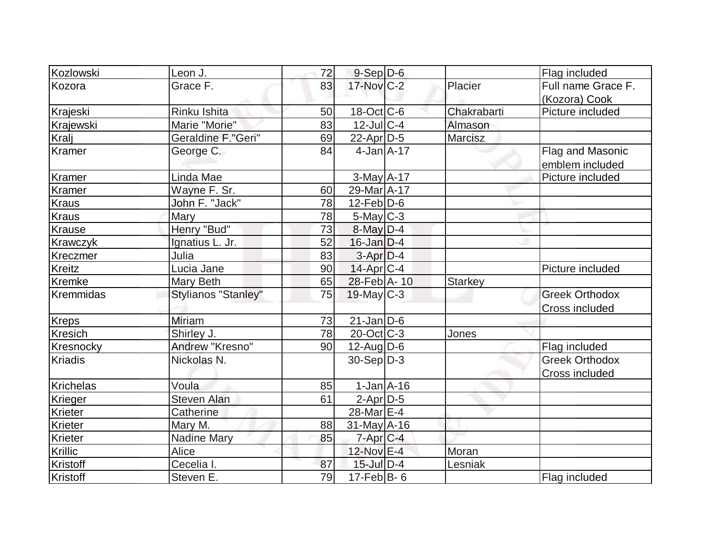| Kozlowski       | Leon J.             | 72 | $9-Sep D-6$           |                | Flag included         |
|-----------------|---------------------|----|-----------------------|----------------|-----------------------|
| Kozora          | Grace F.            | 83 | 17-Nov C-2            | Placier        | Full name Grace F.    |
|                 |                     |    |                       |                | (Kozora) Cook         |
| Krajeski        | Rinku Ishita        | 50 | 18-Oct C-6            | Chakrabarti    | Picture included      |
| Krajewski       | Marie "Morie"       | 83 | $12$ -JulC-4          | Almason        |                       |
| Kralj           | Geraldine F."Geri"  | 69 | $22$ -Apr $D-5$       | Marcisz        |                       |
| Kramer          | George C.           | 84 | $4$ -Jan $A$ -17      |                | Flag and Masonic      |
|                 |                     |    |                       |                | emblem included       |
| Kramer          | Linda Mae           |    | $3-May$ A-17          |                | Picture included      |
| Kramer          | Wayne F. Sr.        | 60 | 29-Mar A-17           |                |                       |
| Kraus           | John F. "Jack"      | 78 | $12$ -Feb $ D-6 $     |                |                       |
| <b>Kraus</b>    | Mary                | 78 | $5$ -May $C-3$        |                |                       |
| <b>Krause</b>   | Henry "Bud"         | 73 | $8$ -May $D-4$        |                |                       |
| <b>Krawczyk</b> | Ignatius L. Jr.     | 52 | $16$ -Jan $D-4$       |                |                       |
| Kreczmer        | Julia               | 83 | $3-Apr$ $D-4$         |                |                       |
| <b>Kreitz</b>   | Lucia Jane          | 90 | $14$ -Apr $ C-4 $     |                | Picture included      |
| Kremke          | Mary Beth           | 65 | 28-Feb A-10           | <b>Starkey</b> |                       |
| Kremmidas       | Stylianos "Stanley" | 75 | $19$ -May C-3         |                | <b>Greek Orthodox</b> |
|                 |                     |    |                       |                | Cross included        |
| <b>Kreps</b>    | <b>Miriam</b>       | 73 | $21$ -Jan $D-6$       |                |                       |
| <b>Kresich</b>  | Shirley J.          | 78 | $20$ -Oct $ C-3 $     | Jones          |                       |
| Kresnocky       | Andrew "Kresno"     | 90 | $12$ -Aug $D-6$       |                | Flag included         |
| <b>Kriadis</b>  | Nickolas N.         |    | $30-Sep D-3$          |                | <b>Greek Orthodox</b> |
|                 |                     |    |                       |                | Cross included        |
| Krichelas       | Voula               | 85 | $1-Jan1A-16$          |                |                       |
| Krieger         | <b>Steven Alan</b>  | 61 | $2$ -Apr $D-5$        |                |                       |
| Krieter         | Catherine           |    | 28-Mar <sub>E-4</sub> |                |                       |
| Krieter         | Mary M.             | 88 | $31$ -May A-16        |                |                       |
| Krieter         | <b>Nadine Mary</b>  | 85 | $7$ -Apr $C$ -4       |                |                       |
| Krillic         | <b>Alice</b>        |    | 12-Nov E-4            | Moran          |                       |
| <b>Kristoff</b> | Cecelia I.          | 87 | $15$ -Jul $D-4$       | Lesniak        |                       |
| Kristoff        | Steven E.           | 79 | $17$ -Feb $ B-6$      |                | Flag included         |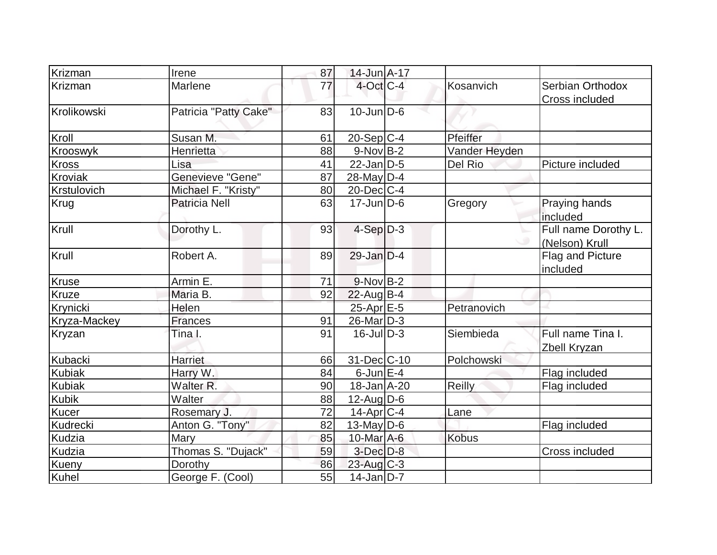| Krizman        | Irene                   | 87 | 14-Jun A-17       |               |                                           |
|----------------|-------------------------|----|-------------------|---------------|-------------------------------------------|
| Krizman        | Marlene                 | 77 | $4$ -Oct $C-4$    | Kosanvich     | Serbian Orthodox<br><b>Cross included</b> |
| Krolikowski    | Patricia "Patty Cake"   | 83 | $10$ -Jun $D-6$   |               |                                           |
| Kroll          | Susan M.                | 61 | $20-Sep C-4$      | Pfeiffer      |                                           |
| Krooswyk       | Henrietta               | 88 | $9-Nov$ B-2       | Vander Heyden |                                           |
| Kross          | Lisa                    | 41 | $22$ -Jan D-5     | Del Rio       | Picture included                          |
| <b>Kroviak</b> | <b>Genevieve "Gene"</b> | 87 | $28$ -May D-4     |               |                                           |
| Krstulovich    | Michael F. "Kristy"     | 80 | $20$ -Dec $C$ -4  |               |                                           |
| Krug           | <b>Patricia Nell</b>    | 63 | $17$ -Jun $D-6$   | Gregory       | Praying hands<br>included                 |
| Krull          | Dorothy L.              | 93 | $4-Sep D-3$       |               | Full name Dorothy L.<br>(Nelson) Krull    |
| Krull          | Robert A.               | 89 | $29$ -Jan D-4     |               | Flag and Picture<br>included              |
| <b>Kruse</b>   | Armin E.                | 71 | $9-Nov$ B-2       |               |                                           |
| Kruze          | Maria B.                | 92 | 22-Aug B-4        |               |                                           |
| Krynicki       | Helen                   |    | $25$ -Apr $E$ -5  | Petranovich   |                                           |
| Kryza-Mackey   | <b>Frances</b>          | 91 | $26$ -Mar $ D-3 $ |               |                                           |
| Kryzan         | Tina I.                 | 91 | $16$ -JulD-3      | Siembieda     | Full name Tina I.<br>Zbell Kryzan         |
| Kubacki        | <b>Harriet</b>          | 66 | 31-Dec C-10       | Polchowski    |                                           |
| <b>Kubiak</b>  | Harry W.                | 84 | $6$ -Jun $E-4$    |               | Flag included                             |
| <b>Kubiak</b>  | Walter <sub>R.</sub>    | 90 | 18-Jan A-20       | Reilly        | Flag included                             |
| <b>Kubik</b>   | Walter                  | 88 | $12$ -AugD-6      |               |                                           |
| Kucer          | Rosemary J.             | 72 | $14$ -Apr $ C-4 $ | Lane          |                                           |
| Kudrecki       | Anton G. "Tony"         | 82 | $13$ -May D-6     |               | Flag included                             |
| Kudzia         | Mary                    | 85 | 10-Mar A-6        | <b>Kobus</b>  |                                           |
| Kudzia         | Thomas S. "Dujack"      | 59 | $3$ -Dec $D-8$    |               | Cross included                            |
| Kueny          | Dorothy                 | 86 | $23$ -Aug C-3     |               |                                           |
| Kuhel          | George F. (Cool)        | 55 | $14$ -Jan D-7     |               |                                           |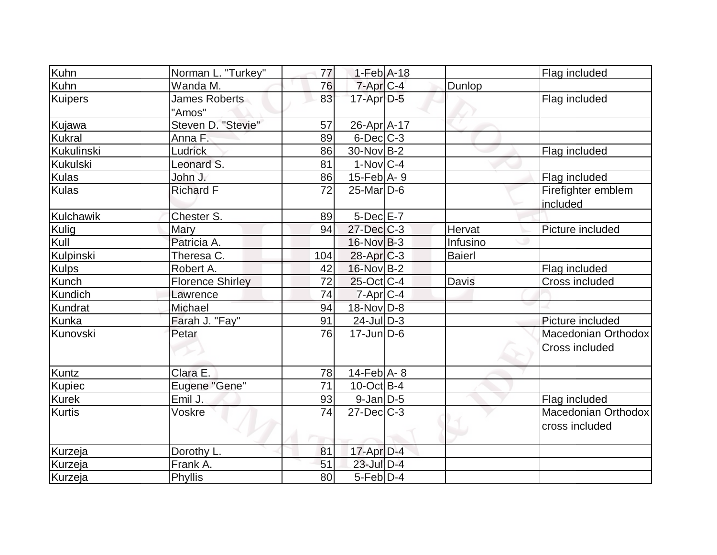| Kuhn          | Norman L. "Turkey"      | 77  | $1-Feb$ A-18                |          | Flag included                         |
|---------------|-------------------------|-----|-----------------------------|----------|---------------------------------------|
| Kuhn          | Wanda M.                | 76  | $7$ -Apr $C$ -4             | Dunlop   |                                       |
| Kuipers       | James Roberts<br>"Amos" | 83  | 17-Apr D-5                  |          | Flag included                         |
| Kujawa        | Steven D. "Stevie"      | 57  | 26-Apr A-17                 |          |                                       |
| <b>Kukral</b> | Anna F.                 | 89  | $6$ -Dec $C$ -3             |          |                                       |
| Kukulinski    | Ludrick                 | 86  | $30$ -Nov B-2               |          | Flag included                         |
| Kukulski      | Leonard S.              | 81  | $1-Nov C-4$                 |          |                                       |
| <b>Kulas</b>  | John J.                 | 86  | $15$ -Feb $A$ - 9           |          | Flag included                         |
| Kulas         | <b>Richard F</b>        | 72  | $25$ -Mar $\overline{D}$ -6 |          | Firefighter emblem<br>included        |
| Kulchawik     | Chester S.              | 89  | $5$ -Dec $E$ -7             |          |                                       |
| Kulig         | Mary                    | 94  | $27 - Dec$ $C-3$            | Hervat   | Picture included                      |
| Kull          | Patricia A.             |     | 16-Nov B-3                  | Infusino |                                       |
| Kulpinski     | Theresa C.              | 104 | $28$ -Apr $C-3$             | Baierl   |                                       |
| <b>Kulps</b>  | Robert A.               | 42  | 16-Nov B-2                  |          | Flag included                         |
| Kunch         | <b>Florence Shirley</b> | 72  | $25$ -Oct C-4               | Davis    | Cross included                        |
| Kundich       | Lawrence                | 74  | $7 - Apr$ $C - 4$           |          |                                       |
| Kundrat       | Michael                 | 94  | $18-Nov D-8$                |          |                                       |
| Kunka         | Farah J. "Fay"          | 91  | $24$ -Jul $D-3$             |          | Picture included                      |
| Kunovski      | Petar                   | 76  | $17$ -Jun $D-6$             |          | Macedonian Orthodox<br>Cross included |
| <b>Kuntz</b>  | Clara E.                | 78  | $14$ -Feb $A$ - 8           |          |                                       |
| Kupiec        | Eugene "Gene"           | 71  | $10$ -Oct B-4               |          |                                       |
| <b>Kurek</b>  | Emil J.                 | 93  | 9-Jan D-5                   |          | Flag included                         |
| <b>Kurtis</b> | Voskre                  | 74  | $27 - Dec$ $C-3$            |          | Macedonian Orthodox                   |
|               |                         |     |                             |          | cross included                        |
| Kurzeja       | Dorothy L.              | 81  | $17$ -Apr $D-4$             |          |                                       |
| Kurzeja       | Frank A.                | 51  | $23$ -Jul $D-4$             |          |                                       |
| Kurzeja       | Phyllis                 | 80  | $5-Feb$ $D-4$               |          |                                       |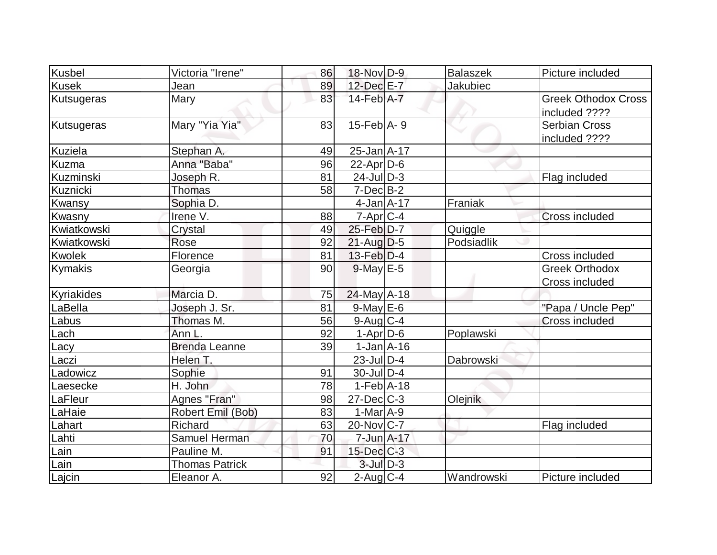| Kusbel            | Victoria "Irene"      | 86 | 18-Nov D-9                  | <b>Balaszek</b> | Picture included                            |
|-------------------|-----------------------|----|-----------------------------|-----------------|---------------------------------------------|
| <b>Kusek</b>      | Jean                  | 89 | 12-Dec E-7                  | <b>Jakubiec</b> |                                             |
| <b>Kutsugeras</b> | Mary                  | 83 | $14$ -Feb $\overline{A}$ -7 |                 | <b>Greek Othodox Cross</b><br>included ???? |
| Kutsugeras        | Mary "Yia Yia"        | 83 | $15$ -Feb $A$ - 9           |                 | <b>Serbian Cross</b><br>included ????       |
| <b>Kuziela</b>    | Stephan A.            | 49 | 25-Jan A-17                 |                 |                                             |
| Kuzma             | Anna "Baba"           | 96 | $22$ -Apr $ D-6$            |                 |                                             |
| Kuzminski         | Joseph R.             | 81 | $24$ -Jul $D-3$             |                 | Flag included                               |
| Kuznicki          | <b>Thomas</b>         | 58 | $7-Dec$ B-2                 |                 |                                             |
| Kwansy            | Sophia D.             |    | $4$ -Jan $A$ -17            | Franiak         |                                             |
| Kwasny            | Irene V.              | 88 | 7-Apr C-4                   |                 | <b>Cross included</b>                       |
| Kwiatkowski       | Crystal               | 49 | $25$ -Feb $D-7$             | Quiggle         |                                             |
| Kwiatkowski       | Rose                  | 92 | $21$ -Aug $D-5$             | Podsiadlik      |                                             |
| <b>Kwolek</b>     | Florence              | 81 | $13$ -Feb $D-4$             |                 | Cross included                              |
| Kymakis           | Georgia               | 90 | $9$ -May $E-5$              |                 | <b>Greek Orthodox</b><br>Cross included     |
| Kyriakides        | Marcia D.             | 75 | $24$ -May A-18              |                 |                                             |
| LaBella           | Joseph J. Sr.         | 81 | $9$ -May $E$ -6             |                 | "Papa / Uncle Pep"                          |
| Labus             | Thomas M.             | 56 | $9$ -Aug $C$ -4             |                 | <b>Cross included</b>                       |
| Lach              | Ann L.                | 92 | $1-Apr$ D-6                 | Poplawski       |                                             |
| Lacy              | <b>Brenda Leanne</b>  | 39 | $1-Jan2 - 16$               |                 |                                             |
| Laczi             | Helen T.              |    | $23$ -JulD-4                | Dabrowski       |                                             |
| Ladowicz          | Sophie                | 91 | $30$ -Jul $D-4$             |                 |                                             |
| Laesecke          | H. John               | 78 | $1-Feb$ A-18                |                 |                                             |
| LaFleur           | Agnes "Fran"          | 98 | $27$ -Dec $ C-3 $           | Olejnik         |                                             |
| LaHaie            | Robert Emil (Bob)     | 83 | $1-MarA-9$                  |                 |                                             |
| Lahart            | <b>Richard</b>        | 63 | $20$ -Nov $C$ -7            |                 | Flag included                               |
| Lahti             | Samuel Herman         | 70 | $7 - Jun$ A-17              |                 |                                             |
| Lain              | Pauline M.            | 91 | $15$ -Dec $C$ -3            |                 |                                             |
| Lain              | <b>Thomas Patrick</b> |    | $3$ -Jul $D-3$              |                 |                                             |
| Lajcin            | Eleanor A.            | 92 | $2$ -Aug $C-4$              | Wandrowski      | Picture included                            |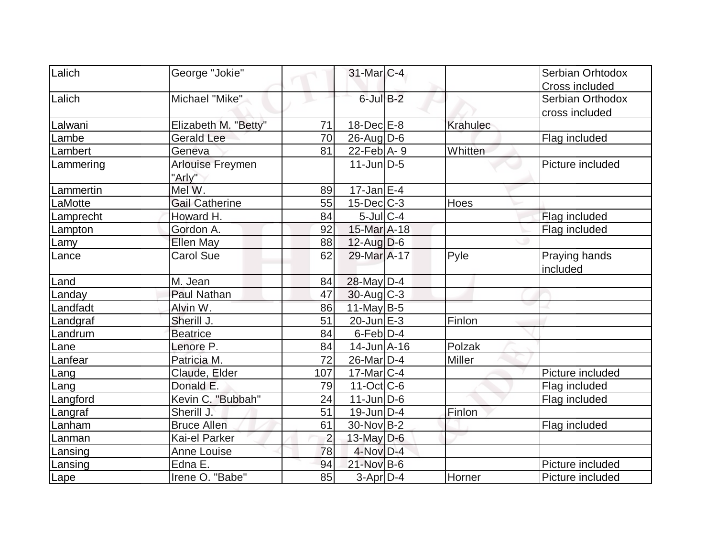| Lalich    | George "Jokie"          |                | 31-Mar C-4        |          | Serbian Orhtodox |
|-----------|-------------------------|----------------|-------------------|----------|------------------|
|           |                         |                |                   |          | Cross included   |
| Lalich    | Michael "Mike"          |                | $6$ -Jul $B-2$    |          | Serbian Orthodox |
|           |                         |                |                   |          | cross included   |
| Lalwani   | Elizabeth M. "Betty"    | 71             | $18$ -Dec $E$ -8  | Krahulec |                  |
| Lambe     | <b>Gerald Lee</b>       | 70             | $26$ -Aug $D$ -6  |          | Flag included    |
| Lambert   | Geneva                  | 81             | $22$ -Feb $ A-9 $ | Whitten  |                  |
| Lammering | <b>Arlouise Freymen</b> |                | $11$ -Jun $D-5$   |          | Picture included |
|           | "Arly"                  |                |                   |          |                  |
| Lammertin | Mel W.                  | 89             | $17$ -Jan $ E-4 $ |          |                  |
| LaMotte   | <b>Gail Catherine</b>   | 55             | $15$ -Dec $ C-3 $ | Hoes     |                  |
| Lamprecht | Howard H.               | 84             | $5$ -Jul $C-4$    |          | Flag included    |
| Lampton   | Gordon A.               | 92             | 15-Mar A-18       |          | Flag included    |
| Lamy      | <b>Ellen May</b>        | 88             | $12$ -Aug $D-6$   |          |                  |
| Lance     | <b>Carol Sue</b>        | 62             | 29-Mar A-17       | Pyle     | Praying hands    |
|           |                         |                |                   |          | included         |
| Land      | M. Jean                 | 84             | 28-May D-4        |          |                  |
| Landay    | <b>Paul Nathan</b>      | 47             | $30$ -Aug $C-3$   |          |                  |
| Landfadt  | Alvin W.                | 86             | $11$ -May B-5     |          |                  |
| Landgraf  | Sherill J.              | 51             | $20$ -Jun $E-3$   | Finlon   |                  |
| Landrum   | <b>Beatrice</b>         | 84             | $6$ -Feb $D-4$    |          |                  |
| Lane      | Lenore P.               | 84             | $14$ -Jun $A$ -16 | Polzak   |                  |
| Lanfear   | Patricia M.             | 72             | $26$ -Mar $D-4$   | Miller   |                  |
| Lang      | Claude, Elder           | 107            | $17$ -Mar $ C-4 $ |          | Picture included |
| Lang      | Donald E.               | 79             | $11-Oct$ $C-6$    |          | Flag included    |
| Langford  | Kevin C. "Bubbah"       | 24             | $11$ -Jun $D-6$   |          | Flag included    |
| Langraf   | Sherill J.              | 51             | $19$ -Jun $D-4$   | Finlon   |                  |
| Lanham    | <b>Bruce Allen</b>      | 61             | 30-Nov B-2        |          | Flag included    |
| Lanman    | Kai-el Parker           | $\overline{2}$ | 13-May $D-6$      |          |                  |
| Lansing   | <b>Anne Louise</b>      | 78             | 4-Nov D-4         |          |                  |
| Lansing   | Edna E.                 | 94             | $21-Nov$ B-6      |          | Picture included |
| Lape      | Irene O. "Babe"         | 85             | $3-Apr$ $D-4$     | Horner   | Picture included |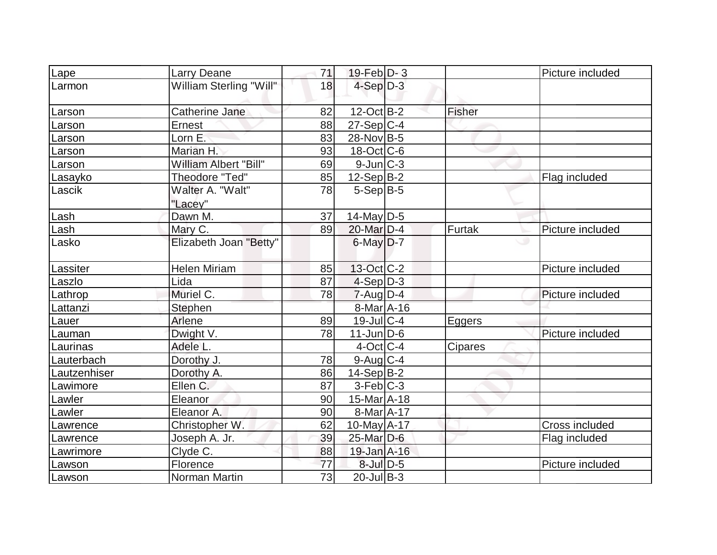| Lape         | <b>Larry Deane</b>           | 71 | $19$ -Feb $ D-3 $ |                | Picture included |
|--------------|------------------------------|----|-------------------|----------------|------------------|
| Larmon       | William Sterling "Will"      | 18 | $4-Sep D-3$       |                |                  |
| Larson       | Catherine Jane               | 82 | $12$ -Oct B-2     | Fisher         |                  |
| Larson       | Ernest                       | 88 | $27-Sep C-4$      |                |                  |
| Larson       | Lorn E.                      | 83 | 28-Nov B-5        |                |                  |
| Larson       | Marian H.                    | 93 | $18$ -Oct $ C$ -6 |                |                  |
| Larson       | <b>William Albert "Bill"</b> | 69 | $9$ -Jun $C-3$    |                |                  |
| Lasayko      | Theodore "Ted"               | 85 | $12-Sep B-2$      |                | Flag included    |
| Lascik       | Walter A. "Walt"<br>"Lacey"  | 78 | $5-Sep B-5$       |                |                  |
| Lash         | Dawn M.                      | 37 | $14$ -May D-5     |                |                  |
| Lash         | Mary C.                      | 89 | 20-Mar D-4        | Furtak         | Picture included |
| Lasko        | Elizabeth Joan "Betty"       |    | $6$ -May $D-7$    |                |                  |
| Lassiter     | <b>Helen Miriam</b>          | 85 | 13-Oct C-2        |                | Picture included |
| Laszlo       | Lida                         | 87 | $4-Sep D-3$       |                |                  |
| Lathrop      | Muriel C.                    | 78 | $7 - Aug$ $D-4$   |                | Picture included |
| Lattanzi     | Stephen                      |    | 8-Mar A-16        |                |                  |
| Lauer        | Arlene                       | 89 | $19$ -Jul $C-4$   | <b>Eggers</b>  |                  |
| Lauman       | Dwight V.                    | 78 | $11$ -Jun $D-6$   |                | Picture included |
| Laurinas     | Adele L.                     |    | $4$ -Oct C-4      | <b>Cipares</b> |                  |
| Lauterbach   | Dorothy J.                   | 78 | $9$ -Aug $C$ -4   |                |                  |
| Lautzenhiser | Dorothy A.                   | 86 | $14-Sep B-2$      |                |                  |
| Lawimore     | Ellen C.                     | 87 | $3-Feb C-3$       |                |                  |
| Lawler       | Eleanor                      | 90 | $15$ -Mar $A$ -18 |                |                  |
| Lawler       | Eleanor A.                   | 90 | $8-MarA-17$       |                |                  |
| Lawrence     | Christopher W.               | 62 | 10-May A-17       |                | Cross included   |
| Lawrence     | Joseph A. Jr.                | 39 | 25-Mar D-6        |                | Flag included    |
| Lawrimore    | Clyde C.                     | 88 | 19-Jan A-16       |                |                  |
| Lawson       | Florence                     | 77 | 8-Jul D-5         |                | Picture included |
| Lawson       | Norman Martin                | 73 | $20$ -Jul B-3     |                |                  |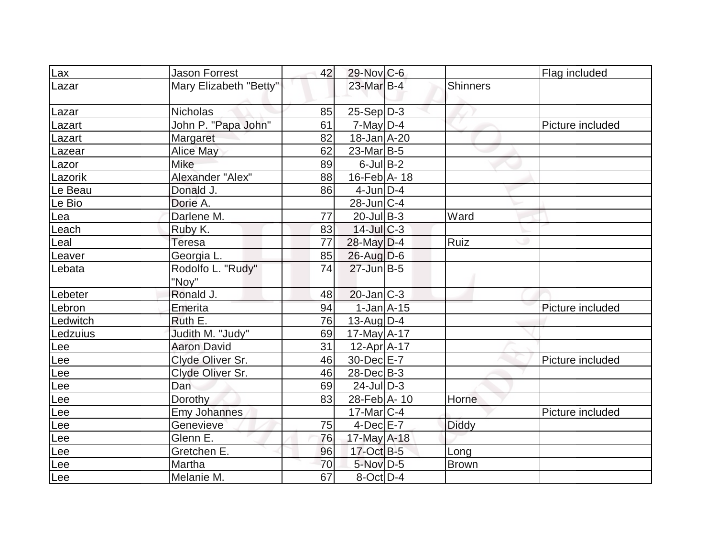| $\overline{\text{Lax}}$ | <b>Jason Forrest</b>       | 42 | 29-Nov C-6        |                 | Flag included    |
|-------------------------|----------------------------|----|-------------------|-----------------|------------------|
| Lazar                   | Mary Elizabeth "Betty"     |    | 23-Mar B-4        | <b>Shinners</b> |                  |
| Lazar                   | <b>Nicholas</b>            | 85 | $25-Sep D-3$      |                 |                  |
| Lazart                  | John P. "Papa John"        | 61 | $7$ -May D-4      |                 | Picture included |
| _azart                  | Margaret                   | 82 | $18$ -Jan $A$ -20 |                 |                  |
| Lazear                  | Alice May                  | 62 | $23$ -Mar $ B-5$  |                 |                  |
| Lazor                   | Mike                       | 89 | $6$ -Jul $B$ -2   |                 |                  |
| Lazorik                 | Alexander "Alex"           | 88 | 16-Feb A-18       |                 |                  |
| Le Beau                 | Donald J.                  | 86 | $4$ -Jun $D-4$    |                 |                  |
| Le Bio                  | Dorie A.                   |    | $28$ -Jun $ C-4$  |                 |                  |
| Lea                     | Darlene M.                 | 77 | $20$ -Jul B-3     | Ward            |                  |
| Leach                   | Ruby K.                    | 83 | $14$ -JulC-3      |                 |                  |
| Leal                    | Teresa                     | 77 | $28$ -May D-4     | Ruiz            |                  |
| Leaver                  | Georgia L.                 | 85 | $26$ -Aug $D-6$   |                 |                  |
| Lebata                  | Rodolfo L. "Rudy"<br>"Nov" | 74 | $27$ -Jun $B-5$   |                 |                  |
| Lebeter                 | Ronald J.                  | 48 | $20$ -Jan $ C-3 $ |                 |                  |
| Lebron                  | Emerita                    | 94 | $1-Jan$ A-15      |                 | Picture included |
| Ledwitch                | Ruth E.                    | 76 | $13$ -Aug D-4     |                 |                  |
| Ledzuius                | Judith M. "Judy"           | 69 | $17$ -May A-17    |                 |                  |
| Lee                     | <b>Aaron David</b>         | 31 | $12$ -Apr $A$ -17 |                 |                  |
| Lee                     | Clyde Oliver Sr.           | 46 | 30-Dec E-7        |                 | Picture included |
| Lee                     | Clyde Oliver Sr.           | 46 | $28$ -Dec $B$ -3  |                 |                  |
| Lee                     | Dan                        | 69 | $24$ -JulD-3      |                 |                  |
| Lee                     | Dorothy                    | 83 | 28-Feb A-10       | Horne           |                  |
| Lee                     | Emy Johannes               |    | $17$ -Mar $ C-4 $ |                 | Picture included |
| Lee                     | Genevieve                  | 75 | $4$ -Dec $E - 7$  | <b>Diddy</b>    |                  |
| Lee                     | Glenn E.                   | 76 | 17-May A-18       |                 |                  |
| Lee                     | Gretchen E.                | 96 | 17-Oct B-5        | Long            |                  |
| Lee                     | Martha                     | 70 | $5$ -Nov $D-5$    | <b>Brown</b>    |                  |
| Lee                     | Melanie M.                 | 67 | $8$ -Oct $D-4$    |                 |                  |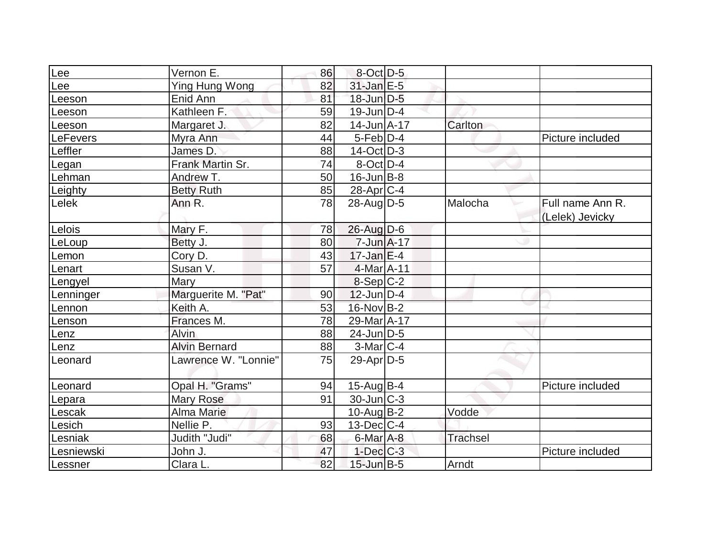| Lee        | Vernon E.            | 86 | $8$ -Oct $D-5$      |          |                  |
|------------|----------------------|----|---------------------|----------|------------------|
| Lee        | Ying Hung Wong       | 82 | $31$ -Jan $E-5$     |          |                  |
| Leeson     | Enid Ann             | 81 | $18$ -Jun $D-5$     |          |                  |
| Leeson     | Kathleen F.          | 59 | $19$ -Jun $D-4$     |          |                  |
| Leeson     | Margaret J.          | 82 | $14 - Jun  A - 17 $ | Carlton  |                  |
| LeFevers   | Myra Ann             | 44 | $5$ -Feb $D-4$      |          | Picture included |
| Leffler    | James D.             | 88 | $14-Oct$ D-3        |          |                  |
| Legan      | Frank Martin Sr.     | 74 | $8-Oct$ D-4         |          |                  |
| Lehman     | Andrew T.            | 50 | $16$ -Jun $B$ -8    |          |                  |
| Leighty    | <b>Betty Ruth</b>    | 85 | 28-Apr C-4          |          |                  |
| Lelek      | Ann R.               | 78 | $28$ -AugD-5        | Malocha  | Full name Ann R. |
|            |                      |    |                     |          | (Lelek) Jevicky  |
| Lelois     | Mary F.              | 78 | $26$ -Aug $D-6$     |          |                  |
| LeLoup     | Betty J.             | 80 | $7 - Jun A - 17$    |          |                  |
| Lemon      | Cory D.              | 43 | $17$ -Jan $E-4$     |          |                  |
| Lenart     | Susan V.             | 57 | $4$ -Mar $A$ -11    |          |                  |
| Lengyel    | Mary                 |    | $8-Sep C-2$         |          |                  |
| Lenninger  | Marguerite M. "Pat"  | 90 | $12$ -Jun $D-4$     |          |                  |
| Lennon     | Keith A.             | 53 | $16$ -Nov $B-2$     |          |                  |
| Lenson     | Frances M.           | 78 | 29-Mar A-17         |          |                  |
| Lenz       | Alvin                | 88 | $24$ -Jun $D-5$     |          |                  |
| Lenz       | <b>Alvin Bernard</b> | 88 | $3-Mar$ C-4         |          |                  |
| Leonard    | Lawrence W. "Lonnie" | 75 | $29$ -Apr $D-5$     |          |                  |
|            |                      |    |                     |          |                  |
| Leonard    | Opal H. "Grams"      | 94 | 15-Aug B-4          |          | Picture included |
| Lepara     | <b>Mary Rose</b>     | 91 | 30-Jun C-3          |          |                  |
| Lescak     | Alma Marie           |    | $10$ -Aug $B-2$     | Vodde    |                  |
| Lesich     | Nellie P.            | 93 | $13$ -Dec $C$ -4    |          |                  |
| Lesniak    | Judith "Judi"        | 68 | 6-Mar A-8           | Trachsel |                  |
| Lesniewski | John J.              | 47 | $1-Dec$ $C-3$       |          | Picture included |
| Lessner    | Clara L.             | 82 | $15$ -Jun $B-5$     | Arndt    |                  |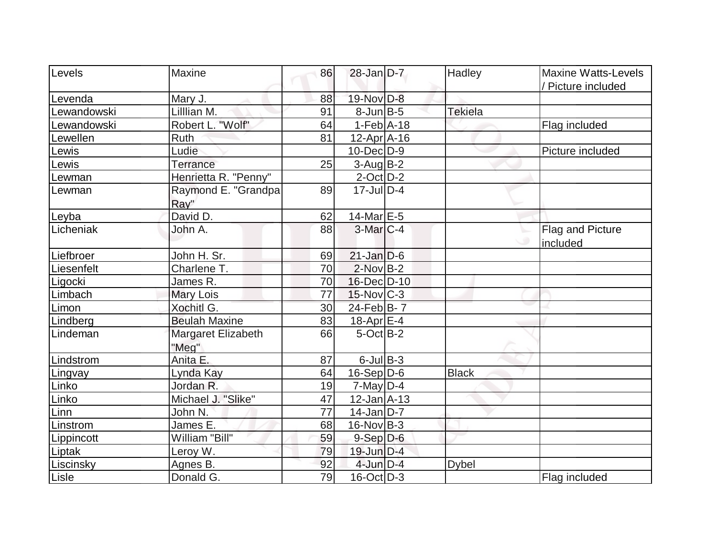| Levels      | <b>Maxine</b>               | 86 | $28$ -Jan D-7     | Hadley         | <b>Maxine Watts-Levels</b>   |
|-------------|-----------------------------|----|-------------------|----------------|------------------------------|
|             |                             |    |                   |                | / Picture included           |
| Levenda     | Mary J.                     | 88 | 19-Nov D-8        |                |                              |
| Lewandowski | Lilllian M.                 | 91 | $8$ -Jun $B$ -5   | <b>Tekiela</b> |                              |
| Lewandowski | Robert L. "Wolf"            | 64 | $1-Feb$ A-18      |                | Flag included                |
| Lewellen    | Ruth                        | 81 | $12$ -Apr $ A-16$ |                |                              |
| Lewis       | Ludie                       |    | $10$ -Dec $ D-9$  |                | Picture included             |
| Lewis       | Terrance                    | 25 | $3$ -Aug B-2      |                |                              |
| Lewman      | Henrietta R. "Penny"        |    | $2$ -Oct $D-2$    |                |                              |
| Lewman      | Raymond E. "Grandpa<br>Ray" | 89 | $17$ -Jul $D-4$   |                |                              |
| Leyba       | David D.                    | 62 | 14-Mar $E-5$      |                |                              |
| Licheniak   | John A.                     | 88 | $3-Mar$ $C-4$     |                | Flag and Picture<br>included |
| Liefbroer   | John H. Sr.                 | 69 | $21$ -Jan $D-6$   |                |                              |
| Liesenfelt  | Charlene T.                 | 70 | $2$ -Nov $B-2$    |                |                              |
| Ligocki     | James R.                    | 70 | 16-Dec D-10       |                |                              |
| Limbach     | Mary Lois                   | 77 | $15$ -Nov $ C-3 $ |                |                              |
| Limon       | Xochitl G.                  | 30 | $24$ -Feb $B$ - 7 |                |                              |
| Lindberg    | <b>Beulah Maxine</b>        | 83 | $18$ -Apr $E$ -4  |                |                              |
| Lindeman    | Margaret Elizabeth<br>"Meg" | 66 | $5$ -Oct $ B-2 $  |                |                              |
| Lindstrom   | Anita E.                    | 87 | $6$ -Jul $B$ -3   |                |                              |
| Lingvay     | Lynda Kay                   | 64 | $16-Sep D-6$      | <b>Black</b>   |                              |
| Linko       | Jordan R.                   | 19 | $7$ -May D-4      |                |                              |
| Linko       | Michael J. "Slike"          | 47 | $12$ -Jan $A-13$  |                |                              |
| Linn        | John N.                     | 77 | $14$ -Jan D-7     |                |                              |
| Linstrom    | James E.                    | 68 | $16$ -Nov B-3     |                |                              |
| Lippincott  | William "Bill"              | 59 | $9-Sep D-6$       |                |                              |
| Liptak      | Leroy W.                    | 79 | $19$ -Jun $D-4$   |                |                              |
| Liscinsky   | Agnes B.                    | 92 | $4$ -Jun $D-4$    | <b>Dybel</b>   |                              |
| Lisle       | Donald G.                   | 79 | $16$ -Oct $ D-3 $ |                | Flag included                |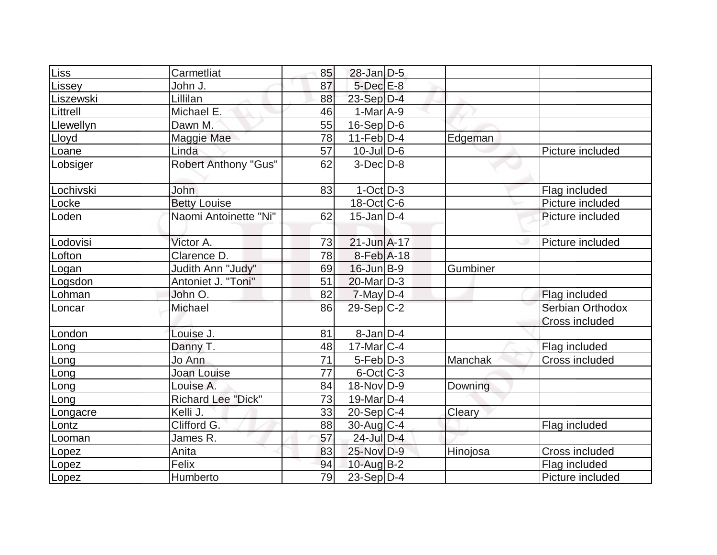| Liss      | Carmetliat                  | 85              | $28$ -Jan $D-5$   |          |                                    |
|-----------|-----------------------------|-----------------|-------------------|----------|------------------------------------|
| Lissey    | John J.                     | 87              | $5$ -Dec $E-8$    |          |                                    |
| Liszewski | Lillilan                    | 88              | $23-Sep D-4$      |          |                                    |
| Littrell  | Michael E.                  | 46              | $1-MarA-9$        |          |                                    |
| Llewellyn | Dawn M.                     | 55              | $16-Sep D-6$      |          |                                    |
| Lloyd     | Maggie Mae                  | 78              | $11-Feb D-4$      | Edgeman  |                                    |
| Loane     | Linda                       | 57              | $10$ -Jul $D$ -6  |          | Picture included                   |
| Lobsiger  | <b>Robert Anthony "Gus"</b> | 62              | $3-Dec D-8$       |          |                                    |
| Lochivski | <b>John</b>                 | 83              | $1-Oct$ D-3       |          | Flag included                      |
| Locke     | <b>Betty Louise</b>         |                 | $18$ -Oct $ C$ -6 |          | Picture included                   |
| Loden     | Naomi Antoinette "Ni"       | 62              | $15$ -Jan $ D-4 $ |          | Picture included                   |
| Lodovisi  | Victor A.                   | 73              | $21$ -Jun $A-17$  |          | Picture included                   |
| Lofton    | Clarence D.                 | 78              | 8-Feb A-18        |          |                                    |
| Logan     | Judith Ann "Judy"           | 69              | $16$ -Jun $B-9$   | Gumbiner |                                    |
| Logsdon   | Antoniet J. "Toni"          | 51              | $20$ -Mar $D-3$   |          |                                    |
| Lohman    | John O.                     | 82              | $7$ -May $D-4$    |          | Flag included                      |
| Loncar    | Michael                     | 86              | $29-Sep C-2$      |          | Serbian Orthodox<br>Cross included |
| London    | Louise J.                   | 81              | $8$ -Jan $D-4$    |          |                                    |
| Long      | Danny T.                    | 48              | $17$ -Mar $ C-4$  |          | Flag included                      |
| Long      | Jo Ann                      | $\overline{71}$ | $5-Feb$ $D-3$     | Manchak  | Cross included                     |
| Long      | <b>Joan Louise</b>          | 77              | $6$ -Oct $ C-3 $  |          |                                    |
| Long      | Louise A.                   | 84              | 18-Nov D-9        | Downing  |                                    |
| Long      | <b>Richard Lee "Dick"</b>   | 73              | 19-Mar D-4        |          |                                    |
| Longacre  | Kelli J.                    | 33              | $20-Sep C-4$      | Cleary   |                                    |
| Lontz     | Clifford G.                 | 88              | $30$ -Aug C-4     |          | Flag included                      |
| Looman    | James R.                    | 57              | 24-Jul D-4        |          |                                    |
| Lopez     | Anita                       | 83              | 25-Nov D-9        | Hinojosa | Cross included                     |
| Lopez     | Felix                       | 94              | $10$ -Aug $B-2$   |          | Flag included                      |
| Lopez     | Humberto                    | 79              | 23-Sep D-4        |          | Picture included                   |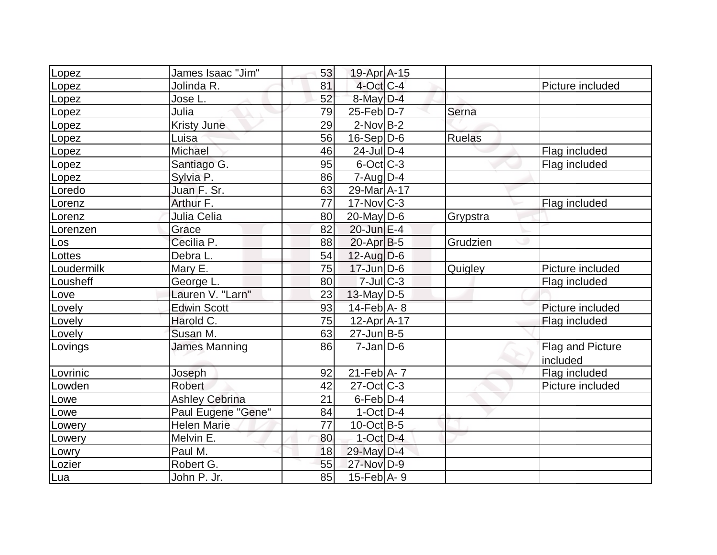| Lopez      | James Isaac "Jim"     | 53 | 19-Apr A-15       |               |                  |
|------------|-----------------------|----|-------------------|---------------|------------------|
| Lopez      | Jolinda R.            | 81 | $4$ -Oct C-4      |               | Picture included |
| Lopez      | Jose L.               | 52 | 8-May D-4         |               |                  |
| Lopez      | Julia                 | 79 | $25$ -Feb $ D-7 $ | Serna         |                  |
| Lopez      | <b>Kristy June</b>    | 29 | $2$ -Nov B-2      |               |                  |
| Lopez      | Luisa                 | 56 | $16-Sep D-6$      | <b>Ruelas</b> |                  |
| Lopez      | Michael               | 46 | $24$ -Jul $D-4$   |               | Flag included    |
| Lopez      | Santiago G.           | 95 | $6$ -Oct $C$ -3   |               | Flag included    |
| Lopez      | Sylvia P.             | 86 | $7 - Aug   D-4$   |               |                  |
| Loredo     | Juan F. Sr.           | 63 | 29-Mar A-17       |               |                  |
| Lorenz     | Arthur F.             | 77 | $17$ -Nov $ C-3 $ |               | Flag included    |
| Lorenz     | Julia Celia           | 80 | $20$ -May D-6     | Grypstra      |                  |
| Lorenzen   | Grace                 | 82 | $20$ -Jun $E-4$   |               |                  |
| Los        | Cecilia P.            | 88 | $20$ -Apr $ B-5 $ | Grudzien      |                  |
| Lottes     | Debra L.              | 54 | $12$ -Aug $D-6$   |               |                  |
| Loudermilk | Mary E.               | 75 | $17 - Jun$ $D-6$  | Quigley       | Picture included |
| Lousheff   | George L.             | 80 | $7$ -Jul $ C-3 $  |               | Flag included    |
| ove        | Lauren V. "Larn"      | 23 | $13$ -May D-5     |               |                  |
| Lovely     | <b>Edwin Scott</b>    | 93 | $14$ -Feb $A$ - 8 |               | Picture included |
| Lovely     | Harold C.             | 75 | 12-Apr A-17       |               | Flag included    |
| Lovely     | Susan M.              | 63 | $27$ -Jun $B-5$   |               |                  |
| Lovings    | <b>James Manning</b>  | 86 | $7$ -Jan $ D$ -6  |               | Flag and Picture |
|            |                       |    |                   |               | included         |
| Lovrinic   | Joseph                | 92 | $21$ -Feb $ A-7$  |               | Flag included    |
| Lowden     | <b>Robert</b>         | 42 | $27$ -Oct $ C-3 $ |               | Picture included |
| Lowe       | <b>Ashley Cebrina</b> | 21 | $6$ -Feb $D-4$    |               |                  |
| _owe       | Paul Eugene "Gene"    | 84 | $1-Oct$ D-4       |               |                  |
| Lowery     | <b>Helen Marie</b>    | 77 | $10$ -Oct B-5     |               |                  |
| _owery     | Melvin E.             | 80 | $1$ -Oct $D-4$    |               |                  |
| Lowry      | Paul M.               | 18 | 29-May D-4        |               |                  |
| Lozier     | Robert G.             | 55 | 27-Nov D-9        |               |                  |
| Lua        | John P. Jr.           | 85 | 15-Feb $A - 9$    |               |                  |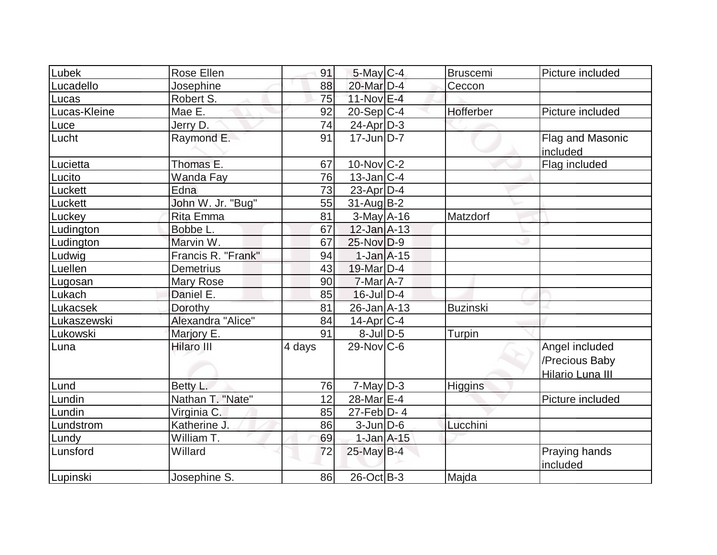| Lubek        | <b>Rose Ellen</b>  | 91     | $5$ -May $C$ -4   | <b>Bruscemi</b> | Picture included                                     |
|--------------|--------------------|--------|-------------------|-----------------|------------------------------------------------------|
| Lucadello    | Josephine          | 88     | 20-Mar D-4        | Ceccon          |                                                      |
| Lucas        | Robert S.          | 75     | 11-Nov E-4        |                 |                                                      |
| Lucas-Kleine | Mae E.             | 92     | $20-Sep C-4$      | Hofferber       | Picture included                                     |
| Luce         | Jerry D.           | 74     | $24$ -Apr $D-3$   |                 |                                                      |
| Lucht        | Raymond E.         | 91     | $17 - Jun$ D-7    |                 | Flag and Masonic<br>included                         |
| Lucietta     | Thomas E.          | 67     | $10$ -Nov $ C-2 $ |                 | Flag included                                        |
| Lucito       | <b>Wanda Fay</b>   | 76     | $13$ -Jan $ C-4 $ |                 |                                                      |
| Luckett      | Edna               | 73     | $23$ -Apr $ D-4$  |                 |                                                      |
| Luckett      | John W. Jr. "Bug"  | 55     | $31$ -Aug $B-2$   |                 |                                                      |
| Luckey       | Rita Emma          | 81     | $3$ -May $A$ -16  | Matzdorf        |                                                      |
| Ludington    | Bobbe L.           | 67     | $12$ -Jan $A-13$  |                 |                                                      |
| Ludington    | Marvin W.          | 67     | $25$ -Nov $ D-9 $ |                 |                                                      |
| Ludwig       | Francis R. "Frank" | 94     | $1-Jan1A-15$      |                 |                                                      |
| Luellen      | <b>Demetrius</b>   | 43     | 19-Mar D-4        |                 |                                                      |
| Lugosan      | Mary Rose          | 90     | $7$ -Mar $A$ -7   |                 |                                                      |
| Lukach       | Daniel E.          | 85     | $16$ -Jul $D-4$   |                 |                                                      |
| Lukacsek     | Dorothy            | 81     | $26$ -Jan $A$ -13 | <b>Buzinski</b> |                                                      |
| Lukaszewski  | Alexandra "Alice"  | 84     | $14$ -Apr $ C-4 $ |                 |                                                      |
| Lukowski     | Marjory E.         | 91     | $8$ -Jul $D-5$    | Turpin          |                                                      |
| Luna         | <b>Hilaro III</b>  | 4 days | $29$ -Nov $C$ -6  |                 | Angel included<br>/Precious Baby<br>Hilario Luna III |
| Lund         | Betty L.           | 76     | $7$ -May $D-3$    | <b>Higgins</b>  |                                                      |
| Lundin       | Nathan T. "Nate"   | 12     | 28-Mar E-4        |                 | Picture included                                     |
| Lundin       | Virginia C.        | 85     | $27$ -Feb $ D-4$  |                 |                                                      |
| Lundstrom    | Katherine J.       | 86     | $3$ -Jun $D-6$    | Lucchini        |                                                      |
| Lundy        | William T.         | 69     | $1$ -Jan $A$ -15  |                 |                                                      |
| Lunsford     | Willard            | 72     | 25-May B-4        |                 | Praying hands<br>included                            |
| Lupinski     | Josephine S.       | 86     | 26-Oct B-3        | Majda           |                                                      |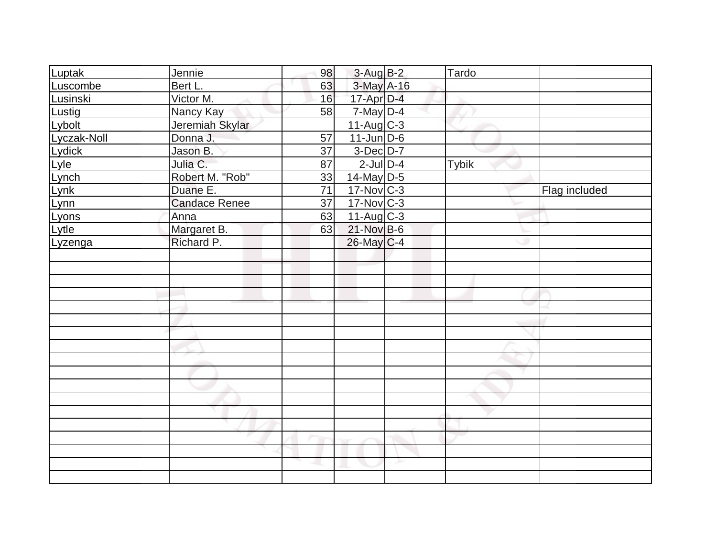| Luptak      | Jennie               | 98              | $3-Aug$ $B-2$     | Tardo        |               |
|-------------|----------------------|-----------------|-------------------|--------------|---------------|
| Luscombe    | Bert L.              | 63              | 3-May A-16        |              |               |
| Lusinski    | Victor M.            | 16              | 17-Apr D-4        |              |               |
| Lustig      | Nancy Kay            | 58              | $7$ -May $D-4$    |              |               |
| Lybolt      | Jeremiah Skylar      |                 | $11-Aug$ $C-3$    |              |               |
| Lyczak-Noll | Donna J.             | 57              | $11$ -Jun $D-6$   |              |               |
| Lydick      | Jason B.             | 37              | $3-Dec$ $D-7$     |              |               |
| Lyle        | Julia C.             | 87              | $2$ -Jul $D-4$    | <b>Tybik</b> |               |
| Lynch       | Robert M. "Rob"      | 33              | 14-May D-5        |              |               |
| Lynk        | Duane E.             | $\overline{71}$ | $17$ -Nov $C-3$   |              | Flag included |
| Lynn        | <b>Candace Renee</b> | 37              | $17$ -Nov $ C-3 $ |              |               |
| Lyons       | Anna                 | 63              | $11-Aug$ C-3      |              |               |
| Lytle       | Margaret B.          | 63              | $21-Nov$ B-6      |              |               |
| Lyzenga     | Richard P.           |                 | $26$ -May C-4     |              |               |
|             |                      |                 |                   |              |               |
|             |                      |                 |                   |              |               |
|             |                      |                 |                   |              |               |
|             |                      |                 |                   |              |               |
|             |                      |                 |                   |              |               |
|             |                      |                 |                   |              |               |
|             |                      |                 |                   |              |               |
|             |                      |                 |                   |              |               |
|             |                      |                 |                   |              |               |
|             |                      |                 |                   |              |               |
|             |                      |                 |                   |              |               |
|             |                      |                 |                   |              |               |
|             |                      |                 |                   |              |               |
|             |                      |                 |                   |              |               |
|             |                      |                 |                   |              |               |
|             |                      |                 |                   |              |               |
|             |                      |                 |                   |              |               |
|             |                      |                 |                   |              |               |
|             |                      |                 |                   |              |               |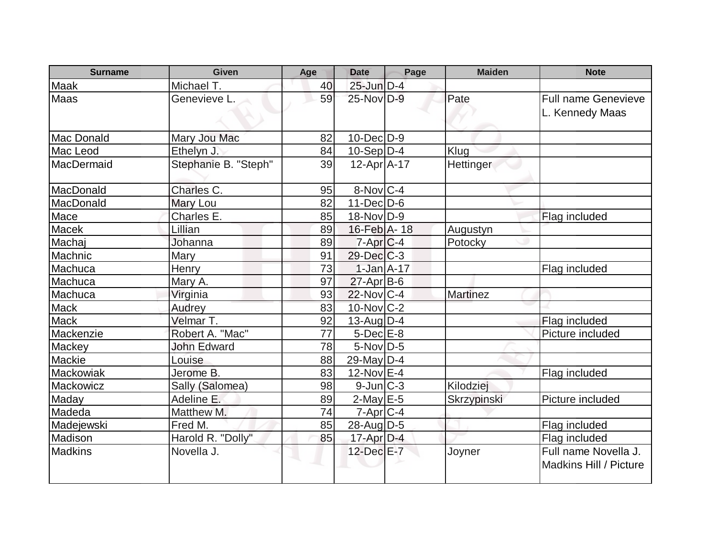| <b>Surname</b> | <b>Given</b>         | Age | <b>Date</b>       | Page | <b>Maiden</b>    | <b>Note</b>                                    |
|----------------|----------------------|-----|-------------------|------|------------------|------------------------------------------------|
| <b>Maak</b>    | Michael T.           | 40  | $25$ -Jun $D-4$   |      |                  |                                                |
| Maas           | Genevieve L.         | 59  | 25-Nov D-9        |      | Pate             | <b>Full name Genevieve</b><br>L. Kennedy Maas  |
| Mac Donald     | Mary Jou Mac         | 82  | $10$ -Dec $D-9$   |      |                  |                                                |
| Mac Leod       | Ethelyn J.           | 84  | $10-Sep D-4$      |      | Klug             |                                                |
| MacDermaid     | Stephanie B. "Steph" | 39  | $12$ -Apr $A$ -17 |      | <b>Hettinger</b> |                                                |
| MacDonald      | Charles C.           | 95  | $8-NovC-4$        |      |                  |                                                |
| MacDonald      | Mary Lou             | 82  | $11$ -Dec $D$ -6  |      |                  |                                                |
| Mace           | Charles E.           | 85  | $18-Nov D-9$      |      |                  | Flag included                                  |
| <b>Macek</b>   | Lillian              | 89  | 16-Feb A-18       |      | Augustyn         |                                                |
| Machai         | Johanna              | 89  | $7-Apr$ $C-4$     |      | Potocky          |                                                |
| Machnic        | Mary                 | 91  | $29$ -Dec $C-3$   |      |                  |                                                |
| Machuca        | Henry                | 73  | $1-Jan A-17$      |      |                  | Flag included                                  |
| Machuca        | Mary A.              | 97  | $27$ -Apr $ B-6$  |      |                  |                                                |
| Machuca        | Virginia             | 93  | 22-Nov C-4        |      | <b>Martinez</b>  |                                                |
| <b>Mack</b>    | Audrey               | 83  | $10$ -Nov $C-2$   |      |                  |                                                |
| <b>Mack</b>    | Velmar T.            | 92  | $13$ -Aug $D-4$   |      |                  | Flag included                                  |
| Mackenzie      | Robert A. "Mac"      | 77  | $5$ -Dec $E-8$    |      |                  | Picture included                               |
| Mackey         | <b>John Edward</b>   | 78  | $5$ -Nov $D-5$    |      |                  |                                                |
| Mackie         | Louise               | 88  | $29$ -May D-4     |      |                  |                                                |
| Mackowiak      | Jerome B.            | 83  | $12$ -Nov $E-4$   |      |                  | Flag included                                  |
| Mackowicz      | Sally (Salomea)      | 98  | $9$ -Jun $C-3$    |      | Kilodziei        |                                                |
| Maday          | Adeline E.           | 89  | $2$ -May $E$ -5   |      | Skrzypinski      | Picture included                               |
| Madeda         | Matthew M.           | 74  | $7-Apr$ $C-4$     |      |                  |                                                |
| Madejewski     | Fred M.              | 85  | 28-Aug D-5        |      |                  | Flag included                                  |
| Madison        | Harold R. "Dolly"    | 85  | $17$ -Apr $D-4$   |      |                  | Flag included                                  |
| <b>Madkins</b> | Novella J.           |     | $12$ -Dec $E - 7$ |      | Joyner           | Full name Novella J.<br>Madkins Hill / Picture |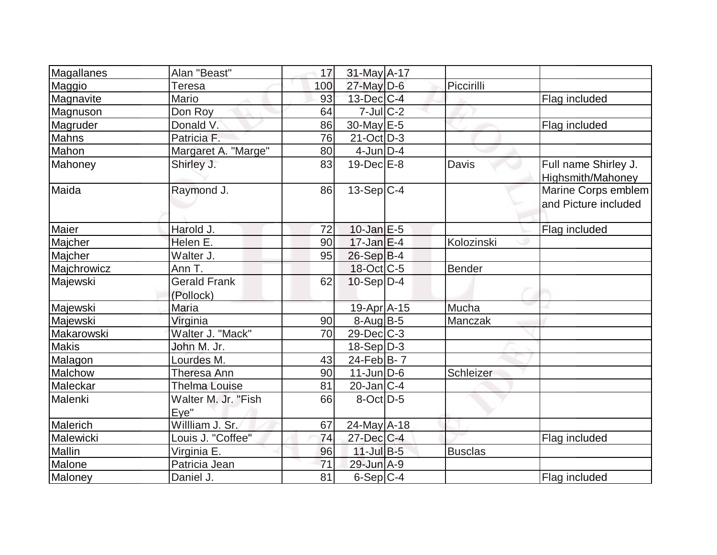| Magallanes   | Alan "Beast"                     | 17  | $31$ -May A-17    |                |                                             |
|--------------|----------------------------------|-----|-------------------|----------------|---------------------------------------------|
| Maggio       | <b>Teresa</b>                    | 100 | $27$ -May D-6     | Piccirilli     |                                             |
| Magnavite    | Mario                            | 93  | $13$ -Dec $ C-4 $ |                | Flag included                               |
| Magnuson     | Don Roy                          | 64  | $7$ -Jul $ C-2 $  |                |                                             |
| Magruder     | Donald V.                        | 86  | 30-May E-5        |                | Flag included                               |
| Mahns        | Patricia F.                      | 76  | $21-Oct$ D-3      |                |                                             |
| Mahon        | Margaret A. "Marge"              | 80  | $4$ -Jun $D-4$    |                |                                             |
| Mahoney      | Shirley J.                       | 83  | $19$ -Dec $E$ -8  | Davis          | Full name Shirley J.<br>Highsmith/Mahoney   |
| Maida        | Raymond J.                       | 86  | $13-Sep C-4$      |                | Marine Corps emblem<br>and Picture included |
| Maier        | Harold J.                        | 72  | $10$ -Jan $E-5$   |                | Flag included                               |
| Majcher      | Helen E.                         | 90  | $17$ -Jan $E-4$   | Kolozinski     |                                             |
| Majcher      | Walter J.                        | 95  | $26-Sep B-4$      |                |                                             |
| Majchrowicz  | Ann T.                           |     | $18$ -Oct $ C-5 $ | Bender         |                                             |
| Majewski     | <b>Gerald Frank</b><br>(Pollock) | 62  | $10-Sep D-4$      |                |                                             |
| Majewski     | Maria                            |     | 19-Apr A-15       | Mucha          |                                             |
| Majewski     | Virginia                         | 90  | $8-Auq$ B-5       | Manczak        |                                             |
| Makarowski   | Walter J. "Mack"                 | 70  | $29$ -Dec $C$ -3  |                |                                             |
| <b>Makis</b> | John M. Jr.                      |     | $18-Sep D-3$      |                |                                             |
| Malagon      | Lourdes M.                       | 43  | $24$ -Feb $B$ - 7 |                |                                             |
| Malchow      | Theresa Ann                      | 90  | $11$ -Jun $D-6$   | Schleizer      |                                             |
| Maleckar     | Thelma Louise                    | 81  | $20$ -Jan $ C-4 $ |                |                                             |
| Malenki      | Walter M. Jr. "Fish<br>Eye"      | 66  | $8$ -Oct $ D-5 $  |                |                                             |
| Malerich     | Willliam J. Sr.                  | 67  | $24$ -May A-18    |                |                                             |
| Malewicki    | Louis J. "Coffee"                | 74  | $27 - Dec$ C-4    |                | Flag included                               |
| Mallin       | Virginia E.                      | 96  | $11$ -Jul B-5     | <b>Busclas</b> |                                             |
| Malone       | Patricia Jean                    | 71  | 29-Jun A-9        |                |                                             |
| Maloney      | Daniel J.                        | 81  | $6-Sep C-4$       |                | Flag included                               |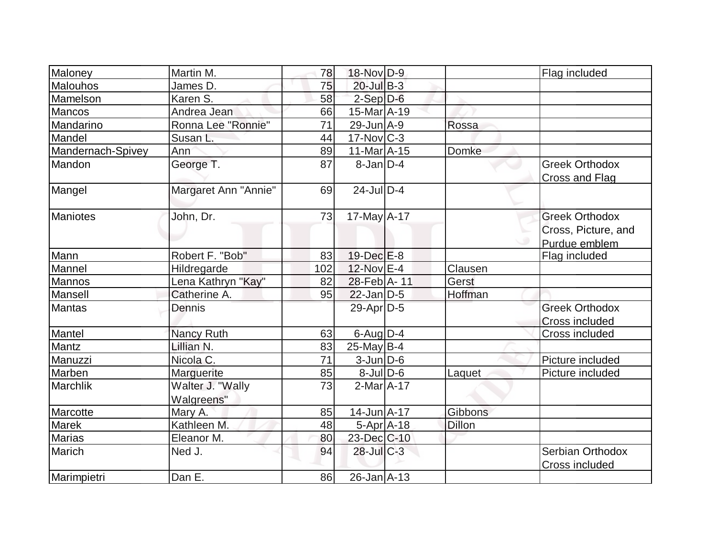| Maloney           | Martin M.            | 78  | 18-Nov D-9        |                | Flag included         |
|-------------------|----------------------|-----|-------------------|----------------|-----------------------|
| Malouhos          | James D.             | 75  | $20$ -Jul B-3     |                |                       |
| Mamelson          | Karen S.             | 58  | $2$ -Sep $D-6$    |                |                       |
| Mancos            | Andrea Jean          | 66  | 15-Mar A-19       |                |                       |
| Mandarino         | Ronna Lee "Ronnie"   | 71  | $29$ -Jun $A - 9$ | Rossa          |                       |
| Mandel            | Susan L.             | 44  | $17$ -Nov $ C-3 $ |                |                       |
| Mandernach-Spivey | Ann                  | 89  | 11-Mar A-15       | Domke          |                       |
| Mandon            | George T.            | 87  | $8$ -Jan $ D-4 $  |                | <b>Greek Orthodox</b> |
|                   |                      |     |                   |                | Cross and Flag        |
| Mangel            | Margaret Ann "Annie" | 69  | $24$ -JulD-4      |                |                       |
| <b>Maniotes</b>   | John, Dr.            | 73  | $17$ -May $A$ -17 |                | <b>Greek Orthodox</b> |
|                   |                      |     |                   |                | Cross, Picture, and   |
|                   |                      |     |                   |                | Purdue emblem         |
| Mann              | Robert F. "Bob"      | 83  | $19$ -Dec $E-8$   |                | Flag included         |
| Mannel            | Hildregarde          | 102 | 12-Nov E-4        | Clausen        |                       |
| Mannos            | Lena Kathryn "Kay"   | 82  | 28-Feb A-11       | Gerst          |                       |
| Mansell           | Catherine A.         | 95  | $22$ -Jan D-5     | Hoffman        |                       |
| Mantas            | Dennis               |     | $29$ -Apr $ D-5$  |                | <b>Greek Orthodox</b> |
|                   |                      |     |                   |                | Cross included        |
| Mantel            | <b>Nancy Ruth</b>    | 63  | $6$ -Aug $D-4$    |                | Cross included        |
| Mantz             | Lillian N.           | 83  | $25$ -May B-4     |                |                       |
| Manuzzi           | Nicola C.            | 71  | $3$ -Jun $D-6$    |                | Picture included      |
| Marben            | Marguerite           | 85  | $8$ -Jul $D$ -6   | Laquet         | Picture included      |
| <b>Marchlik</b>   | Walter J. "Wally     | 73  | $2-MarA-17$       |                |                       |
|                   | Walgreens"           |     |                   |                |                       |
| Marcotte          | Mary A.              | 85  | $14$ -Jun $A$ -17 | <b>Gibbons</b> |                       |
| <b>Marek</b>      | Kathleen M.          | 48  | $5-Apr$ $A-18$    | <b>Dillon</b>  |                       |
| <b>Marias</b>     | Eleanor M.           | 80  | 23-Dec C-10       |                |                       |
| Marich            | Ned J.               | 94  | $28$ -JulC-3      |                | Serbian Orthodox      |
|                   |                      |     |                   |                | Cross included        |
| Marimpietri       | Dan E.               | 86  | $26$ -Jan $A$ -13 |                |                       |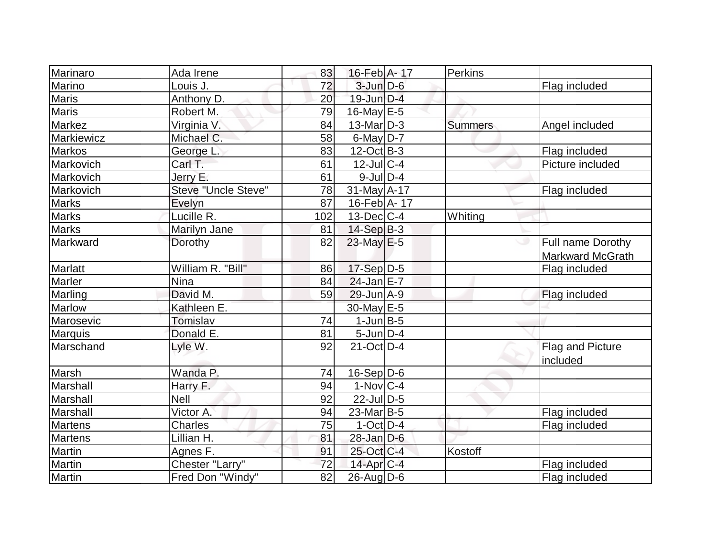| 16-Feb A-17<br>Marino<br>72<br>$3$ -Jun $D-6$<br>Louis J.<br>Flag included<br><b>Maris</b><br>Anthony <sub>D</sub> .<br>$19$ -Jun $D-4$<br>20<br><b>Maris</b><br>79<br>$16$ -May $E$ -5<br>Robert M.<br>Markez<br>$13$ -Mar $ D-3 $<br>Virginia V.<br>84<br><b>Summers</b><br>Angel included<br>$6$ -May $D-7$<br>Markiewicz<br>Michael C.<br>58<br><b>Markos</b><br>83<br>$12-Oct$ B-3<br>George L.<br>Flag included<br>Carl T.<br>61<br>$12$ -JulC-4<br>Picture included<br>Markovich<br>$9$ -JulD-4<br>Markovich<br>Jerry E.<br>61<br>Markovich<br>Steve "Uncle Steve"<br>78<br>$31$ -May A-17<br>Flag included<br>Evelyn<br><b>Marks</b><br>16-Feb A-17<br>87<br>Lucille R.<br>$13$ -Dec $C$ -4<br>Whiting<br>102<br>$14-Sep$ B-3<br>Marilyn Jane<br>81<br>$23$ -May $E-5$<br>Full name Dorothy<br>Dorothy<br>82<br><b>Markward McGrath</b><br>William R. "Bill"<br>17-Sep D-5<br>86<br>Flag included<br>$24$ -Jan $E-7$<br><b>Nina</b><br>84<br>David M.<br>Marling<br>59<br>$29$ -Jun $A-9$<br>Flag included<br><b>Marlow</b><br>Kathleen E.<br>30-May E-5<br>Marosevic<br>74<br>$1$ -Jun $B$ -5<br>Tomislav<br><b>Marquis</b><br>Donald E.<br>$5$ -Jun $D-4$<br>81<br>Marschand<br>$21$ -Oct D-4<br>Lyle W.<br>92<br>Flag and Picture<br>included<br>Marsh<br>Wanda P.<br>$16-Sep D-6$<br>74<br>Marshall<br>$1-Nov C-4$<br>Harry F.<br>94<br>$22$ -Jul $D-5$<br>Marshall<br><b>Nell</b><br>92<br>Marshall<br>Victor A.<br>94<br>$23$ -Mar $ B-5$<br>Flag included<br><b>Martens</b><br><b>Charles</b><br>75<br>$1$ -Oct $ D-4 $<br>Flag included<br>Martens<br>$28$ -Jan $D-6$<br>Lillian H.<br>81<br>Martin<br>25-Oct C-4<br>Agnes F.<br>91<br>Kostoff<br><b>Martin</b><br>Chester "Larry"<br>72<br>$14$ -Apr $C-4$<br>Flag included<br>26-Aug D-6 |                |                  |                 |  |         |               |
|------------------------------------------------------------------------------------------------------------------------------------------------------------------------------------------------------------------------------------------------------------------------------------------------------------------------------------------------------------------------------------------------------------------------------------------------------------------------------------------------------------------------------------------------------------------------------------------------------------------------------------------------------------------------------------------------------------------------------------------------------------------------------------------------------------------------------------------------------------------------------------------------------------------------------------------------------------------------------------------------------------------------------------------------------------------------------------------------------------------------------------------------------------------------------------------------------------------------------------------------------------------------------------------------------------------------------------------------------------------------------------------------------------------------------------------------------------------------------------------------------------------------------------------------------------------------------------------------------------------------------------------------------------------------------------------------------------------------------------------------------------|----------------|------------------|-----------------|--|---------|---------------|
|                                                                                                                                                                                                                                                                                                                                                                                                                                                                                                                                                                                                                                                                                                                                                                                                                                                                                                                                                                                                                                                                                                                                                                                                                                                                                                                                                                                                                                                                                                                                                                                                                                                                                                                                                            | Marinaro       | Ada Irene        | 83              |  | Perkins |               |
|                                                                                                                                                                                                                                                                                                                                                                                                                                                                                                                                                                                                                                                                                                                                                                                                                                                                                                                                                                                                                                                                                                                                                                                                                                                                                                                                                                                                                                                                                                                                                                                                                                                                                                                                                            |                |                  |                 |  |         |               |
|                                                                                                                                                                                                                                                                                                                                                                                                                                                                                                                                                                                                                                                                                                                                                                                                                                                                                                                                                                                                                                                                                                                                                                                                                                                                                                                                                                                                                                                                                                                                                                                                                                                                                                                                                            |                |                  |                 |  |         |               |
|                                                                                                                                                                                                                                                                                                                                                                                                                                                                                                                                                                                                                                                                                                                                                                                                                                                                                                                                                                                                                                                                                                                                                                                                                                                                                                                                                                                                                                                                                                                                                                                                                                                                                                                                                            |                |                  |                 |  |         |               |
|                                                                                                                                                                                                                                                                                                                                                                                                                                                                                                                                                                                                                                                                                                                                                                                                                                                                                                                                                                                                                                                                                                                                                                                                                                                                                                                                                                                                                                                                                                                                                                                                                                                                                                                                                            |                |                  |                 |  |         |               |
|                                                                                                                                                                                                                                                                                                                                                                                                                                                                                                                                                                                                                                                                                                                                                                                                                                                                                                                                                                                                                                                                                                                                                                                                                                                                                                                                                                                                                                                                                                                                                                                                                                                                                                                                                            |                |                  |                 |  |         |               |
|                                                                                                                                                                                                                                                                                                                                                                                                                                                                                                                                                                                                                                                                                                                                                                                                                                                                                                                                                                                                                                                                                                                                                                                                                                                                                                                                                                                                                                                                                                                                                                                                                                                                                                                                                            |                |                  |                 |  |         |               |
|                                                                                                                                                                                                                                                                                                                                                                                                                                                                                                                                                                                                                                                                                                                                                                                                                                                                                                                                                                                                                                                                                                                                                                                                                                                                                                                                                                                                                                                                                                                                                                                                                                                                                                                                                            |                |                  |                 |  |         |               |
|                                                                                                                                                                                                                                                                                                                                                                                                                                                                                                                                                                                                                                                                                                                                                                                                                                                                                                                                                                                                                                                                                                                                                                                                                                                                                                                                                                                                                                                                                                                                                                                                                                                                                                                                                            |                |                  |                 |  |         |               |
|                                                                                                                                                                                                                                                                                                                                                                                                                                                                                                                                                                                                                                                                                                                                                                                                                                                                                                                                                                                                                                                                                                                                                                                                                                                                                                                                                                                                                                                                                                                                                                                                                                                                                                                                                            |                |                  |                 |  |         |               |
|                                                                                                                                                                                                                                                                                                                                                                                                                                                                                                                                                                                                                                                                                                                                                                                                                                                                                                                                                                                                                                                                                                                                                                                                                                                                                                                                                                                                                                                                                                                                                                                                                                                                                                                                                            |                |                  |                 |  |         |               |
|                                                                                                                                                                                                                                                                                                                                                                                                                                                                                                                                                                                                                                                                                                                                                                                                                                                                                                                                                                                                                                                                                                                                                                                                                                                                                                                                                                                                                                                                                                                                                                                                                                                                                                                                                            | <b>Marks</b>   |                  |                 |  |         |               |
|                                                                                                                                                                                                                                                                                                                                                                                                                                                                                                                                                                                                                                                                                                                                                                                                                                                                                                                                                                                                                                                                                                                                                                                                                                                                                                                                                                                                                                                                                                                                                                                                                                                                                                                                                            | <b>Marks</b>   |                  |                 |  |         |               |
|                                                                                                                                                                                                                                                                                                                                                                                                                                                                                                                                                                                                                                                                                                                                                                                                                                                                                                                                                                                                                                                                                                                                                                                                                                                                                                                                                                                                                                                                                                                                                                                                                                                                                                                                                            | Markward       |                  |                 |  |         |               |
|                                                                                                                                                                                                                                                                                                                                                                                                                                                                                                                                                                                                                                                                                                                                                                                                                                                                                                                                                                                                                                                                                                                                                                                                                                                                                                                                                                                                                                                                                                                                                                                                                                                                                                                                                            |                |                  |                 |  |         |               |
|                                                                                                                                                                                                                                                                                                                                                                                                                                                                                                                                                                                                                                                                                                                                                                                                                                                                                                                                                                                                                                                                                                                                                                                                                                                                                                                                                                                                                                                                                                                                                                                                                                                                                                                                                            | <b>Marlatt</b> |                  |                 |  |         |               |
|                                                                                                                                                                                                                                                                                                                                                                                                                                                                                                                                                                                                                                                                                                                                                                                                                                                                                                                                                                                                                                                                                                                                                                                                                                                                                                                                                                                                                                                                                                                                                                                                                                                                                                                                                            | Marler         |                  |                 |  |         |               |
|                                                                                                                                                                                                                                                                                                                                                                                                                                                                                                                                                                                                                                                                                                                                                                                                                                                                                                                                                                                                                                                                                                                                                                                                                                                                                                                                                                                                                                                                                                                                                                                                                                                                                                                                                            |                |                  |                 |  |         |               |
|                                                                                                                                                                                                                                                                                                                                                                                                                                                                                                                                                                                                                                                                                                                                                                                                                                                                                                                                                                                                                                                                                                                                                                                                                                                                                                                                                                                                                                                                                                                                                                                                                                                                                                                                                            |                |                  |                 |  |         |               |
|                                                                                                                                                                                                                                                                                                                                                                                                                                                                                                                                                                                                                                                                                                                                                                                                                                                                                                                                                                                                                                                                                                                                                                                                                                                                                                                                                                                                                                                                                                                                                                                                                                                                                                                                                            |                |                  |                 |  |         |               |
|                                                                                                                                                                                                                                                                                                                                                                                                                                                                                                                                                                                                                                                                                                                                                                                                                                                                                                                                                                                                                                                                                                                                                                                                                                                                                                                                                                                                                                                                                                                                                                                                                                                                                                                                                            |                |                  |                 |  |         |               |
|                                                                                                                                                                                                                                                                                                                                                                                                                                                                                                                                                                                                                                                                                                                                                                                                                                                                                                                                                                                                                                                                                                                                                                                                                                                                                                                                                                                                                                                                                                                                                                                                                                                                                                                                                            |                |                  |                 |  |         |               |
|                                                                                                                                                                                                                                                                                                                                                                                                                                                                                                                                                                                                                                                                                                                                                                                                                                                                                                                                                                                                                                                                                                                                                                                                                                                                                                                                                                                                                                                                                                                                                                                                                                                                                                                                                            |                |                  |                 |  |         |               |
|                                                                                                                                                                                                                                                                                                                                                                                                                                                                                                                                                                                                                                                                                                                                                                                                                                                                                                                                                                                                                                                                                                                                                                                                                                                                                                                                                                                                                                                                                                                                                                                                                                                                                                                                                            |                |                  |                 |  |         |               |
|                                                                                                                                                                                                                                                                                                                                                                                                                                                                                                                                                                                                                                                                                                                                                                                                                                                                                                                                                                                                                                                                                                                                                                                                                                                                                                                                                                                                                                                                                                                                                                                                                                                                                                                                                            |                |                  |                 |  |         |               |
|                                                                                                                                                                                                                                                                                                                                                                                                                                                                                                                                                                                                                                                                                                                                                                                                                                                                                                                                                                                                                                                                                                                                                                                                                                                                                                                                                                                                                                                                                                                                                                                                                                                                                                                                                            |                |                  |                 |  |         |               |
|                                                                                                                                                                                                                                                                                                                                                                                                                                                                                                                                                                                                                                                                                                                                                                                                                                                                                                                                                                                                                                                                                                                                                                                                                                                                                                                                                                                                                                                                                                                                                                                                                                                                                                                                                            |                |                  |                 |  |         |               |
|                                                                                                                                                                                                                                                                                                                                                                                                                                                                                                                                                                                                                                                                                                                                                                                                                                                                                                                                                                                                                                                                                                                                                                                                                                                                                                                                                                                                                                                                                                                                                                                                                                                                                                                                                            |                |                  |                 |  |         |               |
|                                                                                                                                                                                                                                                                                                                                                                                                                                                                                                                                                                                                                                                                                                                                                                                                                                                                                                                                                                                                                                                                                                                                                                                                                                                                                                                                                                                                                                                                                                                                                                                                                                                                                                                                                            |                |                  |                 |  |         |               |
|                                                                                                                                                                                                                                                                                                                                                                                                                                                                                                                                                                                                                                                                                                                                                                                                                                                                                                                                                                                                                                                                                                                                                                                                                                                                                                                                                                                                                                                                                                                                                                                                                                                                                                                                                            |                |                  |                 |  |         |               |
|                                                                                                                                                                                                                                                                                                                                                                                                                                                                                                                                                                                                                                                                                                                                                                                                                                                                                                                                                                                                                                                                                                                                                                                                                                                                                                                                                                                                                                                                                                                                                                                                                                                                                                                                                            |                |                  |                 |  |         |               |
|                                                                                                                                                                                                                                                                                                                                                                                                                                                                                                                                                                                                                                                                                                                                                                                                                                                                                                                                                                                                                                                                                                                                                                                                                                                                                                                                                                                                                                                                                                                                                                                                                                                                                                                                                            | <b>Martin</b>  | Fred Don "Windy" | $\overline{82}$ |  |         | Flag included |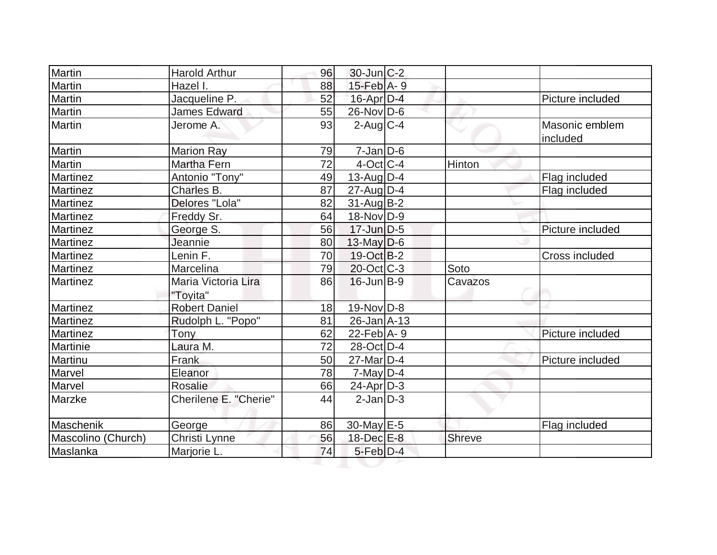| Martin             | <b>Harold Arthur</b>            | 96 | $30$ -Jun $C-2$   |               |                            |
|--------------------|---------------------------------|----|-------------------|---------------|----------------------------|
| Martin             | Hazel I.                        | 88 | 15-Feb A- 9       |               |                            |
| Martin             | Jacqueline P.                   | 52 | 16-Apr D-4        |               | Picture included           |
| Martin             | <b>James Edward</b>             | 55 | $26$ -Nov $ D-6 $ |               |                            |
| Martin             | Jerome A.                       | 93 | $2$ -Aug $ C-4 $  |               | Masonic emblem<br>included |
| Martin             | <b>Marion Ray</b>               | 79 | $7$ -Jan $ D$ -6  |               |                            |
| Martin             | <b>Martha Fern</b>              | 72 | $4$ -Oct C-4      | Hinton        |                            |
| Martinez           | Antonio "Tony"                  | 49 | 13-Aug D-4        |               | Flag included              |
| Martinez           | Charles B.                      | 87 | $27$ -AugD-4      |               | Flag included              |
| <b>Martinez</b>    | Delores "Lola"                  | 82 | $31$ -Aug $ B-2 $ |               |                            |
| Martinez           | Freddy Sr.                      | 64 | 18-Nov D-9        |               |                            |
| Martinez           | George S.                       | 56 | 17-Jun D-5        |               | Picture included           |
| Martinez           | Jeannie                         | 80 | $13$ -May D-6     |               |                            |
| Martinez           | Lenin F.                        | 70 | $19-Oct$ B-2      |               | Cross included             |
| Martinez           | Marcelina                       | 79 | $20$ -Oct $C-3$   | Soto          |                            |
| Martinez           | Maria Victoria Lira<br>"Toyita" | 86 | $16$ -Jun $B-9$   | Cavazos       |                            |
| Martinez           | <b>Robert Daniel</b>            | 18 | $19-Nov D-8$      |               |                            |
| Martinez           | Rudolph L. "Popo"               | 81 | $26$ -Jan $A$ -13 |               |                            |
| Martinez           | Tony                            | 62 | 22-Feb $ A-9 $    |               | Picture included           |
| Martinie           | Laura M.                        | 72 | 28-Oct D-4        |               |                            |
| Martinu            | Frank                           | 50 | $27$ -Mar $D-4$   |               | Picture included           |
| Marvel             | Eleanor                         | 78 | $7$ -May D-4      |               |                            |
| Marvel             | <b>Rosalie</b>                  | 66 | $24$ -Apr $D-3$   |               |                            |
| Marzke             | Cherilene E. "Cherie"           | 44 | $2$ -Jan $ D-3 $  |               |                            |
| Maschenik          | George                          | 86 | $30$ -May $E-5$   |               | Flag included              |
| Mascolino (Church) | Christi Lynne                   | 56 | 18-Dec E-8        | <b>Shreve</b> |                            |
| Maslanka           | Marjorie L.                     | 74 | $5$ -Feb $D-4$    |               |                            |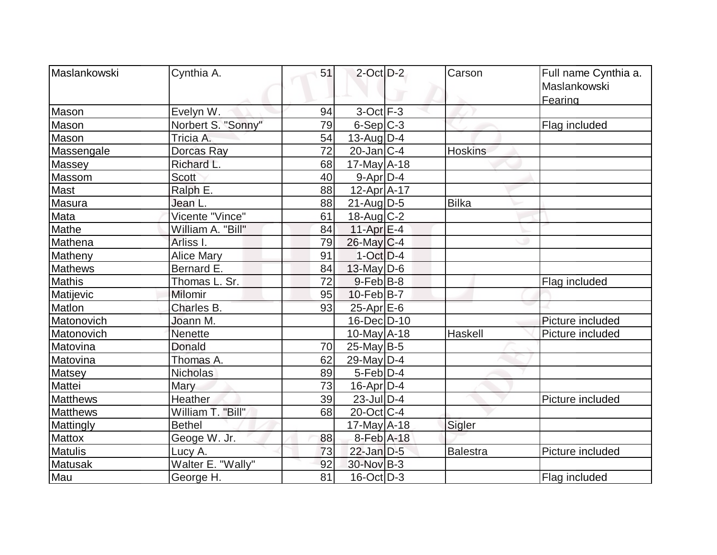| Maslankowski    | Cynthia A.               | 51 | $2$ -Oct $D-2$    | Carson         | Full name Cynthia a.<br>Maslankowski |
|-----------------|--------------------------|----|-------------------|----------------|--------------------------------------|
| Mason           | Evelyn W.                | 94 | $3-Oct$ F-3       |                | Fearing                              |
| Mason           | Norbert S. "Sonny"       | 79 | $6-Sep C-3$       |                | Flag included                        |
| Mason           | Tricia A.                | 54 | $13$ -Aug $ D-4 $ |                |                                      |
|                 |                          | 72 | $20$ -Jan $ C-4 $ | <b>Hoskins</b> |                                      |
| Massengale      | Dorcas Ray<br>Richard L. | 68 |                   |                |                                      |
| Massey          |                          |    | $17$ -May $A$ -18 |                |                                      |
| Massom          | <b>Scott</b>             | 40 | $9 - Apr$ $D-4$   |                |                                      |
| Mast            | Ralph E.                 | 88 | 12-Apr A-17       |                |                                      |
| Masura          | Jean L.                  | 88 | $21$ -Aug $D-5$   | Bilka          |                                      |
| Mata            | Vicente "Vince"          | 61 | 18-Aug C-2        |                |                                      |
| Mathe           | William A. "Bill"        | 84 | 11-Apr $E-4$      |                |                                      |
| Mathena         | Arliss I.                | 79 | $26$ -May C-4     |                |                                      |
| Matheny         | <b>Alice Mary</b>        | 91 | $1-Oct$ D-4       |                |                                      |
| <b>Mathews</b>  | Bernard E.               | 84 | 13-May $D-6$      |                |                                      |
| <b>Mathis</b>   | Thomas L. Sr.            | 72 | $9$ -Feb $ B-8$   |                | Flag included                        |
| Matijevic       | Milomir                  | 95 | $10$ -Feb $ B-7 $ |                |                                      |
| Matlon          | Charles B.               | 93 | $25$ -Apr $E$ -6  |                |                                      |
| Matonovich      | Joann M.                 |    | 16-Dec D-10       |                | Picture included                     |
| Matonovich      | <b>Nenette</b>           |    | $10$ -May $A$ -18 | Haskell        | Picture included                     |
| Matovina        | <b>Donald</b>            | 70 | $25$ -May B-5     |                |                                      |
| Matovina        | Thomas A.                | 62 | 29-May $D-4$      |                |                                      |
| <b>Matsey</b>   | <b>Nicholas</b>          | 89 | $5-Feb D-4$       |                |                                      |
| Mattei          | Mary                     | 73 | $16$ -Apr $D-4$   |                |                                      |
| <b>Matthews</b> | Heather                  | 39 | $23$ -Jul $D-4$   |                | Picture included                     |
| <b>Matthews</b> | William T. "Bill"        | 68 | $20$ -Oct $ C-4 $ |                |                                      |
| Mattingly       | <b>Bethel</b>            |    | 17-May $A-18$     | Sigler         |                                      |
| <b>Mattox</b>   | Geoge W. Jr.             | 88 | 8-Feb A-18        |                |                                      |
| <b>Matulis</b>  | Lucy A.                  | 73 | 22-Jan D-5        | Balestra       | Picture included                     |
| Matusak         | Walter E. "Wally"        | 92 | 30-Nov B-3        |                |                                      |
| Mau             | George H.                | 81 | $16$ -Oct $ D-3 $ |                | Flag included                        |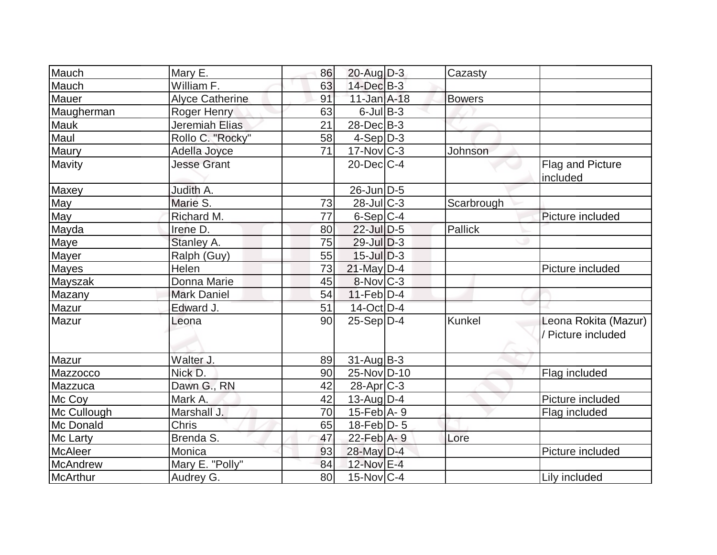| Mauch           | Mary E.                | 86 | $20$ -Aug $D-3$              | Cazasty       |                                            |
|-----------------|------------------------|----|------------------------------|---------------|--------------------------------------------|
| Mauch           | William F.             | 63 | 14-Dec B-3                   |               |                                            |
| Mauer           | <b>Alyce Catherine</b> | 91 | 11-Jan A-18                  | <b>Bowers</b> |                                            |
| Maugherman      | Roger Henry            | 63 | $6$ -Jul $B$ -3              |               |                                            |
| <b>Mauk</b>     | Jeremiah Elias         | 21 | $28$ -Dec $B-3$              |               |                                            |
| Maul            | Rollo C. "Rocky"       | 58 | $4-Sep D-3$                  |               |                                            |
| Maury           | Adella Joyce           | 71 | $17$ -Nov $ C-3 $            | Johnson       |                                            |
| Mavity          | <b>Jesse Grant</b>     |    | $20$ -Dec $C-4$              |               | Flag and Picture<br>included               |
| Maxey           | Judith A.              |    | 26-Jun D-5                   |               |                                            |
| May             | Marie S.               | 73 | $28$ -JulC-3                 | Scarbrough    |                                            |
| May             | Richard M.             | 77 | $6-Sep C-4$                  |               | Picture included                           |
| Mayda           | Irene D.               | 80 | $22$ -Jul $D-5$              | Pallick       |                                            |
| <b>Maye</b>     | Stanley A.             | 75 | $29$ -Jul $D-3$              |               |                                            |
| Mayer           | Ralph (Guy)            | 55 | $15$ -Jul $D-3$              |               |                                            |
| Mayes           | Helen                  | 73 | 21-May D-4                   |               | Picture included                           |
| Mayszak         | Donna Marie            | 45 | $8-Nov$ $C-3$                |               |                                            |
| Mazany          | <b>Mark Daniel</b>     | 54 | $11-Feb D-4$                 |               |                                            |
| <b>Mazur</b>    | Edward J.              | 51 | $14$ -Oct D-4                |               |                                            |
| Mazur           | Leona                  | 90 | $25-Sep D-4$                 | Kunkel        | Leona Rokita (Mazur)<br>/ Picture included |
| Mazur           | Walter J.              | 89 | $31$ -Aug $B-3$              |               |                                            |
| Mazzocco        | Nick D.                | 90 | 25-Nov D-10                  |               | Flag included                              |
| Mazzuca         | Dawn G., RN            | 42 | $28$ -Apr $C-3$              |               |                                            |
| Mc Coy          | Mark A.                | 42 | $13$ -Aug $D-4$              |               | Picture included                           |
| Mc Cullough     | Marshall J.            | 70 | $15$ -Feb $\overline{A}$ - 9 |               | Flag included                              |
| Mc Donald       | <b>Chris</b>           | 65 | $18$ -Feb $ D-5 $            |               |                                            |
| Mc Larty        | Brenda S.              | 47 | $22$ -Feb $A - 9$            | Lore          |                                            |
| <b>McAleer</b>  | Monica                 | 93 | 28-May D-4                   |               | Picture included                           |
| <b>McAndrew</b> | Mary E. "Polly"        | 84 | 12-Nov E-4                   |               |                                            |
| McArthur        | Audrey G.              | 80 | $15$ -Nov $ C-4$             |               | Lily included                              |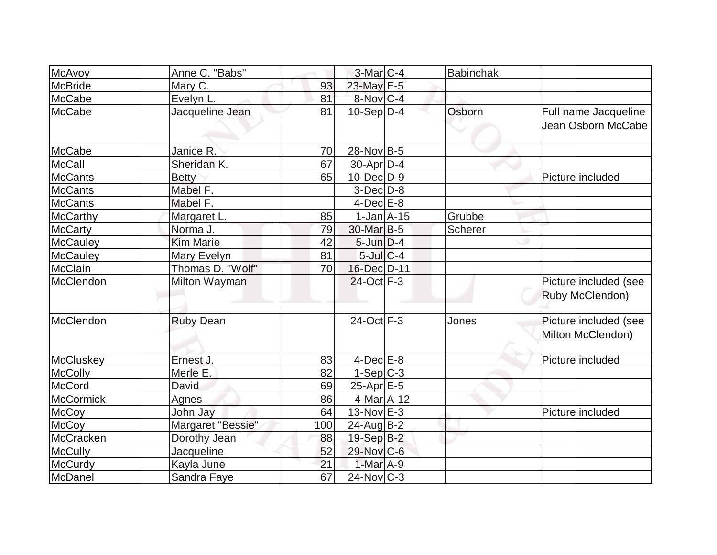| <b>McAvoy</b>    | Anne C. "Babs"    |     | $3-Mar$ <sub>C-4</sub> | <b>Babinchak</b> |                                            |
|------------------|-------------------|-----|------------------------|------------------|--------------------------------------------|
| McBride          | Mary C.           | 93  | 23-May E-5             |                  |                                            |
| McCabe           | Evelyn L.         | 81  | 8-Nov C-4              |                  |                                            |
| <b>McCabe</b>    | Jacqueline Jean   | 81  | $10-Sep D-4$           | Osborn           | Full name Jacqueline<br>Jean Osborn McCabe |
| McCabe           | Janice R.         | 70  | 28-Nov B-5             |                  |                                            |
| <b>McCall</b>    | Sheridan K.       | 67  | $30$ -Apr $D-4$        |                  |                                            |
| <b>McCants</b>   | <b>Betty</b>      | 65  | 10-Dec D-9             |                  | Picture included                           |
| <b>McCants</b>   | Mabel F.          |     | $3-Dec D-8$            |                  |                                            |
| <b>McCants</b>   | Mabel F.          |     | $4$ -Dec $E-8$         |                  |                                            |
| <b>McCarthy</b>  | Margaret L.       | 85  | $1-Jan$ $A-15$         | Grubbe           |                                            |
| <b>McCarty</b>   | Norma J.          | 79  | 30-Mar B-5             | Scherer          |                                            |
| <b>McCauley</b>  | <b>Kim Marie</b>  | 42  | $5$ -Jun $D-4$         |                  |                                            |
| <b>McCauley</b>  | Mary Evelyn       | 81  | $5$ -Jul $C$ -4        |                  |                                            |
| <b>McClain</b>   | Thomas D. "Wolf"  | 70  | 16-Dec D-11            |                  |                                            |
| McClendon        | Milton Wayman     |     | 24-Oct F-3             |                  | Picture included (see<br>Ruby McClendon)   |
| McClendon        | <b>Ruby Dean</b>  |     | $24$ -Oct $F-3$        | Jones            | Picture included (see<br>Milton McClendon) |
| <b>McCluskey</b> | Ernest J.         | 83  | $4$ -Dec $E$ -8        |                  | Picture included                           |
| <b>McColly</b>   | Merle E.          | 82  | $1-Sep C-3$            |                  |                                            |
| <b>McCord</b>    | David             | 69  | $25$ -Apr $E$ -5       |                  |                                            |
| <b>McCormick</b> | Agnes             | 86  | 4-Mar A-12             |                  |                                            |
| <b>McCoy</b>     | John Jay          | 64  | 13-Nov E-3             |                  | Picture included                           |
| <b>McCoy</b>     | Margaret "Bessie" | 100 | $24$ -Aug $B-2$        |                  |                                            |
| McCracken        | Dorothy Jean      | 88  | 19-Sep B-2             |                  |                                            |
| <b>McCully</b>   | Jacqueline        | 52  | 29-Nov C-6             |                  |                                            |
| McCurdy          | Kayla June        | 21  | 1-Mar $A-9$            |                  |                                            |
| McDanel          | Sandra Faye       | 67  | $24$ -Nov $ C-3 $      |                  |                                            |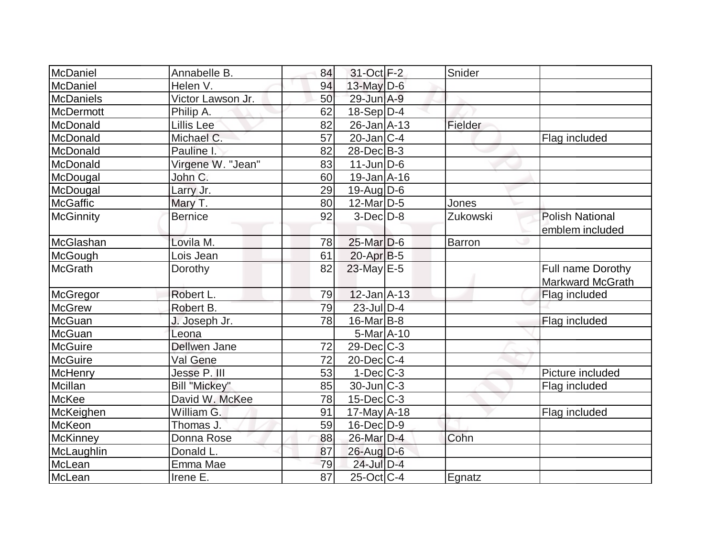| McDaniel         | Annabelle B.        | 84 | 31-Oct F-2        | Snider   |                         |
|------------------|---------------------|----|-------------------|----------|-------------------------|
| McDaniel         | Helen V.            | 94 | $13$ -May $D-6$   |          |                         |
| <b>McDaniels</b> | Victor Lawson Jr.   | 50 | 29-Jun A-9        |          |                         |
| <b>McDermott</b> | Philip A.           | 62 | $18-Sep D-4$      |          |                         |
| McDonald         | Lillis Lee          | 82 | $26$ -Jan $A$ -13 | Fielder  |                         |
| McDonald         | Michael C.          | 57 | $20$ -Jan $ C-4 $ |          | Flag included           |
| McDonald         | Pauline I.          | 82 | $28$ -Dec $B-3$   |          |                         |
| McDonald         | Virgene W. "Jean"   | 83 | $11$ -Jun $ D-6 $ |          |                         |
| McDougal         | John C.             | 60 | $19$ -Jan $A$ -16 |          |                         |
| McDougal         | Larry Jr.           | 29 | $19$ -Aug $D$ -6  |          |                         |
| <b>McGaffic</b>  | Mary T.             | 80 | $12$ -Mar $D-5$   | Jones    |                         |
| <b>McGinnity</b> | <b>Bernice</b>      | 92 | $3-Dec$ $D-8$     | Zukowski | <b>Polish National</b>  |
|                  |                     |    |                   |          | emblem included         |
| McGlashan        | Lovila M.           | 78 | $25$ -Mar $D-6$   | Barron   |                         |
| McGough          | Lois Jean           | 61 | $20$ -Apr $B-5$   |          |                         |
| <b>McGrath</b>   | Dorothy             | 82 | 23-May E-5        |          | Full name Dorothy       |
|                  |                     |    |                   |          | <b>Markward McGrath</b> |
| McGregor         | Robert L.           | 79 | $12$ -Jan $A-13$  |          | Flag included           |
| <b>McGrew</b>    | Robert B.           | 79 | $23$ -Jul $D-4$   |          |                         |
| McGuan           | J. Joseph Jr.       | 78 | $16$ -Mar $ B-8 $ |          | Flag included           |
| <b>McGuan</b>    | Leona               |    | $5-MarA-10$       |          |                         |
| <b>McGuire</b>   | <b>Dellwen Jane</b> | 72 | $29$ -Dec $C$ -3  |          |                         |
| <b>McGuire</b>   | Val Gene            | 72 | $20$ -Dec $C-4$   |          |                         |
| McHenry          | Jesse P. III        | 53 | $1-Dec$ $C-3$     |          | Picture included        |
| Mcillan          | Bill "Mickey"       | 85 | $30$ -Jun $ C-3 $ |          | Flag included           |
| McKee            | David W. McKee      | 78 | $15$ -Dec $ C-3 $ |          |                         |
| McKeighen        | William G.          | 91 | $17$ -May A-18    |          | Flag included           |
| <b>McKeon</b>    | Thomas J.           | 59 | $16$ -Dec $D-9$   |          |                         |
| McKinney         | Donna Rose          | 88 | 26-Mar D-4        | Cohn     |                         |
| McLaughlin       | Donald L.           | 87 | 26-Aug D-6        |          |                         |
| McLean           | Emma Mae            | 79 | $24$ -Jul $D-4$   |          |                         |
| McLean           | Irene E.            | 87 | $25$ -Oct C-4     | Egnatz   |                         |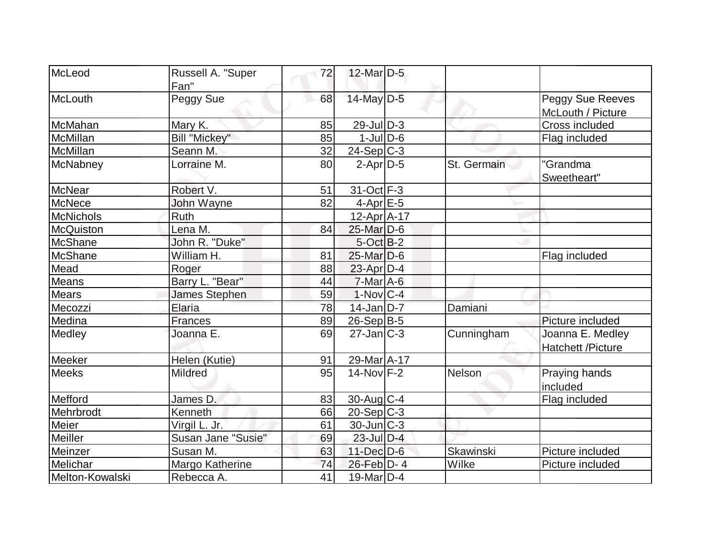| McLeod           | Russell A. "Super               | 72 | $12$ -Mar $D-5$   |                  |                          |
|------------------|---------------------------------|----|-------------------|------------------|--------------------------|
|                  | Fan"                            |    |                   |                  |                          |
| McLouth          | Peggy Sue                       | 68 | $14$ -May D-5     |                  | Peggy Sue Reeves         |
|                  |                                 |    |                   |                  | McLouth / Picture        |
| McMahan          | Mary K.                         | 85 | $29$ -Jul $D-3$   |                  | Cross included           |
| <b>McMillan</b>  | <b>Bill "Mickey"</b>            | 85 | $1$ -JulD-6       |                  | Flag included            |
| <b>McMillan</b>  | Seann M.                        | 32 | 24-Sep C-3        |                  |                          |
| McNabney         | Lorraine M.                     | 80 | $2-Apr D-5$       | St. Germain      | "Grandma                 |
|                  |                                 |    |                   |                  | Sweetheart"              |
| <b>McNear</b>    | Robert V.                       | 51 | $31-Oct$ F-3      |                  |                          |
| <b>McNece</b>    | John Wayne                      | 82 | $4$ -Apr $E$ -5   |                  |                          |
| McNichols        | Ruth                            |    | $12$ -Apr $A$ -17 |                  |                          |
| <b>McQuiston</b> | Lena M.                         | 84 | 25-Mar D-6        |                  |                          |
| <b>McShane</b>   | John R. "Duke"                  |    | $5-Oct$ B-2       |                  |                          |
| McShane          | $\overline{\text{William H}}$ . | 81 | $25$ -Mar $D-6$   |                  | Flag included            |
| Mead             | Roger                           | 88 | $23$ -Apr $D-4$   |                  |                          |
| Means            | Barry L. "Bear"                 | 44 | $7$ -Mar $A$ -6   |                  |                          |
| <b>Mears</b>     | James Stephen                   | 59 | $1-Nov C-4$       |                  |                          |
| Mecozzi          | Elaria                          | 78 | $14$ -Jan D-7     | Damiani          |                          |
| Medina           | <b>Frances</b>                  | 89 | $26-Sep B-5$      |                  | Picture included         |
| Medley           | Joanna E.                       | 69 | $27$ -Jan $ C-3 $ | Cunningham       | Joanna E. Medley         |
|                  |                                 |    |                   |                  | <b>Hatchett /Picture</b> |
| Meeker           | Helen (Kutie)                   | 91 | 29-Mar A-17       |                  |                          |
| <b>Meeks</b>     | <b>Mildred</b>                  | 95 | $14$ -Nov $ F-2 $ | Nelson           | Praying hands            |
|                  |                                 |    |                   |                  | included                 |
| Mefford          | James D.                        | 83 | $30$ -Aug C-4     |                  | Flag included            |
| Mehrbrodt        | Kenneth                         | 66 | $20-Sep C-3$      |                  |                          |
| Meier            | Virgil L. Jr.                   | 61 | $30$ -Jun $ C-3 $ |                  |                          |
| Meiller          | Susan Jane "Susie"              | 69 | $23$ -Jul $D-4$   |                  |                          |
| Meinzer          | Susan M.                        | 63 | $11$ -Dec $D-6$   | <b>Skawinski</b> | Picture included         |
| Melichar         | Margo Katherine                 | 74 | 26-Feb D-4        | Wilke            | Picture included         |
| Melton-Kowalski  | Rebecca A.                      | 41 | $19$ -Mar $ D-4 $ |                  |                          |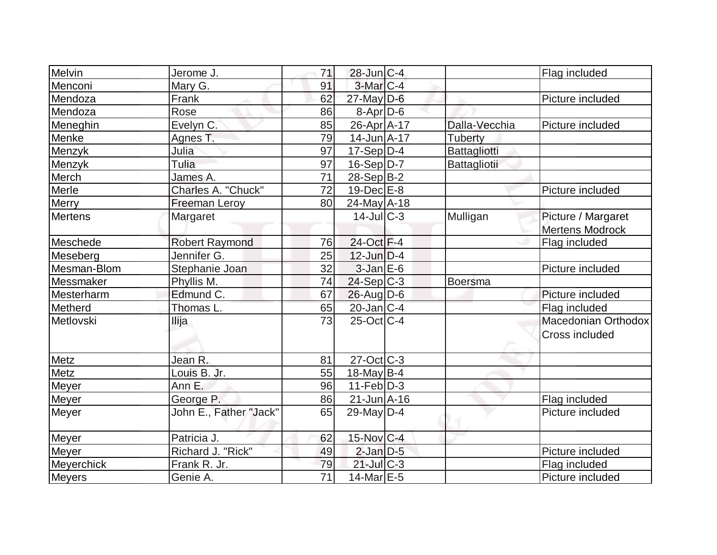| Melvin<br>Jerome J.               | 71              | $28$ -Jun $C-4$   |                | Flag included          |
|-----------------------------------|-----------------|-------------------|----------------|------------------------|
| Menconi<br>Mary G.                | 91              | $3-Mar$ $C-4$     |                |                        |
| Mendoza<br>Frank                  | 62              | 27-May D-6        |                | Picture included       |
| Mendoza<br>Rose                   | 86              | 8-Apr D-6         |                |                        |
| Evelyn C.<br>Meneghin             | 85              | 26-Apr A-17       | Dalla-Vecchia  | Picture included       |
| Menke<br>Agnes T.                 | 79              | $14$ -Jun $A$ -17 | <b>Tuberty</b> |                        |
| Menzyk<br>Julia                   | 97              | $17-Sep D-4$      | Battagliotti   |                        |
| Tulia<br>Menzyk                   | 97              | $16-Sep D-7$      | Battagliotii   |                        |
| Merch<br>James A.                 | 71              | 28-Sep B-2        |                |                        |
| Merle<br>Charles A. "Chuck"       | 72              | $19$ -Dec $E$ -8  |                | Picture included       |
| Merry<br>Freeman Leroy            | 80              | $24$ -May A-18    |                |                        |
| Mertens<br>Margaret               |                 | $14$ -JulC-3      | Mulligan       | Picture / Margaret     |
|                                   |                 |                   |                | <b>Mertens Modrock</b> |
| Meschede<br><b>Robert Raymond</b> | 76              | 24-Oct F-4        |                | Flag included          |
| Jennifer G.<br>Meseberg           | 25              | $12$ -Jun $D-4$   |                |                        |
| Mesman-Blom<br>Stephanie Joan     | 32              | $3$ -Jan $E$ -6   |                | Picture included       |
| Messmaker<br>Phyllis M.           | 74              | $24-Sep C-3$      | Boersma        |                        |
| Edmund C.<br>Mesterharm           | 67              | $26$ -Aug $D-6$   |                | Picture included       |
| Metherd<br>Thomas L.              | 65              | $20$ -Jan $ C-4 $ |                | Flag included          |
| Metlovski<br>Ilija                | 73              | $25$ -Oct $ C-4 $ |                | Macedonian Orthodox    |
|                                   |                 |                   |                | Cross included         |
| Jean R.<br>Metz                   | 81              | $27-Oct$ $C-3$    |                |                        |
| Metz<br>Louis B. Jr.              | 55              | $18$ -May B-4     |                |                        |
| <b>Meyer</b><br>Ann E.            | 96              | $11-Feb D-3$      |                |                        |
| Meyer<br>George P.                | 86              | 21-Jun A-16       |                | Flag included          |
| John E., Father "Jack"<br>Meyer   | 65              | $29$ -May D-4     |                | Picture included       |
| Patricia J.<br><b>Meyer</b>       | 62              | $15$ -Nov $ C-4 $ |                |                        |
| Richard J. "Rick"<br>Meyer        | 49              | $2$ -Jan $D$ -5   |                | Picture included       |
| <b>Meyerchick</b><br>Frank R. Jr. | 79              | $21$ -Jul C-3     |                | Flag included          |
| <b>Meyers</b><br>Genie A.         | $\overline{71}$ | $14$ -Mar $E-5$   |                | Picture included       |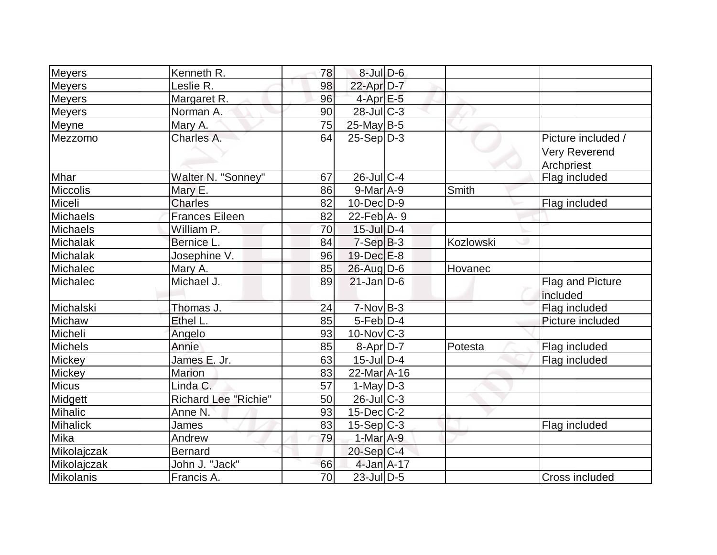| <b>Meyers</b>   | Kenneth R.                  | 78              | $8$ -Jul $D$ -6   |           |                                                          |
|-----------------|-----------------------------|-----------------|-------------------|-----------|----------------------------------------------------------|
| Meyers          | Leslie R.                   | 98              | 22-Apr D-7        |           |                                                          |
| <b>Meyers</b>   | Margaret R.                 | 96              | $4$ -Apr $E$ -5   |           |                                                          |
| <b>Meyers</b>   | Norman A.                   | 90              | $28$ -JulC-3      |           |                                                          |
| Meyne           | Mary A.                     | 75              | $25$ -May B-5     |           |                                                          |
| Mezzomo         | Charles A.                  | 64              | $25-Sep D-3$      |           | Picture included /<br><b>Very Reverend</b><br>Archpriest |
| Mhar            | Walter N. "Sonney"          | 67              | $26$ -JulC-4      |           | Flag included                                            |
| <b>Miccolis</b> | Mary E.                     | 86              | $9$ -Mar $A$ -9   | Smith     |                                                          |
| Miceli          | <b>Charles</b>              | 82              | $10$ -Dec $ D-9 $ |           | Flag included                                            |
| Michaels        | <b>Frances Eileen</b>       | 82              | 22-Feb $A - 9$    |           |                                                          |
| Michaels        | William P.                  | 70              | $15$ -Jul $D-4$   |           |                                                          |
| Michalak        | Bernice L.                  | 84              | $7-Sep B-3$       | Kozlowski |                                                          |
| Michalak        | Josephine V.                | 96              | $19$ -Dec $E-8$   |           |                                                          |
| Michalec        | Mary A.                     | 85              | 26-Aug D-6        | Hovanec   |                                                          |
| Michalec        | Michael J.                  | 89              | $21$ -Jan D-6     |           | <b>Flag and Picture</b><br>included                      |
| Michalski       | Thomas J.                   | 24              | $7-Nov$ B-3       |           | Flag included                                            |
| Michaw          | Ethel L.                    | 85              | $5$ -Feb $D-4$    |           | Picture included                                         |
| Micheli         | Angelo                      | 93              | $10$ -Nov $ C-3 $ |           |                                                          |
| <b>Michels</b>  | Annie                       | 85              | $8-Apr D-7$       | Potesta   | Flag included                                            |
| Mickey          | James E. Jr.                | 63              | $15$ -Jul $ D-4 $ |           | Flag included                                            |
| Mickey          | <b>Marion</b>               | 83              | 22-Mar A-16       |           |                                                          |
| <b>Micus</b>    | Linda C.                    | $\overline{57}$ | 1-May $D-3$       |           |                                                          |
| Midgett         | <b>Richard Lee "Richie"</b> | 50              | $26$ -Jul $C-3$   |           |                                                          |
| Mihalic         | Anne N.                     | 93              | $15$ -Dec $ C-2 $ |           |                                                          |
| <b>Mihalick</b> | James                       | 83              | $15-Sep C-3$      |           | Flag included                                            |
| Mika            | Andrew                      | 79              | $1-Mar$ A-9       |           |                                                          |
| Mikolajczak     | <b>Bernard</b>              |                 | $20-Sep C-4$      |           |                                                          |
| Mikolajczak     | John J. "Jack"              | 66              | 4-Jan A-17        |           |                                                          |
| Mikolanis       | Francis A.                  | 70              | $23$ -JulD-5      |           | <b>Cross included</b>                                    |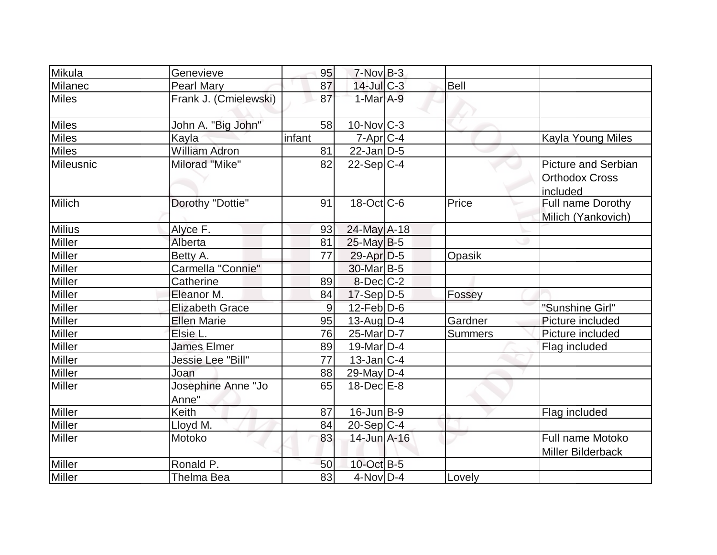| Mikula        | Genevieve                   | 95     | $7-Nov$ B-3            |                |                                                                  |
|---------------|-----------------------------|--------|------------------------|----------------|------------------------------------------------------------------|
| Milanec       | <b>Pearl Mary</b>           | 87     | $14$ -Jul $C-3$        | <b>Bell</b>    |                                                                  |
| <b>Miles</b>  | Frank J. (Cmielewski)       | 87     | $1-MarA-9$             |                |                                                                  |
| <b>Miles</b>  | John A. "Big John"          | 58     | $10$ -Nov $ C-3 $      |                |                                                                  |
| <b>Miles</b>  | Kayla                       | infant | $7 - Apr$ $C - 4$      |                | Kayla Young Miles                                                |
| <b>Miles</b>  | <b>William Adron</b>        | 81     | $22$ -Jan D-5          |                |                                                                  |
| Mileusnic     | Milorad "Mike"              | 82     | $22-Sep C-4$           |                | <b>Picture and Serbian</b><br><b>Orthodox Cross</b><br>lincluded |
| Milich        | Dorothy "Dottie"            | 91     | $18$ -Oct $ C$ -6      | Price          | Full name Dorothy<br>Milich (Yankovich)                          |
| <b>Milius</b> | Alyce F.                    | 93     | 24-May A-18            |                |                                                                  |
| <b>Miller</b> | Alberta                     | 81     | $25$ -May B-5          |                |                                                                  |
| Miller        | Betty A.                    | 77     | $29$ -Apr $D-5$        | Opasik         |                                                                  |
| Miller        | Carmella "Connie"           |        | 30-Mar B-5             |                |                                                                  |
| Miller        | Catherine                   | 89     | $8$ -Dec $C-2$         |                |                                                                  |
| Miller        | Eleanor M.                  | 84     | $17-Sep D-5$           | Fossey         |                                                                  |
| <b>Miller</b> | <b>Elizabeth Grace</b>      | 9      | $12$ -Feb $D$ -6       |                | "Sunshine Girl"                                                  |
| Miller        | <b>Ellen Marie</b>          | 95     | $13$ -AugD-4           | Gardner        | Picture included                                                 |
| <b>Miller</b> | Elsie L.                    | 76     | 25-Mar <sub>D</sub> -7 | <b>Summers</b> | Picture included                                                 |
| Miller        | <b>James Elmer</b>          | 89     | 19-Mar $D-4$           |                | Flag included                                                    |
| Miller        | Jessie Lee "Bill"           | 77     | $13$ -Jan $ C-4 $      |                |                                                                  |
| Miller        | Joan                        | 88     | 29-May D-4             |                |                                                                  |
| Miller        | Josephine Anne "Jo<br>Anne" | 65     | $18$ -Dec $E$ -8       |                |                                                                  |
| Miller        | Keith                       | 87     | $16$ -Jun $ B-9 $      |                | Flag included                                                    |
| <b>Miller</b> | Lloyd M.                    | 84     | $20-Sep C-4$           |                |                                                                  |
| <b>Miller</b> | Motoko                      | 83     | 14-Jun A-16            |                | Full name Motoko<br><b>Miller Bilderback</b>                     |
| Miller        | Ronald P.                   | 50     | 10-Oct B-5             |                |                                                                  |
| Miller        | Thelma Bea                  | 83     | $4$ -Nov $D-4$         | Lovely         |                                                                  |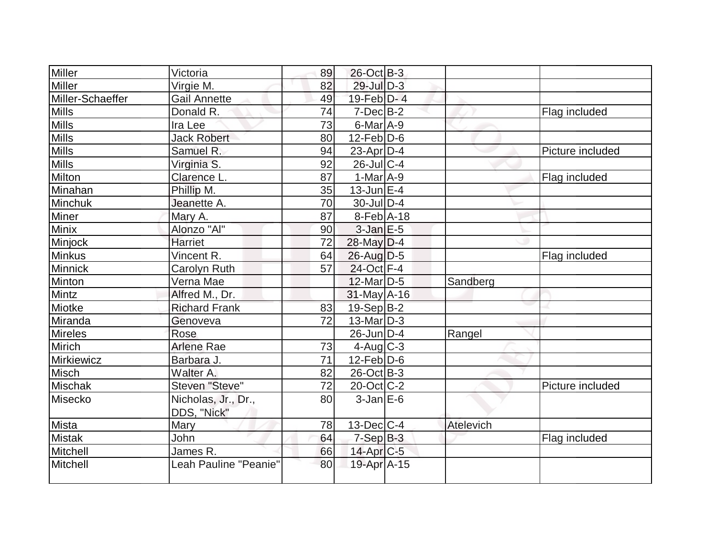| Victoria<br>Virgie M. | 89        | 26-Oct B-3      |                                                                                                                                                                                                                                                                                                                                                                                                                                                                                                                           |                  |
|-----------------------|-----------|-----------------|---------------------------------------------------------------------------------------------------------------------------------------------------------------------------------------------------------------------------------------------------------------------------------------------------------------------------------------------------------------------------------------------------------------------------------------------------------------------------------------------------------------------------|------------------|
|                       |           |                 |                                                                                                                                                                                                                                                                                                                                                                                                                                                                                                                           |                  |
|                       | 82        | $29$ -Jul $D-3$ |                                                                                                                                                                                                                                                                                                                                                                                                                                                                                                                           |                  |
| Gail Annette          | 49        |                 |                                                                                                                                                                                                                                                                                                                                                                                                                                                                                                                           |                  |
|                       |           |                 |                                                                                                                                                                                                                                                                                                                                                                                                                                                                                                                           | Flag included    |
| Ira Lee               |           |                 |                                                                                                                                                                                                                                                                                                                                                                                                                                                                                                                           |                  |
| <b>Jack Robert</b>    | 80        |                 |                                                                                                                                                                                                                                                                                                                                                                                                                                                                                                                           |                  |
| Samuel R.             | 94        |                 |                                                                                                                                                                                                                                                                                                                                                                                                                                                                                                                           | Picture included |
| Virginia S.           |           |                 |                                                                                                                                                                                                                                                                                                                                                                                                                                                                                                                           |                  |
| Clarence L.           | 87        |                 |                                                                                                                                                                                                                                                                                                                                                                                                                                                                                                                           | Flag included    |
| Phillip M.            | 35        |                 |                                                                                                                                                                                                                                                                                                                                                                                                                                                                                                                           |                  |
| Jeanette A.           | 70        |                 |                                                                                                                                                                                                                                                                                                                                                                                                                                                                                                                           |                  |
| Mary A.               | 87        |                 |                                                                                                                                                                                                                                                                                                                                                                                                                                                                                                                           |                  |
| Alonzo "Al"           | 90        |                 |                                                                                                                                                                                                                                                                                                                                                                                                                                                                                                                           |                  |
| Harriet               | 72        |                 |                                                                                                                                                                                                                                                                                                                                                                                                                                                                                                                           |                  |
| Vincent R.            | 64        |                 |                                                                                                                                                                                                                                                                                                                                                                                                                                                                                                                           | Flag included    |
| Carolyn Ruth          | 57        |                 |                                                                                                                                                                                                                                                                                                                                                                                                                                                                                                                           |                  |
| Verna Mae             |           |                 | Sandberg                                                                                                                                                                                                                                                                                                                                                                                                                                                                                                                  |                  |
| Alfred M., Dr.        |           |                 |                                                                                                                                                                                                                                                                                                                                                                                                                                                                                                                           |                  |
| <b>Richard Frank</b>  | 83        |                 |                                                                                                                                                                                                                                                                                                                                                                                                                                                                                                                           |                  |
| Genoveva              | 72        |                 |                                                                                                                                                                                                                                                                                                                                                                                                                                                                                                                           |                  |
| Rose                  |           |                 | Rangel                                                                                                                                                                                                                                                                                                                                                                                                                                                                                                                    |                  |
| <b>Arlene Rae</b>     | 73        |                 |                                                                                                                                                                                                                                                                                                                                                                                                                                                                                                                           |                  |
| Barbara J.            | 71        |                 |                                                                                                                                                                                                                                                                                                                                                                                                                                                                                                                           |                  |
| Walter A.             | 82        |                 |                                                                                                                                                                                                                                                                                                                                                                                                                                                                                                                           |                  |
| Steven "Steve"        | 72        |                 |                                                                                                                                                                                                                                                                                                                                                                                                                                                                                                                           | Picture included |
| Nicholas, Jr., Dr.,   | 80        |                 |                                                                                                                                                                                                                                                                                                                                                                                                                                                                                                                           |                  |
| DDS, "Nick"           |           |                 |                                                                                                                                                                                                                                                                                                                                                                                                                                                                                                                           |                  |
| <b>Mary</b>           | 78        |                 | Atelevich                                                                                                                                                                                                                                                                                                                                                                                                                                                                                                                 |                  |
| John                  | 64        |                 |                                                                                                                                                                                                                                                                                                                                                                                                                                                                                                                           | Flag included    |
| James R.              | 66        |                 |                                                                                                                                                                                                                                                                                                                                                                                                                                                                                                                           |                  |
| Leah Pauline "Peanie" | 80        |                 |                                                                                                                                                                                                                                                                                                                                                                                                                                                                                                                           |                  |
|                       | Donald R. | 74<br>73<br>92  | $19$ -Feb $D - 4$<br>$7$ -Dec $B-2$<br>$6$ -Mar $A$ -9<br>$12$ -Feb $ D-6$<br>$23$ -Apr $ D-4$<br>$26$ -Jul $C-4$<br>$1-Mar$ A-9<br>$13$ -Jun $E-4$<br>$30$ -Jul $D-4$<br>$8-Feb$ A-18<br>$3$ -Jan $E-5$<br>$28$ -May $D-4$<br>$26$ -Aug $D-5$<br>24-Oct F-4<br>$12$ -Mar $ D-5$<br>$31$ -May A-16<br>$19-Sep B-2$<br>$13$ -Mar $ D-3 $<br>$26$ -Jun $D-4$<br>$4$ -Aug $C$ -3<br>$12$ -Feb $ D-6$<br>$26$ -Oct B-3<br>$20$ -Oct $ C-2 $<br>$3$ -Jan $E$ -6<br>$13$ -Dec $C$ -4<br>$7-SepB-3$<br>14-Apr C-5<br>19-Apr A-15 |                  |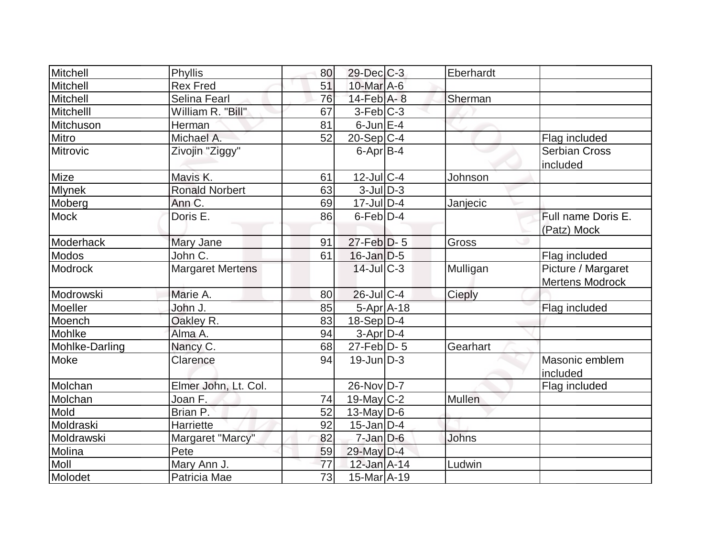| Mitchell        | Phyllis                 | 80 | $29$ -Dec $C$ -3  | Eberhardt    |                        |
|-----------------|-------------------------|----|-------------------|--------------|------------------------|
| Mitchell        | <b>Rex Fred</b>         | 51 | 10-Mar A-6        |              |                        |
| Mitchell        | Selina Fearl            | 76 | $14$ -Feb $A$ - 8 | Sherman      |                        |
| Mitchelll       | William R. "Bill"       | 67 | $3-Feb C-3$       |              |                        |
| Mitchuson       | Herman                  | 81 | $6$ -Jun $E-4$    |              |                        |
| Mitro           | Michael A.              | 52 | $20-Sep C-4$      |              | Flag included          |
| <b>Mitrovic</b> | Zivojin "Ziggy"         |    | $6$ -Apr $B$ -4   |              | <b>Serbian Cross</b>   |
|                 |                         |    |                   |              | included               |
| Mize            | Mavis K.                | 61 | $12$ -Jul $C$ -4  | Johnson      |                        |
| <b>Mlynek</b>   | Ronald Norbert          | 63 | $3$ -JulD-3       |              |                        |
| Moberg          | Ann C.                  | 69 | $17$ -JulD-4      | Janjecic     |                        |
| <b>Mock</b>     | Doris E.                | 86 | $6$ -Feb $D-4$    |              | Full name Doris E.     |
|                 |                         |    |                   |              | (Patz) Mock            |
| Moderhack       | Mary Jane               | 91 | $27$ -Feb $D-5$   | Gross        |                        |
| <b>Modos</b>    | John $\overline{C}$ .   | 61 | $16$ -Jan $D-5$   |              | Flag included          |
| <b>Modrock</b>  | <b>Margaret Mertens</b> |    | 14-Jul C-3        | Mulligan     | Picture / Margaret     |
|                 |                         |    |                   |              | <b>Mertens Modrock</b> |
| Modrowski       | Marie A.                | 80 | $26$ -JulC-4      | Cieply       |                        |
| Moeller         | John J.                 | 85 | 5-Apr A-18        |              | Flag included          |
| Moench          | Oakley R.               | 83 | $18-Sep D-4$      |              |                        |
| Mohlke          | Alma A.                 | 94 | 3-Apr D-4         |              |                        |
| Mohlke-Darling  | Nancy C.                | 68 | $27$ -Feb $ D-5$  | Gearhart     |                        |
| Moke            | Clarence                | 94 | $19$ -Jun $D-3$   |              | Masonic emblem         |
|                 |                         |    |                   |              | included               |
| Molchan         | Elmer John, Lt. Col.    |    | 26-Nov D-7        |              | Flag included          |
| Molchan         | Joan F.                 | 74 | 19-May $C-2$      | Mullen       |                        |
| Mold            | Brian P.                | 52 | 13-May $D-6$      |              |                        |
| Moldraski       | Harriette               | 92 | $15$ -Jan D-4     |              |                        |
| Moldrawski      | Margaret "Marcy"        | 82 | $7 - Jan$ $D-6$   | <b>Johns</b> |                        |
| Molina          | Pete                    | 59 | 29-May D-4        |              |                        |
| Moll            | Mary Ann J.             | 77 | 12-Jan A-14       | Ludwin       |                        |
| Molodet         | Patricia Mae            | 73 | 15-Mar A-19       |              |                        |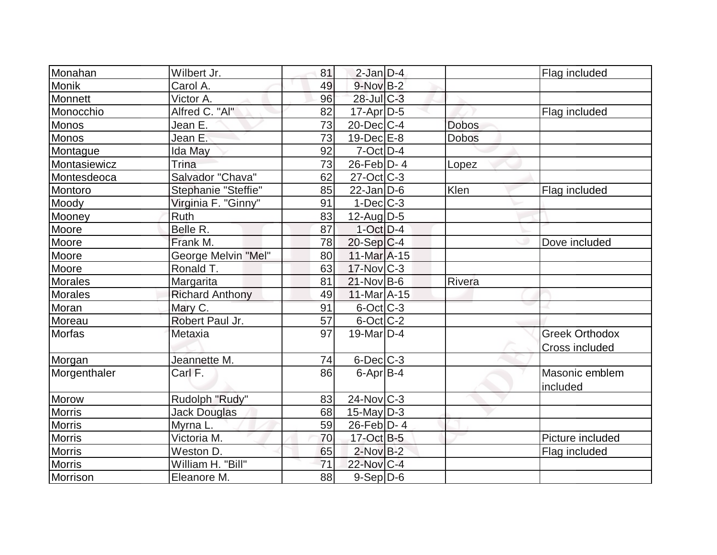| Monahan        | Wilbert Jr.            | 81 | $2$ -Jan $D-4$    |              | Flag included         |
|----------------|------------------------|----|-------------------|--------------|-----------------------|
| Monik          | Carol A.               | 49 | $9-NovB-2$        |              |                       |
| Monnett        | Victor A.              | 96 | $28$ -Jul $C-3$   |              |                       |
| Monocchio      | Alfred C. "Al"         | 82 | $17$ -Apr $D-5$   |              | Flag included         |
| <b>Monos</b>   | Jean E.                | 73 | $20$ -Dec $C-4$   | <b>Dobos</b> |                       |
| Monos          | Jean E.                | 73 | $19$ -Dec $E-8$   | <b>Dobos</b> |                       |
| Montague       | Ida May                | 92 | $7$ -Oct $D-4$    |              |                       |
| Montasiewicz   | Trina                  | 73 | $26$ -Feb $D-4$   | Lopez        |                       |
| Montesdeoca    | Salvador "Chava"       | 62 | $27-Oct$ $C-3$    |              |                       |
| Montoro        | Stephanie "Steffie"    | 85 | $22$ -Jan D-6     | Klen         | Flag included         |
| Moody          | Virginia F. "Ginny"    | 91 | $1-Dec$ $C-3$     |              |                       |
| Mooney         | Ruth                   | 83 | $12$ -Aug $D-5$   |              |                       |
| Moore          | Belle R.               | 87 | $1$ -Oct $D-4$    |              |                       |
| Moore          | Frank M.               | 78 | $20-Sep C-4$      |              | Dove included         |
| Moore          | George Melvin "Mel"    | 80 | $11$ -Mar $A$ -15 |              |                       |
| Moore          | Ronald T.              | 63 | $17$ -Nov $ C-3 $ |              |                       |
| <b>Morales</b> | Margarita              | 81 | $21-Nov B-6$      | Rivera       |                       |
| <b>Morales</b> | <b>Richard Anthony</b> | 49 | $11$ -Mar $A$ -15 |              |                       |
| Moran          | Mary C.                | 91 | 6-Oct C-3         |              |                       |
| Moreau         | Robert Paul Jr.        | 57 | 6-Oct C-2         |              |                       |
| Morfas         | Metaxia                | 97 | $19$ -Mar $ D-4$  |              | <b>Greek Orthodox</b> |
|                |                        |    |                   |              | Cross included        |
| Morgan         | Jeannette M.           | 74 | $6$ -Dec $C$ -3   |              |                       |
| Morgenthaler   | Carl F.                | 86 | $6$ -Apr $B$ -4   |              | Masonic emblem        |
|                |                        |    |                   |              | included              |
| Morow          | Rudolph "Rudy"         | 83 | $24$ -Nov $C-3$   |              |                       |
| <b>Morris</b>  | <b>Jack Douglas</b>    | 68 | $15$ -May D-3     |              |                       |
| <b>Morris</b>  | Myrna L.               | 59 | $26$ -Feb $ D-4 $ |              |                       |
| <b>Morris</b>  | Victoria M.            | 70 | 17-Oct B-5        |              | Picture included      |
| <b>Morris</b>  | Weston D.              | 65 | $2$ -Nov $B-2$    |              | Flag included         |
| <b>Morris</b>  | William H. "Bill"      | 71 | 22-Nov C-4        |              |                       |
| Morrison       | Eleanore M.            | 88 | 9-Sep D-6         |              |                       |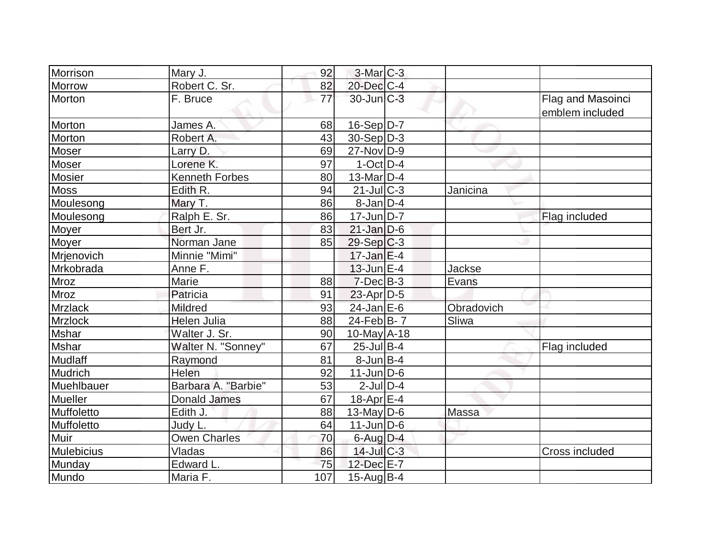| Morrison       | Mary J.               | 92  | $3-Mar$ $C-3$     |               |                       |
|----------------|-----------------------|-----|-------------------|---------------|-----------------------|
| Morrow         | Robert C. Sr.         | 82  | $20$ -Dec $C-4$   |               |                       |
| Morton         | F. Bruce              | 77  | $30$ -Jun $ C-3 $ |               | Flag and Masoinci     |
|                |                       |     |                   |               | emblem included       |
| Morton         | James A.              | 68  | 16-Sep D-7        |               |                       |
| Morton         | Robert A.             | 43  | $30-Sep D-3$      |               |                       |
| Moser          | Larry D.              | 69  | $27$ -Nov $ D-9 $ |               |                       |
| Moser          | Lorene K.             | 97  | $1-Oct$ D-4       |               |                       |
| <b>Mosier</b>  | <b>Kenneth Forbes</b> | 80  | 13-Mar $D-4$      |               |                       |
| <b>Moss</b>    | Edith R.              | 94  | $21$ -JulC-3      | Janicina      |                       |
| Moulesong      | Mary T.               | 86  | $8$ -Jan $D-4$    |               |                       |
| Moulesong      | Ralph E. Sr.          | 86  | $17$ -Jun $ D-7 $ |               | Flag included         |
| Moyer          | Bert Jr.              | 83  | $21$ -Jan D-6     |               |                       |
| <b>Moyer</b>   | Norman Jane           | 85  | $29-Sep C-3$      |               |                       |
| Mrjenovich     | Minnie "Mimi"         |     | $17$ -Jan $E-4$   |               |                       |
| Mrkobrada      | Anne F.               |     | $13$ -Jun $E-4$   | <b>Jackse</b> |                       |
| <b>Mroz</b>    | Marie                 | 88  | $7-Dec$ B-3       | Evans         |                       |
| Mroz           | Patricia              | 91  | $23$ -Apr $D-5$   |               |                       |
| <b>Mrzlack</b> | Mildred               | 93  | $24$ -Jan E-6     | Obradovich    |                       |
| Mrzlock        | <b>Helen Julia</b>    | 88  | 24-Feb $ B-7 $    | Sliwa         |                       |
| Mshar          | Walter J. Sr.         | 90  | 10-May A-18       |               |                       |
| <b>Mshar</b>   | Walter N. "Sonney"    | 67  | $25$ -Jul B-4     |               | Flag included         |
| Mudlaff        | Raymond               | 81  | $8$ -Jun $B$ -4   |               |                       |
| Mudrich        | Helen                 | 92  | $11$ -Jun $D-6$   |               |                       |
| Muehlbauer     | Barbara A. "Barbie"   | 53  | $2$ -Jul $D-4$    |               |                       |
| Mueller        | <b>Donald James</b>   | 67  | 18-Apr E-4        |               |                       |
| Muffoletto     | Edith J.              | 88  | 13-May $D-6$      | Massa         |                       |
| Muffoletto     | Judy L.               | 64  | $11$ -Jun $D-6$   |               |                       |
| Muir           | <b>Owen Charles</b>   | 70  | $6$ -Aug $D-4$    |               |                       |
| Mulebicius     | Vladas                | 86  | 14-Jul C-3        |               | <b>Cross included</b> |
| Munday         | Edward L.             | 75  | 12-Dec E-7        |               |                       |
| Mundo          | Maria F.              | 107 | $15$ -Aug $ B-4$  |               |                       |
|                |                       |     |                   |               |                       |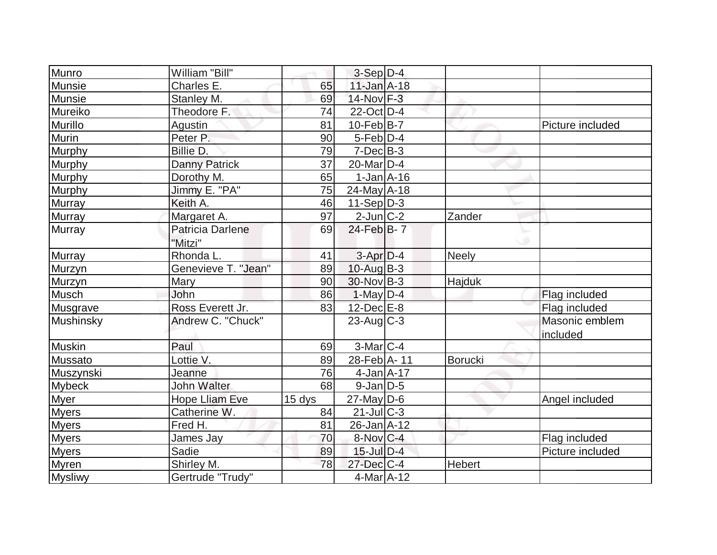| Munro          | William "Bill"          |                 | $3-Sep D-4$       |                |                  |
|----------------|-------------------------|-----------------|-------------------|----------------|------------------|
| <b>Munsie</b>  | Charles E.              | 65              | $11$ -Jan $A-18$  |                |                  |
| Munsie         | Stanley M.              | 69              | 14-Nov F-3        |                |                  |
| Mureiko        | Theodore F.             | 74              | $22$ -Oct $D-4$   |                |                  |
| Murillo        | <b>Agustin</b>          | 81              | $10$ -Feb B-7     |                | Picture included |
| <b>Murin</b>   | Peter P.                | 90              | $5-Feb D-4$       |                |                  |
| Murphy         | Billie D.               | 79              | $7-Dec$ B-3       |                |                  |
| Murphy         | <b>Danny Patrick</b>    | $\overline{37}$ | $20$ -Mar $ D-4$  |                |                  |
| Murphy         | Dorothy M.              | 65              | $1-Jan$ $A-16$    |                |                  |
| Murphy         | Jimmy E. "PA"           | 75              | 24-May A-18       |                |                  |
| Murray         | Keith A.                | 46              | $11-Sep D-3$      |                |                  |
| <b>Murray</b>  | Margaret A.             | 97              | $2$ -Jun $ C-2 $  | Zander         |                  |
| Murray         | <b>Patricia Darlene</b> | 69              | 24-Feb B-7        |                |                  |
|                | "Mitzi"                 |                 |                   |                |                  |
| <b>Murray</b>  | Rhonda L.               | 41              | $3-Apr$ D-4       | Neely          |                  |
| Murzyn         | Genevieve T. "Jean"     | 89              | $10$ -Aug $B-3$   |                |                  |
| Murzyn         | Mary                    | 90              | $30$ -Nov B-3     | Hajduk         |                  |
| Musch          | John                    | 86              | $1-May D-4$       |                | Flag included    |
| Musgrave       | Ross Everett Jr.        | 83              | $12$ -Dec $E-8$   |                | Flag included    |
| Mushinsky      | Andrew C. "Chuck"       |                 | $23$ -Aug C-3     |                | Masonic emblem   |
|                |                         |                 |                   |                | included         |
| Muskin         | Paul                    | 69              | $3-Mar$ $C-4$     |                |                  |
| Mussato        | Lottie V.               | 89              | 28-Feb A-11       | <b>Borucki</b> |                  |
| Muszynski      | Jeanne                  | 76              | $4$ -Jan $A$ -17  |                |                  |
| <b>Mybeck</b>  | <b>John Walter</b>      | 68              | $9$ -Jan $D$ -5   |                |                  |
| <b>Myer</b>    | <b>Hope Lliam Eve</b>   | 15 dys          | $27$ -May D-6     |                | Angel included   |
| <b>Myers</b>   | Catherine W.            | 84              | $21$ -JulC-3      |                |                  |
| <b>Myers</b>   | Fred H.                 | 81              | $26$ -Jan $A$ -12 |                |                  |
| <b>Myers</b>   | James Jay               | 70              | 8-Nov C-4         |                | Flag included    |
| <b>Myers</b>   | Sadie                   | 89              | $15$ -Jul $D-4$   |                | Picture included |
| Myren          | Shirley M.              | 78              | $27 - Dec$ C-4    | Hebert         |                  |
| <b>Mysliwy</b> | Gertrude "Trudy"        |                 | 4-Mar A-12        |                |                  |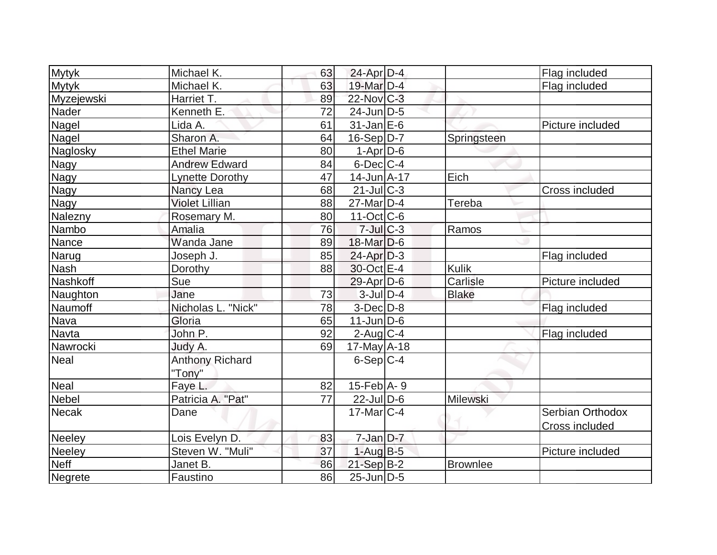| <b>Mytyk</b>  | Michael K.             | 63 | $24$ -Apr $D-4$       |                 | Flag included    |
|---------------|------------------------|----|-----------------------|-----------------|------------------|
| <b>Mytyk</b>  | Michael K.             | 63 | 19-Mar D-4            |                 | Flag included    |
| Myzejewski    | Harriet T.             | 89 | 22-Nov C-3            |                 |                  |
| Nader         | Kenneth E.             | 72 | $24$ -Jun $D-5$       |                 |                  |
| Nagel         | Lida A.                | 61 | $31$ -Jan $E-6$       |                 | Picture included |
| Nagel         | Sharon A.              | 64 | $16-Sep D-7$          | Springsteen     |                  |
| Naglosky      | <b>Ethel Marie</b>     | 80 | $1-Apr$ D-6           |                 |                  |
| <b>Nagy</b>   | <b>Andrew Edward</b>   | 84 | $6$ -Dec $ C-4 $      |                 |                  |
| Nagy          | <b>Lynette Dorothy</b> | 47 | $14 - Jun  A - 17 $   | Eich            |                  |
| Nagy          | Nancy Lea              | 68 | $21$ -JulC-3          |                 | Cross included   |
| Nagy          | <b>Violet Lillian</b>  | 88 | 27-Mar <sub>D-4</sub> | Tereba          |                  |
| Nalezny       | Rosemary M.            | 80 | $11-Oct$ $C-6$        |                 |                  |
| Nambo         | Amalia                 | 76 | $7$ -Jul $C-3$        | Ramos           |                  |
| Nance         | Wanda Jane             | 89 | $18$ -Mar $D-6$       |                 |                  |
| Narug         | Joseph J.              | 85 | $24$ -Apr $D-3$       |                 | Flag included    |
| <b>Nash</b>   | Dorothy                | 88 | 30-Oct E-4            | <b>Kulik</b>    |                  |
| Nashkoff      | Sue                    |    | $29$ -Apr $D$ -6      | Carlisle        | Picture included |
| Naughton      | Jane                   | 73 | $3$ -Jul $D-4$        | <b>Blake</b>    |                  |
| Naumoff       | Nicholas L. "Nick"     | 78 | $3-Dec$ $D-8$         |                 | Flag included    |
| Nava          | Gloria                 | 65 | $11$ -Jun $D-6$       |                 |                  |
| Navta         | John P.                | 92 | $2$ -Aug $C-4$        |                 | Flag included    |
| Nawrocki      | Judy A.                | 69 | $17$ -May $A$ -18     |                 |                  |
| Neal          | <b>Anthony Richard</b> |    | $6-Sep C-4$           |                 |                  |
|               | "Tony"                 |    |                       |                 |                  |
| <b>Neal</b>   | Faye L.                | 82 | $15$ -Feb $ A-9$      |                 |                  |
| <b>Nebel</b>  | Patricia A. "Pat"      | 77 | $22$ -Jul D-6         | Milewski        |                  |
| <b>Necak</b>  | Dane                   |    | $17$ -Mar $ C-4 $     |                 | Serbian Orthodox |
|               |                        |    |                       |                 | Cross included   |
| <b>Neeley</b> | Lois Evelyn D.         | 83 | $7$ -Jan $D-7$        |                 |                  |
| <b>Neeley</b> | Steven W. "Muli"       | 37 | $1-Aug$ B-5           |                 | Picture included |
| <b>Neff</b>   | Janet B.               | 86 | $21-Sep$ B-2          | <b>Brownlee</b> |                  |
| Negrete       | Faustino               | 86 | $25$ -Jun $ D-5$      |                 |                  |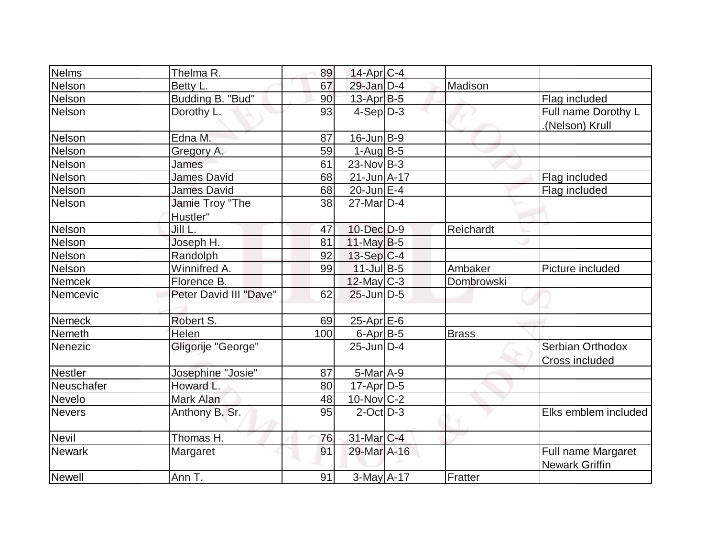| Nelms          | Thelma R.                   | 89  | 14-Apr C-4        |              |                                             |
|----------------|-----------------------------|-----|-------------------|--------------|---------------------------------------------|
| Nelson         | Betty L.                    | 67  | $29$ -Jan $D-4$   | Madison      |                                             |
| Nelson         | Budding B. "Bud"            | 90  | $13$ -Apr $B$ -5  |              | Flag included                               |
| <b>Nelson</b>  | Dorothy L.                  | 93  | $4-Sep D-3$       |              | Full name Dorothy L<br>(Nelson) Krull       |
| Nelson         | Edna M.                     | 87  | $16$ -Jun $ B-9 $ |              |                                             |
| Nelson         | Gregory A.                  | 59  | $1-Auq$ B-5       |              |                                             |
| Nelson         | James                       | 61  | $23$ -Nov B-3     |              |                                             |
| Nelson         | <b>James David</b>          | 68  | 21-Jun A-17       |              | Flag included                               |
| Nelson         | <b>James David</b>          | 68  | $20$ -Jun $E-4$   |              | Flag included                               |
| Nelson         | Jamie Troy "The<br>Hustler" | 38  | $27$ -Mar $ D-4 $ |              |                                             |
| Nelson         | Jill L.                     | 47  | 10-Dec D-9        | Reichardt    |                                             |
| Nelson         | Joseph H.                   | 81  | $11$ -May B-5     |              |                                             |
| Nelson         | Randolph                    | 92  | $13-Sep C-4$      |              |                                             |
| Nelson         | Winnifred A.                | 99  | $11$ -Jul B-5     | Ambaker      | Picture included                            |
| Nemcek         | Florence B.                 |     | $12$ -May C-3     | Dombrowski   |                                             |
| Nemcevic       | Peter David III "Dave"      | 62  | $25$ -Jun $D-5$   |              |                                             |
| <b>Nemeck</b>  | Robert S.                   | 69  | $25$ -Apr $E$ -6  |              |                                             |
| Nemeth         | Helen                       | 100 | 6-Apr B-5         | <b>Brass</b> |                                             |
| Nenezic        | Gligorije "George"          |     | $25$ -Jun $D-4$   |              | Serbian Orthodox<br><b>Cross included</b>   |
| <b>Nestler</b> | Josephine "Josie"           | 87  | $5$ -Mar $A$ -9   |              |                                             |
| Neuschafer     | Howard L.                   | 80  | $17$ -Apr $D-5$   |              |                                             |
| Nevelo         | Mark Alan                   | 48  | 10-Nov C-2        |              |                                             |
| <b>Nevers</b>  | Anthony B. Sr.              | 95  | $2$ -Oct $D-3$    |              | Elks emblem included                        |
| <b>Nevil</b>   | Thomas H.                   | 76  | $31$ -Mar $ C-4 $ |              |                                             |
| <b>Newark</b>  | Margaret                    | 91  | 29-Mar A-16       |              | Full name Margaret<br><b>Newark Griffin</b> |
| Newell         | Ann T.                      | 91  | $3$ -May $A-17$   | Fratter      |                                             |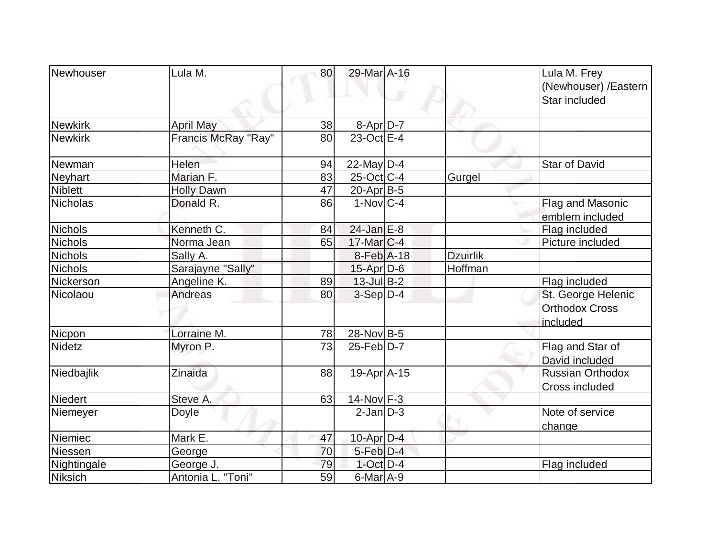| Newhouser      | Lula M.             | 80 | 29-Mar A-16       |                 | Lula M. Frey<br>(Newhouser) / Eastern<br>Star included |
|----------------|---------------------|----|-------------------|-----------------|--------------------------------------------------------|
| <b>Newkirk</b> | April May           | 38 | 8-Apr D-7         |                 |                                                        |
| <b>Newkirk</b> | Francis McRay "Ray" | 80 | $23$ -Oct E-4     |                 |                                                        |
| Newman         | Helen               | 94 | 22-May $D-4$      |                 | <b>Star of David</b>                                   |
| Neyhart        | Marian F.           | 83 | $25$ -Oct C-4     | Gurgel          |                                                        |
| <b>Niblett</b> | <b>Holly Dawn</b>   | 47 | $20$ -Apr $ B-5 $ |                 |                                                        |
| Nicholas       | Donald R.           | 86 | $1-Nov C-4$       |                 | Flag and Masonic                                       |
|                |                     |    |                   |                 | emblem included                                        |
| <b>Nichols</b> | Kenneth C.          | 84 | $24$ -Jan $E-8$   |                 | Flag included                                          |
| Nichols        | Norma Jean          | 65 | $17$ -Mar $ C-4 $ |                 | Picture included                                       |
| <b>Nichols</b> | Sally A.            |    | $8$ -Feb $A$ -18  | <b>Dzuirlik</b> |                                                        |
| <b>Nichols</b> | Sarajayne "Sally"   |    | $15$ -Apr $D-6$   | Hoffman         |                                                        |
| Nickerson      | Angeline K.         | 89 | $13$ -Jul B-2     |                 | Flag included                                          |
| Nicolaou       | Andreas             | 80 | $3-Sep D-4$       |                 | St. George Helenic                                     |
|                |                     |    |                   |                 | <b>Orthodox Cross</b><br>included                      |
| Nicpon         | Lorraine M.         | 78 | 28-Nov B-5        |                 |                                                        |
| Nidetz         | Myron P.            | 73 | $25$ -Feb $D-7$   |                 | Flag and Star of<br>David included                     |
| Niedbajlik     | Zinaida             | 88 | $19-Apr$ A-15     |                 | <b>Russian Orthodox</b><br>Cross included              |
| Niedert        | Steve A.            | 63 | $14$ -Nov F-3     |                 |                                                        |
| Niemeyer       | Doyle               |    | $2$ -Jan $D-3$    |                 | Note of service<br>change                              |
| Niemiec        | Mark E.             | 47 | $10$ -Apr $D-4$   |                 |                                                        |
| Niessen        | George              | 70 | $5$ -Feb $D-4$    |                 |                                                        |
| Nightingale    | George J.           | 79 | $1$ -Oct $D-4$    |                 | Flag included                                          |
| Niksich        | Antonia L. "Toni"   | 59 | $6$ -Mar $A-9$    |                 |                                                        |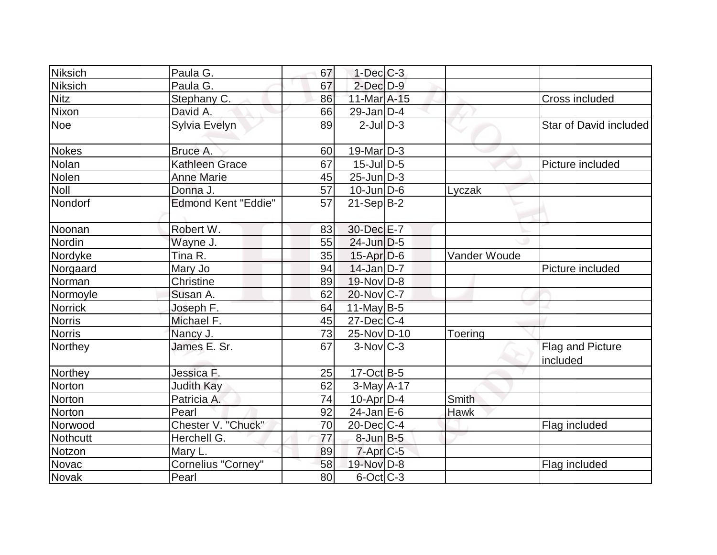| Niksich        | Paula G.                   | 67 | $1-Dec$ $C-3$          |              |                              |
|----------------|----------------------------|----|------------------------|--------------|------------------------------|
| Niksich        | Paula G.                   | 67 | $2$ -Dec $D-9$         |              |                              |
| <b>Nitz</b>    | Stephany C.                | 86 | 11-Mar A-15            |              | Cross included               |
| Nixon          | David A.                   | 66 | $29$ -Jan D-4          |              |                              |
| <b>Noe</b>     | Sylvia Evelyn              | 89 | $2$ -Jul $D-3$         |              | Star of David included       |
| Nokes          | Bruce A.                   | 60 | $19$ -Mar $ D-3$       |              |                              |
| Nolan          | <b>Kathleen Grace</b>      | 67 | $15$ -JulD-5           |              | Picture included             |
| Nolen          | <b>Anne Marie</b>          | 45 | $25$ -Jun $ D-3 $      |              |                              |
| <b>Noll</b>    | Donna J.                   | 57 | $10$ -Jun $D-6$        | Lyczak       |                              |
| Nondorf        | <b>Edmond Kent "Eddie"</b> | 57 | $21-Sep B-2$           |              |                              |
| Noonan         | Robert W.                  | 83 | 30-Dec E-7             |              |                              |
| Nordin         | Wayne J.                   | 55 | $24$ -Jun $D-5$        |              |                              |
| Nordyke        | Tina R.                    | 35 | $15$ -Apr $D-6$        | Vander Woude |                              |
| Norgaard       | Mary Jo                    | 94 | $14$ -Jan $D-7$        |              | Picture included             |
| Norman         | Christine                  | 89 | $19-Nov D-8$           |              |                              |
| Normoyle       | Susan A.                   | 62 | 20-Nov C-7             |              |                              |
| <b>Norrick</b> | Joseph F.                  | 64 | $11$ -May B-5          |              |                              |
| <b>Norris</b>  | Michael F.                 | 45 | $27 - Dec$ C-4         |              |                              |
| <b>Norris</b>  | Nancy J.                   | 73 | 25-Nov D-10            | Toering      |                              |
| Northey        | James E. Sr.               | 67 | $3-Nov$ <sub>C-3</sub> |              | Flag and Picture<br>included |
| Northey        | Jessica F.                 | 25 | $17-Oct$ B-5           |              |                              |
| Norton         | <b>Judith Kay</b>          | 62 | $3-May$ A-17           |              |                              |
| Norton         | Patricia A.                | 74 | $10$ -Apr $D-4$        | Smith        |                              |
| Norton         | Pearl                      | 92 | $24$ -Jan $E-6$        | <b>Hawk</b>  |                              |
| Norwood        | Chester V. "Chuck"         | 70 | $20$ -Dec $C$ -4       |              | Flag included                |
| Nothcutt       | Herchell G.                | 77 | $8$ -Jun $B$ -5        |              |                              |
| Notzon         | Mary L.                    | 89 | $7$ -Apr $C$ -5        |              |                              |
| Novac          | Cornelius "Corney"         | 58 | 19-Nov D-8             |              | Flag included                |
| <b>Novak</b>   | Pearl                      | 80 | $6$ -Oct $ C$ -3       |              |                              |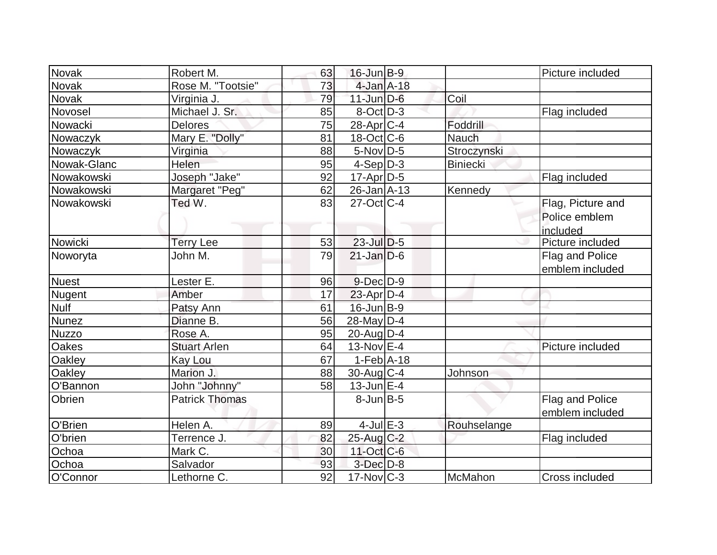| Novak         | Robert M.             | 63              | $16$ -Jun $B-9$   |              | Picture included                               |
|---------------|-----------------------|-----------------|-------------------|--------------|------------------------------------------------|
| Novak         | Rose M. "Tootsie"     | 73              | $4$ -Jan $A$ -18  |              |                                                |
| <b>Novak</b>  | Virginia J.           | 79              | $11$ -Jun $D-6$   | Coil         |                                                |
| Novosel       | Michael J. Sr.        | 85              | $8-Oct$ D-3       |              | Flag included                                  |
| Nowacki       | <b>Delores</b>        | 75              | 28-Apr C-4        | Foddrill     |                                                |
| Nowaczyk      | Mary E. "Dolly"       | 81              | 18-Oct C-6        | <b>Nauch</b> |                                                |
| Nowaczyk      | Virginia              | 88              | $5$ -Nov $D-5$    | Stroczynski  |                                                |
| Nowak-Glanc   | Helen                 | 95              | $4-Sep D-3$       | Biniecki     |                                                |
| Nowakowski    | Joseph "Jake"         | 92              | 17-Apr D-5        |              | Flag included                                  |
| Nowakowski    | Margaret "Peg"        | 62              | $26$ -Jan $A$ -13 | Kennedy      |                                                |
| Nowakowski    | Ted W.                | 83              | $27$ -Oct $ C-4 $ |              | Flag, Picture and<br>Police emblem<br>included |
| Nowicki       | <b>Terry Lee</b>      | 53              | 23-Jul D-5        |              | Picture included                               |
| Noworyta      | John M.               | 79              | $21$ -Jan $D-6$   |              | Flag and Police<br>emblem included             |
| <b>Nuest</b>  | Lester E.             | 96              | $9$ -Dec $D$ -9   |              |                                                |
| <b>Nugent</b> | Amber                 | 17              | $23$ -Apr $D-4$   |              |                                                |
| <b>Nulf</b>   | Patsy Ann             | 61              | $16$ -Jun $B-9$   |              |                                                |
| <b>Nunez</b>  | Dianne B.             | 56              | 28-May D-4        |              |                                                |
| <b>Nuzzo</b>  | Rose A.               | 95              | $20$ -Aug $D-4$   |              |                                                |
| Oakes         | <b>Stuart Arlen</b>   | 64              | $13-Nov$ E-4      |              | Picture included                               |
| Oakley        | Kay Lou               | 67              | $1-Feb$ A-18      |              |                                                |
| Oakley        | Marion J.             | 88              | 30-Aug C-4        | Johnson      |                                                |
| O'Bannon      | John "Johnny"         | 58              | $13$ -Jun $E-4$   |              |                                                |
| Obrien        | <b>Patrick Thomas</b> |                 | $8$ -Jun $B$ -5   |              | Flag and Police<br>emblem included             |
| O'Brien       | Helen A.              | 89              | $4$ -Jul $E-3$    | Rouhselange  |                                                |
| O'brien       | Terrence J.           | 82              | $25$ -Aug C-2     |              | Flag included                                  |
| Ochoa         | Mark C.               | 30 <sup>°</sup> | $11$ -Oct $C$ -6  |              |                                                |
| Ochoa         | Salvador              | 93              | $3$ -Dec $D-8$    |              |                                                |
| O'Connor      | Lethorne C.           | 92              | $17$ -Nov $ C-3 $ | McMahon      | Cross included                                 |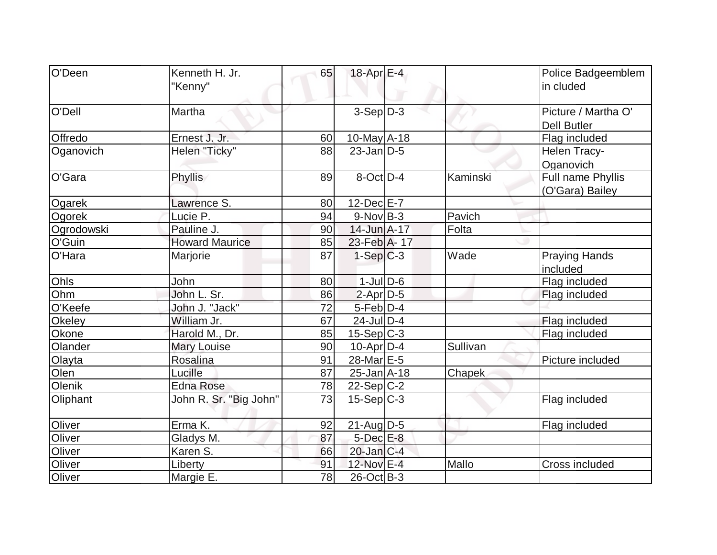| O'Deen     | Kenneth H. Jr.         | 65              | 18-Apr E-4        |          | Police Badgeemblem   |
|------------|------------------------|-----------------|-------------------|----------|----------------------|
|            | "Kenny"                |                 |                   |          | in cluded            |
|            |                        |                 |                   |          |                      |
| O'Dell     | Martha                 |                 | $3-Sep D-3$       |          | Picture / Martha O'  |
|            |                        |                 |                   |          | Dell Butler          |
| Offredo    | Ernest J. Jr.          | 60              | $10$ -May $A$ -18 |          | Flag included        |
| Oganovich  | Helen "Ticky"          | 88              | $23$ -Jan D-5     |          | Helen Tracy-         |
|            |                        |                 |                   |          | Oganovich            |
| O'Gara     | <b>Phyllis</b>         | 89              | $8$ -Oct $ D-4 $  | Kaminski | Full name Phyllis    |
|            |                        |                 |                   |          | (O'Gara) Bailey      |
| Ogarek     | Lawrence S.            | 80              | $12$ -Dec $E - 7$ |          |                      |
| Ogorek     | Lucie P.               | 94              | $9-Nov B-3$       | Pavich   |                      |
| Ogrodowski | Pauline J.             | 90              | 14-Jun A-17       | Folta    |                      |
| O'Guin     | <b>Howard Maurice</b>  | 85              | 23-Feb A-17       |          |                      |
| O'Hara     | Marjorie               | 87              | $1-Sep C-3$       | Wade     | <b>Praying Hands</b> |
|            |                        |                 |                   |          | included             |
| Ohls       | John                   | 80              | $1$ -JulD-6       |          | Flag included        |
| Ohm        | John L. Sr.            | 86              | $2$ -Apr $D-5$    |          | Flag included        |
| O'Keefe    | John J. "Jack"         | 72              | $5-Feb$ $D-4$     |          |                      |
| Okeley     | William Jr.            | 67              | $24$ -JulD-4      |          | Flag included        |
| Okone      | Harold M., Dr.         | 85              | $15-Sep C-3$      |          | Flag included        |
| Olander    | <b>Mary Louise</b>     | 90              | $10$ -Apr $D-4$   | Sullivan |                      |
| Olayta     | Rosalina               | 91              | 28-Mar E-5        |          | Picture included     |
| Olen       | Lucille                | 87              | $25$ -Jan $A$ -18 | Chapek   |                      |
| Olenik     | <b>Edna Rose</b>       | 78              | $22-Sep C-2$      |          |                      |
| Oliphant   | John R. Sr. "Big John" | 73              | $15-Sep C-3$      |          | Flag included        |
| Oliver     | Erma K.                | 92              | $21$ -Aug D-5     |          | Flag included        |
| Oliver     | Gladys M.              | 87              | $5$ -Dec $E$ -8   |          |                      |
| Oliver     | Karen S.               | 66              | $20$ -Jan $C-4$   |          |                      |
| Oliver     | Liberty                | 91              | 12-Nov E-4        | Mallo    | Cross included       |
| Oliver     | Margie E.              | $\overline{78}$ | $26$ -Oct B-3     |          |                      |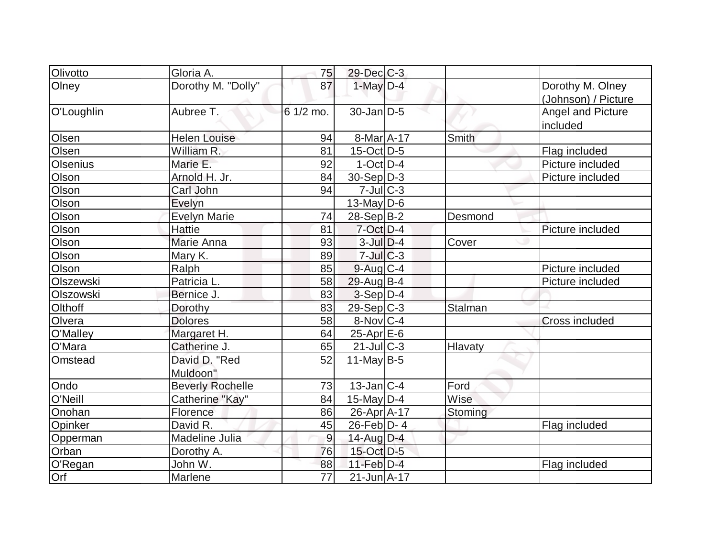| Olivotto   | Gloria A.               | 75              | $29$ -Dec $C$ -3  |                |                     |
|------------|-------------------------|-----------------|-------------------|----------------|---------------------|
| Olney      | Dorothy M. "Dolly"      | 87              | $1$ -May $D-4$    |                | Dorothy M. Olney    |
|            |                         |                 |                   |                | (Johnson) / Picture |
| O'Loughlin | Aubree T.               | 6 1/2 mo.       | $30$ -Jan D-5     |                | Angel and Picture   |
|            |                         |                 |                   |                | included            |
| Olsen      | <b>Helen Louise</b>     | 94              | 8-Mar A-17        | <b>Smith</b>   |                     |
| Olsen      | William R.              | 81              | $15$ -Oct $D-5$   |                | Flag included       |
| Olsenius   | Marie E.                | 92              | $1$ -Oct $ D-4 $  |                | Picture included    |
| Olson      | Arnold H. Jr.           | 84              | $30-Sep D-3$      |                | Picture included    |
| Olson      | Carl John               | 94              | $7$ -Jul $C-3$    |                |                     |
| Olson      | Evelyn                  |                 | $13$ -May D-6     |                |                     |
| Olson      | <b>Evelyn Marie</b>     | 74              | $28-Sep B-2$      | Desmond        |                     |
| Olson      | <b>Hattie</b>           | 81              | $7$ -Oct $D-4$    |                | Picture included    |
| Olson      | Marie Anna              | 93              | $3$ -Jul $D-4$    | Cover          |                     |
| Olson      | Mary K.                 | 89              | $7$ -Jul C-3      |                |                     |
| Olson      | Ralph                   | 85              | $9$ -Aug $C$ -4   |                | Picture included    |
| Olszewski  | Patricia L.             | 58              | $29$ -AugB-4      |                | Picture included    |
| Olszowski  | Bernice J.              | 83              | $3-Sep D-4$       |                |                     |
| Olthoff    | Dorothy                 | 83              | $29-Sep C-3$      | <b>Stalman</b> |                     |
| Olvera     | <b>Dolores</b>          | 58              | 8-Nov C-4         |                | Cross included      |
| O'Malley   | Margaret H.             | 64              | $25$ -Apr $E$ -6  |                |                     |
| O'Mara     | Catherine J.            | 65              | 21-Jul C-3        | Hlavaty        |                     |
| Omstead    | David D. "Red           | 52              | 11-May $B-5$      |                |                     |
|            | Muldoon"                |                 |                   |                |                     |
| Ondo       | <b>Beverly Rochelle</b> | 73              | $13$ -Jan $ C-4 $ | Ford           |                     |
| O'Neill    | Catherine "Kay"         | 84              | $15$ -May D-4     | Wise           |                     |
| Onohan     | Florence                | 86              | 26-Apr A-17       | Stoming        |                     |
| Opinker    | David R.                | 45              | $26$ -Feb $ D-4 $ |                | Flag included       |
| Opperman   | Madeline Julia          | 9               | $14$ -Aug $D-4$   |                |                     |
| Orban      | Dorothy A.              | 76              | 15-Oct D-5        |                |                     |
| O'Regan    | John W.                 | 88              | $11-Feb$ D-4      |                | Flag included       |
| Orf        | Marlene                 | $\overline{77}$ | $21 - Jun A - 17$ |                |                     |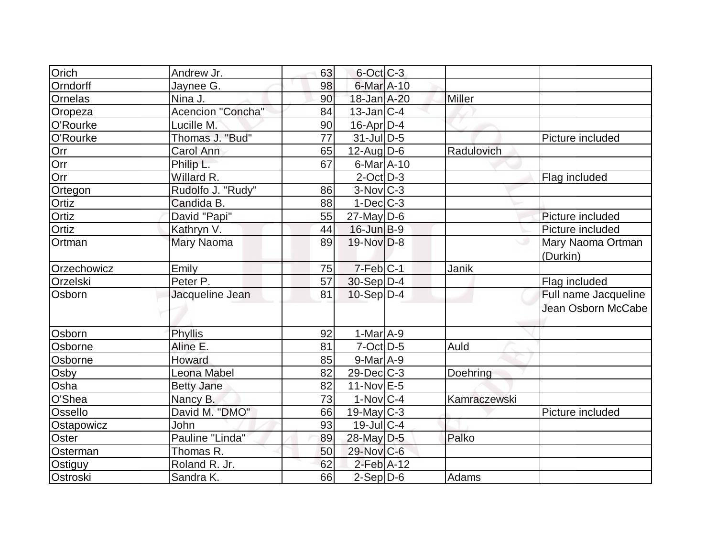| Orich       | Andrew Jr.        | 63 | $6$ -Oct $C$ -3   |              |                      |
|-------------|-------------------|----|-------------------|--------------|----------------------|
| Orndorff    | Jaynee G.         | 98 | 6-Mar A-10        |              |                      |
| Ornelas     | Nina J.           | 90 | 18-Jan A-20       | Miller       |                      |
| Oropeza     | Acencion "Concha" | 84 | $13$ -Jan $ C-4 $ |              |                      |
| O'Rourke    | Lucille M.        | 90 | $16$ -Apr $ D-4$  |              |                      |
| O'Rourke    | Thomas J. "Bud"   | 77 | $31$ -JulD-5      |              | Picture included     |
| Orr         | Carol Ann         | 65 | $12$ -Aug $D-6$   | Radulovich   |                      |
| Orr         | Philip L.         | 67 | $6$ -Mar $A$ -10  |              |                      |
| Orr         | Willard R.        |    | $2$ -Oct $ D-3 $  |              | Flag included        |
| Ortegon     | Rudolfo J. "Rudy" | 86 | $3-Nov$ C-3       |              |                      |
| Ortiz       | Candida B.        | 88 | $1-Dec$ $C-3$     |              |                      |
| Ortiz       | David "Papi"      | 55 | $27$ -May D-6     |              | Picture included     |
| Ortiz       | Kathryn V.        | 44 | $16$ -Jun $B-9$   |              | Picture included     |
| Ortman      | Mary Naoma        | 89 | 19-Nov D-8        |              | Mary Naoma Ortman    |
|             |                   |    |                   |              | (Durkin)             |
| Orzechowicz | Emily             | 75 | $7-Feb$ C-1       | Janik        |                      |
| Orzelski    | Peter P.          | 57 | $30-Sep D-4$      |              | Flag included        |
| Osborn      | Jacqueline Jean   | 81 | $10-Sep D-4$      |              | Full name Jacqueline |
|             |                   |    |                   |              | Jean Osborn McCabe   |
|             |                   |    |                   |              |                      |
| Osborn      | Phyllis           | 92 | $1-MarA-9$        |              |                      |
| Osborne     | Aline E.          | 81 | $7$ -Oct $D-5$    | Auld         |                      |
| Osborne     | Howard            | 85 | $9$ -Mar $A$ -9   |              |                      |
| Osby        | Leona Mabel       | 82 | $29$ -Dec $C$ -3  | Doehring     |                      |
| Osha        | <b>Betty Jane</b> | 82 | $11-Nov$ E-5      |              |                      |
| O'Shea      | Nancy B.          | 73 | $1-Nov$ $C-4$     | Kamraczewski |                      |
| Ossello     | David M. "DMO"    | 66 | $19$ -May C-3     |              | Picture included     |
| Ostapowicz  | John              | 93 | $19$ -Jul $C-4$   |              |                      |
| Oster       | Pauline "Linda"   | 89 | 28-May D-5        | Palko        |                      |
| Osterman    | Thomas R.         | 50 | 29-Nov C-6        |              |                      |
| Ostiguy     | Roland R. Jr.     | 62 | $2$ -Feb $A-12$   |              |                      |
| Ostroski    | Sandra K.         | 66 | $2-Sep$ D-6       | Adams        |                      |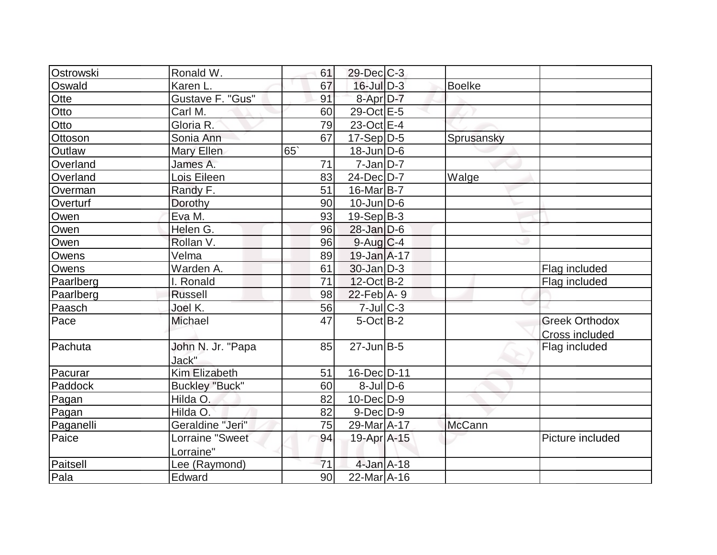| Ostrowski | Ronald W.                  | 61              | 29-Dec C-3        |               |                       |
|-----------|----------------------------|-----------------|-------------------|---------------|-----------------------|
| Oswald    | Karen L.                   | 67              | $16$ -Jul $D-3$   | <b>Boelke</b> |                       |
| Otte      | Gustave F. "Gus"           | 91              | 8-Apr D-7         |               |                       |
| Otto      | Carl M.                    | 60              | 29-Oct E-5        |               |                       |
| Otto      | Gloria $\overline{R}$ .    | 79              | $23$ -Oct E-4     |               |                       |
| Ottoson   | Sonia Ann                  | 67              | $17-Sep D-5$      | Sprusansky    |                       |
| Outlaw    | Mary Ellen                 | 65              | $18$ -Jun $D-6$   |               |                       |
| Overland  | James A.                   | 71              | $7$ -Jan $ D-7 $  |               |                       |
| Overland  | Lois Eileen                | 83              | $24$ -Dec $D-7$   | Walge         |                       |
| Overman   | Randy F.                   | 51              | 16-Mar B-7        |               |                       |
| Overturf  | Dorothy                    | 90              | $10$ -Jun $ D-6$  |               |                       |
| Owen      | Eva <sub>M.</sub>          | 93              | $19-Sep B-3$      |               |                       |
| Owen      | Helen G.                   | 96              | $28$ -Jan $D-6$   |               |                       |
| Owen      | Rollan V.                  | 96              | $9$ -Aug $C$ -4   |               |                       |
| Owens     | Velma                      | 89              | $19$ -Jan $A$ -17 |               |                       |
| Owens     | Warden A.                  | 61              | $30 - Jan$ $D-3$  |               | Flag included         |
| Paarlberg | I. Ronald                  | 71              | $12$ -Oct B-2     |               | Flag included         |
| Paarlberg | <b>Russell</b>             | 98              | $22$ -Feb $A - 9$ |               |                       |
| Paasch    | Joel K.                    | 56              | $7$ -Jul $C$ -3   |               |                       |
| Pace      | <b>Michael</b>             | 47              | $5$ -Oct $B-2$    |               | <b>Greek Orthodox</b> |
|           |                            |                 |                   |               | Cross included        |
| Pachuta   | John N. Jr. "Papa<br>Jack" | 85              | $27$ -Jun $B-5$   |               | Flag included         |
| Pacurar   | <b>Kim Elizabeth</b>       | 51              | 16-Dec D-11       |               |                       |
| Paddock   | <b>Buckley "Buck"</b>      | 60              | $8$ -JulD-6       |               |                       |
| Pagan     | Hilda O.                   | 82              | $10$ -Dec $ D-9 $ |               |                       |
| Pagan     | Hilda O.                   | 82              | $9$ -Dec $D-9$    |               |                       |
| Paganelli | Geraldine "Jeri"           | 75              | 29-Mar A-17       | <b>McCann</b> |                       |
| Paice     | <b>Lorraine "Sweet</b>     | 94              | 19-Apr A-15       |               | Picture included      |
|           | Lorraine"                  |                 |                   |               |                       |
| Paitsell  | Lee (Raymond)              | 71              | 4-Jan A-18        |               |                       |
| Pala      | Edward                     | 90 <sub>0</sub> | 22-Mar A-16       |               |                       |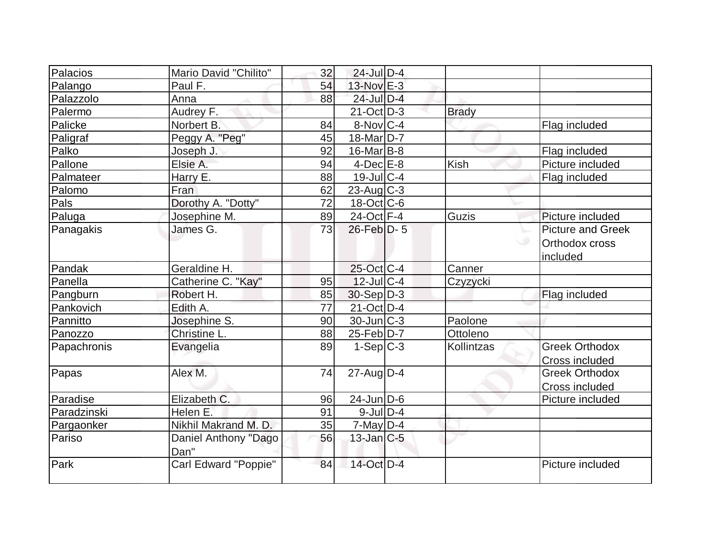| Palacios    | Mario David "Chilito" | 32 | $24$ -Jul $D-4$    |              |                          |
|-------------|-----------------------|----|--------------------|--------------|--------------------------|
| Palango     | Paul F.               | 54 | $13-Nov$ $E-3$     |              |                          |
| Palazzolo   | Anna                  | 88 | $24$ -Jul $D-4$    |              |                          |
| Palermo     | Audrey F.             |    | $21-Oct$ D-3       | <b>Brady</b> |                          |
| Palicke     | Norbert B.            | 84 | $8-NovC-4$         |              | Flag included            |
| Paligraf    | Peggy A. "Peg"        | 45 | 18-Mar D-7         |              |                          |
| Palko       | Joseph J.             | 92 | $16$ -Mar $ B-8 $  |              | Flag included            |
| Pallone     | Elsie A.              | 94 | $4$ -Dec $E-8$     | Kish         | Picture included         |
| Palmateer   | Harry E.              | 88 | $19 -$ Jul $C - 4$ |              | Flag included            |
| Palomo      | Fran                  | 62 | $23$ -Aug C-3      |              |                          |
| Pals        | Dorothy A. "Dotty"    | 72 | $18-Oct$ $C-6$     |              |                          |
| Paluga      | Josephine M.          | 89 | $24$ -Oct F-4      | Guzis        | Picture included         |
| Panagakis   | James G.              | 73 | $26$ -Feb $D-5$    |              | <b>Picture and Greek</b> |
|             |                       |    |                    |              | Orthodox cross           |
|             |                       |    |                    |              | included                 |
| Pandak      | Geraldine H.          |    | 25-Oct C-4         | Canner       |                          |
| Panella     | Catherine C. "Kay"    | 95 | $12$ -JulC-4       | Czyzycki     |                          |
| Pangburn    | Robert H.             | 85 | $30-Sep D-3$       |              | Flag included            |
| Pankovich   | Edith A.              | 77 | 21-Oct D-4         |              |                          |
| Pannitto    | Josephine S.          | 90 | $30$ -Jun $ C-3 $  | Paolone      |                          |
| Panozzo     | Christine L.          | 88 | $25$ -Feb $D-7$    | Ottoleno     |                          |
| Papachronis | Evangelia             | 89 | $1-Sep$ $C-3$      | Kollintzas   | <b>Greek Orthodox</b>    |
|             |                       |    |                    |              | Cross included           |
| Papas       | Alex M.               | 74 | $27$ -AugD-4       |              | <b>Greek Orthodox</b>    |
|             |                       |    |                    |              | Cross included           |
| Paradise    | Elizabeth C.          | 96 | $24$ -Jun $D-6$    |              | Picture included         |
| Paradzinski | Helen E.              | 91 | $9$ -Jul $D-4$     |              |                          |
| Pargaonker  | Nikhil Makrand M. D.  | 35 | $7$ -May D-4       |              |                          |
| Pariso      | Daniel Anthony "Dago  | 56 | $13$ -Jan $ C-5 $  |              |                          |
|             | Dan"                  |    |                    |              |                          |
| Park        | Carl Edward "Poppie"  | 84 | 14-Oct D-4         |              | Picture included         |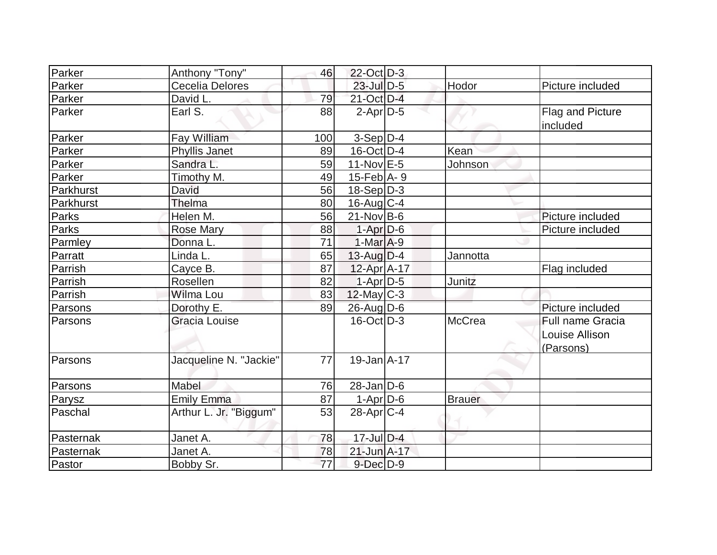| Parker    | Anthony "Tony"         | 46  | 22-Oct D-3                   |               |                                                 |
|-----------|------------------------|-----|------------------------------|---------------|-------------------------------------------------|
| Parker    | Cecelia Delores        |     | $23$ -Jul $D-5$              | Hodor         | Picture included                                |
| Parker    | David L.               | 79  | 21-Oct D-4                   |               |                                                 |
| Parker    | Earl S.                | 88  | $2-Apr D-5$                  |               | Flag and Picture<br>included                    |
| Parker    | Fay William            | 100 | $3-Sep D-4$                  |               |                                                 |
| Parker    | <b>Phyllis Janet</b>   | 89  | 16-Oct D-4                   | Kean          |                                                 |
| Parker    | Sandra L.              | 59  | $11-Nov$ E-5                 | Johnson       |                                                 |
| Parker    | Timothy M.             | 49  | $15$ -Feb $\overline{A}$ - 9 |               |                                                 |
| Parkhurst | David                  | 56  | $18-Sep D-3$                 |               |                                                 |
| Parkhurst | Thelma                 | 80  | $16$ -Aug C-4                |               |                                                 |
| Parks     | Helen M.               | 56  | $21$ -Nov B-6                |               | Picture included                                |
| Parks     | <b>Rose Mary</b>       | 88  | $1-Apr$ $D-6$                |               | Picture included                                |
| Parmley   | Donna L.               | 71  | $1-MarA-9$                   |               |                                                 |
| Parratt   | Linda L.               | 65  | $13$ -Aug $D-4$              | Jannotta      |                                                 |
| Parrish   | Cayce B.               | 87  | $12$ -Apr $A$ -17            |               | Flag included                                   |
| Parrish   | Rosellen               | 82  | $1-Apr$ D-5                  | Junitz        |                                                 |
| Parrish   | Wilma Lou              | 83  | $12$ -May C-3                |               |                                                 |
| Parsons   | Dorothy E.             | 89  | 26-Aug D-6                   |               | Picture included                                |
| Parsons   | <b>Gracia Louise</b>   |     | $16$ -Oct $ D-3 $            | <b>McCrea</b> | Full name Gracia<br>Louise Allison<br>(Parsons) |
| Parsons   | Jacqueline N. "Jackie" | 77  | $19$ -Jan $ A-17$            |               |                                                 |
| Parsons   | Mabel                  | 76  | $28$ -Jan $ D-6 $            |               |                                                 |
| Parysz    | <b>Emily Emma</b>      | 87  | $1-Apr$ D-6                  | <b>Brauer</b> |                                                 |
| Paschal   | Arthur L. Jr. "Biggum" | 53  | $28$ -Apr $C-4$              |               |                                                 |
| Pasternak | Janet A.               | 78  | $17$ -Jul $D-4$              |               |                                                 |
| Pasternak | Janet A.               | 78  | $21$ -Jun $A-17$             |               |                                                 |
| Pastor    | Bobby Sr.              | 77  | $9$ -Dec $D-9$               |               |                                                 |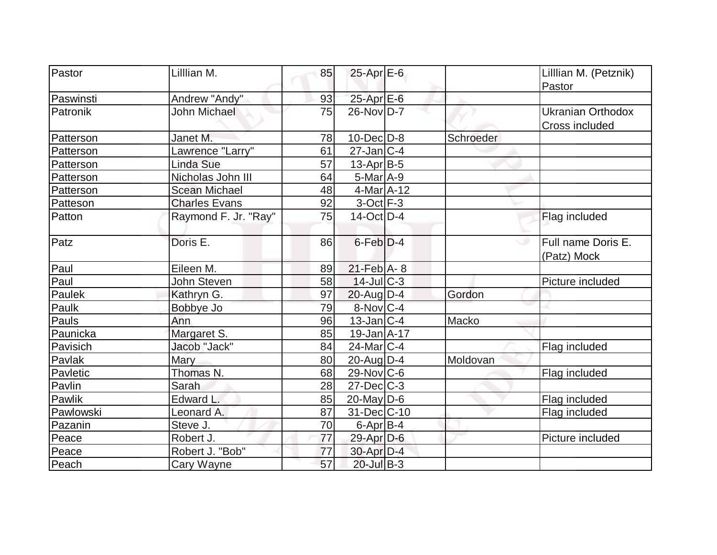| Pastor    | Lilllian M.          | 85 | $25$ -Apr $E$ -6  |           | Lillian M. (Petznik)     |
|-----------|----------------------|----|-------------------|-----------|--------------------------|
|           |                      |    | $25$ -Apr $E$ -6  |           | Pastor                   |
| Paswinsti | Andrew "Andy"        | 93 |                   |           |                          |
| Patronik  | <b>John Michael</b>  | 75 | $26$ -Nov $ID-7$  |           | <b>Ukranian Orthodox</b> |
|           |                      |    |                   |           | Cross included           |
| Patterson | Janet M.             | 78 | $10$ -Dec $ D-8$  | Schroeder |                          |
| Patterson | Lawrence "Larry"     | 61 | $27$ -Jan $ C-4 $ |           |                          |
| Patterson | Linda Sue            | 57 | $13$ -Apr $ B-5 $ |           |                          |
| Patterson | Nicholas John III    | 64 | $5$ -Mar $A$ -9   |           |                          |
| Patterson | <b>Scean Michael</b> | 48 | 4-Mar A-12        |           |                          |
| Patteson  | <b>Charles Evans</b> | 92 | $3-Oct$ F-3       |           |                          |
| Patton    | Raymond F. Jr. "Ray" | 75 | $14$ -Oct $ D-4 $ |           | Flag included            |
|           |                      |    |                   |           |                          |
| Patz      | Doris E.             | 86 | $6$ -Feb $D-4$    |           | Full name Doris E.       |
|           |                      |    |                   |           | (Patz) Mock              |
| Paul      | Eileen M.            | 89 | $21$ -Feb $A - 8$ |           |                          |
| Paul      | John Steven          | 58 | $14$ -JulC-3      |           | Picture included         |
| Paulek    | Kathryn G.           | 97 | $20$ -Aug $D-4$   | Gordon    |                          |
| Paulk     | Bobbye Jo            | 79 | 8-Nov C-4         |           |                          |
| Pauls     | Ann                  | 96 | $13$ -Jan $ C-4 $ | Macko     |                          |
| Paunicka  | Margaret S.          | 85 | $19$ -Jan $A$ -17 |           |                          |
| Pavisich  | Jacob "Jack"         | 84 | 24-Mar C-4        |           | Flag included            |
| Pavlak    | Mary                 | 80 | $20$ -AugD-4      | Moldovan  |                          |
| Pavletic  | Thomas N.            | 68 | 29-Nov C-6        |           | Flag included            |
| Pavlin    | Sarah                | 28 | $27 - Dec$ $C-3$  |           |                          |
| Pawlik    | Edward L.            | 85 | $20$ -May D-6     |           | Flag included            |
| Pawlowski | Leonard A.           | 87 | 31-Dec C-10       |           | Flag included            |
| Pazanin   | Steve J.             | 70 | $6$ -Apr $B$ -4   |           |                          |
| Peace     | Robert J.            | 77 | 29-Apr D-6        |           | Picture included         |
| Peace     | Robert J. "Bob"      | 77 | $30$ -Apr $D-4$   |           |                          |
| Peach     | Cary Wayne           | 57 | $20$ -Jul B-3     |           |                          |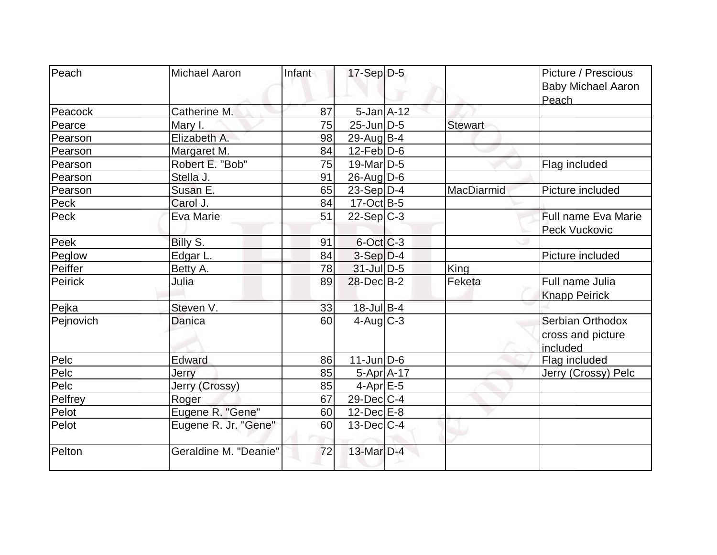| Peach       | <b>Michael Aaron</b>  | Infant | $17-Sep D-5$      |                | Picture / Prescious<br><b>Baby Michael Aaron</b><br>Peach |
|-------------|-----------------------|--------|-------------------|----------------|-----------------------------------------------------------|
| Peacock     | Catherine M.          | 87     | $5 - Jan$ A-12    |                |                                                           |
| Pearce      | Mary I.               | 75     | $25$ -Jun $D-5$   | <b>Stewart</b> |                                                           |
| Pearson     | Elizabeth A.          | 98     | $29$ -Aug $ B-4 $ |                |                                                           |
| Pearson     | Margaret M.           | 84     | $12$ -Feb $D-6$   |                |                                                           |
| Pearson     | Robert E. "Bob"       | 75     | $19$ -Mar $ D-5$  |                | Flag included                                             |
| Pearson     | Stella J.             | 91     | 26-Aug D-6        |                |                                                           |
| Pearson     | Susan E.              | 65     | $23-Sep D-4$      | MacDiarmid     | Picture included                                          |
| <b>Peck</b> | Carol J.              | 84     | $17-Oct$ B-5      |                |                                                           |
| Peck        | Eva Marie             | 51     | $22-Sep C-3$      |                | <b>Full name Eva Marie</b><br>Peck Vuckovic               |
| Peek        | Billy S.              | 91     | 6-Oct C-3         |                |                                                           |
| Peglow      | Edgar L.              | 84     | $3-Sep D-4$       |                | Picture included                                          |
| Peiffer     | Betty A.              | 78     | $31$ -JulD-5      | King           |                                                           |
| Peirick     | Julia                 | 89     | $28$ -Dec $B-2$   | Feketa         | Full name Julia<br><b>Knapp Peirick</b>                   |
| Pejka       | Steven V.             | 33     | 18-Jul B-4        |                |                                                           |
| Pejnovich   | Danica                | 60     | $4$ -Aug C-3      |                | Serbian Orthodox<br>cross and picture<br>included         |
| Pelc        | Edward                | 86     | $11$ -Jun $ D-6 $ |                | Flag included                                             |
| Pelc        | Jerry                 | 85     | $5-Apr$ $A-17$    |                | Jerry (Crossy) Pelc                                       |
| Pelc        | Jerry (Crossy)        | 85     | $4$ -Apr $E$ -5   |                |                                                           |
| Pelfrey     | Roger                 | 67     | $29$ -Dec $ C-4 $ |                |                                                           |
| Pelot       | Eugene R. "Gene"      | 60     | $12$ -Dec $E-8$   |                |                                                           |
| Pelot       | Eugene R. Jr. "Gene"  | 60     | $13$ -Dec $ C-4 $ |                |                                                           |
| Pelton      | Geraldine M. "Deanie" | 72     | $13$ -Mar $D-4$   |                |                                                           |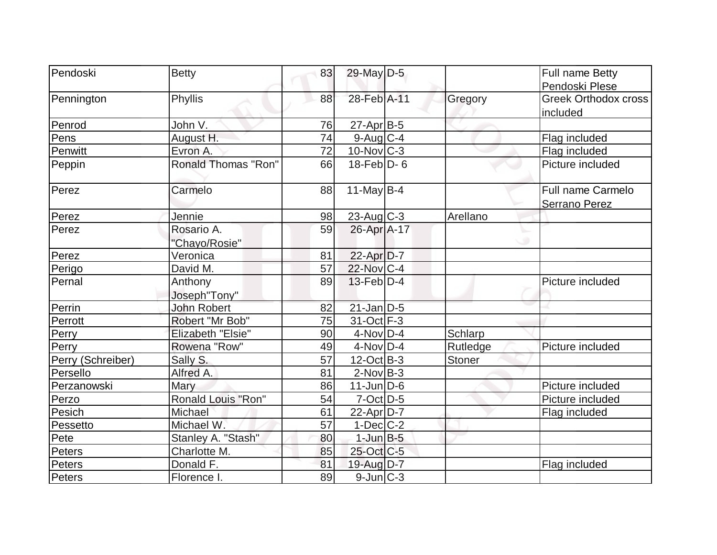| Pendoski          | <b>Betty</b>             | 83              | 29-May D-5        |          | Full name Betty             |
|-------------------|--------------------------|-----------------|-------------------|----------|-----------------------------|
|                   |                          |                 |                   |          | Pendoski Plese              |
| Pennington        | Phyllis                  | 88              | 28-Feb A-11       | Gregory  | <b>Greek Orthodox cross</b> |
|                   |                          |                 |                   |          | included                    |
| Penrod            | John V.                  | 76              | $27$ -Apr $B$ -5  |          |                             |
| Pens              | August H.                | 74              | $9$ -Aug $C$ -4   |          | Flag included               |
| Penwitt           | Evron A.                 | 72              | $10$ -Nov $ C-3 $ |          | Flag included               |
| Peppin            | Ronald Thomas "Ron"      | 66              | $18$ -Feb $D-6$   |          | Picture included            |
| Perez             | Carmelo                  | 88              | 11-May $B-4$      |          | Full name Carmelo           |
|                   |                          |                 |                   |          | <b>Serrano Perez</b>        |
| Perez             | Jennie                   | 98              | $23$ -Aug C-3     | Arellano |                             |
| Perez             | Rosario A.               | 59              | 26-Apr A-17       |          |                             |
|                   | "Chayo/Rosie"            |                 |                   |          |                             |
| Perez             | Veronica                 | 81              | $22$ -Apr $D-7$   |          |                             |
| Perigo            | David M.                 | 57              | 22-Nov C-4        |          |                             |
| Pernal            | Anthony                  | 89              | $13$ -Feb $D-4$   |          | Picture included            |
|                   | Joseph"Tony"             |                 |                   |          |                             |
| Perrin            | John Robert              | 82              | $21$ -Jan $D-5$   |          |                             |
| Perrott           | Robert "Mr Bob"          | 75              | $31-Oct$ F-3      |          |                             |
| Perry             | <b>Elizabeth "Elsie"</b> | 90              | $4$ -Nov $D-4$    | Schlarp  |                             |
| Perry             | Rowena "Row"             | 49              | $4$ -Nov $D-4$    | Rutledge | Picture included            |
| Perry (Schreiber) | Sally S.                 | $\overline{57}$ | $12$ -Oct B-3     | Stoner   |                             |
| Persello          | Alfred A.                | 81              | $2$ -Nov $ B-3 $  |          |                             |
| Perzanowski       | Mary                     | 86              | $11$ -Jun $D-6$   |          | Picture included            |
| Perzo             | Ronald Louis "Ron"       | 54              | $7$ -Oct $ D-5 $  |          | Picture included            |
| Pesich            | Michael                  | 61              | 22-Apr D-7        |          | Flag included               |
| Pessetto          | Michael W.               | 57              | $1-Dec$ $C-2$     |          |                             |
| Pete              | Stanley A. "Stash"       | 80              | $1$ -Jun $B-5$    |          |                             |
| Peters            | Charlotte M.             | 85              | 25-Oct C-5        |          |                             |
| Peters            | Donald F.                | 81              | 19-Aug $D-7$      |          | Flag included               |
| Peters            | Florence I.              | 89              | $9$ -Jun $ C-3 $  |          |                             |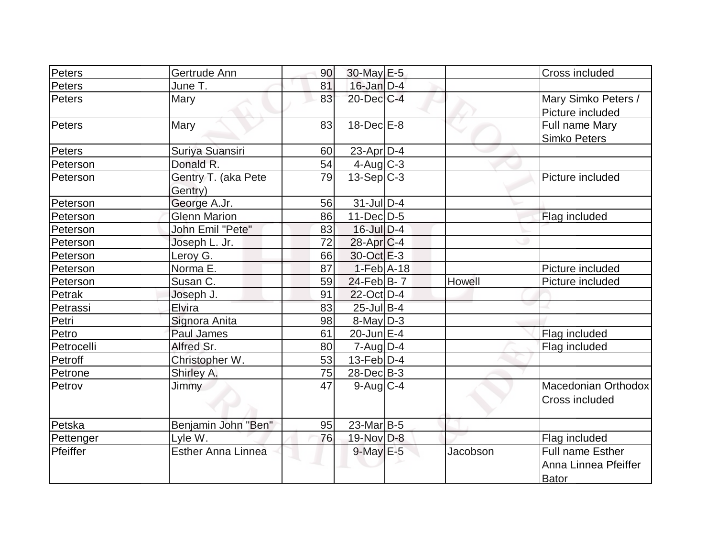| Peters     | Gertrude Ann              | 90 | 30-May E-5        |          | Cross included          |
|------------|---------------------------|----|-------------------|----------|-------------------------|
| Peters     | June T.                   | 81 | $16$ -Jan $D-4$   |          |                         |
| Peters     | Mary                      | 83 | $20$ -Dec $C-4$   |          | Mary Simko Peters /     |
|            |                           |    |                   |          | Picture included        |
| Peters     | Mary                      | 83 | $18$ -Dec $E-8$   |          | Full name Mary          |
|            |                           |    |                   |          | <b>Simko Peters</b>     |
| Peters     | Suriya Suansiri           | 60 | 23-Apr D-4        |          |                         |
| Peterson   | Donald R.                 | 54 | $4$ -Aug $C-3$    |          |                         |
| Peterson   | Gentry T. (aka Pete       | 79 | $13-Sep C-3$      |          | Picture included        |
|            | Gentry)                   |    |                   |          |                         |
| Peterson   | George A.Jr.              | 56 | $31$ -Jul $D-4$   |          |                         |
| Peterson   | <b>Glenn Marion</b>       | 86 | $11$ -Dec $D-5$   |          | Flag included           |
| Peterson   | John Emil "Pete"          | 83 | $16$ -Jul $D-4$   |          |                         |
| Peterson   | Joseph L. Jr.             | 72 | $28$ -Apr $ C-4 $ |          |                         |
| Peterson   | Leroy G.                  | 66 | $30$ -Oct $E-3$   |          |                         |
| Peterson   | Norma E.                  | 87 | $1-Feb$ A-18      |          | Picture included        |
| Peterson   | Susan C.                  | 59 | $24$ -Feb $B$ - 7 | Howell   | Picture included        |
| Petrak     | Joseph J.                 | 91 | $22$ -Oct $D-4$   |          |                         |
| Petrassi   | Elvira                    | 83 | $25$ -Jul B-4     |          |                         |
| Petri      | Signora Anita             | 98 | $8$ -May $D-3$    |          |                         |
| Petro      | Paul James                | 61 | $20$ -Jun $E-4$   |          | Flag included           |
| Petrocelli | Alfred Sr.                | 80 | $7 - Aug$ $D-4$   |          | Flag included           |
| Petroff    | Christopher W.            | 53 | $13$ -Feb $ D-4$  |          |                         |
| Petrone    | Shirley A.                | 75 | $28$ -Dec $B-3$   |          |                         |
| Petrov     | Jimmy                     | 47 | $9$ -Aug $C$ -4   |          | Macedonian Orthodox     |
|            |                           |    |                   |          | Cross included          |
|            |                           |    |                   |          |                         |
| Petska     | Benjamin John "Ben"       | 95 | 23-Mar B-5        |          |                         |
| Pettenger  | Lyle W.                   | 76 | $19-Nov$ D-8      |          | Flag included           |
| Pfeiffer   | <b>Esther Anna Linnea</b> |    | $9$ -May $E$ -5   | Jacobson | <b>Full name Esther</b> |
|            |                           |    |                   |          | Anna Linnea Pfeiffer    |
|            |                           |    |                   |          | Bator                   |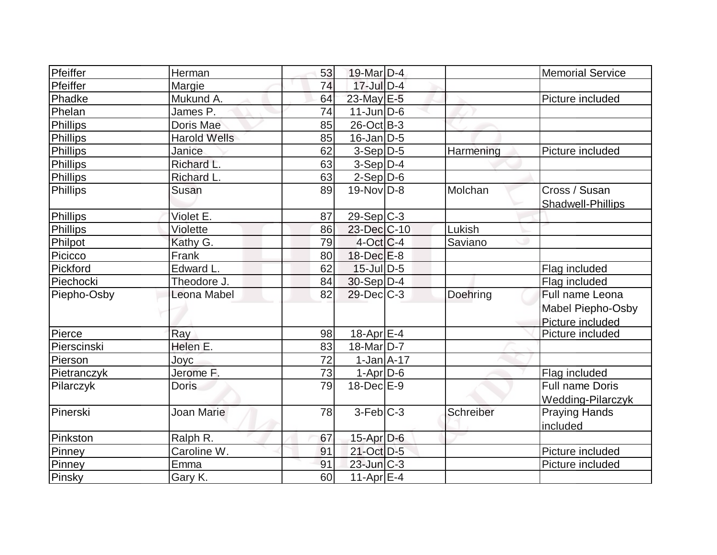| Pfeiffer        | Herman              | 53 | 19-Mar D-4            |           | <b>Memorial Service</b>  |
|-----------------|---------------------|----|-----------------------|-----------|--------------------------|
| Pfeiffer        | Margie              | 74 | $17$ -Jul $D-4$       |           |                          |
| Phadke          | Mukund A.           | 64 | 23-May E-5            |           | Picture included         |
| Phelan          | James P.            | 74 | $11$ -Jun $ D-6$      |           |                          |
| Phillips        | Doris Mae           | 85 | $26$ -Oct B-3         |           |                          |
| <b>Phillips</b> | <b>Harold Wells</b> | 85 | $16$ -Jan $D-5$       |           |                          |
| Phillips        | Janice              | 62 | $3-Sep D-5$           | Harmening | Picture included         |
| <b>Phillips</b> | Richard L.          | 63 | $3-Sep D-4$           |           |                          |
| Phillips        | Richard L.          | 63 | $2-Sep$ $D-6$         |           |                          |
| Phillips        | <b>Susan</b>        | 89 | $19-Nov D-8$          | Molchan   | Cross / Susan            |
|                 |                     |    |                       |           | Shadwell-Phillips        |
| Phillips        | Violet E.           | 87 | $29-Sep C-3$          |           |                          |
| <b>Phillips</b> | Violette            | 86 | 23-Dec C-10           | Lukish    |                          |
| Philpot         | Kathy G.            | 79 | $4$ -Oct C-4          | Saviano   |                          |
| Picicco         | Frank               | 80 | 18-Dec E-8            |           |                          |
| Pickford        | Edward L            | 62 | $15$ -Jul $ D-5 $     |           | Flag included            |
| Piechocki       | Theodore J.         | 84 | $30-Sep D-4$          |           | Flag included            |
| Piepho-Osby     | Leona Mabel         | 82 | $29$ -Dec $C-3$       | Doehring  | Full name Leona          |
|                 |                     |    |                       |           | Mabel Piepho-Osby        |
|                 |                     |    |                       |           | Picture included         |
| Pierce          | Ray                 | 98 | 18-Apr <sub>E-4</sub> |           | Picture included         |
| Pierscinski     | Helen E.            | 83 | 18-Mar D-7            |           |                          |
| Pierson         | Joyc                | 72 | $1-Jan1A-17$          |           |                          |
| Pietranczyk     | Jerome F.           | 73 | $1-Apr D-6$           |           | Flag included            |
| Pilarczyk       | <b>Doris</b>        | 79 | $18$ -Dec $E-9$       |           | Full name Doris          |
|                 |                     |    |                       |           | <b>Wedding-Pilarczyk</b> |
| Pinerski        | <b>Joan Marie</b>   | 78 | $3-Feb$ $C-3$         | Schreiber | <b>Praying Hands</b>     |
|                 |                     |    |                       |           | included                 |
| Pinkston        | Ralph R.            | 67 | 15-Apr D-6            |           |                          |
| Pinney          | Caroline W.         | 91 | 21-Oct D-5            |           | Picture included         |
| Pinney          | Emma                | 91 | $23$ -Jun $ C-3 $     |           | Picture included         |
| Pinsky          | Gary K.             | 60 | 11-Apr $E-4$          |           |                          |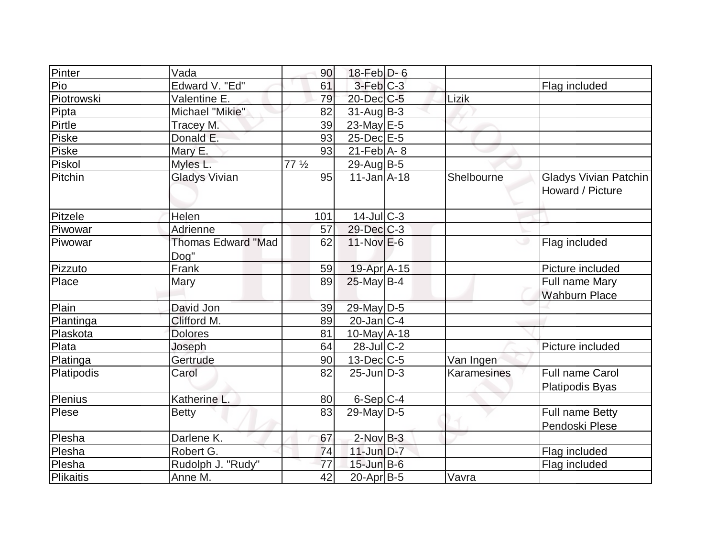| Pinter     | Vada                              | 90              | $18$ -Feb $D-6$              |             |                                           |
|------------|-----------------------------------|-----------------|------------------------------|-------------|-------------------------------------------|
| Pio        | Edward V. "Ed"                    | 61              | $3-Feb$ $C-3$                |             | Flag included                             |
| Piotrowski | Valentine E.                      | 79              | 20-Dec C-5                   | Lizik       |                                           |
| Pipta      | Michael "Mikie"                   | 82              | $31$ -Aug $ B-3 $            |             |                                           |
| Pirtle     | Tracey M.                         | 39              | 23-May E-5                   |             |                                           |
| Piske      | Donald E.                         | 93              | 25-Dec E-5                   |             |                                           |
| Piske      | Mary E.                           | 93              | $21$ -Feb $\overline{A}$ - 8 |             |                                           |
| Piskol     | Myles L.                          | $77\frac{1}{2}$ | 29-Aug B-5                   |             |                                           |
| Pitchin    | <b>Gladys Vivian</b>              | 95              | $11$ -Jan $\overline{A}$ -18 | Shelbourne  | Gladys Vivian Patchin<br>Howard / Picture |
| Pitzele    | Helen                             | 101             | $14$ -JulC-3                 |             |                                           |
| Piwowar    | Adrienne                          | 57              | 29-Dec C-3                   |             |                                           |
| Piwowar    | <b>Thomas Edward "Mad</b><br>Dog" | 62              | $11-Nov$ E-6                 |             | Flag included                             |
| Pizzuto    | Frank                             | 59              | 19-Apr A-15                  |             | Picture included                          |
| Place      | Mary                              | 89              | $25$ -May B-4                |             | Full name Mary<br><b>Wahburn Place</b>    |
| Plain      | David Jon                         | 39              | 29-May D-5                   |             |                                           |
| Plantinga  | Clifford M.                       | 89              | $20$ -Jan $ C-4 $            |             |                                           |
| Plaskota   | <b>Dolores</b>                    | 81              | $10$ -May $A$ -18            |             |                                           |
| Plata      | Joseph                            | 64              | $28$ -JulC-2                 |             | Picture included                          |
| Platinga   | Gertrude                          | 90              | $13$ -Dec $ C-5 $            | Van Ingen   |                                           |
| Platipodis | Carol                             | 82              | $25$ -Jun $D-3$              | Karamesines | <b>Full name Carol</b><br>Platipodis Byas |
| Plenius    | Katherine L.                      | 80              | $6-Sep C-4$                  |             |                                           |
| Plese      | <b>Betty</b>                      | 83              | $29$ -May D-5                |             | Full name Betty<br>Pendoski Plese         |
| Plesha     | Darlene K.                        | 67              | $2$ -Nov $B-3$               |             |                                           |
| Plesha     | Robert G.                         | 74              | $11$ -Jun $D-7$              |             | Flag included                             |
| Plesha     | Rudolph J. "Rudy"                 | 77              | $15$ -Jun $B$ -6             |             | Flag included                             |
| Plikaitis  | Anne M.                           | 42              | $20$ -Apr $ B-5 $            | Vavra       |                                           |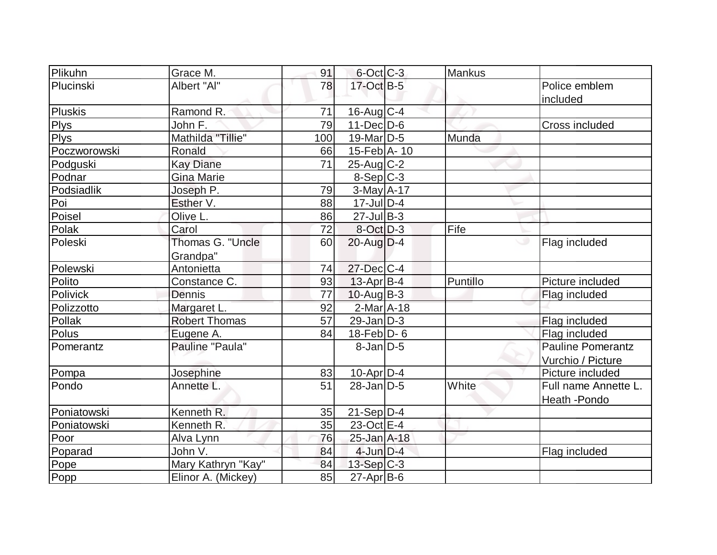| Plikuhn      | Grace M.             | 91              | $6$ -Oct $C$ -3       | <b>Mankus</b> |                          |
|--------------|----------------------|-----------------|-----------------------|---------------|--------------------------|
| Plucinski    | Albert "Al"          | 78              | 17-Oct B-5            |               | Police emblem            |
|              |                      |                 |                       |               | included                 |
| Pluskis      | Ramond R.            | 71              | $16$ -Aug C-4         |               |                          |
| <b>Plys</b>  | John F.              | 79              | $11$ -Dec $D-6$       |               | Cross included           |
| <b>Plys</b>  | Mathilda "Tillie"    | 100             | 19-Mar <sub>D-5</sub> | Munda         |                          |
| Poczworowski | Ronald               | 66              | $15$ -Feb $ A-10$     |               |                          |
| Podguski     | <b>Kay Diane</b>     | $\overline{71}$ | $25$ -Aug C-2         |               |                          |
| Podnar       | <b>Gina Marie</b>    |                 | $8-Sep C-3$           |               |                          |
| Podsiadlik   | Joseph P.            | 79              | $3-May$ A-17          |               |                          |
| Poi          | Esther V.            | 88              | $17$ -Jul $D-4$       |               |                          |
| Poisel       | Olive L.             | 86              | $27$ -Jul B-3         |               |                          |
| Polak        | Carol                | 72              | $8-Oct$ D-3           | Fife          |                          |
| Poleski      | Thomas G. "Uncle     | 60              | $20$ -Aug $D-4$       |               | Flag included            |
|              | Grandpa"             |                 |                       |               |                          |
| Polewski     | Antonietta           | 74              | $27$ -Dec $C-4$       |               |                          |
| Polito       | Constance C.         | 93              | $13$ -Apr $ B-4 $     | Puntillo      | Picture included         |
| Polivick     | Dennis               | 77              | $10$ -Aug $B-3$       |               | Flag included            |
| Polizzotto   | Margaret L.          | 92              | $2$ -Mar $A$ -18      |               |                          |
| Pollak       | <b>Robert Thomas</b> | 57              | $29$ -Jan D-3         |               | Flag included            |
| Polus        | Eugene A.            | 84              | $18$ -Feb $ D-6$      |               | Flag included            |
| Pomerantz    | Pauline "Paula"      |                 | $8$ -Jan $D$ -5       |               | <b>Pauline Pomerantz</b> |
|              |                      |                 |                       |               | Vurchio / Picture        |
| Pompa        | Josephine            | 83              | $10$ -Apr $D-4$       |               | Picture included         |
| Pondo        | Annette L.           | 51              | $28$ -Jan D-5         | White         | Full name Annette L.     |
|              |                      |                 |                       |               | Heath - Pondo            |
| Poniatowski  | Kenneth R.           | 35              | $21-Sep D-4$          |               |                          |
| Poniatowski  | Kenneth R.           | 35              | $23-Oct$ $E-4$        |               |                          |
| Poor         | Alva Lynn            | 76              | 25-Jan A-18           |               |                          |
| Poparad      | John V.              | 84              | $4$ -Jun $D-4$        |               | Flag included            |
| Pope         | Mary Kathryn "Kay"   | 84              | $13-Sep C-3$          |               |                          |
| Popp         | Elinor A. (Mickey)   | 85              | $27$ -Apr $ B-6$      |               |                          |
|              |                      |                 |                       |               |                          |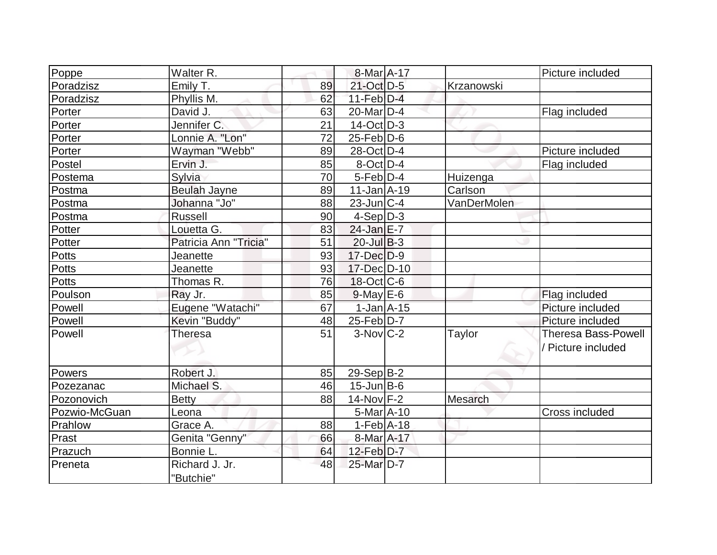| Poppe         | Walter R.             |    | 8-Mar A-17                  |             | Picture included           |
|---------------|-----------------------|----|-----------------------------|-------------|----------------------------|
| Poradzisz     | Emily T.              | 89 | 21-Oct D-5                  | Krzanowski  |                            |
| Poradzisz     | Phyllis M.            | 62 | $11-Feb$ D-4                |             |                            |
| Porter        | David J.              | 63 | $20$ -Mar $ D-4 $           |             | Flag included              |
| Porter        | Jennifer C.           | 21 | $14$ -Oct $ D-3 $           |             |                            |
| Porter        | Lonnie A. "Lon"       | 72 | $25$ -Feb $D$ -6            |             |                            |
| Porter        | Wayman "Webb"         | 89 | 28-Oct D-4                  |             | Picture included           |
| Postel        | Ervin J.              | 85 | $8$ -Oct $ D-4 $            |             | Flag included              |
| Postema       | Sylvia                | 70 | $5$ -Feb $D-4$              | Huizenga    |                            |
| Postma        | <b>Beulah Jayne</b>   | 89 | $11$ -Jan $A$ -19           | Carlson     |                            |
| Postma        | Johanna "Jo"          | 88 | $23$ -Jun $ C-4 $           | VanDerMolen |                            |
| Postma        | <b>Russell</b>        | 90 | $4-Sep D-3$                 |             |                            |
| Potter        | Louetta G.            | 83 | 24-Jan E-7                  |             |                            |
| Potter        | Patricia Ann "Tricia" | 51 | $20$ -Jul B-3               |             |                            |
| Potts         | Jeanette              | 93 | $17 - Dec$ $D-9$            |             |                            |
| <b>Potts</b>  | Jeanette              | 93 | 17-Dec D-10                 |             |                            |
| <b>Potts</b>  | Thomas R.             | 76 | $18$ -Oct $ C$ -6           |             |                            |
| Poulson       | Ray Jr.               | 85 | $9$ -May $E$ -6             |             | Flag included              |
| Powell        | Eugene "Watachi"      | 67 | $1$ -Jan $A$ -15            |             | Picture included           |
| Powell        | Kevin "Buddy"         | 48 | $25$ -Feb $ D-7 $           |             | Picture included           |
| Powell        | <b>Theresa</b>        | 51 | $3-Nov$ $C-2$               | Taylor      | <b>Theresa Bass-Powell</b> |
|               |                       |    |                             |             | / Picture included         |
|               |                       |    |                             |             |                            |
| Powers        | Robert J.             | 85 | $29-Sep B-2$                |             |                            |
| Pozezanac     | Michael S.            | 46 | $15$ -Jun $ B-6$            |             |                            |
| Pozonovich    | <b>Betty</b>          | 88 | $14$ -Nov $F-2$             | Mesarch     |                            |
| Pozwio-McGuan | Leona                 |    | $5-MarA-10$                 |             | Cross included             |
| Prahlow       | Grace A.              | 88 | $1-Feb$ A-18                |             |                            |
| Prast         | Genita "Genny"        | 66 | 8-Mar A-17                  |             |                            |
| Prazuch       | Bonnie L.             | 64 | $12$ -Feb $D-7$             |             |                            |
| Preneta       | Richard J. Jr.        | 48 | $25$ -Mar $\overline{D}$ -7 |             |                            |
|               | "Butchie"             |    |                             |             |                            |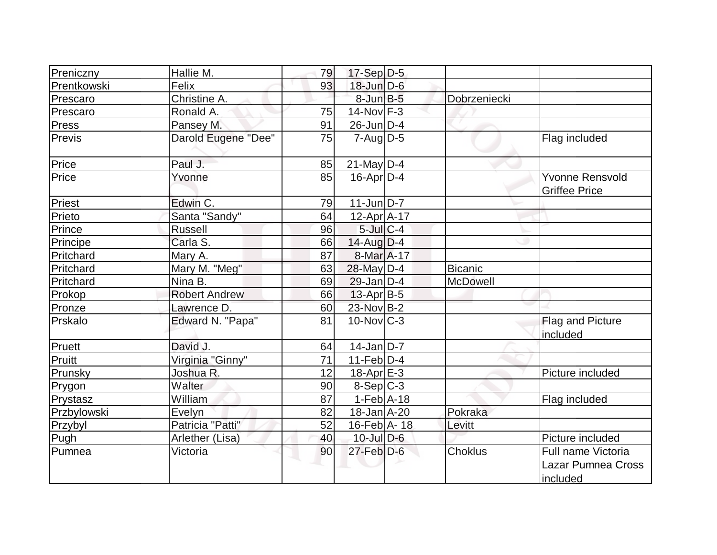| Preniczny    | Hallie M.            | 79 | $17-Sep D-5$      |                |                                                      |
|--------------|----------------------|----|-------------------|----------------|------------------------------------------------------|
| Prentkowski  | Felix                | 93 | $18$ -Jun $D-6$   |                |                                                      |
| Prescaro     | Christine A.         |    | $8$ -Jun $B$ -5   | Dobrzeniecki   |                                                      |
| Prescaro     | Ronald A.            | 75 | $14$ -Nov $ F-3 $ |                |                                                      |
| <b>Press</b> | Pansey M.            | 91 | $26$ -Jun $D-4$   |                |                                                      |
| Previs       | Darold Eugene "Dee"  | 75 | $7 - Aug$ $D-5$   |                | Flag included                                        |
| Price        | Paul J.              | 85 | $21$ -May D-4     |                |                                                      |
| Price        | Yvonne               | 85 | $16$ -Apr $D$ -4  |                | <b>Yvonne Rensvold</b><br><b>Griffee Price</b>       |
| Priest       | Edwin C.             | 79 | $11$ -Jun $D-7$   |                |                                                      |
| Prieto       | Santa "Sandy"        | 64 | $12$ -Apr $A$ -17 |                |                                                      |
| Prince       | <b>Russell</b>       | 96 | $5$ -Jul $C-4$    |                |                                                      |
| Principe     | Carla S.             | 66 | $14$ -Aug D-4     |                |                                                      |
| Pritchard    | Mary A.              | 87 | 8-Mar A-17        |                |                                                      |
| Pritchard    | Mary M. "Meg"        | 63 | 28-May D-4        | <b>Bicanic</b> |                                                      |
| Pritchard    | Nina B.              | 69 | $29$ -Jan $D-4$   | McDowell       |                                                      |
| Prokop       | <b>Robert Andrew</b> | 66 | $13$ -Apr $ B-5 $ |                |                                                      |
| Pronze       | Lawrence D.          | 60 | $23$ -Nov B-2     |                |                                                      |
| Prskalo      | Edward N. "Papa"     | 81 | $10$ -Nov $ C-3 $ |                | <b>Flag and Picture</b><br>included                  |
| Pruett       | David J.             | 64 | $14$ -Jan D-7     |                |                                                      |
| Pruitt       | Virginia "Ginny"     | 71 | $11-Feb D-4$      |                |                                                      |
| Prunsky      | Joshua R.            | 12 | 18-Apr E-3        |                | Picture included                                     |
| Prygon       | Walter               | 90 | $8-Sep C-3$       |                |                                                      |
| Prystasz     | William              | 87 | $1-Feb$ A-18      |                | Flag included                                        |
| Przbylowski  | Evelyn               | 82 | 18-Jan A-20       | Pokraka        |                                                      |
| Przybyl      | Patricia "Patti"     | 52 | 16-Feb A-18       | Levitt         |                                                      |
| Pugh         | Arlether (Lisa)      | 40 | $10$ -Jul $D-6$   |                | Picture included                                     |
| Pumnea       | Victoria             | 90 | $27$ -Feb $D-6$   | <b>Choklus</b> | Full name Victoria<br>Lazar Pumnea Cross<br>included |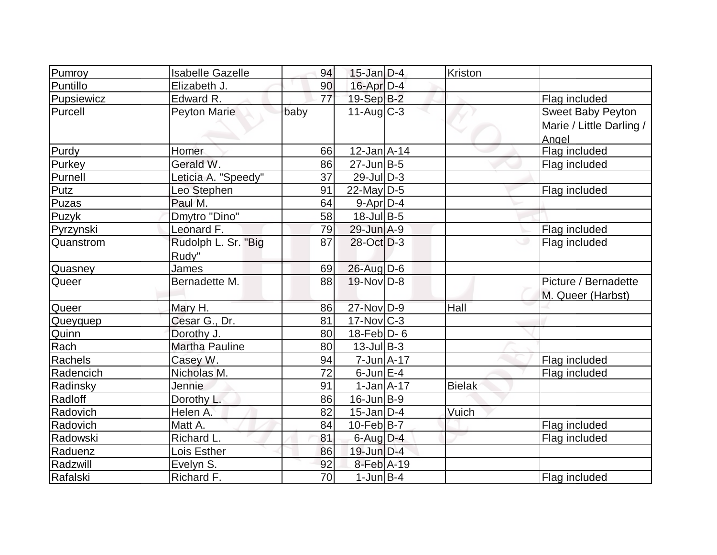| Pumroy     | <b>Isabelle Gazelle</b>      | 94   | $15$ -Jan D-4                    | Kriston       |                                                        |
|------------|------------------------------|------|----------------------------------|---------------|--------------------------------------------------------|
| Puntillo   | Elizabeth J.                 | 90   | $16$ -Apr $D-4$                  |               |                                                        |
| Pupsiewicz | Edward R.                    | 77   | 19-Sep B-2                       |               | Flag included                                          |
| Purcell    | Peyton Marie                 | baby | $11-Aug$ $C-3$                   |               | Sweet Baby Peyton<br>Marie / Little Darling /<br>Angel |
| Purdy      | Homer                        | 66   | $12$ -Jan $A$ -14                |               | Flag included                                          |
| Purkey     | Gerald W.                    | 86   | $27$ -Jun $B-5$                  |               | Flag included                                          |
| Purnell    | Leticia A. "Speedy"          | 37   | $29$ -Jul $ D-3 $                |               |                                                        |
| Putz       | Leo Stephen                  | 91   | $22$ -May D-5                    |               | Flag included                                          |
| Puzas      | Paul M.                      | 64   | $9 - Apr$ D-4                    |               |                                                        |
| Puzyk      | Dmytro "Dino"                | 58   | $18$ -Jul B-5                    |               |                                                        |
| Pyrzynski  | Leonard F.                   | 79   | $29$ -Jun $A-9$                  |               | Flag included                                          |
| Quanstrom  | Rudolph L. Sr. "Big<br>Rudy" | 87   | 28-Oct D-3                       |               | Flag included                                          |
| Quasney    | James                        | 69   | 26-Aug D-6                       |               |                                                        |
| Queer      | Bernadette M.                | 88   | $19-Nov D-8$                     |               | Picture / Bernadette<br>M. Queer (Harbst)              |
| Queer      | Mary H.                      | 86   | 27-Nov D-9                       | Hall          |                                                        |
| Queyquep   | Cesar G., Dr.                | 81   | $17$ -Nov $ C-3 $                |               |                                                        |
| Quinn      | Dorothy J.                   | 80   | $18$ -Feb $ D-6$                 |               |                                                        |
| Rach       | <b>Martha Pauline</b>        | 80   | $13$ -Jul B-3                    |               |                                                        |
| Rachels    | Casey W.                     | 94   | $7 - Jun \nightharpoonup A - 17$ |               | Flag included                                          |
| Radencich  | Nicholas M.                  | 72   | $6$ -Jun $E-4$                   |               | Flag included                                          |
| Radinsky   | Jennie                       | 91   | $1-Jan1A-17$                     | <b>Bielak</b> |                                                        |
| Radloff    | Dorothy L.                   | 86   | $16$ -Jun $B-9$                  |               |                                                        |
| Radovich   | Helen A.                     | 82   | $15$ -Jan D-4                    | Vuich         |                                                        |
| Radovich   | Matt A.                      | 84   | $10$ -Feb $ B-7 $                |               | Flag included                                          |
| Radowski   | Richard L.                   | 81   | $6$ -Aug $D-4$                   |               | Flag included                                          |
| Raduenz    | Lois Esther                  | 86   | $19$ -Jun $D-4$                  |               |                                                        |
| Radzwill   | Evelyn S.                    | 92   | 8-Feb A-19                       |               |                                                        |
| Rafalski   | Richard F.                   | 70   | $1$ -Jun $B$ -4                  |               | Flag included                                          |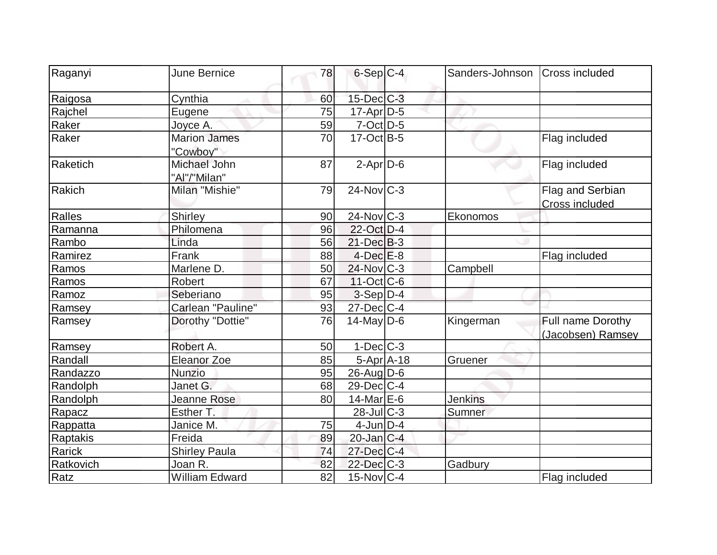| Raganyi   | <b>June Bernice</b>                 | 78 | $6-Sep$ $C-4$     | Sanders-Johnson   Cross included |                                        |
|-----------|-------------------------------------|----|-------------------|----------------------------------|----------------------------------------|
| Raigosa   | Cynthia                             | 60 | $15$ -Dec $ C-3 $ |                                  |                                        |
| Rajchel   | Eugene                              | 75 | $17$ -Apr $D-5$   |                                  |                                        |
| Raker     | Joyce A.                            | 59 | $7-Oct$ D-5       |                                  |                                        |
| Raker     | <b>Marion James</b><br>"Cowboy"     | 70 | $17$ -Oct B-5     |                                  | Flag included                          |
| Raketich  | <b>Michael John</b><br>"Al"/"Milan" | 87 | $2$ -Apr $D-6$    |                                  | Flag included                          |
| Rakich    | Milan "Mishie"                      | 79 | $24$ -Nov $ C-3 $ |                                  | Flag and Serbian<br>Cross included     |
| Ralles    | Shirley                             | 90 | $24$ -Nov $ C-3 $ | Ekonomos                         |                                        |
| Ramanna   | Philomena                           | 96 | 22-Oct D-4        |                                  |                                        |
| Rambo     | Linda                               | 56 | $21$ -Dec $B-3$   |                                  |                                        |
| Ramirez   | Frank                               | 88 | $4$ -Dec $E-8$    |                                  | Flag included                          |
| Ramos     | Marlene D.                          | 50 | 24-Nov C-3        | Campbell                         |                                        |
| Ramos     | <b>Robert</b>                       | 67 | $11-Oct$ $C-6$    |                                  |                                        |
| Ramoz     | Seberiano                           | 95 | $3-Sep D-4$       |                                  |                                        |
| Ramsey    | Carlean "Pauline"                   | 93 | $27 - Dec$ C-4    |                                  |                                        |
| Ramsey    | Dorothy "Dottie"                    | 76 | $14$ -May D-6     | Kingerman                        | Full name Dorothy<br>(Jacobsen) Ramsey |
| Ramsey    | Robert A.                           | 50 | $1-Dec$ $C-3$     |                                  |                                        |
| Randall   | <b>Eleanor Zoe</b>                  | 85 | $5-Apr$ $A-18$    | Gruener                          |                                        |
| Randazzo  | Nunzio                              | 95 | $26$ -Aug $ D-6$  |                                  |                                        |
| Randolph  | Janet G.                            | 68 | 29-Dec C-4        |                                  |                                        |
| Randolph  | <b>Jeanne Rose</b>                  | 80 | 14-Mar E-6        | <b>Jenkins</b>                   |                                        |
| Rapacz    | Esther T.                           |    | $28$ -Jul C-3     | Sumner                           |                                        |
| Rappatta  | Janice M.                           | 75 | $4$ -Jun $D-4$    |                                  |                                        |
| Raptakis  | Freida                              | 89 | $20$ -Jan $ C-4 $ |                                  |                                        |
| Rarick    | <b>Shirley Paula</b>                | 74 | $27$ -Dec $ C-4 $ |                                  |                                        |
| Ratkovich | Joan R.                             | 82 | $22$ -Dec $C-3$   | Gadbury                          |                                        |
| Ratz      | <b>William Edward</b>               | 82 | $15$ -Nov $ C-4$  |                                  | Flag included                          |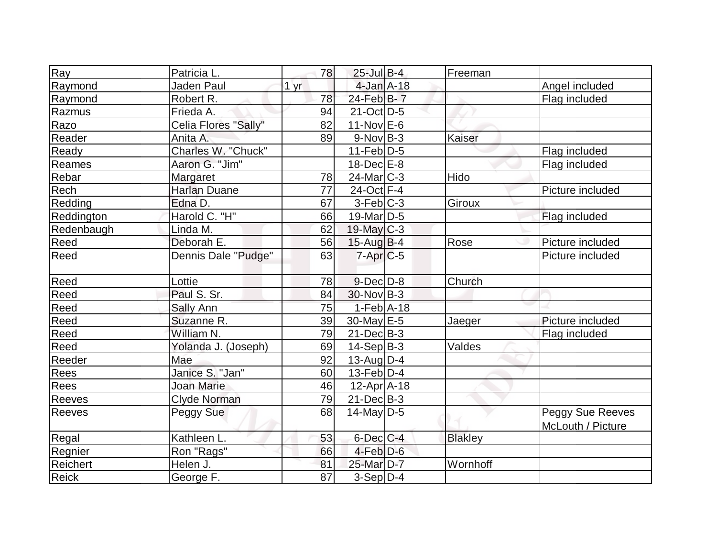| Ray             | Patricia L.          | 78          | $25$ -Jul B-4         | Freeman        |                                       |
|-----------------|----------------------|-------------|-----------------------|----------------|---------------------------------------|
| Raymond         | <b>Jaden Paul</b>    | <u>1 yr</u> | $4$ -Jan $A$ -18      |                | Angel included                        |
| Raymond         | Robert R.            | 78          | 24-Feb B-7            |                | Flag included                         |
| Razmus          | Frieda A.            | 94          | $21-Oct$ D-5          |                |                                       |
| Razo            | Celia Flores "Sally" | 82          | $11-Nov$ E-6          |                |                                       |
| Reader          | Anita A.             | 89          | $9-Nov B-3$           | Kaiser         |                                       |
| Ready           | Charles W. "Chuck"   |             | $11-Feb D-5$          |                | Flag included                         |
| Reames          | Aaron G. "Jim"       |             | $18$ -Dec $E-8$       |                | Flag included                         |
| Rebar           | Margaret             | 78          | $24$ -Mar $ C-3 $     | Hido           |                                       |
| Rech            | <b>Harlan Duane</b>  | 77          | 24-Oct F-4            |                | Picture included                      |
| Redding         | Edna D.              | 67          | $3-Feb C-3$           | Giroux         |                                       |
| Reddington      | Harold C. "H"        | 66          | $19$ -Mar $ D-5$      |                | Flag included                         |
| Redenbaugh      | Linda M.             | 62          | 19-May C-3            |                |                                       |
| Reed            | Deborah E.           | 56          | $15$ -Aug B-4         | Rose           | Picture included                      |
| Reed            | Dennis Dale "Pudge"  | 63          | $7$ -Apr $C$ -5       |                | Picture included                      |
| Reed            | Lottie               | 78          | $9$ -Dec $D$ -8       | Church         |                                       |
| Reed            | Paul S. Sr.          | 84          | $30$ -Nov B-3         |                |                                       |
| Reed            | Sally Ann            | 75          | $1-Feb$ A-18          |                |                                       |
| Reed            | Suzanne R.           | 39          | 30-May E-5            | <b>Jaeger</b>  | Picture included                      |
| Reed            | William N.           | 79          | $21$ -Dec $B-3$       |                | Flag included                         |
| Reed            | Yolanda J. (Joseph)  | 69          | $14-Sep B-3$          | Valdes         |                                       |
| Reeder          | Mae                  | 92          | 13-Aug $D-4$          |                |                                       |
| Rees            | Janice S. "Jan"      | 60          | $13$ -Feb $ D-4$      |                |                                       |
| Rees            | <b>Joan Marie</b>    | 46          | $12$ -Apr $ A-18$     |                |                                       |
| Reeves          | Clyde Norman         | 79          | $21$ -Dec $B-3$       |                |                                       |
| <b>Reeves</b>   | Peggy Sue            | 68          | $14$ -May D-5         |                | Peggy Sue Reeves<br>McLouth / Picture |
| Regal           | Kathleen L.          | 53          | $6$ -Dec $C$ -4       | <b>Blakley</b> |                                       |
| Regnier         | Ron "Rags"           | 66          | $4$ -Feb $D-6$        |                |                                       |
| <b>Reichert</b> | Helen J.             | 81          | 25-Mar <sub>D-7</sub> | Wornhoff       |                                       |
| <b>Reick</b>    | George F.            | 87          | $3-Sep D-4$           |                |                                       |
|                 |                      |             |                       |                |                                       |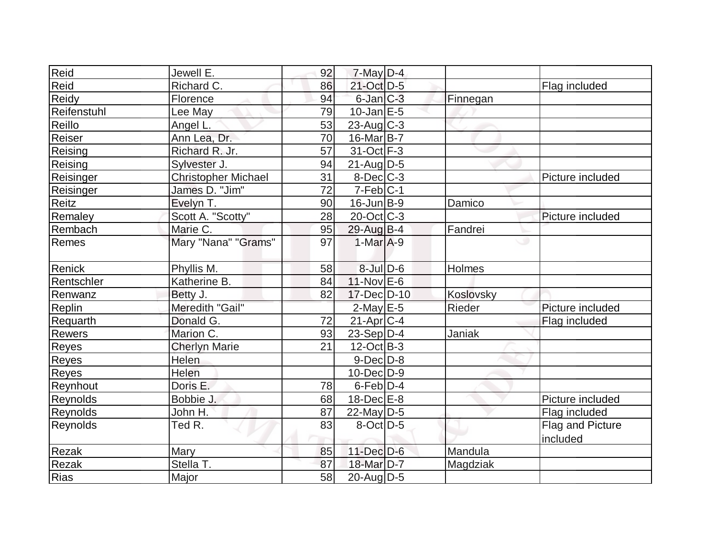| Reid        | Jewell E.                  | 92 | 7-May D-4         |           |                  |
|-------------|----------------------------|----|-------------------|-----------|------------------|
| Reid        | Richard C.                 | 86 | 21-Oct D-5        |           | Flag included    |
| Reidy       | Florence                   | 94 | $6$ -Jan $C$ -3   | Finnegan  |                  |
| Reifenstuhl | Lee May                    | 79 | $10$ -Jan $E-5$   |           |                  |
| Reillo      | Angel L.                   | 53 | $23$ -Aug C-3     |           |                  |
| Reiser      | Ann Lea, Dr.               | 70 | $16$ -Mar $ B-7 $ |           |                  |
| Reising     | Richard R. Jr.             | 57 | 31-Oct F-3        |           |                  |
| Reising     | Sylvester J.               | 94 | $21$ -Aug $D-5$   |           |                  |
| Reisinger   | <b>Christopher Michael</b> | 31 | 8-Dec C-3         |           | Picture included |
| Reisinger   | James D. "Jim"             | 72 | $7-Feb C-1$       |           |                  |
| Reitz       | Evelyn T.                  | 90 | $16$ -Jun $ B-9 $ | Damico    |                  |
| Remaley     | Scott A. "Scotty"          | 28 | $20$ -Oct $ C-3 $ |           | Picture included |
| Rembach     | Marie C.                   | 95 | 29-Aug B-4        | Fandrei   |                  |
| Remes       | Mary "Nana" "Grams"        | 97 | $1-MarA-9$        |           | w                |
| Renick      | Phyllis M.                 | 58 | $8$ -Jul $D$ -6   | Holmes    |                  |
| Rentschler  | Katherine B.               | 84 | $11$ -Nov $E$ -6  |           |                  |
| Renwanz     | Betty J.                   | 82 | $17 - Dec$ $D-10$ | Koslovsky |                  |
| Replin      | Meredith "Gail"            |    | $2$ -May $E - 5$  | Rieder    | Picture included |
| Requarth    | Donald G.                  | 72 | $21-Apr$ $C-4$    |           | Flag included    |
| Rewers      | Marion C.                  | 93 | $23-Sep D-4$      | Janiak    |                  |
| Reyes       | <b>Cherlyn Marie</b>       | 21 | $12-Oct$ B-3      |           |                  |
| Reyes       | Helen                      |    | $9-Dec$ $D-8$     |           |                  |
| Reyes       | Helen                      |    | $10$ -Dec $D-9$   |           |                  |
| Reynhout    | Doris E.                   | 78 | $6$ -Feb $D-4$    |           |                  |
| Reynolds    | Bobbie J.                  | 68 | $18$ -Dec $E-8$   |           | Picture included |
| Reynolds    | John H.                    | 87 | $22$ -May D-5     |           | Flag included    |
| Reynolds    | Ted R.                     | 83 | $8-Oct$ D-5       |           | Flag and Picture |
|             |                            |    |                   |           | included         |
| Rezak       | Mary                       | 85 | $11$ -Dec $D-6$   | Mandula   |                  |
| Rezak       | Stella T.                  | 87 | 18-Mar D-7        | Magdziak  |                  |
| Rias        | Major                      | 58 | $20$ -Aug $D-5$   |           |                  |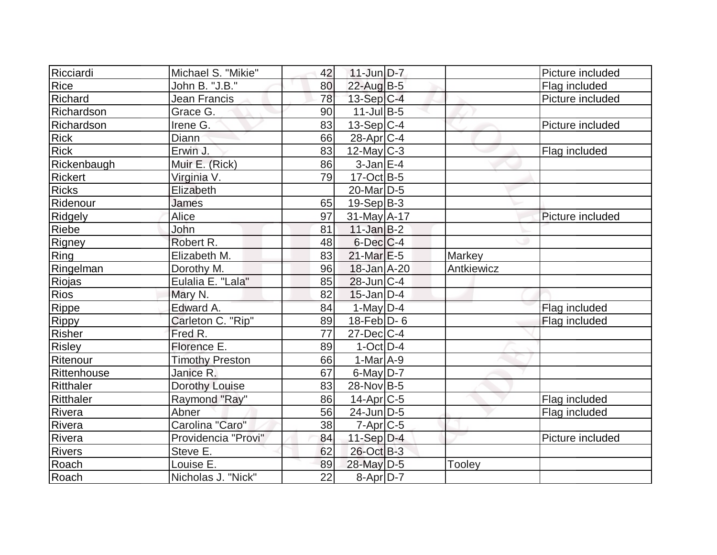| Ricciardi      | Michael S. "Mikie"     | 42 | $11$ -Jun $D-7$   |            | Picture included |
|----------------|------------------------|----|-------------------|------------|------------------|
| <b>Rice</b>    | John B. "J.B."         | 80 | 22-Aug B-5        |            | Flag included    |
| <b>Richard</b> | Jean Francis           | 78 | 13-Sep C-4        |            | Picture included |
| Richardson     | Grace G.               | 90 | $11$ -Jul B-5     |            |                  |
| Richardson     | Irene G.               | 83 | $13-Sep C-4$      |            | Picture included |
| <b>Rick</b>    | Diann                  | 66 | $28$ -Apr $ C-4 $ |            |                  |
| <b>Rick</b>    | Erwin J.               | 83 | $12$ -May C-3     |            | Flag included    |
| Rickenbaugh    | Muir E. (Rick)         | 86 | $3$ -Jan $E-4$    |            |                  |
| Rickert        | Virginia V.            | 79 | $17-Oct$ B-5      |            |                  |
| <b>Ricks</b>   | Elizabeth              |    | $20$ -Mar $ D-5 $ |            |                  |
| Ridenour       | James                  | 65 | $19-Sep B-3$      |            |                  |
| Ridgely        | Alice                  | 97 | 31-May A-17       |            | Picture included |
| Riebe          | John                   | 81 | $11$ -Jan $B-2$   |            |                  |
| Rigney         | Robert R.              | 48 | $6$ -Dec $C-4$    |            |                  |
| Ring           | Elizabeth M.           | 83 | $21$ -Mar $E-5$   | Markey     |                  |
| Ringelman      | Dorothy M.             | 96 | 18-Jan A-20       | Antkiewicz |                  |
| Riojas         | Eulalia E. "Lala"      | 85 | $28$ -Jun $ C-4 $ |            |                  |
| Rios           | Mary N.                | 82 | $15$ -Jan D-4     |            |                  |
| Rippe          | Edward A.              | 84 | 1-May $D-4$       |            | Flag included    |
| Rippy          | Carleton C. "Rip"      | 89 | $18$ -Feb $D-6$   |            | Flag included    |
| Risher         | Fred R.                | 77 | $27$ -Dec $C-4$   |            |                  |
| Risley         | Florence E.            | 89 | $1-Oct$ D-4       |            |                  |
| Ritenour       | <b>Timothy Preston</b> | 66 | $1-MarA-9$        |            |                  |
| Rittenhouse    | Janice R.              | 67 | $6$ -May $D-7$    |            |                  |
| Ritthaler      | Dorothy Louise         | 83 | 28-Nov B-5        |            |                  |
| Ritthaler      | Raymond "Ray"          | 86 | $14$ -Apr $ C-5$  |            | Flag included    |
| Rivera         | Abner                  | 56 | $24$ -Jun $D-5$   |            | Flag included    |
| Rivera         | Carolina "Caro"        | 38 | $7$ -Apr $C$ -5   |            |                  |
| Rivera         | Providencia "Provi"    | 84 | $11-Sep$ D-4      |            | Picture included |
| <b>Rivers</b>  | Steve E.               | 62 | 26-Oct B-3        |            |                  |
| Roach          | Louise E.              | 89 | 28-May D-5        | Tooley     |                  |
| Roach          | Nicholas J. "Nick"     | 22 | $8-Apr D-7$       |            |                  |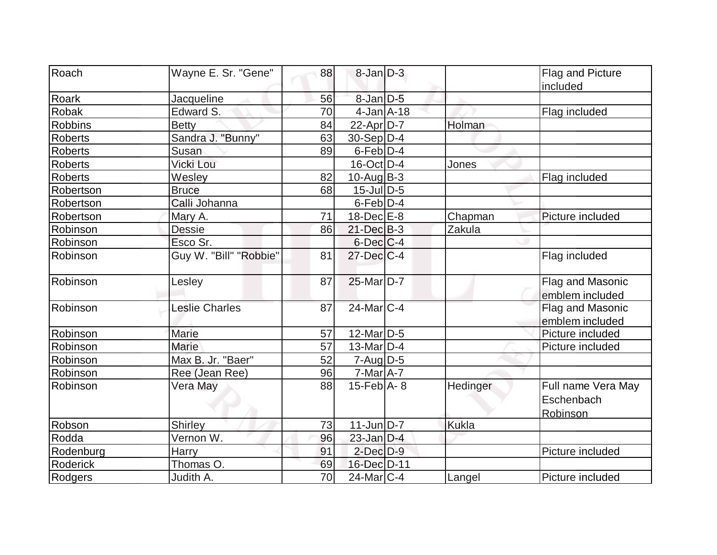| Roach           | Wayne E. Sr. "Gene"    | 88 | $8$ -Jan $D-3$              |              | Flag and Picture                             |
|-----------------|------------------------|----|-----------------------------|--------------|----------------------------------------------|
|                 |                        |    |                             |              | included                                     |
| Roark           | Jacqueline             | 56 | 8-Jan D-5                   |              |                                              |
| Robak           | Edward S.              | 70 | $4$ -Jan $A$ -18            |              | Flag included                                |
| <b>Robbins</b>  | <b>Betty</b>           | 84 | $22$ -Apr $D-7$             | Holman       |                                              |
| <b>Roberts</b>  | Sandra J. "Bunny"      | 63 | $30-Sep D-4$                |              |                                              |
| <b>Roberts</b>  | Susan                  | 89 | $6$ -Feb $D-4$              |              |                                              |
| <b>Roberts</b>  | Vicki Lou              |    | $16$ -Oct $D-4$             | Jones        |                                              |
| <b>Roberts</b>  | Wesley                 | 82 | $10$ -Aug $B-3$             |              | Flag included                                |
| Robertson       | <b>Bruce</b>           | 68 | $15$ -Jul $\overline{D}$ -5 |              |                                              |
| Robertson       | Calli Johanna          |    | $6$ -Feb $D-4$              |              |                                              |
| Robertson       | Mary A.                | 71 | $18$ -Dec $E-8$             | Chapman      | Picture included                             |
| Robinson        | <b>Dessie</b>          | 86 | $21 - Dec$ B-3              | Zakula       |                                              |
| Robinson        | Esco Sr.               |    | $6$ -Dec $C$ -4             |              |                                              |
| Robinson        | Guy W. "Bill" "Robbie" | 81 | $27 - Dec$ $C-4$            |              | Flag included                                |
| Robinson        | Lesley                 | 87 | 25-Mar D-7                  |              | Flag and Masonic<br>emblem included          |
| Robinson        | <b>Leslie Charles</b>  | 87 | 24-Mar C-4                  |              | Flag and Masonic<br>emblem included          |
| Robinson        | Marie                  | 57 | $12$ -Mar $ D-5 $           |              | Picture included                             |
| Robinson        | <b>Marie</b>           | 57 | $13$ -Mar $ D-4$            |              | Picture included                             |
| Robinson        | Max B. Jr. "Baer"      | 52 | $7 - Aug   D-5$             |              |                                              |
| Robinson        | Ree (Jean Ree)         | 96 | $7$ -Mar $A$ -7             |              |                                              |
| Robinson        | Vera May               | 88 | $15$ -Feb $A$ - 8           | Hedinger     | Full name Vera May<br>Eschenbach<br>Robinson |
| Robson          | Shirley                | 73 | 11-Jun D-7                  | <b>Kukla</b> |                                              |
| Rodda           | Vernon W.              | 96 | $23$ -Jan $D-4$             |              |                                              |
| Rodenburg       | <b>Harry</b>           | 91 | $2$ -Dec $D-9$              |              | Picture included                             |
| <b>Roderick</b> | Thomas O.              | 69 | 16-Dec D-11                 |              |                                              |
| Rodgers         | Judith A.              | 70 | 24-Mar C-4                  | Langel       | Picture included                             |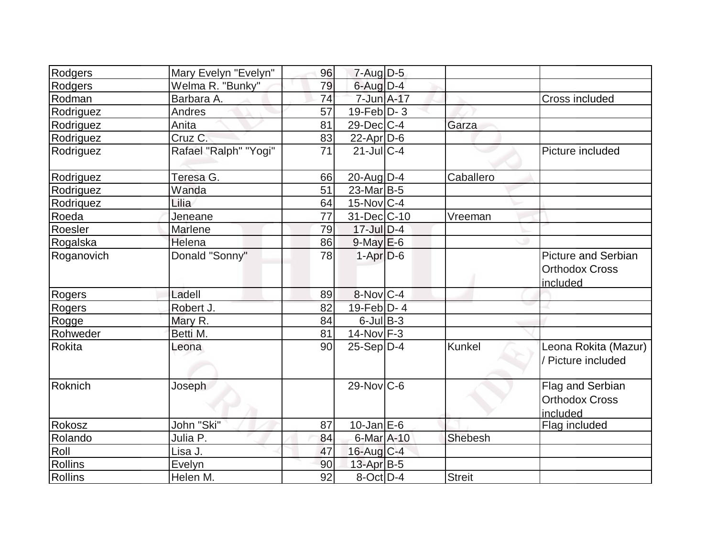| Rodgers       | Mary Evelyn "Evelyn"  | 96 | $7 - Aug$ $D-5$        |               |                                                                 |
|---------------|-----------------------|----|------------------------|---------------|-----------------------------------------------------------------|
| Rodgers       | Welma R. "Bunky"      | 79 | $6$ -Aug $D-4$         |               |                                                                 |
| Rodman        | Barbara A.            | 74 | 7-Jun A-17             |               | Cross included                                                  |
| Rodriguez     | Andres                | 57 | $19$ -Feb $ D-3$       |               |                                                                 |
| Rodriguez     | Anita                 | 81 | 29-Dec C-4             | Garza         |                                                                 |
| Rodriguez     | Cruz C.               | 83 | $22$ -Apr $D-6$        |               |                                                                 |
| Rodriguez     | Rafael "Ralph" "Yogi" | 71 | $21$ -JulC-4           |               | Picture included                                                |
| Rodriguez     | Teresa G.             | 66 | 20-Aug $D-4$           | Caballero     |                                                                 |
| Rodriguez     | Wanda                 | 51 | $23$ -Mar $ B-5 $      |               |                                                                 |
| Rodriquez     | Lilia                 | 64 | $15$ -Nov $ C-4 $      |               |                                                                 |
| Roeda         | Jeneane               | 77 | 31-Dec C-10            | Vreeman       |                                                                 |
| Roesler       | Marlene               | 79 | $17 -$ JulD-4          |               |                                                                 |
| Rogalska      | Helena                | 86 | $9$ -May $E$ -6        |               |                                                                 |
| Roganovich    | Donald "Sonny"        | 78 | $1-Apr$ $D-6$          |               | <b>Picture and Serbian</b><br><b>Orthodox Cross</b><br>included |
| Rogers        | Ladell                | 89 | $8-Nov$ <sub>C-4</sub> |               |                                                                 |
| Rogers        | Robert J.             | 82 | $19$ -Feb $D - 4$      |               |                                                                 |
| Rogge         | Mary R.               | 84 | $6$ -Jul $B$ -3        |               |                                                                 |
| Rohweder      | Betti M.              | 81 | $14$ -Nov $F-3$        |               |                                                                 |
| <b>Rokita</b> | Leona                 | 90 | $25-Sep D-4$           | Kunkel        | Leona Rokita (Mazur)<br>/ Picture included                      |
| Roknich       | Joseph                |    | $29-Nov$ C-6           |               | Flag and Serbian<br><b>Orthodox Cross</b><br>included           |
| Rokosz        | John "Ski"            | 87 | $10$ -Jan $E-6$        |               | Flag included                                                   |
| Rolando       | Julia P.              | 84 | 6-Mar A-10             | Shebesh       |                                                                 |
| Roll          | Lisa J.               | 47 | $16$ -Aug $C-4$        |               |                                                                 |
| Rollins       | Evelyn                | 90 | $13$ -Apr $B-5$        |               |                                                                 |
| Rollins       | Helen M.              | 92 | $8$ -Oct $ D-4 $       | <b>Streit</b> |                                                                 |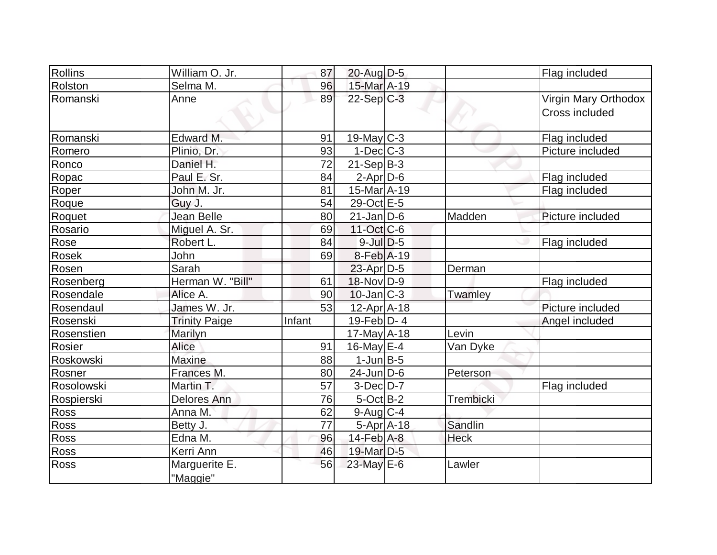| Rollins     | William O. Jr.       | 87              | 20-Aug D-5                  |             | Flag included        |
|-------------|----------------------|-----------------|-----------------------------|-------------|----------------------|
| Rolston     | Selma M.             | 96              | 15-Mar A-19                 |             |                      |
| Romanski    | Anne                 | 89              | $22-Sep C-3$                |             | Virgin Mary Orthodox |
|             |                      |                 |                             |             | Cross included       |
|             |                      |                 |                             |             |                      |
| Romanski    | Edward M.            | 91              | $19$ -May C-3               |             | Flag included        |
| Romero      | Plinio, Dr.          | 93              | $1-Dec$ $C-3$               |             | Picture included     |
| Ronco       | Daniel H.            | $\overline{72}$ | $21-Sep B-3$                |             |                      |
| Ropac       | Paul E. Sr.          | 84              | $2$ -Apr $D-6$              |             | Flag included        |
| Roper       | John M. Jr.          | 81              | 15-Mar A-19                 |             | Flag included        |
| Roque       | Guy J.               | 54              | 29-Oct E-5                  |             |                      |
| Roquet      | Jean Belle           | 80              | $21$ -Jan D-6               | Madden      | Picture included     |
| Rosario     | Miguel A. Sr.        | 69              | $11-Oct$ <sub>C</sub> -6    |             |                      |
| Rose        | Robert L.            | 84              | $9$ -Jul $D-5$              |             | Flag included        |
| Rosek       | John                 | 69              | 8-Feb A-19                  |             |                      |
| Rosen       | Sarah                |                 | $23$ -Apr $D-5$             | Derman      |                      |
| Rosenberg   | Herman W. "Bill"     | 61              | 18-Nov D-9                  |             | Flag included        |
| Rosendale   | Alice A.             | 90              | $10$ -Jan $ C-3 $           | Twamley     |                      |
| Rosendaul   | James W. Jr.         | 53              | 12-Apr A-18                 |             | Picture included     |
| Rosenski    | <b>Trinity Paige</b> | Infant          | 19-Feb $D-4$                |             | Angel included       |
| Rosenstien  | Marilyn              |                 | $17$ -May $A$ -18           | Levin       |                      |
| Rosier      | <b>Alice</b>         | 91              | $16$ -May $E-4$             | Van Dyke    |                      |
| Roskowski   | <b>Maxine</b>        | 88              | $1$ -Jun $B-5$              |             |                      |
| Rosner      | Frances M.           | 80              | $24$ -Jun $D-6$             | Peterson    |                      |
| Rosolowski  | Martin T.            | 57              | $3-Dec$ D-7                 |             | Flag included        |
| Rospierski  | <b>Delores Ann</b>   | 76              | $5$ -Oct $B$ -2             | Trembicki   |                      |
| <b>Ross</b> | Anna M.              | 62              | $9$ -Aug $C$ -4             |             |                      |
| Ross        | Betty J.             | 77              | $5-Apr$ $A-18$              | Sandlin     |                      |
| Ross        | Edna M.              | 96              | $14$ -Feb $\overline{A}$ -8 | <b>Heck</b> |                      |
| Ross        | Kerri Ann            | 46              | 19-Mar <sub>D-5</sub>       |             |                      |
| <b>Ross</b> | Marguerite E.        | 56              | 23-May E-6                  | Lawler      |                      |
|             | "Maggie"             |                 |                             |             |                      |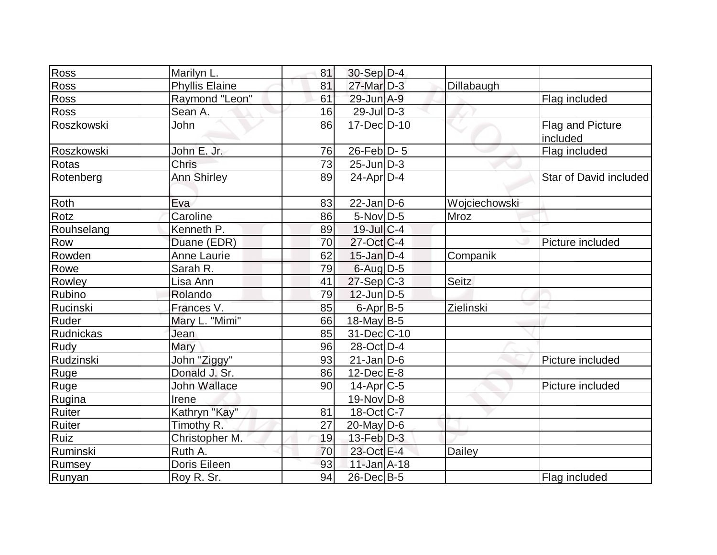| Ross        | Marilyn L.            | 81 | 30-Sep D-4               |               |                        |
|-------------|-----------------------|----|--------------------------|---------------|------------------------|
| <b>Ross</b> | <b>Phyllis Elaine</b> | 81 | $27$ -Mar $D-3$          | Dillabaugh    |                        |
| Ross        | Raymond "Leon"        | 61 | 29-Jun A-9               |               | Flag included          |
| Ross        | Sean A.               | 16 | $29$ -JulD-3             |               |                        |
| Roszkowski  | John                  | 86 | 17-Dec D-10              |               | Flag and Picture       |
|             |                       |    |                          |               | included               |
| Roszkowski  | John E. Jr.           | 76 | $26$ -Feb $ D-5 $        |               | Flag included          |
| Rotas       | Chris                 | 73 | $25$ -Jun $D-3$          |               |                        |
| Rotenberg   | Ann Shirley           | 89 | $24$ -Apr $D-4$          |               | Star of David included |
| Roth        | Eva                   | 83 | $22$ -Jan D-6            | Wojciechowski |                        |
| Rotz        | Caroline              | 86 | $5$ -Nov $D-5$           | Mroz          |                        |
| Rouhselang  | Kenneth P.            | 89 | $19$ -Jul $C-4$          |               |                        |
| Row         | Duane (EDR)           | 70 | $27$ -Oct C-4            |               | Picture included       |
| Rowden      | <b>Anne Laurie</b>    | 62 | $15$ -Jan $D-4$          | Companik      |                        |
| Rowe        | Sarah R.              | 79 | $6$ -Aug $D-5$           |               |                        |
| Rowley      | Lisa Ann              | 41 | $27-Sep C-3$             | Seitz         |                        |
| Rubino      | Rolando               | 79 | $12$ -Jun $D-5$          |               |                        |
| Rucinski    | Frances V.            | 85 | $6$ -Apr $B$ -5          | Zielinski     |                        |
| Ruder       | Mary L. "Mimi"        | 66 | 18-May B-5               |               |                        |
| Rudnickas   | Jean                  | 85 | 31-Dec C-10              |               |                        |
| Rudy        | Mary                  | 96 | 28-Oct D-4               |               |                        |
| Rudzinski   | John "Ziggy"          | 93 | $21$ -Jan D-6            |               | Picture included       |
| Ruge        | Donald J. Sr.         | 86 | $12$ -Dec $E-8$          |               |                        |
| Ruge        | John Wallace          | 90 | $14$ -Apr $ C-5$         |               | Picture included       |
| Rugina      | Irene                 |    | $19-Nov D-8$             |               |                        |
| Ruiter      | Kathryn "Kay"         | 81 | $18-Oct$ <sub>C</sub> -7 |               |                        |
| Ruiter      | Timothy R.            | 27 | $20$ -May D-6            |               |                        |
| Ruiz        | Christopher M.        | 19 | $13$ -Feb $D-3$          |               |                        |
| Ruminski    | Ruth A.               | 70 | 23-Oct E-4               | Dailey        |                        |
| Rumsey      | Doris Eileen          | 93 | $11$ -Jan $A$ -18        |               |                        |
| Runyan      | Roy R. Sr.            | 94 | $26$ -Dec $B$ -5         |               | Flag included          |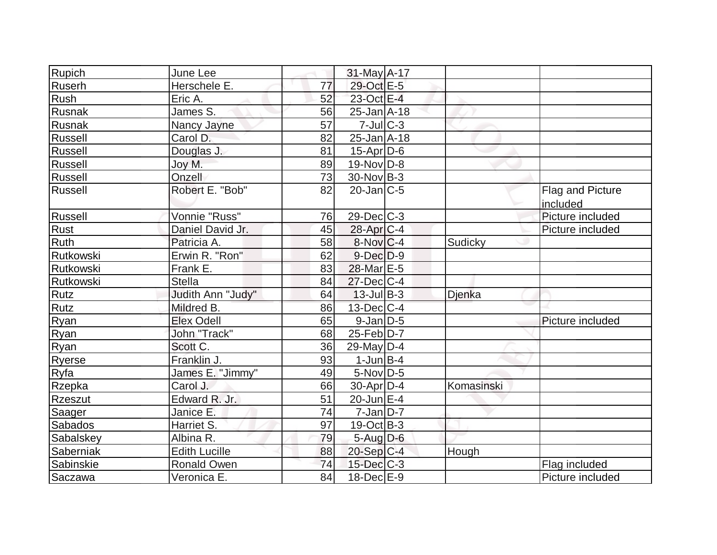| Rupich         | June Lee             |    | 31-May A-17       |            |                         |
|----------------|----------------------|----|-------------------|------------|-------------------------|
| Ruserh         | Herschele E.         | 77 | 29-Oct E-5        |            |                         |
| Rush           | Eric A.              | 52 | 23-Oct E-4        |            |                         |
| Rusnak         | James S.             | 56 | $25$ -Jan $A$ -18 |            |                         |
| Rusnak         | Nancy Jayne          | 57 | $7$ -Jul $C$ -3   |            |                         |
| Russell        | Carol D.             | 82 | 25-Jan A-18       |            |                         |
| <b>Russell</b> | Douglas J.           | 81 | $15$ -Apr $D$ -6  |            |                         |
| Russell        | Joy M.               | 89 | $19-Nov D-8$      |            |                         |
| Russell        | Onzell               | 73 | $30$ -Nov B-3     |            |                         |
| Russell        | Robert E. "Bob"      | 82 | $20$ -Jan $ C-5 $ |            | <b>Flag and Picture</b> |
|                |                      |    |                   |            | included                |
| Russell        | Vonnie "Russ"        | 76 | $29$ -Dec $C$ -3  |            | Picture included        |
| Rust           | Daniel David Jr.     | 45 | $28$ -Apr $C-4$   |            | Picture included        |
| Ruth           | Patricia A.          | 58 | $8-Nov C-4$       | Sudicky    |                         |
| Rutkowski      | Erwin R. "Ron"       | 62 | $9$ -Dec $D-9$    |            |                         |
| Rutkowski      | Frank E.             | 83 | 28-Mar E-5        |            |                         |
| Rutkowski      | <b>Stella</b>        | 84 | $27 - Dec$ C-4    |            |                         |
| Rutz           | Judith Ann "Judy"    | 64 | $13$ -Jul B-3     | Djenka     |                         |
| Rutz           | Mildred B.           | 86 | $13$ -Dec $ C-4 $ |            |                         |
| Ryan           | Elex Odell           | 65 | $9$ -Jan $D$ -5   |            | Picture included        |
| Ryan           | John "Track"         | 68 | $25$ -Feb $ D-7 $ |            |                         |
| Ryan           | Scott C.             | 36 | 29-May $D-4$      |            |                         |
| Ryerse         | Franklin J.          | 93 | $1$ -Jun $B-4$    |            |                         |
| Ryfa           | James E. "Jimmy"     | 49 | $5$ -Nov $D-5$    |            |                         |
| Rzepka         | Carol J.             | 66 | $30$ -Apr $D-4$   | Komasinski |                         |
| Rzeszut        | Edward R. Jr.        | 51 | 20-Jun E-4        |            |                         |
| Saager         | Janice E.            | 74 | $7$ -Jan $ D-7 $  |            |                         |
| Sabados        | Harriet S.           | 97 | $19-Oct$ B-3      |            |                         |
| Sabalskey      | Albina R.            | 79 | $5 - Aug$ $D-6$   |            |                         |
| Saberniak      | <b>Edith Lucille</b> | 88 | $20-Sep C-4$      | Hough      |                         |
| Sabinskie      | Ronald Owen          | 74 | $15$ -Dec $C$ -3  |            | Flag included           |
| Saczawa        | Veronica E.          | 84 | $18$ -Dec $E-9$   |            | Picture included        |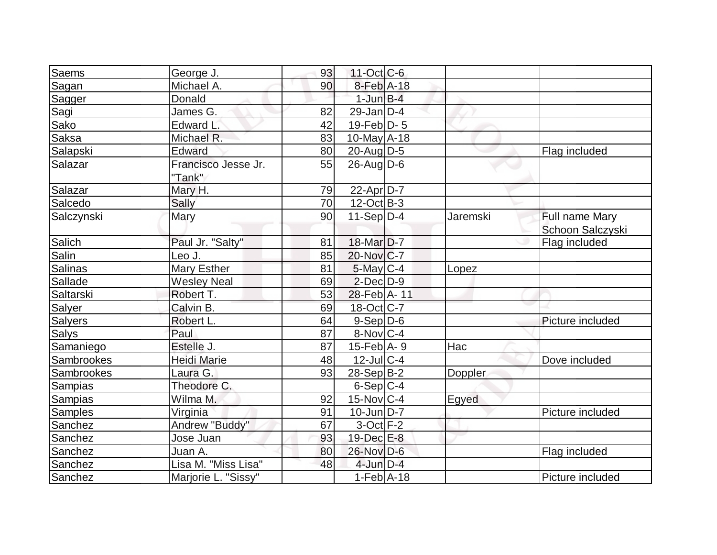| Saems          | George J.                     | 93 | $11-Oct$ $C-6$         |                |                  |
|----------------|-------------------------------|----|------------------------|----------------|------------------|
| Sagan          | Michael A.                    | 90 | 8-Feb A-18             |                |                  |
| Sagger         | Donald                        |    | $1$ -Jun $B-4$         |                |                  |
| Sagi           | James G.                      | 82 | $29$ -Jan $D-4$        |                |                  |
| Sako           | Edward L.                     | 42 | 19-Feb $D-5$           |                |                  |
| Saksa          | Michael R.                    | 83 | $10$ -May $A$ -18      |                |                  |
| Salapski       | Edward                        | 80 | 20-Aug D-5             |                | Flag included    |
| Salazar        | Francisco Jesse Jr.<br>"Tank" | 55 | $26$ -Aug $D-6$        |                |                  |
| Salazar        | Mary H.                       | 79 | $22$ -Apr $D-7$        |                |                  |
| Salcedo        | Sally                         | 70 | $12-Oct$ B-3           |                |                  |
| Salczynski     | Mary                          | 90 | $11-Sep D-4$           | Jaremski       | Full name Mary   |
|                |                               |    |                        |                | Schoon Salczyski |
| Salich         | Paul Jr. "Salty"              | 81 | 18-Mar <sub>D</sub> -7 |                | Flag included    |
| Salin          | Leo J.                        | 85 | 20-Nov C-7             |                |                  |
| Salinas        | Mary Esther                   | 81 | $5$ -May $C-4$         | Lopez          |                  |
| Sallade        | <b>Wesley Neal</b>            | 69 | $2$ -Dec $D-9$         |                |                  |
| Saltarski      | Robert T.                     | 53 | 28-Feb A-11            |                |                  |
| Salyer         | Calvin B.                     | 69 | 18-Oct C-7             |                |                  |
| <b>Salyers</b> | Robert L.                     | 64 | $9-Sep D-6$            |                | Picture included |
| <b>Salys</b>   | Paul                          | 87 | $8-Nov C-4$            |                |                  |
| Samaniego      | Estelle J.                    | 87 | $15$ -Feb $ A-9 $      | Hac            |                  |
| Sambrookes     | <b>Heidi Marie</b>            | 48 | $12$ -Jul $C-4$        |                | Dove included    |
| Sambrookes     | Laura G.                      | 93 | $28-Sep B-2$           | <b>Doppler</b> |                  |
| Sampias        | Theodore C.                   |    | $6-Sep C-4$            |                |                  |
| <b>Sampias</b> | Wilma M.                      | 92 | $15$ -Nov $ C-4 $      | Egyed          |                  |
| <b>Samples</b> | Virginia                      | 91 | $10$ -Jun $D-7$        |                | Picture included |
| Sanchez        | Andrew "Buddy"                | 67 | $3$ -Oct $F-2$         |                |                  |
| Sanchez        | Jose Juan                     | 93 | $19$ -Dec $E-8$        |                |                  |
| Sanchez        | Juan A.                       | 80 | 26-Nov D-6             |                | Flag included    |
| Sanchez        | Lisa M. "Miss Lisa"           | 48 | $4$ -Jun $D-4$         |                |                  |
| Sanchez        | Marjorie L. "Sissy"           |    | $1-Feb$ A-18           |                | Picture included |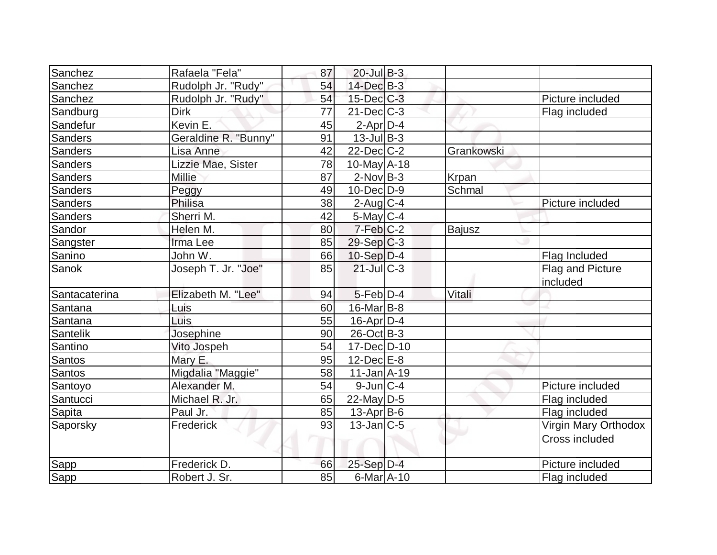| Sanchez        | Rafaela "Fela"       | 87 | $20$ -Jul B-3     |               |                              |
|----------------|----------------------|----|-------------------|---------------|------------------------------|
| Sanchez        | Rudolph Jr. "Rudy"   | 54 | $14$ -Dec $B-3$   |               |                              |
| Sanchez        | Rudolph Jr. "Rudy"   | 54 | $15$ -Dec $C$ -3  |               | Picture included             |
| Sandburg       | <b>Dirk</b>          | 77 | $21$ -Dec $C$ -3  |               | Flag included                |
| Sandefur       | Kevin E.             | 45 | $2$ -Apr $D-4$    |               |                              |
| <b>Sanders</b> | Geraldine R. "Bunny" | 91 | $13$ -Jul B-3     |               |                              |
| <b>Sanders</b> | Lisa Anne            | 42 | $22$ -Dec $C-2$   | Grankowski    |                              |
| <b>Sanders</b> | Lizzie Mae, Sister   | 78 | $10$ -May $A$ -18 |               |                              |
| <b>Sanders</b> | <b>Millie</b>        | 87 | $2$ -Nov $ B-3 $  | Krpan         |                              |
| <b>Sanders</b> | Peggy                | 49 | $10$ -Dec $D-9$   | Schmal        |                              |
| Sanders        | Philisa              | 38 | $2$ -Aug C-4      |               | Picture included             |
| Sanders        | Sherri M.            | 42 | $5$ -May $C$ -4   |               |                              |
| Sandor         | Helen M.             | 80 | 7-Feb C-2         | <b>Bajusz</b> |                              |
| Sangster       | Irma Lee             | 85 | $29-Sep C-3$      |               |                              |
| Sanino         | John W.              | 66 | $10-Sep D-4$      |               | Flag Included                |
| <b>Sanok</b>   | Joseph T. Jr. "Joe"  | 85 | $21$ -JulC-3      |               | Flag and Picture<br>included |
| Santacaterina  | Elizabeth M. "Lee"   | 94 | $5$ -Feb $D-4$    | Vitali        |                              |
| Santana        | Luis                 | 60 | $16$ -Mar $ B-8 $ |               |                              |
| Santana        | Luis                 | 55 | 16-Apr D-4        |               |                              |
| Santelik       | Josephine            | 90 | $26$ -Oct B-3     |               |                              |
| Santino        | Vito Jospeh          | 54 | $17 - Dec$ $D-10$ |               |                              |
| Santos         | Mary E.              | 95 | $12$ -Dec $E-8$   |               |                              |
| <b>Santos</b>  | Migdalia "Maggie"    | 58 | $11$ -Jan $A$ -19 |               |                              |
| Santoyo        | Alexander M.         | 54 | $9$ -Jun $ C-4$   |               | Picture included             |
| Santucci       | Michael R. Jr.       | 65 | 22-May D-5        |               | Flag included                |
| <b>Sapita</b>  | Paul Jr.             | 85 | $13$ -Apr $ B-6$  |               | Flag included                |
| Saporsky       | Frederick            | 93 | $13$ -Jan $ C-5 $ |               | Virgin Mary Orthodox         |
|                |                      |    |                   |               | <b>Cross included</b>        |
| Sapp           | Frederick D.         | 66 | $25-Sep$ D-4      |               | Picture included             |
| Sapp           | Robert J. Sr.        | 85 | 6-Mar A-10        |               | Flag included                |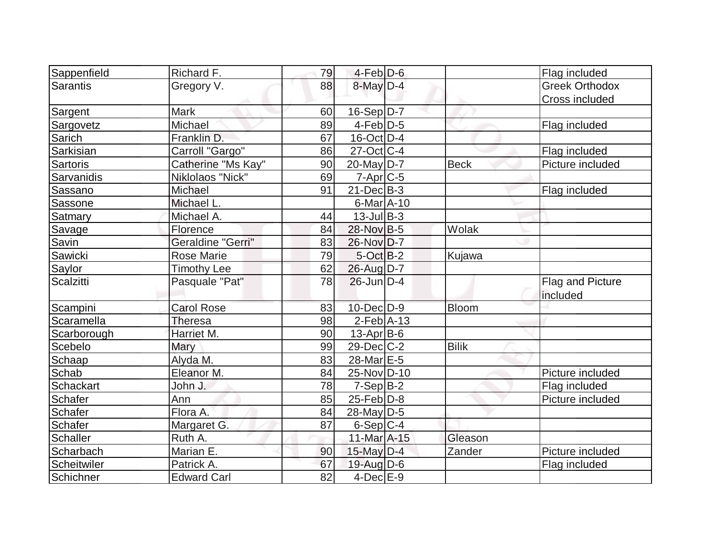| Sappenfield     | Richard F.         | 79 | $4-Feb$ D-6       |              | Flag included         |
|-----------------|--------------------|----|-------------------|--------------|-----------------------|
| <b>Sarantis</b> | Gregory V.         | 88 | 8-May D-4         |              | <b>Greek Orthodox</b> |
|                 |                    |    |                   |              | Cross included        |
| Sargent         | Mark               | 60 | $16-Sep D-7$      |              |                       |
| Sargovetz       | Michael            | 89 | $4-Feb D-5$       |              | Flag included         |
| Sarich          | Franklin D.        | 67 | 16-Oct D-4        |              |                       |
| Sarkisian       | Carroll "Gargo"    | 86 | 27-Oct C-4        |              | Flag included         |
| Sartoris        | Catherine "Ms Kay" | 90 | $20$ -May $ D-7 $ | <b>Beck</b>  | Picture included      |
| Sarvanidis      | Niklolaos "Nick"   | 69 | $7$ -Apr $C$ -5   |              |                       |
| Sassano         | Michael            | 91 | $21$ -Dec $B-3$   |              | Flag included         |
| Sassone         | Michael L.         |    | $6$ -Mar $A$ -10  |              |                       |
| Satmary         | Michael A.         | 44 | $13$ -Jul B-3     |              |                       |
| Savage          | Florence           | 84 | 28-Nov B-5        | Wolak        |                       |
| Savin           | Geraldine "Gerri"  | 83 | 26-Nov D-7        |              |                       |
| Sawicki         | <b>Rose Marie</b>  | 79 | $5$ -Oct $B-2$    | Kujawa       |                       |
| Saylor          | <b>Timothy Lee</b> | 62 | 26-Aug D-7        |              |                       |
| Scalzitti       | Pasquale "Pat"     | 78 | $26$ -Jun $D-4$   |              | Flag and Picture      |
|                 |                    |    |                   |              | included              |
| Scampini        | <b>Carol Rose</b>  | 83 | $10$ -Dec $D-9$   | <b>Bloom</b> |                       |
| Scaramella      | <b>Theresa</b>     | 98 | $2-Feb$ A-13      |              |                       |
| Scarborough     | Harriet M.         | 90 | $13$ -Apr $ B-6$  |              |                       |
| Scebelo         | Mary               | 99 | $29$ -Dec $C-2$   | <b>Bilik</b> |                       |
| Schaap          | Alyda M.           | 83 | 28-Mar E-5        |              |                       |
| Schab           | Eleanor M.         | 84 | 25-Nov D-10       |              | Picture included      |
| Schackart       | John J.            | 78 | $7-Sep B-2$       |              | Flag included         |
| Schafer         | Ann                | 85 | $25$ -Feb $ D-8$  |              | Picture included      |
| Schafer         | Flora A.           | 84 | 28-May D-5        |              |                       |
| Schafer         | Margaret G.        | 87 | $6-Sep C-4$       |              |                       |
| Schaller        | Ruth A.            |    | 11-Mar A-15       | Gleason      |                       |
| Scharbach       | Marian E.          | 90 | $15$ -May D-4     | Zander       | Picture included      |
| Scheitwiler     | Patrick A.         | 67 | $19$ -Aug $D$ -6  |              | Flag included         |
| Schichner       | <b>Edward Carl</b> | 82 | $4$ -Dec $E-9$    |              |                       |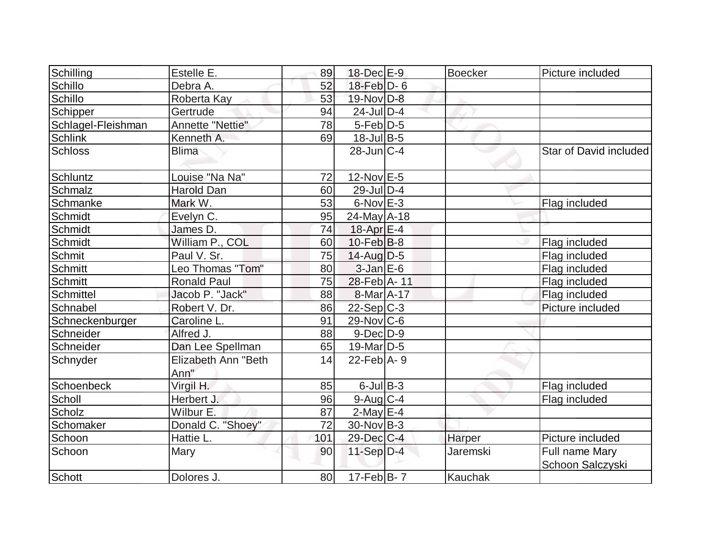| Schilling          | Estelle E.                  | 89  | 18-Dec E-9         | <b>Boecker</b>  | Picture included       |
|--------------------|-----------------------------|-----|--------------------|-----------------|------------------------|
| Schillo            | Debra A.                    | 52  | $18$ -Feb $D-6$    |                 |                        |
| Schillo            | Roberta Kay                 | 53  | 19-Nov D-8         |                 |                        |
| Schipper           | Gertrude                    | 94  | $24$ -JulD-4       |                 |                        |
| Schlagel-Fleishman | Annette "Nettie"            | 78  | $5-Feb D-5$        |                 |                        |
| Schlink            | Kenneth A.                  | 69  | $18 -$ Jul $B - 5$ |                 |                        |
| <b>Schloss</b>     | <b>Blima</b>                |     | $28$ -Jun $ C-4 $  |                 | Star of David included |
| Schluntz           | Louise "Na Na"              | 72  | $12$ -Nov $E-5$    |                 |                        |
| Schmalz            | <b>Harold Dan</b>           | 60  | $29$ -Jul $D-4$    |                 |                        |
| Schmanke           | Mark W.                     | 53  | $6$ -Nov $E-3$     |                 | Flag included          |
| Schmidt            | Evelyn C.                   | 95  | $24$ -May A-18     |                 |                        |
| Schmidt            | James D.                    | 74  | 18-Apr E-4         |                 |                        |
| Schmidt            | William P., COL             | 60  | $10$ -Feb $ B-8$   |                 | Flag included          |
| Schmit             | Paul V. Sr.                 | 75  | $14$ -Aug $D-5$    |                 | Flag included          |
| Schmitt            | Leo Thomas "Tom"            | 80  | $3$ -Jan $E$ -6    |                 | Flag included          |
| Schmitt            | <b>Ronald Paul</b>          | 75  | 28-Feb A-11        |                 | Flag included          |
| Schmittel          | Jacob P. "Jack"             | 88  | 8-Mar A-17         |                 | Flag included          |
| Schnabel           | Robert V. Dr.               | 86  | $22-Sep C-3$       |                 | Picture included       |
| Schneckenburger    | Caroline L.                 | 91  | $29$ -Nov $ C$ -6  |                 |                        |
| Schneider          | Alfred J.                   | 88  | $9$ -Dec $D$ -9    |                 |                        |
| Schneider          | Dan Lee Spellman            | 65  | $19$ -Mar $ D-5$   |                 |                        |
| Schnyder           | Elizabeth Ann "Beth<br>Ann" | 14  | $22$ -Feb $ A-9 $  |                 |                        |
| Schoenbeck         | Virgil H.                   | 85  | $6$ -Jul $B$ -3    |                 | Flag included          |
| Scholl             | Herbert J.                  | 96  | $9$ -Aug C-4       |                 | Flag included          |
| Scholz             | Wilbur E.                   | 87  | $2$ -May $E-4$     |                 |                        |
| Schomaker          | Donald C. "Shoey"           | 72  | $30$ -Nov B-3      |                 |                        |
| Schoon             | Hattie L.                   | 101 | $29$ -Dec $C-4$    | Harper          | Picture included       |
| Schoon             | Mary                        | 90  | $11-Sep D-4$       | <b>Jaremski</b> | Full name Mary         |
| Schott             | Dolores J.                  | 80  | $17 - FebB - 7$    | Kauchak         | Schoon Salczyski       |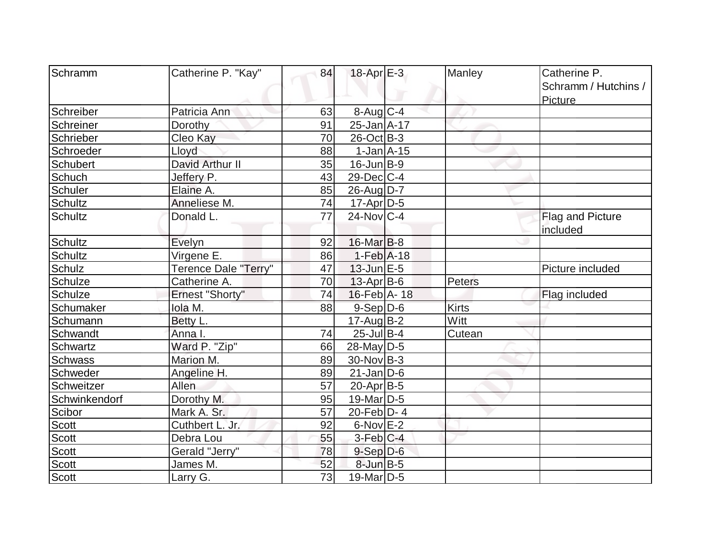| Schramm        | Catherine P. "Kay"          | 84              | $18$ -Apr $E-3$               | Manley        | Catherine P.         |
|----------------|-----------------------------|-----------------|-------------------------------|---------------|----------------------|
|                |                             |                 |                               |               | Schramm / Hutchins / |
|                |                             |                 |                               |               |                      |
| Schreiber      | Patricia Ann                | 63              | 8-Aug C-4                     |               | <b>Picture</b>       |
|                |                             | 91              | 25-Jan A-17                   |               |                      |
| Schreiner      | Dorothy                     |                 |                               |               |                      |
| Schrieber      | Cleo Kay                    | 70              | $26$ -Oct B-3                 |               |                      |
| Schroeder      | Lloyd                       | 88              | $1-Jan$ $A-15$                |               |                      |
| Schubert       | David Arthur II             | 35              | $16$ -Jun $ B-9 $             |               |                      |
| Schuch         | Jeffery P.                  | 43              | $29$ -Dec $ C-4 $             |               |                      |
| Schuler        | Elaine A.                   | 85              | 26-Aug D-7                    |               |                      |
| <b>Schultz</b> | Anneliese M.                | 74              | $17$ -Apr $ D-5$              |               |                      |
| <b>Schultz</b> | Donald L.                   | 77              | $24$ -Nov $ C-4 $             |               | Flag and Picture     |
|                |                             |                 |                               |               | included             |
| Schultz        | Evelyn                      | 92              | $16$ -Mar $B$ -8              |               |                      |
| Schultz        | Virgene <sub>E.</sub>       | 86              | $1-Feb$ A-18                  |               |                      |
| Schulz         | <b>Terence Dale "Terry"</b> | 47              | $13$ -Jun $E-5$               |               | Picture included     |
| Schulze        | Catherine A.                | 70              | $13$ -Apr $B$ -6              | <b>Peters</b> |                      |
| Schulze        | <b>Ernest "Shorty"</b>      | 74              | $16$ -Feb $\overline{A}$ - 18 |               | Flag included        |
| Schumaker      | lola M.                     | 88              | $9-Sep$ $D-6$                 | <b>Kirts</b>  |                      |
| Schumann       | Betty L.                    |                 | $17$ -Aug $B-2$               | Witt          |                      |
| Schwandt       | Anna I.                     | 74              | $25$ -Jul B-4                 | Cutean        |                      |
| Schwartz       | Ward P. "Zip"               | 66              | $28$ -May D-5                 |               |                      |
| <b>Schwass</b> | Marion M.                   | 89              | $30$ -Nov B-3                 |               |                      |
| Schweder       | Angeline H.                 | 89              | $21$ -Jan $ D-6$              |               |                      |
| Schweitzer     | <b>Allen</b>                | 57              | $20$ -Apr $ B-5 $             |               |                      |
| Schwinkendorf  | Dorothy M.                  | 95              | 19-Mar D-5                    |               |                      |
| Scibor         | Mark A. Sr.                 | 57              | 20-Feb $ D-4 $                |               |                      |
| <b>Scott</b>   | Cuthbert L. Jr.             | 92              | $6$ -Nov $E-2$                |               |                      |
| Scott          | Debra Lou                   | 55              | $3$ -Feb $ C-4 $              |               |                      |
| Scott          | Gerald "Jerry"              | 78              | $9-Sep$ $D-6$                 |               |                      |
| <b>Scott</b>   | James M.                    | 52              | $8$ -Jun $B$ -5               |               |                      |
| Scott          | Larry G.                    | $\overline{73}$ | 19-Mar <sub>D-5</sub>         |               |                      |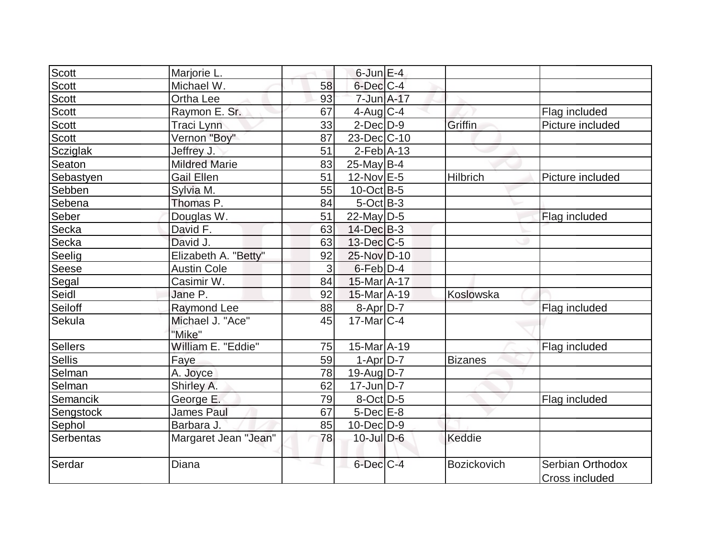| Scott          | Marjorie L.          |    | $6$ -Jun $E-4$               |                |                                    |
|----------------|----------------------|----|------------------------------|----------------|------------------------------------|
| Scott          | Michael W.           | 58 | $6$ -Dec $C$ -4              |                |                                    |
| Scott          | Ortha Lee            | 93 | 7-Jun A-17                   |                |                                    |
| <b>Scott</b>   | Raymon E. Sr.        | 67 | $4$ -Aug $C-4$               |                | Flag included                      |
| Scott          | <b>Traci Lynn</b>    | 33 | $2$ -Dec $D-9$               | Griffin        | Picture included                   |
| <b>Scott</b>   | Vernon "Boy"         | 87 | 23-Dec C-10                  |                |                                    |
| Scziglak       | Jeffrey J.           | 51 | $2$ -Feb $ A-13$             |                |                                    |
| Seaton         | <b>Mildred Marie</b> | 83 | $25$ -May B-4                |                |                                    |
| Sebastyen      | <b>Gail Ellen</b>    | 51 | $12$ -Nov $E-5$              | Hilbrich       | Picture included                   |
| Sebben         | Sylvia M.            | 55 | $10$ -Oct B-5                |                |                                    |
| Sebena         | Thomas P.            | 84 | $5$ -Oct $B-3$               |                |                                    |
| Seber          | Douglas W.           | 51 | $22$ -May D-5                |                | Flag included                      |
| Secka          | David F.             | 63 | $14$ -Dec $B - 3$            |                |                                    |
| Secka          | David J.             | 63 | $13$ -Dec $ C$ -5            |                |                                    |
| Seelig         | Elizabeth A. "Betty" | 92 | 25-Nov D-10                  |                |                                    |
| Seese          | <b>Austin Cole</b>   | 3  | $6$ -Feb $D-4$               |                |                                    |
| Segal          | Casimir W.           | 84 | 15-Mar A-17                  |                |                                    |
| Seidl          | Jane P.              | 92 | 15-Mar A-19                  | Koslowska      |                                    |
| Seiloff        | Raymond Lee          | 88 | $8-Apr D-7$                  |                | Flag included                      |
| Sekula         | Michael J. "Ace"     | 45 | $17$ -Mar $ C-4 $            |                |                                    |
|                | "Mike"               |    |                              |                |                                    |
| <b>Sellers</b> | William E. "Eddie"   | 75 | $15$ -Mar $\overline{A}$ -19 |                | Flag included                      |
| <b>Sellis</b>  | Faye                 | 59 | $1-Apr D-7$                  | <b>Bizanes</b> |                                    |
| Selman         | A. Joyce             | 78 | $19$ -Aug D-7                |                |                                    |
| Selman         | Shirley A.           | 62 | $17$ -Jun $D-7$              |                |                                    |
| Semancik       | George E.            | 79 | 8-Oct D-5                    |                | Flag included                      |
| Sengstock      | <b>James Paul</b>    | 67 | $5$ -Dec $E-8$               |                |                                    |
| Sephol         | Barbara J.           | 85 | 10-Dec D-9                   |                |                                    |
| Serbentas      | Margaret Jean "Jean" | 78 | $10$ -Jul $D-6$              | Keddie         |                                    |
| Serdar         | Diana                |    | $6$ -Dec $C$ -4              | Bozickovich    | Serbian Orthodox<br>Cross included |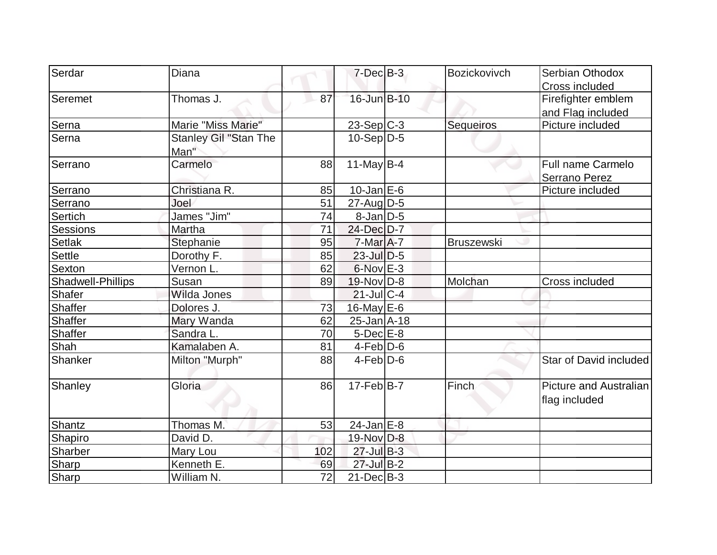| Serdar            | Diana                        |     | $7$ -Dec $B-3$      | <b>Bozickovivch</b> | Serbian Othodox                                |
|-------------------|------------------------------|-----|---------------------|---------------------|------------------------------------------------|
|                   |                              |     |                     |                     | Cross included                                 |
| Seremet           | Thomas J.                    | 87  | 16-Jun B-10         |                     | Firefighter emblem                             |
|                   |                              |     |                     |                     | and Flag included                              |
| Serna             | Marie "Miss Marie"           |     | $23-Sep C-3$        | Sequeiros           | Picture included                               |
| Serna             | <b>Stanley Gil "Stan The</b> |     | $10-Sep D-5$        |                     |                                                |
|                   | Man"                         |     |                     |                     |                                                |
| Serrano           | Carmelo                      | 88  | 11-May $B-4$        |                     | Full name Carmelo                              |
|                   |                              |     |                     |                     | Serrano Perez                                  |
| Serrano           | Christiana R.                | 85  | $10$ -Jan $E$ -6    |                     | Picture included                               |
| Serrano           | Joel                         | 51  | $27$ -AugD-5        |                     |                                                |
| Sertich           | James "Jim"                  | 74  | $8$ -Jan $D-5$      |                     |                                                |
| Sessions          | Martha                       | 71  | 24-Dec D-7          |                     |                                                |
| Setlak            | Stephanie                    | 95  | $7-MarA-7$          | <b>Bruszewski</b>   |                                                |
| <b>Settle</b>     | Dorothy F.                   | 85  | $23$ -Jul $D-5$     |                     |                                                |
| Sexton            | Vernon L.                    | 62  | $6$ -Nov $E-3$      |                     |                                                |
| Shadwell-Phillips | Susan                        | 89  | $19-Nov D-8$        | Molchan             | Cross included                                 |
| Shafer            | Wilda Jones                  |     | $21$ -Jul C-4       |                     |                                                |
| Shaffer           | Dolores J.                   | 73  | $16$ -May $E$ -6    |                     |                                                |
| Shaffer           | Mary Wanda                   | 62  | $25 - Jan$ $A - 18$ |                     |                                                |
| <b>Shaffer</b>    | Sandra L.                    | 70  | $5$ -Dec $E-8$      |                     |                                                |
| Shah              | Kamalaben A.                 | 81  | $4-Feb D-6$         |                     |                                                |
| Shanker           | Milton "Murph"               | 88  | $4$ -Feb $D-6$      |                     | Star of David included                         |
| Shanley           | Gloria                       | 86  | $17 - Feb$ B-7      | Finch               | <b>Picture and Australian</b><br>flag included |
| Shantz            | Thomas M.                    | 53  | $24$ -Jan $E$ -8    |                     |                                                |
| Shapiro           | David D.                     |     | 19-Nov D-8          |                     |                                                |
| Sharber           | Mary Lou                     | 102 | $27$ -Jul B-3       |                     |                                                |
| Sharp             | Kenneth E.                   | 69  | 27-Jul B-2          |                     |                                                |
| Sharp             | William N.                   | 72  | $21$ -Dec $B-3$     |                     |                                                |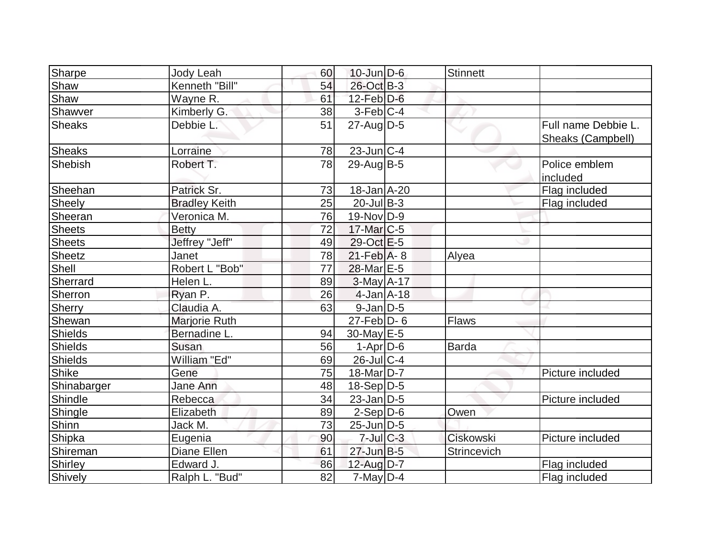| Sharpe        | Jody Leah            | 60 | $10$ -Jun $D-6$   | <b>Stinnett</b> |                                          |
|---------------|----------------------|----|-------------------|-----------------|------------------------------------------|
| Shaw          | Kenneth "Bill"       | 54 | 26-Oct B-3        |                 |                                          |
| Shaw          | Wayne R.             | 61 | $12$ -Feb $D-6$   |                 |                                          |
| Shawver       | Kimberly G.          | 38 | $3-Feb C-4$       |                 |                                          |
| Sheaks        | Debbie L.            | 51 | $27$ -Aug $D-5$   |                 | Full name Debbie L.<br>Sheaks (Campbell) |
| <b>Sheaks</b> | Lorraine             | 78 | $23$ -Jun C-4     |                 |                                          |
| Shebish       | Robert T.            | 78 | $29$ -Aug B-5     |                 | Police emblem<br>included                |
| Sheehan       | Patrick Sr.          | 73 | 18-Jan A-20       |                 | Flag included                            |
| Sheely        | <b>Bradley Keith</b> | 25 | $20$ -Jul B-3     |                 | Flag included                            |
| Sheeran       | Veronica M.          | 76 | 19-Nov D-9        |                 |                                          |
| Sheets        | <b>Betty</b>         | 72 | 17-Mar C-5        |                 |                                          |
| Sheets        | Jeffrey "Jeff"       | 49 | $29$ -Oct $E-5$   |                 |                                          |
| Sheetz        | Janet                | 78 | $21$ -Feb $A - 8$ | Alyea           |                                          |
| Shell         | Robert L "Bob"       | 77 | 28-Mar E-5        |                 |                                          |
| Sherrard      | Helen L.             | 89 | $3-May$ A-17      |                 |                                          |
| Sherron       | Ryan P.              | 26 | $4$ -Jan $A$ -18  |                 |                                          |
| Sherry        | Claudia A.           | 63 | $9$ -Jan $D$ -5   |                 |                                          |
| Shewan        | Marjorie Ruth        |    | $27$ -Feb $D-6$   | <b>Flaws</b>    |                                          |
| Shields       | Bernadine L.         | 94 | $30$ -May $E$ -5  |                 |                                          |
| Shields       | Susan                | 56 | $1-Apr$ D-6       | <b>Barda</b>    |                                          |
| Shields       | William "Ed"         | 69 | 26-Jul C-4        |                 |                                          |
| Shike         | Gene                 | 75 | $18$ -Mar $ D-7 $ |                 | Picture included                         |
| Shinabarger   | Jane Ann             | 48 | $18-Sep D-5$      |                 |                                          |
| Shindle       | Rebecca              | 34 | $23$ -Jan $D-5$   |                 | Picture included                         |
| Shingle       | Elizabeth            | 89 | $2-Sep D-6$       | Owen            |                                          |
| Shinn         | Jack M.              | 73 | $25$ -Jun $ D-5 $ |                 |                                          |
| Shipka        | Eugenia              | 90 | $7$ -Jul $C-3$    | Ciskowski       | Picture included                         |
| Shireman      | Diane Ellen          | 61 | $27 - Jun$ B-5    | Strincevich     |                                          |
| Shirley       | Edward J.            | 86 | 12-Aug D-7        |                 | Flag included                            |
| Shively       | Ralph L. "Bud"       | 82 | $7$ -May $D-4$    |                 | Flag included                            |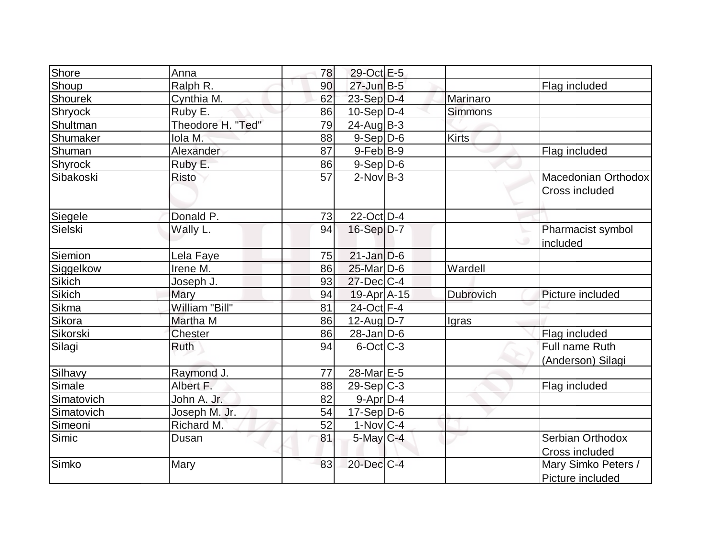| Shore          | Anna              | 78 | 29-Oct E-5        |                |                                         |
|----------------|-------------------|----|-------------------|----------------|-----------------------------------------|
| Shoup          | Ralph R.          | 90 | $27$ -Jun $B-5$   |                | Flag included                           |
| <b>Shourek</b> | Cynthia M.        | 62 | $23-Sep D-4$      | Marinaro       |                                         |
| <b>Shryock</b> | Ruby E.           | 86 | $10-Sep D-4$      | <b>Simmons</b> |                                         |
| Shultman       | Theodore H. "Ted" | 79 | $24$ -AugB-3      |                |                                         |
| Shumaker       | Iola M.           | 88 | $9-Sep D-6$       | <b>Kirts</b>   |                                         |
| Shuman         | Alexander         | 87 | $9$ -Feb $ B-9 $  |                | Flag included                           |
| Shyrock        | Ruby E.           | 86 | $9-Sep D-6$       |                |                                         |
| Sibakoski      | <b>Risto</b>      | 57 | $2$ -Nov B-3      |                | Macedonian Orthodox<br>Cross included   |
| Siegele        | Donald P.         | 73 | 22-Oct D-4        |                |                                         |
| Sielski        | Wally L.          | 94 | 16-Sep D-7        |                | Pharmacist symbol<br>included           |
| Siemion        | Lela Faye         | 75 | $21$ -Jan D-6     |                |                                         |
| Siggelkow      | Irene M.          | 86 | 25-Mar D-6        | Wardell        |                                         |
| Sikich         | Joseph J.         | 93 | $27$ -Dec $ C-4 $ |                |                                         |
| Sikich         | Mary              | 94 | 19-Apr A-15       | Dubrovich      | Picture included                        |
| Sikma          | William "Bill"    | 81 | 24-Oct F-4        |                |                                         |
| Sikora         | Martha M          | 86 | $12$ -Aug $ D-7 $ | Igras          |                                         |
| Sikorski       | <b>Chester</b>    | 86 | $28$ -Jan $D-6$   |                | Flag included                           |
| Silagi         | Ruth              | 94 | $6$ -Oct $ C$ -3  |                | Full name Ruth<br>(Anderson) Silagi     |
| Silhavy        | Raymond J.        | 77 | 28-Mar E-5        |                |                                         |
| Simale         | Albert F.         | 88 | $29-Sep C-3$      |                | Flag included                           |
| Simatovich     | John A. Jr.       | 82 | $9-Apr D-4$       |                |                                         |
| Simatovich     | Joseph M. Jr.     | 54 | $17-Sep D-6$      |                |                                         |
| Simeoni        | Richard M.        | 52 | 1-Nov C-4         |                |                                         |
| Simic          | Dusan             | 81 | $5$ -May $C$ -4   |                | Serbian Orthodox<br>Cross included      |
| Simko          | Mary              | 83 | 20-Dec C-4        |                | Mary Simko Peters /<br>Picture included |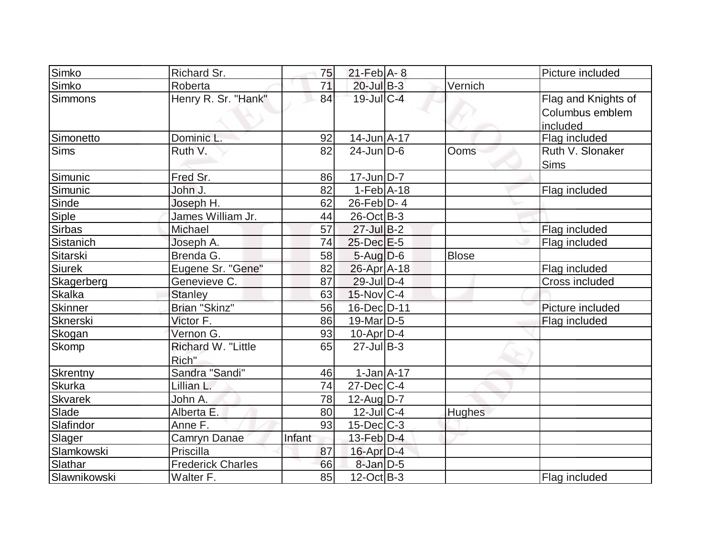| Simko          | Richard Sr.                 | 75     | $21$ -Feb $A - 8$ |              | Picture included                                   |
|----------------|-----------------------------|--------|-------------------|--------------|----------------------------------------------------|
| Simko          | Roberta                     | 71     | $20$ -Jul B-3     | Vernich      |                                                    |
| <b>Simmons</b> | Henry R. Sr. "Hank"         | 84     | $19$ -Jul $C$ -4  |              | Flag and Knights of<br>Columbus emblem<br>included |
| Simonetto      | Dominic L.                  | 92     | $14$ -Jun $A$ -17 |              | Flag included                                      |
| <b>Sims</b>    | Ruth V.                     | 82     | $24$ -Jun $D-6$   | Ooms         | Ruth V. Slonaker<br><b>Sims</b>                    |
| Simunic        | Fred Sr.                    | 86     | 17-Jun D-7        |              |                                                    |
| Simunic        | John J.                     | 82     | $1-Feb$ A-18      |              | Flag included                                      |
| Sinde          | Joseph H.                   | 62     | $26$ -Feb $ D-4 $ |              |                                                    |
| <b>Siple</b>   | James William Jr.           | 44     | $26$ -Oct B-3     |              |                                                    |
| <b>Sirbas</b>  | Michael                     | 57     | $27$ -Jul B-2     |              | Flag included                                      |
| Sistanich      | Joseph A.                   | 74     | $25$ -Dec $E$ -5  |              | Flag included                                      |
| Sitarski       | Brenda G.                   | 58     | $5$ -Aug $D$ -6   | <b>Blose</b> |                                                    |
| <b>Siurek</b>  | Eugene Sr. "Gene"           | 82     | 26-Apr A-18       |              | Flag included                                      |
| Skagerberg     | Genevieve C.                | 87     | $29$ -Jul $D-4$   |              | Cross included                                     |
| <b>Skalka</b>  | <b>Stanley</b>              | 63     | $15$ -Nov $ C-4 $ |              |                                                    |
| <b>Skinner</b> | Brian "Skinz"               | 56     | 16-Dec D-11       |              | Picture included                                   |
| Sknerski       | Victor F.                   | 86     | $19$ -Mar $ D-5 $ |              | Flag included                                      |
| Skogan         | Vernon G.                   | 93     | 10-Apr D-4        |              |                                                    |
| Skomp          | Richard W. "Little<br>Rich" | 65     | $27$ -Jul B-3     |              |                                                    |
| Skrentny       | Sandra "Sandi"              | 46     | $1$ -Jan $A-17$   |              |                                                    |
| <b>Skurka</b>  | Lillian L.                  | 74     | $27 - Dec$ C-4    |              |                                                    |
| <b>Skvarek</b> | John A.                     | 78     | $12$ -AugD-7      |              |                                                    |
| Slade          | Alberta E.                  | 80     | $12$ -JulC-4      | Hughes       |                                                    |
| Slafindor      | Anne F.                     | 93     | $15$ -Dec $C$ -3  |              |                                                    |
| Slager         | Camryn Danae                | Infant | $13$ -Feb $D-4$   |              |                                                    |
| Slamkowski     | Priscilla                   | 87     | $16$ -Apr $D-4$   |              |                                                    |
| Slathar        | <b>Frederick Charles</b>    | 66     | $8$ -Jan $D-5$    |              |                                                    |
| Slawnikowski   | Walter F.                   | 85     | $12$ -Oct B-3     |              | Flag included                                      |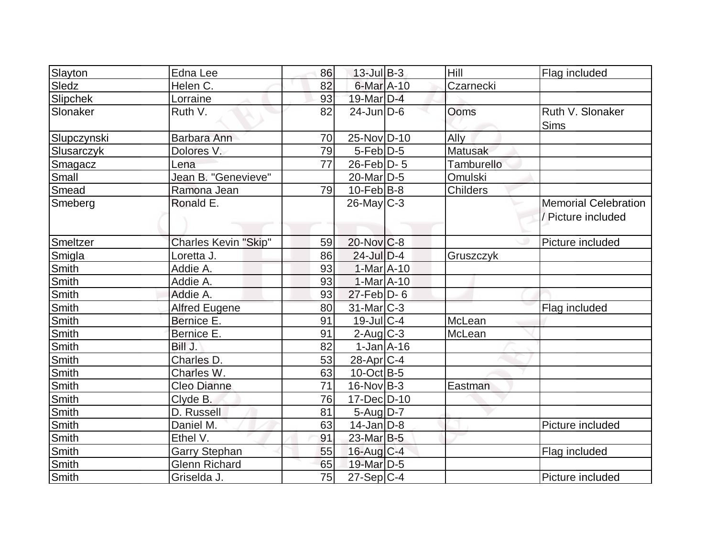| Slayton      | Edna Lee                    | 86              | $13$ -Jul B-3         | Hill           | Flag included                                     |
|--------------|-----------------------------|-----------------|-----------------------|----------------|---------------------------------------------------|
| Sledz        | Helen C.                    | 82              | 6-Mar A-10            | Czarnecki      |                                                   |
| Slipchek     | Lorraine                    | 93              | 19-Mar D-4            |                |                                                   |
| Slonaker     | Ruth V.                     | 82              | $24$ -Jun $D-6$       | Ooms           | Ruth V. Slonaker<br><b>Sims</b>                   |
| Slupczynski  | Barbara Ann                 | 70              | 25-Nov D-10           | Ally           |                                                   |
| Slusarczyk   | Dolores V.                  | 79              | $5$ -Feb $D-5$        | <b>Matusak</b> |                                                   |
| Smagacz      | Lena                        | $\overline{77}$ | $26$ -Feb $D-5$       | Tamburello     |                                                   |
| Small        | Jean B. "Genevieve"         |                 | 20-Mar <sub>D-5</sub> | Omulski        |                                                   |
| Smead        | Ramona Jean                 | 79              | $10$ -Feb $ B-8 $     | Childers       |                                                   |
| Smeberg      | Ronald E.                   |                 | $26$ -May C-3         |                | <b>Memorial Celebration</b><br>/ Picture included |
| Smeltzer     | <b>Charles Kevin "Skip"</b> | 59              | $20$ -Nov $C-8$       |                | Picture included                                  |
| Smigla       | Loretta J.                  | 86              | $24$ -Jul $D-4$       | Gruszczyk      |                                                   |
| Smith        | Addie A.                    | 93              | 1-Mar A-10            |                |                                                   |
| Smith        | Addie A.                    | 93              | $1-MarA-10$           |                |                                                   |
| Smith        | Addie A.                    | 93              | $27$ -Feb $D-6$       |                |                                                   |
| Smith        | <b>Alfred Eugene</b>        | 80              | $31$ -Mar $ C-3 $     |                | Flag included                                     |
| <b>Smith</b> | Bernice E.                  | 91              | 19-Jul C-4            | McLean         |                                                   |
| <b>Smith</b> | Bernice E.                  | 91              | $2$ -Aug $C$ -3       | McLean         |                                                   |
| Smith        | Bill J.                     | 82              | $1-Jan1A-16$          |                |                                                   |
| <b>Smith</b> | Charles D.                  | 53              | $28$ -Apr $ C-4 $     |                |                                                   |
| Smith        | Charles W.                  | 63              | $10$ -Oct B-5         |                |                                                   |
| Smith        | <b>Cleo Dianne</b>          | $\overline{71}$ | $16$ -Nov B-3         | Eastman        |                                                   |
| Smith        | Clyde B.                    | 76              | 17-Dec D-10           |                |                                                   |
| <b>Smith</b> | D. Russell                  | 81              | $5$ -Aug $D-7$        |                |                                                   |
| Smith        | Daniel M.                   | 63              | $14$ -Jan $ D-8$      |                | Picture included                                  |
| Smith        | Ethel V.                    | 91              | $23$ -Mar $B-5$       |                |                                                   |
| Smith        | <b>Garry Stephan</b>        | 55              | $16$ -Aug $C-4$       |                | Flag included                                     |
| Smith        | <b>Glenn Richard</b>        | 65              | 19-Mar D-5            |                |                                                   |
| Smith        | Griselda J.                 | 75              | $27-Sep C-4$          |                | Picture included                                  |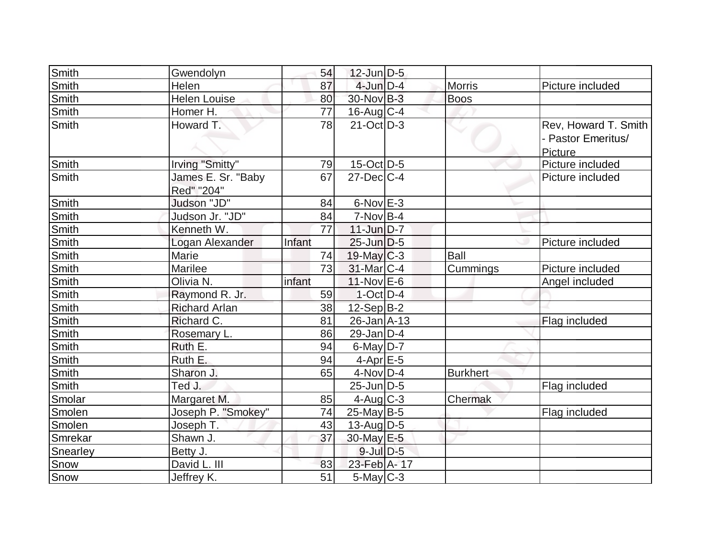| Smith        | Gwendolyn            | 54     | $12$ -Jun $D-5$   |                 |                      |
|--------------|----------------------|--------|-------------------|-----------------|----------------------|
| Smith        | Helen                | 87     | $4$ -Jun $D-4$    | <b>Morris</b>   | Picture included     |
| Smith        | <b>Helen Louise</b>  | 80     | 30-Nov B-3        | <b>Boos</b>     |                      |
| Smith        | Homer H.             | 77     | $16$ -Aug C-4     |                 |                      |
| Smith        | Howard T.            | 78     | $21$ -Oct $ D-3 $ |                 | Rev, Howard T. Smith |
|              |                      |        |                   |                 | - Pastor Emeritus/   |
|              |                      |        |                   |                 | Picture              |
| Smith        | Irving "Smitty"      | 79     | $15$ -Oct D-5     |                 | Picture included     |
| Smith        | James E. Sr. "Baby   | 67     | $27$ -Dec $C-4$   |                 | Picture included     |
|              | Red" "204"           |        |                   |                 |                      |
| Smith        | Judson "JD"          | 84     | $6$ -Nov $E-3$    |                 |                      |
| Smith        | Judson Jr. "JD"      | 84     | $7-NovB-4$        |                 |                      |
| <b>Smith</b> | Kenneth W.           | 77     | $11$ -Jun $D-7$   |                 |                      |
| <b>Smith</b> | Logan Alexander      | Infant | $25$ -Jun $D-5$   |                 | Picture included     |
| Smith        | Marie                | 74     | $19$ -May C-3     | <b>Ball</b>     |                      |
| <b>Smith</b> | Marilee              | 73     | 31-Mar C-4        | Cummings        | Picture included     |
| Smith        | Olivia N.            | infant | $11$ -Nov $E$ -6  |                 | Angel included       |
| Smith        | Raymond R. Jr.       | 59     | $1-Oct$ D-4       |                 |                      |
| Smith        | <b>Richard Arlan</b> | 38     | $12-Sep B-2$      |                 |                      |
| Smith        | Richard C.           | 81     | $26$ -Jan $A$ -13 |                 | Flag included        |
| Smith        | Rosemary L.          | 86     | $29$ -Jan $D-4$   |                 |                      |
| <b>Smith</b> | Ruth E.              | 94     | $6$ -May $D-7$    |                 |                      |
| Smith        | Ruth E.              | 94     | $4-Apr$ $E-5$     |                 |                      |
| Smith        | Sharon J.            | 65     | $4$ -Nov $D-4$    | <b>Burkhert</b> |                      |
| Smith        | Ted J.               |        | $25$ -Jun $D-5$   |                 | Flag included        |
| Smolar       | Margaret M.          | 85     | $4$ -Aug C-3      | Chermak         |                      |
| Smolen       | Joseph P. "Smokey"   | 74     | $25$ -May B-5     |                 | Flag included        |
| Smolen       | Joseph T.            | 43     | $13$ -Aug $D-5$   |                 |                      |
| Smrekar      | Shawn J.             | 37     | 30-May E-5        |                 |                      |
| Snearley     | Betty J.             |        | $9$ -Jul $D$ -5   |                 |                      |
| Snow         | David L. III         | 83     | 23-Feb A-17       |                 |                      |
| Snow         | Jeffrey K.           | 51     | $5$ -May $C$ -3   |                 |                      |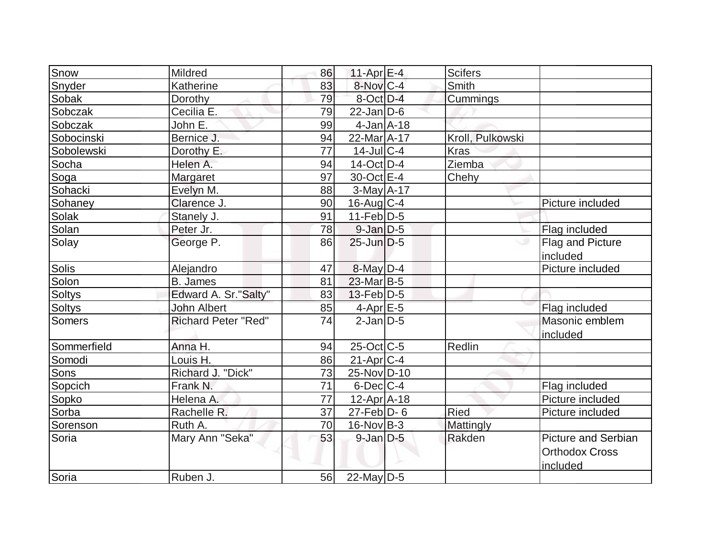| Snow          | Mildred                    | 86              | $11-Apr \mid E-4$                 | <b>Scifers</b>   |                                                                 |
|---------------|----------------------------|-----------------|-----------------------------------|------------------|-----------------------------------------------------------------|
| Snyder        | Katherine                  | 83              | 8-Nov C-4                         | Smith            |                                                                 |
| Sobak         | Dorothy                    | 79              | 8-Oct D-4                         | Cummings         |                                                                 |
| Sobczak       | Cecilia E.                 | 79              | $22$ -Jan $D-6$                   |                  |                                                                 |
| Sobczak       | John E.                    | 99              | $4$ -Jan $A$ -18                  |                  |                                                                 |
| Sobocinski    | Bernice J.                 | 94              | 22-Mar <sub>A-17</sub>            | Kroll, Pulkowski |                                                                 |
| Sobolewski    | Dorothy E.                 | 77              | $14$ -JulC-4                      | <b>Kras</b>      |                                                                 |
| Socha         | Helen A.                   | 94              | $14$ -Oct $ D-4 $                 | Ziemba           |                                                                 |
| Soga          | Margaret                   | 97              | 30-Oct E-4                        | Chehy            |                                                                 |
| Sohacki       | Evelyn M.                  | 88              | $3-May$ A-17                      |                  |                                                                 |
| Sohaney       | Clarence J.                | 90              | $16$ -Aug C-4                     |                  | Picture included                                                |
| <b>Solak</b>  | Stanely J.                 | 91              | $11-Feb D-5$                      |                  |                                                                 |
| Solan         | Peter Jr.                  | 78              | $9$ -Jan $D$ -5                   |                  | Flag included                                                   |
| Solay         | George P.                  | 86              | $25$ -Jun $D-5$                   |                  | Flag and Picture<br>included                                    |
| <b>Solis</b>  | Alejandro                  | 47              | $8$ -May $D-4$                    |                  | Picture included                                                |
| Solon         | <b>B.</b> James            | 81              | $23$ -Mar $ B-5 $                 |                  |                                                                 |
| <b>Soltys</b> | Edward A. Sr."Salty"       | 83              | $13$ -Feb $ D-5$                  |                  |                                                                 |
| <b>Soltys</b> | John Albert                | 85              | $4$ -Apr $E$ -5                   |                  | Flag included                                                   |
| <b>Somers</b> | <b>Richard Peter "Red"</b> | $\overline{74}$ | $2$ -Jan $ D-5 $                  |                  | Masonic emblem<br>included                                      |
| Sommerfield   | Anna H.                    | 94              | $25$ -Oct $\overline{\text{C-5}}$ | Redlin           |                                                                 |
| Somodi        | Louis H.                   | 86              | $21-Apr$ <sub>C-4</sub>           |                  |                                                                 |
| Sons          | Richard J. "Dick"          | 73              | 25-Nov D-10                       |                  |                                                                 |
| Sopcich       | Frank N.                   | 71              | $6$ -Dec $C-4$                    |                  | Flag included                                                   |
| Sopko         | Helena A.                  | 77              | $12$ -Apr $ A-18 $                |                  | Picture included                                                |
| Sorba         | Rachelle R.                | 37              | $27$ -Feb $\overline{D}$ - 6      | Ried             | Picture included                                                |
| Sorenson      | Ruth A.                    | 70              | $16$ -Nov B-3                     | Mattingly        |                                                                 |
| Soria         | Mary Ann "Seka"            | 53              | $9$ -Jan $D$ -5                   | Rakden           | <b>Picture and Serbian</b><br><b>Orthodox Cross</b><br>included |
| Soria         | Ruben J.                   | 56              | $22$ -May $D-5$                   |                  |                                                                 |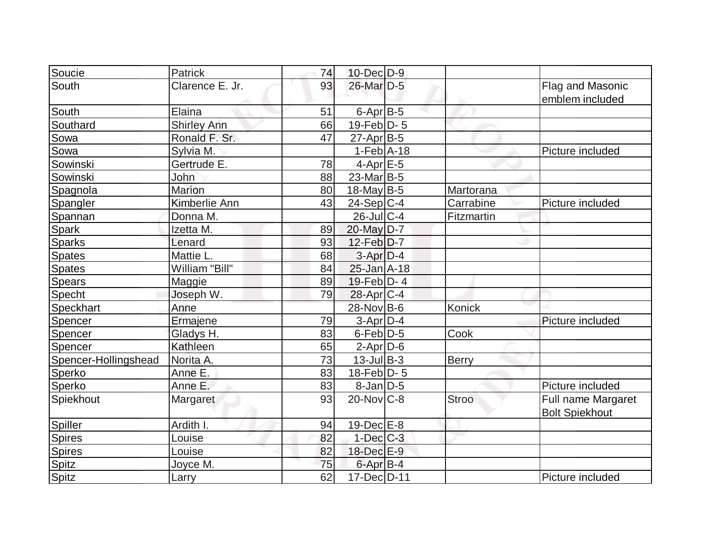| Soucie               | <b>Patrick</b>     | 74 | $10$ -Dec $D-9$   |               |                                             |
|----------------------|--------------------|----|-------------------|---------------|---------------------------------------------|
| South                | Clarence E. Jr.    | 93 | 26-Mar D-5        |               | Flag and Masonic<br>emblem included         |
| South                | Elaina             | 51 | $6$ -Apr $B$ -5   |               |                                             |
| Southard             | <b>Shirley Ann</b> | 66 | $19$ -Feb $D - 5$ |               |                                             |
| Sowa                 | Ronald F. Sr.      | 47 | $27$ -Apr $ B-5 $ |               |                                             |
| Sowa                 | Sylvia M.          |    | $1-Feb$ A-18      |               | Picture included                            |
| Sowinski             | Gertrude E.        | 78 | $4-Apr$ $E-5$     |               |                                             |
| Sowinski             | John               | 88 | $23$ -Mar $ B-5 $ |               |                                             |
| Spagnola             | <b>Marion</b>      | 80 | $18$ -May B-5     | Martorana     |                                             |
| Spangler             | Kimberlie Ann      | 43 | $24-Sep C-4$      | Carrabine     | Picture included                            |
| Spannan              | Donna M.           |    | $26$ -JulC-4      | Fitzmartin    |                                             |
| Spark                | Izetta M.          | 89 | 20-May D-7        |               |                                             |
| <b>Sparks</b>        | Lenard             | 93 | $12$ -Feb $D-7$   |               |                                             |
| <b>Spates</b>        | Mattie L.          | 68 | $3-Apr$ $D-4$     |               |                                             |
| <b>Spates</b>        | William "Bill"     | 84 | $25 - Jan$ A-18   |               |                                             |
| <b>Spears</b>        | Maggie             | 89 | $19$ -Feb $ D-4 $ |               |                                             |
| Specht               | Joseph W.          | 79 | $28$ -Apr $ C-4$  |               |                                             |
| Speckhart            | Anne               |    | 28-Nov B-6        | <b>Konick</b> |                                             |
| Spencer              | Ermajene           | 79 | $3-Apr D-4$       |               | Picture included                            |
| Spencer              | Gladys H.          | 83 | $6$ -Feb $D-5$    | Cook          |                                             |
| Spencer              | Kathleen           | 65 | $2$ -Apr $D$ -6   |               |                                             |
| Spencer-Hollingshead | Norita A.          | 73 | $13$ -Jul $B-3$   | Berry         |                                             |
| Sperko               | Anne E.            | 83 | $18$ -Feb $ D-5 $ |               |                                             |
| Sperko               | Anne E.            | 83 | $8$ -Jan $D$ -5   |               | Picture included                            |
| Spiekhout            | Margaret           | 93 | $20$ -Nov $C-8$   | <b>Stroo</b>  | Full name Margaret<br><b>Bolt Spiekhout</b> |
| Spiller              | Ardith I.          | 94 | $19$ -Dec $E$ -8  |               |                                             |
| Spires               | Louise             | 82 | $1$ -Dec $C$ -3   |               |                                             |
| Spires               | Louise             | 82 | 18-Dec E-9        |               |                                             |
| <b>Spitz</b>         | Joyce M.           | 75 | 6-Apr B-4         |               |                                             |
| Spitz                | Larry              | 62 | 17-Dec D-11       |               | Picture included                            |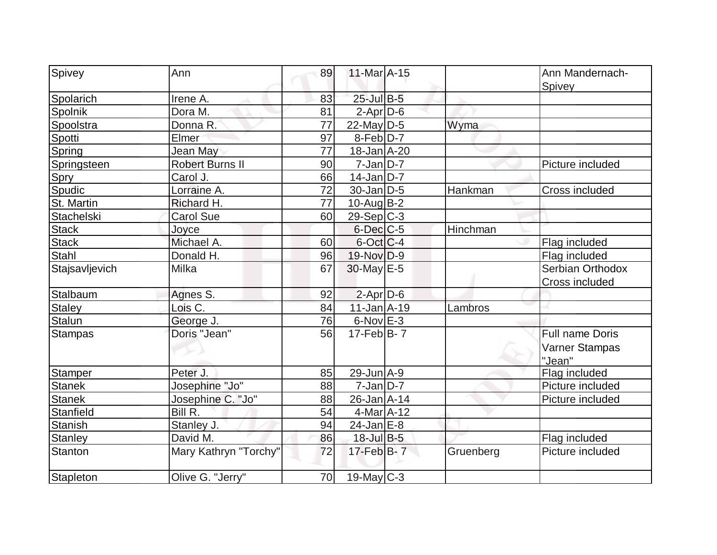| Spivey            | Ann                    | 89 | 11-Mar A-15           |           | Ann Mandernach-<br>Spivey                          |
|-------------------|------------------------|----|-----------------------|-----------|----------------------------------------------------|
| Spolarich         | Irene A.               | 83 | 25-Jul B-5            |           |                                                    |
| Spolnik           | Dora M.                | 81 | $2-Apr D-6$           |           |                                                    |
| Spoolstra         | Donna R.               | 77 | $22$ -May D-5         | Wyma      |                                                    |
| Spotti            | Elmer                  | 97 | $8-Feb\overline{D-7}$ |           |                                                    |
| Spring            | <b>Jean May</b>        | 77 | $18 - Jan$ $A - 20$   |           |                                                    |
| Springsteen       | <b>Robert Burns II</b> | 90 | $7$ -Jan $ D-7 $      |           | Picture included                                   |
| Spry              | Carol J.               | 66 | $14$ -Jan D-7         |           |                                                    |
| Spudic            | Lorraine A.            | 72 | $30$ -Jan $D-5$       | Hankman   | <b>Cross included</b>                              |
| St. Martin        | Richard H.             | 77 | $10$ -Aug $B-2$       |           |                                                    |
| <b>Stachelski</b> | <b>Carol Sue</b>       | 60 | $29-Sep C-3$          |           |                                                    |
| <b>Stack</b>      | Joyce                  |    | $6$ -Dec $C$ -5       | Hinchman  |                                                    |
| <b>Stack</b>      | Michael A.             | 60 | 6-Oct C-4             |           | Flag included                                      |
| <b>Stahl</b>      | Donald H.              | 96 | 19-Nov D-9            |           | Flag included                                      |
| Stajsavljevich    | Milka                  | 67 | 30-May E-5            |           | Serbian Orthodox<br>Cross included                 |
| Stalbaum          | Agnes S.               | 92 | $2$ -Apr $D$ -6       |           |                                                    |
| <b>Staley</b>     | Lois C.                | 84 | $11$ -Jan $A$ -19     | Lambros   |                                                    |
| <b>Stalun</b>     | George J.              | 76 | $6$ -Nov $E-3$        |           |                                                    |
| <b>Stampas</b>    | Doris "Jean"           | 56 | $17$ -Feb $ B-7 $     |           | <b>Full name Doris</b><br>Varner Stampas<br>"Jean" |
| <b>Stamper</b>    | Peter J.               | 85 | $29$ -Jun $A - 9$     |           | Flag included                                      |
| <b>Stanek</b>     | Josephine "Jo"         | 88 | $7$ -Jan $ D-7 $      |           | Picture included                                   |
| <b>Stanek</b>     | Josephine C. "Jo"      | 88 | $26$ -Jan $A$ -14     |           | Picture included                                   |
| Stanfield         | Bill R.                | 54 | $4$ -Mar $A$ -12      |           |                                                    |
| <b>Stanish</b>    | Stanley J.             | 94 | $24$ -Jan $E-8$       |           |                                                    |
| <b>Stanley</b>    | David M.               | 86 | $18$ -Jul B-5         |           | Flag included                                      |
| <b>Stanton</b>    | Mary Kathryn "Torchy"  | 72 | $17$ -Feb $B$ - 7     | Gruenberg | Picture included                                   |
| Stapleton         | Olive G. "Jerry"       | 70 | $19$ -May C-3         |           |                                                    |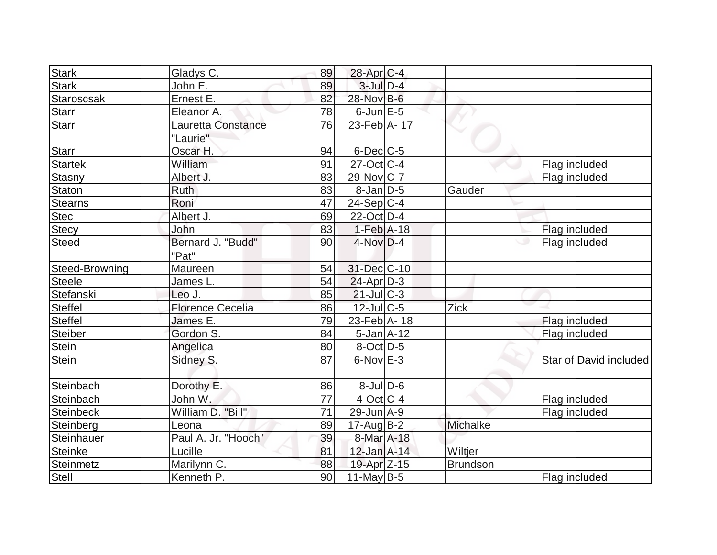| <b>Stark</b>   | Gladys C.               | 89              | $28$ -Apr $ C-4$ |                 |                        |
|----------------|-------------------------|-----------------|------------------|-----------------|------------------------|
| <b>Stark</b>   | John E.                 | 89              | $3$ -Jul $D-4$   |                 |                        |
| Staroscsak     | Ernest E.               | 82              | 28-Nov B-6       |                 |                        |
| <b>Starr</b>   | Eleanor A.              | 78              | $6$ -Jun $E$ -5  |                 |                        |
| <b>Starr</b>   | Lauretta Constance      | 76              | 23-Feb $ A-17 $  |                 |                        |
|                | "Laurie"                |                 |                  |                 |                        |
| <b>Starr</b>   | Oscar H.                | 94              | $6$ -Dec $C$ -5  |                 |                        |
| Startek        | William                 | 91              | $27$ -Oct C-4    |                 | Flag included          |
| <b>Stasny</b>  | Albert J.               | 83              | 29-Nov C-7       |                 | Flag included          |
| Staton         | <b>Ruth</b>             | 83              | $8$ -Jan $D$ -5  | Gauder          |                        |
| <b>Stearns</b> | Roni                    | 47              | $24-Sep C-4$     |                 |                        |
| <b>Stec</b>    | Albert J.               | 69              | $22$ -Oct $D-4$  |                 |                        |
| <b>Stecy</b>   | John                    | 83              | $1-Feb$ A-18     |                 | Flag included          |
| <b>Steed</b>   | Bernard J. "Budd"       | 90              | $4$ -Nov $D-4$   |                 | Flag included          |
|                | "Pat"                   |                 |                  |                 |                        |
| Steed-Browning | Maureen                 | 54              | 31-Dec C-10      |                 |                        |
| <b>Steele</b>  | James L.                | 54              | $24$ -Apr $D-3$  |                 |                        |
| Stefanski      | Leo J.                  | 85              | $21$ -JulC-3     |                 |                        |
| <b>Steffel</b> | <b>Florence Cecelia</b> | 86              | 12-Jul C-5       | Zick            |                        |
| <b>Steffel</b> | James E.                | 79              | 23-Feb A-18      |                 | Flag included          |
| <b>Steiber</b> | Gordon S.               | 84              | $5 - Jan$ A-12   |                 | Flag included          |
| Stein          | Angelica                | 80              | $8-Oct$ D-5      |                 |                        |
| <b>Stein</b>   | Sidney S.               | 87              | 6-Nov E-3        |                 | Star of David included |
|                |                         |                 |                  |                 |                        |
| Steinbach      | Dorothy E.              | 86              | $8$ -Jul $D$ -6  |                 |                        |
| Steinbach      | John W.                 | 77              | $4$ -Oct C-4     |                 | Flag included          |
| Steinbeck      | William D. "Bill"       | $\overline{71}$ | 29-Jun A-9       |                 | Flag included          |
| Steinberg      | Leona                   | 89              | $17$ -AugB-2     | Michalke        |                        |
| Steinhauer     | Paul A. Jr. "Hooch"     | 39              | 8-Mar A-18       |                 |                        |
| <b>Steinke</b> | Lucille                 | 81              | 12-Jan A-14      | Wiltjer         |                        |
| Steinmetz      | Marilynn C.             | 88              | 19-Apr Z-15      | <b>Brundson</b> |                        |
| Stell          | Kenneth P.              | 90              | $11$ -May B-5    |                 | Flag included          |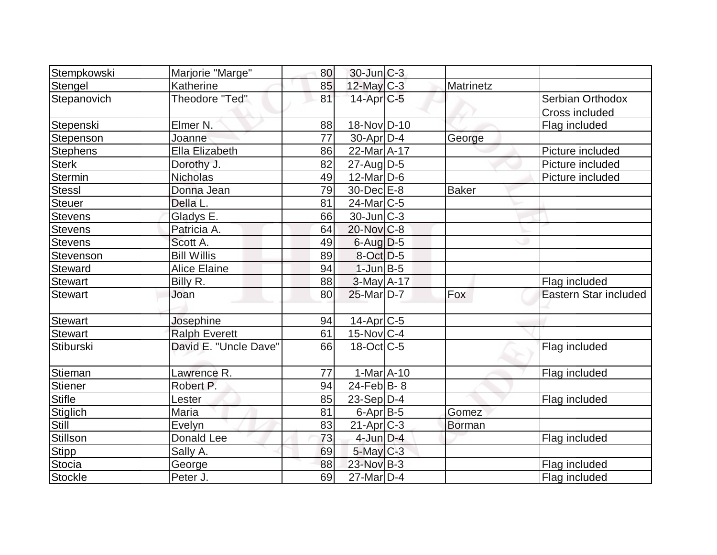| Stempkowski     | Marjorie "Marge"      | 80 | $30$ -Jun $ C-3 $ |               |                       |
|-----------------|-----------------------|----|-------------------|---------------|-----------------------|
| Stengel         | Katherine             | 85 | $12$ -May C-3     | Matrinetz     |                       |
| Stepanovich     | Theodore "Ted"        | 81 | $14$ -Apr $C$ -5  |               | Serbian Orthodox      |
|                 |                       |    |                   |               | Cross included        |
| Stepenski       | Elmer N.              | 88 | 18-Nov D-10       |               | Flag included         |
| Stepenson       | Joanne                | 77 | $30$ -Apr $D-4$   | George        |                       |
| <b>Stephens</b> | Ella Elizabeth        | 86 | 22-Mar A-17       |               | Picture included      |
| Sterk           | Dorothy J.            | 82 | $27$ -AugD-5      |               | Picture included      |
| Stermin         | <b>Nicholas</b>       | 49 | $12$ -Mar $ D-6$  |               | Picture included      |
| <b>Stessl</b>   | Donna Jean            | 79 | 30-Dec E-8        | <b>Baker</b>  |                       |
| <b>Steuer</b>   | Della L.              | 81 | $24$ -Mar $C$ -5  |               |                       |
| Stevens         | Gladys E.             | 66 | $30$ -Jun $ C-3 $ |               |                       |
| <b>Stevens</b>  | Patricia A.           | 64 | 20-Nov C-8        |               |                       |
| Stevens         | Scott A.              | 49 | $6$ -Aug $D$ -5   |               |                       |
| Stevenson       | <b>Bill Willis</b>    | 89 | $8-Oct$ D-5       |               |                       |
| Steward         | <b>Alice Elaine</b>   | 94 | $1$ -Jun $B - 5$  |               |                       |
| <b>Stewart</b>  | Billy R.              | 88 | $3-May$ A-17      |               | Flag included         |
| <b>Stewart</b>  | Joan                  | 80 | $25$ -Mar $D-7$   | Fox           | Eastern Star included |
|                 |                       |    |                   |               |                       |
| Stewart         | Josephine             | 94 | $14$ -Apr $C$ -5  |               |                       |
| <b>Stewart</b>  | <b>Ralph Everett</b>  | 61 | $15$ -Nov $ C-4$  |               |                       |
| Stiburski       | David E. "Uncle Dave" | 66 | $18$ -Oct C-5     |               | Flag included         |
|                 |                       |    |                   |               |                       |
| Stieman         | Lawrence R.           | 77 | $1-MarA-10$       |               | Flag included         |
| Stiener         | Robert P.             | 94 | 24-Feb $ B-8 $    |               |                       |
| <b>Stifle</b>   | Lester                | 85 | $23-Sep D-4$      |               | Flag included         |
| Stiglich        | Maria                 | 81 | $6$ -Apr $B$ -5   | Gomez         |                       |
| Still           | Evelyn                | 83 | $21-Apr$ $C-3$    | <b>Borman</b> |                       |
| Stillson        | <b>Donald Lee</b>     | 73 | $4$ -Jun $D-4$    |               | Flag included         |
| Stipp           | Sally A.              | 69 | $5$ -May $C$ -3   |               |                       |
| Stocia          | George                | 88 | 23-Nov B-3        |               | Flag included         |
| Stockle         | Peter J.              | 69 | $27$ -Mar $D-4$   |               | Flag included         |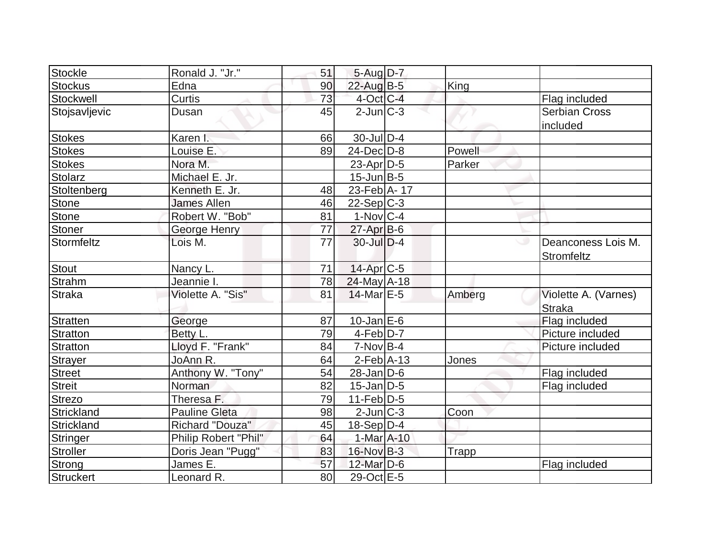| Stockle          | Ronald J. "Jr."      | 51 | $5-Aug D-7$       |              |                                  |
|------------------|----------------------|----|-------------------|--------------|----------------------------------|
| <b>Stockus</b>   | Edna                 | 90 | 22-Aug B-5        | King         |                                  |
| Stockwell        | Curtis               | 73 | $4$ -Oct C-4      |              | Flag included                    |
| Stojsavljevic    | Dusan                | 45 | $2$ -Jun $C-3$    |              | <b>Serbian Cross</b>             |
|                  |                      |    |                   |              | included                         |
| <b>Stokes</b>    | Karen I.             | 66 | $30$ -JulD-4      |              |                                  |
| <b>Stokes</b>    | Louise E.            | 89 | $24$ -Dec $D-8$   | Powell       |                                  |
| <b>Stokes</b>    | Nora M.              |    | $23$ -Apr $D-5$   | Parker       |                                  |
| <b>Stolarz</b>   | Michael E. Jr.       |    | $15$ -Jun $B$ -5  |              |                                  |
| Stoltenberg      | Kenneth E. Jr.       | 48 | 23-Feb A-17       |              |                                  |
| <b>Stone</b>     | <b>James Allen</b>   | 46 | $22-Sep C-3$      |              |                                  |
| <b>Stone</b>     | Robert W. "Bob"      | 81 | $1-Nov C-4$       |              |                                  |
| <b>Stoner</b>    | George Henry         | 77 | $27$ -Apr $B$ -6  |              |                                  |
| Stormfeltz       | Lois M.              | 77 | 30-Jul D-4        |              | Deanconess Lois M.<br>Stromfeltz |
| <b>Stout</b>     | Nancy L.             | 71 | $14$ -Apr $C$ -5  |              |                                  |
| <b>Strahm</b>    | Jeannie I.           | 78 | 24-May A-18       |              |                                  |
| <b>Straka</b>    | Violette A. "Sis"    | 81 | $14$ -Mar $E-5$   | Amberg       | Violette A. (Varnes)             |
|                  |                      |    |                   |              | <b>Straka</b>                    |
| <b>Stratten</b>  | George               | 87 | $10$ -Jan $E-6$   |              | Flag included                    |
| <b>Stratton</b>  | Betty L.             | 79 | $4$ -Feb $D-7$    |              | Picture included                 |
| <b>Stratton</b>  | Lloyd F. "Frank"     | 84 | $7-Nov$ B-4       |              | Picture included                 |
| <b>Strayer</b>   | JoAnn R.             | 64 | $2$ -Feb $ A-13$  | Jones        |                                  |
| <b>Street</b>    | Anthony W. "Tony"    | 54 | $28$ -Jan $ D-6 $ |              | Flag included                    |
| <b>Streit</b>    | Norman               | 82 | $15$ -Jan $D-5$   |              | Flag included                    |
| <b>Strezo</b>    | Theresa F.           | 79 | $11-Feb D-5$      |              |                                  |
| Strickland       | <b>Pauline Gleta</b> | 98 | $2$ -Jun $ C-3 $  | Coon         |                                  |
| Strickland       | Richard "Douza"      | 45 | $18-Sep D-4$      |              |                                  |
| <b>Stringer</b>  | Philip Robert "Phil" | 64 | 1-Mar A-10        |              |                                  |
| <b>Stroller</b>  | Doris Jean "Pugg"    | 83 | 16-Nov B-3        | <b>Trapp</b> |                                  |
| Strong           | James E.             | 57 | $12$ -Mar $D-6$   |              | Flag included                    |
| <b>Struckert</b> | Leonard R.           | 80 | 29-Oct E-5        |              |                                  |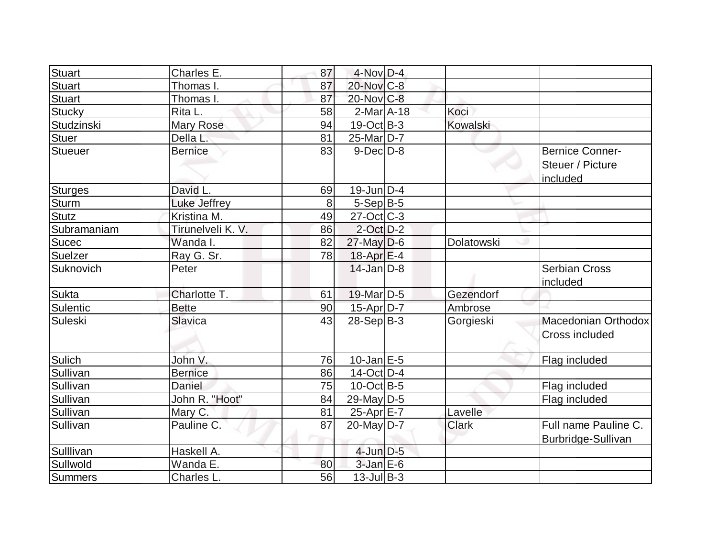| <b>Stuart</b>   | Charles E.        | 87 | $4$ -Nov $D-4$    |              |                                                        |
|-----------------|-------------------|----|-------------------|--------------|--------------------------------------------------------|
| <b>Stuart</b>   | Thomas I.         | 87 | $20$ -Nov $C-8$   |              |                                                        |
| <b>Stuart</b>   | Thomas I.         | 87 | 20-Nov C-8        |              |                                                        |
| <b>Stucky</b>   | Rita L.           | 58 | $2$ -Mar $ A-18$  | Koci         |                                                        |
| Studzinski      | Mary Rose         | 94 | $19-Oct$ B-3      | Kowalski     |                                                        |
| <b>Stuer</b>    | Della L.          | 81 | 25-Mar D-7        |              |                                                        |
| <b>Stueuer</b>  | <b>Bernice</b>    | 83 | $9-Dec$ D $-8$    |              | <b>Bernice Conner-</b><br>Steuer / Picture<br>included |
| <b>Sturges</b>  | David L.          | 69 | $19$ -Jun $ D-4$  |              |                                                        |
| <b>Sturm</b>    | Luke Jeffrey      | 8  | $5-Sep B-5$       |              |                                                        |
| <b>Stutz</b>    | Kristina M.       | 49 | $27$ -Oct $ C-3 $ |              |                                                        |
| Subramaniam     | Tirunelveli K. V. | 86 | $2$ -Oct $D-2$    |              |                                                        |
| <b>Sucec</b>    | Wanda I.          | 82 | $27$ -May D-6     | Dolatowski   |                                                        |
| Suelzer         | Ray G. Sr.        | 78 | $18$ -Apr $E-4$   |              |                                                        |
| Suknovich       | Peter             |    | $14$ -Jan $D-8$   |              | <b>Serbian Cross</b><br>included                       |
| <b>Sukta</b>    | Charlotte T.      | 61 | $19$ -Mar $ D-5 $ | Gezendorf    |                                                        |
| <b>Sulentic</b> | <b>Bette</b>      | 90 | 15-Apr D-7        | Ambrose      |                                                        |
| Suleski         | <b>Slavica</b>    | 43 | $28-Sep B-3$      | Gorgieski    | Macedonian Orthodox<br>Cross included                  |
| Sulich          | John V.           | 76 | $10$ -Jan $E-5$   |              | Flag included                                          |
| Sullivan        | <b>Bernice</b>    | 86 | $14$ -Oct $ D-4$  |              |                                                        |
| Sullivan        | Daniel            | 75 | $10$ -Oct B-5     |              | Flag included                                          |
| Sullivan        | John R. "Hoot"    | 84 | 29-May $D-5$      |              | Flag included                                          |
| Sullivan        | Mary C.           | 81 | $25$ -Apr $E$ -7  | Lavelle      |                                                        |
| Sullivan        | Pauline C.        | 87 | $20$ -May $ D-7 $ | <b>Clark</b> | Full name Pauline C.<br>Burbridge-Sullivan             |
| Sulllivan       | Haskell A.        |    | 4-Jun D-5         |              |                                                        |
| Sullwold        | Wanda E.          | 80 | $3$ -Jan $E$ -6   |              |                                                        |
| <b>Summers</b>  | Charles L.        | 56 | $13$ -Jul B-3     |              |                                                        |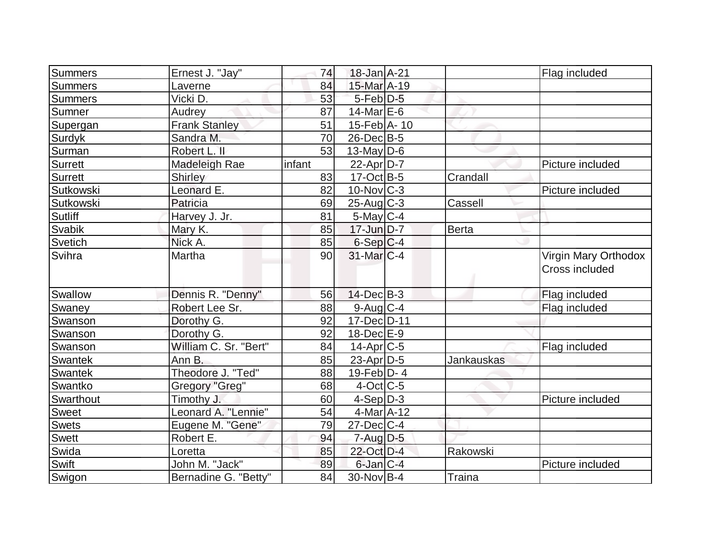| <b>Summers</b> | Ernest J. "Jay"       | 74     | 18-Jan A-21           |            | Flag included                          |
|----------------|-----------------------|--------|-----------------------|------------|----------------------------------------|
| <b>Summers</b> | Laverne               | 84     | 15-Mar A-19           |            |                                        |
| <b>Summers</b> | Vicki D.              | 53     | $5$ -Feb $D-5$        |            |                                        |
| Sumner         | Audrey                | 87     | $14$ -Mar $E$ -6      |            |                                        |
| Supergan       | <b>Frank Stanley</b>  | 51     | 15-Feb A- 10          |            |                                        |
| Surdyk         | Sandra M.             | 70     | 26-DecB-5             |            |                                        |
| Surman         | Robert L. II          | 53     | $13$ -May D-6         |            |                                        |
| Surrett        | Madeleigh Rae         | infant | $22$ -Apr $D-7$       |            | Picture included                       |
| <b>Surrett</b> | <b>Shirley</b>        | 83     | $17-Oct$ B-5          | Crandall   |                                        |
| Sutkowski      | Leonard E.            | 82     | $10$ -Nov $ C-3 $     |            | Picture included                       |
| Sutkowski      | Patricia              | 69     | $25$ -Aug C-3         | Cassell    |                                        |
| Sutliff        | Harvey J. Jr.         | 81     | $5$ -May $C$ -4       |            |                                        |
| Svabik         | Mary K.               | 85     | $17$ -Jun $D-7$       | Berta      |                                        |
| Svetich        | Nick A.               | 85     | $6-Sep C-4$           |            |                                        |
| Svihra         | Martha                | 90     | $31$ -Mar $ C-4 $     |            | Virgin Mary Orthodox<br>Cross included |
| <b>Swallow</b> | Dennis R. "Denny"     | 56     | $14$ -Dec $B-3$       |            | Flag included                          |
| Swaney         | Robert Lee Sr.        | 88     | 9-Aug C-4             |            | Flag included                          |
| Swanson        | Dorothy G.            | 92     | 17-Dec D-11           |            |                                        |
| Swanson        | Dorothy G.            | 92     | 18-Dec E-9            |            |                                        |
| Swanson        | William C. Sr. "Bert" | 84     | 14-Apr <sub>C-5</sub> |            | Flag included                          |
| <b>Swantek</b> | Ann B.                | 85     | $23$ -Apr $D-5$       | Jankauskas |                                        |
| <b>Swantek</b> | Theodore J. "Ted"     | 88     | $19$ -Feb $ D-4$      |            |                                        |
| Swantko        | Gregory "Greg"        | 68     | $4$ -Oct $ C-5 $      |            |                                        |
| Swarthout      | Timothy J.            | 60     | $4-Sep D-3$           |            | Picture included                       |
| <b>Sweet</b>   | Leonard A. "Lennie"   | 54     | 4-Mar A-12            |            |                                        |
| <b>Swets</b>   | Eugene M. "Gene"      | 79     | $27$ -Dec $C-4$       |            |                                        |
| Swett          | Robert E.             | 94     | $7 - Aug$ $D-5$       |            |                                        |
| Swida          | Loretta               | 85     | 22-Oct D-4            | Rakowski   |                                        |
| Swift          | John M. "Jack"        | 89     | $6$ -Jan $ C-4$       |            | Picture included                       |
| Swigon         | Bernadine G. "Betty"  | 84     | 30-Nov B-4            | Traina     |                                        |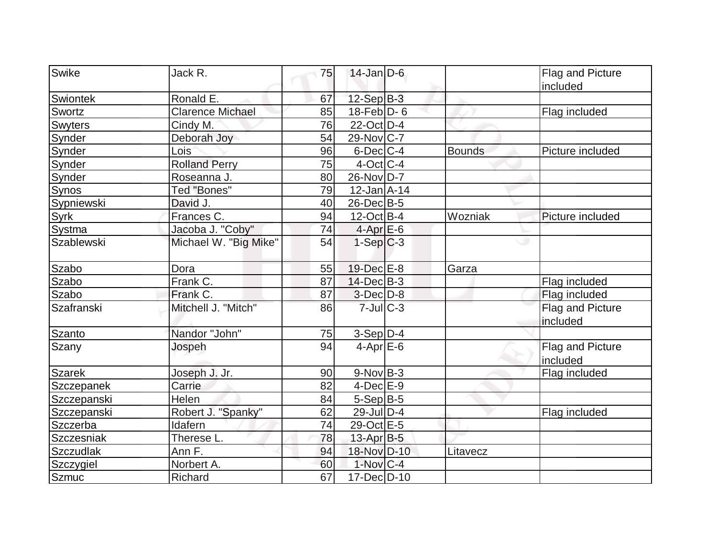| Swike            | Jack R.                 | 75 | $14$ -Jan D-6          |               | Flag and Picture             |
|------------------|-------------------------|----|------------------------|---------------|------------------------------|
|                  |                         |    |                        |               | included                     |
| Swiontek         | Ronald E.               | 67 | $12-Sep$ B-3           |               |                              |
| Swortz           | <b>Clarence Michael</b> | 85 | $18$ -Feb $ D-6 $      |               | Flag included                |
| <b>Swyters</b>   | Cindy M.                | 76 | 22-Oct D-4             |               |                              |
| Synder           | Deborah Joy             | 54 | $29$ -Nov $ C-7 $      |               |                              |
| Synder           | Lois                    | 96 | $6$ -Dec $C$ -4        | <b>Bounds</b> | Picture included             |
| Synder           | <b>Rolland Perry</b>    | 75 | $4$ -Oct C-4           |               |                              |
| Synder           | Roseanna J.             | 80 | 26-Nov D-7             |               |                              |
| Synos            | Ted "Bones"             | 79 | $12$ -Jan $A-14$       |               |                              |
| Sypniewski       | David J.                | 40 | $26$ -Dec $B$ -5       |               |                              |
| Syrk             | Frances C.              | 94 | $12$ -Oct B-4          | Wozniak       | Picture included             |
| Systma           | Jacoba J. "Coby"        | 74 | $4$ -Apr $E$ -6        |               |                              |
| Szablewski       | Michael W. "Big Mike"   | 54 | $1-Sep C-3$            |               | ◡                            |
| Szabo            | Dora                    | 55 | 19-Dec E-8             | Garza         |                              |
| Szabo            | Frank C.                | 87 | $14$ -Dec $B-3$        |               | Flag included                |
| Szabo            | Frank C.                | 87 | $3$ -Dec $D-8$         |               | Flag included                |
| Szafranski       | Mitchell J. "Mitch"     | 86 | $7$ -Jul $C-3$         |               | Flag and Picture<br>included |
| <b>Szanto</b>    | Nandor "John"           | 75 | $3-Sep D-4$            |               |                              |
| Szany            | Jospeh                  | 94 | $4$ -Apr $E$ -6        |               | Flag and Picture<br>included |
| <b>Szarek</b>    | Joseph J. Jr.           | 90 | $9-Nov B-3$            |               | Flag included                |
| Szczepanek       | Carrie                  | 82 | $4$ -Dec $E-9$         |               |                              |
| Szczepanski      | Helen                   | 84 | $5-Sep$ B-5            |               |                              |
| Szczepanski      | Robert J. "Spanky"      | 62 | $29$ -Jul $ D-4$       |               | Flag included                |
| Szczerba         | Idafern                 | 74 | 29-Oct E-5             |               |                              |
| Szczesniak       | Therese L.              | 78 | 13-Apr B-5             |               |                              |
| <b>Szczudlak</b> | Ann F.                  | 94 | 18-Nov D-10            | Litavecz      |                              |
| Szczygiel        | Norbert A.              | 60 | $1-Nov$ <sub>C-4</sub> |               |                              |
| <b>Szmuc</b>     | Richard                 | 67 | 17-Dec D-10            |               |                              |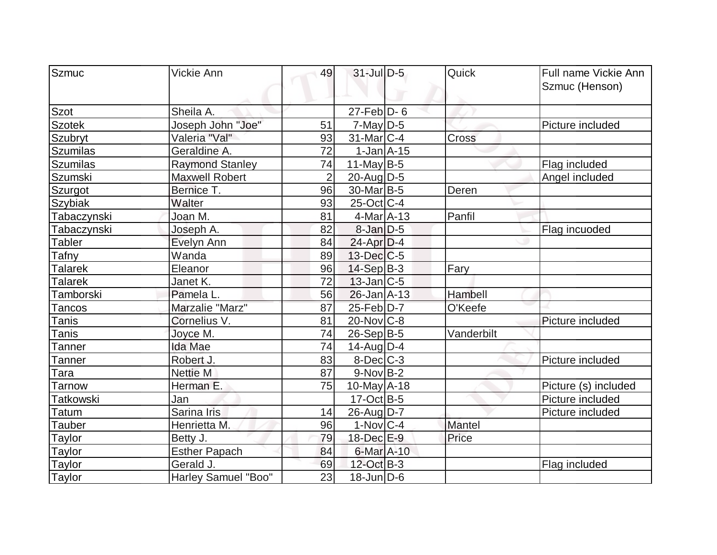| Szmuc           | Vickie Ann             | 49             | $31$ -Jul $D-5$        | Quick      | Full name Vickie Ann |
|-----------------|------------------------|----------------|------------------------|------------|----------------------|
|                 |                        |                |                        |            |                      |
|                 |                        |                |                        |            | Szmuc (Henson)       |
| Szot            | Sheila A.              |                | $27$ -Feb $ D-6$       |            |                      |
| <b>Szotek</b>   | Joseph John "Joe"      | 51             | $7$ -May D-5           |            | Picture included     |
| Szubryt         | Valeria "Val"          | 93             | $31$ -Mar $ C-4 $      | Cross      |                      |
| <b>Szumilas</b> | Geraldine A.           | 72             | $1-Jan1A-15$           |            |                      |
| <b>Szumilas</b> | <b>Raymond Stanley</b> | 74             | $11$ -May B-5          |            | Flag included        |
| Szumski         | <b>Maxwell Robert</b>  | $\overline{2}$ | $20$ -Aug $D-5$        |            | Angel included       |
| Szurgot         | Bernice T.             | 96             | 30-Mar <sub>B-5</sub>  | Deren      |                      |
| <b>Szybiak</b>  | Walter                 | 93             | 25-Oct C-4             |            |                      |
| Tabaczynski     | Joan M.                | 81             | $4$ -Mar $A$ -13       | Panfil     |                      |
| Tabaczynski     | Joseph A.              | 82             | $8$ -Jan $D-5$         |            | Flag incuoded        |
| Tabler          | Evelyn Ann             | 84             | $24$ -Apr $D-4$        |            |                      |
| Tafny           | Wanda                  | 89             | $13$ -Dec $C$ -5       |            |                      |
| <b>Talarek</b>  | Eleanor                | 96             | $14-Sep$ B-3           | Fary       |                      |
| <b>Talarek</b>  | Janet K.               | 72             | $13$ -Jan $ C-5 $      |            |                      |
| Tamborski       | Pamela L.              | 56             | $26$ -Jan $A-13$       | Hambell    |                      |
| Tancos          | Marzalie "Marz"        | 87             | 25-Feb D-7             | O'Keefe    |                      |
| Tanis           | Cornelius V.           | 81             | $20$ -Nov $ C-8 $      |            | Picture included     |
| Tanis           | Joyce M.               | 74             | $26-Sep B-5$           | Vanderbilt |                      |
| Tanner          | Ida Mae                | 74             | $14$ -Aug $D-4$        |            |                      |
| Tanner          | Robert J.              | 83             | $8$ -Dec $C$ -3        |            | Picture included     |
| Гаra            | Nettie M               | 87             | $9-Nov B-2$            |            |                      |
| Tarnow          | Herman E.              | 75             | $10$ -May $A$ -18      |            | Picture (s) included |
| Tatkowski       | Jan                    |                | $17-Oct$ B-5           |            | Picture included     |
| Гatum           | Sarina Iris            | 14             | 26-Aug D-7             |            | Picture included     |
| Tauber          | Henrietta M.           | 96             | $1-Nov$ <sub>C-4</sub> | Mantel     |                      |
| <b>Taylor</b>   | Betty J.               | 79             | 18-Dec E-9             | Price      |                      |
| <b>Taylor</b>   | <b>Esther Papach</b>   | 84             | 6-Mar A-10             |            |                      |
| Taylor          | Gerald J.              | 69             | 12-Oct B-3             |            | Flag included        |
| Taylor          | Harley Samuel "Boo"    | 23             | $18$ -Jun $D-6$        |            |                      |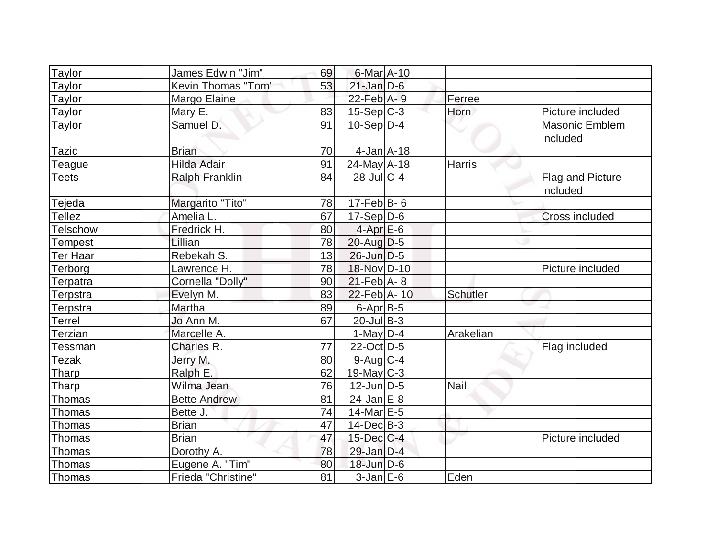| Taylor          | James Edwin "Jim"     | 69 | 6-Mar A-10                   |                 |                              |
|-----------------|-----------------------|----|------------------------------|-----------------|------------------------------|
| Taylor          | Kevin Thomas "Tom"    | 53 | $21$ -Jan D-6                |                 |                              |
| Taylor          | Margo Elaine          |    | $22$ -Feb $A - 9$            | Ferree          |                              |
| Taylor          | Mary E.               | 83 | $15-Sep$ C-3                 | Horn            | Picture included             |
| Taylor          | Samuel D.             | 91 | $10-Sep D-4$                 |                 | Masonic Emblem<br>included   |
| <b>Tazic</b>    | <b>Brian</b>          | 70 | $4$ -Jan $A$ -18             |                 |                              |
| Teague          | <b>Hilda Adair</b>    | 91 | $24$ -May A-18               | <b>Harris</b>   |                              |
| <b>Teets</b>    | <b>Ralph Franklin</b> | 84 | $28$ -JulC-4                 |                 | Flag and Picture<br>included |
| Tejeda          | Margarito "Tito"      | 78 | 17-Feb $B$ - 6               |                 |                              |
| <b>Tellez</b>   | Amelia L.             | 67 | $17-Sep D-6$                 |                 | <b>Cross included</b>        |
| <b>Telschow</b> | Fredrick H.           | 80 | $4-AprE-6$                   |                 |                              |
| Tempest         | Lillian               | 78 | $20$ -Aug $D-5$              |                 |                              |
| <b>Ter Haar</b> | Rebekah S.            | 13 | $26$ -Jun $D-5$              |                 |                              |
| Terborg         | Lawrence H.           | 78 | 18-Nov D-10                  |                 | Picture included             |
| Terpatra        | Cornella "Dolly"      | 90 | $21$ -Feb $\overline{A}$ - 8 |                 |                              |
| Terpstra        | Evelyn M.             | 83 | $22$ -Feb $ A-10 $           | <b>Schutler</b> |                              |
| Terpstra        | Martha                | 89 | 6-Apr B-5                    |                 |                              |
| <b>Terrel</b>   | Jo Ann M.             | 67 | $20$ -Jul B-3                |                 |                              |
| Terzian         | Marcelle A.           |    | 1-May $D-4$                  | Arakelian       |                              |
| Tessman         | Charles R.            | 77 | 22-Oct D-5                   |                 | Flag included                |
| <b>Tezak</b>    | Jerry M.              | 80 | $9$ -Aug $C$ -4              |                 |                              |
| Tharp           | Ralph E.              | 62 | $19$ -May C-3                |                 |                              |
| <b>Tharp</b>    | Wilma Jean            | 76 | $12$ -Jun $ D-5$             | <b>Nail</b>     |                              |
| Thomas          | <b>Bette Andrew</b>   | 81 | $24$ -Jan $E-8$              |                 |                              |
| Thomas          | Bette J.              | 74 | $14$ -Mar $E-5$              |                 |                              |
| Thomas          | <b>Brian</b>          | 47 | $14$ -Dec $B$ -3             |                 |                              |
| Thomas          | <b>Brian</b>          | 47 | $15$ -Dec $ C-4 $            |                 | Picture included             |
| Thomas          | Dorothy A.            | 78 | 29-Jan D-4                   |                 |                              |
| <b>Thomas</b>   | Eugene A. "Tim"       | 80 | $18$ -Jun $D-6$              |                 |                              |
| Thomas          | Frieda "Christine"    | 81 | $3-Jan$ $E-6$                | Eden            |                              |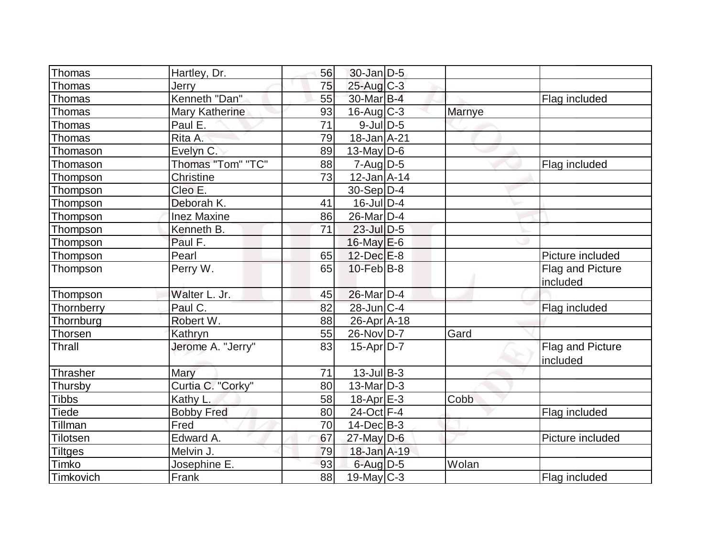| Thomas          | Hartley, Dr.                 | 56 | 30-Jan D-5                  |               |                                     |
|-----------------|------------------------------|----|-----------------------------|---------------|-------------------------------------|
| <b>Thomas</b>   | Jerry                        | 75 | $25$ -Aug C-3               |               |                                     |
| Thomas          | Kenneth "Dan"                | 55 | 30-Mar B-4                  |               | Flag included                       |
| Thomas          | <b>Mary Katherine</b>        | 93 | $16$ -Aug C-3               | <b>Marnye</b> |                                     |
| Thomas          | Paul E.                      | 71 | $9$ -Jul $D$ -5             |               |                                     |
| Thomas          | Rita A.                      | 79 | $18$ -Jan $A$ -21           |               |                                     |
| Thomason        | Evelyn C.                    | 89 | 13-May $D-6$                |               |                                     |
| Thomason        | Thomas "Tom" "TC"            | 88 | $7 - Aug   D-5$             |               | Flag included                       |
| Thompson        | <b>Christine</b>             | 73 | $12$ -Jan $A$ -14           |               |                                     |
| Thompson        | Cleo E.                      |    | $30-Sep D-4$                |               |                                     |
| Thompson        | Deborah K.                   | 41 | $16$ -Jul $D-4$             |               |                                     |
| Thompson        | <b>Inez Maxine</b>           | 86 | $26$ -Mar $ D-4 $           |               |                                     |
| Thompson        | Kenneth B.                   | 71 | $23$ -Jul $\overline{D}$ -5 |               |                                     |
| Thompson        | Paul F.                      |    | $16$ -May $E$ -6            |               |                                     |
| Thompson        | Pearl                        | 65 | $12$ -Dec $E-8$             |               | Picture included                    |
| Thompson        | Perry W.                     | 65 | $10$ -Feb $ B-8$            |               | Flag and Picture<br>included        |
| Thompson        | Walter L. Jr.                | 45 | $26$ -Mar $ D-4 $           |               |                                     |
| Thornberry      | Paul C.                      | 82 | 28-Jun C-4                  |               |                                     |
| Thornburg       | Robert W.                    | 88 | $26$ -Apr $ A-18$           |               | Flag included                       |
|                 |                              | 55 |                             | Gard          |                                     |
| Thorsen         | Kathryn<br>Jerome A. "Jerry" |    | 26-Nov D-7                  |               |                                     |
| Thrall          |                              | 83 | $15-Apr D-7$                |               | <b>Flag and Picture</b><br>included |
| Thrasher        | Mary                         | 71 | $13$ -Jul B-3               |               |                                     |
| Thursby         | Curtia C. "Corky"            | 80 | $13$ -Mar $ D-3 $           |               |                                     |
| <b>Tibbs</b>    | Kathy L.                     | 58 | 18-Apr <sub>E-3</sub>       | Cobb          |                                     |
| <b>Tiede</b>    | <b>Bobby Fred</b>            | 80 | 24-Oct F-4                  |               | Flag included                       |
| Tillman         | Fred                         | 70 | $14$ -Dec $B-3$             |               |                                     |
| <b>Tilotsen</b> | Edward A.                    | 67 | $27$ -May $D-6$             |               | Picture included                    |
| <b>Tiltges</b>  | Melvin J.                    | 79 | 18-Jan A-19                 |               |                                     |
| Timko           | Josephine E.                 | 93 | $6$ -Aug $D-5$              | Wolan         |                                     |
| Timkovich       | <b>Frank</b>                 | 88 | $19$ -May C-3               |               | Flag included                       |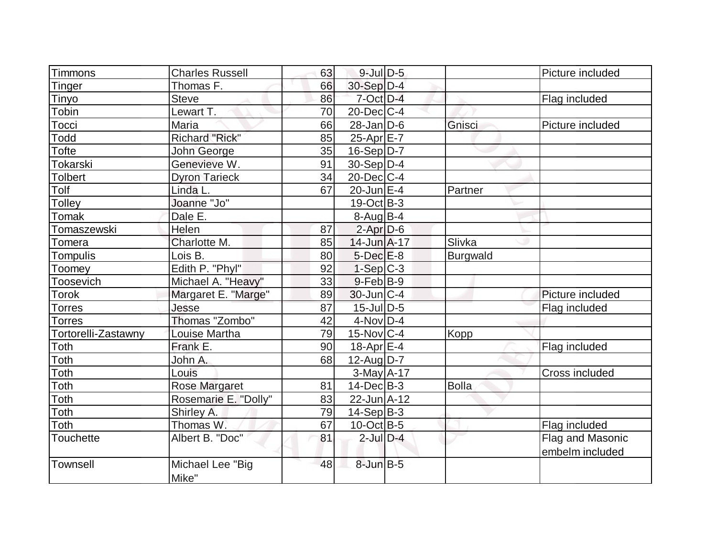| Timmons             | <b>Charles Russell</b>    | 63 | $9$ -Jul $D-5$    |              | Picture included |
|---------------------|---------------------------|----|-------------------|--------------|------------------|
| Tinger              | Thomas F.                 | 66 | 30-Sep D-4        |              |                  |
| Tinyo               | <b>Steve</b>              | 86 | 7-Oct D-4         |              | Flag included    |
| Tobin               | Lewart T.                 | 70 | $20$ -Dec $C$ -4  |              |                  |
| Tocci               | Maria                     | 66 | $28$ -Jan $D$ -6  | Gnisci       | Picture included |
| Todd                | <b>Richard "Rick"</b>     | 85 | $25$ -Apr $E$ -7  |              |                  |
| Tofte               | John George               | 35 | $16-Sep D-7$      |              |                  |
| Tokarski            | Genevieve W.              | 91 | $30-Sep D-4$      |              |                  |
| <b>Tolbert</b>      | <b>Dyron Tarieck</b>      | 34 | 20-Dec C-4        |              |                  |
| Tolf                | Linda L.                  | 67 | $20$ -Jun $E-4$   | Partner      |                  |
| Tolley              | Joanne "Jo"               |    | $19-Oct$ B-3      |              |                  |
| Tomak               | Dale E.                   |    | $8-Auq$ B-4       |              |                  |
| Tomaszewski         | Helen                     | 87 | $2$ -Apr $D-6$    |              |                  |
| Tomera              | Charlotte M.              | 85 | 14-Jun A-17       | Slivka       |                  |
| Tompulis            | Lois B.                   | 80 | $5$ -Dec $E-8$    | Burgwald     |                  |
| Toomey              | Edith P. "Phyl"           | 92 | $1-Sep$ $C-3$     |              |                  |
| Toosevich           | Michael A. "Heavy"        | 33 | $9$ -Feb $ B-9 $  |              |                  |
| Torok               | Margaret E. "Marge"       | 89 | $30$ -Jun $ C-4$  |              | Picture included |
| Torres              | Jesse                     | 87 | $15$ -Jul $D-5$   |              | Flag included    |
| Torres              | Thomas "Zombo"            | 42 | $4-NovD-4$        |              |                  |
| Tortorelli-Zastawny | Louise Martha             | 79 | $15$ -Nov $ C-4$  | Kopp         |                  |
| Toth                | Frank E.                  | 90 | $18$ -Apr $E$ -4  |              | Flag included    |
| Toth                | John A.                   | 68 | $12$ -Aug D-7     |              |                  |
| Toth                | Louis                     |    | $3$ -May $A$ -17  |              | Cross included   |
| Toth                | <b>Rose Margaret</b>      | 81 | $14$ -Dec $B - 3$ | <b>Bolla</b> |                  |
| Toth                | Rosemarie E. "Dolly"      | 83 | 22-Jun A-12       |              |                  |
| Toth                | Shirley A.                | 79 | $14-Sep B-3$      |              |                  |
| Toth                | Thomas W.                 | 67 | $10$ -Oct B-5     |              | Flag included    |
| Touchette           | Albert B. "Doc"           | 81 | $2$ -Jul $D-4$    |              | Flag and Masonic |
|                     |                           |    |                   |              | embelm included  |
| Townsell            | Michael Lee "Big<br>Mike" | 48 | $8$ -Jun $B$ -5   |              |                  |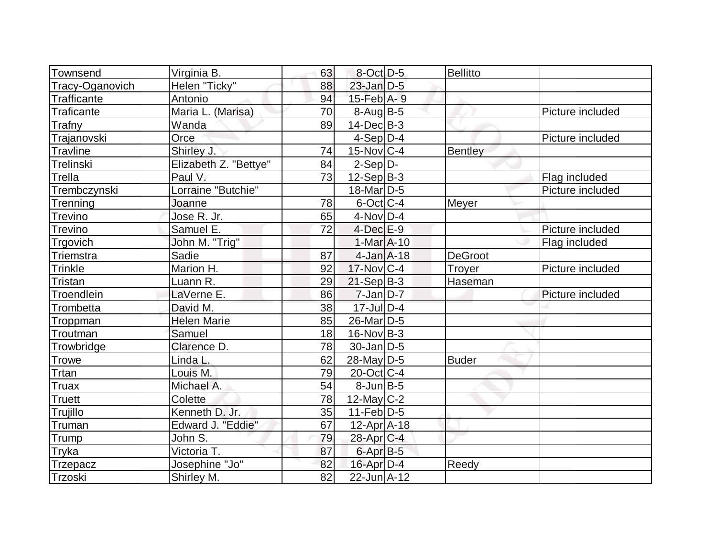| Townsend         | Virginia B.           | 63 | $8$ -Oct $D-5$        | <b>Bellitto</b> |                  |
|------------------|-----------------------|----|-----------------------|-----------------|------------------|
| Tracy-Oganovich  | Helen "Ticky"         | 88 | $23$ -Jan D-5         |                 |                  |
| Trafficante      | Antonio               | 94 | $15$ -Feb $A - 9$     |                 |                  |
| Traficante       | Maria L. (Marisa)     | 70 | $8-Auq$ B-5           |                 | Picture included |
| Trafny           | Wanda                 | 89 | $14$ -Dec $B-3$       |                 |                  |
| Trajanovski      | Orce                  |    | $4-Sep D-4$           |                 | Picture included |
| <b>Travline</b>  | Shirley J.            | 74 | 15-Nov C-4            | <b>Bentley</b>  |                  |
| Trelinski        | Elizabeth Z. "Bettye" | 84 | $2-Sep D-$            |                 |                  |
| Trella           | Paul V.               | 73 | $12-Sep B-3$          |                 | Flag included    |
| Trembczynski     | Lorraine "Butchie"    |    | $18$ -Mar $ D-5 $     |                 | Picture included |
| Trenning         | Joanne                | 78 | $6$ -Oct $ C-4 $      | Meyer           |                  |
| <b>Trevino</b>   | Jose R. Jr.           | 65 | $4$ -Nov D-4          |                 |                  |
| <b>Trevino</b>   | Samuel E.             | 72 | $4$ -Dec $E-9$        |                 | Picture included |
| Trgovich         | John M. "Trig"        |    | $1-MarA-10$           |                 | Flag included    |
| <b>Triemstra</b> | Sadie                 | 87 | $4$ -Jan $A$ -18      | <b>DeGroot</b>  |                  |
| <b>Trinkle</b>   | Marion H.             | 92 | 17-Nov C-4            | Troyer          | Picture included |
| Tristan          | Luann R.              | 29 | $21-Sep B-3$          | Haseman         |                  |
| Troendlein       | LaVerne E.            | 86 | $7$ -Jan $D-7$        |                 | Picture included |
| Trombetta        | David M.              | 38 | $17$ -Jul $D-4$       |                 |                  |
| Troppman         | <b>Helen Marie</b>    | 85 | 26-Mar <sub>D-5</sub> |                 |                  |
| Troutman         | Samuel                | 18 | $16$ -Nov $ B-3 $     |                 |                  |
| Trowbridge       | Clarence D.           | 78 | $30 - Jan$ $D-5$      |                 |                  |
| <b>Trowe</b>     | Linda L.              | 62 | 28-May D-5            | <b>Buder</b>    |                  |
| Trtan            | Louis M.              | 79 | 20-Oct C-4            |                 |                  |
| Truax            | Michael A.            | 54 | $8$ -Jun $B$ -5       |                 |                  |
| <b>Truett</b>    | Colette               | 78 | 12-May $C-2$          |                 |                  |
| Trujillo         | Kenneth D. Jr.        | 35 | $11-Feb D-5$          |                 |                  |
| Truman           | Edward J. "Eddie"     | 67 | $12$ -Apr $ A-18$     |                 |                  |
| Trump            | John S.               | 79 | 28-Apr <sub>C-4</sub> |                 |                  |
| Tryka            | Victoria T.           | 87 | $6$ -Apr $B$ -5       |                 |                  |
| <b>Trzepacz</b>  | Josephine "Jo"        | 82 | $16$ -Apr $D-4$       | Reedy           |                  |
| Trzoski          | Shirley M.            | 82 | 22-Jun A-12           |                 |                  |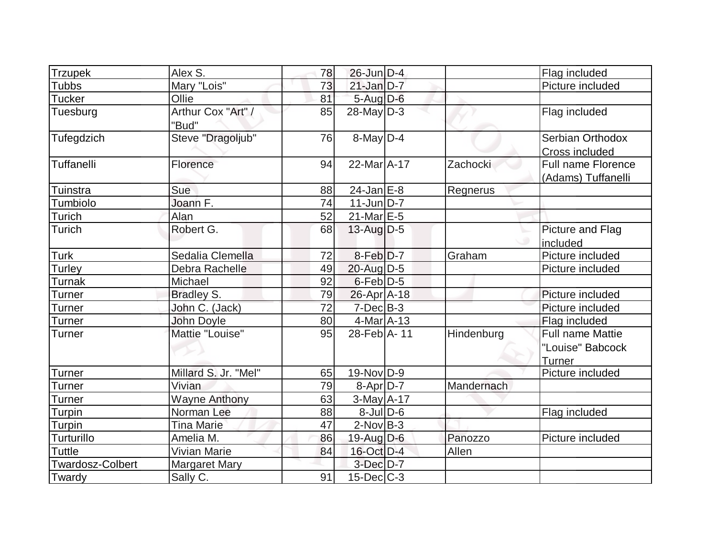| <b>Trzupek</b>          | Alex S.                     | 78 | $26$ -Jun $D-4$      |            | Flag included      |
|-------------------------|-----------------------------|----|----------------------|------------|--------------------|
|                         |                             |    |                      |            |                    |
| <b>Tubbs</b>            | Mary "Lois"                 | 73 | $21$ -Jan $D-7$      |            | Picture included   |
| <b>Tucker</b>           | Ollie                       | 81 | 5-Aug D-6            |            |                    |
| Tuesburg                | Arthur Cox "Art" /<br>"Bud" | 85 | $28$ -May D-3        |            | Flag included      |
| Tufegdzich              | Steve "Dragoljub"           | 76 | $8$ -May $D-4$       |            | Serbian Orthodox   |
|                         |                             |    |                      |            | Cross included     |
| Tuffanelli              | Florence                    | 94 | $22$ -Mar $A$ -17    | Zachocki   | Full name Florence |
|                         |                             |    |                      |            | (Adams) Tuffanelli |
| Tuinstra                | Sue                         | 88 | $24$ -Jan $E$ -8     | Regnerus   |                    |
| Tumbiolo                | Joann F.                    | 74 | $11$ -Jun $D-7$      |            |                    |
| Turich                  | Alan                        | 52 | $21$ -Mar $E-5$      |            |                    |
| Turich                  | Robert G.                   | 68 | $13$ -Aug D-5        |            | Picture and Flag   |
|                         |                             |    |                      |            | included           |
| Turk                    | Sedalia Clemella            | 72 | 8-Feb <sup>D-7</sup> | Graham     | Picture included   |
| Turley                  | Debra Rachelle              | 49 | 20-Aug D-5           |            | Picture included   |
| Turnak                  | Michael                     | 92 | $6$ -Feb $D-5$       |            |                    |
| <b>Turner</b>           | Bradley S.                  | 79 | $26$ -Apr $ A-18 $   |            | Picture included   |
| <b>Turner</b>           | John C. (Jack)              | 72 | $7$ -Dec $B-3$       |            | Picture included   |
| Turner                  | John Doyle                  | 80 | $4$ -Mar $A$ -13     |            | Flag included      |
| Turner                  | Mattie "Louise"             | 95 | 28-Feb A-11          | Hindenburg | Full name Mattie   |
|                         |                             |    |                      |            | "Louise" Babcock   |
|                         |                             |    |                      |            | Turner             |
| Turner                  | Millard S. Jr. "Mel"        | 65 | $19-Nov D-9$         |            | Picture included   |
| Turner                  | Vivian                      | 79 | $8-Apr D-7$          | Mandernach |                    |
| Turner                  | <b>Wayne Anthony</b>        | 63 | $3-May$ A-17         |            |                    |
| Turpin                  | Norman Lee                  | 88 | $8$ -Jul $D$ -6      |            | Flag included      |
| Turpin                  | <b>Tina Marie</b>           | 47 | $2$ -Nov B-3         |            |                    |
| Turturillo              | Amelia M.                   | 86 | 19-Aug D-6           | Panozzo    | Picture included   |
| Tuttle                  | <b>Vivian Marie</b>         | 84 | 16-Oct D-4           | Allen      |                    |
| <b>Twardosz-Colbert</b> | <b>Margaret Mary</b>        |    | $3$ -Dec $D-7$       |            |                    |
| Twardy                  | Sally C.                    | 91 | $15$ -Dec $ C-3 $    |            |                    |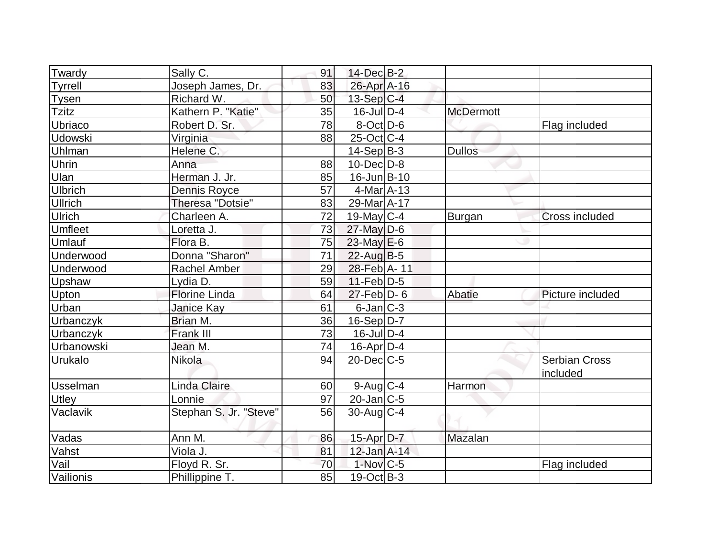| Twardy          | Sally C.               | 91 | $14$ -Dec $B-2$        |                  |                       |
|-----------------|------------------------|----|------------------------|------------------|-----------------------|
| <b>Tyrrell</b>  | Joseph James, Dr.      | 83 | 26-Apr A-16            |                  |                       |
| <b>Tysen</b>    | Richard W.             | 50 | $13-Sep C-4$           |                  |                       |
| <b>Tzitz</b>    | Kathern P. "Katie"     | 35 | $16$ -JulD-4           | <b>McDermott</b> |                       |
| Ubriaco         | Robert D. Sr.          | 78 | $8$ -Oct $ D-6 $       |                  | Flag included         |
| <b>Udowski</b>  | Virginia               | 88 | $25$ -Oct $ C-4 $      |                  |                       |
| Uhlman          | Helene C.              |    | $14-Sep B-3$           | <b>Dullos</b>    |                       |
| <b>Uhrin</b>    | Anna                   | 88 | $10$ -Dec $D$ -8       |                  |                       |
| Ulan            | Herman J. Jr.          | 85 | $16$ -Jun $B$ -10      |                  |                       |
| <b>Ulbrich</b>  | <b>Dennis Royce</b>    | 57 | $4$ -Mar $A$ -13       |                  |                       |
| <b>Ullrich</b>  | Theresa "Dotsie"       | 83 | 29-Mar A-17            |                  |                       |
| Ulrich          | Charleen A.            | 72 | $19$ -May C-4          | Burgan           | <b>Cross included</b> |
| Umfleet         | Loretta J.             | 73 | $27$ -May D-6          |                  |                       |
| Umlauf          | Flora B.               | 75 | $23$ -May $E$ -6       |                  |                       |
| Underwood       | Donna "Sharon"         | 71 | $22$ -Aug $B-5$        |                  |                       |
| Underwood       | <b>Rachel Amber</b>    | 29 | 28-Feb A-11            |                  |                       |
| Upshaw          | Lydia D.               | 59 | $11-Feb D-5$           |                  |                       |
| Upton           | <b>Florine Linda</b>   | 64 | $27$ -Feb $D-6$        | Abatie           | Picture included      |
| Urban           | Janice Kay             | 61 | 6-Jan C-3              |                  |                       |
| Urbanczyk       | Brian M.               | 36 | $16-Sep D-7$           |                  |                       |
| Urbanczyk       | Frank III              | 73 | $16$ -Jul $D-4$        |                  |                       |
| Urbanowski      | Jean M.                | 74 | $16$ -Apr $D-4$        |                  |                       |
| Urukalo         | <b>Nikola</b>          | 94 | $20$ -Dec $C$ -5       |                  | <b>Serbian Cross</b>  |
|                 |                        |    |                        |                  | included              |
| <b>Usselman</b> | <b>Linda Claire</b>    | 60 | $9$ -Aug C-4           | Harmon           |                       |
| Utley           | Lonnie                 | 97 | $20$ -Jan $C$ -5       |                  |                       |
| Vaclavik        | Stephan S. Jr. "Steve" | 56 | $30$ -Aug C-4          |                  |                       |
|                 |                        |    |                        |                  |                       |
| Vadas           | Ann M.                 | 86 | 15-Apr D-7             | Mazalan          |                       |
| Vahst           | Viola J.               | 81 | $12$ -Jan $A-14$       |                  |                       |
| Vail            | Floyd R. Sr.           | 70 | $1-Nov$ <sub>C-5</sub> |                  | Flag included         |
| Vailionis       | Phillippine T.         | 85 | $19-Oct$ B-3           |                  |                       |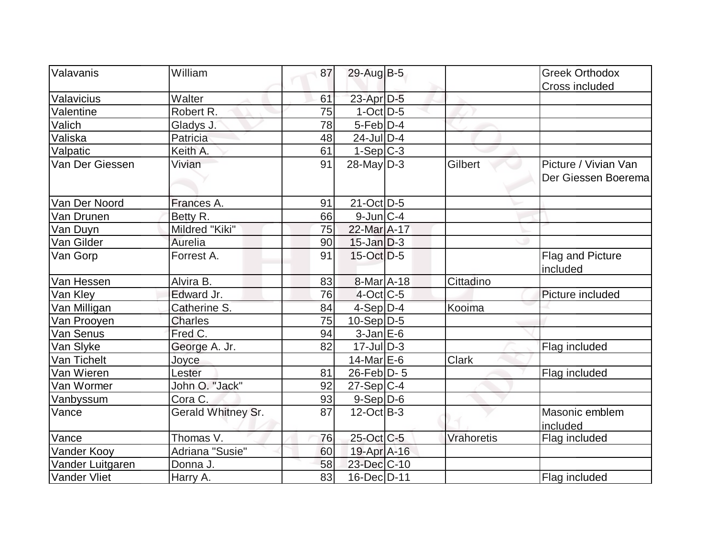| Valavanis           | William            | 87 | 29-Aug B-5       |              | <b>Greek Orthodox</b> |
|---------------------|--------------------|----|------------------|--------------|-----------------------|
|                     |                    |    |                  |              |                       |
| Valavicius          | Walter             | 61 | 23-Apr D-5       |              | Cross included        |
| Valentine           | Robert R.          | 75 | $1$ -Oct $D-5$   |              |                       |
| Valich              | Gladys J.          | 78 | $5-Feb$ D-4      |              |                       |
| Valiska             | Patricia           | 48 | $24$ -Jul $D-4$  |              |                       |
| Valpatic            | Keith A.           | 61 | $1-Sep C-3$      |              |                       |
| Van Der Giessen     | Vivian             | 91 | $28$ -May D-3    | Gilbert      | Picture / Vivian Van  |
|                     |                    |    |                  |              | Der Giessen Boeremal  |
|                     |                    |    |                  |              |                       |
| Van Der Noord       | Frances A.         | 91 | $21$ -Oct $D-5$  |              |                       |
| Van Drunen          | Betty R.           | 66 | $9$ -Jun $ C-4 $ |              |                       |
| Van Duyn            | Mildred "Kiki"     | 75 | 22-Mar A-17      |              |                       |
| Van Gilder          | Aurelia            | 90 | $15$ -Jan D-3    |              |                       |
| Van Gorp            | Forrest A.         | 91 | $15$ -Oct D-5    |              | Flag and Picture      |
|                     |                    |    |                  |              | included              |
| Van Hessen          | Alvira B.          | 83 | 8-Mar A-18       | Cittadino    |                       |
| Van Kley            | Edward Jr.         | 76 | $4$ -Oct $ C-5 $ |              | Picture included      |
| Van Milligan        | Catherine S.       | 84 | $4-Sep D-4$      | Kooima       |                       |
| Van Prooyen         | <b>Charles</b>     | 75 | $10-Sep D-5$     |              |                       |
| Van Senus           | Fred C.            | 94 | $3$ -Jan $E$ -6  |              |                       |
| Van Slyke           | George A. Jr.      | 82 | $17$ -Jul $D-3$  |              | Flag included         |
| Van Tichelt         | Joyce              |    | $14$ -Mar $E$ -6 | <b>Clark</b> |                       |
| Van Wieren          | Lester             | 81 | 26-Feb D-5       |              | Flag included         |
| Van Wormer          | John O. "Jack"     | 92 | $27-Sep C-4$     |              |                       |
| Vanbyssum           | Cora C.            | 93 | $9-Sep$ $D-6$    |              |                       |
| Vance               | Gerald Whitney Sr. | 87 | $12-Oct$ B-3     |              | Masonic emblem        |
|                     |                    |    |                  |              | included              |
| Vance               | Thomas V.          | 76 | 25-Oct C-5       | Vrahoretis   | Flag included         |
| Vander Kooy         | Adriana "Susie"    | 60 | 19-Apr A-16      |              |                       |
| Vander Luitgaren    | Donna J.           | 58 | 23-Dec C-10      |              |                       |
| <b>Vander Vliet</b> | Harry A.           | 83 | 16-Dec D-11      |              | Flag included         |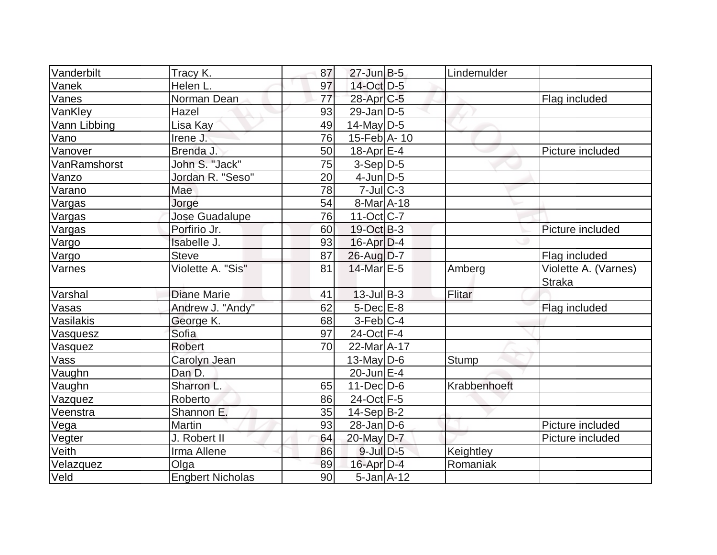| Vanderbilt   | Tracy K.                | 87              | $27$ -Jun $B-5$        | Lindemulder  |                                       |
|--------------|-------------------------|-----------------|------------------------|--------------|---------------------------------------|
| Vanek        | Helen L.                | 97              | 14-Oct D-5             |              |                                       |
| Vanes        | Norman Dean             | $\overline{77}$ | 28-Apr <sub>IC-5</sub> |              | Flag included                         |
| VanKley      | Hazel                   | 93              | $29$ -Jan D-5          |              |                                       |
| Vann Libbing | Lisa Kay                | 49              | $14$ -May $D-5$        |              |                                       |
| Vano         | Irene J.                | 76              | $15$ -Feb $ A-10$      |              |                                       |
| Vanover      | Brenda J.               | 50              | $18$ -Apr $E-4$        |              | Picture included                      |
| VanRamshorst | John S. "Jack"          | 75              | $3-Sep D-5$            |              |                                       |
| Vanzo        | Jordan R. "Seso"        | 20              | $4$ -Jun $D-5$         |              |                                       |
| Varano       | Mae                     | 78              | $7$ -Jul $ C-3 $       |              |                                       |
| Vargas       | Jorge                   | 54              | 8-Mar A-18             |              |                                       |
| Vargas       | Jose Guadalupe          | 76              | $11-Oct$ $C-7$         |              |                                       |
| Vargas       | Porfirio Jr.            | 60              | $19-Oct$ B-3           |              | Picture included                      |
| Vargo        | Isabelle J.             | 93              | $16$ -Apr $D-4$        |              |                                       |
| Vargo        | <b>Steve</b>            | 87              | 26-Aug D-7             |              | Flag included                         |
| Varnes       | Violette A. "Sis"       | 81              | 14-Mar E-5             | Amberg       | Violette A. (Varnes)<br><b>Straka</b> |
| Varshal      | <b>Diane Marie</b>      | 41              | $13$ -Jul B-3          | Flitar       |                                       |
| Vasas        | Andrew J. "Andy"        | 62              | 5-Dec E-8              |              | Flag included                         |
| Vasilakis    | George K.               | 68              | $3-Feb C-4$            |              |                                       |
| Vasquesz     | Sofia                   | 97              | 24-Oct F-4             |              |                                       |
| Vasquez      | <b>Robert</b>           | 70              | 22-Mar A-17            |              |                                       |
| Vass         | Carolyn Jean            |                 | 13-May $D-6$           | <b>Stump</b> |                                       |
| Vaughn       | Dan D.                  |                 | $20$ -Jun $E-4$        |              |                                       |
| Vaughn       | Sharron L.              | 65              | $11$ -Dec $D$ -6       | Krabbenhoeft |                                       |
| Vazquez      | Roberto                 | 86              | 24-Oct F-5             |              |                                       |
| Veenstra     | Shannon E.              | 35              | $14-Sep B-2$           |              |                                       |
| Vega         | Martin                  | 93              | $28$ -Jan $D$ -6       |              | Picture included                      |
| Vegter       | J. Robert II            | 64              | 20-May D-7             |              | Picture included                      |
| Veith        | Irma Allene             | 86              | $9$ -Jul $D-5$         | Keightley    |                                       |
| Velazquez    | Olga                    | 89              | $16$ -Apr $D-4$        | Romaniak     |                                       |
| Veld         | <b>Engbert Nicholas</b> | 90              | $5$ -Jan $A$ -12       |              |                                       |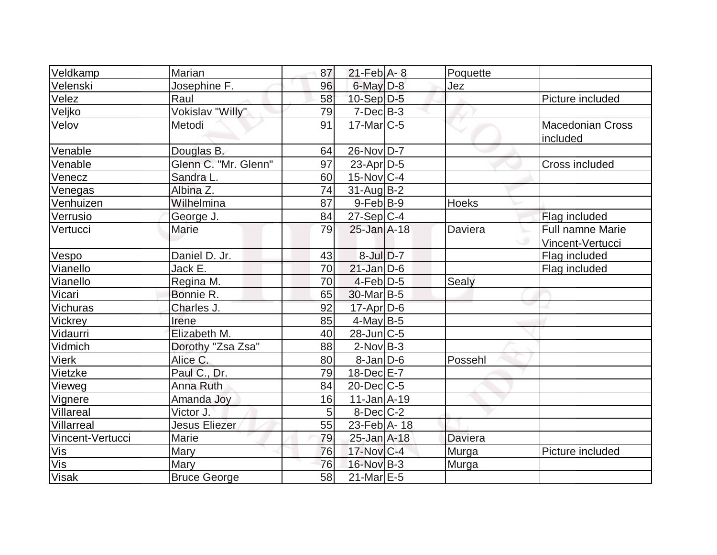| Veldkamp         | Marian               | 87 | $21$ -Feb $A - 8$       | Poquette       |                                                  |
|------------------|----------------------|----|-------------------------|----------------|--------------------------------------------------|
| Velenski         | Josephine F.         | 96 | $6$ -May $D-8$          | Jez            |                                                  |
| Velez            | Raul                 | 58 | $10-Sep D-5$            |                | Picture included                                 |
| Veljko           | Vokislav "Willy"     | 79 | $7-Dec$ B-3             |                |                                                  |
| Velov            | Metodi               | 91 | $17$ -Mar $ C-5 $       |                | <b>Macedonian Cross</b><br>included              |
| Venable          | Douglas B.           | 64 | 26-Nov D-7              |                |                                                  |
| Venable          | Glenn C. "Mr. Glenn" | 97 | $23$ -Apr $ D-5$        |                | Cross included                                   |
| Venecz           | Sandra L.            | 60 | $15$ -Nov $ C-4 $       |                |                                                  |
| Venegas          | Albina Z.            | 74 | $31$ -Aug $B-2$         |                |                                                  |
| Venhuizen        | Wilhelmina           | 87 | $9$ -Feb $ B-9 $        | <b>Hoeks</b>   |                                                  |
| Verrusio         | George J.            | 84 | $27-Sep$ <sub>C-4</sub> |                | Flag included                                    |
| Vertucci         | Marie                | 79 | $25 - Jan A - 18$       | Daviera        | <b>Full namne Marie</b><br>w<br>Vincent-Vertucci |
| Vespo            | Daniel D. Jr.        | 43 | $8$ -Jul $D-7$          |                | Flag included                                    |
| Vianello         | Jack E.              | 70 | $21$ -Jan $D-6$         |                | Flag included                                    |
| Vianello         | Regina M.            | 70 | $4$ -Feb $D-5$          | Sealy          |                                                  |
| Vicari           | Bonnie R.            | 65 | 30-Mar <sub>B-5</sub>   |                |                                                  |
| Vichuras         | Charles J.           | 92 | $17$ -Apr $D-6$         |                |                                                  |
| Vickrey          | Irene                | 85 | $4$ -May B-5            |                |                                                  |
| Vidaurri         | Elizabeth M.         | 40 | $28$ -Jun $C$ -5        |                |                                                  |
| Vidmich          | Dorothy "Zsa Zsa"    | 88 | $2$ -Nov $B-3$          |                |                                                  |
| <b>Vierk</b>     | Alice C.             | 80 | $8$ -Jan $D$ -6         | Possehl        |                                                  |
| Vietzke          | Paul C., Dr.         | 79 | $18$ -Dec $E - 7$       |                |                                                  |
| Vieweg           | Anna Ruth            | 84 | $20$ -Dec $C$ -5        |                |                                                  |
| Vignere          | Amanda Joy           | 16 | $11$ -Jan $A$ -19       |                |                                                  |
| Villareal        | Victor J.            | 5  | $8$ -Dec $C-2$          |                |                                                  |
| Villarreal       | <b>Jesus Eliezer</b> | 55 | 23-Feb A- 18            |                |                                                  |
| Vincent-Vertucci | Marie                | 79 | 25-Jan A-18             | <b>Daviera</b> |                                                  |
| Vis              | <b>Mary</b>          | 76 | $17$ -Nov $ C-4 $       | Murga          | Picture included                                 |
| Vis              | Mary                 | 76 | 16-Nov B-3              | Murga          |                                                  |
| <b>Visak</b>     | <b>Bruce George</b>  | 58 | $21$ -Mar $E-5$         |                |                                                  |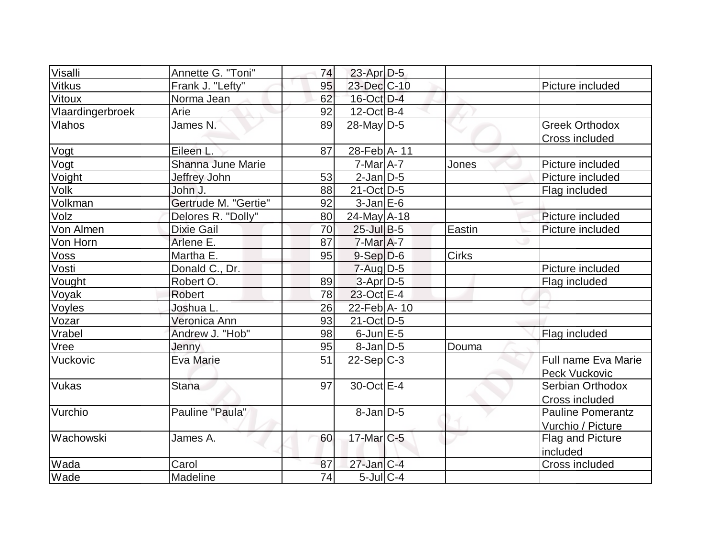| Visalli          | Annette G. "Toni"    | 74 | $23$ -Apr $D-5$   |        |                          |
|------------------|----------------------|----|-------------------|--------|--------------------------|
| <b>Vitkus</b>    | Frank J. "Lefty"     | 95 | 23-Dec C-10       |        | Picture included         |
| Vitoux           | Norma Jean           | 62 | 16-Oct D-4        |        |                          |
| Vlaardingerbroek | Arie                 | 92 | $12$ -Oct B-4     |        |                          |
| Vlahos           | James N.             | 89 | $28$ -May D-5     |        | <b>Greek Orthodox</b>    |
|                  |                      |    |                   |        | Cross included           |
| Vogt             | Eileen L.            | 87 | 28-Feb A-11       |        |                          |
| Vogt             | Shanna June Marie    |    | $7$ -Mar $A$ -7   | Jones  | Picture included         |
| Voight           | Jeffrey John         | 53 | $2$ -Jan $D-5$    |        | Picture included         |
| <b>Volk</b>      | John J.              | 88 | $21$ -Oct $ D-5 $ |        | Flag included            |
| Volkman          | Gertrude M. "Gertie" | 92 | $3$ -Jan $E$ -6   |        |                          |
| Volz             | Delores R. "Dolly"   | 80 | $24$ -May A-18    |        | Picture included         |
| Von Almen        | <b>Dixie Gail</b>    | 70 | $25$ -Jul B-5     | Eastin | Picture included         |
| Von Horn         | Arlene E.            | 87 | $7$ -Mar $A$ -7   |        |                          |
| Voss             | Martha E.            | 95 | $9-Sep D-6$       | Cirks  |                          |
| Vosti            | Donald C., Dr.       |    | $7 - Aug   D-5$   |        | Picture included         |
| Vought           | Robert O.            | 89 | $3-Apr$ D-5       |        | Flag included            |
| Voyak            | <b>Robert</b>        | 78 | 23-Oct E-4        |        |                          |
| Voyles           | Joshua L.            | 26 | 22-Feb A- 10      |        |                          |
| Vozar            | Veronica Ann         | 93 | $21$ -Oct D-5     |        |                          |
| Vrabel           | Andrew J. "Hob"      | 98 | $6$ -Jun $E$ -5   |        | Flag included            |
| Vree             | Jenny                | 95 | $8-Jan/D-5$       | Douma  |                          |
| Vuckovic         | Eva Marie            | 51 | $22-Sep C-3$      |        | Full name Eva Marie      |
|                  |                      |    |                   |        | Peck Vuckovic            |
| <b>Vukas</b>     | <b>Stana</b>         | 97 | 30-Oct E-4        |        | Serbian Orthodox         |
|                  |                      |    |                   |        | Cross included           |
| Vurchio          | Pauline "Paula"      |    | $8$ -Jan $D-5$    |        | <b>Pauline Pomerantz</b> |
|                  |                      |    |                   |        | Vurchio / Picture        |
| <b>Wachowski</b> | James A.             | 60 | 17-Mar C-5        |        | Flag and Picture         |
|                  |                      |    |                   |        | included                 |
| Wada             | Carol                | 87 | $27$ -Jan $ C-4 $ |        | Cross included           |
| Wade             | Madeline             | 74 | $5$ -Jul $C-4$    |        |                          |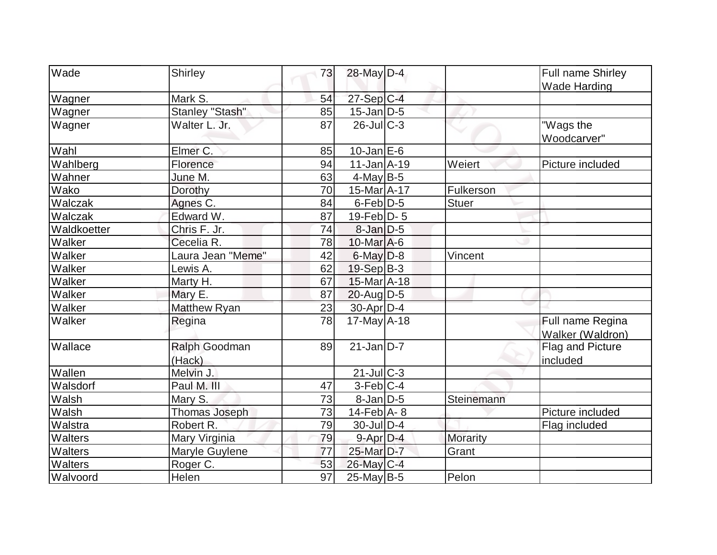| Wade        | Shirley                 | 73              | 28-May D-4        |                 | Full name Shirley                    |
|-------------|-------------------------|-----------------|-------------------|-----------------|--------------------------------------|
|             |                         |                 |                   |                 | <b>Wade Harding</b>                  |
| Wagner      | Mark S.                 | 54              | 27-Sep C-4        |                 |                                      |
| Wagner      | <b>Stanley "Stash"</b>  | 85              | $15$ -Jan $D-5$   |                 |                                      |
| Wagner      | Walter L. Jr.           | 87              | $26$ -Jul $C-3$   |                 | "Wags the<br>Woodcarver"             |
| Wahl        | Elmer C.                | 85              | $10$ -Jan $E$ -6  |                 |                                      |
| Wahlberg    | Florence                | 94              | $11$ -Jan $A$ -19 | Weiert          | Picture included                     |
| Wahner      | June M.                 | 63              | $4$ -May B-5      |                 |                                      |
| Wako        | Dorothy                 | 70              | 15-Mar A-17       | Fulkerson       |                                      |
| Walczak     | Agnes C.                | 84              | $6$ -Feb $D-5$    | <b>Stuer</b>    |                                      |
| Walczak     | Edward W.               | 87              | $19$ -Feb $ D-5$  |                 |                                      |
| Waldkoetter | Chris F. Jr.            | 74              | $8$ -Jan $D-5$    |                 |                                      |
| Walker      | Cecelia R.              | 78              | 10-Mar A-6        |                 |                                      |
| Walker      | Laura Jean "Meme"       | 42              | $6$ -May $D-8$    | Vincent         |                                      |
| Walker      | Lewis A.                | 62              | 19-Sep B-3        |                 |                                      |
| Walker      | Marty H.                | 67              | 15-Mar A-18       |                 |                                      |
| Walker      | Mary E.                 | 87              | $20$ -Aug $D-5$   |                 |                                      |
| Walker      | <b>Matthew Ryan</b>     | 23              | 30-Apr D-4        |                 |                                      |
| Walker      | Regina                  | $\overline{78}$ | $17$ -May A-18    |                 | Full name Regina<br>Walker (Waldron) |
| Wallace     | Ralph Goodman<br>(Hack) | 89              | $21$ -Jan $D-7$   |                 | Flag and Picture<br>included         |
| Wallen      | Melvin J.               |                 | $21$ -JulC-3      |                 |                                      |
| Walsdorf    | Paul M. III             | 47              | $3-Feb C-4$       |                 |                                      |
| Walsh       | Mary S.                 | 73              | $8$ -Jan $D$ -5   | Steinemann      |                                      |
| Walsh       | Thomas Joseph           | 73              | $14$ -Feb $A$ - 8 |                 | Picture included                     |
| Walstra     | Robert R.               | 79              | $30$ -JulD-4      |                 | Flag included                        |
| Walters     | Mary Virginia           | 79              | 9-Apr D-4         | <b>Morarity</b> |                                      |
| Walters     | Maryle Guylene          | 77              | 25-Mar D-7        | Grant           |                                      |
| Walters     | Roger C.                | 53              | 26-May C-4        |                 |                                      |
| Walvoord    | Helen                   | $\overline{97}$ | $25$ -May B-5     | Pelon           |                                      |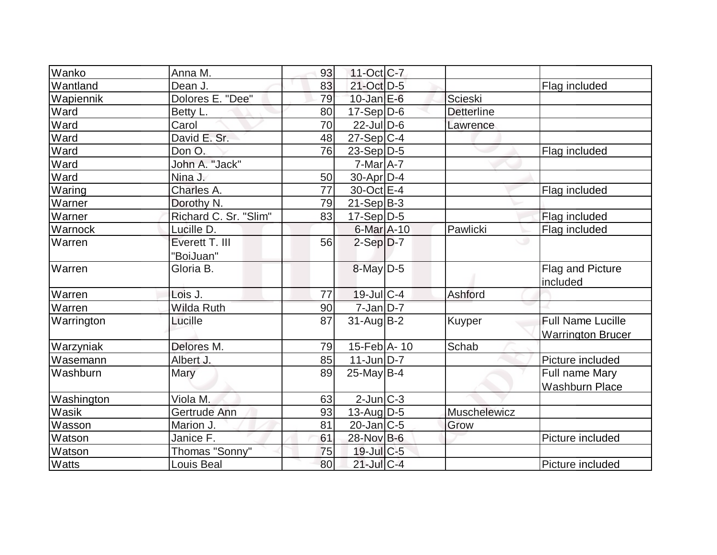| Wanko        | Anna M.                     | 93 | $11-Oct$ <sub>C</sub> -7 |                   |                                                      |
|--------------|-----------------------------|----|--------------------------|-------------------|------------------------------------------------------|
| Wantland     | Dean J.                     | 83 | 21-Oct D-5               |                   | Flag included                                        |
| Wapiennik    | Dolores E. "Dee"            | 79 | $10$ -Jan $E$ -6         | Scieski           |                                                      |
| Ward         | Betty L.                    | 80 | $17-Sep D-6$             | <b>Detterline</b> |                                                      |
| Ward         | Carol                       | 70 | $22$ -Jul $D-6$          | Lawrence          |                                                      |
| Ward         | David E. Sr.                | 48 | $27-Sep C-4$             |                   |                                                      |
| Ward         | Don O.                      | 76 | $23-Sep D-5$             |                   | Flag included                                        |
| Ward         | John A. "Jack"              |    | $7$ -Mar $A$ -7          |                   |                                                      |
| Ward         | Nina J.                     | 50 | $30$ -Apr $D-4$          |                   |                                                      |
| Waring       | Charles A.                  | 77 | 30-Oct E-4               |                   | Flag included                                        |
| Warner       | Dorothy N.                  | 79 | $21-Sep B-3$             |                   |                                                      |
| Warner       | Richard C. Sr. "Slim"       | 83 | $17-Sep D-5$             |                   | Flag included                                        |
| Warnock      | Lucille D.                  |    | 6-Mar A-10               | Pawlicki          | Flag included                                        |
| Warren       | Everett T. III<br>"BoiJuan" | 56 | $2-Sep D-7$              |                   |                                                      |
| Warren       | Gloria B.                   |    | $8$ -May $D-5$           |                   | Flag and Picture<br>included                         |
| Warren       | Lois J.                     | 77 | $19$ -Jul $C-4$          | Ashford           |                                                      |
| Warren       | <b>Wilda Ruth</b>           | 90 | $7 - Jan$ $D-7$          |                   |                                                      |
| Warrington   | Lucille                     | 87 | $31$ -Aug $B-2$          | Kuyper            | <b>Full Name Lucille</b><br><b>Warrington Brucer</b> |
| Warzyniak    | Delores M.                  | 79 | 15-Feb $A - 10$          | Schab             |                                                      |
| Wasemann     | Albert J.                   | 85 | $11$ -Jun $D-7$          |                   | Picture included                                     |
| Washburn     | Mary                        | 89 | $25$ -May B-4            |                   | Full name Mary<br><b>Washburn Place</b>              |
| Washington   | Viola M.                    | 63 | $2$ -Jun $ C-3 $         |                   |                                                      |
| Wasik        | Gertrude Ann                | 93 | $13$ -Aug $ D-5 $        | Muschelewicz      |                                                      |
| Wasson       | Marion J.                   | 81 | $20$ -Jan $ C-5 $        | Grow              |                                                      |
| Watson       | Janice F.                   | 61 | 28-Nov B-6               |                   | Picture included                                     |
| Watson       | Thomas "Sonny"              | 75 | $19$ -Jul $C$ -5         |                   |                                                      |
| <b>Watts</b> | Louis Beal                  | 80 | $21$ -Jul C-4            |                   | Picture included                                     |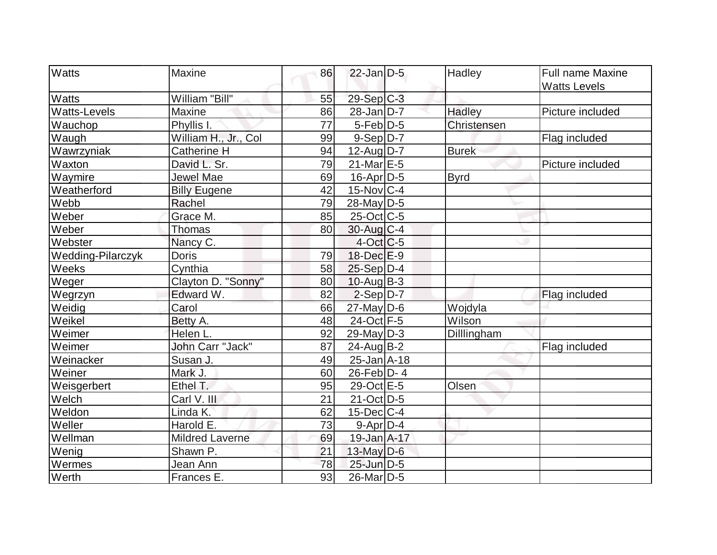| <b>Watts</b><br><b>Maxine</b>            |                        | 86 | $22$ -Jan $D-5$         | Hadley       | Full name Maxine    |
|------------------------------------------|------------------------|----|-------------------------|--------------|---------------------|
|                                          |                        |    |                         |              |                     |
| <b>Watts</b>                             | William "Bill"         | 55 | $29-Sep$ <sub>C-3</sub> |              | <b>Watts Levels</b> |
| <b>Watts-Levels</b><br>Maxine            |                        | 86 | $28$ -Jan D-7           | Hadley       | Picture included    |
| Wauchop                                  | Phyllis I.             | 77 | $5-Feb D-5$             | Christensen  |                     |
| Waugh                                    | William H., Jr., Col   | 99 | $9-Sep D-7$             |              | Flag included       |
| Wawrzyniak                               | <b>Catherine H</b>     | 94 | $12$ -Aug $D-7$         | <b>Burek</b> |                     |
| Waxton                                   | David L. Sr.           | 79 | $21$ -Mar $E-5$         |              | Picture included    |
| Waymire                                  | Jewel Mae              | 69 | 16-Apr D-5              | <b>Byrd</b>  |                     |
| Weatherford                              | <b>Billy Eugene</b>    | 42 | $15$ -Nov $ C-4$        |              |                     |
| Webb<br>Rachel                           |                        | 79 | $28$ -May D-5           |              |                     |
| Weber                                    | Grace M.               | 85 | $25$ -Oct C-5           |              |                     |
| Weber                                    | Thomas                 | 80 | 30-Aug C-4              |              |                     |
| Webster                                  | Nancy C.               |    | $4-Oct$ $C-5$           |              |                     |
| <b>Doris</b><br><b>Wedding-Pilarczyk</b> |                        | 79 | $18$ -Dec $E-9$         |              |                     |
| Weeks                                    | Cynthia                | 58 | $25-Sep D-4$            |              |                     |
| Weger                                    | Clayton D. "Sonny"     | 80 | $10$ -Aug $B-3$         |              |                     |
| Wegrzyn                                  | Edward W.              | 82 | $2-Sep D-7$             |              | Flag included       |
| Carol<br>Weidig                          |                        | 66 | $27$ -May D-6           | Wojdyla      |                     |
| Weikel                                   | Betty A.               | 48 | 24-Oct F-5              | Wilson       |                     |
| Weimer                                   | Helen L.               | 92 | $29$ -May D-3           | Dilllingham  |                     |
| Weimer                                   | John Carr "Jack"       | 87 | $24$ -AugB-2            |              | Flag included       |
| Weinacker                                | Susan J.               | 49 | $25$ -Jan $A$ -18       |              |                     |
| Weiner<br>Mark J.                        |                        | 60 | $26$ -Feb $ D-4 $       |              |                     |
| Weisgerbert                              | Ethel T.               | 95 | 29-Oct E-5              | Olsen        |                     |
| Welch                                    | Carl V. III            | 21 | 21-Oct D-5              |              |                     |
| Weldon                                   | Linda K.               | 62 | $15$ -Dec $C-4$         |              |                     |
| Weller                                   | Harold E.              | 73 | $9-Apr D-4$             |              |                     |
| Wellman                                  | <b>Mildred Laverne</b> | 69 | 19-Jan A-17             |              |                     |
| Wenig                                    | Shawn P.               | 21 | $13$ -May $D-6$         |              |                     |
| Wermes                                   | Jean Ann               | 78 | $25$ -Jun $D-5$         |              |                     |
| Werth                                    | Frances E.             | 93 | 26-Mar <sub>D-5</sub>   |              |                     |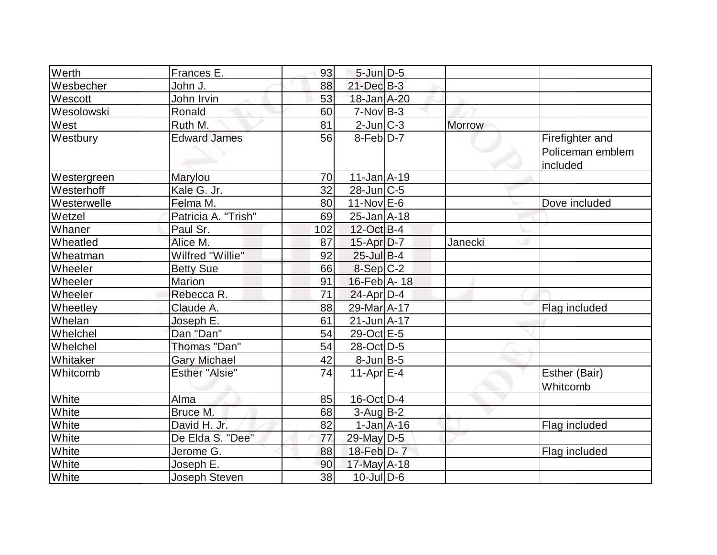| Werth       | Frances E.            | 93  | $5$ -Jun $D-5$       |               |                                                 |
|-------------|-----------------------|-----|----------------------|---------------|-------------------------------------------------|
| Wesbecher   | John J.               | 88  | $21$ -Dec $B-3$      |               |                                                 |
| Wescott     | John Irvin            | 53  | 18-Jan A-20          |               |                                                 |
| Wesolowski  | Ronald                | 60  | $7-NovB-3$           |               |                                                 |
| West        | Ruth M.               | 81  | 2-Jun C-3            | <b>Morrow</b> |                                                 |
| Westbury    | <b>Edward James</b>   | 56  | 8-Feb <sup>D-7</sup> |               | Firefighter and<br>Policeman emblem<br>included |
| Westergreen | Marylou               | 70  | $11$ -Jan $A$ -19    |               |                                                 |
| Westerhoff  | Kale G. Jr.           | 32  | $28$ -Jun $C$ -5     |               |                                                 |
| Westerwelle | Felma M.              | 80  | $11-Nov$ E-6         |               | Dove included                                   |
| Wetzel      | Patricia A. "Trish"   | 69  | $25$ -Jan $A$ -18    |               |                                                 |
| Whaner      | Paul Sr.              | 102 | 12-Oct B-4           |               |                                                 |
| Wheatled    | Alice M.              | 87  | $15$ -Apr $D-7$      | Janecki       |                                                 |
| Wheatman    | Wilfred "Willie"      | 92  | $25$ -Jul B-4        |               |                                                 |
| Wheeler     | <b>Betty Sue</b>      | 66  | $8-Sep C-2$          |               |                                                 |
| Wheeler     | Marion                | 91  | 16-Feb A- 18         |               |                                                 |
| Wheeler     | Rebecca R.            | 71  | $24$ -Apr $D-4$      |               |                                                 |
| Wheetley    | Claude A.             | 88  | 29-Mar A-17          |               | Flag included                                   |
| Whelan      | Joseph E.             | 61  | $21$ -Jun $A$ -17    |               |                                                 |
| Whelchel    | Dan "Dan"             | 54  | 29-Oct E-5           |               |                                                 |
| Whelchel    | Thomas "Dan"          | 54  | 28-Oct D-5           |               |                                                 |
| Whitaker    | <b>Gary Michael</b>   | 42  | $8$ -Jun $B$ -5      |               |                                                 |
| Whitcomb    | <b>Esther "Alsie"</b> | 74  | 11-Apr $E-4$         |               | Esther (Bair)<br>Whitcomb                       |
| White       | Alma                  | 85  | $16$ -Oct D-4        |               |                                                 |
| White       | Bruce M.              | 68  | $3$ -Aug B-2         |               |                                                 |
| White       | David H. Jr.          | 82  | $1-Jan2 - 16$        |               | Flag included                                   |
| White       | De Elda S. "Dee"      | 77  | 29-May D-5           |               |                                                 |
| White       | Jerome G.             | 88  | 18-Feb D-7           |               | Flag included                                   |
| White       | Joseph E.             | 90  | 17-May $A-18$        |               |                                                 |
| White       | Joseph Steven         | 38  | $10$ -JulD-6         |               |                                                 |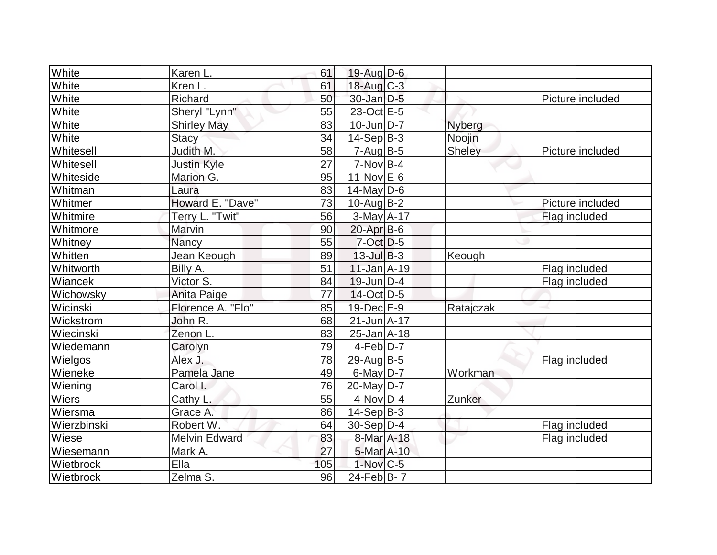| White       | Karen L.             | 61  | $19$ -Aug $D$ -6       |           |                  |
|-------------|----------------------|-----|------------------------|-----------|------------------|
| White       | Kren <sub>L.</sub>   | 61  | $18$ -Aug C-3          |           |                  |
| White       | Richard              | 50  | 30-Jan D-5             |           | Picture included |
| White       | Sheryl "Lynn"        | 55  | $23-Oct$ $E-5$         |           |                  |
| White       | <b>Shirley May</b>   | 83  | $10$ -Jun $D-7$        | Nyberg    |                  |
| White       | <b>Stacy</b>         | 34  | $14-Sep$ B-3           | Noojin    |                  |
| Whitesell   | Judith M.            | 58  | $7 - Aug$ B-5          | Sheley    | Picture included |
| Whitesell   | <b>Justin Kyle</b>   | 27  | $7-NovB-4$             |           |                  |
| Whiteside   | Marion G.            | 95  | $11-Nov$ E-6           |           |                  |
| Whitman     | Laura                | 83  | $14$ -May D-6          |           |                  |
| Whitmer     | Howard E. "Dave"     | 73  | $10$ -Aug $B - 2$      |           | Picture included |
| Whitmire    | Terry L. "Twit"      | 56  | $3-May$ A-17           |           | Flag included    |
| Whitmore    | Marvin               | 90  | $20$ -Apr $B$ -6       |           |                  |
| Whitney     | <b>Nancy</b>         | 55  | 7-Oct D-5              |           |                  |
| Whitten     | Jean Keough          | 89  | $13$ -Jul B-3          | Keough    |                  |
| Whitworth   | Billy A.             | 51  | $11$ -Jan $A-19$       |           | Flag included    |
| Wiancek     | Victor S.            | 84  | $19$ -Jun $D-4$        |           | Flag included    |
| Wichowsky   | Anita Paige          | 77  | $14$ -Oct D-5          |           |                  |
| Wicinski    | Florence A. "Flo"    | 85  | 19-Dec E-9             | Ratajczak |                  |
| Wickstrom   | John R.              | 68  | $21 - Jun  A - 17 $    |           |                  |
| Wiecinski   | Zenon L.             | 83  | $25$ -Jan $A$ -18      |           |                  |
| Wiedemann   | Carolyn              | 79  | $4-Feb D-7$            |           |                  |
| Wielgos     | Alex J.              | 78  | $29$ -Aug $B$ -5       |           | Flag included    |
| Wieneke     | Pamela Jane          | 49  | $6$ -May $D-7$         | Workman   |                  |
| Wiening     | Carol I.             | 76  | $20$ -May D-7          |           |                  |
| Wiers       | Cathy L.             | 55  | $4$ -Nov $D-4$         | Zunker    |                  |
| Wiersma     | Grace A.             | 86  | $14-Sep B-3$           |           |                  |
| Wierzbinski | Robert W.            | 64  | $30-Sep D-4$           |           | Flag included    |
| Wiese       | <b>Melvin Edward</b> | 83  | 8-Mar A-18             |           | Flag included    |
| Wiesemann   | Mark A.              | 27  | 5-Mar A-10             |           |                  |
| Wietbrock   | Ella                 | 105 | $1-Nov$ <sub>C-5</sub> |           |                  |
| Wietbrock   | Zelma S.             | 96  | $24$ -Feb $ B-7 $      |           |                  |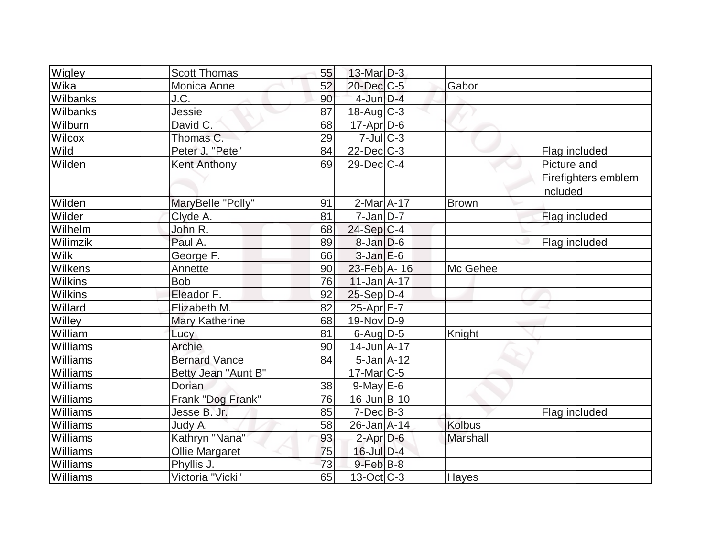| Wigley         | <b>Scott Thomas</b>  | 55 | $13$ -Mar $D-3$   |                 |                     |
|----------------|----------------------|----|-------------------|-----------------|---------------------|
| Wika           | Monica Anne          | 52 | $20$ -Dec $C$ -5  | Gabor           |                     |
| Wilbanks       | J.C.                 | 90 | $4$ -Jun $D-4$    |                 |                     |
| Wilbanks       | Jessie               | 87 | $18$ -Aug C-3     |                 |                     |
| Wilburn        | David C.             | 68 | $17$ -Apr $ D-6 $ |                 |                     |
| Wilcox         | Thomas C.            | 29 | $7$ -Jul $C-3$    |                 |                     |
| Wild           | Peter J. "Pete"      | 84 | $22$ -Dec $C-3$   |                 | Flag included       |
| Wilden         | <b>Kent Anthony</b>  | 69 | 29-Dec C-4        |                 | Picture and         |
|                |                      |    |                   |                 | Firefighters emblem |
|                |                      |    |                   |                 | included            |
| Wilden         | MaryBelle "Polly"    | 91 | $2-Mar1A-17$      | <b>Brown</b>    |                     |
| Wilder         | Clyde A.             | 81 | $7$ -Jan $ D-7 $  |                 | Flag included       |
| Wilhelm        | John R.              | 68 | $24-Sep C-4$      |                 |                     |
| Wilimzik       | Paul A.              | 89 | $8$ -Jan $D$ -6   |                 | Flag included       |
| <b>Wilk</b>    | George F.            | 66 | $3$ -Jan $E$ -6   |                 |                     |
| Wilkens        | Annette              | 90 | 23-Feb A-16       | Mc Gehee        |                     |
| <b>Wilkins</b> | <b>Bob</b>           | 76 | $11$ -Jan $A$ -17 |                 |                     |
| Wilkins        | Eleador F.           | 92 | $25-Sep D-4$      |                 |                     |
| Willard        | Elizabeth M.         | 82 | 25-Apr E-7        |                 |                     |
| <b>Willey</b>  | Mary Katherine       | 68 | $19-Nov D-9$      |                 |                     |
| William        | Lucy                 | 81 | $6$ -Aug $D$ -5   | Knight          |                     |
| Williams       | Archie               | 90 | $14$ -Jun $A$ -17 |                 |                     |
| Williams       | <b>Bernard Vance</b> | 84 | $5$ -Jan $A$ -12  |                 |                     |
| Williams       | Betty Jean "Aunt B"  |    | $17$ -Mar $ C-5 $ |                 |                     |
| Williams       | Dorian               | 38 | $9$ -May $E$ -6   |                 |                     |
| Williams       | Frank "Dog Frank"    | 76 | $16$ -Jun $B-10$  |                 |                     |
| Williams       | Jesse B. Jr.         | 85 | $7$ -Dec $B-3$    |                 | Flag included       |
| Williams       | Judy A.              | 58 | $26$ -Jan $A$ -14 | <b>Kolbus</b>   |                     |
| Williams       | Kathryn "Nana"       | 93 | $2$ -Apr $D-6$    | <b>Marshall</b> |                     |
| Williams       | Ollie Margaret       | 75 | 16-Jul D-4        |                 |                     |
| Williams       | Phyllis J.           | 73 | $9$ -Feb $ B-8 $  |                 |                     |
| Williams       | Victoria "Vicki"     | 65 | $13-Oct$ $C-3$    | Hayes           |                     |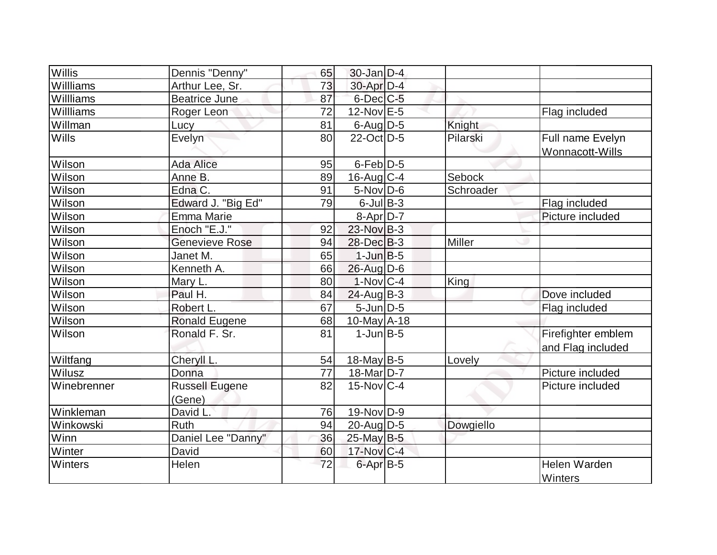| Willis        | Dennis "Denny"                  | 65 | $30$ -Jan $D-4$   |               |                                         |
|---------------|---------------------------------|----|-------------------|---------------|-----------------------------------------|
| Willliams     | Arthur Lee, Sr.                 | 73 | $30$ -Apr $D-4$   |               |                                         |
| Willliams     | <b>Beatrice June</b>            | 87 | $6$ -Dec $C$ -5   |               |                                         |
| Willliams     | Roger Leon                      | 72 | 12-Nov E-5        |               | Flag included                           |
| Willman       | <b>Lucy</b>                     | 81 | $6$ -Aug D-5      | Knight        |                                         |
| <b>Wills</b>  | Evelyn                          | 80 | 22-Oct D-5        | Pilarski      | Full name Evelyn<br>Wonnacott-Wills     |
| Wilson        | Ada Alice                       | 95 | $6$ -Feb $D-5$    |               |                                         |
| Wilson        | Anne B.                         | 89 | $16$ -Aug $C-4$   | Sebock        |                                         |
| Wilson        | Edna C.                         | 91 | $5$ -Nov $D$ -6   | Schroader     |                                         |
| Wilson        | Edward J. "Big Ed"              | 79 | $6$ -Jul $B$ -3   |               | Flag included                           |
| <b>Wilson</b> | Emma Marie                      |    | 8-Apr D-7         |               | Picture included                        |
| Wilson        | Enoch "E.J."                    | 92 | 23-Nov B-3        |               |                                         |
| Wilson        | <b>Genevieve Rose</b>           | 94 | $28$ -Dec $ B-3 $ | <b>Miller</b> |                                         |
| Wilson        | Janet M.                        | 65 | $1$ -Jun $B-5$    |               |                                         |
| Wilson        | Kenneth A.                      | 66 | $26$ -Aug $D-6$   |               |                                         |
| Wilson        | Mary L.                         | 80 | $1-Nov C-4$       | King          |                                         |
| Wilson        | Paul H.                         | 84 | $24$ -Aug $B-3$   |               | Dove included                           |
| Wilson        | Robert L.                       | 67 | $5$ -Jun $D-5$    |               | Flag included                           |
| Wilson        | <b>Ronald Eugene</b>            | 68 | 10-May $A-18$     |               |                                         |
| Wilson        | Ronald F. Sr.                   | 81 | $1$ -Jun $B-5$    |               | Firefighter emblem<br>and Flag included |
| Wiltfang      | Cheryll L.                      | 54 | $18$ -May B-5     | Lovely        |                                         |
| Wilusz        | Donna                           | 77 | $18$ -Mar $D-7$   |               | Picture included                        |
| Winebrenner   | <b>Russell Eugene</b><br>(Gene) | 82 | $15$ -Nov $ C-4 $ |               | Picture included                        |
| Winkleman     | David L.                        | 76 | $19-Nov D-9$      |               |                                         |
| Winkowski     | Ruth                            | 94 | $20$ -Aug $D-5$   | Dowgiello     |                                         |
| Winn          | Daniel Lee "Danny"              | 36 | $25$ -May B-5     |               |                                         |
| Winter        | David                           | 60 | $17$ -Nov $ C-4 $ |               |                                         |
| Winters       | Helen                           | 72 | 6-Apr B-5         |               | Helen Warden<br>Winters                 |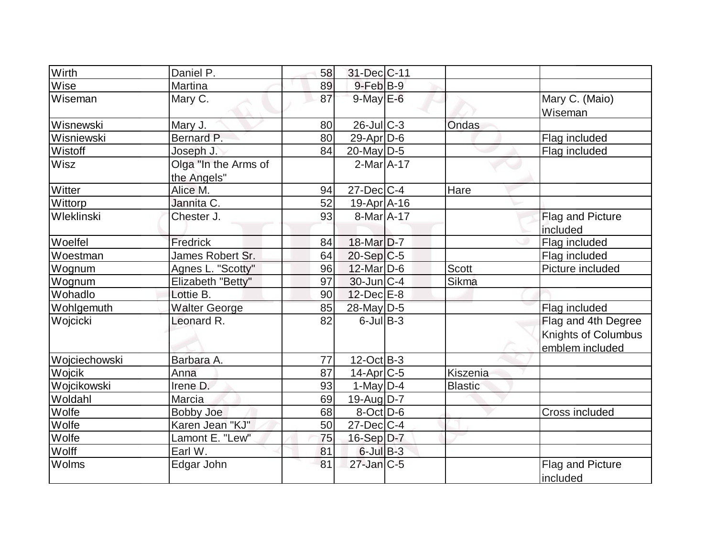| Wirth         | Daniel P.                           | 58 | 31-Dec C-11                |                |                                                               |
|---------------|-------------------------------------|----|----------------------------|----------------|---------------------------------------------------------------|
| Wise          | Martina                             | 89 | $9$ -Feb $B$ -9            |                |                                                               |
| Wiseman       | Mary C.                             | 87 | $9$ -May $E$ -6            |                | Mary C. (Maio)<br>Wiseman                                     |
| Wisnewski     | Mary J.                             | 80 | $26$ -Jul C-3              | <b>Ondas</b>   |                                                               |
| Wisniewski    | Bernard P.                          | 80 | $29$ -Apr $D$ -6           |                | Flag included                                                 |
| Wistoff       | Joseph J.                           | 84 | 20-May $D-5$               |                | Flag included                                                 |
| <b>Wisz</b>   | Olga "In the Arms of<br>the Angels" |    | $2$ -Mar $A$ -17           |                |                                                               |
| Witter        | Alice M.                            | 94 | $27 - Dec$ C-4             | Hare           |                                                               |
| Wittorp       | Jannita C.                          | 52 | 19-Apr A-16                |                |                                                               |
| Wleklinski    | Chester J.                          | 93 | $8-MarA-17$                |                | Flag and Picture                                              |
|               |                                     |    |                            |                | included                                                      |
| Woelfel       | Fredrick                            | 84 | 18-Mar D-7                 |                | Flag included                                                 |
| Woestman      | James Robert Sr.                    | 64 | $20-Sep C-5$               |                | Flag included                                                 |
| Wognum        | Agnes L. "Scotty"                   | 96 | 12-Mar D-6                 | <b>Scott</b>   | Picture included                                              |
| Wognum        | Elizabeth "Betty"                   | 97 | $30$ -Jun $C-4$            | <b>Sikma</b>   |                                                               |
| Wohadlo       | Lottie B.                           | 90 | $12$ -Dec $E-8$            |                |                                                               |
| Wohlgemuth    | <b>Walter George</b>                | 85 | $28$ -May D-5              |                | Flag included                                                 |
| Wojcicki      | Leonard R.                          | 82 | $6$ -Jul B-3               |                | Flag and 4th Degree<br>Knights of Columbus<br>emblem included |
| Wojciechowski | Barbara A.                          | 77 | $12$ -Oct $\overline{B-3}$ |                |                                                               |
| Wojcik        | Anna                                | 87 | $14$ -Apr $ C-5 $          | Kiszenia       |                                                               |
| Wojcikowski   | Irene D.                            | 93 | 1-May $D-4$                | <b>Blastic</b> |                                                               |
| Woldahl       | Marcia                              | 69 | $19$ -Aug $ D-7 $          |                |                                                               |
| Wolfe         | <b>Bobby Joe</b>                    | 68 | $8$ -Oct $D$ -6            |                | Cross included                                                |
| Wolfe         | Karen Jean "KJ"                     | 50 | $27$ -Dec $ C-4 $          |                |                                                               |
| Wolfe         | Lamont E. "Lew"                     | 75 | $16-Sep$ D-7               |                |                                                               |
| Wolff         | Earl W.                             | 81 | $6$ -Jul B-3               |                |                                                               |
| Wolms         | Edgar John                          | 81 | $27$ -Jan $C-5$            |                | Flag and Picture<br>included                                  |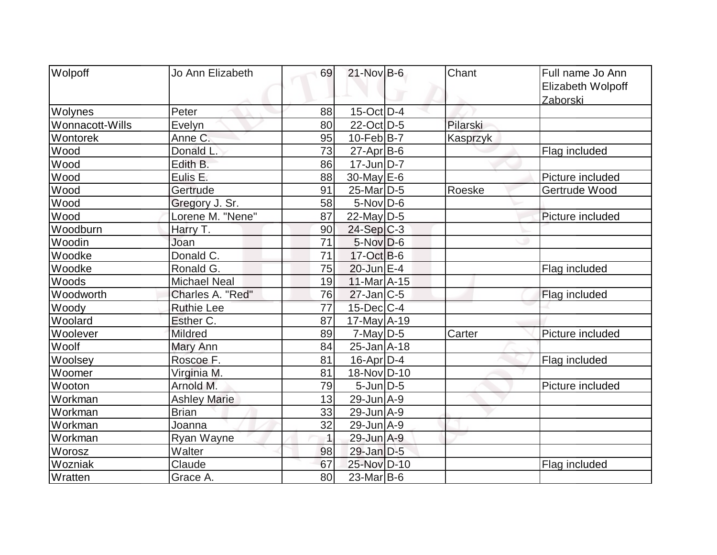| Wolpoff         | Jo Ann Elizabeth    | 69              | $21$ -Nov B-6         | Chant    | Full name Jo Ann<br>Elizabeth Wolpoff<br>Zaborski |
|-----------------|---------------------|-----------------|-----------------------|----------|---------------------------------------------------|
| Wolynes         | Peter               | 88              | $15$ -Oct $D-4$       |          |                                                   |
| Wonnacott-Wills | Evelyn              | 80              | 22-Oct D-5            | Pilarski |                                                   |
| Wontorek        | Anne C.             | 95              | $10$ -Feb $B-7$       | Kasprzyk |                                                   |
| Wood            | Donald L            | 73              | 27-Apr B-6            |          | Flag included                                     |
| Wood            | Edith B.            | 86              | $17$ -Jun $ D-7 $     |          |                                                   |
| Wood            | Eulis E.            | 88              | $30$ -May $E$ -6      |          | Picture included                                  |
| Wood            | Gertrude            | 91              | 25-Mar <sub>D-5</sub> | Roeske   | Gertrude Wood                                     |
| Wood            | Gregory J. Sr.      | 58              | $5$ -Nov $ D-6$       |          |                                                   |
| Wood            | Lorene M. "Nene"    | 87              | 22-May D-5            |          | Picture included                                  |
| Woodburn        | Harry T.            | 90              | $24-Sep C-3$          |          |                                                   |
| Woodin          | Joan                | 71              | $5$ -Nov $D$ -6       |          |                                                   |
| Woodke          | Donald C.           | $\overline{71}$ | $17-Oct$ B-6          |          |                                                   |
| Woodke          | Ronald G.           | 75              | $20$ -Jun $E-4$       |          | Flag included                                     |
| Woods           | <b>Michael Neal</b> | 19              | $11$ -Mar $A$ -15     |          |                                                   |
| Woodworth       | Charles A. "Red"    | 76              | $27$ -Jan $ C-5 $     |          | Flag included                                     |
| Woody           | <b>Ruthie Lee</b>   | 77              | $15$ -Dec $ C-4 $     |          |                                                   |
| Woolard         | Esther C.           | 87              | $17$ -May $A-19$      |          |                                                   |
| Woolever        | <b>Mildred</b>      | 89              | $7$ -May D-5          | Carter   | Picture included                                  |
| Woolf           | Mary Ann            | 84              | $25 - Jan$ $A-18$     |          |                                                   |
| Woolsey         | Roscoe F.           | 81              | $16$ -Apr $D-4$       |          | Flag included                                     |
| Woomer          | Virginia M.         | 81              | 18-Nov D-10           |          |                                                   |
| Wooton          | Arnold M.           | 79              | $5$ -Jun $D-5$        |          | Picture included                                  |
| Workman         | <b>Ashley Marie</b> | 13              | 29-Jun A-9            |          |                                                   |
| Workman         | <b>Brian</b>        | 33              | $29$ -Jun $A-9$       |          |                                                   |
| Workman         | Joanna              | 32              | $29$ -Jun $A-9$       |          |                                                   |
| Workman         | Ryan Wayne          | $\overline{1}$  | 29-Jun A-9            |          |                                                   |
| Worosz          | Walter              | 98              | 29-Jan D-5            |          |                                                   |
| Wozniak         | Claude              | 67              | 25-Nov D-10           |          | Flag included                                     |
| Wratten         | Grace A.            | 80              | $23$ -Mar $ B-6$      |          |                                                   |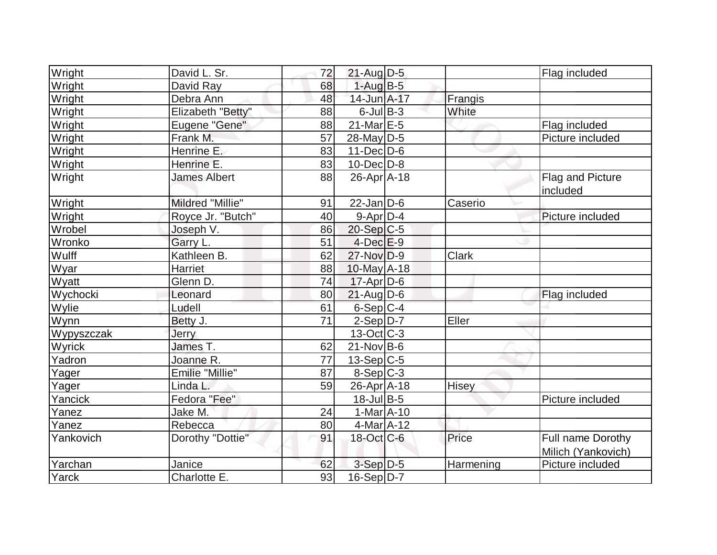| Wright     | David L. Sr.           | 72 | $21$ -Aug $D-5$   |              | Flag included                           |
|------------|------------------------|----|-------------------|--------------|-----------------------------------------|
| Wright     | David Ray              | 68 | $1-AugB-5$        |              |                                         |
| Wright     | Debra Ann              | 48 | 14-Jun A-17       | Frangis      |                                         |
| Wright     | Elizabeth "Betty"      | 88 | $6$ -Jul $B$ -3   | White        |                                         |
| Wright     | Eugene "Gene"          | 88 | $21$ -Mar $E-5$   |              | Flag included                           |
| Wright     | Frank M.               | 57 | $28$ -May D-5     |              | Picture included                        |
| Wright     | Henrine E.             | 83 | $11$ -Dec $ D-6$  |              |                                         |
| Wright     | Henrine E.             | 83 | $10$ -Dec $D$ -8  |              |                                         |
| Wright     | <b>James Albert</b>    | 88 | 26-Apr A-18       |              | Flag and Picture<br>included            |
| Wright     | Mildred "Millie"       | 91 | $22$ -Jan D-6     | Caserio      |                                         |
| Wright     | Royce Jr. "Butch"      | 40 | $9$ -Apr $D-4$    |              | Picture included                        |
| Wrobel     | Joseph V.              | 86 | 20-Sep C-5        |              |                                         |
| Wronko     | Garry L.               | 51 | $4$ -Dec $E-9$    |              |                                         |
| Wulff      | Kathleen B.            | 62 | $27$ -Nov $D-9$   | <b>Clark</b> |                                         |
| Wyar       | Harriet                | 88 | 10-May A-18       |              |                                         |
| Wyatt      | Glenn D.               | 74 | $17$ -Apr $ D-6$  |              |                                         |
| Wychocki   | Leonard                | 80 | $21$ -Aug $D-6$   |              | <b>Flag included</b>                    |
| Wylie      | Ludell                 | 61 | $6-Sep C-4$       |              |                                         |
| Wynn       | Betty J.               | 71 | $2-Sep D-7$       | Eller        |                                         |
| Wypyszczak | Jerry                  |    | $13-Oct$ C-3      |              |                                         |
| Wyrick     | James T.               | 62 | $21-NovIB-6$      |              |                                         |
| Yadron     | Joanne R.              | 77 | $13-Sep C-5$      |              |                                         |
| Yager      | <b>Emilie "Millie"</b> | 87 | $8-Sep C-3$       |              |                                         |
| Yager      | Linda L.               | 59 | 26-Apr A-18       | Hisey        |                                         |
| Yancick    | Fedora "Fee"           |    | 18-Jul B-5        |              | Picture included                        |
| Yanez      | Jake M.                | 24 | $1-Mar$ A-10      |              |                                         |
| Yanez      | Rebecca                | 80 | $4$ -Mar $ A-12$  |              |                                         |
| Yankovich  | Dorothy "Dottie"       | 91 | $18$ -Oct $ C$ -6 | Price        | Full name Dorothy<br>Milich (Yankovich) |
| Yarchan    | Janice                 | 62 | $3-Sep$ D-5       | Harmening    | Picture included                        |
| Yarck      | Charlotte E.           | 93 | 16-Sep D-7        |              |                                         |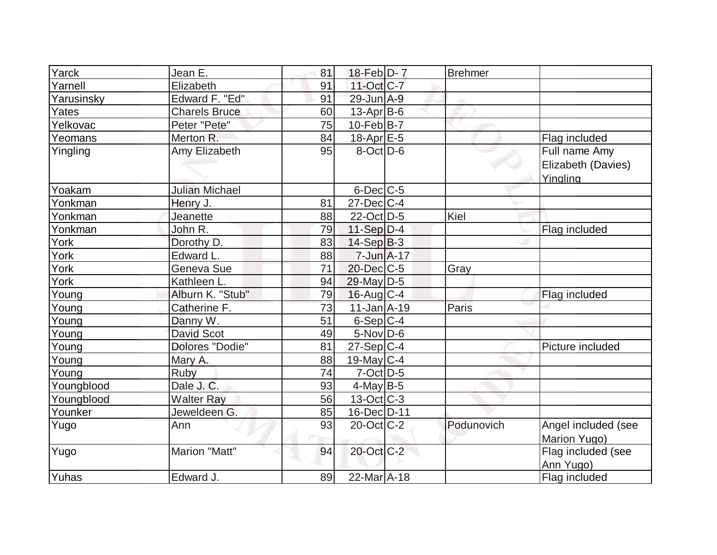| Yarck      | Jean E.               | 81 | 18-Feb D-7        | <b>Brehmer</b> |                                                 |
|------------|-----------------------|----|-------------------|----------------|-------------------------------------------------|
| Yarnell    | Elizabeth             | 91 | 11-Oct C-7        |                |                                                 |
| Yarusinsky | Edward F. "Ed"        | 91 | $29$ -Jun $A-9$   |                |                                                 |
| Yates      | <b>Charels Bruce</b>  | 60 | $13$ -Apr $B$ -6  |                |                                                 |
| Yelkovac   | Peter "Pete"          | 75 | $10$ -Feb $ B-7 $ |                |                                                 |
| Yeomans    | Merton R.             | 84 | 18-Apr $E-5$      |                | Flag included                                   |
| Yingling   | Amy Elizabeth         | 95 | $8$ -Oct $ D-6 $  |                | Full name Amy<br>Elizabeth (Davies)<br>Yingling |
| Yoakam     | <b>Julian Michael</b> |    | $6$ -Dec $C$ -5   |                |                                                 |
| Yonkman    | Henry J.              | 81 | $27 - Dec$ C-4    |                |                                                 |
| Yonkman    | Jeanette              | 88 | 22-Oct D-5        | Kiel           |                                                 |
| Yonkman    | John R.               | 79 | 11-Sep $D-4$      |                | Flag included                                   |
| York       | Dorothy D.            | 83 | $14-Sep B-3$      |                |                                                 |
| York       | Edward L.             | 88 | $7 - Jun$ A-17    |                |                                                 |
| York       | Geneva Sue            | 71 | 20-Dec C-5        | Gray           |                                                 |
| York       | Kathleen L.           | 94 | $29$ -May D-5     |                |                                                 |
| Young      | Alburn K. "Stub"      | 79 | $16$ -Aug $C$ -4  |                | Flag included                                   |
| Young      | Catherine F.          | 73 | 11-Jan A-19       | Paris          |                                                 |
| Young      | Danny W.              | 51 | $6-Sep C-4$       |                |                                                 |
| Young      | <b>David Scot</b>     | 49 | $5$ -Nov $D$ -6   |                |                                                 |
| Young      | Dolores "Dodie"       | 81 | $27-Sep C-4$      |                | Picture included                                |
| Young      | Mary A.               | 88 | 19-May $C-4$      |                |                                                 |
| Young      | Ruby                  | 74 | $7$ -Oct $ D-5 $  |                |                                                 |
| Youngblood | Dale J. C.            | 93 | $4$ -May B-5      |                |                                                 |
| Youngblood | <b>Walter Ray</b>     | 56 | $13-Oct$ C-3      |                |                                                 |
| Younker    | Jeweldeen G.          | 85 | 16-Dec D-11       |                |                                                 |
| Yugo       | Ann                   | 93 | $20$ -Oct $ C-2 $ | Podunovich     | Angel included (see<br>Marion Yugo)             |
| Yugo       | <b>Marion "Matt"</b>  | 94 | 20-Oct C-2        |                | Flag included (see<br>Ann Yugo)                 |
| Yuhas      | Edward J.             | 89 | $22$ -Mar $ A-18$ |                | Flag included                                   |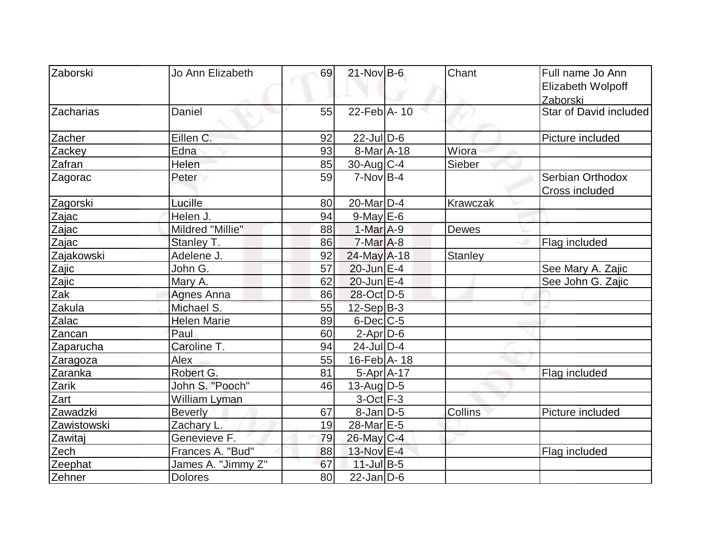| Zaborski           | Jo Ann Elizabeth   | 69 | $21$ -Nov B-6                 | Chant           | Full name Jo Ann       |
|--------------------|--------------------|----|-------------------------------|-----------------|------------------------|
|                    |                    |    |                               |                 | Elizabeth Wolpoff      |
|                    |                    |    |                               |                 | Zaborski               |
| <b>IZ</b> acharias | Daniel             | 55 | $22$ -Feb $\overline{A}$ - 10 |                 | Star of David included |
| Zacher             | Eillen C.          | 92 | $22$ -JulD-6                  |                 | Picture included       |
| Zackey             | Edna               | 93 | $8$ -Mar $ A-18$              | Wiora           |                        |
| Zafran             | Helen              | 85 | $30$ -Aug C-4                 | Sieber          |                        |
| Zagorac            | Peter              | 59 | $7-NovB-4$                    |                 | Serbian Orthodox       |
|                    |                    |    |                               |                 | Cross included         |
| Zagorski           | Lucille            | 80 | 20-Mar <sub>D-4</sub>         | <b>Krawczak</b> |                        |
| Zajac              | Helen J.           | 94 | $9$ -May $E$ -6               |                 |                        |
| Zajac              | Mildred "Millie"   | 88 | $1-MarA-9$                    | Dewes           |                        |
| Zajac              | Stanley T.         | 86 | $7$ -Mar $A$ -8               |                 | Flag included          |
| Zajakowski         | Adelene J.         | 92 | 24-May A-18                   | <b>Stanley</b>  |                        |
| Zajic              | John G.            | 57 | 20-Jun E-4                    |                 | See Mary A. Zajic      |
| Zajic              | Mary A.            | 62 | $20$ -Jun $E-4$               |                 | See John G. Zajic      |
| Zak                | <b>Agnes Anna</b>  | 86 | 28-Oct D-5                    |                 |                        |
| Zakula             | Michael S.         | 55 | $12-Sep B-3$                  |                 |                        |
| Zalac              | <b>Helen Marie</b> | 89 | $6$ -Dec $C$ -5               |                 |                        |
| Zancan             | Paul               | 60 | $2$ -Apr $D$ -6               |                 |                        |
| Zaparucha          | Caroline T.        | 94 | $24$ -JulD-4                  |                 |                        |
| Zaragoza           | Alex               | 55 | 16-Feb A-18                   |                 |                        |
| Zaranka            | Robert G.          | 81 | $5-Apr$ $A-17$                |                 | Flag included          |
| Zarik              | John S. "Pooch"    | 46 | $13$ -AugD-5                  |                 |                        |
| Zart               | William Lyman      |    | $3$ -Oct $F-3$                |                 |                        |
| Zawadzki           | <b>Beverly</b>     | 67 | $8$ -Jan $ D-5 $              | Collins         | Picture included       |
| Zawistowski        | Zachary L.         | 19 | 28-Mar E-5                    |                 |                        |
| Zawitaj            | Genevieve F.       | 79 | 26-May C-4                    |                 |                        |
| Zech               | Frances A. "Bud"   | 88 | 13-Nov E-4                    |                 | Flag included          |
| Zeephat            | James A. "Jimmy Z" | 67 | $11$ -Jul B-5                 |                 |                        |
| Zehner             | <b>Dolores</b>     | 80 | $22$ -Jan D-6                 |                 |                        |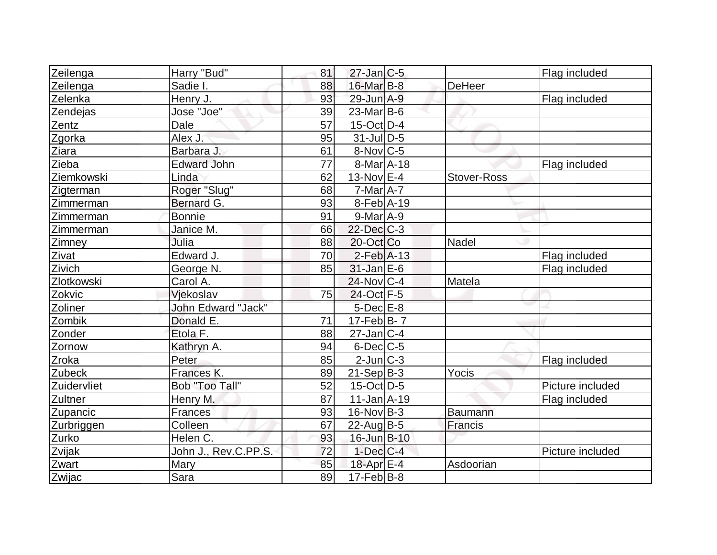| Zeilenga    | Harry "Bud"               | 81              | $27$ -Jan $ C-5 $         |                    | Flag included    |
|-------------|---------------------------|-----------------|---------------------------|--------------------|------------------|
| Zeilenga    | Sadie I.                  | 88              | 16-Mar B-8                | DeHeer             |                  |
| Zelenka     | Henry J.                  | 93              | 29-Jun A-9                |                    | Flag included    |
| Zendejas    | Jose "Joe"                | 39              | $23$ -Mar $ B-6$          |                    |                  |
| Zentz       | Dale                      | $\overline{57}$ | $15$ -Oct $D$ -4          |                    |                  |
| Zgorka      | Alex J.                   | 95              | $31$ -JulD-5              |                    |                  |
| Ziara       | Barbara J.                | 61              | $8-Nov$ C-5               |                    |                  |
| Zieba       | <b>Edward John</b>        | 77              | 8-Mar A-18                |                    | Flag included    |
| Ziemkowski  | Linda                     | 62              | $13-NovEE-4$              | <b>Stover-Ross</b> |                  |
| Zigterman   | Roger "Slug"              | 68              | $7$ -Mar $A$ -7           |                    |                  |
| Zimmerman   | Bernard G.                | 93              | $8-Feb$ A-19              |                    |                  |
| Zimmerman   | <b>Bonnie</b>             | 91              | $9$ -Mar $A$ -9           |                    |                  |
| Zimmerman   | Janice M.                 | 66              | $22$ -Dec $C-3$           |                    |                  |
| Zimney      | Julia                     | 88              | 20-Oct Co                 | <b>Nadel</b>       |                  |
| Zivat       | Edward J.                 | 70              | $2$ -Feb $A-13$           |                    | Flag included    |
| Zivich      | George N.                 | 85              | $31$ -Jan $E-6$           |                    | Flag included    |
| Zlotkowski  | Carol A.                  |                 | $24$ -Nov $ C-4 $         | Matela             |                  |
| Zokvic      | Vjekoslav                 | 75              | 24-Oct F-5                |                    |                  |
| Zoliner     | <b>John Edward "Jack"</b> |                 | $5$ -Dec $E-8$            |                    |                  |
| Zombik      | Donald E.                 | 71              | $17-FebB-7$               |                    |                  |
| Zonder      | Etola F.                  | 88              | $27 - Jan$ <sub>C-4</sub> |                    |                  |
| Zornow      | Kathryn A.                | 94              | $6$ -Dec $C$ -5           |                    |                  |
| Zroka       | Peter                     | 85              | $2$ -Jun $ C-3 $          |                    | Flag included    |
| Zubeck      | Frances K.                | 89              | $21-Sep B-3$              | Yocis              |                  |
| Zuidervliet | <b>Bob "Too Tall"</b>     | 52              | $15$ -Oct D-5             |                    | Picture included |
| Zultner     | Henry M.                  | 87              | $11$ -Jan $A$ -19         |                    | Flag included    |
| Zupancic    | Frances                   | 93              | $16$ -Nov B-3             | <b>Baumann</b>     |                  |
| Zurbriggen  | Colleen                   | 67              | $22$ -Aug $B-5$           | Francis            |                  |
| Zurko       | Helen C.                  | 93              | 16-Jun B-10               |                    |                  |
| Zvijak      | John J., Rev.C.PP.S.      | 72              | $1$ -Dec $ C-4 $          |                    | Picture included |
| Zwart       | Mary                      | 85              | 18-Apr E-4                | Asdoorian          |                  |
| Zwijac      | Sara                      | 89              | $17$ -Feb $ B-8$          |                    |                  |